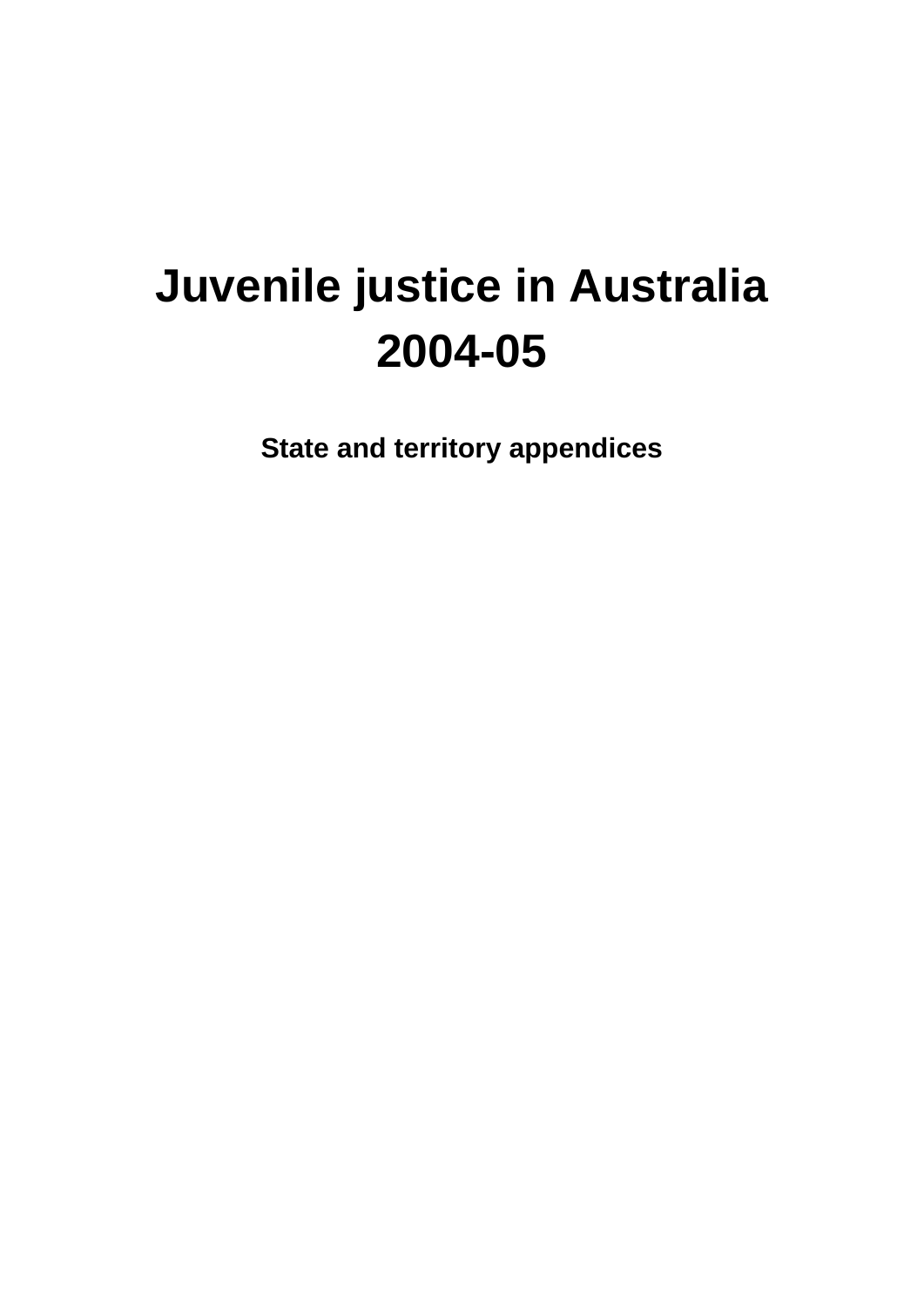# **Juvenile justice in Australia 2004-05**

**State and territory appendices**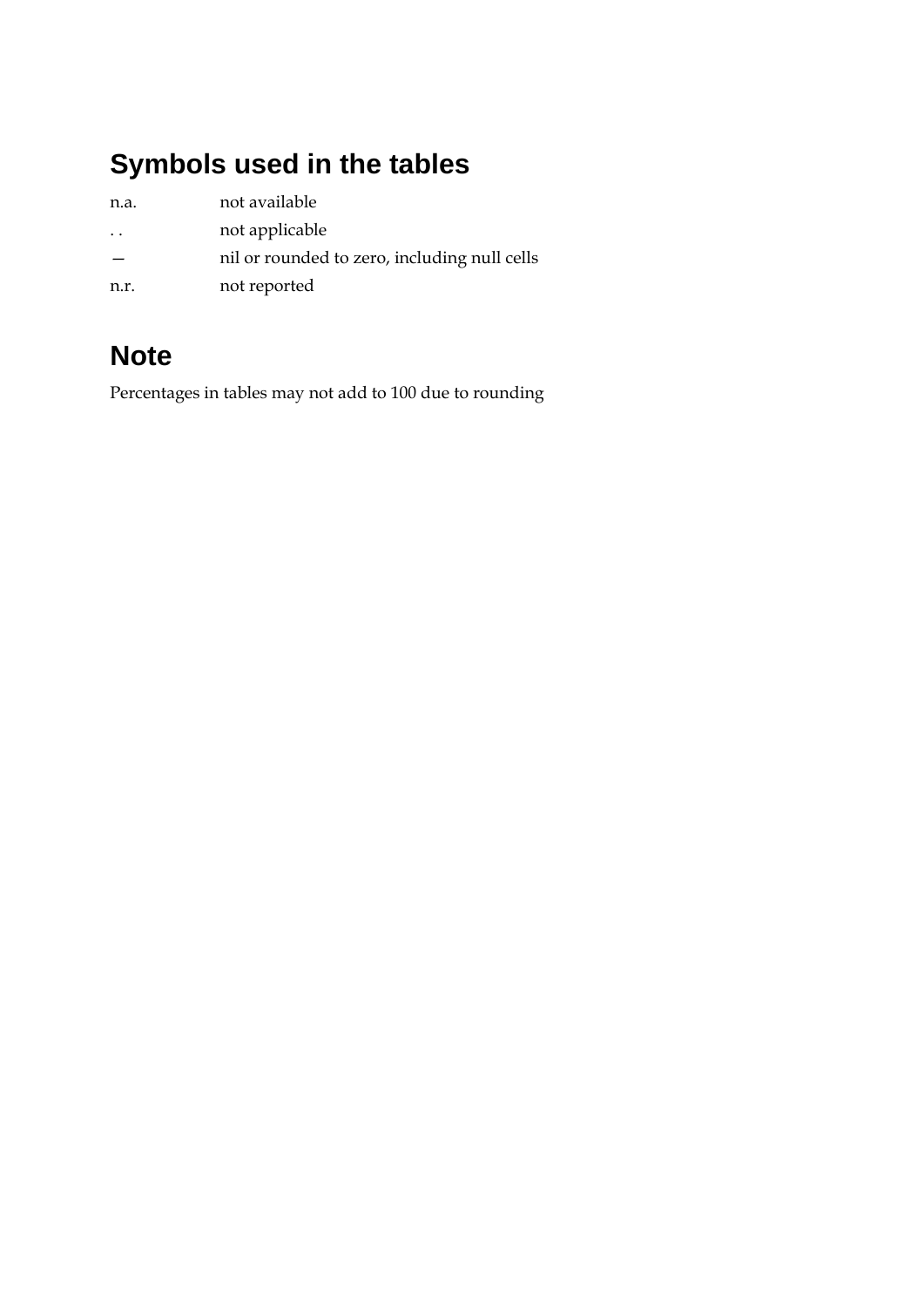### **Symbols used in the tables**

| n.a.                 | not available                                |
|----------------------|----------------------------------------------|
| $\ddot{\phantom{0}}$ | not applicable                               |
|                      | nil or rounded to zero, including null cells |
| n.r.                 | not reported                                 |

### **Note**

Percentages in tables may not add to 100 due to rounding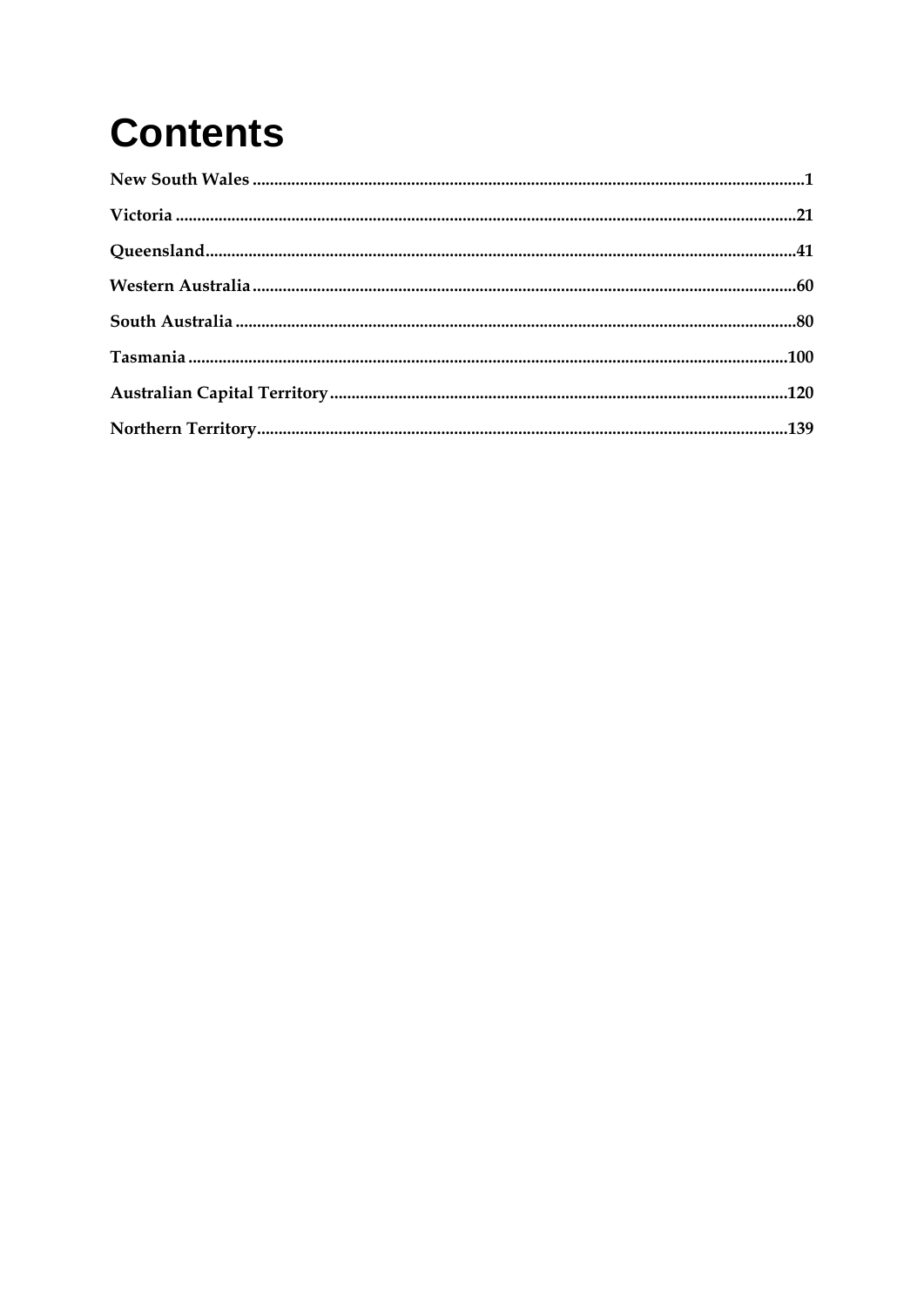# **Contents**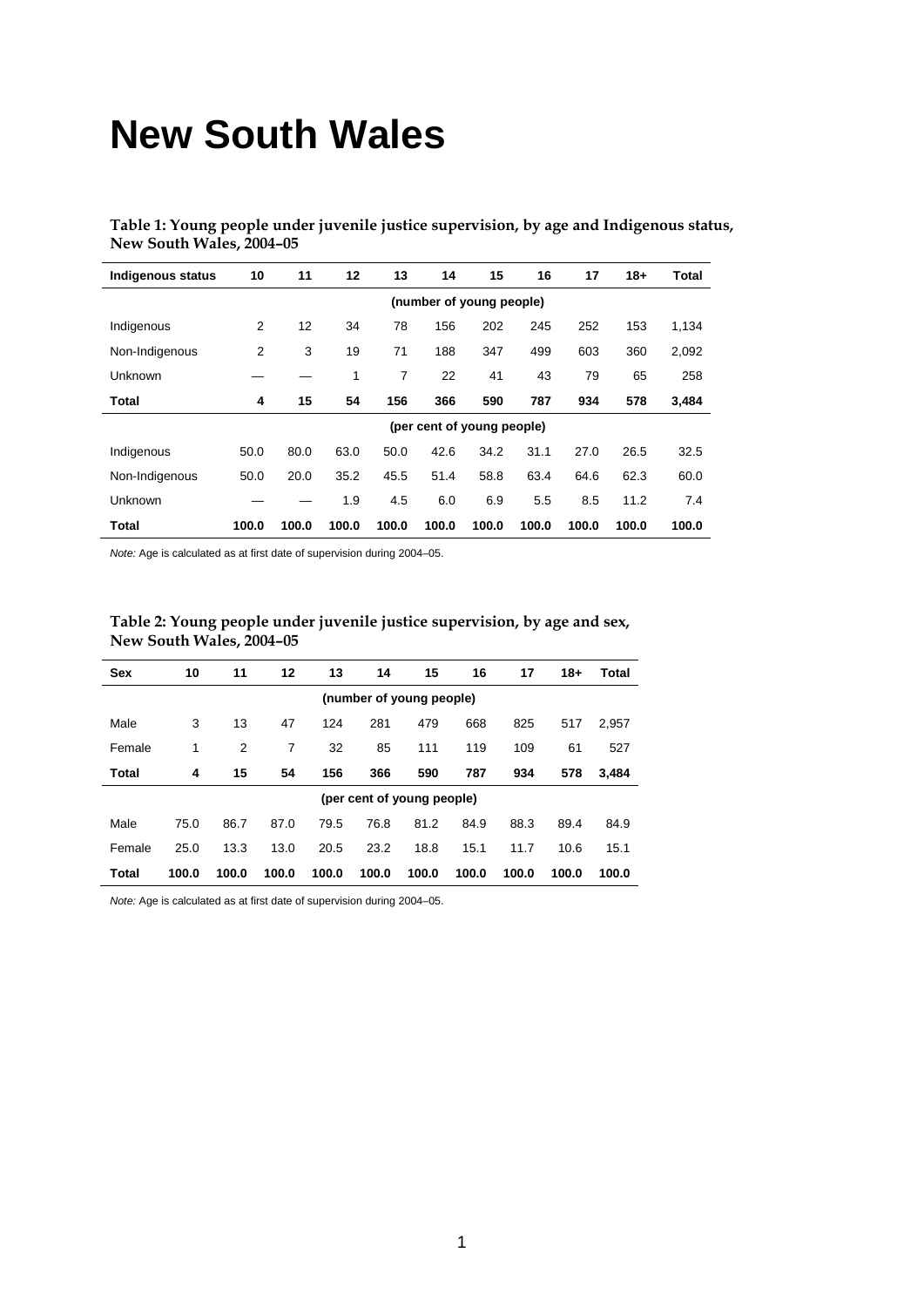## **New South Wales**

**Table 1: Young people under juvenile justice supervision, by age and Indigenous status, New South Wales, 2004–05** 

| <b>Indigenous status</b> | 10                         | 11                       | 12    | 13    | 14    | 15    | 16    | 17    | $18 +$ | Total |  |
|--------------------------|----------------------------|--------------------------|-------|-------|-------|-------|-------|-------|--------|-------|--|
|                          |                            | (number of young people) |       |       |       |       |       |       |        |       |  |
| Indigenous               | 2                          | 12                       | 34    | 78    | 156   | 202   | 245   | 252   | 153    | 1,134 |  |
| Non-Indigenous           | 2                          | 3                        | 19    | 71    | 188   | 347   | 499   | 603   | 360    | 2,092 |  |
| Unknown                  |                            |                          | 1     | 7     | 22    | 41    | 43    | 79    | 65     | 258   |  |
| Total                    | 4                          | 15                       | 54    | 156   | 366   | 590   | 787   | 934   | 578    | 3,484 |  |
|                          | (per cent of young people) |                          |       |       |       |       |       |       |        |       |  |
| Indigenous               | 50.0                       | 80.0                     | 63.0  | 50.0  | 42.6  | 34.2  | 31.1  | 27.0  | 26.5   | 32.5  |  |
| Non-Indigenous           | 50.0                       | 20.0                     | 35.2  | 45.5  | 51.4  | 58.8  | 63.4  | 64.6  | 62.3   | 60.0  |  |
| Unknown                  |                            |                          | 1.9   | 4.5   | 6.0   | 6.9   | 5.5   | 8.5   | 11.2   | 7.4   |  |
| Total                    | 100.0                      | 100.0                    | 100.0 | 100.0 | 100.0 | 100.0 | 100.0 | 100.0 | 100.0  | 100.0 |  |

*Note:* Age is calculated as at first date of supervision during 2004–05.

| Table 2: Young people under juvenile justice supervision, by age and sex, |  |
|---------------------------------------------------------------------------|--|
| New South Wales, 2004–05                                                  |  |

| <b>Sex</b>               | 10    | 11    | 12             | 13    | 14    | 15                         | 16    | 17    | $18+$ | Total |
|--------------------------|-------|-------|----------------|-------|-------|----------------------------|-------|-------|-------|-------|
| (number of young people) |       |       |                |       |       |                            |       |       |       |       |
| Male                     | 3     | 13    | 47             | 124   | 281   | 479                        | 668   | 825   | 517   | 2,957 |
| Female                   | 1     | 2     | $\overline{7}$ | 32    | 85    | 111                        | 119   | 109   | 61    | 527   |
| Total                    | 4     | 15    | 54             | 156   | 366   | 590                        | 787   | 934   | 578   | 3,484 |
|                          |       |       |                |       |       | (per cent of young people) |       |       |       |       |
| Male                     | 75.0  | 86.7  | 87.0           | 79.5  | 76.8  | 81.2                       | 84.9  | 88.3  | 89.4  | 84.9  |
| Female                   | 25.0  | 13.3  | 13.0           | 20.5  | 23.2  | 18.8                       | 15.1  | 11.7  | 10.6  | 15.1  |
| Total                    | 100.0 | 100.0 | 100.0          | 100.0 | 100.0 | 100.0                      | 100.0 | 100.0 | 100.0 | 100.0 |

*Note:* Age is calculated as at first date of supervision during 2004–05.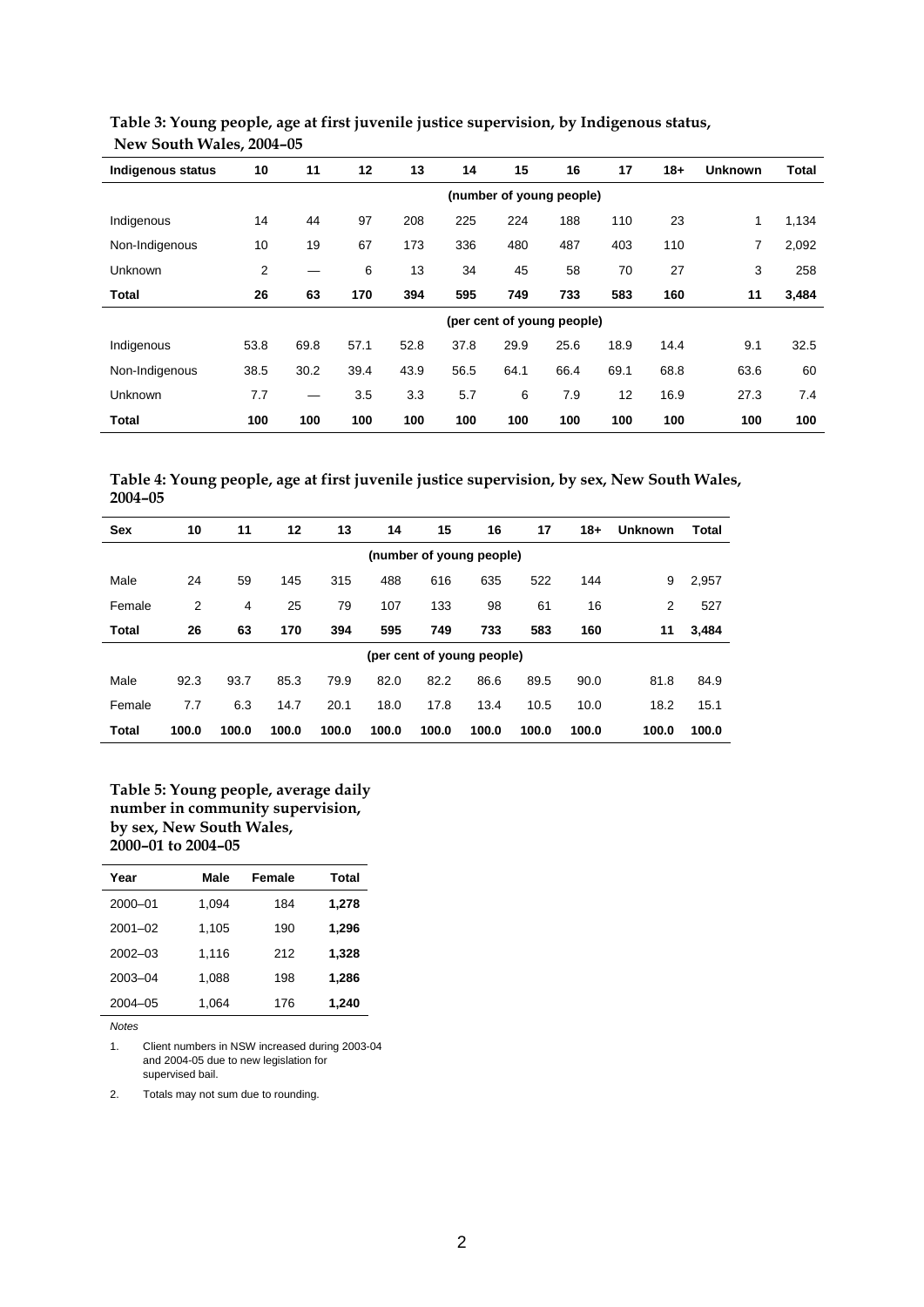| <b>Indigenous status</b> | 10   | 11                       | 12   | 13   | 14   | 15   | 16                         | 17   | $18+$ | <b>Unknown</b> | <b>Total</b> |
|--------------------------|------|--------------------------|------|------|------|------|----------------------------|------|-------|----------------|--------------|
|                          |      | (number of young people) |      |      |      |      |                            |      |       |                |              |
| Indigenous               | 14   | 44                       | 97   | 208  | 225  | 224  | 188                        | 110  | 23    | 1              | 1,134        |
| Non-Indigenous           | 10   | 19                       | 67   | 173  | 336  | 480  | 487                        | 403  | 110   | 7              | 2,092        |
| Unknown                  | 2    | —                        | 6    | 13   | 34   | 45   | 58                         | 70   | 27    | 3              | 258          |
| Total                    | 26   | 63                       | 170  | 394  | 595  | 749  | 733                        | 583  | 160   | 11             | 3,484        |
|                          |      |                          |      |      |      |      | (per cent of young people) |      |       |                |              |
| Indigenous               | 53.8 | 69.8                     | 57.1 | 52.8 | 37.8 | 29.9 | 25.6                       | 18.9 | 14.4  | 9.1            | 32.5         |
| Non-Indigenous           | 38.5 | 30.2                     | 39.4 | 43.9 | 56.5 | 64.1 | 66.4                       | 69.1 | 68.8  | 63.6           | 60           |
| Unknown                  | 7.7  | —                        | 3.5  | 3.3  | 5.7  | 6    | 7.9                        | 12   | 16.9  | 27.3           | 7.4          |
| Total                    | 100  | 100                      | 100  | 100  | 100  | 100  | 100                        | 100  | 100   | 100            | 100          |

#### **Table 3: Young people, age at first juvenile justice supervision, by Indigenous status, New South Wales, 2004–05**

**Table 4: Young people, age at first juvenile justice supervision, by sex, New South Wales, 2004–05** 

| <b>Sex</b>               | 10             | 11    | 12    | 13    | 14    | 15                         | 16    | 17    | $18+$ | <b>Unknown</b> | Total |
|--------------------------|----------------|-------|-------|-------|-------|----------------------------|-------|-------|-------|----------------|-------|
| (number of young people) |                |       |       |       |       |                            |       |       |       |                |       |
| Male                     | 24             | 59    | 145   | 315   | 488   | 616                        | 635   | 522   | 144   | 9              | 2,957 |
| Female                   | $\overline{2}$ | 4     | 25    | 79    | 107   | 133                        | 98    | 61    | 16    | $\overline{2}$ | 527   |
| <b>Total</b>             | 26             | 63    | 170   | 394   | 595   | 749                        | 733   | 583   | 160   | 11             | 3,484 |
|                          |                |       |       |       |       | (per cent of young people) |       |       |       |                |       |
| Male                     | 92.3           | 93.7  | 85.3  | 79.9  | 82.0  | 82.2                       | 86.6  | 89.5  | 90.0  | 81.8           | 84.9  |
| Female                   | 7.7            | 6.3   | 14.7  | 20.1  | 18.0  | 17.8                       | 13.4  | 10.5  | 10.0  | 18.2           | 15.1  |
| <b>Total</b>             | 100.0          | 100.0 | 100.0 | 100.0 | 100.0 | 100.0                      | 100.0 | 100.0 | 100.0 | 100.0          | 100.0 |

#### **Table 5: Young people, average daily number in community supervision, by sex, New South Wales, 2000–01 to 2004–05**

| Year        | Male  | Female | Total |
|-------------|-------|--------|-------|
| 2000-01     | 1.094 | 184    | 1,278 |
| $2001 - 02$ | 1.105 | 190    | 1,296 |
| $2002 - 03$ | 1,116 | 212    | 1,328 |
| 2003-04     | 1,088 | 198    | 1,286 |
| $2004 - 05$ | 1.064 | 176    | 1.240 |

*Notes*

1. Client numbers in NSW increased during 2003-04 and 2004-05 due to new legislation for supervised bail.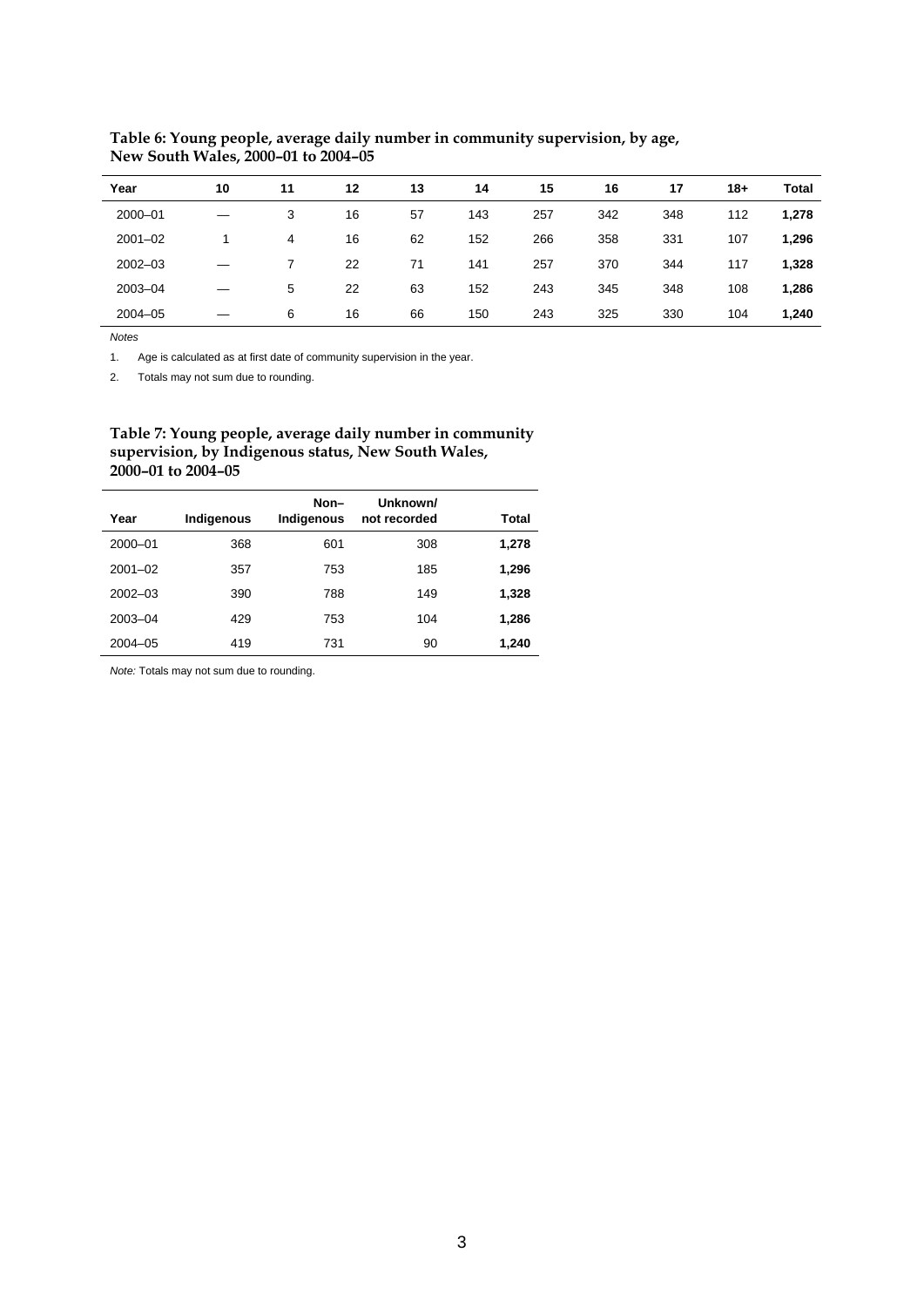| Year        | 10 | 11 | 12 | 13 | 14  | 15  | 16  | 17  | $18+$ | <b>Total</b> |
|-------------|----|----|----|----|-----|-----|-----|-----|-------|--------------|
| $2000 - 01$ |    | 3  | 16 | 57 | 143 | 257 | 342 | 348 | 112   | 1,278        |
| $2001 - 02$ |    | 4  | 16 | 62 | 152 | 266 | 358 | 331 | 107   | 1,296        |
| $2002 - 03$ |    |    | 22 | 71 | 141 | 257 | 370 | 344 | 117   | 1,328        |
| 2003-04     |    | 5  | 22 | 63 | 152 | 243 | 345 | 348 | 108   | 1,286        |
| $2004 - 05$ |    | 6  | 16 | 66 | 150 | 243 | 325 | 330 | 104   | 1,240        |

**Table 6: Young people, average daily number in community supervision, by age, New South Wales, 2000–01 to 2004–05** 

l.

1. Age is calculated as at first date of community supervision in the year.

2. Totals may not sum due to rounding.

#### **Table 7: Young people, average daily number in community supervision, by Indigenous status, New South Wales, 2000–01 to 2004–05**

| Year        | Indigenous | Non-<br>Indigenous | Unknown/<br>not recorded | Total |
|-------------|------------|--------------------|--------------------------|-------|
| 2000-01     | 368        | 601                | 308                      | 1,278 |
| $2001 - 02$ | 357        | 753                | 185                      | 1,296 |
| $2002 - 03$ | 390        | 788                | 149                      | 1,328 |
| 2003-04     | 429        | 753                | 104                      | 1,286 |
| $2004 - 05$ | 419        | 731                | 90                       | 1,240 |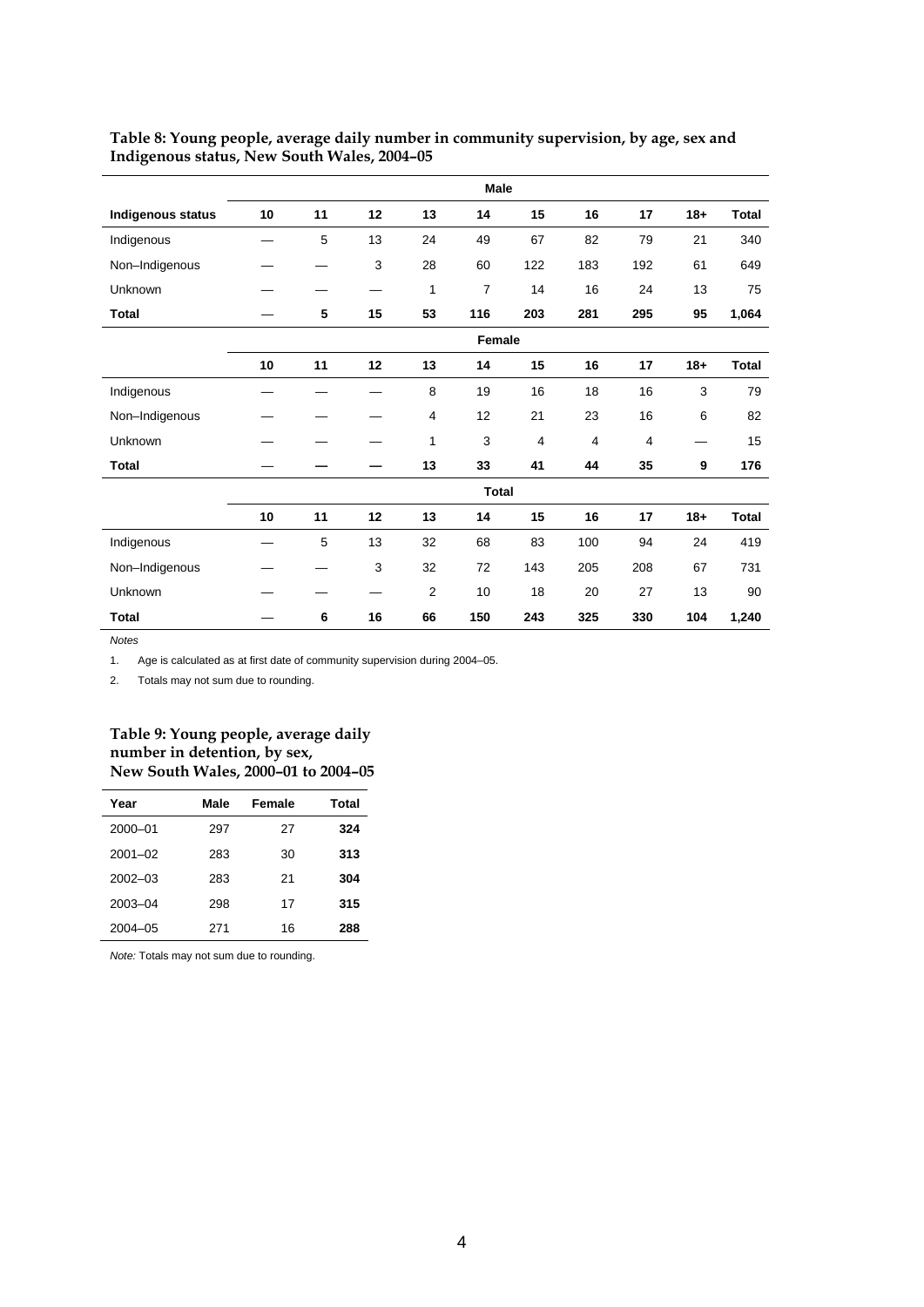|                   | <b>Male</b> |    |    |                |              |                |                |                |        |              |
|-------------------|-------------|----|----|----------------|--------------|----------------|----------------|----------------|--------|--------------|
| Indigenous status | 10          | 11 | 12 | 13             | 14           | 15             | 16             | 17             | $18 +$ | <b>Total</b> |
| Indigenous        |             | 5  | 13 | 24             | 49           | 67             | 82             | 79             | 21     | 340          |
| Non-Indigenous    |             |    | 3  | 28             | 60           | 122            | 183            | 192            | 61     | 649          |
| Unknown           |             |    |    | 1              | 7            | 14             | 16             | 24             | 13     | 75           |
| <b>Total</b>      |             | 5  | 15 | 53             | 116          | 203            | 281            | 295            | 95     | 1,064        |
|                   |             |    |    |                | Female       |                |                |                |        |              |
|                   | 10          | 11 | 12 | 13             | 14           | 15             | 16             | 17             | $18 +$ | <b>Total</b> |
| Indigenous        |             |    |    | 8              | 19           | 16             | 18             | 16             | 3      | 79           |
| Non-Indigenous    |             |    |    | 4              | 12           | 21             | 23             | 16             | 6      | 82           |
| Unknown           |             |    |    | 1              | 3            | $\overline{4}$ | $\overline{4}$ | $\overline{4}$ |        | 15           |
| <b>Total</b>      |             |    |    | 13             | 33           | 41             | 44             | 35             | 9      | 176          |
|                   |             |    |    |                | <b>Total</b> |                |                |                |        |              |
|                   | 10          | 11 | 12 | 13             | 14           | 15             | 16             | 17             | $18 +$ | <b>Total</b> |
| Indigenous        |             | 5  | 13 | 32             | 68           | 83             | 100            | 94             | 24     | 419          |
| Non-Indigenous    |             |    | 3  | 32             | 72           | 143            | 205            | 208            | 67     | 731          |
| Unknown           |             |    |    | $\overline{2}$ | 10           | 18             | 20             | 27             | 13     | 90           |
| <b>Total</b>      |             | 6  | 16 | 66             | 150          | 243            | 325            | 330            | 104    | 1,240        |

#### **Table 8: Young people, average daily number in community supervision, by age, sex and Indigenous status, New South Wales, 2004–05**

*Notes*

1. Age is calculated as at first date of community supervision during 2004–05.

2. Totals may not sum due to rounding.

#### **Table 9: Young people, average daily number in detention, by sex, New South Wales, 2000–01 to 2004–05**

| Year        | Male | Female | Total |
|-------------|------|--------|-------|
| 2000-01     | 297  | 27     | 324   |
| $2001 - 02$ | 283  | 30     | 313   |
| $2002 - 03$ | 283  | 21     | 304   |
| 2003-04     | 298  | 17     | 315   |
| $2004 - 05$ | 271  | 16     | 288   |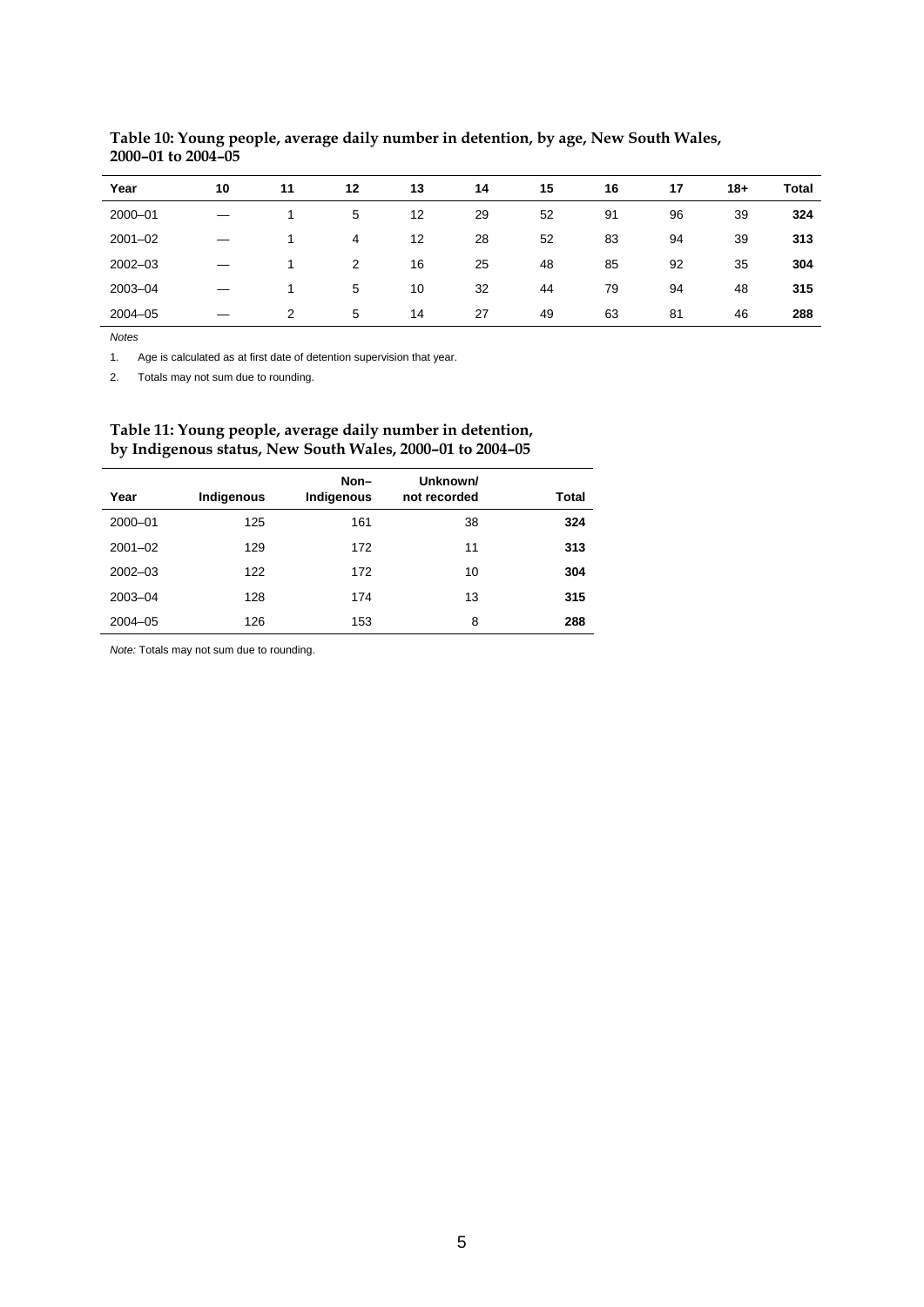| Year        | 10 | 11 | 12 | 13 | 14 | 15 | 16 | 17 | $18+$ | Total |
|-------------|----|----|----|----|----|----|----|----|-------|-------|
| 2000-01     |    |    | 5  | 12 | 29 | 52 | 91 | 96 | 39    | 324   |
| $2001 - 02$ |    |    | 4  | 12 | 28 | 52 | 83 | 94 | 39    | 313   |
| $2002 - 03$ |    |    | 2  | 16 | 25 | 48 | 85 | 92 | 35    | 304   |
| 2003-04     |    |    | 5  | 10 | 32 | 44 | 79 | 94 | 48    | 315   |
| $2004 - 05$ |    | 2  | 5  | 14 | 27 | 49 | 63 | 81 | 46    | 288   |

**Table 10: Young people, average daily number in detention, by age, New South Wales, 2000–01 to 2004–05** 

l,

1. Age is calculated as at first date of detention supervision that year.

2. Totals may not sum due to rounding.

#### **Table 11: Young people, average daily number in detention, by Indigenous status, New South Wales, 2000–01 to 2004–05**

| Year        | Indigenous | Non-<br>Indigenous | Unknown/<br>not recorded | Total |
|-------------|------------|--------------------|--------------------------|-------|
| 2000-01     | 125        | 161                | 38                       | 324   |
| $2001 - 02$ | 129        | 172                | 11                       | 313   |
| $2002 - 03$ | 122        | 172                | 10                       | 304   |
| 2003-04     | 128        | 174                | 13                       | 315   |
| $2004 - 05$ | 126        | 153                | 8                        | 288   |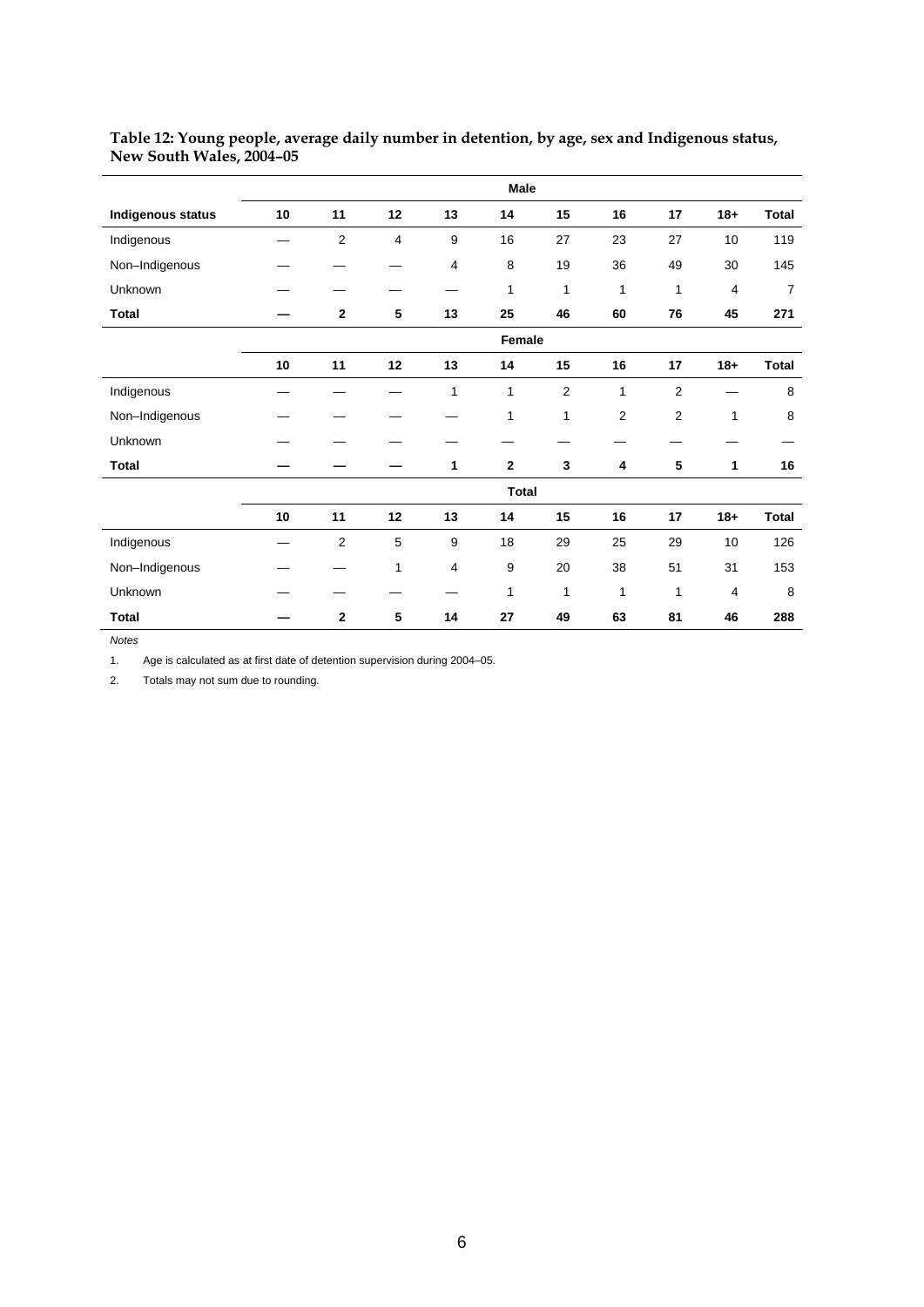|                   |    |                |                |                | Male         |                |                |                |                |                |
|-------------------|----|----------------|----------------|----------------|--------------|----------------|----------------|----------------|----------------|----------------|
| Indigenous status | 10 | 11             | 12             | 13             | 14           | 15             | 16             | 17             | $18+$          | <b>Total</b>   |
| Indigenous        |    | $\overline{2}$ | $\overline{4}$ | 9              | 16           | 27             | 23             | 27             | 10             | 119            |
| Non-Indigenous    |    |                |                | $\overline{4}$ | 8            | 19             | 36             | 49             | 30             | 145            |
| Unknown           |    |                |                |                | 1            | 1              | 1              | 1              | $\overline{4}$ | $\overline{7}$ |
| <b>Total</b>      |    | $\mathbf{2}$   | 5              | 13             | 25           | 46             | 60             | 76             | 45             | 271            |
|                   |    |                |                |                | Female       |                |                |                |                |                |
|                   | 10 | 11             | 12             | 13             | 14           | 15             | 16             | 17             | $18 +$         | <b>Total</b>   |
| Indigenous        |    |                |                | 1              | 1            | $\overline{2}$ | 1              | $\overline{2}$ |                | 8              |
| Non-Indigenous    |    |                |                |                | 1            | 1              | $\overline{2}$ | $\overline{2}$ | 1              | 8              |
| Unknown           |    |                |                |                |              |                |                |                |                |                |
| <b>Total</b>      |    |                |                | 1              | $\mathbf{2}$ | 3              | 4              | 5              | 1              | 16             |
|                   |    |                |                |                | <b>Total</b> |                |                |                |                |                |
|                   | 10 | 11             | 12             | 13             | 14           | 15             | 16             | 17             | $18+$          | <b>Total</b>   |
| Indigenous        |    | $\overline{2}$ | 5              | 9              | 18           | 29             | 25             | 29             | 10             | 126            |
| Non-Indigenous    |    |                | $\mathbf{1}$   | $\overline{4}$ | 9            | 20             | 38             | 51             | 31             | 153            |
| Unknown           |    |                |                |                | 1            | 1              | 1              | 1              | $\overline{4}$ | 8              |
| <b>Total</b>      |    | $\overline{2}$ | 5              | 14             | 27           | 49             | 63             | 81             | 46             | 288            |

#### **Table 12: Young people, average daily number in detention, by age, sex and Indigenous status, New South Wales, 2004–05**

*Notes*

1. Age is calculated as at first date of detention supervision during 2004–05.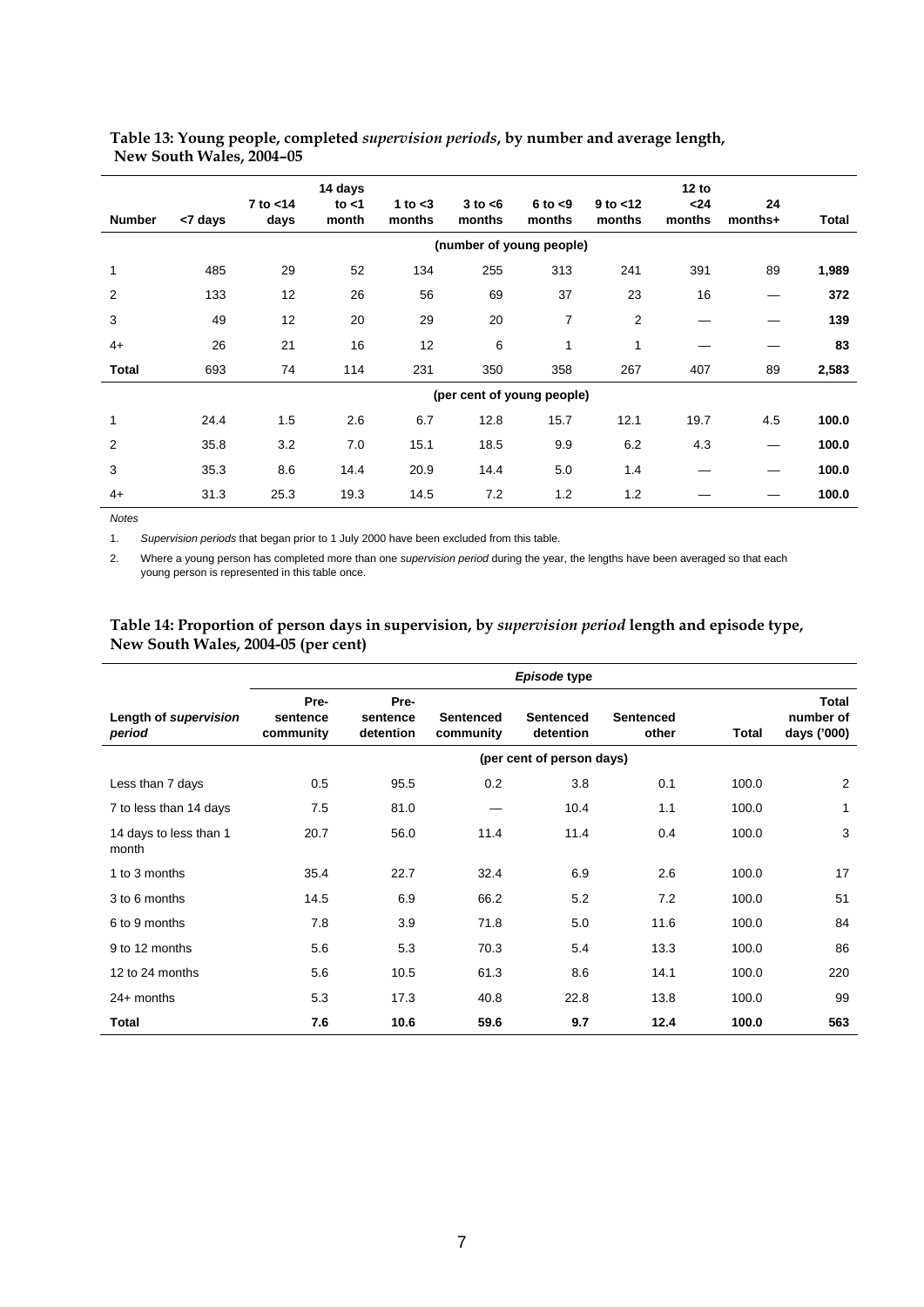#### **Table 13: Young people, completed** *supervision periods***, by number and average length, New South Wales, 2004–05**

| <b>Number</b> | <7 days | 7 to <14<br>days | 14 days<br>to $<$ 1<br>month | 1 to $<$ 3<br>months | $3$ to $<$ 6<br>months | $6$ to $< 9$<br>months     | $9$ to $<$ 12<br>months | 12 to<br>$24$<br>months | 24<br>months+ | Total |
|---------------|---------|------------------|------------------------------|----------------------|------------------------|----------------------------|-------------------------|-------------------------|---------------|-------|
|               |         |                  |                              |                      |                        | (number of young people)   |                         |                         |               |       |
| $\mathbf{1}$  | 485     | 29               | 52                           | 134                  | 255                    | 313                        | 241                     | 391                     | 89            | 1,989 |
| 2             | 133     | 12               | 26                           | 56                   | 69                     | 37                         | 23                      | 16                      |               | 372   |
| 3             | 49      | 12               | 20                           | 29                   | 20                     | 7                          | 2                       |                         |               | 139   |
| $4+$          | 26      | 21               | 16                           | 12                   | 6                      | 1                          | 1                       |                         |               | 83    |
| Total         | 693     | 74               | 114                          | 231                  | 350                    | 358                        | 267                     | 407                     | 89            | 2,583 |
|               |         |                  |                              |                      |                        | (per cent of young people) |                         |                         |               |       |
| $\mathbf{1}$  | 24.4    | 1.5              | 2.6                          | 6.7                  | 12.8                   | 15.7                       | 12.1                    | 19.7                    | 4.5           | 100.0 |
| 2             | 35.8    | 3.2              | 7.0                          | 15.1                 | 18.5                   | 9.9                        | 6.2                     | 4.3                     |               | 100.0 |
| 3             | 35.3    | 8.6              | 14.4                         | 20.9                 | 14.4                   | 5.0                        | 1.4                     |                         |               | 100.0 |
| $4+$          | 31.3    | 25.3             | 19.3                         | 14.5                 | 7.2                    | 1.2                        | 1.2                     |                         |               | 100.0 |

*Notes* 

l.

1. *Supervision periods* that began prior to 1 July 2000 have been excluded from this table.

2. Where a young person has completed more than one *supervision period* during the year, the lengths have been averaged so that each young person is represented in this table once.

#### **Table 14: Proportion of person days in supervision, by** *supervision period* **length and episode type, New South Wales, 2004-05 (per cent)**

|                                 | Episode type                  |                               |                               |                               |                           |       |                                   |
|---------------------------------|-------------------------------|-------------------------------|-------------------------------|-------------------------------|---------------------------|-------|-----------------------------------|
| Length of supervision<br>period | Pre-<br>sentence<br>community | Pre-<br>sentence<br>detention | <b>Sentenced</b><br>community | <b>Sentenced</b><br>detention | <b>Sentenced</b><br>other | Total | Total<br>number of<br>days ('000) |
|                                 |                               |                               |                               | (per cent of person days)     |                           |       |                                   |
| Less than 7 days                | 0.5                           | 95.5                          | 0.2                           | 3.8                           | 0.1                       | 100.0 | 2                                 |
| 7 to less than 14 days          | 7.5                           | 81.0                          |                               | 10.4                          | 1.1                       | 100.0 | 1                                 |
| 14 days to less than 1<br>month | 20.7                          | 56.0                          | 11.4                          | 11.4                          | 0.4                       | 100.0 | 3                                 |
| 1 to 3 months                   | 35.4                          | 22.7                          | 32.4                          | 6.9                           | 2.6                       | 100.0 | 17                                |
| 3 to 6 months                   | 14.5                          | 6.9                           | 66.2                          | 5.2                           | 7.2                       | 100.0 | 51                                |
| 6 to 9 months                   | 7.8                           | 3.9                           | 71.8                          | 5.0                           | 11.6                      | 100.0 | 84                                |
| 9 to 12 months                  | 5.6                           | 5.3                           | 70.3                          | 5.4                           | 13.3                      | 100.0 | 86                                |
| 12 to 24 months                 | 5.6                           | 10.5                          | 61.3                          | 8.6                           | 14.1                      | 100.0 | 220                               |
| $24+$ months                    | 5.3                           | 17.3                          | 40.8                          | 22.8                          | 13.8                      | 100.0 | 99                                |
| Total                           | 7.6                           | 10.6                          | 59.6                          | 9.7                           | 12.4                      | 100.0 | 563                               |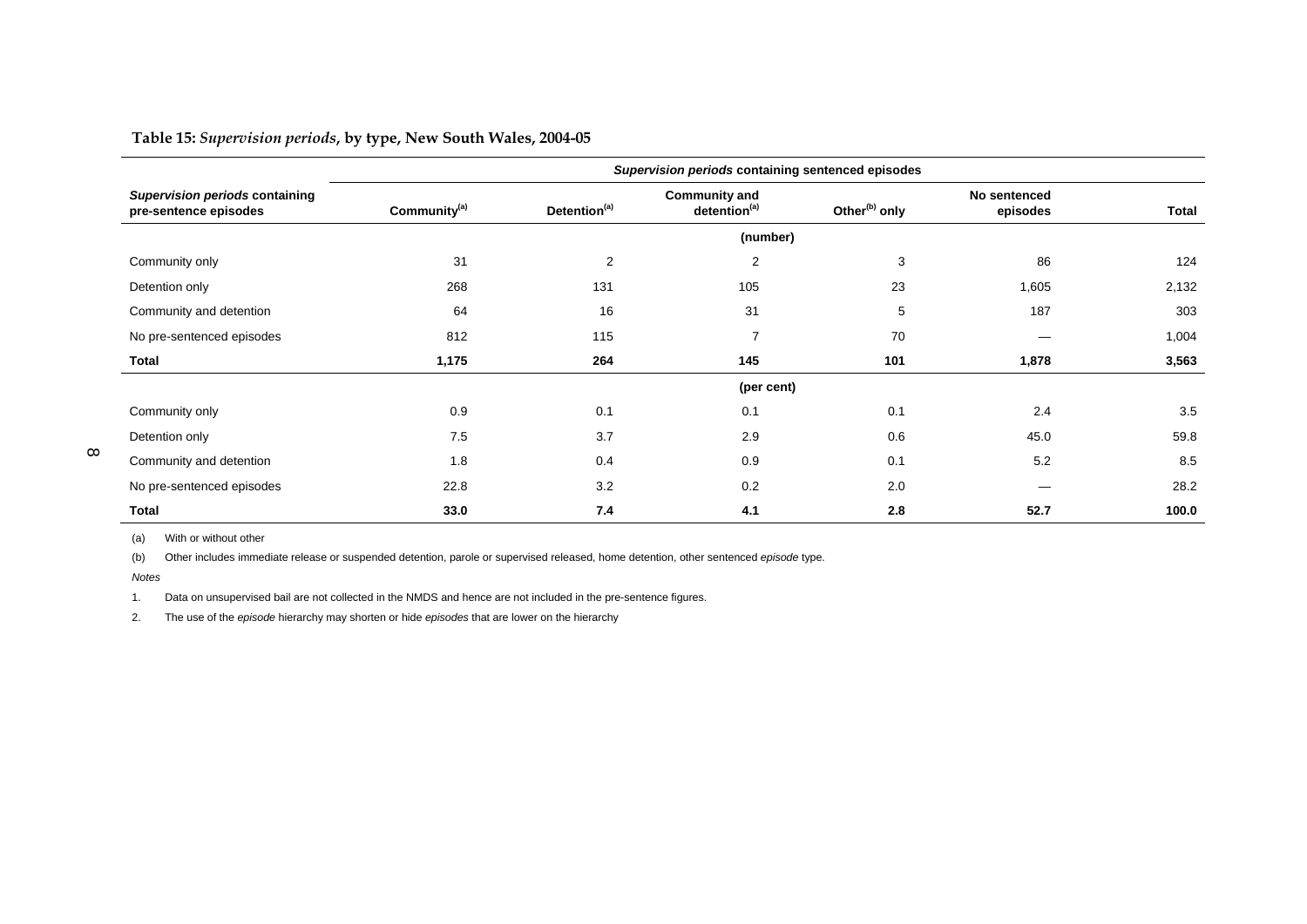**Table 15:** *Supervision periods***, by type, New South Wales, 2004-05** 

|                                                         |                          |                          | Supervision periods containing sentenced episodes |                           |                          |              |
|---------------------------------------------------------|--------------------------|--------------------------|---------------------------------------------------|---------------------------|--------------------------|--------------|
| Supervision periods containing<br>pre-sentence episodes | Community <sup>(a)</sup> | Detention <sup>(a)</sup> | <b>Community and</b><br>detention <sup>(a)</sup>  | Other <sup>(b)</sup> only | No sentenced<br>episodes | <b>Total</b> |
|                                                         |                          |                          | (number)                                          |                           |                          |              |
| Community only                                          | 31                       | $\overline{2}$           | $\overline{2}$                                    | 3                         | 86                       | 124          |
| Detention only                                          | 268                      | 131                      | 105                                               | 23                        | 1,605                    | 2,132        |
| Community and detention                                 | 64                       | 16                       | 31                                                | 5                         | 187                      | 303          |
| No pre-sentenced episodes                               | 812                      | 115                      | $\overline{7}$                                    | 70                        |                          | 1,004        |
| Total                                                   | 1,175                    | 264                      | 145                                               | 101                       | 1,878                    | 3,563        |
|                                                         |                          |                          | (per cent)                                        |                           |                          |              |
| Community only                                          | 0.9                      | 0.1                      | 0.1                                               | 0.1                       | 2.4                      | 3.5          |
| Detention only                                          | 7.5                      | 3.7                      | 2.9                                               | 0.6                       | 45.0                     | 59.8         |
| Community and detention                                 | 1.8                      | 0.4                      | 0.9                                               | 0.1                       | 5.2                      | 8.5          |
| No pre-sentenced episodes                               | 22.8                     | 3.2                      | 0.2                                               | 2.0                       |                          | 28.2         |
| Total                                                   | 33.0                     | 7.4                      | 4.1                                               | 2.8                       | 52.7                     | 100.0        |

(a) With or without other

(b) Other includes immediate release or suspended detention, parole or supervised released, home detention, other sentenced *episode* type.

*Notes*

1. Data on unsupervised bail are not collected in the NMDS and hence are not included in the pre-sentence figures.

2. The use of the *episode* hierarchy may shorten or hide *episodes* that are lower on the hierarchy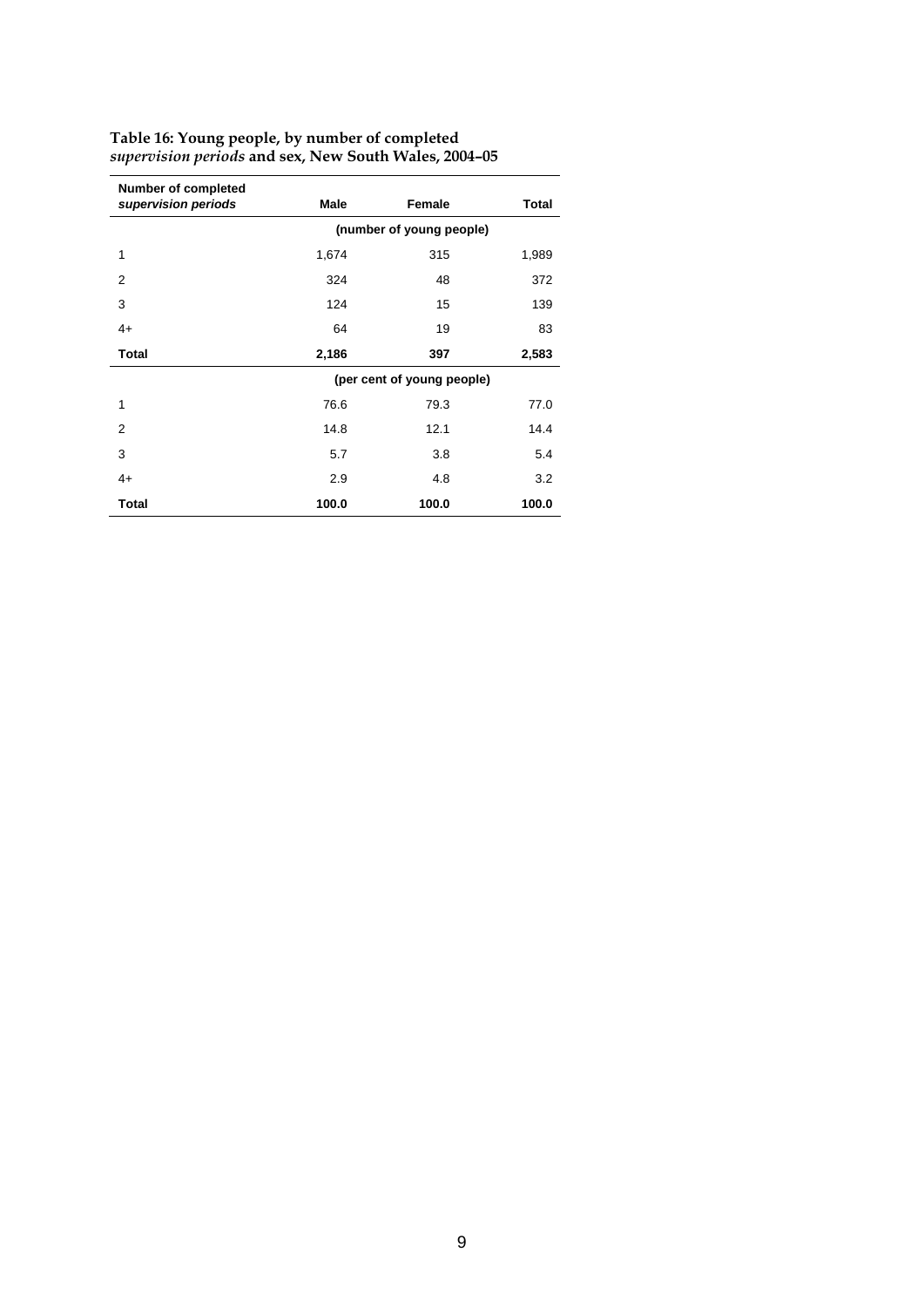| <b>Number of completed</b> |       |                            |       |
|----------------------------|-------|----------------------------|-------|
| supervision periods        | Male  | Female                     | Total |
|                            |       | (number of young people)   |       |
| 1                          | 1,674 | 315                        | 1,989 |
| $\overline{2}$             | 324   | 48                         | 372   |
| 3                          | 124   | 15                         | 139   |
| $4+$                       | 64    | 19                         | 83    |
| <b>Total</b>               | 2,186 | 397                        | 2,583 |
|                            |       | (per cent of young people) |       |
| 1                          | 76.6  | 79.3                       | 77.0  |
| $\overline{2}$             | 14.8  | 12.1                       | 14.4  |
| 3                          | 5.7   | 3.8                        | 5.4   |
| $4+$                       | 2.9   | 4.8                        | 3.2   |
| <b>Total</b>               | 100.0 | 100.0                      | 100.0 |

#### **Table 16: Young people, by number of completed** *supervision periods* **and sex, New South Wales, 2004–05**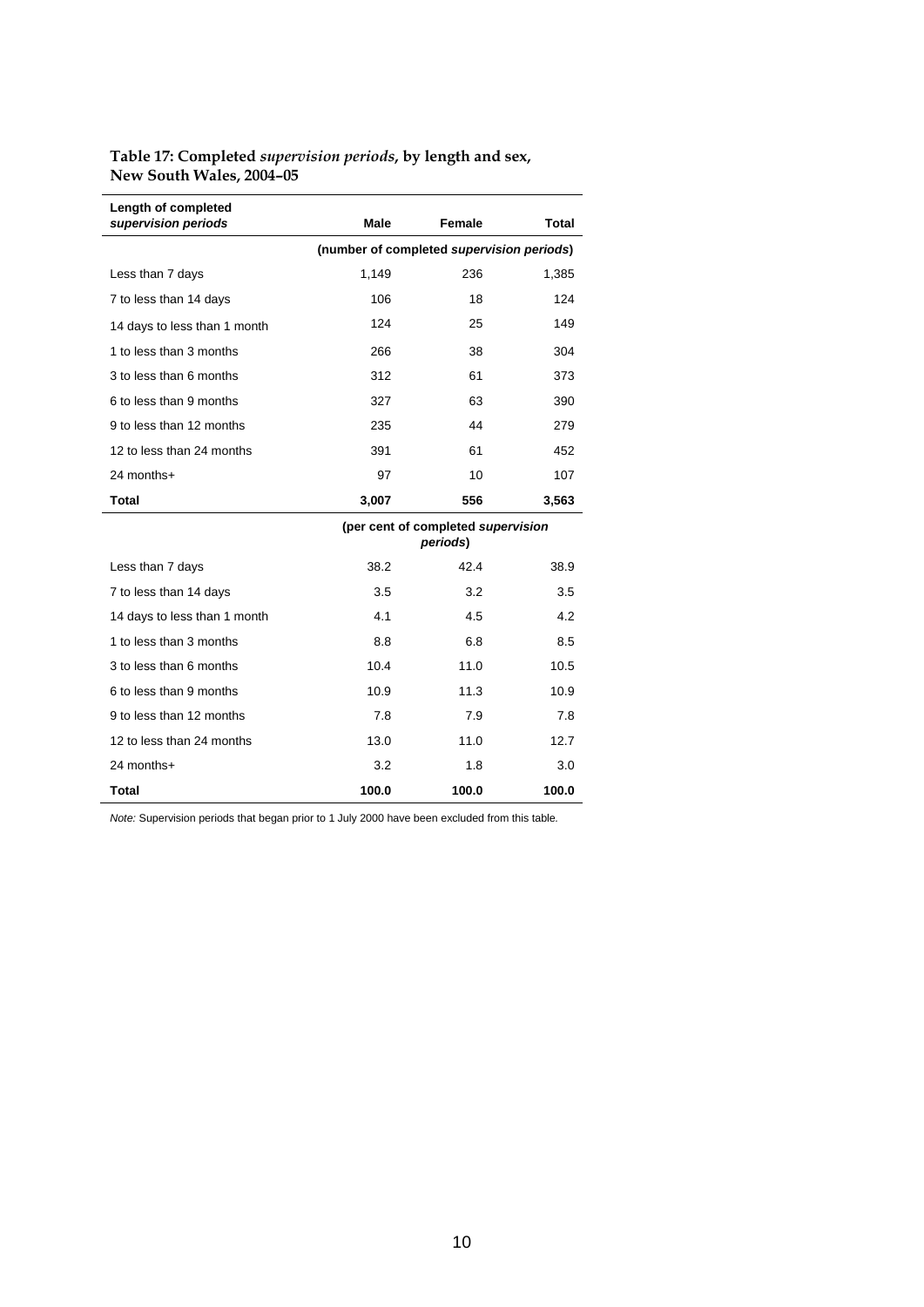#### **Table 17: Completed** *supervision periods***, by length and sex, New South Wales, 2004–05**

| Length of completed<br>supervision periods | <b>Male</b> | Female                                         | Total |
|--------------------------------------------|-------------|------------------------------------------------|-------|
|                                            |             | (number of completed supervision periods)      |       |
| Less than 7 days                           | 1,149       | 236                                            | 1,385 |
| 7 to less than 14 days                     | 106         | 18                                             | 124   |
| 14 days to less than 1 month               | 124         | 25                                             | 149   |
| 1 to less than 3 months                    | 266         | 38                                             | 304   |
| 3 to less than 6 months                    | 312         | 61                                             | 373   |
| 6 to less than 9 months                    | 327         | 63                                             | 390   |
| 9 to less than 12 months                   | 235         | 44                                             | 279   |
| 12 to less than 24 months                  | 391         | 61                                             | 452   |
| 24 months+                                 | 97          | 10                                             | 107   |
| Total                                      | 3,007       | 556                                            | 3,563 |
|                                            |             | (per cent of completed supervision<br>periods) |       |
| Less than 7 days                           | 38.2        | 42.4                                           | 38.9  |
| 7 to less than 14 days                     | 3.5         | 3.2                                            | 3.5   |
| 14 days to less than 1 month               | 4.1         | 4.5                                            | 4.2   |
| 1 to less than 3 months                    | 8.8         | 6.8                                            | 8.5   |
| 3 to less than 6 months                    | 10.4        | 11.0                                           | 10.5  |
| 6 to less than 9 months                    | 10.9        | 11.3                                           | 10.9  |
| 9 to less than 12 months                   | 7.8         | 7.9                                            | 7.8   |
| 12 to less than 24 months                  | 13.0        | 11.0                                           | 12.7  |
| 24 months+                                 | 3.2         | 1.8                                            | 3.0   |
| Total                                      | 100.0       | 100.0                                          | 100.0 |

*Note:* Supervision periods that began prior to 1 July 2000 have been excluded from this table*.*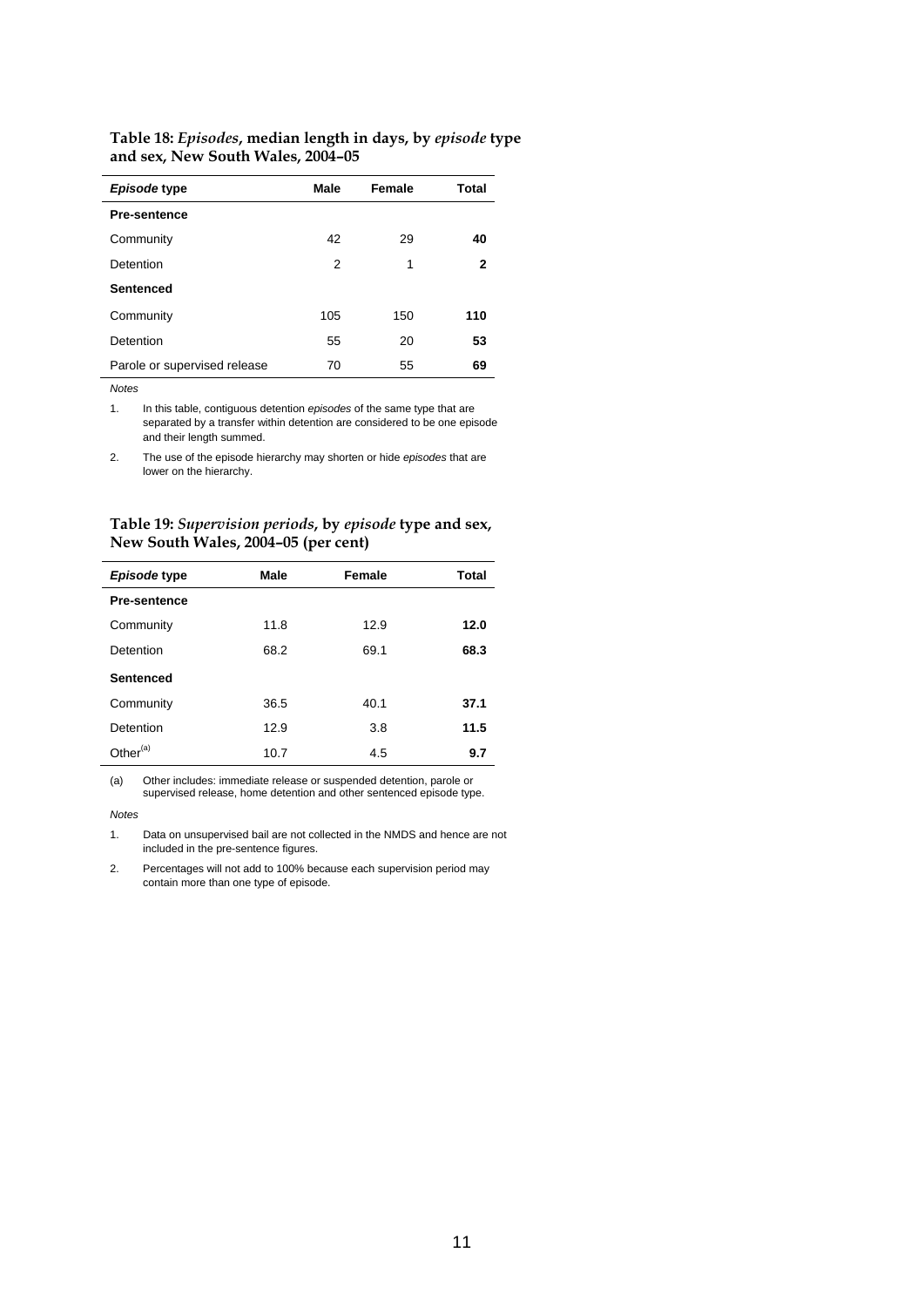| Table 18: Episodes, median length in days, by episode type |
|------------------------------------------------------------|
| and sex, New South Wales, 2004–05                          |

| Episode type                 | Male | Female | Total |
|------------------------------|------|--------|-------|
| <b>Pre-sentence</b>          |      |        |       |
| Community                    | 42   | 29     | 40    |
| Detention                    | 2    | 1      | 2     |
| <b>Sentenced</b>             |      |        |       |
| Community                    | 105  | 150    | 110   |
| Detention                    | 55   | 20     | 53    |
| Parole or supervised release | 70   | 55     | 69    |

j.

1. In this table, contiguous detention *episodes* of the same type that are separated by a transfer within detention are considered to be one episode and their length summed.

2. The use of the episode hierarchy may shorten or hide *episodes* that are lower on the hierarchy.

**Table 19:** *Supervision periods***, by** *episode* **type and sex, New South Wales, 2004–05 (per cent)** 

| Episode type         | Male | Female | Total |
|----------------------|------|--------|-------|
| <b>Pre-sentence</b>  |      |        |       |
| Community            | 11.8 | 12.9   | 12.0  |
| Detention            | 68.2 | 69.1   | 68.3  |
| <b>Sentenced</b>     |      |        |       |
| Community            | 36.5 | 40.1   | 37.1  |
| Detention            | 12.9 | 3.8    | 11.5  |
| Other <sup>(a)</sup> | 10.7 | 4.5    | 9.7   |

(a) Other includes: immediate release or suspended detention, parole or supervised release, home detention and other sentenced episode type.

*Notes* 

1. Data on unsupervised bail are not collected in the NMDS and hence are not included in the pre-sentence figures.

2. Percentages will not add to 100% because each supervision period may contain more than one type of episode.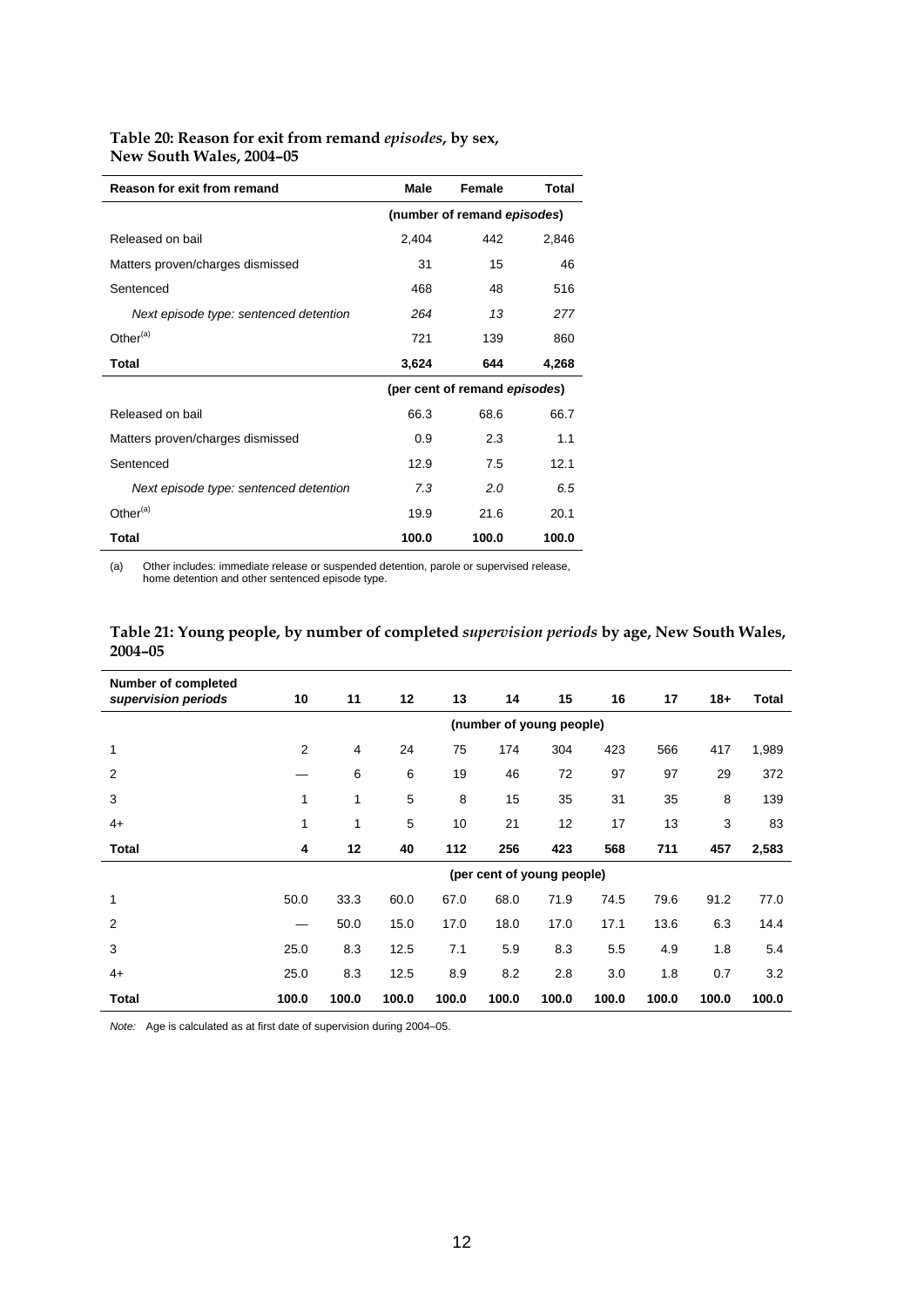#### **Table 20: Reason for exit from remand** *episodes***, by sex, New South Wales, 2004–05**

| Reason for exit from remand            | Male  | Female                        | Total |
|----------------------------------------|-------|-------------------------------|-------|
|                                        |       | (number of remand episodes)   |       |
| Released on bail                       | 2,404 | 442                           | 2,846 |
| Matters proven/charges dismissed       | 31    | 15                            | 46    |
| Sentenced                              | 468   | 48                            | 516   |
| Next episode type: sentenced detention | 264   | 13                            | 277   |
| Other <sup>(a)</sup>                   | 721   | 139                           | 860   |
| <b>Total</b>                           | 3,624 | 644                           | 4,268 |
|                                        |       | (per cent of remand episodes) |       |
| Released on bail                       | 66.3  | 68.6                          | 66.7  |
| Matters proven/charges dismissed       | 0.9   | 2.3                           | 1.1   |
| Sentenced                              | 12.9  | 7.5                           | 12.1  |
| Next episode type: sentenced detention | 7.3   | 2.0                           | 6.5   |
| Other $(a)$                            | 19.9  | 21.6                          | 20.1  |
| Total                                  | 100.0 | 100.0                         | 100.0 |

(a) Other includes: immediate release or suspended detention, parole or supervised release, home detention and other sentenced episode type.

| Table 21: Young people, by number of completed <i>supervision periods</i> by age, New South Wales, |  |
|----------------------------------------------------------------------------------------------------|--|
| $2004 - 05$                                                                                        |  |

| <b>Number of completed</b> |                          |       |       |       |                            |       |       |       |       |       |
|----------------------------|--------------------------|-------|-------|-------|----------------------------|-------|-------|-------|-------|-------|
| supervision periods        | 10                       | 11    | 12    | 13    | 14                         | 15    | 16    | 17    | $18+$ | Total |
|                            | (number of young people) |       |       |       |                            |       |       |       |       |       |
| 1                          | 2                        | 4     | 24    | 75    | 174                        | 304   | 423   | 566   | 417   | 1,989 |
| $\overline{2}$             |                          | 6     | 6     | 19    | 46                         | 72    | 97    | 97    | 29    | 372   |
| 3                          | 1                        | 1     | 5     | 8     | 15                         | 35    | 31    | 35    | 8     | 139   |
| $4+$                       | 1                        | 1     | 5     | 10    | 21                         | 12    | 17    | 13    | 3     | 83    |
| Total                      | 4                        | 12    | 40    | 112   | 256                        | 423   | 568   | 711   | 457   | 2,583 |
|                            |                          |       |       |       | (per cent of young people) |       |       |       |       |       |
| 1                          | 50.0                     | 33.3  | 60.0  | 67.0  | 68.0                       | 71.9  | 74.5  | 79.6  | 91.2  | 77.0  |
| $\overline{2}$             |                          | 50.0  | 15.0  | 17.0  | 18.0                       | 17.0  | 17.1  | 13.6  | 6.3   | 14.4  |
| 3                          | 25.0                     | 8.3   | 12.5  | 7.1   | 5.9                        | 8.3   | 5.5   | 4.9   | 1.8   | 5.4   |
| $4+$                       | 25.0                     | 8.3   | 12.5  | 8.9   | 8.2                        | 2.8   | 3.0   | 1.8   | 0.7   | 3.2   |
| Total                      | 100.0                    | 100.0 | 100.0 | 100.0 | 100.0                      | 100.0 | 100.0 | 100.0 | 100.0 | 100.0 |

*Note:* Age is calculated as at first date of supervision during 2004–05.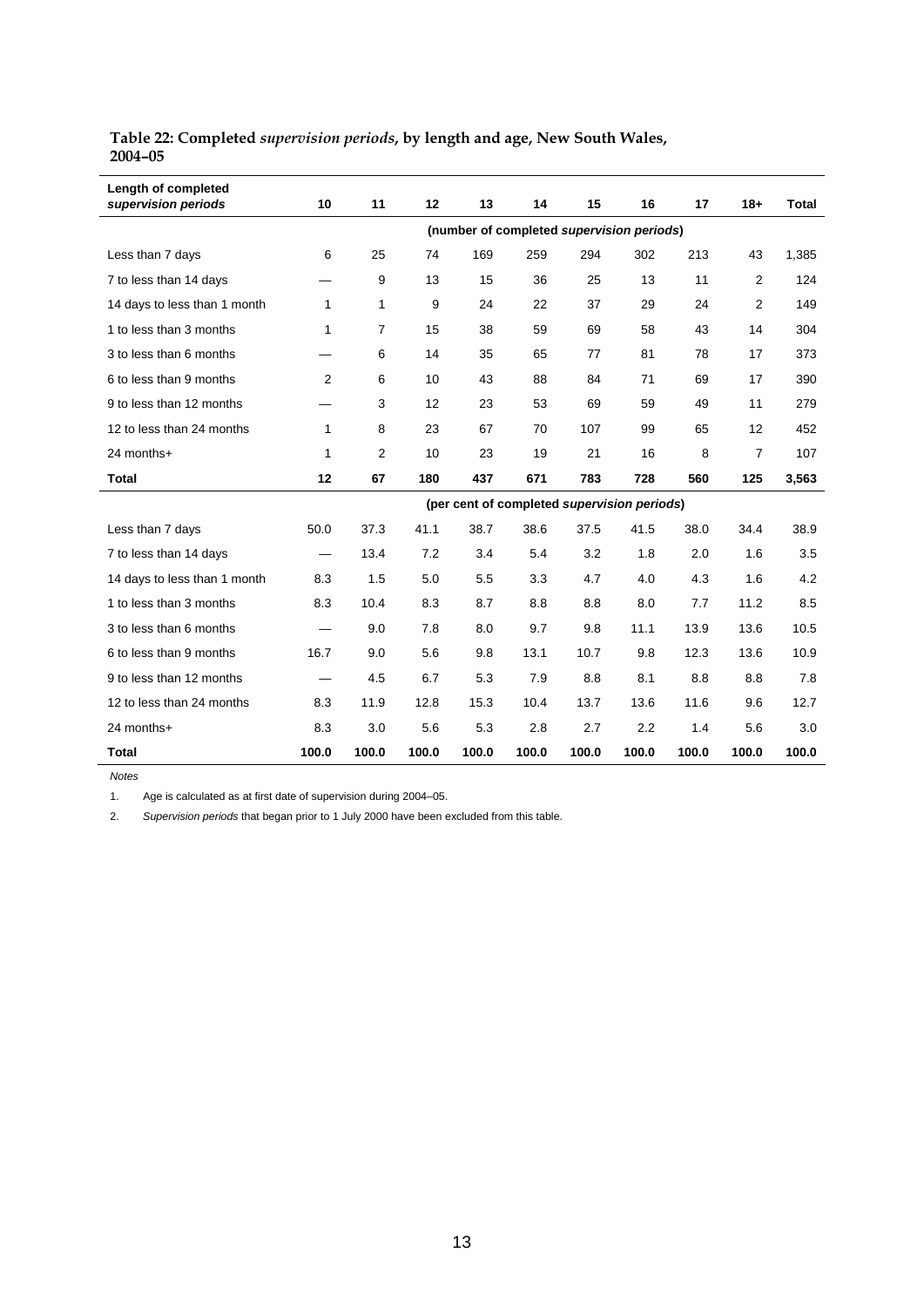| Table 22: Completed <i>supervision periods</i> , by length and age, New South Wales, |  |
|--------------------------------------------------------------------------------------|--|
| $2004 - 05$                                                                          |  |

| Length of completed<br>supervision periods | 10                                        | 11             | 12    | 13    | 14                                          | 15    | 16    | 17    | $18+$          | <b>Total</b> |  |
|--------------------------------------------|-------------------------------------------|----------------|-------|-------|---------------------------------------------|-------|-------|-------|----------------|--------------|--|
|                                            | (number of completed supervision periods) |                |       |       |                                             |       |       |       |                |              |  |
| Less than 7 days                           | 6                                         | 25             | 74    | 169   | 259                                         | 294   | 302   | 213   | 43             | 1,385        |  |
| 7 to less than 14 days                     |                                           | 9              | 13    | 15    | 36                                          | 25    | 13    | 11    | $\overline{2}$ | 124          |  |
| 14 days to less than 1 month               | $\mathbf{1}$                              | 1              | 9     | 24    | 22                                          | 37    | 29    | 24    | 2              | 149          |  |
| 1 to less than 3 months                    | 1                                         | $\overline{7}$ | 15    | 38    | 59                                          | 69    | 58    | 43    | 14             | 304          |  |
| 3 to less than 6 months                    |                                           | 6              | 14    | 35    | 65                                          | 77    | 81    | 78    | 17             | 373          |  |
| 6 to less than 9 months                    | $\overline{2}$                            | 6              | 10    | 43    | 88                                          | 84    | 71    | 69    | 17             | 390          |  |
| 9 to less than 12 months                   |                                           | 3              | 12    | 23    | 53                                          | 69    | 59    | 49    | 11             | 279          |  |
| 12 to less than 24 months                  | $\mathbf{1}$                              | 8              | 23    | 67    | 70                                          | 107   | 99    | 65    | 12             | 452          |  |
| 24 months+                                 | 1                                         | $\overline{2}$ | 10    | 23    | 19                                          | 21    | 16    | 8     | 7              | 107          |  |
| <b>Total</b>                               | 12                                        | 67             | 180   | 437   | 671                                         | 783   | 728   | 560   | 125            | 3,563        |  |
|                                            |                                           |                |       |       | (per cent of completed supervision periods) |       |       |       |                |              |  |
| Less than 7 days                           | 50.0                                      | 37.3           | 41.1  | 38.7  | 38.6                                        | 37.5  | 41.5  | 38.0  | 34.4           | 38.9         |  |
| 7 to less than 14 days                     |                                           | 13.4           | 7.2   | 3.4   | 5.4                                         | 3.2   | 1.8   | 2.0   | 1.6            | 3.5          |  |
| 14 days to less than 1 month               | 8.3                                       | 1.5            | 5.0   | 5.5   | 3.3                                         | 4.7   | 4.0   | 4.3   | 1.6            | 4.2          |  |
| 1 to less than 3 months                    | 8.3                                       | 10.4           | 8.3   | 8.7   | 8.8                                         | 8.8   | 8.0   | 7.7   | 11.2           | 8.5          |  |
| 3 to less than 6 months                    |                                           | 9.0            | 7.8   | 8.0   | 9.7                                         | 9.8   | 11.1  | 13.9  | 13.6           | 10.5         |  |
| 6 to less than 9 months                    | 16.7                                      | 9.0            | 5.6   | 9.8   | 13.1                                        | 10.7  | 9.8   | 12.3  | 13.6           | 10.9         |  |
| 9 to less than 12 months                   | $\overline{\phantom{0}}$                  | 4.5            | 6.7   | 5.3   | 7.9                                         | 8.8   | 8.1   | 8.8   | 8.8            | 7.8          |  |
| 12 to less than 24 months                  | 8.3                                       | 11.9           | 12.8  | 15.3  | 10.4                                        | 13.7  | 13.6  | 11.6  | 9.6            | 12.7         |  |
| 24 months+                                 | 8.3                                       | 3.0            | 5.6   | 5.3   | 2.8                                         | 2.7   | 2.2   | 1.4   | 5.6            | 3.0          |  |
| <b>Total</b>                               | 100.0                                     | 100.0          | 100.0 | 100.0 | 100.0                                       | 100.0 | 100.0 | 100.0 | 100.0          | 100.0        |  |

1. Age is calculated as at first date of supervision during 2004–05.

2. *Supervision periods* that began prior to 1 July 2000 have been excluded from this table.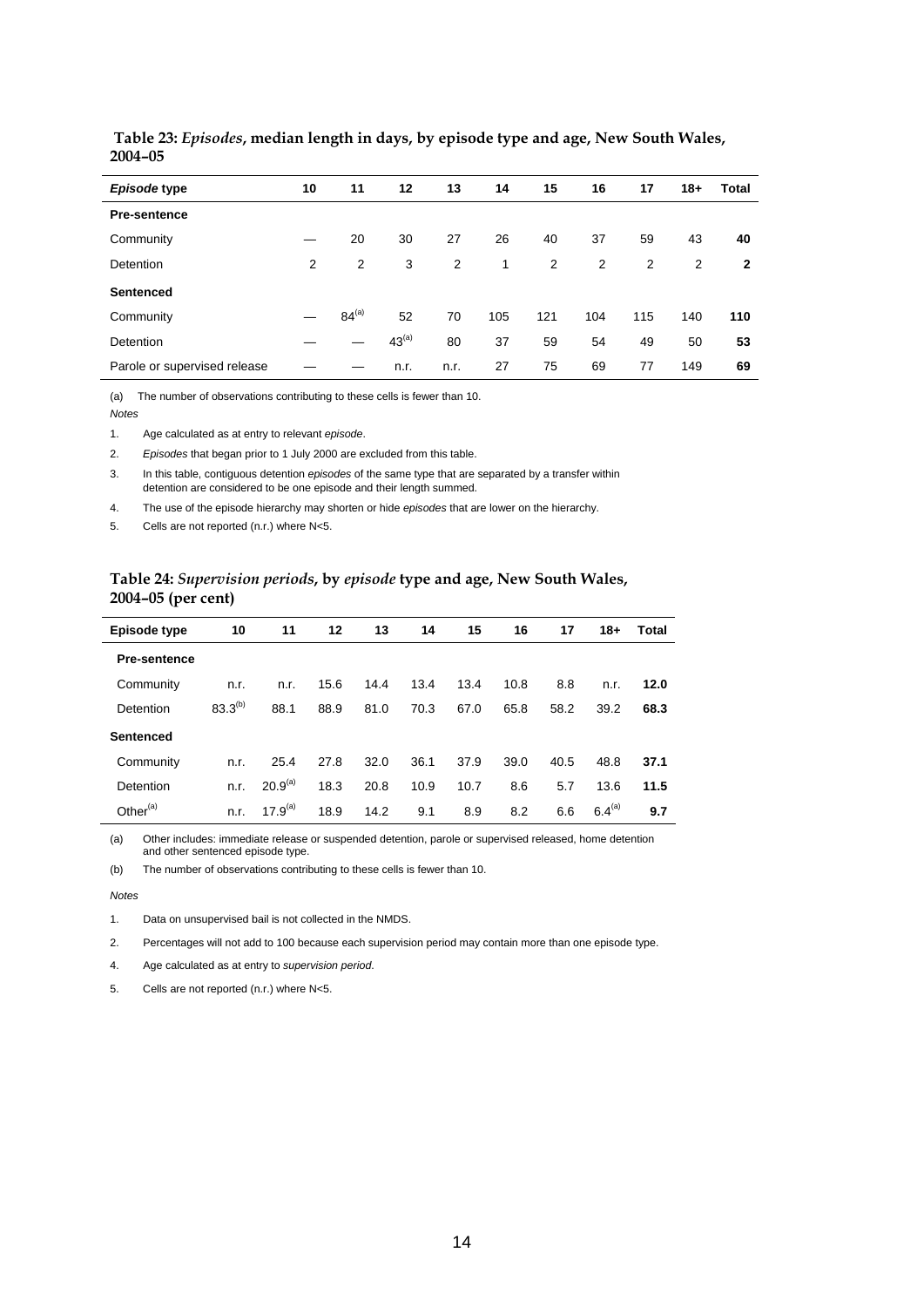| Episode type                 | 10 | 11         | 12         | 13   | 14  | 15  | 16  | 17  | $18 +$ | Total |
|------------------------------|----|------------|------------|------|-----|-----|-----|-----|--------|-------|
| <b>Pre-sentence</b>          |    |            |            |      |     |     |     |     |        |       |
| Community                    |    | 20         | 30         | 27   | 26  | 40  | 37  | 59  | 43     | 40    |
| Detention                    | 2  | 2          | 3          | 2    | 1   | 2   | 2   | 2   | 2      | 2     |
| <b>Sentenced</b>             |    |            |            |      |     |     |     |     |        |       |
| Community                    |    | $84^{(a)}$ | 52         | 70   | 105 | 121 | 104 | 115 | 140    | 110   |
| Detention                    |    |            | $43^{(a)}$ | 80   | 37  | 59  | 54  | 49  | 50     | 53    |
| Parole or supervised release |    |            | n.r.       | n.r. | 27  | 75  | 69  | 77  | 149    | 69    |

#### **Table 23:** *Episodes***, median length in days, by episode type and age, New South Wales, 2004–05**

(a) The number of observations contributing to these cells is fewer than 10.

*Notes* 

1. Age calculated as at entry to relevant *episode*.

2. *Episodes* that began prior to 1 July 2000 are excluded from this table.

3. In this table, contiguous detention *episodes* of the same type that are separated by a transfer within detention are considered to be one episode and their length summed.

4. The use of the episode hierarchy may shorten or hide *episodes* that are lower on the hierarchy.

5. Cells are not reported (n.r.) where N<5.

#### **Table 24:** *Supervision periods***, by** *episode* **type and age, New South Wales, 2004–05 (per cent)**

| Episode type        | 10           | 11                  | 12   | 13   | 14   | 15   | 16   | 17   | 18+         | Total |
|---------------------|--------------|---------------------|------|------|------|------|------|------|-------------|-------|
| <b>Pre-sentence</b> |              |                     |      |      |      |      |      |      |             |       |
| Community           | n.r.         | n.r.                | 15.6 | 14.4 | 13.4 | 13.4 | 10.8 | 8.8  | n.r.        | 12.0  |
| Detention           | $83.3^{(b)}$ | 88.1                | 88.9 | 81.0 | 70.3 | 67.0 | 65.8 | 58.2 | 39.2        | 68.3  |
| Sentenced           |              |                     |      |      |      |      |      |      |             |       |
| Community           | n.r.         | 25.4                | 27.8 | 32.0 | 36.1 | 37.9 | 39.0 | 40.5 | 48.8        | 37.1  |
| Detention           | n.r.         | 20.9 <sup>(a)</sup> | 18.3 | 20.8 | 10.9 | 10.7 | 8.6  | 5.7  | 13.6        | 11.5  |
| Other $(a)$         | n.r.         | $17.9^{(a)}$        | 18.9 | 14.2 | 9.1  | 8.9  | 8.2  | 6.6  | $6.4^{(a)}$ | 9.7   |

(a) Other includes: immediate release or suspended detention, parole or supervised released, home detention and other sentenced episode type.

(b) The number of observations contributing to these cells is fewer than 10.

#### *Notes*

1. Data on unsupervised bail is not collected in the NMDS.

2. Percentages will not add to 100 because each supervision period may contain more than one episode type.

4. Age calculated as at entry to *supervision period*.

5. Cells are not reported (n.r.) where N<5.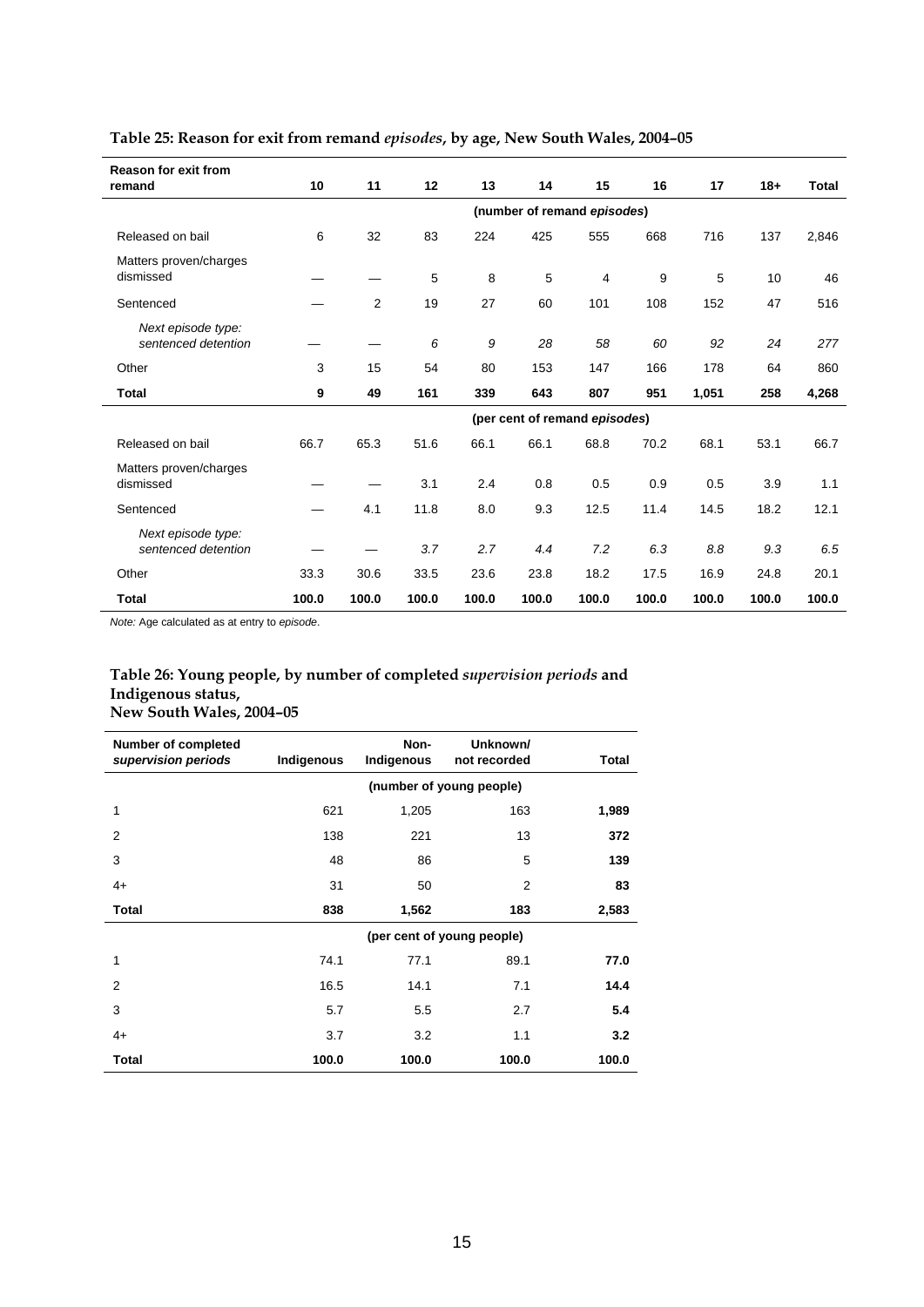| <b>Reason for exit from</b><br>remand | 10                          | 11    | 12    | 13    | 14                            | 15    | 16    | 17    | $18+$ | Total |
|---------------------------------------|-----------------------------|-------|-------|-------|-------------------------------|-------|-------|-------|-------|-------|
|                                       | (number of remand episodes) |       |       |       |                               |       |       |       |       |       |
| Released on bail                      | 6                           | 32    | 83    | 224   | 425                           | 555   | 668   | 716   | 137   | 2,846 |
| Matters proven/charges                |                             |       |       |       |                               |       |       |       |       |       |
| dismissed                             |                             |       | 5     | 8     | 5                             | 4     | 9     | 5     | 10    | 46    |
| Sentenced                             |                             | 2     | 19    | 27    | 60                            | 101   | 108   | 152   | 47    | 516   |
| Next episode type:                    |                             |       |       |       |                               |       |       |       |       |       |
| sentenced detention                   |                             |       | 6     | 9     | 28                            | 58    | 60    | 92    | 24    | 277   |
| Other                                 | 3                           | 15    | 54    | 80    | 153                           | 147   | 166   | 178   | 64    | 860   |
| <b>Total</b>                          | 9                           | 49    | 161   | 339   | 643                           | 807   | 951   | 1,051 | 258   | 4,268 |
|                                       |                             |       |       |       | (per cent of remand episodes) |       |       |       |       |       |
| Released on bail                      | 66.7                        | 65.3  | 51.6  | 66.1  | 66.1                          | 68.8  | 70.2  | 68.1  | 53.1  | 66.7  |
| Matters proven/charges                |                             |       |       |       |                               |       |       |       |       |       |
| dismissed                             |                             |       | 3.1   | 2.4   | 0.8                           | 0.5   | 0.9   | 0.5   | 3.9   | 1.1   |
| Sentenced                             |                             | 4.1   | 11.8  | 8.0   | 9.3                           | 12.5  | 11.4  | 14.5  | 18.2  | 12.1  |
| Next episode type:                    |                             |       |       |       |                               |       |       |       |       |       |
| sentenced detention                   |                             |       | 3.7   | 2.7   | 4.4                           | 7.2   | 6.3   | 8.8   | 9.3   | 6.5   |
| Other                                 | 33.3                        | 30.6  | 33.5  | 23.6  | 23.8                          | 18.2  | 17.5  | 16.9  | 24.8  | 20.1  |
| <b>Total</b>                          | 100.0                       | 100.0 | 100.0 | 100.0 | 100.0                         | 100.0 | 100.0 | 100.0 | 100.0 | 100.0 |

#### **Table 25: Reason for exit from remand** *episodes***, by age, New South Wales, 2004–05**

*Note:* Age calculated as at entry to *episode*.

#### **Table 26: Young people, by number of completed** *supervision periods* **and Indigenous status, New South Wales, 2004–05**

| <b>Number of completed</b><br>supervision periods | Indigenous | Non-<br>Indigenous       | Unknown/<br>not recorded   | Total |  |  |  |  |
|---------------------------------------------------|------------|--------------------------|----------------------------|-------|--|--|--|--|
|                                                   |            | (number of young people) |                            |       |  |  |  |  |
| 1                                                 | 621        | 1,205                    | 163                        | 1,989 |  |  |  |  |
| 2                                                 | 138        | 221                      | 13                         | 372   |  |  |  |  |
| 3                                                 | 48         | 86                       | 5                          | 139   |  |  |  |  |
| $4+$                                              | 31         | 50                       | $\overline{2}$             | 83    |  |  |  |  |
| <b>Total</b>                                      | 838        | 1,562                    | 183                        | 2,583 |  |  |  |  |
|                                                   |            |                          | (per cent of young people) |       |  |  |  |  |
| 1                                                 | 74.1       | 77.1                     | 89.1                       | 77.0  |  |  |  |  |
| 2                                                 | 16.5       | 14.1                     | 7.1                        | 14.4  |  |  |  |  |
| 3                                                 | 5.7        | 5.5                      | 2.7                        | 5.4   |  |  |  |  |
| $4+$                                              | 3.7        | 3.2                      | 1.1                        | 3.2   |  |  |  |  |
| <b>Total</b>                                      | 100.0      | 100.0                    | 100.0                      | 100.0 |  |  |  |  |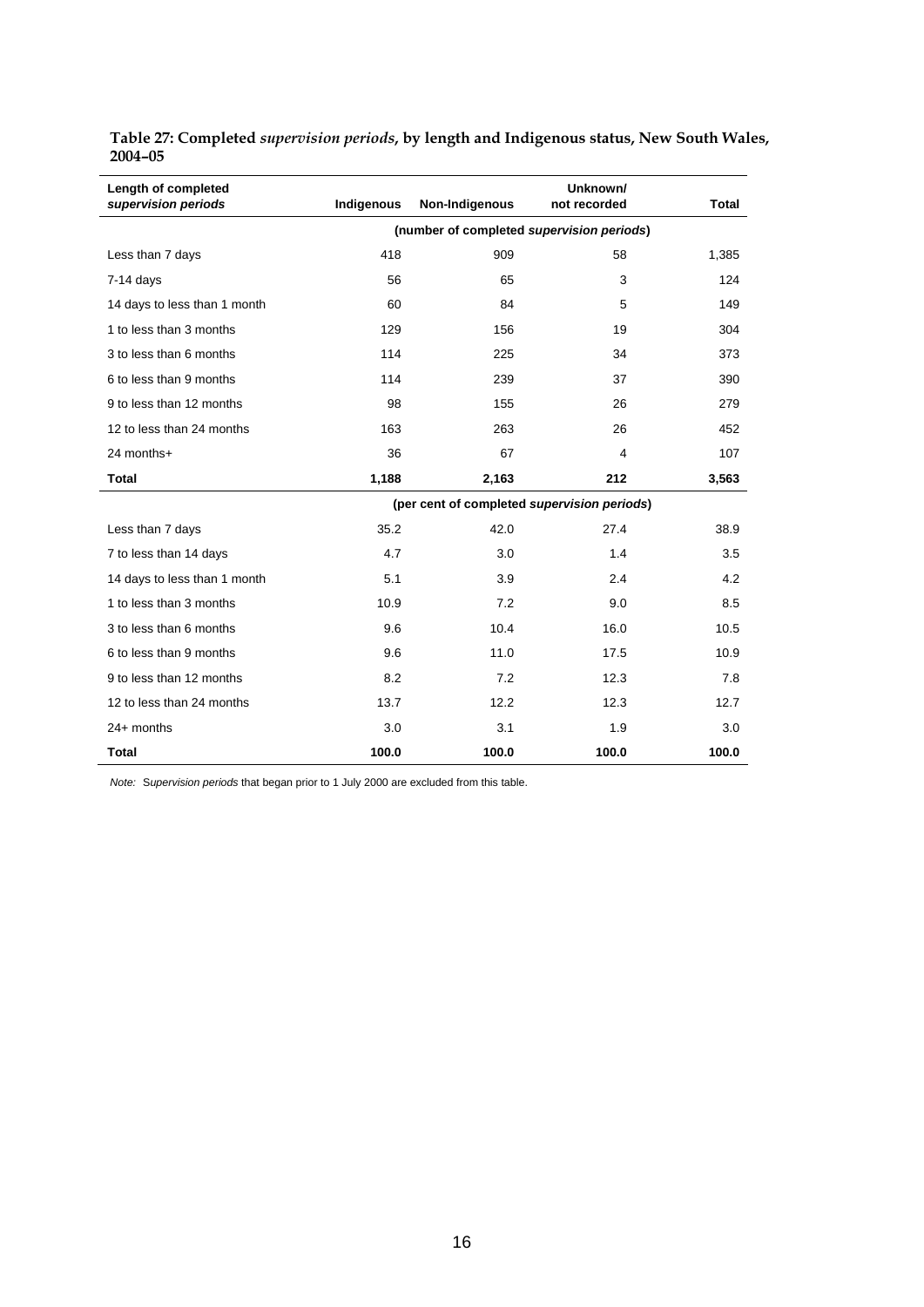| Length of completed<br>supervision periods | Indigenous | Non-Indigenous                              | Unknown/<br>not recorded | <b>Total</b> |
|--------------------------------------------|------------|---------------------------------------------|--------------------------|--------------|
|                                            |            | (number of completed supervision periods)   |                          |              |
| Less than 7 days                           | 418        | 909                                         | 58                       | 1,385        |
| $7-14$ days                                | 56         | 65                                          | 3                        | 124          |
| 14 days to less than 1 month               | 60         | 84                                          | 5                        | 149          |
| 1 to less than 3 months                    | 129        | 156                                         | 19                       | 304          |
| 3 to less than 6 months                    | 114        | 225                                         | 34                       | 373          |
| 6 to less than 9 months                    | 114        | 239                                         | 37                       | 390          |
| 9 to less than 12 months                   | 98         | 155                                         | 26                       | 279          |
| 12 to less than 24 months                  | 163        | 263                                         | 26                       | 452          |
| 24 months+                                 | 36         | 67                                          | 4                        | 107          |
| <b>Total</b>                               | 1,188      | 2,163                                       | 212                      | 3,563        |
|                                            |            | (per cent of completed supervision periods) |                          |              |
| Less than 7 days                           | 35.2       | 42.0                                        | 27.4                     | 38.9         |
| 7 to less than 14 days                     | 4.7        | 3.0                                         | 1.4                      | 3.5          |
| 14 days to less than 1 month               | 5.1        | 3.9                                         | 2.4                      | 4.2          |
| 1 to less than 3 months                    | 10.9       | 7.2                                         | 9.0                      | 8.5          |
| 3 to less than 6 months                    | 9.6        | 10.4                                        | 16.0                     | 10.5         |
| 6 to less than 9 months                    | 9.6        | 11.0                                        | 17.5                     | 10.9         |
| 9 to less than 12 months                   | 8.2        | 7.2                                         | 12.3                     | 7.8          |
| 12 to less than 24 months                  | 13.7       | 12.2                                        | 12.3                     | 12.7         |
| $24+$ months                               | 3.0        | 3.1                                         | 1.9                      | 3.0          |
| Total                                      | 100.0      | 100.0                                       | 100.0                    | 100.0        |

**Table 27: Completed** *supervision periods***, by length and Indigenous status, New South Wales, 2004–05** 

*Note:* S*upervision periods* that began prior to 1 July 2000 are excluded from this table.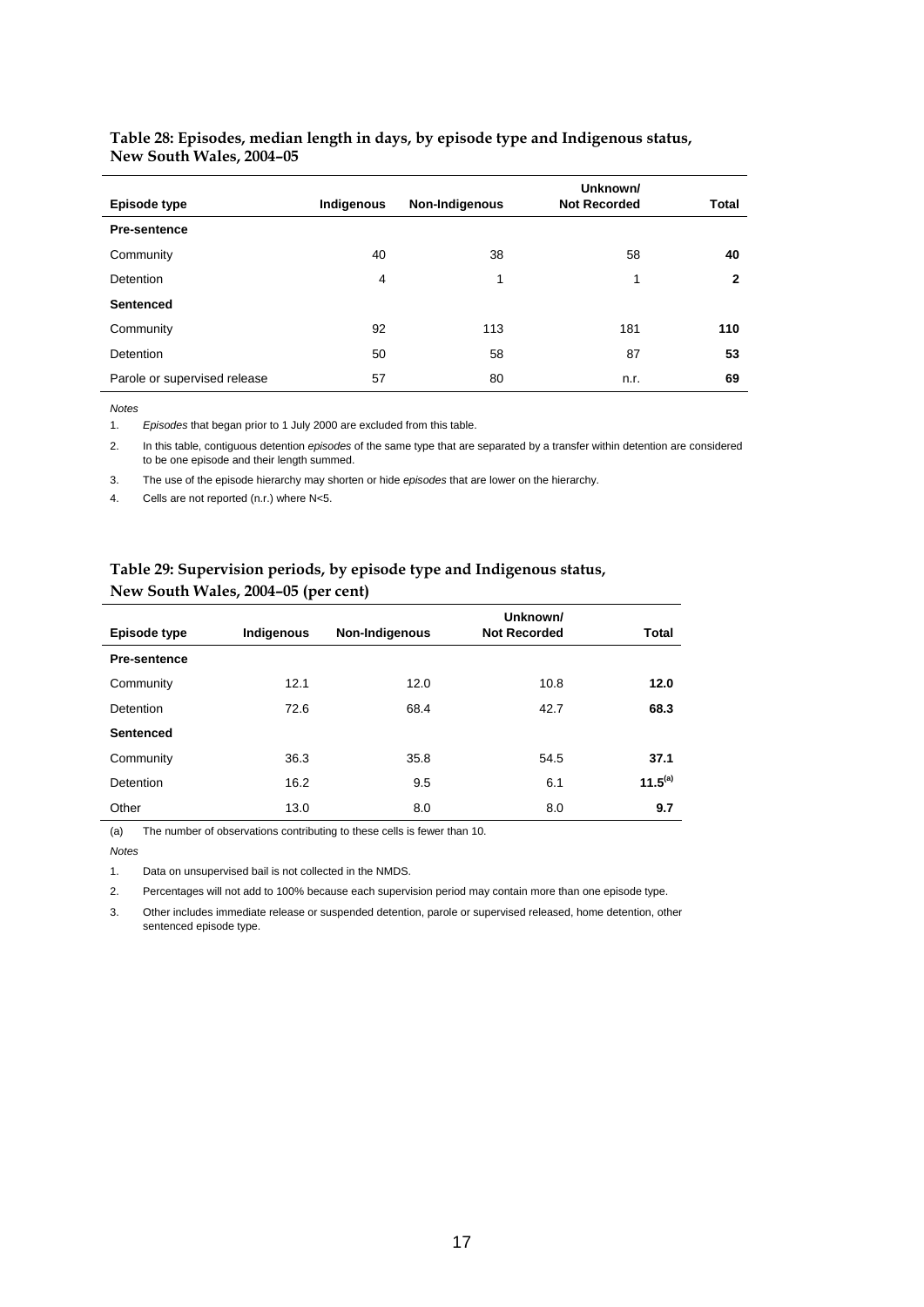|                              |            |                | Unknown/            |              |
|------------------------------|------------|----------------|---------------------|--------------|
| <b>Episode type</b>          | Indigenous | Non-Indigenous | <b>Not Recorded</b> | <b>Total</b> |
| Pre-sentence                 |            |                |                     |              |
| Community                    | 40         | 38             | 58                  | 40           |
| <b>Detention</b>             | 4          | 1              | 1                   | 2            |
| <b>Sentenced</b>             |            |                |                     |              |
| Community                    | 92         | 113            | 181                 | 110          |
| Detention                    | 50         | 58             | 87                  | 53           |
| Parole or supervised release | 57         | 80             | n.r.                | 69           |

#### **Table 28: Episodes, median length in days, by episode type and Indigenous status, New South Wales, 2004–05**

*Notes* 

1. *Episodes* that began prior to 1 July 2000 are excluded from this table.

2. In this table, contiguous detention *episodes* of the same type that are separated by a transfer within detention are considered to be one episode and their length summed.

3. The use of the episode hierarchy may shorten or hide *episodes* that are lower on the hierarchy.

4. Cells are not reported (n.r.) where N<5.

|                     | $\overline{\phantom{a}}$ |                |                                 |              |
|---------------------|--------------------------|----------------|---------------------------------|--------------|
| Episode type        | Indigenous               | Non-Indigenous | Unknown/<br><b>Not Recorded</b> | Total        |
| <b>Pre-sentence</b> |                          |                |                                 |              |
| Community           | 12.1                     | 12.0           | 10.8                            | 12.0         |
| Detention           | 72.6                     | 68.4           | 42.7                            | 68.3         |
| <b>Sentenced</b>    |                          |                |                                 |              |
| Community           | 36.3                     | 35.8           | 54.5                            | 37.1         |
| Detention           | 16.2                     | 9.5            | 6.1                             | $11.5^{(a)}$ |
| Other               | 13.0                     | 8.0            | 8.0                             | 9.7          |

#### **Table 29: Supervision periods, by episode type and Indigenous status, New South Wales, 2004–05 (per cent)**

(a) The number of observations contributing to these cells is fewer than 10.

*Notes* 

1. Data on unsupervised bail is not collected in the NMDS.

2. Percentages will not add to 100% because each supervision period may contain more than one episode type.

3. Other includes immediate release or suspended detention, parole or supervised released, home detention, other sentenced episode type.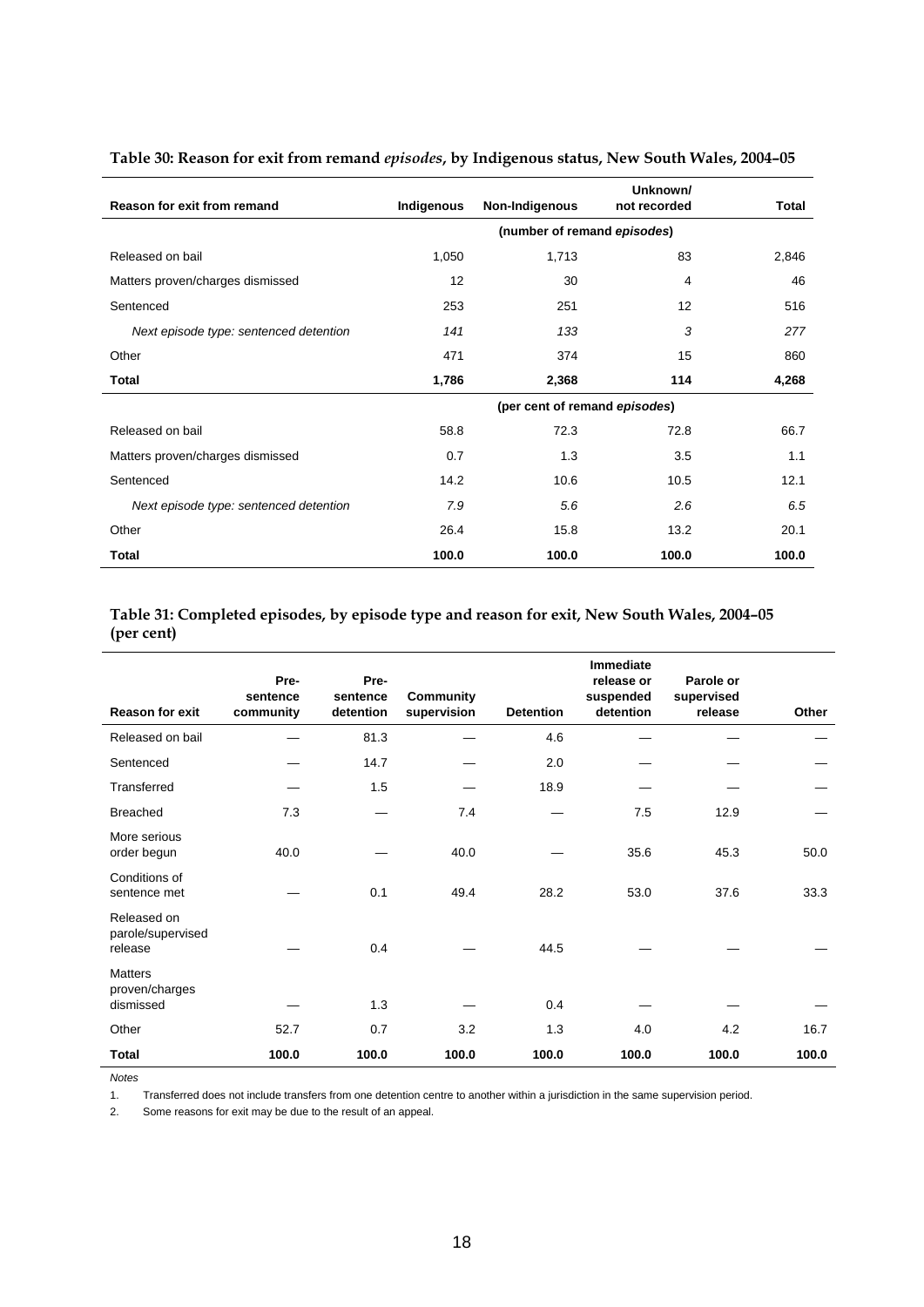| Reason for exit from remand            | Indigenous        | Non-Indigenous                | Unknown/<br>not recorded | Total |
|----------------------------------------|-------------------|-------------------------------|--------------------------|-------|
|                                        |                   | (number of remand episodes)   |                          |       |
| Released on bail                       | 1,050             | 1,713                         | 83                       | 2,846 |
| Matters proven/charges dismissed       | $12 \overline{ }$ | 30                            | 4                        | 46    |
| Sentenced                              | 253               | 251                           | 12                       | 516   |
| Next episode type: sentenced detention | 141               | 133                           | 3                        | 277   |
| Other                                  | 471               | 374                           | 15                       | 860   |
| <b>Total</b>                           | 1,786             | 2,368                         | 114                      | 4,268 |
|                                        |                   | (per cent of remand episodes) |                          |       |
| Released on bail                       | 58.8              | 72.3                          | 72.8                     | 66.7  |
| Matters proven/charges dismissed       | 0.7               | 1.3                           | 3.5                      | 1.1   |
| Sentenced                              | 14.2              | 10.6                          | 10.5                     | 12.1  |
| Next episode type: sentenced detention | 7.9               | 5.6                           | 2.6                      | 6.5   |
| Other                                  | 26.4              | 15.8                          | 13.2                     | 20.1  |
| Total                                  | 100.0             | 100.0                         | 100.0                    | 100.0 |

#### **Table 30: Reason for exit from remand** *episodes***, by Indigenous status, New South Wales, 2004–05**

#### **Table 31: Completed episodes, by episode type and reason for exit, New South Wales, 2004–05 (per cent)**

| <b>Reason for exit</b>                        | Pre-<br>sentence<br>community | Pre-<br>sentence<br>detention | <b>Community</b><br>supervision | <b>Detention</b> | <b>Immediate</b><br>release or<br>suspended<br>detention | Parole or<br>supervised<br>release | Other |
|-----------------------------------------------|-------------------------------|-------------------------------|---------------------------------|------------------|----------------------------------------------------------|------------------------------------|-------|
| Released on bail                              |                               | 81.3                          |                                 | 4.6              |                                                          |                                    |       |
| Sentenced                                     |                               | 14.7                          |                                 | 2.0              |                                                          |                                    |       |
| Transferred                                   |                               | 1.5                           |                                 | 18.9             |                                                          |                                    |       |
| <b>Breached</b>                               | 7.3                           |                               | 7.4                             |                  | 7.5                                                      | 12.9                               |       |
| More serious<br>order begun                   | 40.0                          |                               | 40.0                            |                  | 35.6                                                     | 45.3                               | 50.0  |
| Conditions of<br>sentence met                 |                               | 0.1                           | 49.4                            | 28.2             | 53.0                                                     | 37.6                               | 33.3  |
| Released on<br>parole/supervised<br>release   |                               | 0.4                           |                                 | 44.5             |                                                          |                                    |       |
| <b>Matters</b><br>proven/charges<br>dismissed |                               | 1.3                           |                                 | 0.4              |                                                          |                                    |       |
| Other                                         | 52.7                          | 0.7                           | 3.2                             | 1.3              | 4.0                                                      | 4.2                                | 16.7  |
| Total                                         | 100.0                         | 100.0                         | 100.0                           | 100.0            | 100.0                                                    | 100.0                              | 100.0 |

*Notes* 

1. Transferred does not include transfers from one detention centre to another within a jurisdiction in the same supervision period.

2. Some reasons for exit may be due to the result of an appeal.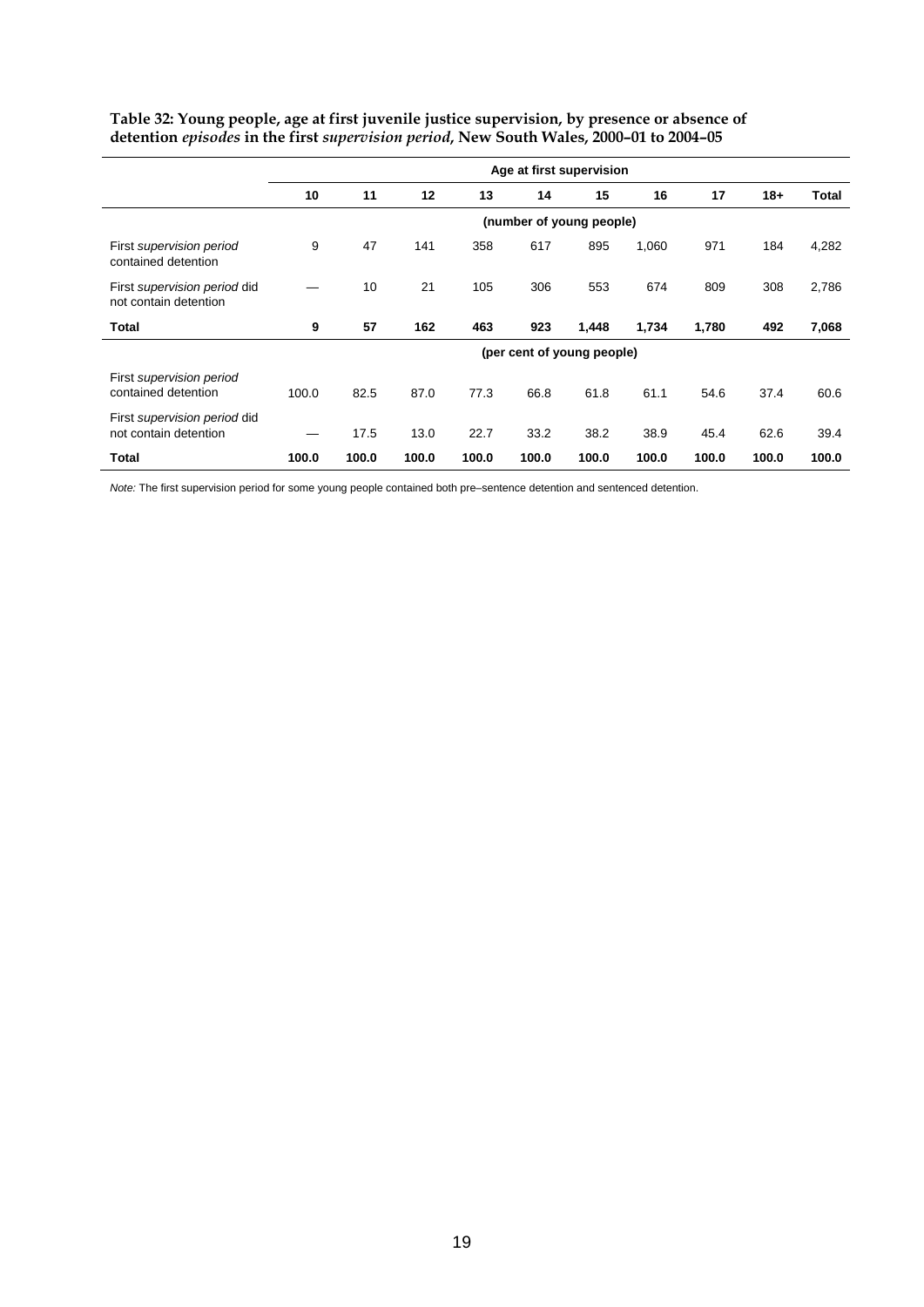|                                                       |       | Age at first supervision |       |       |       |                            |       |       |       |       |  |  |  |
|-------------------------------------------------------|-------|--------------------------|-------|-------|-------|----------------------------|-------|-------|-------|-------|--|--|--|
|                                                       | 10    | 11                       | 12    | 13    | 14    | 15                         | 16    | 17    | $18+$ | Total |  |  |  |
|                                                       |       |                          |       |       |       | (number of young people)   |       |       |       |       |  |  |  |
| First supervision period<br>contained detention       | 9     | 47                       | 141   | 358   | 617   | 895                        | 1,060 | 971   | 184   | 4,282 |  |  |  |
| First supervision period did<br>not contain detention |       | 10                       | 21    | 105   | 306   | 553                        | 674   | 809   | 308   | 2,786 |  |  |  |
| <b>Total</b>                                          | 9     | 57                       | 162   | 463   | 923   | 1,448                      | 1,734 | 1,780 | 492   | 7,068 |  |  |  |
|                                                       |       |                          |       |       |       | (per cent of young people) |       |       |       |       |  |  |  |
| First supervision period<br>contained detention       | 100.0 | 82.5                     | 87.0  | 77.3  | 66.8  | 61.8                       | 61.1  | 54.6  | 37.4  | 60.6  |  |  |  |
| First supervision period did<br>not contain detention |       | 17.5                     | 13.0  | 22.7  | 33.2  | 38.2                       | 38.9  | 45.4  | 62.6  | 39.4  |  |  |  |
| Total                                                 | 100.0 | 100.0                    | 100.0 | 100.0 | 100.0 | 100.0                      | 100.0 | 100.0 | 100.0 | 100.0 |  |  |  |

**Table 32: Young people, age at first juvenile justice supervision, by presence or absence of detention** *episodes* **in the first** *supervision period***, New South Wales, 2000–01 to 2004–05** 

*Note:* The first supervision period for some young people contained both pre–sentence detention and sentenced detention.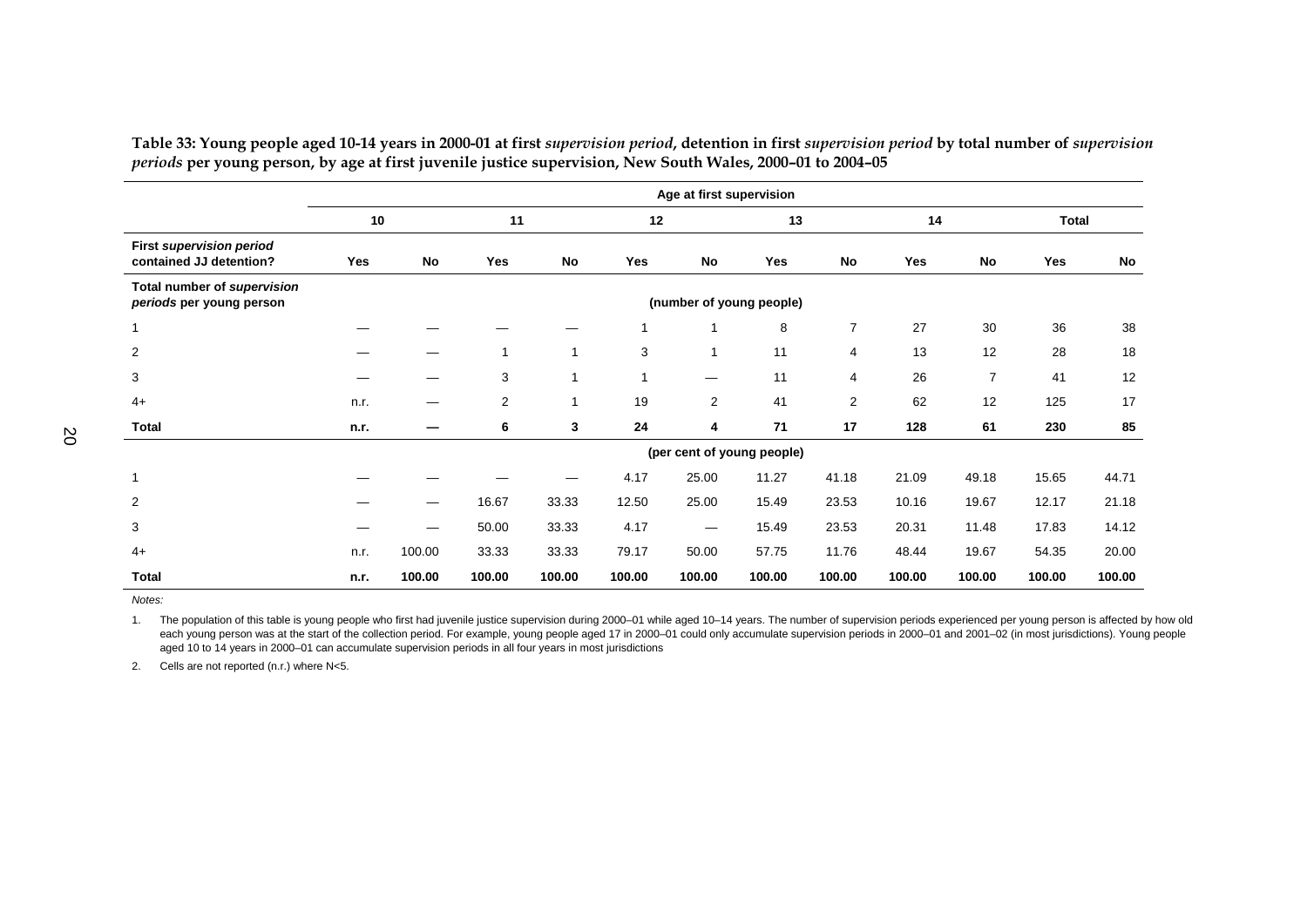|                                                            | Age at first supervision |                          |                |           |            |                            |            |                |            |                |              |        |
|------------------------------------------------------------|--------------------------|--------------------------|----------------|-----------|------------|----------------------------|------------|----------------|------------|----------------|--------------|--------|
|                                                            | 10                       |                          | 11             |           | 12         |                            | 13         |                | 14         |                | <b>Total</b> |        |
| <b>First supervision period</b><br>contained JJ detention? | Yes                      | No                       | <b>Yes</b>     | <b>No</b> | <b>Yes</b> | <b>No</b>                  | <b>Yes</b> | No             | <b>Yes</b> | No             | <b>Yes</b>   | No     |
| Total number of supervision<br>periods per young person    |                          |                          |                |           |            | (number of young people)   |            |                |            |                |              |        |
| $\mathbf{1}$                                               |                          |                          |                |           |            |                            | 8          | $\overline{7}$ | 27         | 30             | 36           | 38     |
| $\overline{c}$                                             |                          |                          | $\mathbf 1$    |           | 3          | 1                          | 11         | 4              | 13         | 12             | 28           | 18     |
| 3                                                          |                          |                          | 3              |           |            | —                          | 11         | 4              | 26         | $\overline{7}$ | 41           | 12     |
| $4+$                                                       | n.r.                     |                          | $\overline{2}$ |           | 19         | $\overline{2}$             | 41         | $\mathbf{2}$   | 62         | 12             | 125          | 17     |
| <b>Total</b>                                               | n.r.                     |                          | 6              | 3         | 24         | 4                          | 71         | 17             | 128        | 61             | 230          | 85     |
|                                                            |                          |                          |                |           |            | (per cent of young people) |            |                |            |                |              |        |
| $\mathbf{1}$                                               |                          |                          |                |           | 4.17       | 25.00                      | 11.27      | 41.18          | 21.09      | 49.18          | 15.65        | 44.71  |
| $\overline{2}$                                             |                          | $\overline{\phantom{0}}$ | 16.67          | 33.33     | 12.50      | 25.00                      | 15.49      | 23.53          | 10.16      | 19.67          | 12.17        | 21.18  |
| 3                                                          |                          |                          | 50.00          | 33.33     | 4.17       |                            | 15.49      | 23.53          | 20.31      | 11.48          | 17.83        | 14.12  |
| $4+$                                                       | n.r.                     | 100.00                   | 33.33          | 33.33     | 79.17      | 50.00                      | 57.75      | 11.76          | 48.44      | 19.67          | 54.35        | 20.00  |
| <b>Total</b>                                               | n.r.                     | 100.00                   | 100.00         | 100.00    | 100.00     | 100.00                     | 100.00     | 100.00         | 100.00     | 100.00         | 100.00       | 100.00 |

Table 33: Young people aged 10-14 years in 2000-01 at first supervision period, detention in first supervision period by total number of supervision *periods* **per young person, by age at first juvenile justice supervision, New South Wales, 2000–01 to 2004–05** 

*Notes:* 

1. The population of this table is young people who first had juvenile justice supervision during 2000–01 while aged 10–14 years. The number of supervision periods experienced per young person is affected by how old each young person was at the start of the collection period. For example, young people aged 17 in 2000-01 could only accumulate supervision periods in 2000-01 and 2001-02 (in most jurisdictions). Young people aged 10 to 14 years in 2000–01 can accumulate supervision periods in all four years in most jurisdictions

2. Cells are not reported (n.r.) where N<5.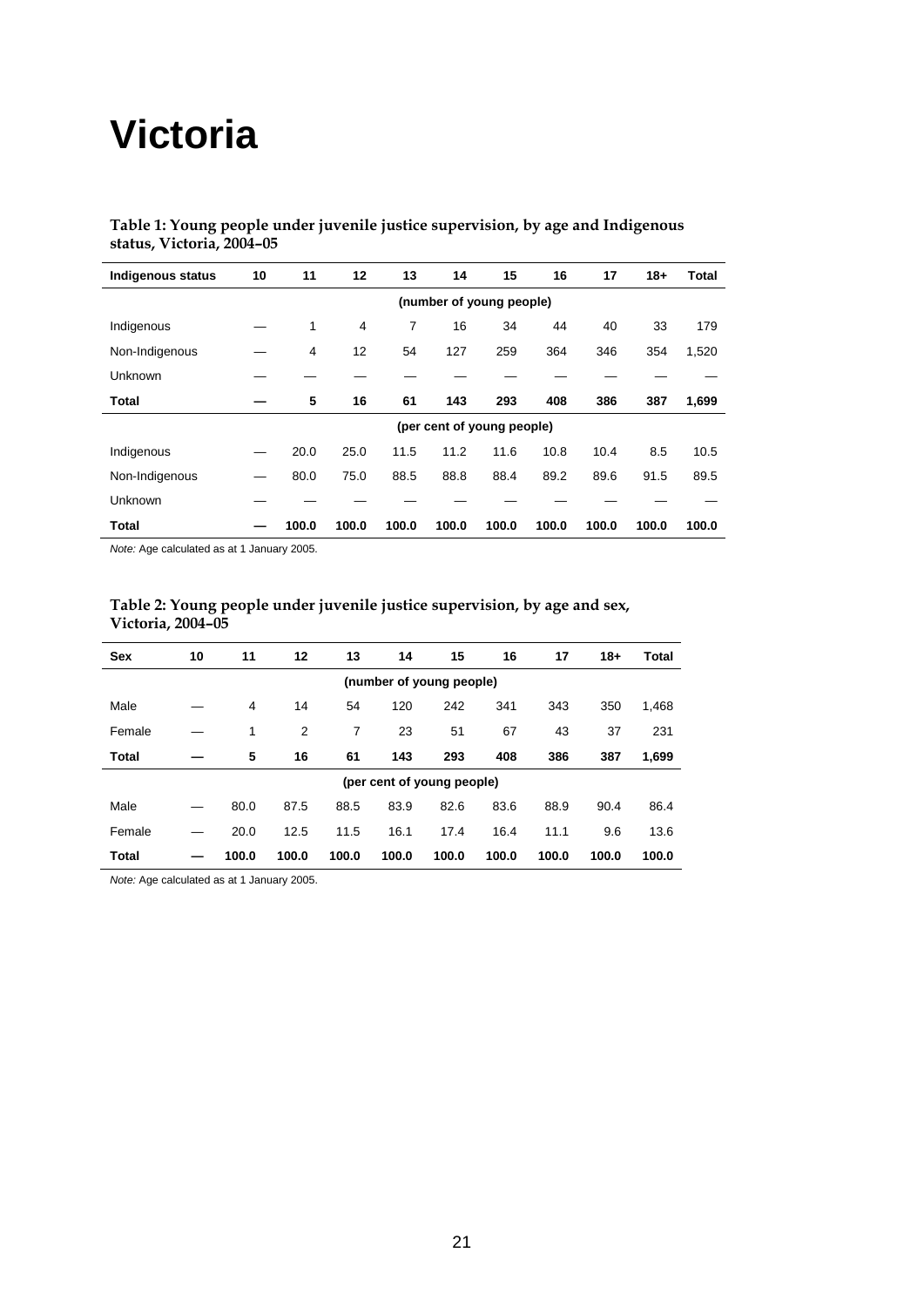## **Victoria**

#### **Table 1: Young people under juvenile justice supervision, by age and Indigenous status, Victoria, 2004–05**

| <b>Indigenous status</b> | 10                         | 11    | 12             | 13    | 14    | 15                       | 16    | 17    | $18+$ | Total |  |  |
|--------------------------|----------------------------|-------|----------------|-------|-------|--------------------------|-------|-------|-------|-------|--|--|
|                          |                            |       |                |       |       | (number of young people) |       |       |       |       |  |  |
| Indigenous               |                            | 1     | $\overline{4}$ | 7     | 16    | 34                       | 44    | 40    | 33    | 179   |  |  |
| Non-Indigenous           |                            | 4     | 12             | 54    | 127   | 259                      | 364   | 346   | 354   | 1,520 |  |  |
| Unknown                  |                            |       |                |       |       |                          |       |       |       |       |  |  |
| <b>Total</b>             |                            | 5     | 16             | 61    | 143   | 293                      | 408   | 386   | 387   | 1,699 |  |  |
|                          | (per cent of young people) |       |                |       |       |                          |       |       |       |       |  |  |
| Indigenous               |                            | 20.0  | 25.0           | 11.5  | 11.2  | 11.6                     | 10.8  | 10.4  | 8.5   | 10.5  |  |  |
| Non-Indigenous           |                            | 80.0  | 75.0           | 88.5  | 88.8  | 88.4                     | 89.2  | 89.6  | 91.5  | 89.5  |  |  |
| Unknown                  |                            |       |                |       |       |                          |       |       |       |       |  |  |
| Total                    |                            | 100.0 | 100.0          | 100.0 | 100.0 | 100.0                    | 100.0 | 100.0 | 100.0 | 100.0 |  |  |

*Note:* Age calculated as at 1 January 2005.

#### **Table 2: Young people under juvenile justice supervision, by age and sex, Victoria, 2004–05**

| <b>Sex</b>   | 10 | 11    | 12    | 13    | 14                         | 15    | 16    | 17    | $18+$ | Total |
|--------------|----|-------|-------|-------|----------------------------|-------|-------|-------|-------|-------|
|              |    |       |       |       | (number of young people)   |       |       |       |       |       |
| Male         |    | 4     | 14    | 54    | 120                        | 242   | 341   | 343   | 350   | 1,468 |
| Female       |    | 1     | 2     | 7     | 23                         | 51    | 67    | 43    | 37    | 231   |
| <b>Total</b> |    | 5     | 16    | 61    | 143                        | 293   | 408   | 386   | 387   | 1,699 |
|              |    |       |       |       | (per cent of young people) |       |       |       |       |       |
| Male         |    | 80.0  | 87.5  | 88.5  | 83.9                       | 82.6  | 83.6  | 88.9  | 90.4  | 86.4  |
| Female       |    | 20.0  | 12.5  | 11.5  | 16.1                       | 17.4  | 16.4  | 11.1  | 9.6   | 13.6  |
| Total        |    | 100.0 | 100.0 | 100.0 | 100.0                      | 100.0 | 100.0 | 100.0 | 100.0 | 100.0 |

*Note:* Age calculated as at 1 January 2005.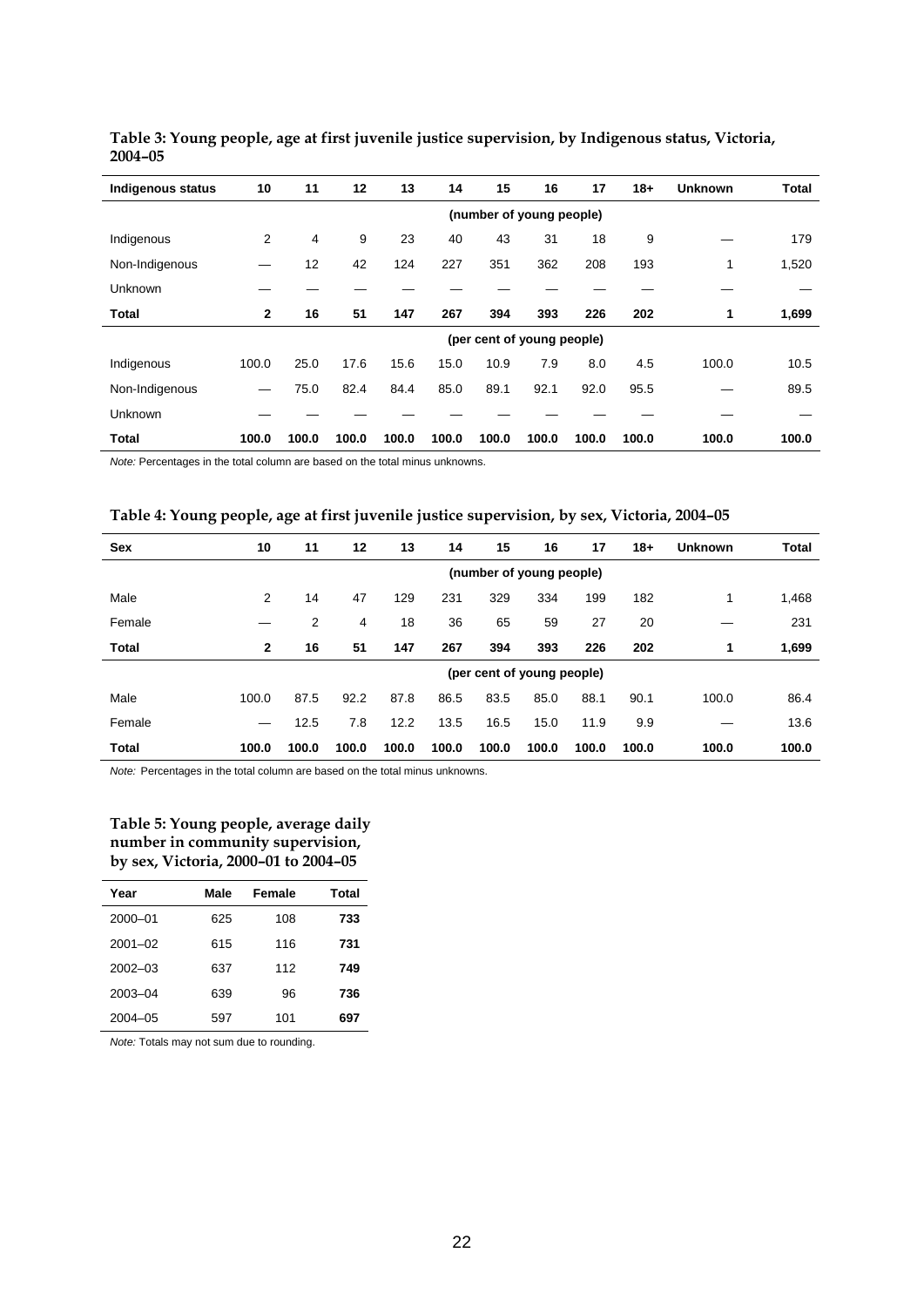| <b>Indigenous status</b> | 10           | 11                       | 12    | 13    | 14    | 15    | 16                         | 17    | $18 +$ | <b>Unknown</b> | <b>Total</b> |
|--------------------------|--------------|--------------------------|-------|-------|-------|-------|----------------------------|-------|--------|----------------|--------------|
|                          |              | (number of young people) |       |       |       |       |                            |       |        |                |              |
| Indigenous               | 2            | 4                        | 9     | 23    | 40    | 43    | 31                         | 18    | 9      |                | 179          |
| Non-Indigenous           |              | 12                       | 42    | 124   | 227   | 351   | 362                        | 208   | 193    | 1              | 1,520        |
| Unknown                  |              |                          |       |       |       |       |                            |       |        |                |              |
| Total                    | $\mathbf{2}$ | 16                       | 51    | 147   | 267   | 394   | 393                        | 226   | 202    | 1              | 1,699        |
|                          |              |                          |       |       |       |       | (per cent of young people) |       |        |                |              |
| Indigenous               | 100.0        | 25.0                     | 17.6  | 15.6  | 15.0  | 10.9  | 7.9                        | 8.0   | 4.5    | 100.0          | 10.5         |
| Non-Indigenous           | --           | 75.0                     | 82.4  | 84.4  | 85.0  | 89.1  | 92.1                       | 92.0  | 95.5   |                | 89.5         |
| Unknown                  |              |                          |       |       |       |       |                            |       |        |                |              |
| <b>Total</b>             | 100.0        | 100.0                    | 100.0 | 100.0 | 100.0 | 100.0 | 100.0                      | 100.0 | 100.0  | 100.0          | 100.0        |

**Table 3: Young people, age at first juvenile justice supervision, by Indigenous status, Victoria, 2004–05** 

*Note:* Percentages in the total column are based on the total minus unknowns.

| Table 4: Young people, age at first juvenile justice supervision, by sex, Victoria, 2004-05 |  |  |  |
|---------------------------------------------------------------------------------------------|--|--|--|
|                                                                                             |  |  |  |

| Sex          | 10           | 11    | 12    | 13    | 14    | 15                         | 16    | 17    | $18+$ | <b>Unknown</b> | <b>Total</b> |
|--------------|--------------|-------|-------|-------|-------|----------------------------|-------|-------|-------|----------------|--------------|
|              |              |       |       |       |       | (number of young people)   |       |       |       |                |              |
| Male         | 2            | 14    | 47    | 129   | 231   | 329                        | 334   | 199   | 182   | 1              | 1,468        |
| Female       |              | 2     | 4     | 18    | 36    | 65                         | 59    | 27    | 20    |                | 231          |
| <b>Total</b> | $\mathbf{2}$ | 16    | 51    | 147   | 267   | 394                        | 393   | 226   | 202   | 1              | 1,699        |
|              |              |       |       |       |       | (per cent of young people) |       |       |       |                |              |
| Male         | 100.0        | 87.5  | 92.2  | 87.8  | 86.5  | 83.5                       | 85.0  | 88.1  | 90.1  | 100.0          | 86.4         |
| Female       |              | 12.5  | 7.8   | 12.2  | 13.5  | 16.5                       | 15.0  | 11.9  | 9.9   |                | 13.6         |
| <b>Total</b> | 100.0        | 100.0 | 100.0 | 100.0 | 100.0 | 100.0                      | 100.0 | 100.0 | 100.0 | 100.0          | 100.0        |

*Note:* Percentages in the total column are based on the total minus unknowns.

#### **Table 5: Young people, average daily number in community supervision, by sex, Victoria, 2000–01 to 2004–05**

| Year        | Male | Female | Total |
|-------------|------|--------|-------|
| 2000-01     | 625  | 108    | 733   |
| $2001 - 02$ | 615  | 116    | 731   |
| $2002 - 03$ | 637  | 112    | 749   |
| 2003-04     | 639  | 96     | 736   |
| $2004 - 05$ | 597  | 101    | 697   |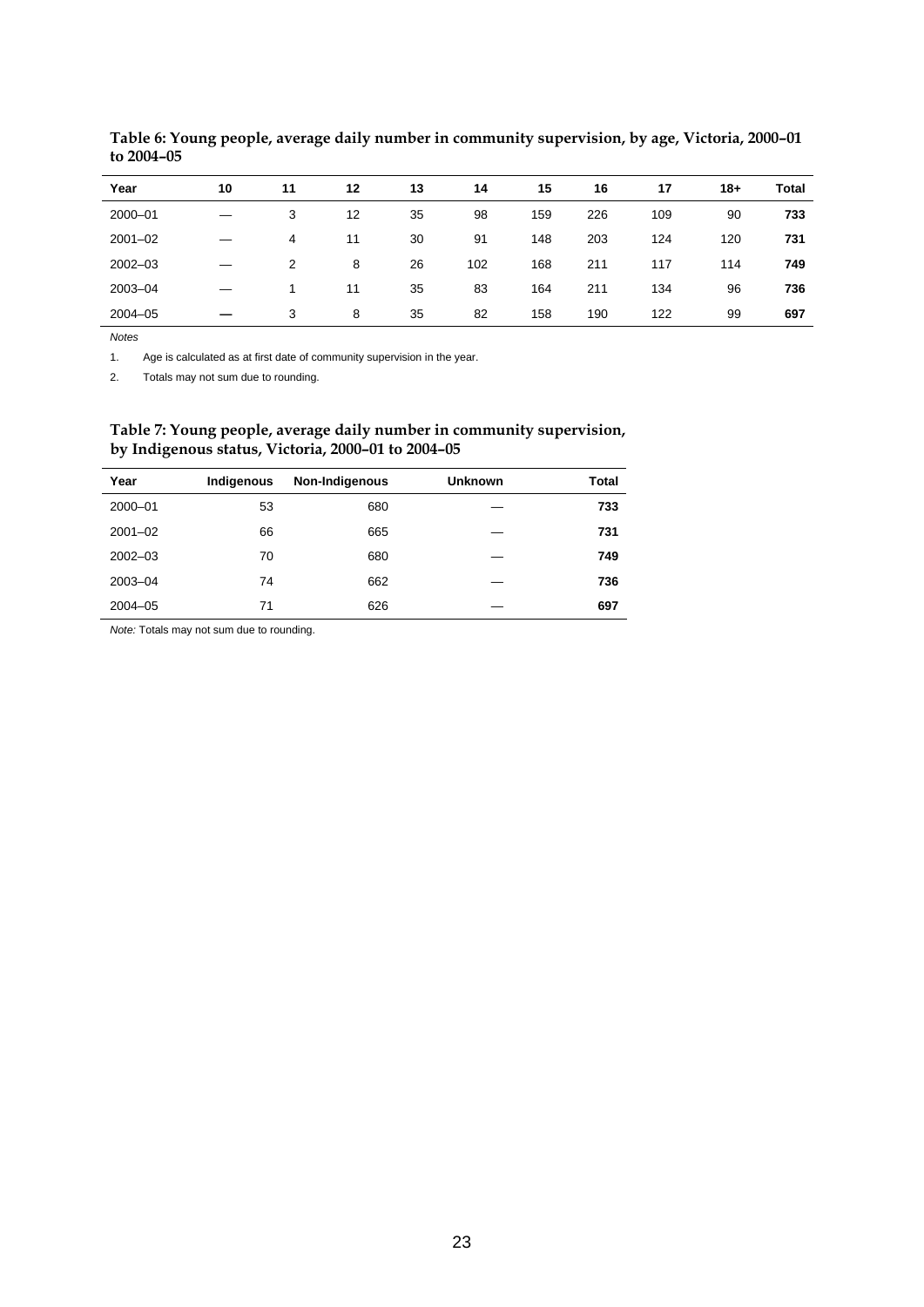| Year        | 10 | 11 | 12 | 13 | 14  | 15  | 16  | 17  | $18+$ | <b>Total</b> |
|-------------|----|----|----|----|-----|-----|-----|-----|-------|--------------|
| 2000-01     |    | 3  | 12 | 35 | 98  | 159 | 226 | 109 | 90    | 733          |
| $2001 - 02$ |    | 4  | 11 | 30 | 91  | 148 | 203 | 124 | 120   | 731          |
| $2002 - 03$ |    | 2  | 8  | 26 | 102 | 168 | 211 | 117 | 114   | 749          |
| 2003-04     |    |    | 11 | 35 | 83  | 164 | 211 | 134 | 96    | 736          |
| $2004 - 05$ |    | 3  | 8  | 35 | 82  | 158 | 190 | 122 | 99    | 697          |

**Table 6: Young people, average daily number in community supervision, by age, Victoria, 2000–01 to 2004–05** 

1. Age is calculated as at first date of community supervision in the year.

2. Totals may not sum due to rounding.

#### **Table 7: Young people, average daily number in community supervision, by Indigenous status, Victoria, 2000–01 to 2004–05**

| Year        | Indigenous | Non-Indigenous | <b>Unknown</b> | <b>Total</b> |
|-------------|------------|----------------|----------------|--------------|
| 2000-01     | 53         | 680            |                | 733          |
| $2001 - 02$ | 66         | 665            |                | 731          |
| $2002 - 03$ | 70         | 680            |                | 749          |
| 2003-04     | 74         | 662            |                | 736          |
| $2004 - 05$ | 71         | 626            |                | 697          |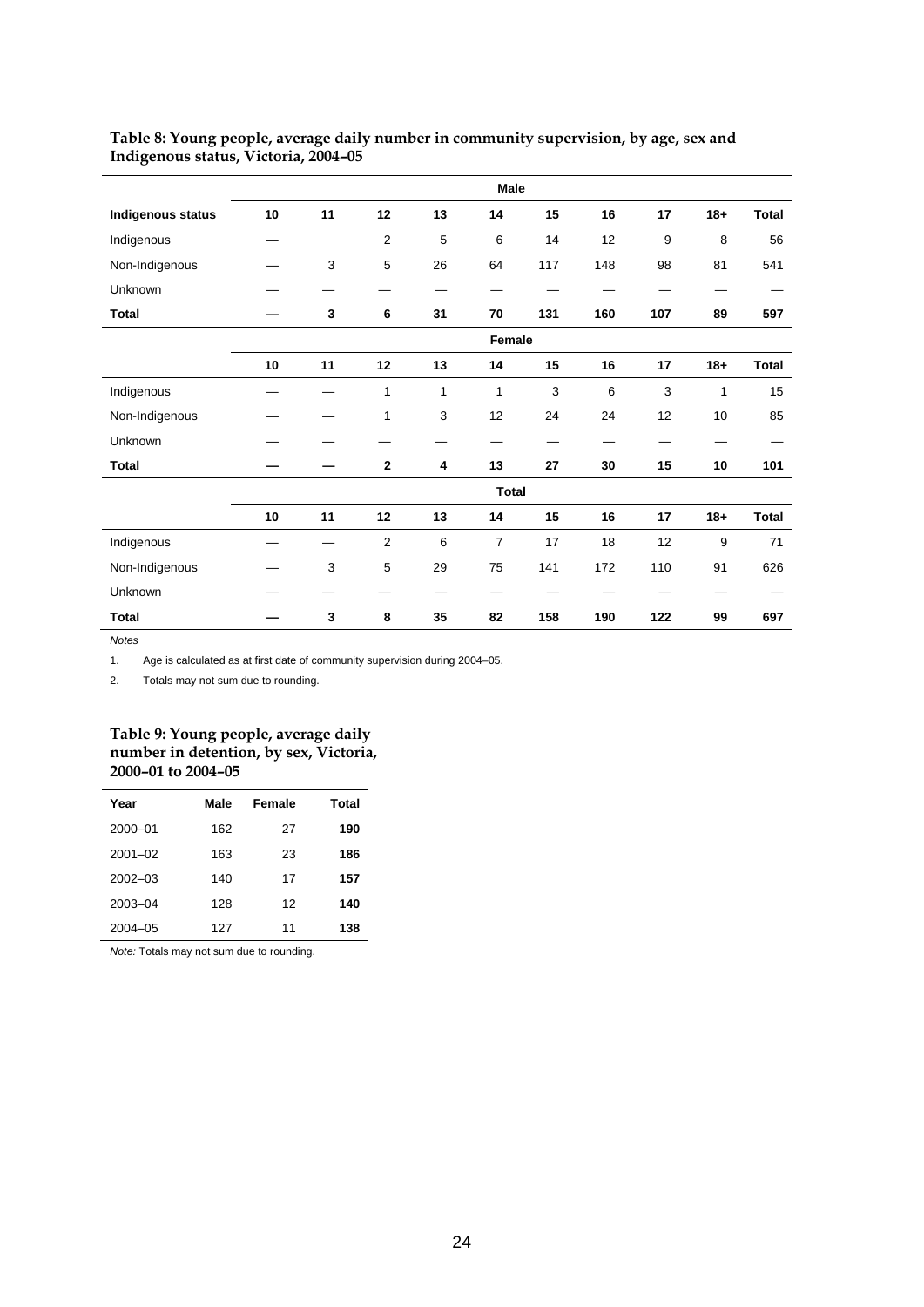|                          |    |    |                |    | Male           |     |     |     |        |              |
|--------------------------|----|----|----------------|----|----------------|-----|-----|-----|--------|--------------|
| <b>Indigenous status</b> | 10 | 11 | 12             | 13 | 14             | 15  | 16  | 17  | $18 +$ | Total        |
| Indigenous               |    |    | $\overline{2}$ | 5  | 6              | 14  | 12  | 9   | 8      | 56           |
| Non-Indigenous           |    | 3  | 5              | 26 | 64             | 117 | 148 | 98  | 81     | 541          |
| Unknown                  |    |    |                |    |                |     |     |     |        |              |
| <b>Total</b>             |    | 3  | 6              | 31 | 70             | 131 | 160 | 107 | 89     | 597          |
|                          |    |    |                |    | Female         |     |     |     |        |              |
|                          | 10 | 11 | 12             | 13 | 14             | 15  | 16  | 17  | $18 +$ | Total        |
| Indigenous               |    |    | 1              | 1  | 1              | 3   | 6   | 3   | 1      | 15           |
| Non-Indigenous           |    |    | 1              | 3  | 12             | 24  | 24  | 12  | 10     | 85           |
| Unknown                  |    |    |                |    |                |     |     |     |        |              |
| <b>Total</b>             |    |    | $\mathbf 2$    | 4  | 13             | 27  | 30  | 15  | 10     | 101          |
|                          |    |    |                |    | <b>Total</b>   |     |     |     |        |              |
|                          | 10 | 11 | 12             | 13 | 14             | 15  | 16  | 17  | $18 +$ | <b>Total</b> |
| Indigenous               |    |    | $\overline{2}$ | 6  | $\overline{7}$ | 17  | 18  | 12  | 9      | 71           |
| Non-Indigenous           |    | 3  | 5              | 29 | 75             | 141 | 172 | 110 | 91     | 626          |
| Unknown                  |    |    |                |    |                |     |     |     |        |              |
| <b>Total</b>             |    | 3  | 8              | 35 | 82             | 158 | 190 | 122 | 99     | 697          |

#### **Table 8: Young people, average daily number in community supervision, by age, sex and Indigenous status, Victoria, 2004–05**

*Notes*

1. Age is calculated as at first date of community supervision during 2004–05.

2. Totals may not sum due to rounding.

#### **Table 9: Young people, average daily number in detention, by sex, Victoria, 2000–01 to 2004–05**

| Year        | Male | Female | Total |
|-------------|------|--------|-------|
| 2000-01     | 162  | 27     | 190   |
| $2001 - 02$ | 163  | 23     | 186   |
| $2002 - 03$ | 140  | 17     | 157   |
| 2003-04     | 128  | 12     | 140   |
| $2004 - 05$ | 127  | 11     | 138   |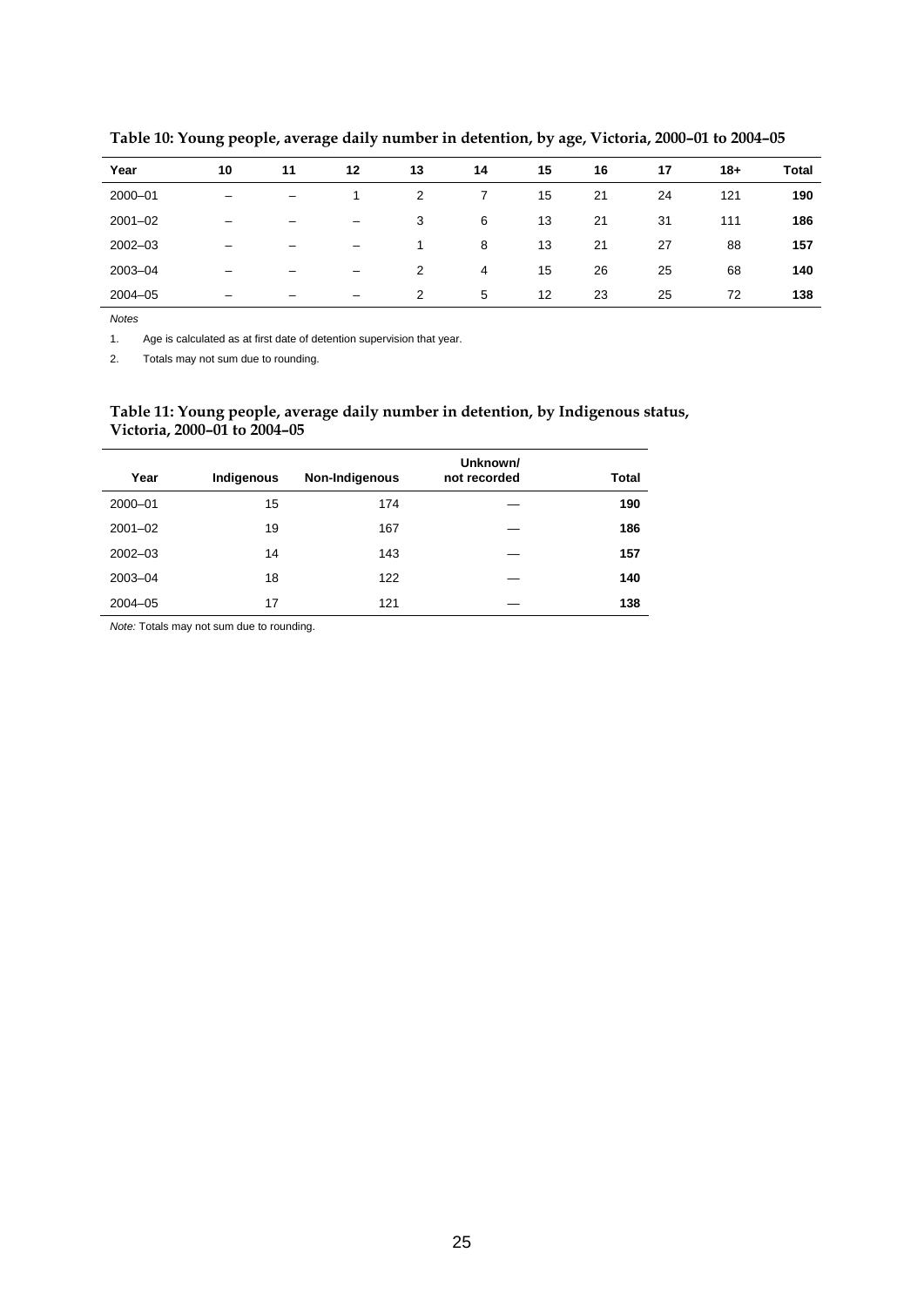| Year        | 10 | 11 | 12                       | 13 | 14 | 15 | 16 | 17 | $18+$ | Total |
|-------------|----|----|--------------------------|----|----|----|----|----|-------|-------|
| 2000-01     |    | -  |                          | 2  |    | 15 | 21 | 24 | 121   | 190   |
| $2001 - 02$ | -  | -  | $\qquad \qquad$          | 3  | 6  | 13 | 21 | 31 | 111   | 186   |
| $2002 - 03$ | -  | -  | -                        | 1  | 8  | 13 | 21 | 27 | 88    | 157   |
| 2003-04     | -  | -  | -                        | 2  | 4  | 15 | 26 | 25 | 68    | 140   |
| $2004 - 05$ | -  | -  | $\overline{\phantom{0}}$ | 2  | 5  | 12 | 23 | 25 | 72    | 138   |

**Table 10: Young people, average daily number in detention, by age, Victoria, 2000–01 to 2004–05** 

1. Age is calculated as at first date of detention supervision that year.

2. Totals may not sum due to rounding.

#### **Table 11: Young people, average daily number in detention, by Indigenous status, Victoria, 2000–01 to 2004–05**

| Year        | Indigenous | Non-Indigenous | Unknown/<br>not recorded | <b>Total</b> |
|-------------|------------|----------------|--------------------------|--------------|
| 2000-01     | 15         | 174            |                          | 190          |
| $2001 - 02$ | 19         | 167            |                          | 186          |
| $2002 - 03$ | 14         | 143            |                          | 157          |
| 2003-04     | 18         | 122            |                          | 140          |
| $2004 - 05$ | 17         | 121            |                          | 138          |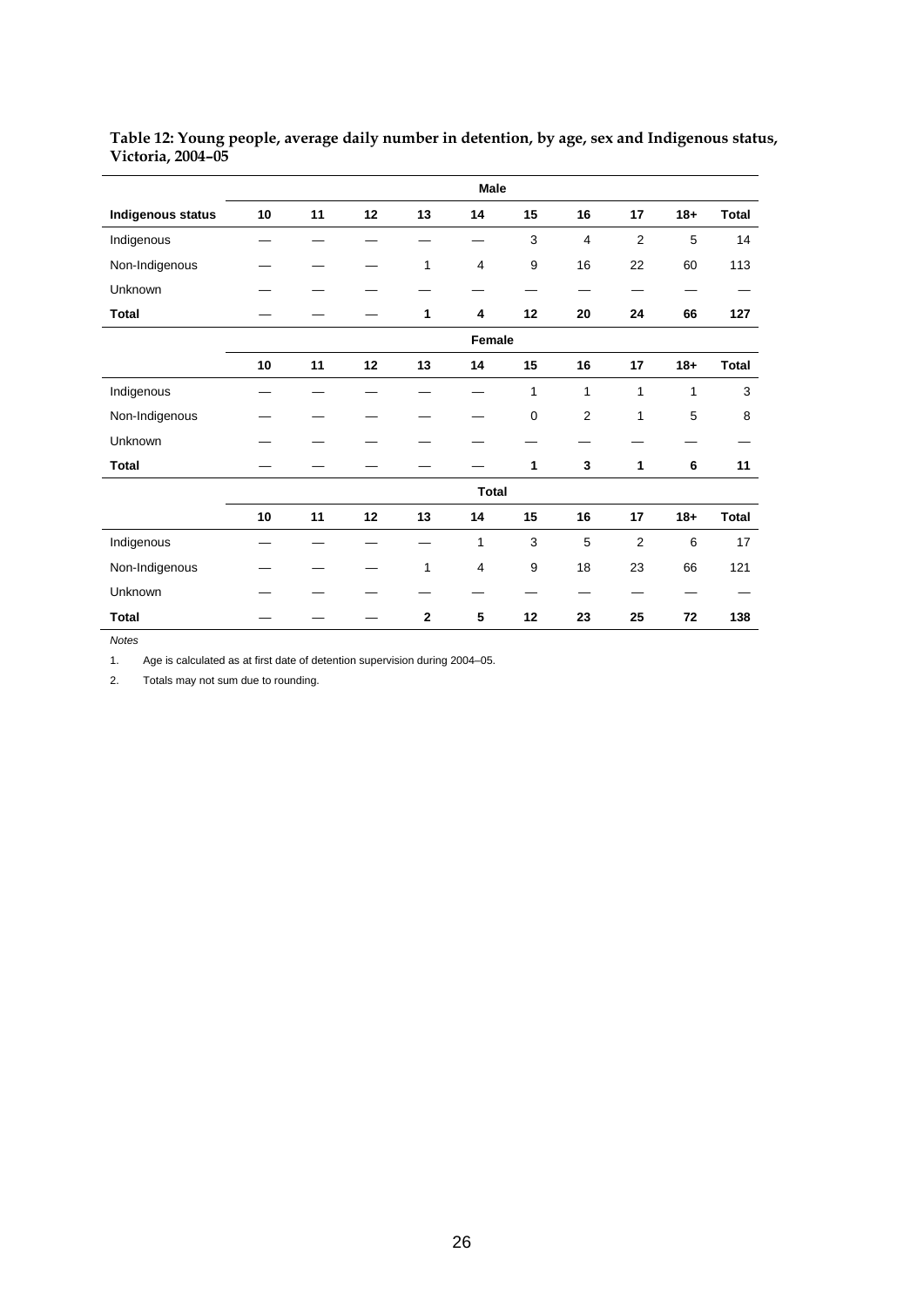|                   | Male   |    |    |                |              |              |                |                |       |              |
|-------------------|--------|----|----|----------------|--------------|--------------|----------------|----------------|-------|--------------|
| Indigenous status | 10     | 11 | 12 | 13             | 14           | 15           | 16             | 17             | $18+$ | <b>Total</b> |
| Indigenous        |        |    |    |                |              | 3            | 4              | 2              | 5     | 14           |
| Non-Indigenous    |        |    |    | 1              | 4            | 9            | 16             | 22             | 60    | 113          |
| Unknown           |        |    |    |                |              |              |                |                |       |              |
| <b>Total</b>      |        |    |    | 1              | 4            | 12           | 20             | 24             | 66    | 127          |
|                   | Female |    |    |                |              |              |                |                |       |              |
|                   | 10     | 11 | 12 | 13             | 14           | 15           | 16             | 17             | $18+$ | <b>Total</b> |
| Indigenous        |        |    |    |                |              | $\mathbf{1}$ | 1              | 1              | 1     | 3            |
| Non-Indigenous    |        |    |    |                |              | 0            | $\overline{2}$ | 1              | 5     | 8            |
| Unknown           |        |    |    |                |              |              |                |                |       |              |
| <b>Total</b>      |        |    |    |                |              | 1            | 3              | 1              | 6     | 11           |
|                   |        |    |    |                | <b>Total</b> |              |                |                |       |              |
|                   | 10     | 11 | 12 | 13             | 14           | 15           | 16             | 17             | $18+$ | <b>Total</b> |
| Indigenous        |        |    |    |                | 1            | 3            | 5              | $\overline{2}$ | 6     | 17           |
| Non-Indigenous    |        |    |    | 1              | 4            | 9            | 18             | 23             | 66    | 121          |
| Unknown           |        |    |    |                |              |              |                |                |       |              |
| <b>Total</b>      |        |    |    | $\overline{2}$ | 5            | 12           | 23             | 25             | 72    | 138          |

#### **Table 12: Young people, average daily number in detention, by age, sex and Indigenous status, Victoria, 2004–05**

*Notes*

1. Age is calculated as at first date of detention supervision during 2004–05.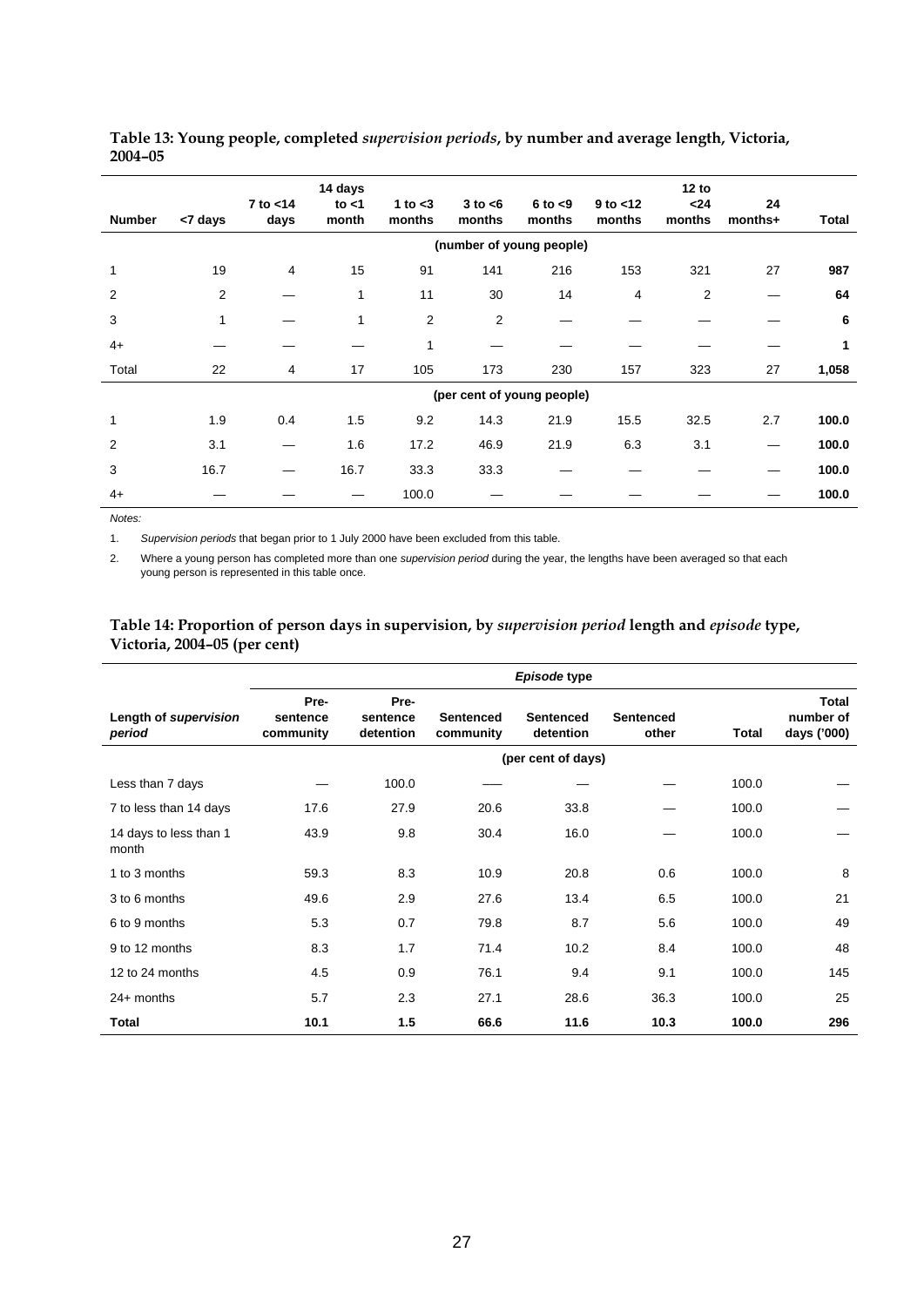| <b>Number</b> | <7 days                  | $7$ to $<$ 14<br>days | 14 days<br>to $<$ 1<br>month | 1 to $<$ 3<br>months | $3$ to $<$ 6<br>months | $6$ to $< 9$<br>months     | $9$ to $<$ 12<br>months | 12 to<br>$24$<br>months | 24<br>months+ | Total |  |
|---------------|--------------------------|-----------------------|------------------------------|----------------------|------------------------|----------------------------|-------------------------|-------------------------|---------------|-------|--|
|               | (number of young people) |                       |                              |                      |                        |                            |                         |                         |               |       |  |
| $\mathbf{1}$  | 19                       | 4                     | 15                           | 91                   | 141                    | 216                        | 153                     | 321                     | 27            | 987   |  |
| 2             | 2                        |                       | 1                            | 11                   | 30                     | 14                         | 4                       | 2                       |               | 64    |  |
| 3             | 1                        |                       | 1                            | 2                    | 2                      |                            |                         |                         |               | 6     |  |
| $4+$          |                          |                       |                              | 1                    |                        |                            |                         |                         |               | 1     |  |
| Total         | 22                       | 4                     | 17                           | 105                  | 173                    | 230                        | 157                     | 323                     | 27            | 1,058 |  |
|               |                          |                       |                              |                      |                        | (per cent of young people) |                         |                         |               |       |  |
| 1             | 1.9                      | 0.4                   | 1.5                          | 9.2                  | 14.3                   | 21.9                       | 15.5                    | 32.5                    | 2.7           | 100.0 |  |
| 2             | 3.1                      |                       | 1.6                          | 17.2                 | 46.9                   | 21.9                       | 6.3                     | 3.1                     |               | 100.0 |  |
| 3             | 16.7                     | —                     | 16.7                         | 33.3                 | 33.3                   |                            |                         |                         |               | 100.0 |  |
| $4+$          |                          |                       |                              | 100.0                |                        |                            |                         |                         |               | 100.0 |  |

#### **Table 13: Young people, completed** *supervision periods***, by number and average length, Victoria, 2004–05**

*Notes:* 

1. *Supervision periods* that began prior to 1 July 2000 have been excluded from this table.

2. Where a young person has completed more than one *supervision period* during the year, the lengths have been averaged so that each young person is represented in this table once.

#### **Table 14: Proportion of person days in supervision, by** *supervision period* **length and** *episode* **type, Victoria, 2004–05 (per cent)**

|                                 | Episode type                  |                               |                               |                               |                           |       |                                   |  |  |  |  |
|---------------------------------|-------------------------------|-------------------------------|-------------------------------|-------------------------------|---------------------------|-------|-----------------------------------|--|--|--|--|
| Length of supervision<br>period | Pre-<br>sentence<br>community | Pre-<br>sentence<br>detention | <b>Sentenced</b><br>community | <b>Sentenced</b><br>detention | <b>Sentenced</b><br>other | Total | Total<br>number of<br>days ('000) |  |  |  |  |
|                                 | (per cent of days)            |                               |                               |                               |                           |       |                                   |  |  |  |  |
| Less than 7 days                |                               | 100.0                         |                               |                               |                           | 100.0 |                                   |  |  |  |  |
| 7 to less than 14 days          | 17.6                          | 27.9                          | 20.6                          | 33.8                          |                           | 100.0 |                                   |  |  |  |  |
| 14 days to less than 1<br>month | 43.9                          | 9.8                           | 30.4                          | 16.0                          |                           | 100.0 |                                   |  |  |  |  |
| 1 to 3 months                   | 59.3                          | 8.3                           | 10.9                          | 20.8                          | 0.6                       | 100.0 | 8                                 |  |  |  |  |
| 3 to 6 months                   | 49.6                          | 2.9                           | 27.6                          | 13.4                          | 6.5                       | 100.0 | 21                                |  |  |  |  |
| 6 to 9 months                   | 5.3                           | 0.7                           | 79.8                          | 8.7                           | 5.6                       | 100.0 | 49                                |  |  |  |  |
| 9 to 12 months                  | 8.3                           | 1.7                           | 71.4                          | 10.2                          | 8.4                       | 100.0 | 48                                |  |  |  |  |
| 12 to 24 months                 | 4.5                           | 0.9                           | 76.1                          | 9.4                           | 9.1                       | 100.0 | 145                               |  |  |  |  |
| $24+$ months                    | 5.7                           | 2.3                           | 27.1                          | 28.6                          | 36.3                      | 100.0 | 25                                |  |  |  |  |
| Total                           | 10.1                          | 1.5                           | 66.6                          | 11.6                          | 10.3                      | 100.0 | 296                               |  |  |  |  |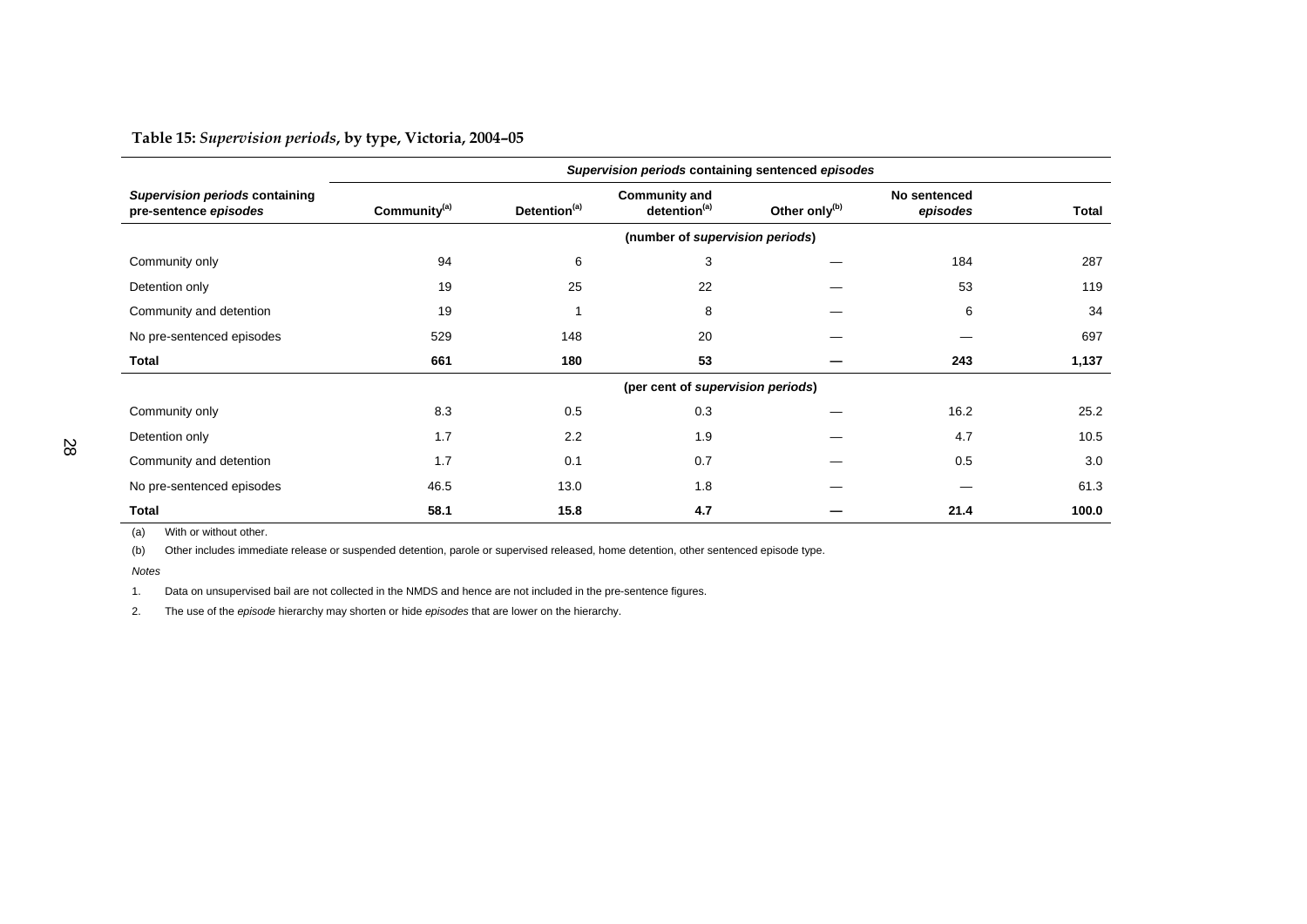#### **Table 15:** *Supervision periods***, by type, Victoria, 2004–05**

|                                                         | Supervision periods containing sentenced episodes |                          |                                                  |                           |                          |              |  |  |
|---------------------------------------------------------|---------------------------------------------------|--------------------------|--------------------------------------------------|---------------------------|--------------------------|--------------|--|--|
| Supervision periods containing<br>pre-sentence episodes | Community <sup>(a)</sup>                          | Detention <sup>(a)</sup> | <b>Community and</b><br>detention <sup>(a)</sup> | Other only <sup>(b)</sup> | No sentenced<br>episodes | <b>Total</b> |  |  |
|                                                         |                                                   |                          | (number of supervision periods)                  |                           |                          |              |  |  |
| Community only                                          | 94                                                | 6                        | 3                                                |                           | 184                      | 287          |  |  |
| Detention only                                          | 19                                                | 25                       | 22                                               |                           | 53                       | 119          |  |  |
| Community and detention                                 | 19                                                |                          | 8                                                |                           | 6                        | 34           |  |  |
| No pre-sentenced episodes                               | 529                                               | 148                      | 20                                               |                           |                          | 697          |  |  |
| Total                                                   | 661                                               | 180                      | 53                                               |                           | 243                      | 1,137        |  |  |
|                                                         |                                                   |                          | (per cent of supervision periods)                |                           |                          |              |  |  |
| Community only                                          | 8.3                                               | 0.5                      | 0.3                                              |                           | 16.2                     | 25.2         |  |  |
| Detention only                                          | 1.7                                               | 2.2                      | 1.9                                              |                           | 4.7                      | 10.5         |  |  |
| Community and detention                                 | 1.7                                               | 0.1                      | 0.7                                              |                           | 0.5                      | 3.0          |  |  |
| No pre-sentenced episodes                               | 46.5                                              | 13.0                     | 1.8                                              |                           |                          | 61.3         |  |  |
| <b>Total</b>                                            | 58.1                                              | 15.8                     | 4.7                                              |                           | 21.4                     | 100.0        |  |  |

(a) With or without other.

(b) Other includes immediate release or suspended detention, parole or supervised released, home detention, other sentenced episode type.

*Notes*

1. Data on unsupervised bail are not collected in the NMDS and hence are not included in the pre-sentence figures.

2. The use of the *episode* hierarchy may shorten or hide *episodes* that are lower on the hierarchy.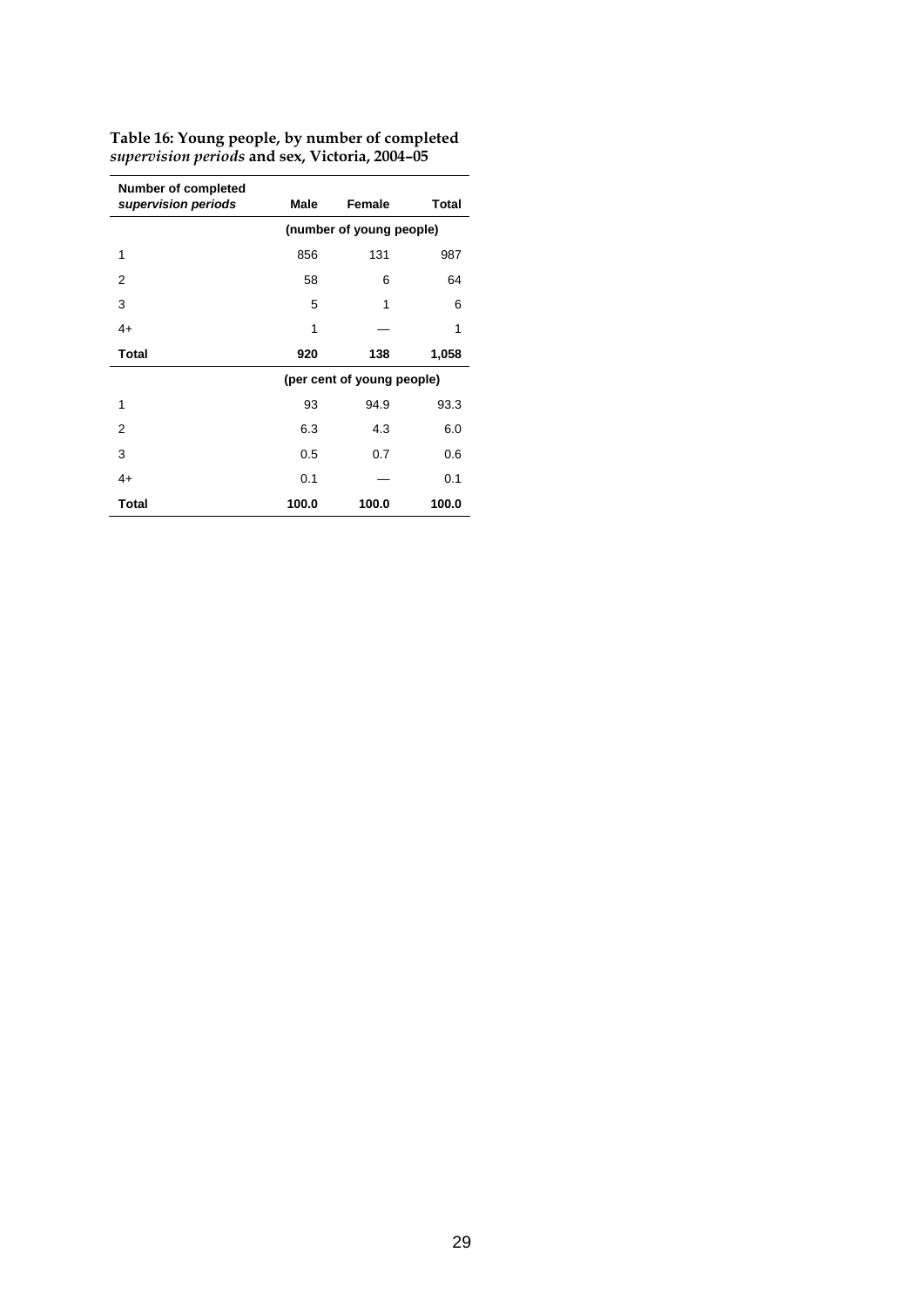| <b>Number of completed</b><br>supervision periods | Male                     | Female                     | <b>Total</b> |  |  |  |  |  |
|---------------------------------------------------|--------------------------|----------------------------|--------------|--|--|--|--|--|
|                                                   | (number of young people) |                            |              |  |  |  |  |  |
| 1                                                 | 856                      | 131                        | 987          |  |  |  |  |  |
| 2                                                 | 58                       | 6                          | 64           |  |  |  |  |  |
| 3                                                 | 5                        | 1                          | 6            |  |  |  |  |  |
| $4+$                                              | 1                        |                            | 1            |  |  |  |  |  |
| <b>Total</b>                                      | 920                      | 138                        | 1,058        |  |  |  |  |  |
|                                                   |                          | (per cent of young people) |              |  |  |  |  |  |
| 1                                                 | 93                       | 94.9                       | 93.3         |  |  |  |  |  |
| 2                                                 | 6.3                      | 4.3                        | 6.0          |  |  |  |  |  |
| 3                                                 | 0.5                      | 0.7                        | 0.6          |  |  |  |  |  |
| $4+$                                              | 0.1                      |                            | 0.1          |  |  |  |  |  |
| <b>Total</b>                                      | 100.0                    | 100.0                      | 100.0        |  |  |  |  |  |

**Table 16: Young people, by number of completed** *supervision periods* **and sex, Victoria, 2004–05**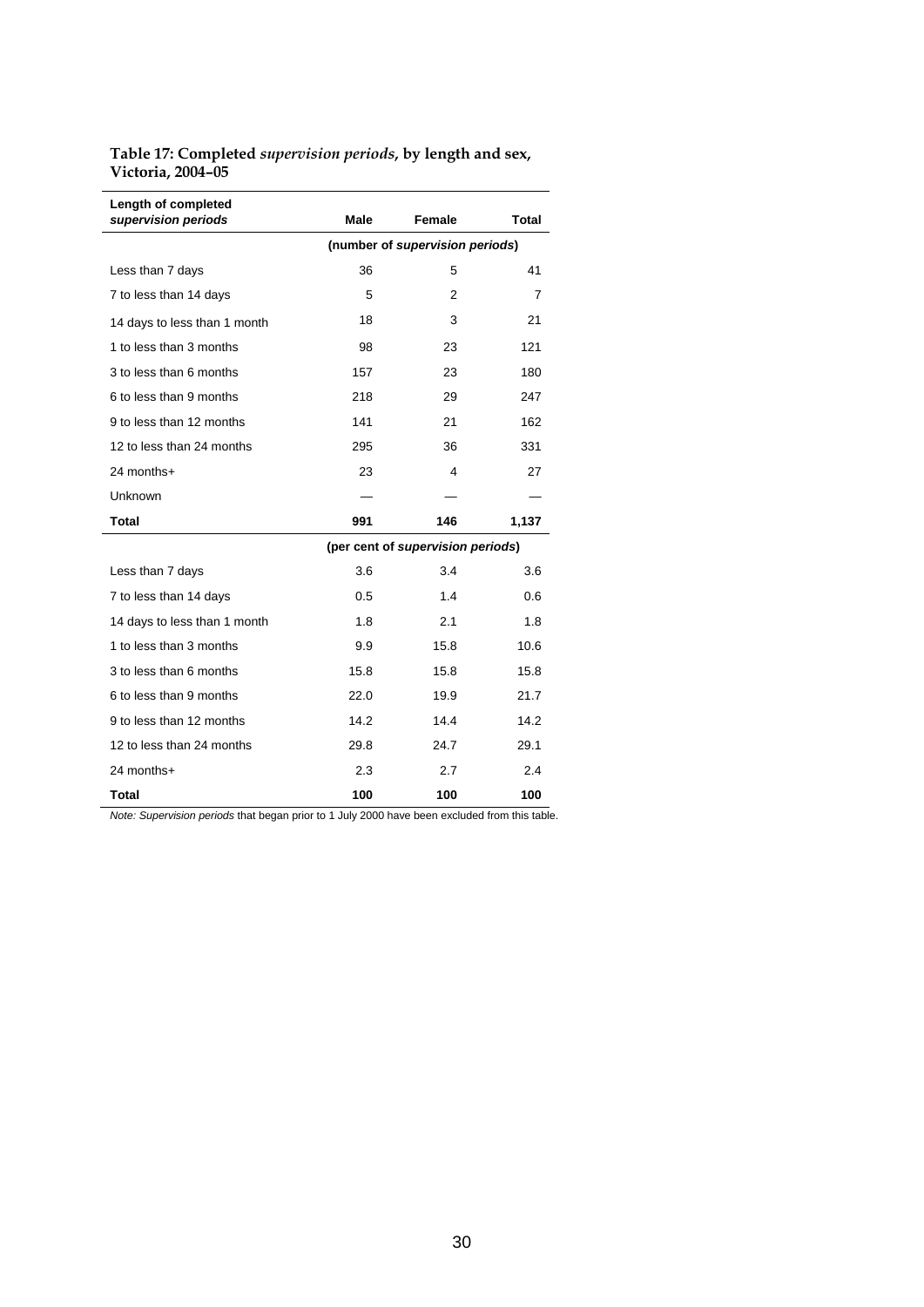**Table 17: Completed** *supervision periods***, by length and sex, Victoria, 2004–05** 

| Length of completed<br>supervision periods | Male                            | Female                            | Total |  |  |  |  |
|--------------------------------------------|---------------------------------|-----------------------------------|-------|--|--|--|--|
|                                            | (number of supervision periods) |                                   |       |  |  |  |  |
| Less than 7 days                           | 36                              | 5                                 | 41    |  |  |  |  |
| 7 to less than 14 days                     | 5                               | 2                                 | 7     |  |  |  |  |
| 14 days to less than 1 month               | 18                              | 3                                 | 21    |  |  |  |  |
| 1 to less than 3 months                    | 98                              | 23                                | 121   |  |  |  |  |
| 3 to less than 6 months                    | 157                             | 23                                | 180   |  |  |  |  |
| 6 to less than 9 months                    | 218                             | 29                                | 247   |  |  |  |  |
| 9 to less than 12 months                   | 141                             | 21                                | 162   |  |  |  |  |
| 12 to less than 24 months                  | 295                             | 36                                | 331   |  |  |  |  |
| 24 months+                                 | 23                              | 4                                 | 27    |  |  |  |  |
| Unknown                                    |                                 |                                   |       |  |  |  |  |
| <b>Total</b>                               | 991                             | 146                               | 1,137 |  |  |  |  |
|                                            |                                 | (per cent of supervision periods) |       |  |  |  |  |
| Less than 7 days                           | 3.6                             | 3.4                               | 3.6   |  |  |  |  |
| 7 to less than 14 days                     | 0.5                             | 1.4                               | 0.6   |  |  |  |  |
| 14 days to less than 1 month               | 1.8                             | 2.1                               | 1.8   |  |  |  |  |
| 1 to less than 3 months                    | 9.9                             | 15.8                              | 10.6  |  |  |  |  |
| 3 to less than 6 months                    | 15.8                            | 15.8                              | 15.8  |  |  |  |  |
| 6 to less than 9 months                    | 22.0                            | 19.9                              | 21.7  |  |  |  |  |
| 9 to less than 12 months                   | 14.2                            | 14.4                              | 14.2  |  |  |  |  |
| 12 to less than 24 months                  | 29.8                            | 24.7                              | 29.1  |  |  |  |  |
| 24 months+                                 | 2.3                             | 2.7                               | 2.4   |  |  |  |  |
| Total                                      | 100                             | 100                               | 100   |  |  |  |  |

*Note: Supervision periods* that began prior to 1 July 2000 have been excluded from this table.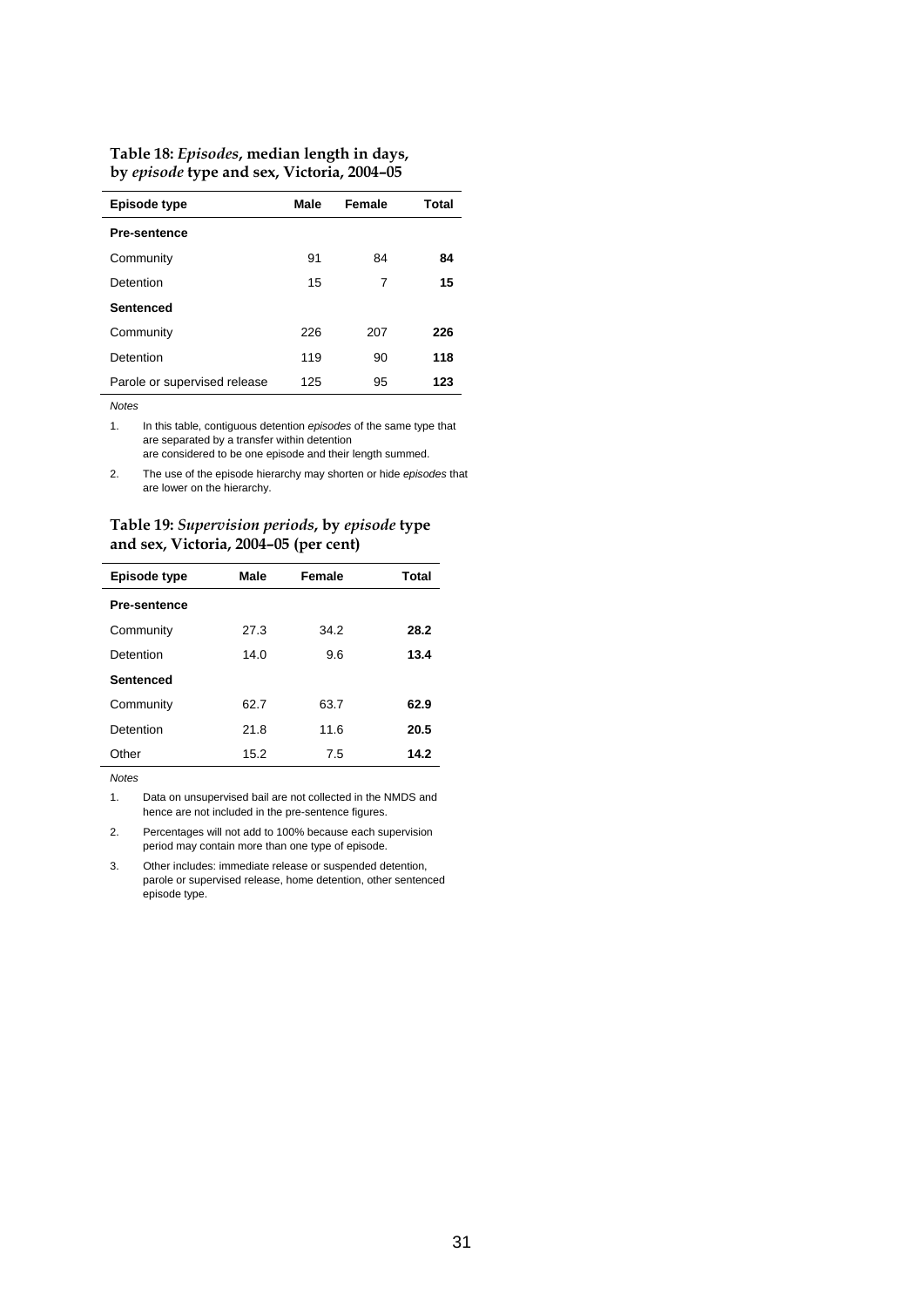| Table 18: Episodes, median length in days, |
|--------------------------------------------|
| by episode type and sex, Victoria, 2004-05 |

| Episode type                 | Male | Female | Total |
|------------------------------|------|--------|-------|
| <b>Pre-sentence</b>          |      |        |       |
| Community                    | 91   | 84     | 84    |
| Detention                    | 15   | 7      | 15    |
| <b>Sentenced</b>             |      |        |       |
| Community                    | 226  | 207    | 226   |
| Detention                    | 119  | 90     | 118   |
| Parole or supervised release | 125  | 95     | 123   |

1. In this table, contiguous detention *episodes* of the same type that are separated by a transfer within detention are considered to be one episode and their length summed.

2. The use of the episode hierarchy may shorten or hide *episodes* that are lower on the hierarchy.

| Table 19: Supervision periods, by episode type |  |
|------------------------------------------------|--|
| and sex, Victoria, 2004–05 (per cent)          |  |

| <b>Episode type</b> | Male | Female | Total |  |  |
|---------------------|------|--------|-------|--|--|
| <b>Pre-sentence</b> |      |        |       |  |  |
| Community           | 27.3 | 34.2   | 28.2  |  |  |
| Detention           | 14.0 | 9.6    | 13.4  |  |  |
| <b>Sentenced</b>    |      |        |       |  |  |
| Community           | 62.7 | 63.7   | 62.9  |  |  |
| Detention           | 21.8 | 11.6   | 20.5  |  |  |
| Other               | 15.2 | 7.5    | 14.2  |  |  |

*Notes* 

1. Data on unsupervised bail are not collected in the NMDS and hence are not included in the pre-sentence figures.

2. Percentages will not add to 100% because each supervision period may contain more than one type of episode.

3. Other includes: immediate release or suspended detention, parole or supervised release, home detention, other sentenced episode type.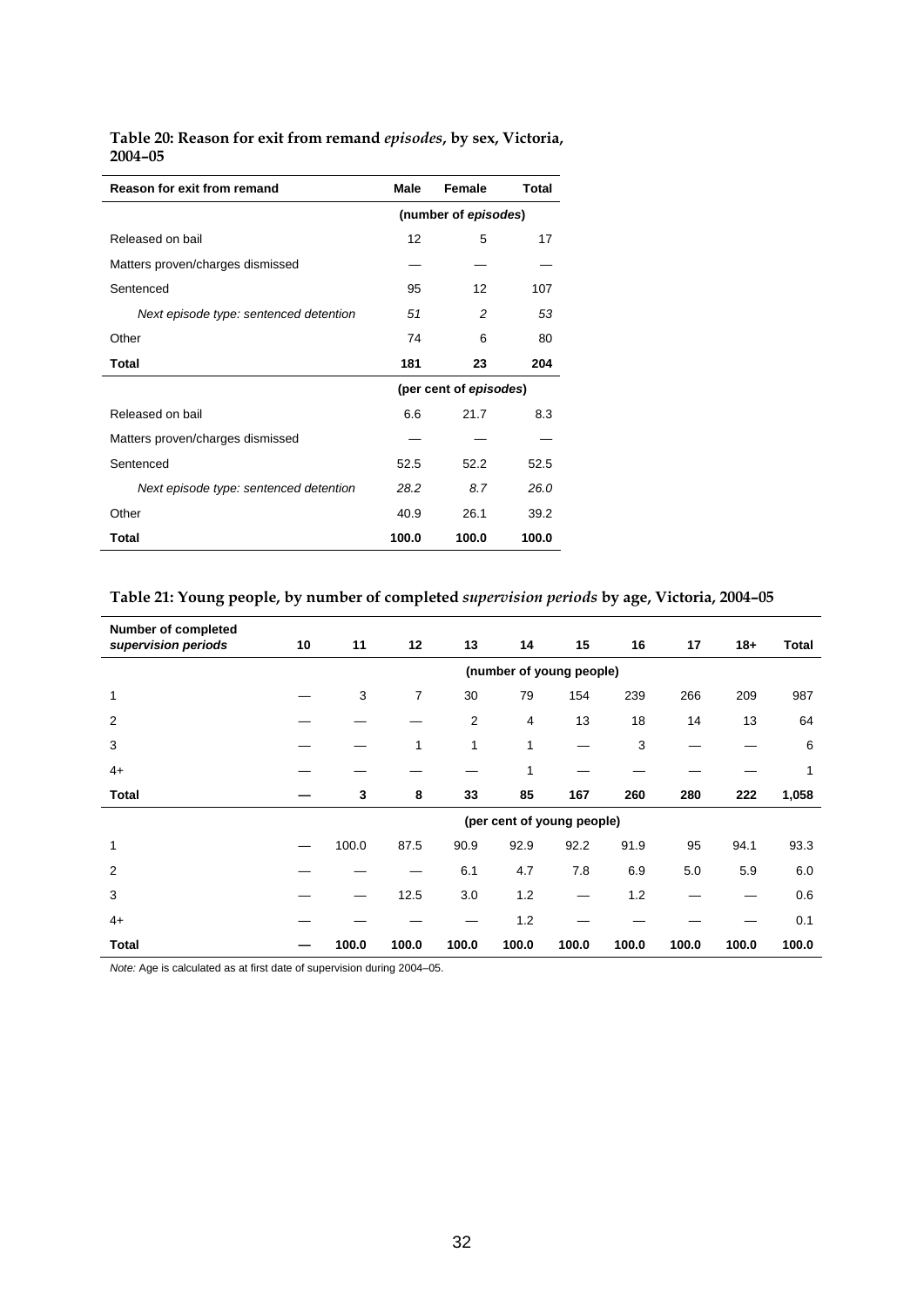| <b>Reason for exit from remand</b>     | <b>Male</b>            | Female | Total |  |  |
|----------------------------------------|------------------------|--------|-------|--|--|
|                                        | (number of episodes)   |        |       |  |  |
| Released on bail                       | 12                     | 5      | 17    |  |  |
| Matters proven/charges dismissed       |                        |        |       |  |  |
| Sentenced                              | 95                     | 12     | 107   |  |  |
| Next episode type: sentenced detention | 51                     | 2      | 53    |  |  |
| Other                                  | 74                     | 6      | 80    |  |  |
| Total                                  | 181                    | 23     | 204   |  |  |
|                                        | (per cent of episodes) |        |       |  |  |
| Released on bail                       | 6.6                    | 21.7   | 8.3   |  |  |
| Matters proven/charges dismissed       |                        |        |       |  |  |
| Sentenced                              | 52.5                   | 52.2   | 52.5  |  |  |
| Next episode type: sentenced detention | 28.2                   | 8.7    | 26.0  |  |  |
| Other                                  | 40.9                   | 26.1   | 39.2  |  |  |
| Total                                  | 100.0                  | 100.0  | 100.0 |  |  |

**Table 20: Reason for exit from remand** *episodes***, by sex, Victoria, 2004–05** 

#### **Table 21: Young people, by number of completed** *supervision periods* **by age, Victoria, 2004–05**

| <b>Number of completed</b><br>supervision periods | 10                         | 11    | 12    | 13             | 14    | 15    | 16    | 17    | $18 +$ | <b>Total</b> |  |
|---------------------------------------------------|----------------------------|-------|-------|----------------|-------|-------|-------|-------|--------|--------------|--|
|                                                   | (number of young people)   |       |       |                |       |       |       |       |        |              |  |
| $\mathbf{1}$                                      |                            | 3     | 7     | 30             | 79    | 154   | 239   | 266   | 209    | 987          |  |
| $\overline{2}$                                    |                            |       |       | $\overline{2}$ | 4     | 13    | 18    | 14    | 13     | 64           |  |
| 3                                                 |                            |       | 1     | 1              | 1     |       | 3     |       |        | 6            |  |
| $4+$                                              |                            |       |       |                | 1     |       |       |       |        | 1            |  |
| <b>Total</b>                                      |                            | 3     | 8     | 33             | 85    | 167   | 260   | 280   | 222    | 1,058        |  |
|                                                   | (per cent of young people) |       |       |                |       |       |       |       |        |              |  |
| 1                                                 |                            | 100.0 | 87.5  | 90.9           | 92.9  | 92.2  | 91.9  | 95    | 94.1   | 93.3         |  |
| $\overline{2}$                                    |                            |       |       | 6.1            | 4.7   | 7.8   | 6.9   | 5.0   | 5.9    | 6.0          |  |
| 3                                                 |                            |       | 12.5  | 3.0            | 1.2   | —     | 1.2   |       |        | 0.6          |  |
| $4+$                                              |                            |       |       |                | 1.2   |       |       |       |        | 0.1          |  |
| <b>Total</b>                                      |                            | 100.0 | 100.0 | 100.0          | 100.0 | 100.0 | 100.0 | 100.0 | 100.0  | 100.0        |  |

*Note:* Age is calculated as at first date of supervision during 2004–05.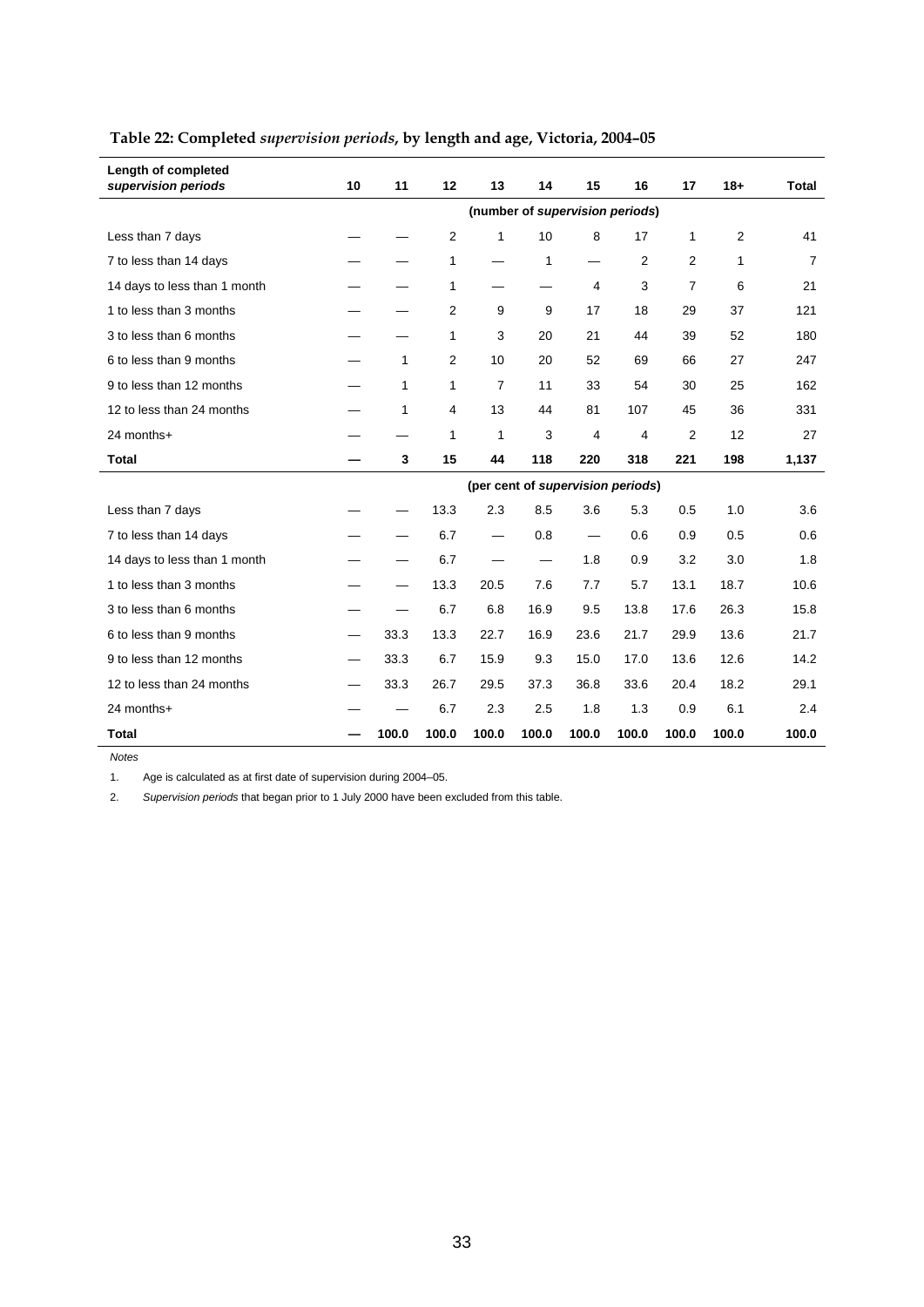| Length of completed<br>supervision periods | 10                                | 11           | 12                      | 13             | 14    | 15             | 16             | 17             | $18 +$ | <b>Total</b>   |
|--------------------------------------------|-----------------------------------|--------------|-------------------------|----------------|-------|----------------|----------------|----------------|--------|----------------|
|                                            | (number of supervision periods)   |              |                         |                |       |                |                |                |        |                |
| Less than 7 days                           |                                   |              | $\overline{\mathbf{c}}$ | 1              | 10    | 8              | 17             | 1              | 2      | 41             |
| 7 to less than 14 days                     |                                   |              | 1                       |                | 1     |                | $\overline{2}$ | 2              | 1      | $\overline{7}$ |
| 14 days to less than 1 month               |                                   |              | 1                       |                |       | $\overline{4}$ | 3              | 7              | 6      | 21             |
| 1 to less than 3 months                    |                                   |              | 2                       | 9              | 9     | 17             | 18             | 29             | 37     | 121            |
| 3 to less than 6 months                    |                                   |              | 1                       | 3              | 20    | 21             | 44             | 39             | 52     | 180            |
| 6 to less than 9 months                    |                                   | 1            | 2                       | 10             | 20    | 52             | 69             | 66             | 27     | 247            |
| 9 to less than 12 months                   |                                   | $\mathbf{1}$ | 1                       | $\overline{7}$ | 11    | 33             | 54             | 30             | 25     | 162            |
| 12 to less than 24 months                  |                                   | 1            | 4                       | 13             | 44    | 81             | 107            | 45             | 36     | 331            |
| 24 months+                                 |                                   |              | 1                       | 1              | 3     | $\overline{4}$ | 4              | $\overline{2}$ | 12     | 27             |
| <b>Total</b>                               |                                   | 3            | 15                      | 44             | 118   | 220            | 318            | 221            | 198    | 1,137          |
|                                            | (per cent of supervision periods) |              |                         |                |       |                |                |                |        |                |
| Less than 7 days                           |                                   |              | 13.3                    | 2.3            | 8.5   | 3.6            | 5.3            | 0.5            | 1.0    | 3.6            |
| 7 to less than 14 days                     |                                   |              | 6.7                     |                | 0.8   |                | 0.6            | 0.9            | 0.5    | 0.6            |
| 14 days to less than 1 month               |                                   |              | 6.7                     |                |       | 1.8            | 0.9            | 3.2            | 3.0    | 1.8            |
| 1 to less than 3 months                    |                                   |              | 13.3                    | 20.5           | 7.6   | 7.7            | 5.7            | 13.1           | 18.7   | 10.6           |
| 3 to less than 6 months                    |                                   |              | 6.7                     | 6.8            | 16.9  | 9.5            | 13.8           | 17.6           | 26.3   | 15.8           |
| 6 to less than 9 months                    |                                   | 33.3         | 13.3                    | 22.7           | 16.9  | 23.6           | 21.7           | 29.9           | 13.6   | 21.7           |
| 9 to less than 12 months                   |                                   | 33.3         | 6.7                     | 15.9           | 9.3   | 15.0           | 17.0           | 13.6           | 12.6   | 14.2           |
| 12 to less than 24 months                  |                                   | 33.3         | 26.7                    | 29.5           | 37.3  | 36.8           | 33.6           | 20.4           | 18.2   | 29.1           |
| 24 months+                                 |                                   |              | 6.7                     | 2.3            | 2.5   | 1.8            | 1.3            | 0.9            | 6.1    | 2.4            |
| <b>Total</b>                               |                                   | 100.0        | 100.0                   | 100.0          | 100.0 | 100.0          | 100.0          | 100.0          | 100.0  | 100.0          |

#### **Table 22: Completed** *supervision periods***, by length and age, Victoria, 2004–05**

*Notes* 

1. Age is calculated as at first date of supervision during 2004–05.

2. *Supervision periods* that began prior to 1 July 2000 have been excluded from this table.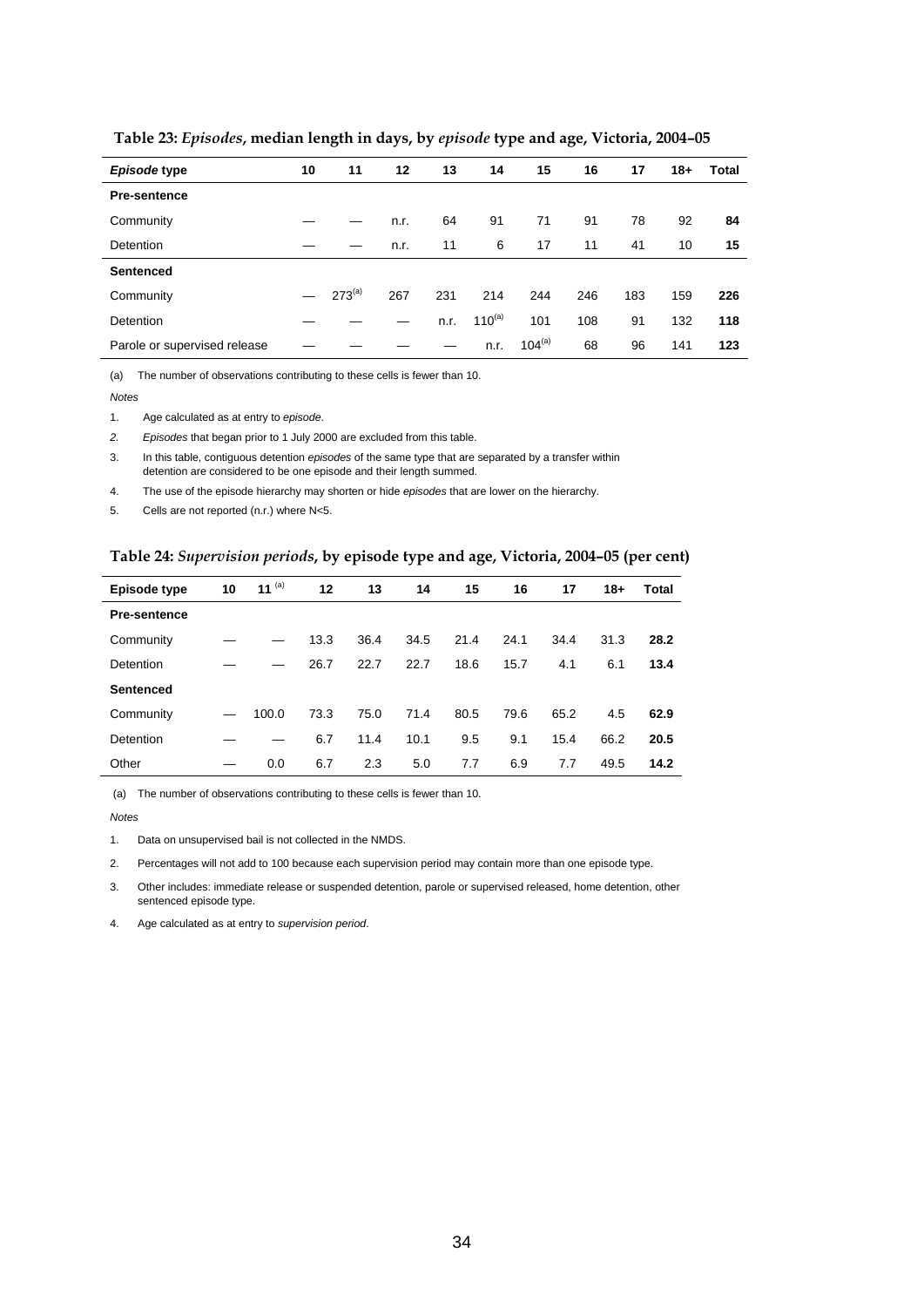| Episode type                 | 10 | 11          | 12   | 13   | 14          | 15          | 16  | 17  | $18 +$ | Total |
|------------------------------|----|-------------|------|------|-------------|-------------|-----|-----|--------|-------|
| <b>Pre-sentence</b>          |    |             |      |      |             |             |     |     |        |       |
| Community                    |    |             | n.r. | 64   | 91          | 71          | 91  | 78  | 92     | 84    |
| Detention                    |    |             | n.r. | 11   | 6           | 17          | 11  | 41  | 10     | 15    |
| <b>Sentenced</b>             |    |             |      |      |             |             |     |     |        |       |
| Community                    |    | $273^{(a)}$ | 267  | 231  | 214         | 244         | 246 | 183 | 159    | 226   |
| Detention                    |    |             |      | n.r. | $110^{(a)}$ | 101         | 108 | 91  | 132    | 118   |
| Parole or supervised release |    |             |      |      | n.r.        | $104^{(a)}$ | 68  | 96  | 141    | 123   |

 **Table 23:** *Episodes***, median length in days, by** *episode* **type and age, Victoria, 2004–05** 

(a) The number of observations contributing to these cells is fewer than 10.

*Notes* 

1. Age calculated as at entry to *episode*.

*2. Episodes* that began prior to 1 July 2000 are excluded from this table.

3. In this table, contiguous detention *episodes* of the same type that are separated by a transfer within detention are considered to be one episode and their length summed.

4. The use of the episode hierarchy may shorten or hide *episodes* that are lower on the hierarchy.

5. Cells are not reported (n.r.) where N<5.

#### **Table 24:** *Supervision periods***, by episode type and age, Victoria, 2004–05 (per cent)**

| Episode type        | 10 | 11 $(a)$ | 12   | 13   | 14   | 15   | 16   | 17   | 18+  | Total |
|---------------------|----|----------|------|------|------|------|------|------|------|-------|
| <b>Pre-sentence</b> |    |          |      |      |      |      |      |      |      |       |
| Community           |    |          | 13.3 | 36.4 | 34.5 | 21.4 | 24.1 | 34.4 | 31.3 | 28.2  |
| Detention           |    |          | 26.7 | 22.7 | 22.7 | 18.6 | 15.7 | 4.1  | 6.1  | 13.4  |
| Sentenced           |    |          |      |      |      |      |      |      |      |       |
| Community           |    | 100.0    | 73.3 | 75.0 | 71.4 | 80.5 | 79.6 | 65.2 | 4.5  | 62.9  |
| Detention           |    |          | 6.7  | 11.4 | 10.1 | 9.5  | 9.1  | 15.4 | 66.2 | 20.5  |
| Other               |    | 0.0      | 6.7  | 2.3  | 5.0  | 7.7  | 6.9  | 7.7  | 49.5 | 14.2  |

(a) The number of observations contributing to these cells is fewer than 10.

*Notes* 

1. Data on unsupervised bail is not collected in the NMDS.

2. Percentages will not add to 100 because each supervision period may contain more than one episode type.

3. Other includes: immediate release or suspended detention, parole or supervised released, home detention, other sentenced episode type.

4. Age calculated as at entry to *supervision period*.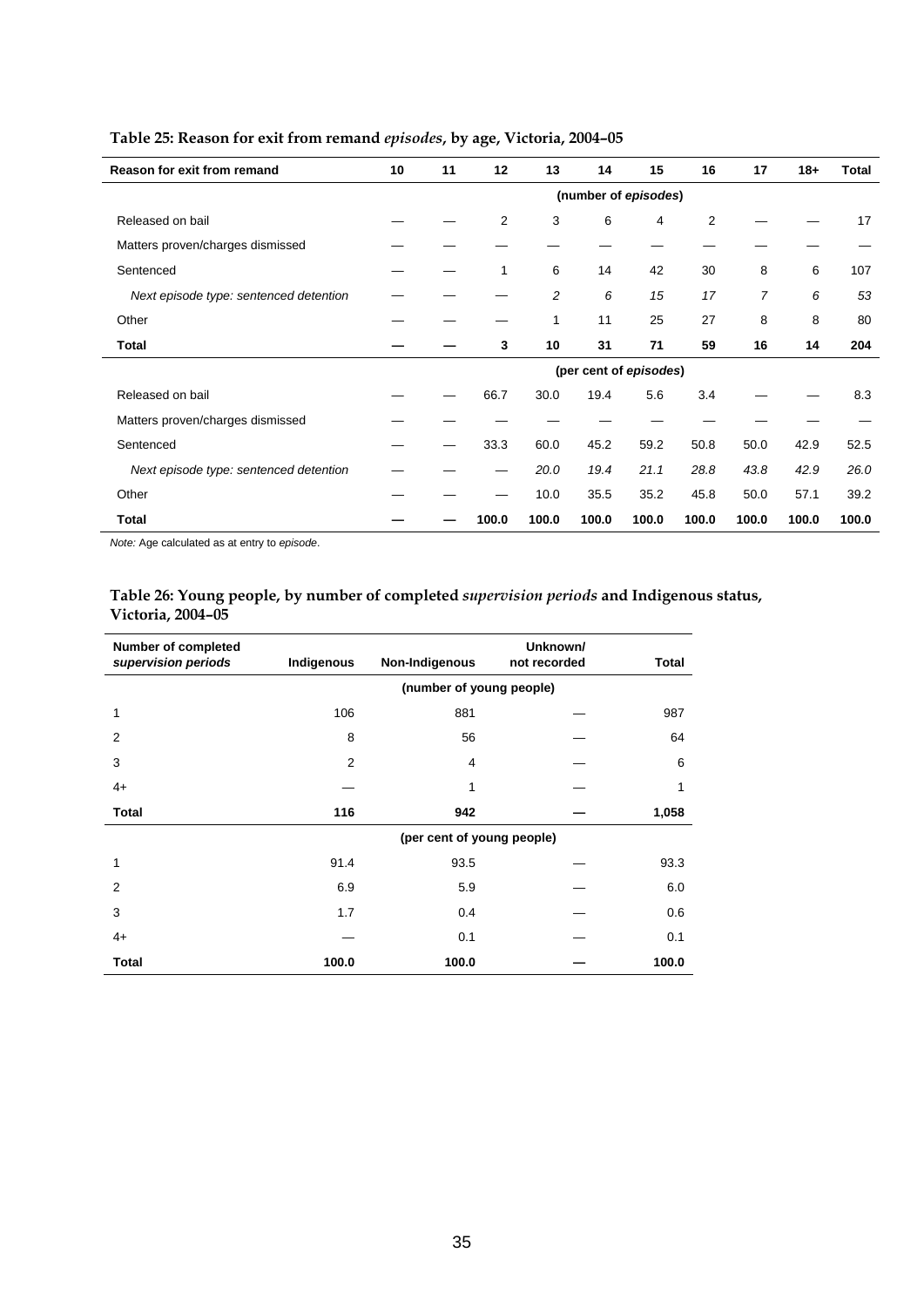| <b>Reason for exit from remand</b>     | 10 | 11 | 12    | 13    | 14                     | 15    | 16    | 17    | $18 +$ | <b>Total</b> |
|----------------------------------------|----|----|-------|-------|------------------------|-------|-------|-------|--------|--------------|
|                                        |    |    |       |       | (number of episodes)   |       |       |       |        |              |
| Released on bail                       |    |    | 2     | 3     | 6                      | 4     | 2     |       |        | 17           |
| Matters proven/charges dismissed       |    |    |       |       |                        |       |       |       |        |              |
| Sentenced                              |    |    | 1     | 6     | 14                     | 42    | 30    | 8     | 6      | 107          |
| Next episode type: sentenced detention |    |    |       | 2     | 6                      | 15    | 17    | 7     | 6      | 53           |
| Other                                  |    |    |       | 1     | 11                     | 25    | 27    | 8     | 8      | 80           |
| Total                                  |    |    | 3     | 10    | 31                     | 71    | 59    | 16    | 14     | 204          |
|                                        |    |    |       |       | (per cent of episodes) |       |       |       |        |              |
| Released on bail                       |    |    | 66.7  | 30.0  | 19.4                   | 5.6   | 3.4   |       |        | 8.3          |
| Matters proven/charges dismissed       |    |    |       |       |                        |       |       |       |        |              |
| Sentenced                              |    |    | 33.3  | 60.0  | 45.2                   | 59.2  | 50.8  | 50.0  | 42.9   | 52.5         |
| Next episode type: sentenced detention |    |    |       | 20.0  | 19.4                   | 21.1  | 28.8  | 43.8  | 42.9   | 26.0         |
| Other                                  |    |    |       | 10.0  | 35.5                   | 35.2  | 45.8  | 50.0  | 57.1   | 39.2         |
| Total                                  |    |    | 100.0 | 100.0 | 100.0                  | 100.0 | 100.0 | 100.0 | 100.0  | 100.0        |

# **Table 25: Reason for exit from remand** *episodes***, by age, Victoria, 2004–05**

*Note:* Age calculated as at entry to *episode*.

## **Table 26: Young people, by number of completed** *supervision periods* **and Indigenous status, Victoria, 2004–05**

| <b>Number of completed</b><br>supervision periods | Indigenous | Non-Indigenous             | Unknown/<br>not recorded | <b>Total</b> |  |  |  |  |  |  |
|---------------------------------------------------|------------|----------------------------|--------------------------|--------------|--|--|--|--|--|--|
|                                                   |            | (number of young people)   |                          |              |  |  |  |  |  |  |
| 1                                                 | 106        | 881                        |                          | 987          |  |  |  |  |  |  |
| 2                                                 | 8          | 56                         |                          | 64           |  |  |  |  |  |  |
| 3                                                 | 2          | 4                          |                          | 6            |  |  |  |  |  |  |
| $4+$                                              |            | 1                          |                          | 1            |  |  |  |  |  |  |
| <b>Total</b>                                      | 116        | 942                        |                          | 1,058        |  |  |  |  |  |  |
|                                                   |            | (per cent of young people) |                          |              |  |  |  |  |  |  |
| 1                                                 | 91.4       | 93.5                       |                          | 93.3         |  |  |  |  |  |  |
| 2                                                 | 6.9        | 5.9                        |                          | 6.0          |  |  |  |  |  |  |
| 3                                                 | 1.7        | 0.4                        |                          | 0.6          |  |  |  |  |  |  |
| $4+$                                              |            | 0.1                        |                          | 0.1          |  |  |  |  |  |  |
| <b>Total</b>                                      | 100.0      | 100.0                      |                          | 100.0        |  |  |  |  |  |  |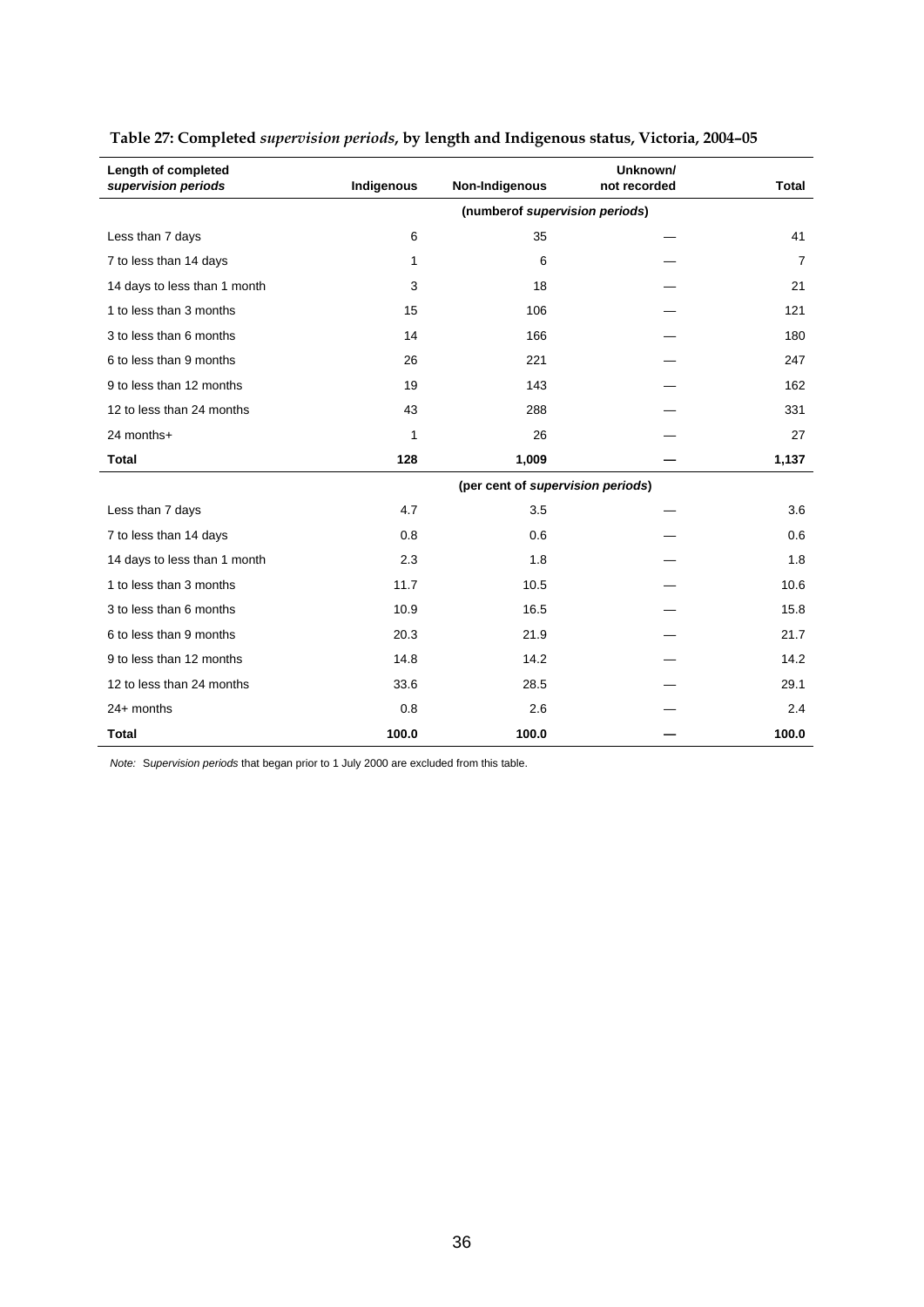| Length of completed<br>supervision periods | Indigenous | <b>Total</b>                      |  |       |
|--------------------------------------------|------------|-----------------------------------|--|-------|
|                                            |            | (numberof supervision periods)    |  |       |
| Less than 7 days                           | 6          | 35                                |  | 41    |
| 7 to less than 14 days                     | 1          | 6                                 |  | 7     |
| 14 days to less than 1 month               | 3          | 18                                |  | 21    |
| 1 to less than 3 months                    | 15         | 106                               |  | 121   |
| 3 to less than 6 months                    | 14         | 166                               |  | 180   |
| 6 to less than 9 months                    | 26         | 221                               |  | 247   |
| 9 to less than 12 months                   | 19         | 143                               |  | 162   |
| 12 to less than 24 months                  | 43         | 288                               |  | 331   |
| 24 months+                                 | 1          | 26                                |  | 27    |
| <b>Total</b>                               | 128        | 1,009                             |  | 1,137 |
|                                            |            | (per cent of supervision periods) |  |       |
| Less than 7 days                           | 4.7        | 3.5                               |  | 3.6   |
| 7 to less than 14 days                     | 0.8        | 0.6                               |  | 0.6   |
| 14 days to less than 1 month               | 2.3        | 1.8                               |  | 1.8   |
| 1 to less than 3 months                    | 11.7       | 10.5                              |  | 10.6  |
| 3 to less than 6 months                    | 10.9       | 16.5                              |  | 15.8  |
| 6 to less than 9 months                    | 20.3       | 21.9                              |  | 21.7  |
| 9 to less than 12 months                   | 14.8       | 14.2                              |  | 14.2  |
| 12 to less than 24 months                  | 33.6       | 28.5                              |  | 29.1  |
| 24+ months                                 | 0.8        | 2.6                               |  | 2.4   |
| <b>Total</b>                               | 100.0      | 100.0                             |  | 100.0 |

# **Table 27: Completed** *supervision periods***, by length and Indigenous status, Victoria, 2004–05**

*Note:* S*upervision periods* that began prior to 1 July 2000 are excluded from this table.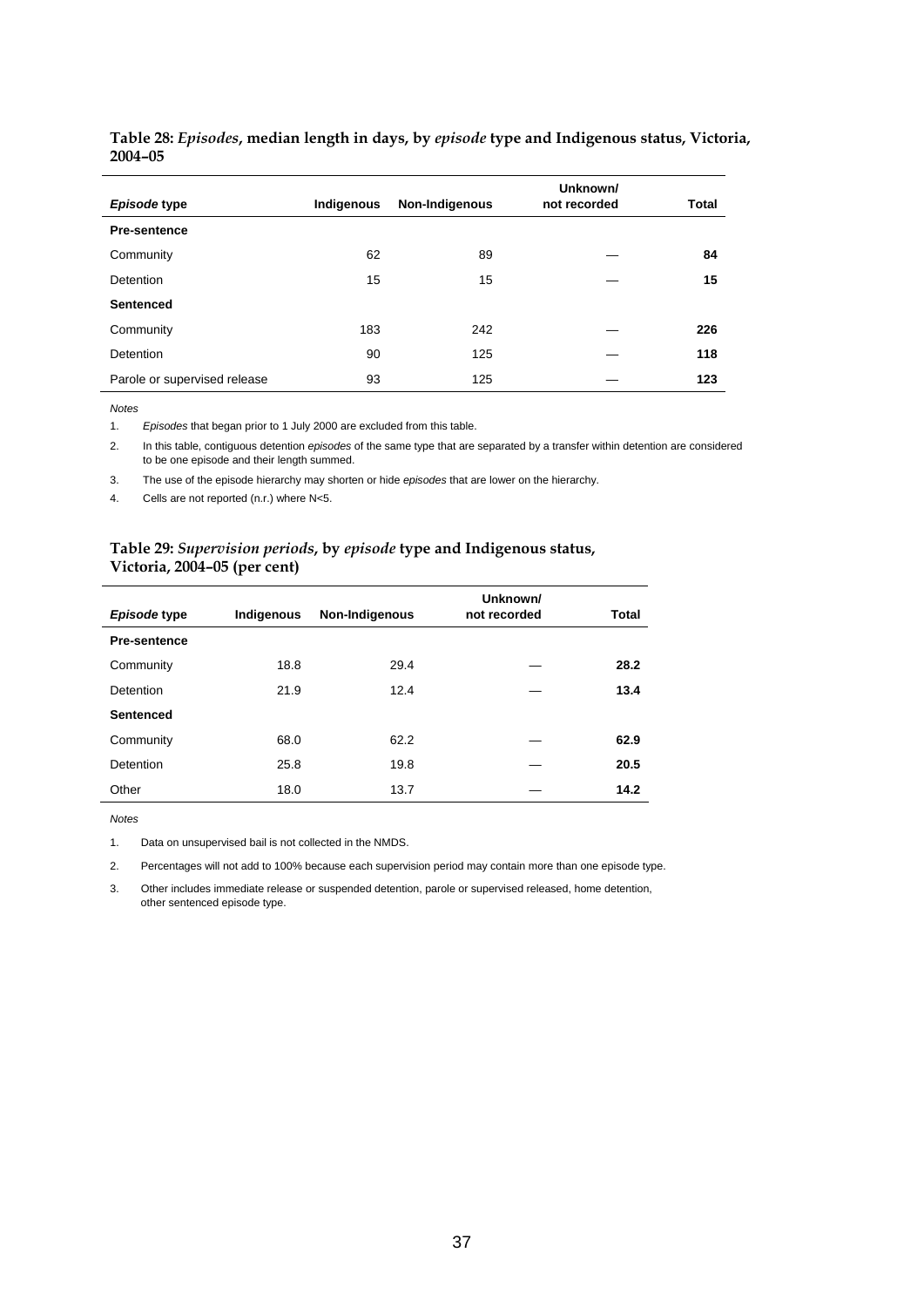| Episode type                 | Indigenous | Non-Indigenous | Unknown/<br>not recorded | Total |
|------------------------------|------------|----------------|--------------------------|-------|
| <b>Pre-sentence</b>          |            |                |                          |       |
| Community                    | 62         | 89             |                          | 84    |
| <b>Detention</b>             | 15         | 15             |                          | 15    |
| <b>Sentenced</b>             |            |                |                          |       |
| Community                    | 183        | 242            |                          | 226   |
| Detention                    | 90         | 125            |                          | 118   |
| Parole or supervised release | 93         | 125            |                          | 123   |

## **Table 28:** *Episodes***, median length in days, by** *episode* **type and Indigenous status, Victoria, 2004–05**

*Notes* 

1. *Episodes* that began prior to 1 July 2000 are excluded from this table.

2. In this table, contiguous detention *episodes* of the same type that are separated by a transfer within detention are considered to be one episode and their length summed.

3. The use of the episode hierarchy may shorten or hide *episodes* that are lower on the hierarchy.

4. Cells are not reported (n.r.) where N<5.

## **Table 29:** *Supervision periods***, by** *episode* **type and Indigenous status, Victoria, 2004–05 (per cent)**

| Episode type        | Indigenous | Non-Indigenous | Unknown/<br>not recorded | Total |
|---------------------|------------|----------------|--------------------------|-------|
| <b>Pre-sentence</b> |            |                |                          |       |
| Community           | 18.8       | 29.4           |                          | 28.2  |
| Detention           | 21.9       | 12.4           |                          | 13.4  |
| <b>Sentenced</b>    |            |                |                          |       |
| Community           | 68.0       | 62.2           |                          | 62.9  |
| Detention           | 25.8       | 19.8           |                          | 20.5  |
| Other               | 18.0       | 13.7           |                          | 14.2  |

*Notes* 

1. Data on unsupervised bail is not collected in the NMDS.

2. Percentages will not add to 100% because each supervision period may contain more than one episode type.

3. Other includes immediate release or suspended detention, parole or supervised released, home detention, other sentenced episode type.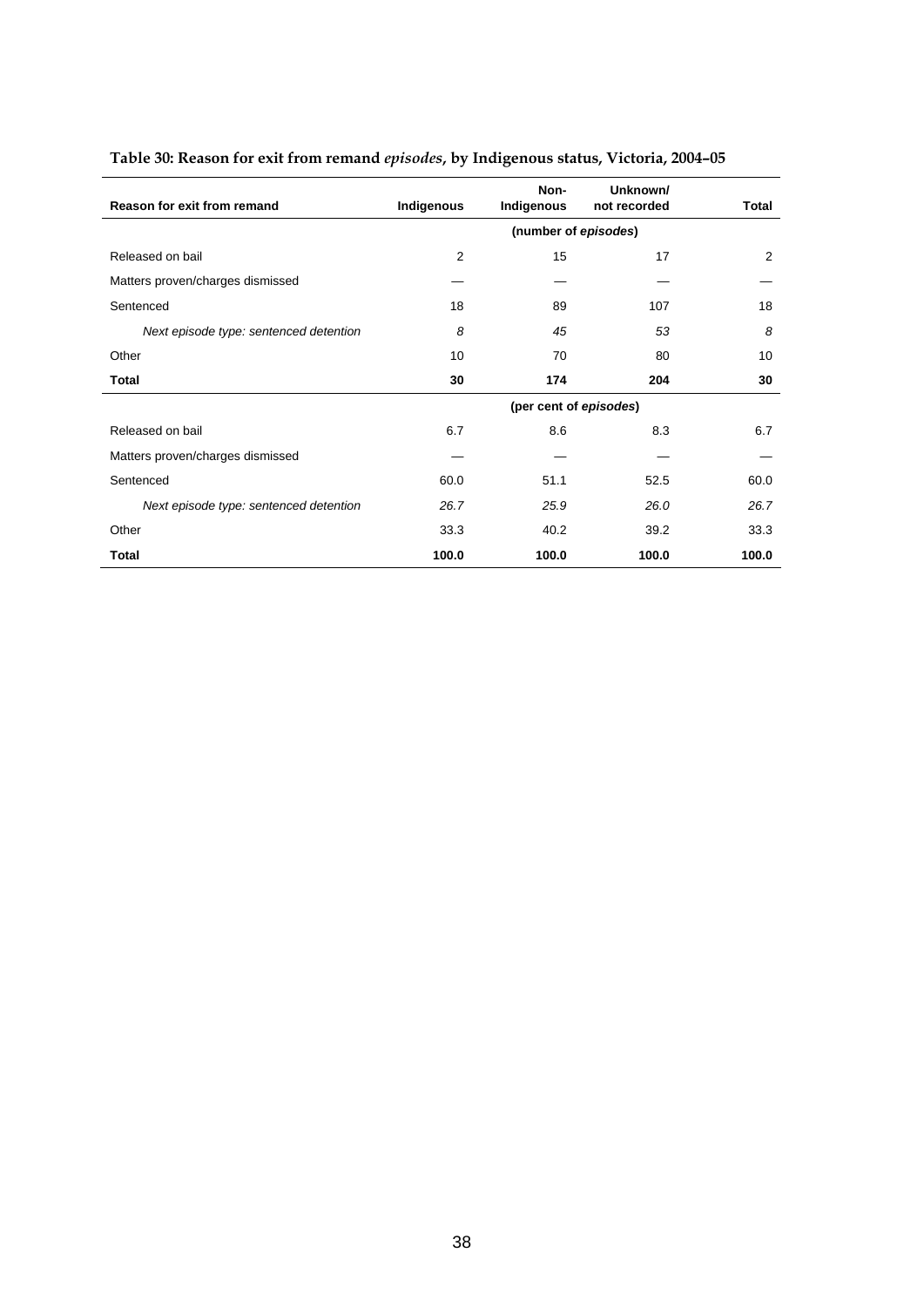| Reason for exit from remand            | Indigenous     | Non-<br>Indigenous     | Unknown/<br>not recorded | Total |
|----------------------------------------|----------------|------------------------|--------------------------|-------|
|                                        |                | (number of episodes)   |                          |       |
| Released on bail                       | $\overline{2}$ | 15                     | 17                       | 2     |
| Matters proven/charges dismissed       |                |                        |                          |       |
| Sentenced                              | 18             | 89                     | 107                      | 18    |
| Next episode type: sentenced detention | 8              | 45                     | 53                       | 8     |
| Other                                  | 10             | 70                     | 80                       | 10    |
| Total                                  | 30             | 174                    | 204                      | 30    |
|                                        |                | (per cent of episodes) |                          |       |
| Released on bail                       | 6.7            | 8.6                    | 8.3                      | 6.7   |
| Matters proven/charges dismissed       |                |                        |                          |       |
| Sentenced                              | 60.0           | 51.1                   | 52.5                     | 60.0  |
| Next episode type: sentenced detention | 26.7           | 25.9                   | 26.0                     | 26.7  |
| Other                                  | 33.3           | 40.2                   | 39.2                     | 33.3  |
| Total                                  | 100.0          | 100.0                  | 100.0                    | 100.0 |

# **Table 30: Reason for exit from remand** *episodes***, by Indigenous status, Victoria, 2004–05**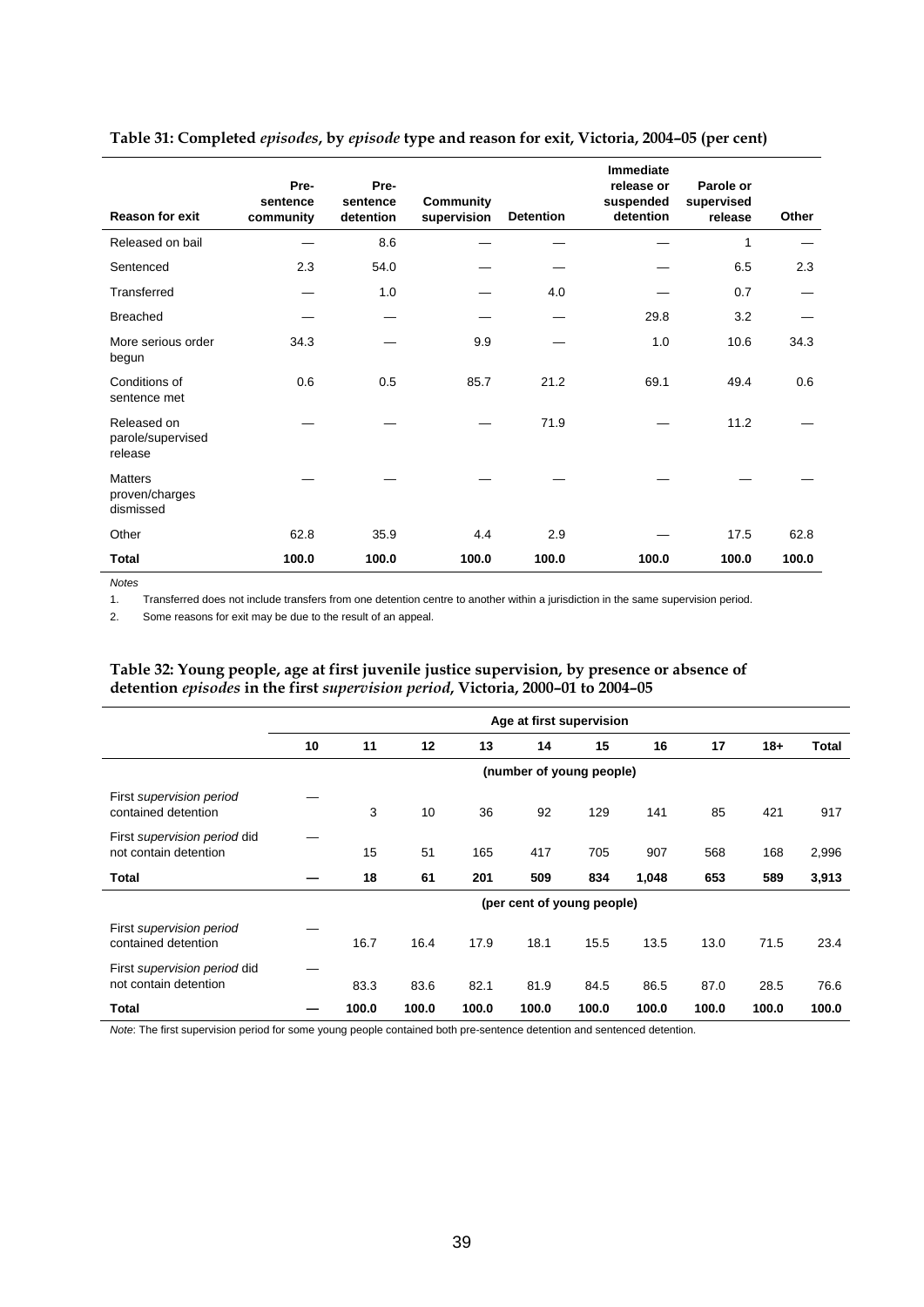| <b>Reason for exit</b>                        | Pre-<br>sentence<br>community | Pre-<br>sentence<br>detention | Community<br>supervision | <b>Detention</b> | <b>Immediate</b><br>release or<br>suspended<br>detention | Parole or<br>supervised<br>release | Other |
|-----------------------------------------------|-------------------------------|-------------------------------|--------------------------|------------------|----------------------------------------------------------|------------------------------------|-------|
| Released on bail                              |                               | 8.6                           |                          |                  |                                                          | 1                                  |       |
| Sentenced                                     | 2.3                           | 54.0                          |                          |                  |                                                          | 6.5                                | 2.3   |
| Transferred                                   |                               | 1.0                           |                          | 4.0              |                                                          | 0.7                                |       |
| <b>Breached</b>                               |                               |                               |                          |                  | 29.8                                                     | 3.2                                |       |
| More serious order<br>begun                   | 34.3                          |                               | 9.9                      |                  | 1.0                                                      | 10.6                               | 34.3  |
| Conditions of<br>sentence met                 | 0.6                           | 0.5                           | 85.7                     | 21.2             | 69.1                                                     | 49.4                               | 0.6   |
| Released on<br>parole/supervised<br>release   |                               |                               |                          | 71.9             |                                                          | 11.2                               |       |
| <b>Matters</b><br>proven/charges<br>dismissed |                               |                               |                          |                  |                                                          |                                    |       |
| Other                                         | 62.8                          | 35.9                          | 4.4                      | 2.9              |                                                          | 17.5                               | 62.8  |
| Total                                         | 100.0                         | 100.0                         | 100.0                    | 100.0            | 100.0                                                    | 100.0                              | 100.0 |

## **Table 31: Completed** *episodes***, by** *episode* **type and reason for exit, Victoria, 2004–05 (per cent)**

*Notes* 

1. Transferred does not include transfers from one detention centre to another within a jurisdiction in the same supervision period.

2. Some reasons for exit may be due to the result of an appeal.

## **Table 32: Young people, age at first juvenile justice supervision, by presence or absence of detention** *episodes* **in the first** *supervision period***, Victoria, 2000–01 to 2004–05**

|                                                       | Age at first supervision |       |       |       |       |                            |       |       |       |       |
|-------------------------------------------------------|--------------------------|-------|-------|-------|-------|----------------------------|-------|-------|-------|-------|
|                                                       | 10                       | 11    | 12    | 13    | 14    | 15                         | 16    | 17    | $18+$ | Total |
|                                                       | (number of young people) |       |       |       |       |                            |       |       |       |       |
| First supervision period<br>contained detention       |                          | 3     | 10    | 36    | 92    | 129                        | 141   | 85    | 421   | 917   |
| First supervision period did<br>not contain detention |                          | 15    | 51    | 165   | 417   | 705                        | 907   | 568   | 168   | 2,996 |
| <b>Total</b>                                          |                          | 18    | 61    | 201   | 509   | 834                        | 1,048 | 653   | 589   | 3,913 |
|                                                       |                          |       |       |       |       | (per cent of young people) |       |       |       |       |
| First supervision period<br>contained detention       |                          | 16.7  | 16.4  | 17.9  | 18.1  | 15.5                       | 13.5  | 13.0  | 71.5  | 23.4  |
| First supervision period did<br>not contain detention |                          | 83.3  | 83.6  | 82.1  | 81.9  | 84.5                       | 86.5  | 87.0  | 28.5  | 76.6  |
| <b>Total</b>                                          |                          | 100.0 | 100.0 | 100.0 | 100.0 | 100.0                      | 100.0 | 100.0 | 100.0 | 100.0 |

*Note*: The first supervision period for some young people contained both pre-sentence detention and sentenced detention.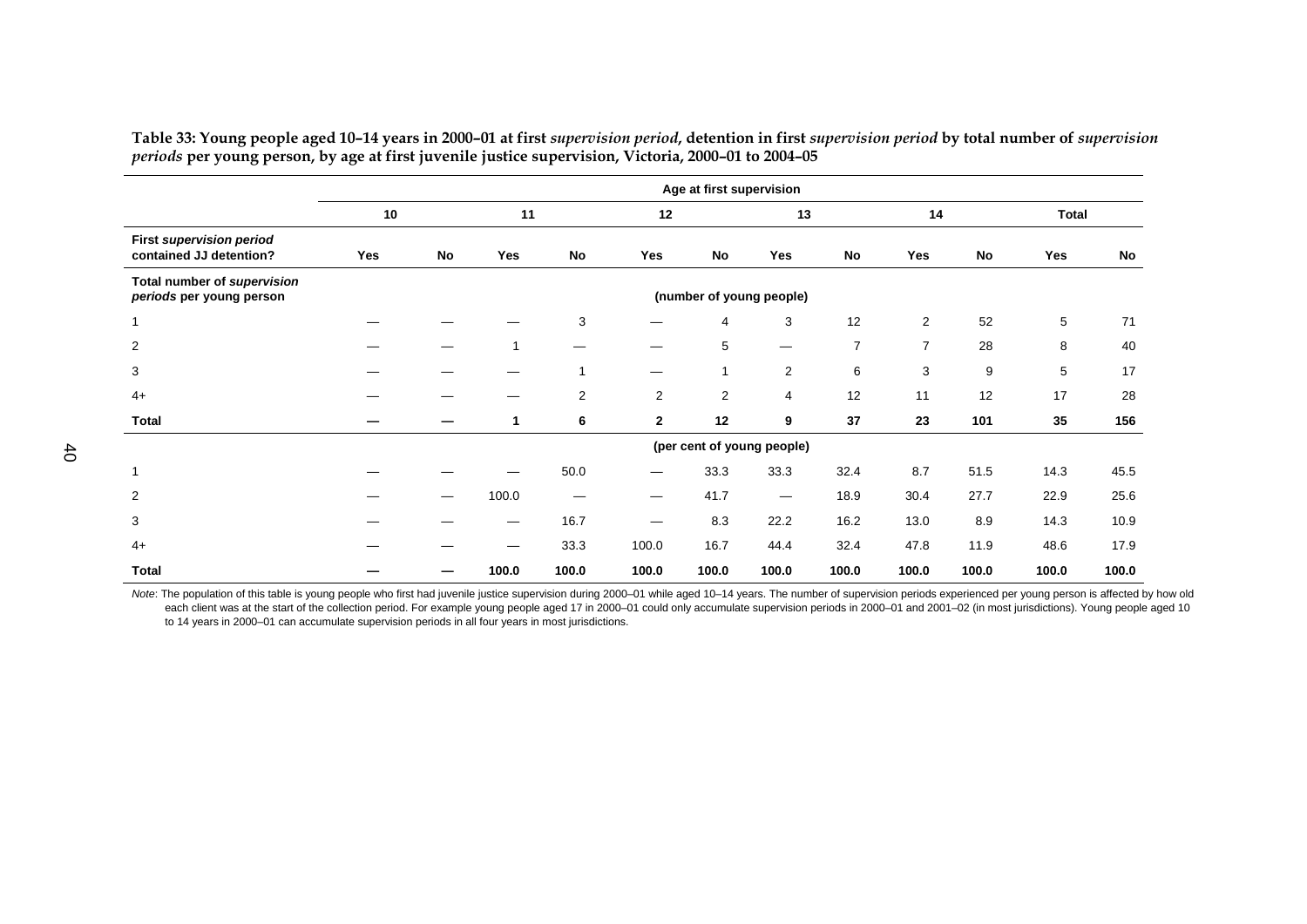**Age at first supervision 10 11 12 13 14 Total Total First** *supervision period*  **contained JJ detention? Yes No Yes No Yes No Yes No Yes No Yes No Total number of** *supervision periods* **per young person <b>periods** per young people) *periods* per young people) 1 — — — 3 — 4 3 12 2 52 5 71  $71$ 2 — — 1 — — 5 — 7 7 28 8 40 40 3 — — — 1 — 1 2 6 3 9 5 17 17 4+ — — — 2 2 2 4 12 11 12 17 28 28 **Total — — 1 6 2 12 9 37 23 101 35 156** 156  **(per cent of young people)**  1 — — — 50.0 — 33.3 33.3 32.4 8.7 51.5 14.3 45.5 45.5 2 — — 100.0 — — 41.7 — 18.9 30.4 27.7 22.9 25.6 25.6  $\sim$   $16.7$   $8.3$  22.2 16.2 13.0 8.9 14.3 10.9 10.9 4+ — — — 33.3 100.0 16.7 44.4 32.4 47.8 11.9 48.6 17.9 17.9 **Total — — 100.0 100.0 100.0 100.0 100.0 100.0 100.0 100.0 100.0 100.0** 100.0

Table 33: Young people aged 10-14 years in 2000-01 at first supervision period, detention in first supervision period by total number of supervision *periods* **per young person, by age at first juvenile justice supervision, Victoria, 2000–01 to 2004–05** 

Note: The population of this table is young people who first had juvenile justice supervision during 2000-01 while aged 10-14 years. The number of supervision periods experienced per young person is affected by how old each client was at the start of the collection period. For example young people aged 17 in 2000-01 could only accumulate supervision periods in 2000-01 and 2001-02 (in most jurisdictions). Young people aged 10 to 14 years in 2000–01 can accumulate supervision periods in all four years in most jurisdictions.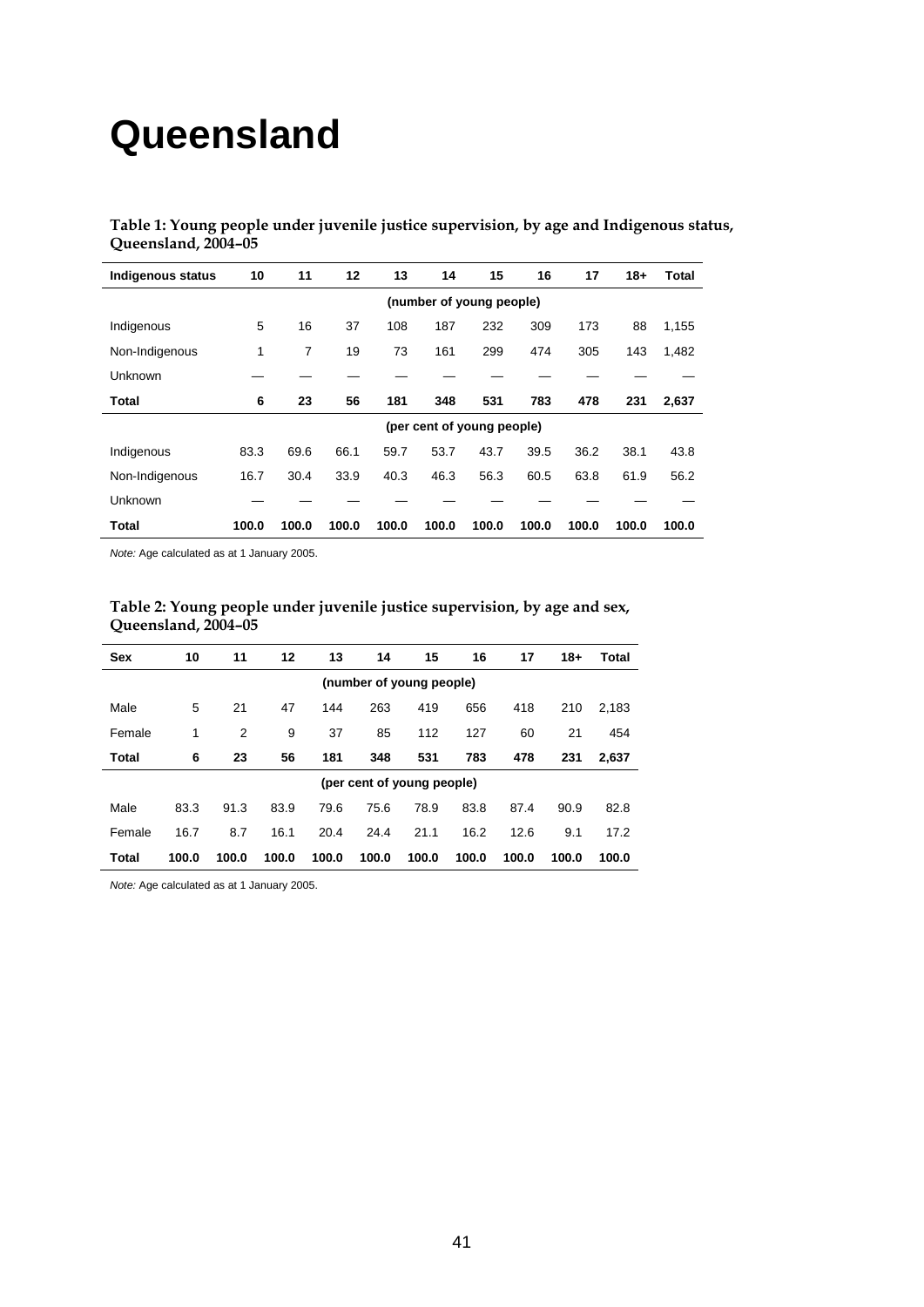# **Queensland**

**Table 1: Young people under juvenile justice supervision, by age and Indigenous status, Queensland, 2004–05** 

| <b>Indigenous status</b> | 10                       | 11    | 12    | 13    | 14    | 15                         | 16    | 17    | $18+$ | Total |
|--------------------------|--------------------------|-------|-------|-------|-------|----------------------------|-------|-------|-------|-------|
|                          | (number of young people) |       |       |       |       |                            |       |       |       |       |
| Indigenous               | 5                        | 16    | 37    | 108   | 187   | 232                        | 309   | 173   | 88    | 1,155 |
| Non-Indigenous           | 1                        | 7     | 19    | 73    | 161   | 299                        | 474   | 305   | 143   | 1,482 |
| Unknown                  |                          |       |       |       |       |                            |       |       |       |       |
| Total                    | 6                        | 23    | 56    | 181   | 348   | 531                        | 783   | 478   | 231   | 2,637 |
|                          |                          |       |       |       |       | (per cent of young people) |       |       |       |       |
| Indigenous               | 83.3                     | 69.6  | 66.1  | 59.7  | 53.7  | 43.7                       | 39.5  | 36.2  | 38.1  | 43.8  |
| Non-Indigenous           | 16.7                     | 30.4  | 33.9  | 40.3  | 46.3  | 56.3                       | 60.5  | 63.8  | 61.9  | 56.2  |
| Unknown                  |                          |       |       |       |       |                            |       |       |       |       |
| Total                    | 100.0                    | 100.0 | 100.0 | 100.0 | 100.0 | 100.0                      | 100.0 | 100.0 | 100.0 | 100.0 |

*Note:* Age calculated as at 1 January 2005.

| Table 2: Young people under juvenile justice supervision, by age and sex, |  |
|---------------------------------------------------------------------------|--|
| Queensland, 2004–05                                                       |  |

| <b>Sex</b>   | 10    | 11                       | 12    | 13    | 14                         | 15    | 16    | 17    | $18+$ | Total |
|--------------|-------|--------------------------|-------|-------|----------------------------|-------|-------|-------|-------|-------|
|              |       | (number of young people) |       |       |                            |       |       |       |       |       |
| Male         | 5     | 21                       | 47    | 144   | 263                        | 419   | 656   | 418   | 210   | 2,183 |
| Female       | 1     | 2                        | 9     | 37    | 85                         | 112   | 127   | 60    | 21    | 454   |
| <b>Total</b> | 6     | 23                       | 56    | 181   | 348                        | 531   | 783   | 478   | 231   | 2.637 |
|              |       |                          |       |       | (per cent of young people) |       |       |       |       |       |
| Male         | 83.3  | 91.3                     | 83.9  | 79.6  | 75.6                       | 78.9  | 83.8  | 87.4  | 90.9  | 82.8  |
| Female       | 16.7  | 8.7                      | 16.1  | 20.4  | 24.4                       | 21.1  | 16.2  | 12.6  | 9.1   | 17.2  |
| Total        | 100.0 | 100.0                    | 100.0 | 100.0 | 100.0                      | 100.0 | 100.0 | 100.0 | 100.0 | 100.0 |

*Note:* Age calculated as at 1 January 2005.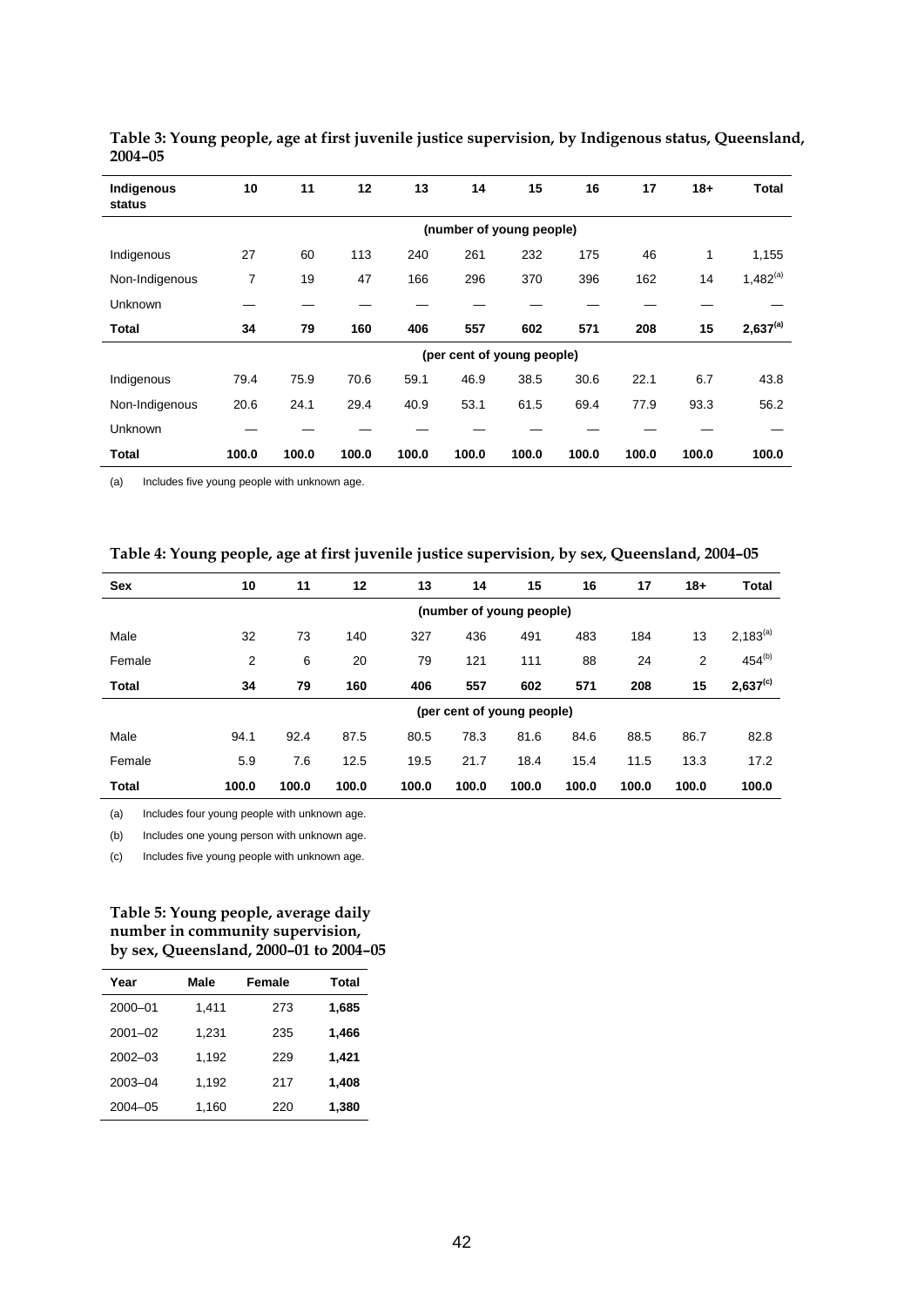| Indigenous<br>status | 10             | 11                       | 12    | 13    | 14    | 15                         | 16    | 17    | $18 +$       | <b>Total</b>  |  |  |
|----------------------|----------------|--------------------------|-------|-------|-------|----------------------------|-------|-------|--------------|---------------|--|--|
|                      |                | (number of young people) |       |       |       |                            |       |       |              |               |  |  |
| Indigenous           | 27             | 60                       | 113   | 240   | 261   | 232                        | 175   | 46    | $\mathbf{1}$ | 1,155         |  |  |
| Non-Indigenous       | $\overline{7}$ | 19                       | 47    | 166   | 296   | 370                        | 396   | 162   | 14           | $1,482^{(a)}$ |  |  |
| Unknown              |                |                          |       |       |       |                            |       |       |              |               |  |  |
| <b>Total</b>         | 34             | 79                       | 160   | 406   | 557   | 602                        | 571   | 208   | 15           | $2,637^{(a)}$ |  |  |
|                      |                |                          |       |       |       | (per cent of young people) |       |       |              |               |  |  |
| Indigenous           | 79.4           | 75.9                     | 70.6  | 59.1  | 46.9  | 38.5                       | 30.6  | 22.1  | 6.7          | 43.8          |  |  |
| Non-Indigenous       | 20.6           | 24.1                     | 29.4  | 40.9  | 53.1  | 61.5                       | 69.4  | 77.9  | 93.3         | 56.2          |  |  |
| Unknown              |                |                          |       |       |       |                            |       |       |              |               |  |  |
| <b>Total</b>         | 100.0          | 100.0                    | 100.0 | 100.0 | 100.0 | 100.0                      | 100.0 | 100.0 | 100.0        | 100.0         |  |  |

**Table 3: Young people, age at first juvenile justice supervision, by Indigenous status, Queensland, 2004–05** 

(a) Includes five young people with unknown age.

| Table 4: Young people, age at first juvenile justice supervision, by sex, Queensland, 2004-05 |  |  |  |
|-----------------------------------------------------------------------------------------------|--|--|--|
|                                                                                               |  |  |  |

| <b>Sex</b>   | 10    | 11    | 12    | 13    | 14                         | 15    | 16    | 17    | $18+$ | <b>Total</b>  |
|--------------|-------|-------|-------|-------|----------------------------|-------|-------|-------|-------|---------------|
|              |       |       |       |       | (number of young people)   |       |       |       |       |               |
| Male         | 32    | 73    | 140   | 327   | 436                        | 491   | 483   | 184   | 13    | $2,183^{(a)}$ |
| Female       | 2     | 6     | 20    | 79    | 121                        | 111   | 88    | 24    | 2     | $454^{(b)}$   |
| <b>Total</b> | 34    | 79    | 160   | 406   | 557                        | 602   | 571   | 208   | 15    | $2,637^{(c)}$ |
|              |       |       |       |       | (per cent of young people) |       |       |       |       |               |
| Male         | 94.1  | 92.4  | 87.5  | 80.5  | 78.3                       | 81.6  | 84.6  | 88.5  | 86.7  | 82.8          |
| Female       | 5.9   | 7.6   | 12.5  | 19.5  | 21.7                       | 18.4  | 15.4  | 11.5  | 13.3  | 17.2          |
| Total        | 100.0 | 100.0 | 100.0 | 100.0 | 100.0                      | 100.0 | 100.0 | 100.0 | 100.0 | 100.0         |

(a) Includes four young people with unknown age.

(b) Includes one young person with unknown age.

(c) Includes five young people with unknown age.

## **Table 5: Young people, average daily number in community supervision, by sex, Queensland, 2000–01 to 2004–05**

| Year        | Male  | <b>Female</b> | <b>Total</b> |
|-------------|-------|---------------|--------------|
| 2000-01     | 1,411 | 273           | 1,685        |
| $2001 - 02$ | 1.231 | 235           | 1,466        |
| $2002 - 03$ | 1.192 | 229           | 1,421        |
| 2003-04     | 1.192 | 217           | 1,408        |
| $2004 - 05$ | 1,160 | 220           | 1,380        |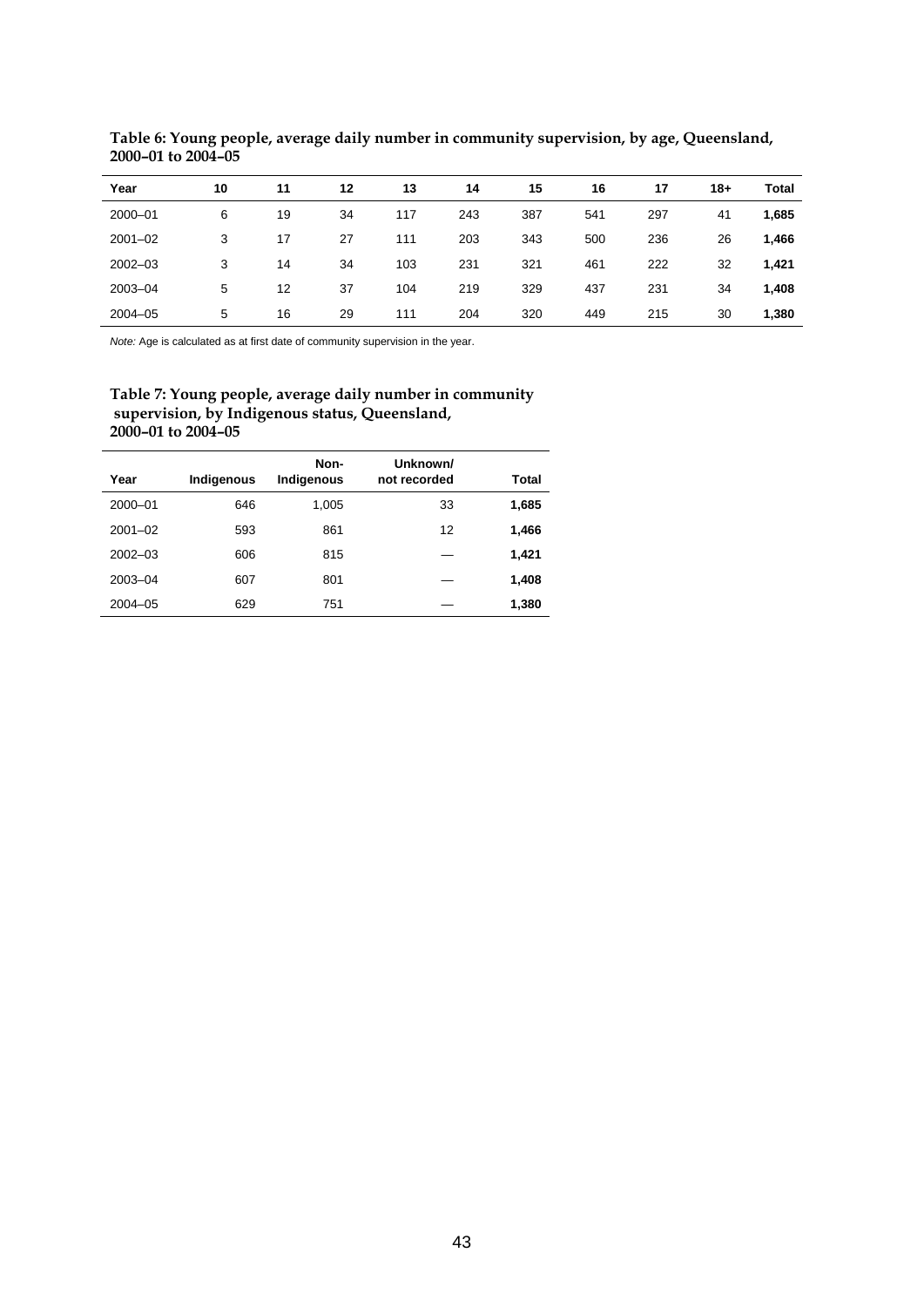| Year        | 10 | 11 | 12 | 13  | 14  | 15  | 16  | 17  | $18+$ | <b>Total</b> |
|-------------|----|----|----|-----|-----|-----|-----|-----|-------|--------------|
| 2000-01     | 6  | 19 | 34 | 117 | 243 | 387 | 541 | 297 | 41    | 1,685        |
| $2001 - 02$ | 3  | 17 | 27 | 111 | 203 | 343 | 500 | 236 | 26    | 1,466        |
| $2002 - 03$ | 3  | 14 | 34 | 103 | 231 | 321 | 461 | 222 | 32    | 1,421        |
| 2003-04     | 5  | 12 | 37 | 104 | 219 | 329 | 437 | 231 | 34    | 1,408        |
| $2004 - 05$ | 5  | 16 | 29 | 111 | 204 | 320 | 449 | 215 | 30    | 1,380        |

**Table 6: Young people, average daily number in community supervision, by age, Queensland, 2000–01 to 2004–05** 

*Note:* Age is calculated as at first date of community supervision in the year.

## **Table 7: Young people, average daily number in community supervision, by Indigenous status, Queensland, 2000–01 to 2004–05**

| Year        | Indigenous | Non-<br>Indigenous | Unknown/<br>not recorded | Total |
|-------------|------------|--------------------|--------------------------|-------|
| 2000-01     | 646        | 1,005              | 33                       | 1,685 |
| $2001 - 02$ | 593        | 861                | 12                       | 1,466 |
| $2002 - 03$ | 606        | 815                |                          | 1,421 |
| $2003 - 04$ | 607        | 801                |                          | 1,408 |
| $2004 - 05$ | 629        | 751                |                          | 1,380 |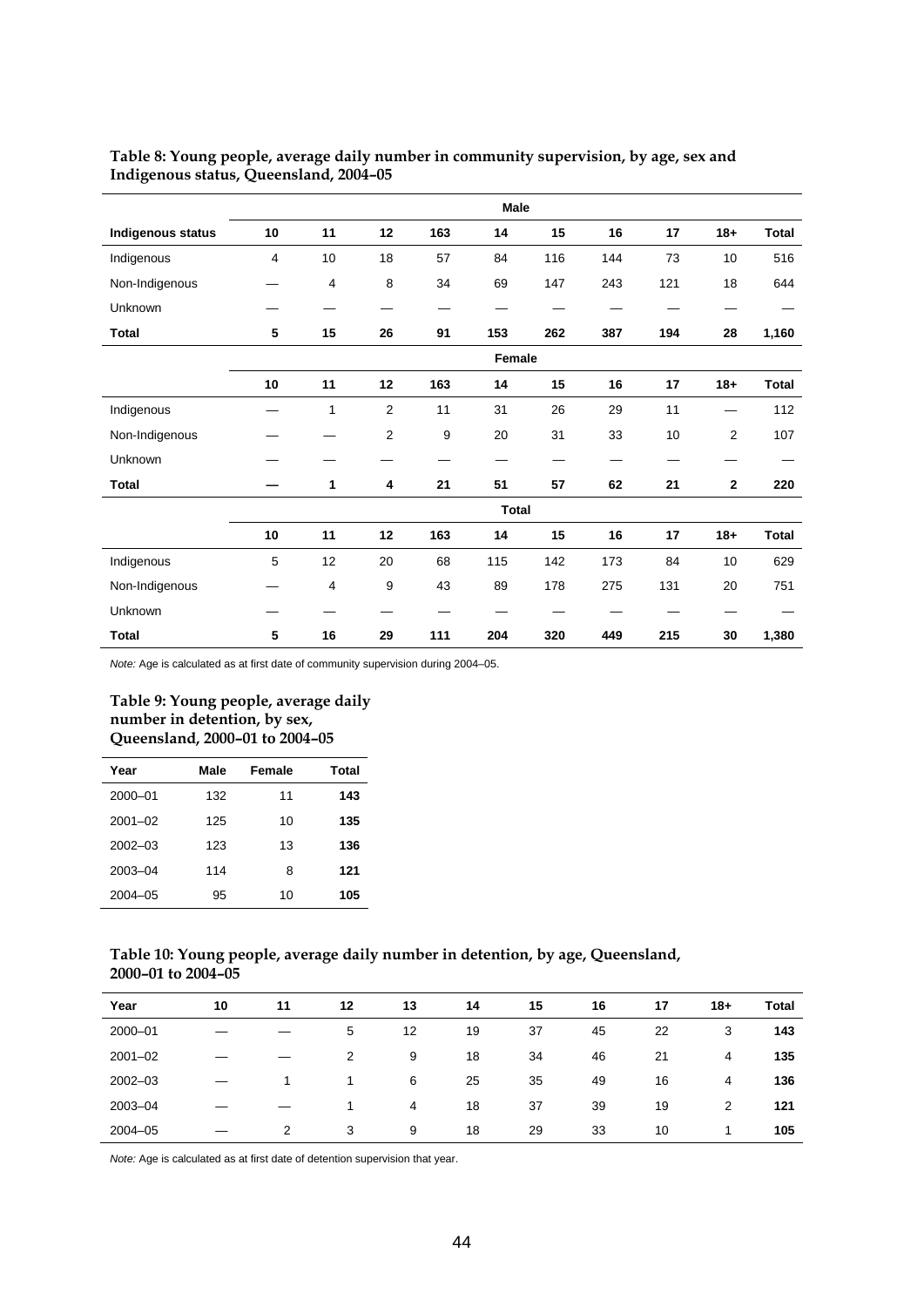|                   |    |                |                |     | Male         |     |     |     |                |              |
|-------------------|----|----------------|----------------|-----|--------------|-----|-----|-----|----------------|--------------|
| Indigenous status | 10 | 11             | 12             | 163 | 14           | 15  | 16  | 17  | $18 +$         | <b>Total</b> |
| Indigenous        | 4  | 10             | 18             | 57  | 84           | 116 | 144 | 73  | 10             | 516          |
| Non-Indigenous    |    | 4              | 8              | 34  | 69           | 147 | 243 | 121 | 18             | 644          |
| Unknown           |    |                |                |     |              |     |     |     |                |              |
| <b>Total</b>      | 5  | 15             | 26             | 91  | 153          | 262 | 387 | 194 | 28             | 1,160        |
|                   |    |                |                |     | Female       |     |     |     |                |              |
|                   | 10 | 11             | 12             | 163 | 14           | 15  | 16  | 17  | $18+$          | <b>Total</b> |
| Indigenous        |    | $\mathbf{1}$   | 2              | 11  | 31           | 26  | 29  | 11  | —              | 112          |
| Non-Indigenous    |    |                | $\overline{2}$ | 9   | 20           | 31  | 33  | 10  | $\overline{2}$ | 107          |
| Unknown           |    |                |                |     |              |     |     |     |                |              |
| <b>Total</b>      |    | 1              | 4              | 21  | 51           | 57  | 62  | 21  | $\mathbf{2}$   | 220          |
|                   |    |                |                |     | <b>Total</b> |     |     |     |                |              |
|                   | 10 | 11             | 12             | 163 | 14           | 15  | 16  | 17  | $18 +$         | <b>Total</b> |
| Indigenous        | 5  | 12             | 20             | 68  | 115          | 142 | 173 | 84  | 10             | 629          |
| Non-Indigenous    |    | $\overline{4}$ | 9              | 43  | 89           | 178 | 275 | 131 | 20             | 751          |
| Unknown           |    |                |                |     |              |     |     |     |                |              |
| <b>Total</b>      | 5  | 16             | 29             | 111 | 204          | 320 | 449 | 215 | 30             | 1,380        |

## **Table 8: Young people, average daily number in community supervision, by age, sex and Indigenous status, Queensland, 2004–05**

*Note:* Age is calculated as at first date of community supervision during 2004–05.

## **Table 9: Young people, average daily number in detention, by sex, Queensland, 2000–01 to 2004–05**

| Year        | Male | Female | Total |
|-------------|------|--------|-------|
| 2000-01     | 132  | 11     | 143   |
| $2001 - 02$ | 125  | 10     | 135   |
| $2002 - 03$ | 123  | 13     | 136   |
| 2003-04     | 114  | 8      | 121   |
| 2004-05     | 95   | 10     | 105   |

## **Table 10: Young people, average daily number in detention, by age, Queensland, 2000–01 to 2004–05**

| Year        | 10 | 11 | 12 | 13 | 14 | 15 | 16 | 17 | $18+$ | Total |
|-------------|----|----|----|----|----|----|----|----|-------|-------|
| 2000-01     |    |    | 5  | 12 | 19 | 37 | 45 | 22 | 3     | 143   |
| $2001 - 02$ |    |    | 2  | 9  | 18 | 34 | 46 | 21 | 4     | 135   |
| $2002 - 03$ |    |    |    | 6  | 25 | 35 | 49 | 16 | 4     | 136   |
| 2003-04     |    |    |    | 4  | 18 | 37 | 39 | 19 | 2     | 121   |
| $2004 - 05$ |    | 2  | 3  | 9  | 18 | 29 | 33 | 10 |       | 105   |

*Note:* Age is calculated as at first date of detention supervision that year.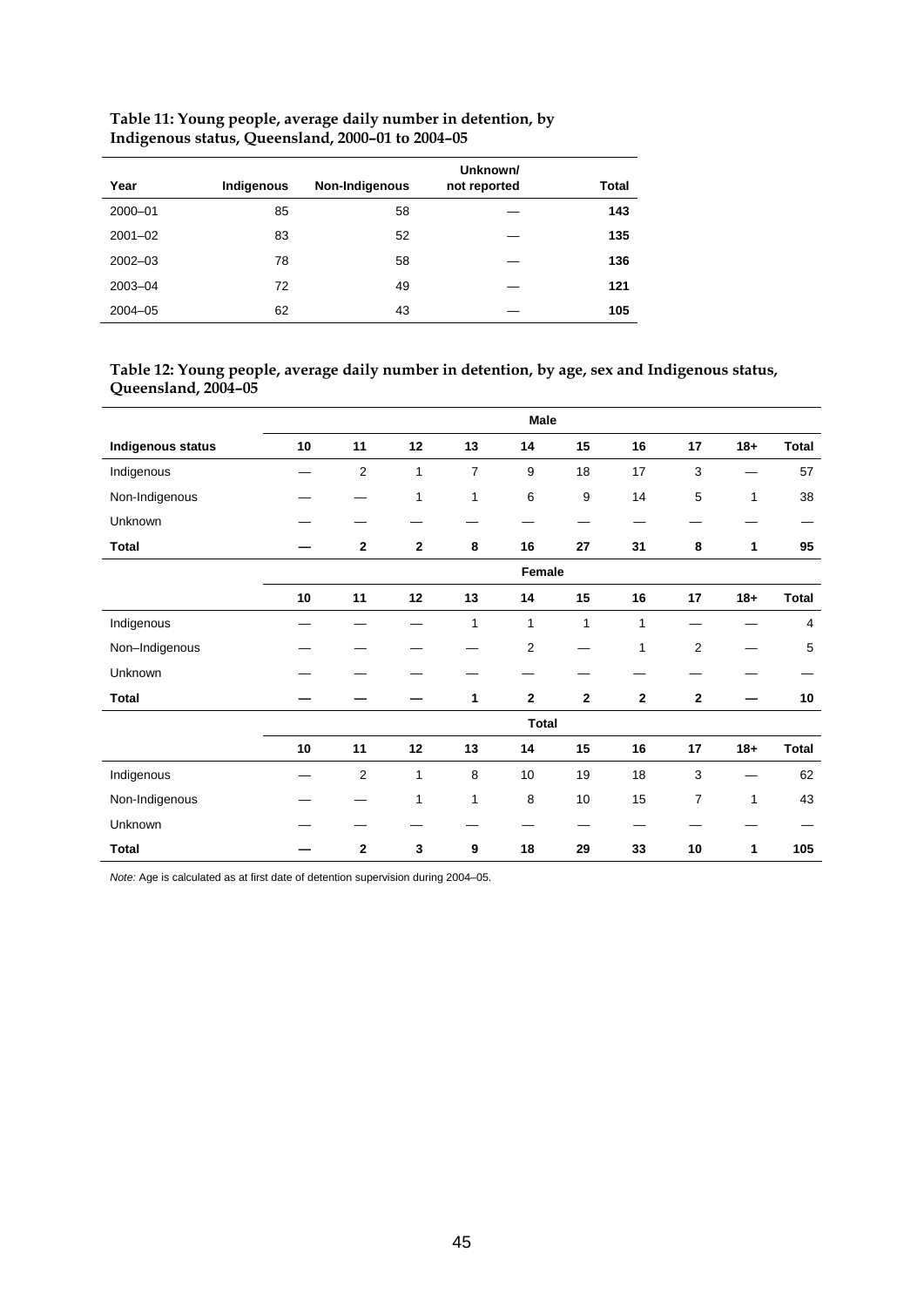| Year        | Indigenous | Non-Indigenous | Unknown/<br>not reported | Total |
|-------------|------------|----------------|--------------------------|-------|
| 2000-01     | 85         | 58             |                          | 143   |
| $2001 - 02$ | 83         | 52             |                          | 135   |
| $2002 - 03$ | 78         | 58             |                          | 136   |
| 2003-04     | 72         | 49             |                          | 121   |
| $2004 - 05$ | 62         | 43             |                          | 105   |

## **Table 11: Young people, average daily number in detention, by Indigenous status, Queensland, 2000–01 to 2004–05**

## **Table 12: Young people, average daily number in detention, by age, sex and Indigenous status, Queensland, 2004–05**

|                          |            |                |              |                | <b>Male</b>  |              |              |                |              |              |
|--------------------------|------------|----------------|--------------|----------------|--------------|--------------|--------------|----------------|--------------|--------------|
| <b>Indigenous status</b> | 10         | 11             | 12           | 13             | 14           | 15           | 16           | 17             | $18 +$       | <b>Total</b> |
| Indigenous               |            | $\overline{c}$ | 1            | $\overline{7}$ | 9            | 18           | 17           | 3              |              | 57           |
| Non-Indigenous           |            |                | 1            | 1              | 6            | 9            | 14           | 5              | 1            | 38           |
| Unknown                  |            |                |              |                |              |              | _            |                |              |              |
| <b>Total</b>             |            | $\mathbf{2}$   | $\mathbf{2}$ | 8              | 16           | 27           | 31           | 8              | 1            | 95           |
|                          |            |                |              |                | Female       |              |              |                |              |              |
|                          | ${\bf 10}$ | 11             | 12           | 13             | 14           | 15           | 16           | 17             | $18+$        | <b>Total</b> |
| Indigenous               |            |                |              | 1              | 1            | $\mathbf{1}$ | 1            |                |              | 4            |
| Non-Indigenous           |            |                |              |                | $\mathbf 2$  |              | 1            | $\overline{2}$ |              | 5            |
| Unknown                  |            |                |              |                |              |              |              |                |              |              |
| <b>Total</b>             |            |                |              | 1              | $\mathbf 2$  | $\mathbf 2$  | $\mathbf{2}$ | $\mathbf{2}$   |              | 10           |
|                          |            |                |              |                | <b>Total</b> |              |              |                |              |              |
|                          | 10         | 11             | 12           | 13             | 14           | 15           | 16           | 17             | $18+$        | <b>Total</b> |
| Indigenous               |            | $\overline{c}$ | 1            | $\,8\,$        | 10           | 19           | 18           | $\sqrt{3}$     |              | 62           |
| Non-Indigenous           |            |                | 1            | 1              | 8            | 10           | 15           | $\overline{7}$ | $\mathbf{1}$ | 43           |
| Unknown                  |            |                |              |                |              |              |              |                |              |              |
| <b>Total</b>             |            | $\mathbf 2$    | 3            | 9              | 18           | 29           | 33           | 10             | 1            | 105          |

*Note:* Age is calculated as at first date of detention supervision during 2004–05.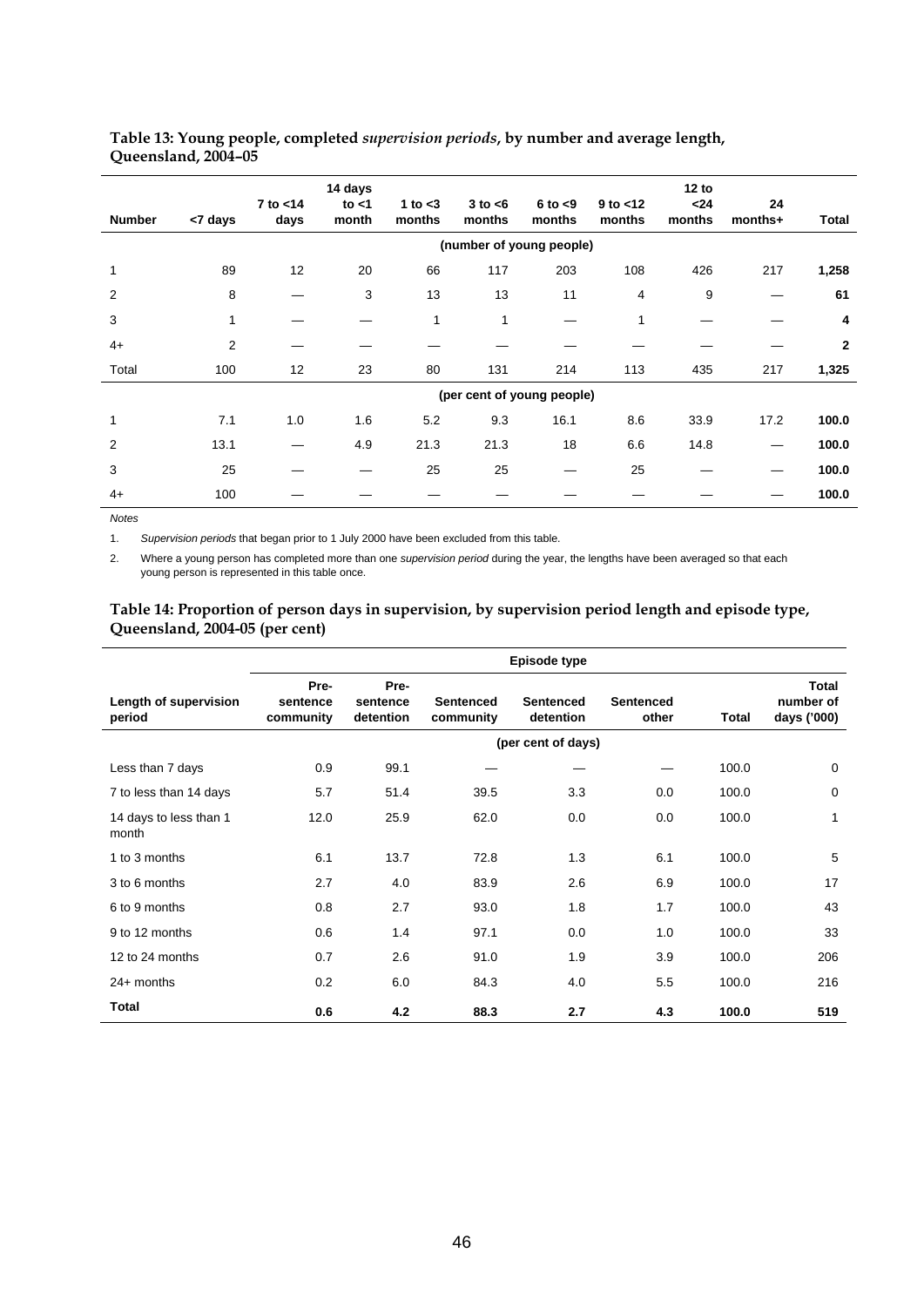## **Table 13: Young people, completed** *supervision periods***, by number and average length, Queensland, 2004–05**

| <b>Number</b> | <7 days | 7 to <14<br>days | 14 days<br>to $<$ 1<br>month | 1 to $<$ 3<br>months | $3$ to $<$ 6<br>months     | $6$ to $< 9$<br>months | $9$ to $< 12$<br>months | 12 to<br>$24$<br>months | 24<br>months+ | Total          |
|---------------|---------|------------------|------------------------------|----------------------|----------------------------|------------------------|-------------------------|-------------------------|---------------|----------------|
|               |         |                  |                              |                      | (number of young people)   |                        |                         |                         |               |                |
| $\mathbf{1}$  | 89      | 12               | 20                           | 66                   | 117                        | 203                    | 108                     | 426                     | 217           | 1,258          |
| 2             | 8       |                  | 3                            | 13                   | 13                         | 11                     | 4                       | 9                       |               | 61             |
| 3             | 1       |                  |                              | 1                    | 1                          |                        | 1                       |                         |               | 4              |
| $4+$          | 2       |                  |                              |                      |                            |                        |                         |                         |               | $\overline{2}$ |
| Total         | 100     | 12               | 23                           | 80                   | 131                        | 214                    | 113                     | 435                     | 217           | 1,325          |
|               |         |                  |                              |                      | (per cent of young people) |                        |                         |                         |               |                |
| 1             | 7.1     | 1.0              | 1.6                          | 5.2                  | 9.3                        | 16.1                   | 8.6                     | 33.9                    | 17.2          | 100.0          |
| 2             | 13.1    |                  | 4.9                          | 21.3                 | 21.3                       | 18                     | 6.6                     | 14.8                    |               | 100.0          |
| 3             | 25      |                  |                              | 25                   | 25                         |                        | 25                      |                         |               | 100.0          |
| $4+$          | 100     |                  |                              |                      |                            |                        |                         |                         |               | 100.0          |

*Notes* 

1. *Supervision periods* that began prior to 1 July 2000 have been excluded from this table.

2. Where a young person has completed more than one *supervision period* during the year, the lengths have been averaged so that each young person is represented in this table once.

## **Table 14: Proportion of person days in supervision, by supervision period length and episode type, Queensland, 2004-05 (per cent)**

|                                 | Episode type                  |                               |                               |                               |                    |       |                                   |  |  |  |
|---------------------------------|-------------------------------|-------------------------------|-------------------------------|-------------------------------|--------------------|-------|-----------------------------------|--|--|--|
| Length of supervision<br>period | Pre-<br>sentence<br>community | Pre-<br>sentence<br>detention | <b>Sentenced</b><br>community | <b>Sentenced</b><br>detention | Sentenced<br>other | Total | Total<br>number of<br>days ('000) |  |  |  |
|                                 |                               |                               |                               | (per cent of days)            |                    |       |                                   |  |  |  |
| Less than 7 days                | 0.9                           | 99.1                          |                               |                               |                    | 100.0 | 0                                 |  |  |  |
| 7 to less than 14 days          | 5.7                           | 51.4                          | 39.5                          | 3.3                           | 0.0                | 100.0 | 0                                 |  |  |  |
| 14 days to less than 1<br>month | 12.0                          | 25.9                          | 62.0                          | 0.0                           | 0.0                | 100.0 | 1                                 |  |  |  |
| 1 to 3 months                   | 6.1                           | 13.7                          | 72.8                          | 1.3                           | 6.1                | 100.0 | 5                                 |  |  |  |
| 3 to 6 months                   | 2.7                           | 4.0                           | 83.9                          | 2.6                           | 6.9                | 100.0 | 17                                |  |  |  |
| 6 to 9 months                   | 0.8                           | 2.7                           | 93.0                          | 1.8                           | 1.7                | 100.0 | 43                                |  |  |  |
| 9 to 12 months                  | 0.6                           | 1.4                           | 97.1                          | 0.0                           | 1.0                | 100.0 | 33                                |  |  |  |
| 12 to 24 months                 | 0.7                           | 2.6                           | 91.0                          | 1.9                           | 3.9                | 100.0 | 206                               |  |  |  |
| $24+$ months                    | 0.2                           | 6.0                           | 84.3                          | 4.0                           | 5.5                | 100.0 | 216                               |  |  |  |
| <b>Total</b>                    | 0.6                           | 4.2                           | 88.3                          | 2.7                           | 4.3                | 100.0 | 519                               |  |  |  |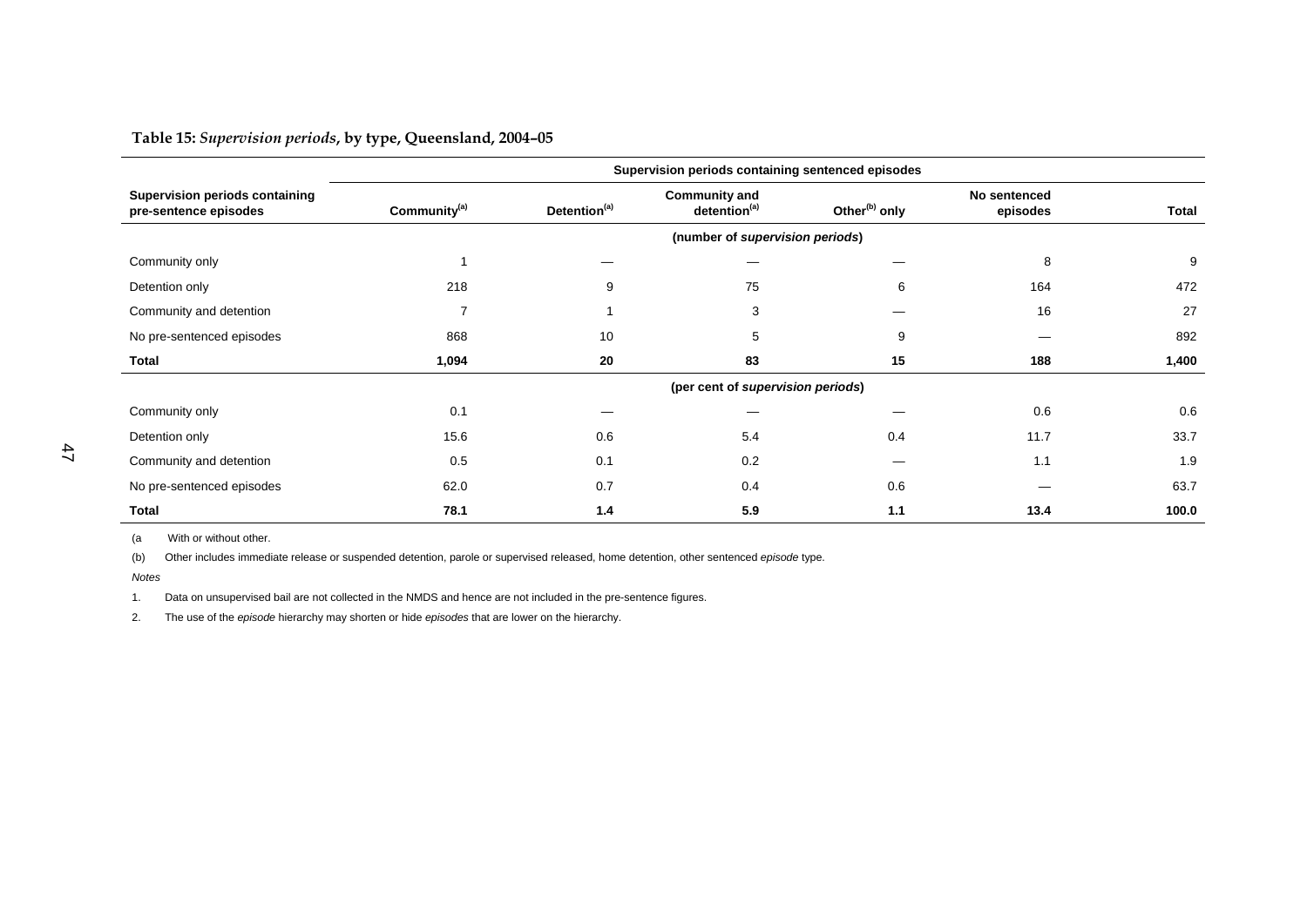**Table 15:** *Supervision periods***, by type, Queensland, 2004–05** 

|                                                                | Supervision periods containing sentenced episodes |                          |                                                  |     |                          |              |  |  |
|----------------------------------------------------------------|---------------------------------------------------|--------------------------|--------------------------------------------------|-----|--------------------------|--------------|--|--|
| <b>Supervision periods containing</b><br>pre-sentence episodes | Community <sup>(a)</sup>                          | Detention <sup>(a)</sup> | <b>Community and</b><br>detention <sup>(a)</sup> |     | No sentenced<br>episodes | <b>Total</b> |  |  |
|                                                                |                                                   |                          | (number of supervision periods)                  |     |                          |              |  |  |
| Community only                                                 |                                                   |                          |                                                  |     | 8                        | 9            |  |  |
| Detention only                                                 | 218                                               | 9                        | 75                                               | 6   | 164                      | 472          |  |  |
| Community and detention                                        | 7                                                 |                          | 3                                                |     | 16                       | 27           |  |  |
| No pre-sentenced episodes                                      | 868                                               | 10                       | 5                                                | 9   |                          | 892          |  |  |
| Total                                                          | 1,094                                             | 20                       | 83                                               | 15  | 188                      | 1,400        |  |  |
|                                                                |                                                   |                          | (per cent of supervision periods)                |     |                          |              |  |  |
| Community only                                                 | 0.1                                               |                          |                                                  |     | 0.6                      | 0.6          |  |  |
| Detention only                                                 | 15.6                                              | 0.6                      | 5.4                                              | 0.4 | 11.7                     | 33.7         |  |  |
| Community and detention                                        | 0.5                                               | 0.1                      | 0.2                                              |     | 1.1                      | 1.9          |  |  |
| No pre-sentenced episodes                                      | 62.0                                              | 0.7                      | 0.4                                              | 0.6 |                          | 63.7         |  |  |
| <b>Total</b>                                                   | 78.1                                              | 1.4                      | 5.9                                              | 1.1 | 13.4                     | 100.0        |  |  |

(a With or without other.

(b) Other includes immediate release or suspended detention, parole or supervised released, home detention, other sentenced *episode* type.

*Notes*

1. Data on unsupervised bail are not collected in the NMDS and hence are not included in the pre-sentence figures.

2. The use of the *episode* hierarchy may shorten or hide *episodes* that are lower on the hierarchy.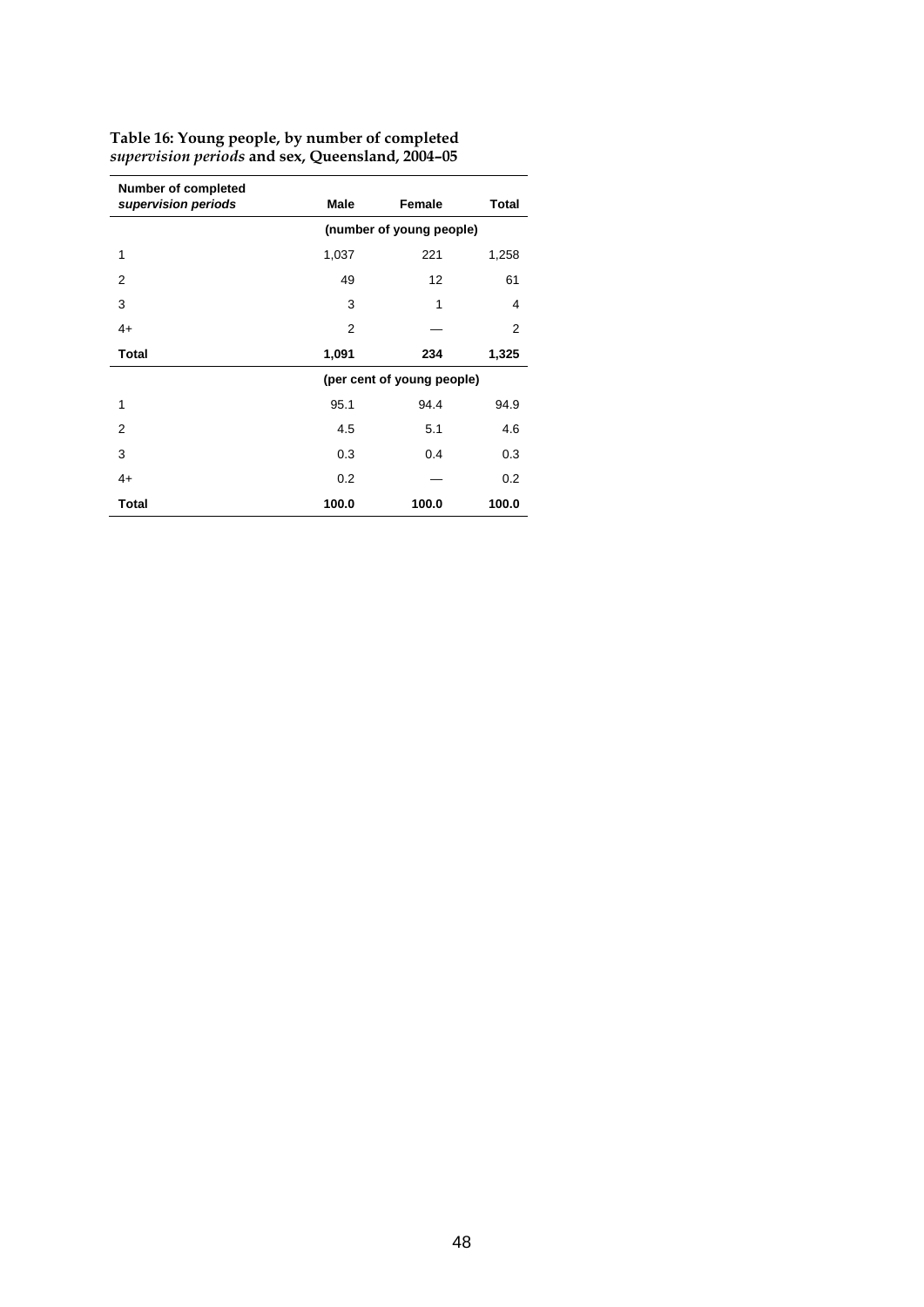| Number of completed<br>supervision periods | Male                     | Female                     | <b>Total</b> |  |  |  |
|--------------------------------------------|--------------------------|----------------------------|--------------|--|--|--|
|                                            | (number of young people) |                            |              |  |  |  |
| 1                                          | 1,037                    | 221                        | 1,258        |  |  |  |
| 2                                          | 49                       | 12                         | 61           |  |  |  |
| 3                                          | 3                        | 1                          | 4            |  |  |  |
| $4+$                                       | 2                        |                            | 2            |  |  |  |
| <b>Total</b>                               | 1,091                    | 234                        | 1,325        |  |  |  |
|                                            |                          | (per cent of young people) |              |  |  |  |
| 1                                          | 95.1                     | 94.4                       | 94.9         |  |  |  |
| 2                                          | 4.5                      | 5.1                        | 4.6          |  |  |  |
| 3                                          | 0.3                      | 0.4                        | 0.3          |  |  |  |
| $4+$                                       | 0.2                      |                            | 0.2          |  |  |  |
| <b>Total</b>                               | 100.0                    | 100.0                      | 100.0        |  |  |  |

### **Table 16: Young people, by number of completed** *supervision periods* **and sex, Queensland, 2004–05**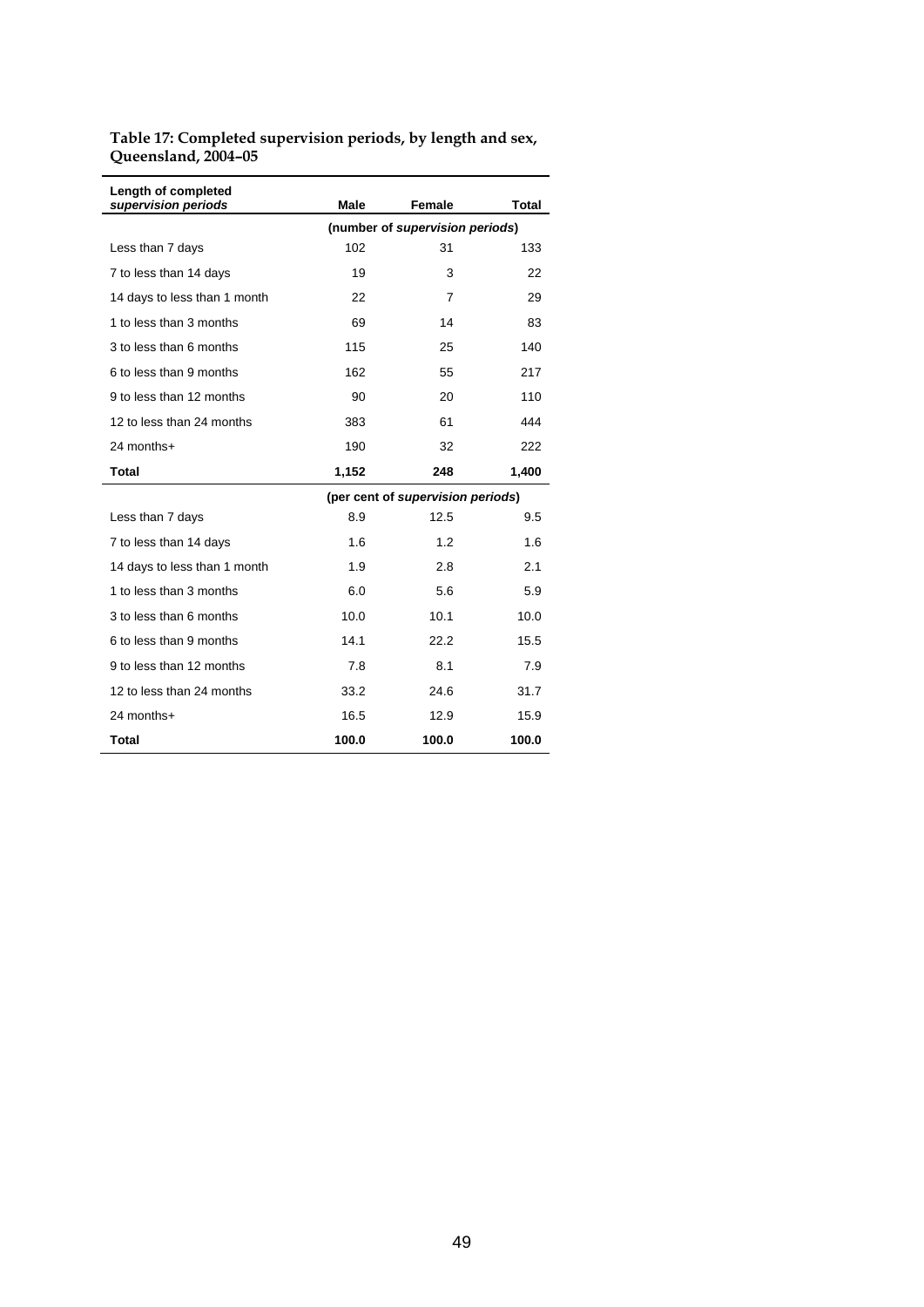## **Table 17: Completed supervision periods, by length and sex, Queensland, 2004–05**

| Length of completed<br>supervision periods | Male  | Female                            | Total |
|--------------------------------------------|-------|-----------------------------------|-------|
|                                            |       | (number of supervision periods)   |       |
| Less than 7 days                           | 102   | 31                                | 133   |
| 7 to less than 14 days                     | 19    | 3                                 | 22    |
| 14 days to less than 1 month               | 22    | 7                                 | 29    |
| 1 to less than 3 months                    | 69    | 14                                | 83    |
| 3 to less than 6 months                    | 115   | 25                                | 140   |
| 6 to less than 9 months                    | 162   | 55                                | 217   |
| 9 to less than 12 months                   | 90    | 20                                | 110   |
| 12 to less than 24 months                  | 383   | 61                                | 444   |
| 24 months+                                 | 190   | 32                                | 222   |
| Total                                      | 1,152 | 248                               | 1,400 |
|                                            |       | (per cent of supervision periods) |       |
| Less than 7 days                           | 8.9   | 12.5                              | 9.5   |
| 7 to less than 14 days                     | 1.6   | 1.2                               | 1.6   |
| 14 days to less than 1 month               | 1.9   | 2.8                               | 2.1   |
| 1 to less than 3 months                    | 6.0   | 5.6                               | 5.9   |
| 3 to less than 6 months                    | 10.0  | 10.1                              | 10.0  |
| 6 to less than 9 months                    | 14.1  | 22.2                              | 15.5  |
| 9 to less than 12 months                   | 7.8   | 8.1                               | 7.9   |
| 12 to less than 24 months                  | 33.2  | 24.6                              | 31.7  |
| 24 months+                                 | 16.5  | 12.9                              | 15.9  |
| Total                                      | 100.0 | 100.0                             | 100.0 |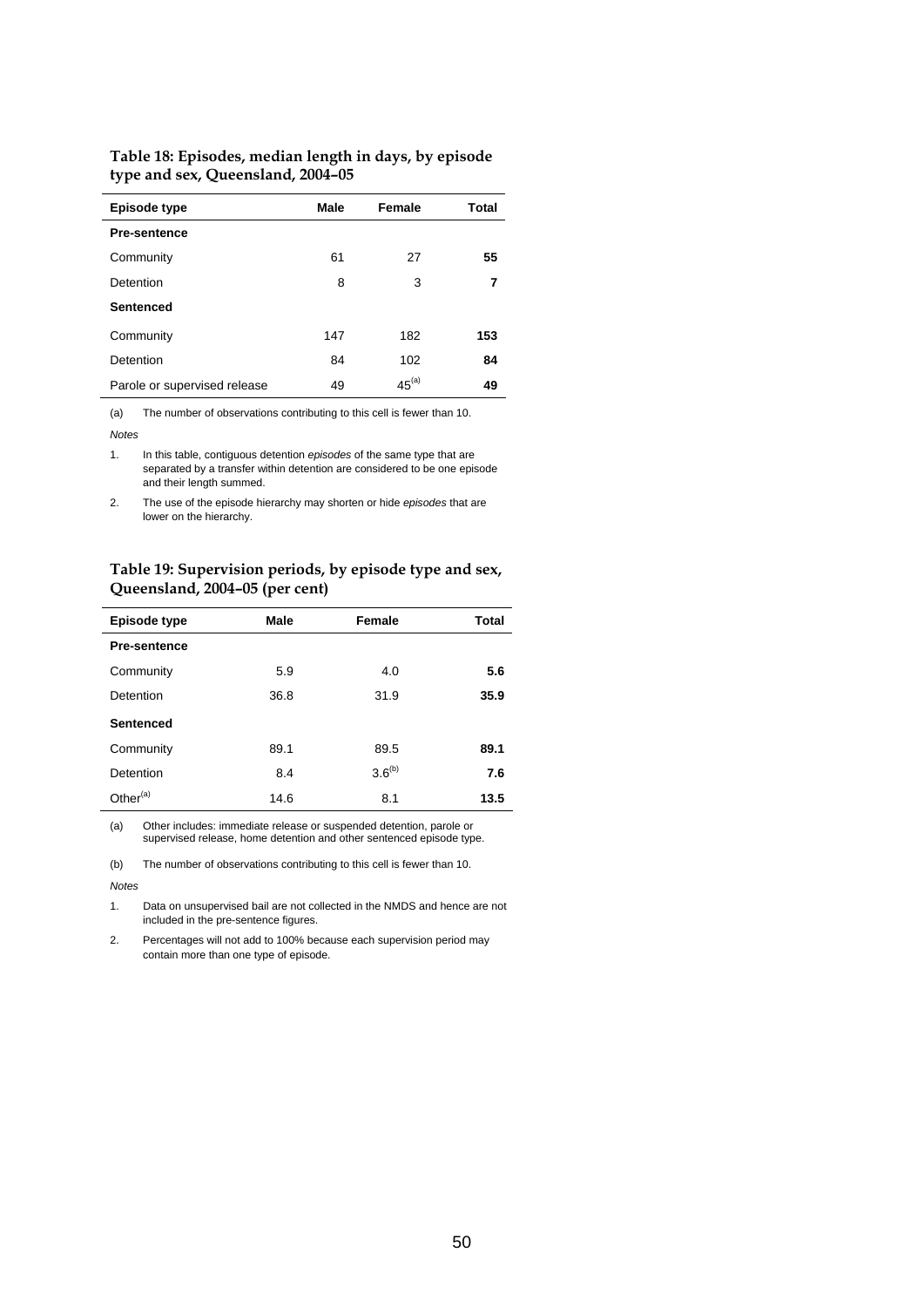| Table 18: Episodes, median length in days, by episode |
|-------------------------------------------------------|
| type and sex, Queensland, 2004-05                     |

| Episode type                 | Male | Female     | Total |
|------------------------------|------|------------|-------|
| <b>Pre-sentence</b>          |      |            |       |
| Community                    | 61   | 27         | 55    |
| Detention                    | 8    | 3          | 7     |
| <b>Sentenced</b>             |      |            |       |
| Community                    | 147  | 182        | 153   |
| Detention                    | 84   | 102        | 84    |
| Parole or supervised release | 49   | $45^{(a)}$ | 49    |

(a) The number of observations contributing to this cell is fewer than 10.

*Notes* 

1. In this table, contiguous detention *episodes* of the same type that are separated by a transfer within detention are considered to be one episode and their length summed.

2. The use of the episode hierarchy may shorten or hide *episodes* that are lower on the hierarchy.

## **Table 19: Supervision periods, by episode type and sex, Queensland, 2004–05 (per cent)**

| Episode type         | Male | Female      | Total |
|----------------------|------|-------------|-------|
| <b>Pre-sentence</b>  |      |             |       |
| Community            | 5.9  | 4.0         | 5.6   |
| Detention            | 36.8 | 31.9        | 35.9  |
| <b>Sentenced</b>     |      |             |       |
| Community            | 89.1 | 89.5        | 89.1  |
| Detention            | 8.4  | $3.6^{(b)}$ | 7.6   |
| Other <sup>(a)</sup> | 14.6 | 8.1         | 13.5  |

(a) Other includes: immediate release or suspended detention, parole or supervised release, home detention and other sentenced episode type.

(b) The number of observations contributing to this cell is fewer than 10.

*Notes* 

1. Data on unsupervised bail are not collected in the NMDS and hence are not included in the pre-sentence figures.

2. Percentages will not add to 100% because each supervision period may contain more than one type of episode.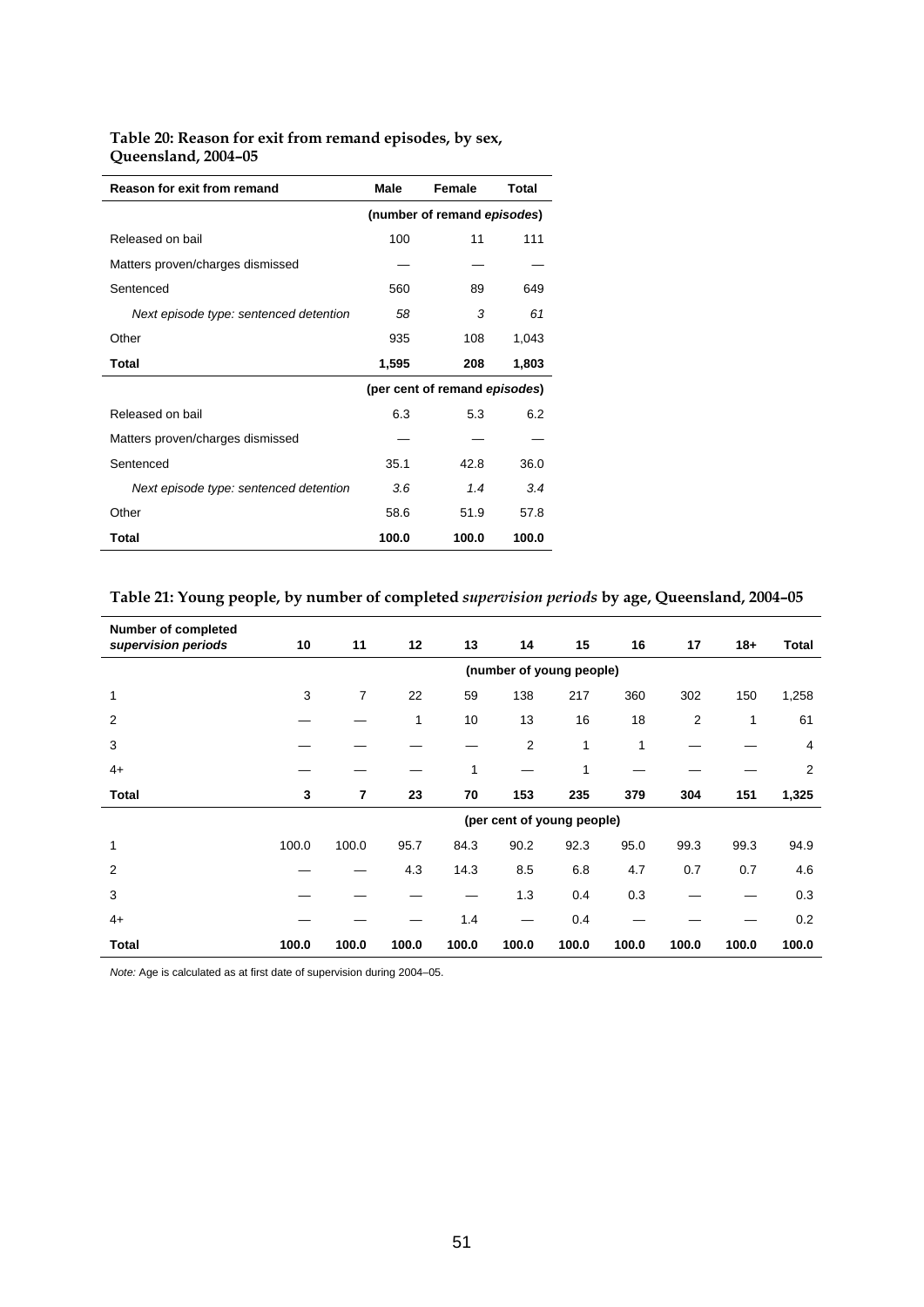## **Table 20: Reason for exit from remand episodes, by sex, Queensland, 2004–05**

| Reason for exit from remand            | Male                        | Female                        | Total |  |  |
|----------------------------------------|-----------------------------|-------------------------------|-------|--|--|
|                                        | (number of remand episodes) |                               |       |  |  |
| Released on bail                       | 100                         | 11                            | 111   |  |  |
| Matters proven/charges dismissed       |                             |                               |       |  |  |
| Sentenced                              | 560                         | 89                            | 649   |  |  |
| Next episode type: sentenced detention | 58                          | 3                             | 61    |  |  |
| Other                                  | 935                         | 108                           | 1,043 |  |  |
| Total                                  | 1,595                       | 208                           | 1,803 |  |  |
|                                        |                             | (per cent of remand episodes) |       |  |  |
| Released on bail                       | 6.3                         | 5.3                           | 6.2   |  |  |
| Matters proven/charges dismissed       |                             |                               |       |  |  |
| Sentenced                              | 35.1                        | 42.8                          | 36.0  |  |  |
| Next episode type: sentenced detention | 3.6                         | 1.4                           | 3.4   |  |  |
| Other                                  | 58.6                        | 51.9                          | 57.8  |  |  |
| Total                                  | 100.0                       | 100.0                         | 100.0 |  |  |

# **Table 21: Young people, by number of completed** *supervision periods* **by age, Queensland, 2004–05**

| <b>Number of completed</b><br>supervision periods | 10                       | 11             | 12           | 13    | 14             | 15                         | 16    | 17    | $18+$ | <b>Total</b>   |  |
|---------------------------------------------------|--------------------------|----------------|--------------|-------|----------------|----------------------------|-------|-------|-------|----------------|--|
|                                                   | (number of young people) |                |              |       |                |                            |       |       |       |                |  |
| 1                                                 | 3                        | $\overline{7}$ | 22           | 59    | 138            | 217                        | 360   | 302   | 150   | 1,258          |  |
| 2                                                 |                          |                | $\mathbf{1}$ | 10    | 13             | 16                         | 18    | 2     | 1     | 61             |  |
| 3                                                 |                          |                |              |       | $\overline{2}$ | 1                          | 1     |       |       | 4              |  |
| $4+$                                              |                          |                |              | 1     |                | 1                          |       |       |       | $\overline{2}$ |  |
| <b>Total</b>                                      | 3                        | $\overline{7}$ | 23           | 70    | 153            | 235                        | 379   | 304   | 151   | 1,325          |  |
|                                                   |                          |                |              |       |                | (per cent of young people) |       |       |       |                |  |
| 1                                                 | 100.0                    | 100.0          | 95.7         | 84.3  | 90.2           | 92.3                       | 95.0  | 99.3  | 99.3  | 94.9           |  |
| 2                                                 |                          |                | 4.3          | 14.3  | 8.5            | 6.8                        | 4.7   | 0.7   | 0.7   | 4.6            |  |
| 3                                                 |                          |                |              |       | 1.3            | 0.4                        | 0.3   |       |       | 0.3            |  |
| $4+$                                              |                          |                |              | 1.4   |                | 0.4                        |       |       |       | 0.2            |  |
| Total                                             | 100.0                    | 100.0          | 100.0        | 100.0 | 100.0          | 100.0                      | 100.0 | 100.0 | 100.0 | 100.0          |  |

*Note:* Age is calculated as at first date of supervision during 2004–05.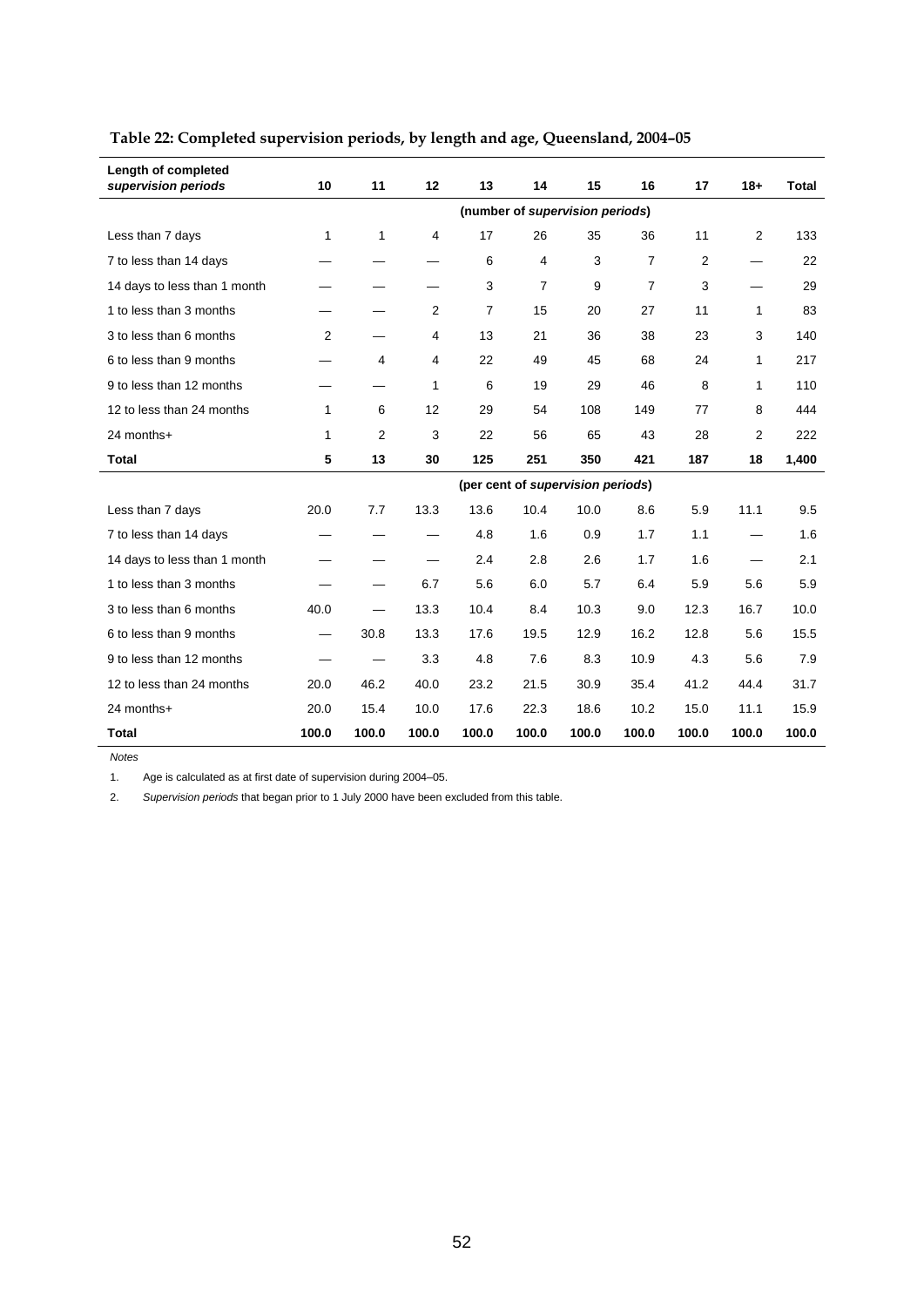| Length of completed<br>supervision periods | 10                              | 11             | 12    | 13             | 14    | 15                                | 16             | 17             | $18+$ | Total |
|--------------------------------------------|---------------------------------|----------------|-------|----------------|-------|-----------------------------------|----------------|----------------|-------|-------|
|                                            | (number of supervision periods) |                |       |                |       |                                   |                |                |       |       |
| Less than 7 days                           | 1                               | 1              | 4     | 17             | 26    | 35                                | 36             | 11             | 2     | 133   |
| 7 to less than 14 days                     |                                 |                |       | 6              | 4     | 3                                 | $\overline{7}$ | $\overline{2}$ |       | 22    |
| 14 days to less than 1 month               |                                 |                |       | 3              | 7     | 9                                 | $\overline{7}$ | 3              |       | 29    |
| 1 to less than 3 months                    |                                 |                | 2     | $\overline{7}$ | 15    | 20                                | 27             | 11             | 1     | 83    |
| 3 to less than 6 months                    | 2                               |                | 4     | 13             | 21    | 36                                | 38             | 23             | 3     | 140   |
| 6 to less than 9 months                    |                                 | 4              | 4     | 22             | 49    | 45                                | 68             | 24             | 1     | 217   |
| 9 to less than 12 months                   |                                 |                | 1     | 6              | 19    | 29                                | 46             | 8              | 1     | 110   |
| 12 to less than 24 months                  | $\mathbf{1}$                    | 6              | 12    | 29             | 54    | 108                               | 149            | 77             | 8     | 444   |
| 24 months+                                 | 1                               | $\overline{2}$ | 3     | 22             | 56    | 65                                | 43             | 28             | 2     | 222   |
| <b>Total</b>                               | 5                               | 13             | 30    | 125            | 251   | 350                               | 421            | 187            | 18    | 1,400 |
|                                            |                                 |                |       |                |       | (per cent of supervision periods) |                |                |       |       |
| Less than 7 days                           | 20.0                            | 7.7            | 13.3  | 13.6           | 10.4  | 10.0                              | 8.6            | 5.9            | 11.1  | 9.5   |
| 7 to less than 14 days                     |                                 |                |       | 4.8            | 1.6   | 0.9                               | 1.7            | 1.1            |       | 1.6   |
| 14 days to less than 1 month               |                                 |                |       | 2.4            | 2.8   | 2.6                               | 1.7            | 1.6            |       | 2.1   |
| 1 to less than 3 months                    |                                 | —              | 6.7   | 5.6            | 6.0   | 5.7                               | 6.4            | 5.9            | 5.6   | 5.9   |
| 3 to less than 6 months                    | 40.0                            |                | 13.3  | 10.4           | 8.4   | 10.3                              | 9.0            | 12.3           | 16.7  | 10.0  |
| 6 to less than 9 months                    |                                 | 30.8           | 13.3  | 17.6           | 19.5  | 12.9                              | 16.2           | 12.8           | 5.6   | 15.5  |
| 9 to less than 12 months                   |                                 |                | 3.3   | 4.8            | 7.6   | 8.3                               | 10.9           | 4.3            | 5.6   | 7.9   |
| 12 to less than 24 months                  | 20.0                            | 46.2           | 40.0  | 23.2           | 21.5  | 30.9                              | 35.4           | 41.2           | 44.4  | 31.7  |
| 24 months+                                 | 20.0                            | 15.4           | 10.0  | 17.6           | 22.3  | 18.6                              | 10.2           | 15.0           | 11.1  | 15.9  |
| Total                                      | 100.0                           | 100.0          | 100.0 | 100.0          | 100.0 | 100.0                             | 100.0          | 100.0          | 100.0 | 100.0 |

# **Table 22: Completed supervision periods, by length and age, Queensland, 2004–05**

*Notes* 

1. Age is calculated as at first date of supervision during 2004–05.

2. *Supervision periods* that began prior to 1 July 2000 have been excluded from this table.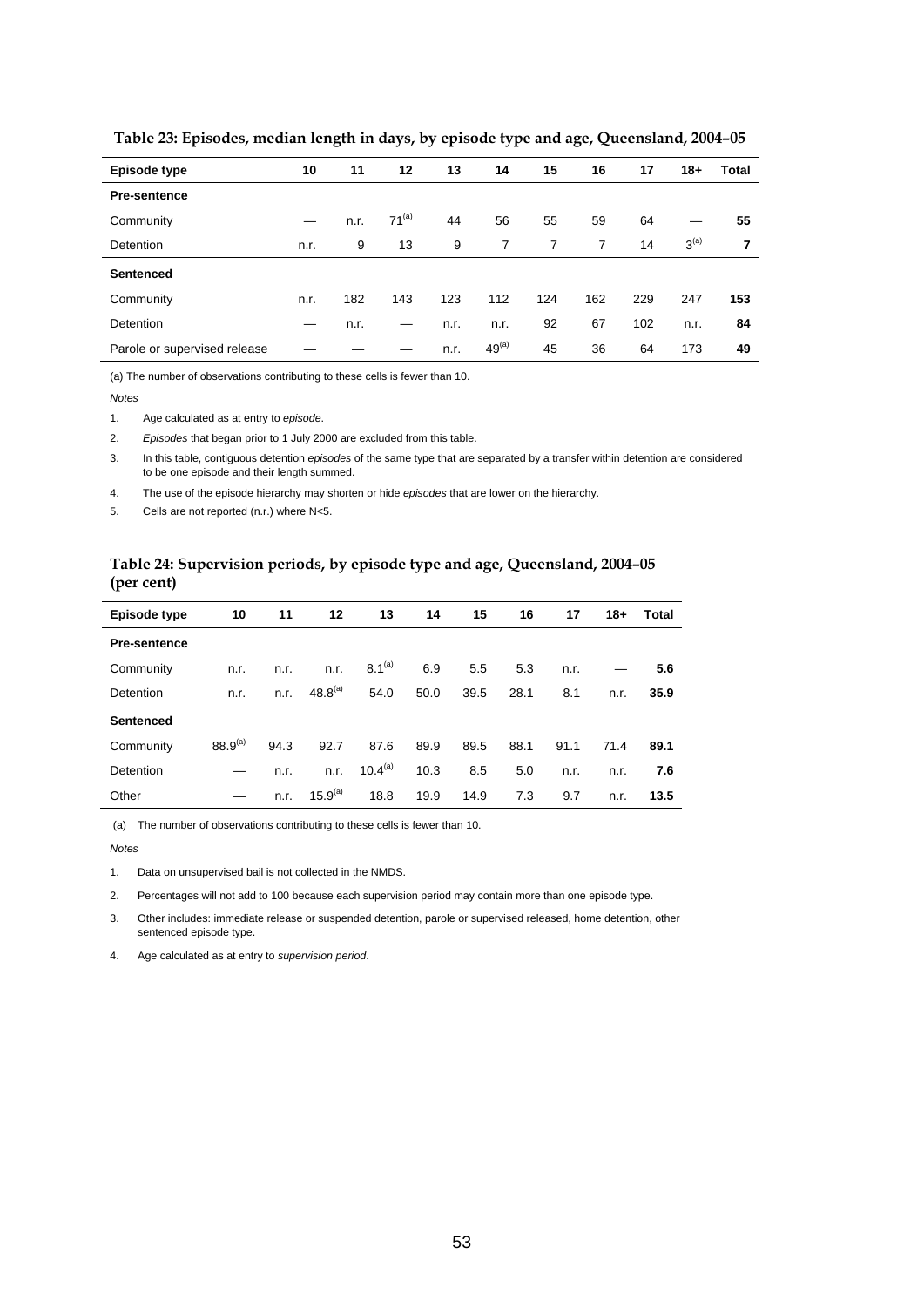| Episode type                 | 10   | 11   | 12         | 13   | 14             | 15             | 16             | 17  | $18 +$           | Total |
|------------------------------|------|------|------------|------|----------------|----------------|----------------|-----|------------------|-------|
| <b>Pre-sentence</b>          |      |      |            |      |                |                |                |     |                  |       |
| Community                    |      | n.r. | $71^{(a)}$ | 44   | 56             | 55             | 59             | 64  |                  | 55    |
| Detention                    | n.r. | 9    | 13         | 9    | $\overline{7}$ | $\overline{7}$ | $\overline{7}$ | 14  | 3 <sup>(a)</sup> | 7     |
| <b>Sentenced</b>             |      |      |            |      |                |                |                |     |                  |       |
| Community                    | n.r. | 182  | 143        | 123  | 112            | 124            | 162            | 229 | 247              | 153   |
| Detention                    | –    | n.r. |            | n.r. | n.r.           | 92             | 67             | 102 | n.r.             | 84    |
| Parole or supervised release |      |      |            | n.r. | $49^{(a)}$     | 45             | 36             | 64  | 173              | 49    |

 **Table 23: Episodes, median length in days, by episode type and age, Queensland, 2004–05** 

(a) The number of observations contributing to these cells is fewer than 10.

#### *Notes*

1. Age calculated as at entry to *episode*.

2. *Episodes* that began prior to 1 July 2000 are excluded from this table.

3. In this table, contiguous detention *episodes* of the same type that are separated by a transfer within detention are considered to be one episode and their length summed.

4. The use of the episode hierarchy may shorten or hide *episodes* that are lower on the hierarchy.

5. Cells are not reported (n.r.) where N<5.

## **Table 24: Supervision periods, by episode type and age, Queensland, 2004–05 (per cent)**

| Episode type        | 10           | 11   | 12           | 13           | 14   | 15   | 16   | 17   | $18 +$ | Total |
|---------------------|--------------|------|--------------|--------------|------|------|------|------|--------|-------|
| <b>Pre-sentence</b> |              |      |              |              |      |      |      |      |        |       |
| Community           | n.r.         | n.r. | n.r.         | $8.1^{(a)}$  | 6.9  | 5.5  | 5.3  | n.r. |        | 5.6   |
| Detention           | n.r.         | n.r. | $48.8^{(a)}$ | 54.0         | 50.0 | 39.5 | 28.1 | 8.1  | n.r.   | 35.9  |
| <b>Sentenced</b>    |              |      |              |              |      |      |      |      |        |       |
| Community           | $88.9^{(a)}$ | 94.3 | 92.7         | 87.6         | 89.9 | 89.5 | 88.1 | 91.1 | 71.4   | 89.1  |
| Detention           |              | n.r. | n.r.         | $10.4^{(a)}$ | 10.3 | 8.5  | 5.0  | n.r. | n.r.   | 7.6   |
| Other               |              | n.r. | $15.9^{(a)}$ | 18.8         | 19.9 | 14.9 | 7.3  | 9.7  | n.r.   | 13.5  |

(a) The number of observations contributing to these cells is fewer than 10.

*Notes* 

1. Data on unsupervised bail is not collected in the NMDS.

2. Percentages will not add to 100 because each supervision period may contain more than one episode type.

3. Other includes: immediate release or suspended detention, parole or supervised released, home detention, other sentenced episode type.

4. Age calculated as at entry to *supervision period*.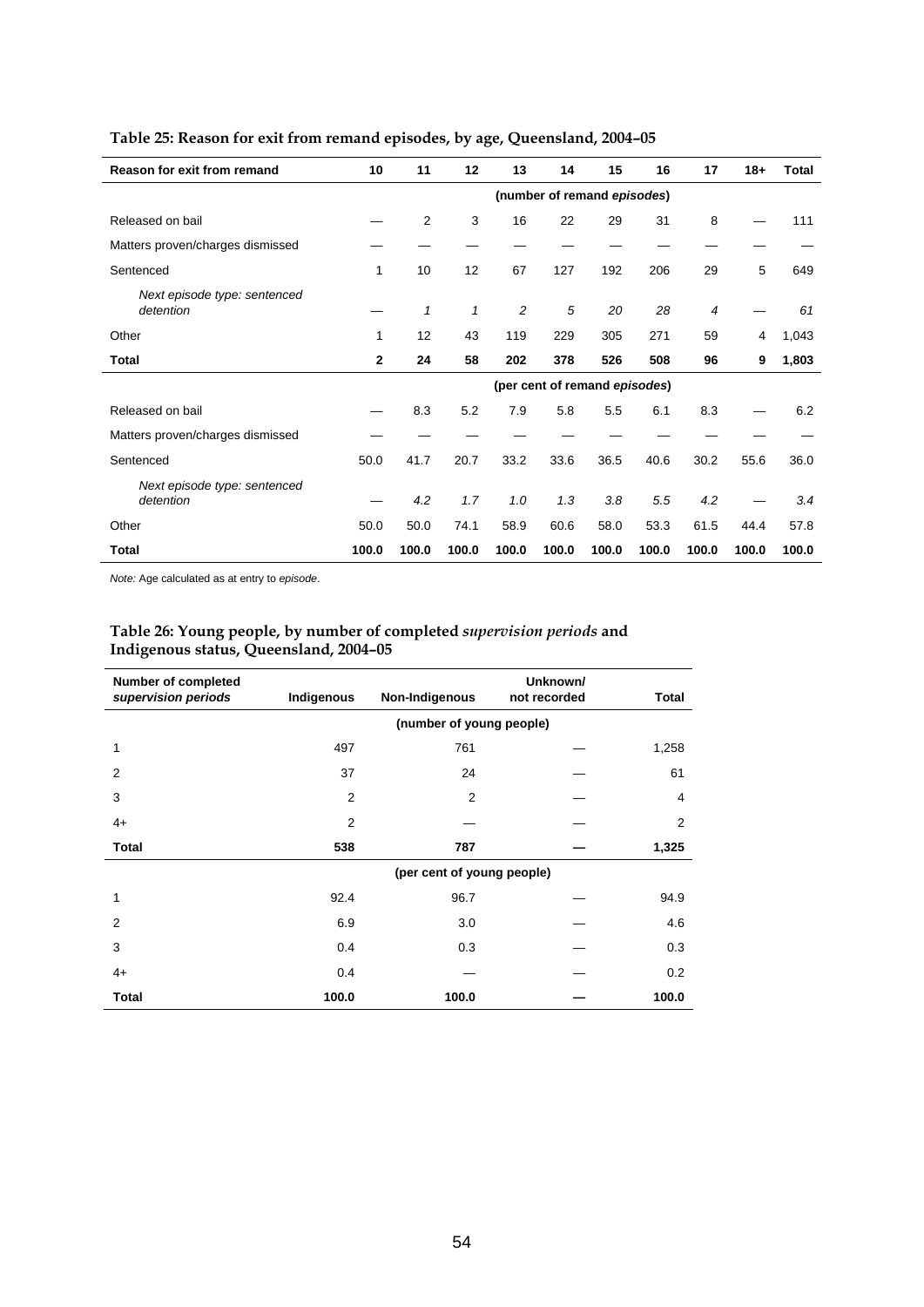| Reason for exit from remand               | 10           | 11    | 12           | 13             | 14    | 15                            | 16    | 17    | $18 +$ | <b>Total</b> |
|-------------------------------------------|--------------|-------|--------------|----------------|-------|-------------------------------|-------|-------|--------|--------------|
|                                           |              |       |              |                |       | (number of remand episodes)   |       |       |        |              |
| Released on bail                          |              | 2     | 3            | 16             | 22    | 29                            | 31    | 8     |        | 111          |
| Matters proven/charges dismissed          |              |       |              |                |       |                               |       |       |        |              |
| Sentenced                                 | 1            | 10    | 12           | 67             | 127   | 192                           | 206   | 29    | 5      | 649          |
| Next episode type: sentenced<br>detention |              | 1     | $\mathbf{1}$ | $\overline{c}$ | 5     | 20                            | 28    | 4     |        | 61           |
| Other                                     | 1            | 12    | 43           | 119            | 229   | 305                           | 271   | 59    | 4      | 1,043        |
| Total                                     | $\mathbf{2}$ | 24    | 58           | 202            | 378   | 526                           | 508   | 96    | 9      | 1,803        |
|                                           |              |       |              |                |       | (per cent of remand episodes) |       |       |        |              |
| Released on bail                          |              | 8.3   | 5.2          | 7.9            | 5.8   | 5.5                           | 6.1   | 8.3   |        | 6.2          |
| Matters proven/charges dismissed          |              |       |              |                |       |                               |       |       |        |              |
| Sentenced                                 | 50.0         | 41.7  | 20.7         | 33.2           | 33.6  | 36.5                          | 40.6  | 30.2  | 55.6   | 36.0         |
| Next episode type: sentenced<br>detention |              | 4.2   | 1.7          | 1.0            | 1.3   | 3.8                           | 5.5   | 4.2   |        | 3.4          |
| Other                                     | 50.0         | 50.0  | 74.1         | 58.9           | 60.6  | 58.0                          | 53.3  | 61.5  | 44.4   | 57.8         |
| <b>Total</b>                              | 100.0        | 100.0 | 100.0        | 100.0          | 100.0 | 100.0                         | 100.0 | 100.0 | 100.0  | 100.0        |

# **Table 25: Reason for exit from remand episodes, by age, Queensland, 2004–05**

*Note:* Age calculated as at entry to *episode*.

## **Table 26: Young people, by number of completed** *supervision periods* **and Indigenous status, Queensland, 2004–05**

| <b>Number of completed</b><br>supervision periods | Indigenous     | Non-Indigenous             | Unknown/<br>not recorded | <b>Total</b> |
|---------------------------------------------------|----------------|----------------------------|--------------------------|--------------|
|                                                   |                | (number of young people)   |                          |              |
| 1                                                 | 497            | 761                        |                          | 1,258        |
| $\overline{2}$                                    | 37             | 24                         |                          | 61           |
| 3                                                 | 2              | $\overline{2}$             |                          | 4            |
| $4+$                                              | $\overline{2}$ |                            |                          | 2            |
| <b>Total</b>                                      | 538            | 787                        |                          | 1,325        |
|                                                   |                | (per cent of young people) |                          |              |
| 1                                                 | 92.4           | 96.7                       |                          | 94.9         |
| $\overline{2}$                                    | 6.9            | 3.0                        |                          | 4.6          |
| 3                                                 | 0.4            | 0.3                        |                          | 0.3          |
| $4+$                                              | 0.4            |                            |                          | 0.2          |
| <b>Total</b>                                      | 100.0          | 100.0                      |                          | 100.0        |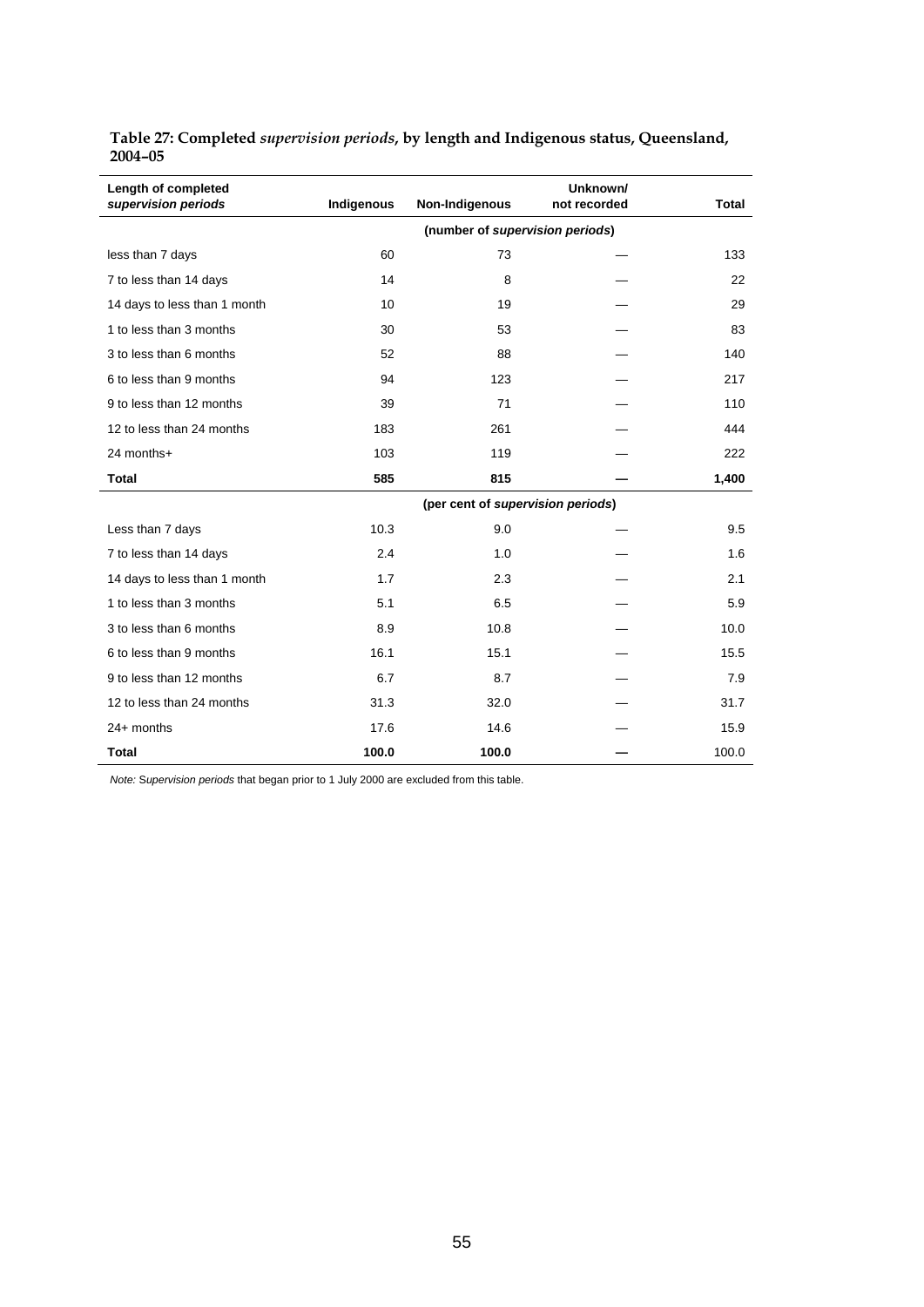| Length of completed<br>supervision periods | Indigenous | Non-Indigenous                    | Unknown/<br>not recorded | <b>Total</b> |
|--------------------------------------------|------------|-----------------------------------|--------------------------|--------------|
|                                            |            |                                   |                          |              |
| less than 7 days                           | 60         | 73                                |                          | 133          |
| 7 to less than 14 days                     | 14         | 8                                 |                          | 22           |
| 14 days to less than 1 month               | 10         | 19                                |                          | 29           |
| 1 to less than 3 months                    | 30         | 53                                |                          | 83           |
| 3 to less than 6 months                    | 52         | 88                                |                          | 140          |
| 6 to less than 9 months                    | 94         | 123                               |                          | 217          |
| 9 to less than 12 months                   | 39         | 71                                |                          | 110          |
| 12 to less than 24 months                  | 183        | 261                               |                          | 444          |
| 24 months+                                 | 103        | 119                               |                          | 222          |
| <b>Total</b>                               | 585        | 815                               |                          | 1,400        |
|                                            |            | (per cent of supervision periods) |                          |              |
| Less than 7 days                           | 10.3       | 9.0                               |                          | 9.5          |
| 7 to less than 14 days                     | 2.4        | 1.0                               |                          | 1.6          |
| 14 days to less than 1 month               | 1.7        | 2.3                               |                          | 2.1          |
| 1 to less than 3 months                    | 5.1        | 6.5                               |                          | 5.9          |
| 3 to less than 6 months                    | 8.9        | 10.8                              |                          | 10.0         |
| 6 to less than 9 months                    | 16.1       | 15.1                              |                          | 15.5         |
| 9 to less than 12 months                   | 6.7        | 8.7                               |                          | 7.9          |
| 12 to less than 24 months                  | 31.3       | 32.0                              |                          | 31.7         |
| $24+$ months                               | 17.6       | 14.6                              |                          | 15.9         |
| <b>Total</b>                               | 100.0      | 100.0                             |                          | 100.0        |

**Table 27: Completed** *supervision periods***, by length and Indigenous status, Queensland, 2004–05** 

*Note:* S*upervision periods* that began prior to 1 July 2000 are excluded from this table.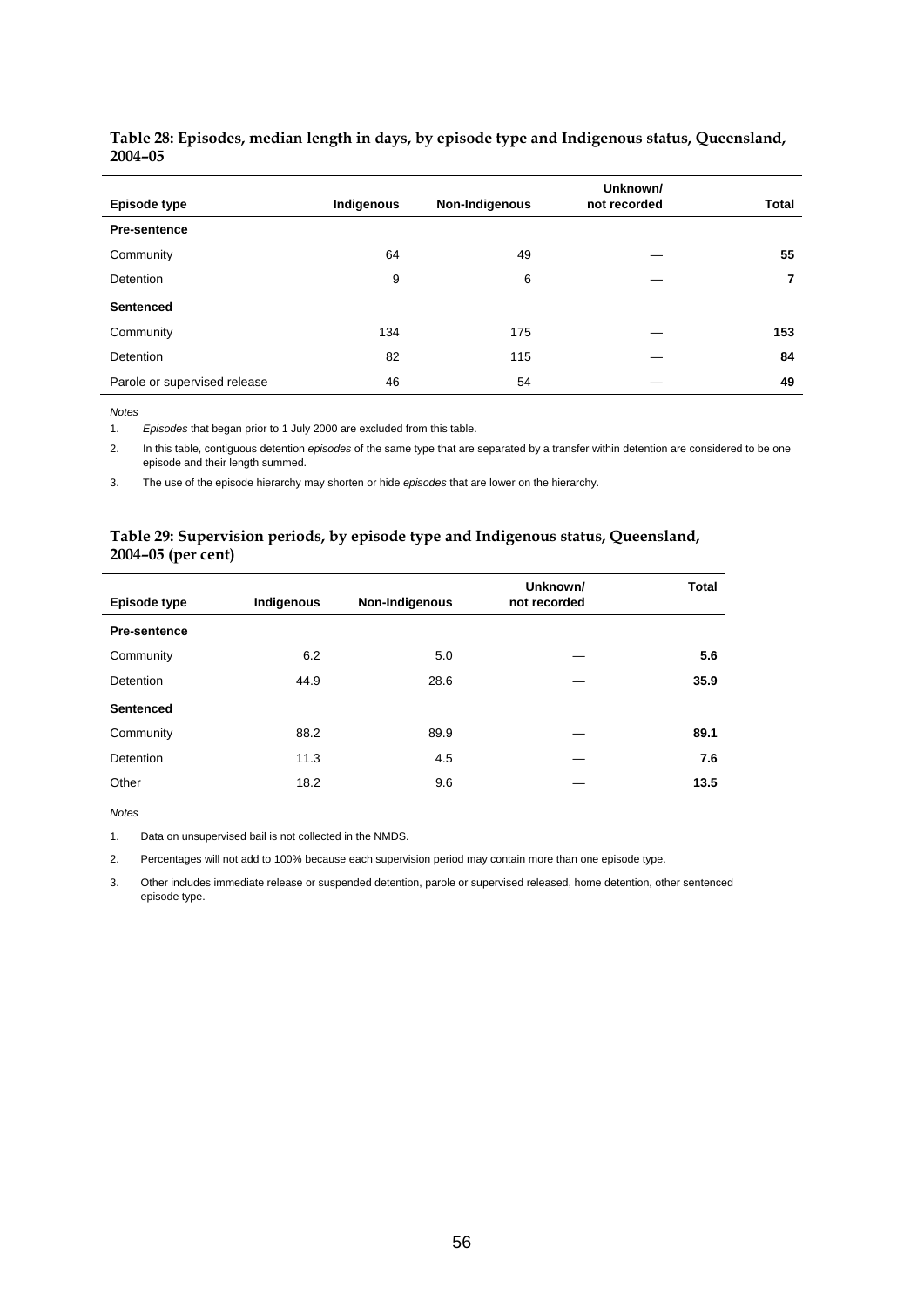| Episode type                 | Indigenous | Non-Indigenous | Unknown/<br>not recorded | <b>Total</b> |
|------------------------------|------------|----------------|--------------------------|--------------|
| <b>Pre-sentence</b>          |            |                |                          |              |
| Community                    | 64         | 49             |                          | 55           |
| <b>Detention</b>             | 9          | 6              |                          | 7            |
| <b>Sentenced</b>             |            |                |                          |              |
| Community                    | 134        | 175            |                          | 153          |
| <b>Detention</b>             | 82         | 115            |                          | 84           |
| Parole or supervised release | 46         | 54             |                          | 49           |

## **Table 28: Episodes, median length in days, by episode type and Indigenous status, Queensland, 2004–05**

*Notes* 

1. *Episodes* that began prior to 1 July 2000 are excluded from this table.

2. In this table, contiguous detention *episodes* of the same type that are separated by a transfer within detention are considered to be one episode and their length summed.

3. The use of the episode hierarchy may shorten or hide *episodes* that are lower on the hierarchy.

## **Table 29: Supervision periods, by episode type and Indigenous status, Queensland, 2004–05 (per cent)**

|                     |            |                | Unknown/<br>not recorded | <b>Total</b> |
|---------------------|------------|----------------|--------------------------|--------------|
| Episode type        | Indigenous | Non-Indigenous |                          |              |
| <b>Pre-sentence</b> |            |                |                          |              |
| Community           | 6.2        | 5.0            |                          | 5.6          |
| Detention           | 44.9       | 28.6           |                          | 35.9         |
| <b>Sentenced</b>    |            |                |                          |              |
| Community           | 88.2       | 89.9           |                          | 89.1         |
| Detention           | 11.3       | 4.5            |                          | 7.6          |
| Other               | 18.2       | 9.6            |                          | 13.5         |

*Notes* 

1. Data on unsupervised bail is not collected in the NMDS.

2. Percentages will not add to 100% because each supervision period may contain more than one episode type.

3. Other includes immediate release or suspended detention, parole or supervised released, home detention, other sentenced episode type.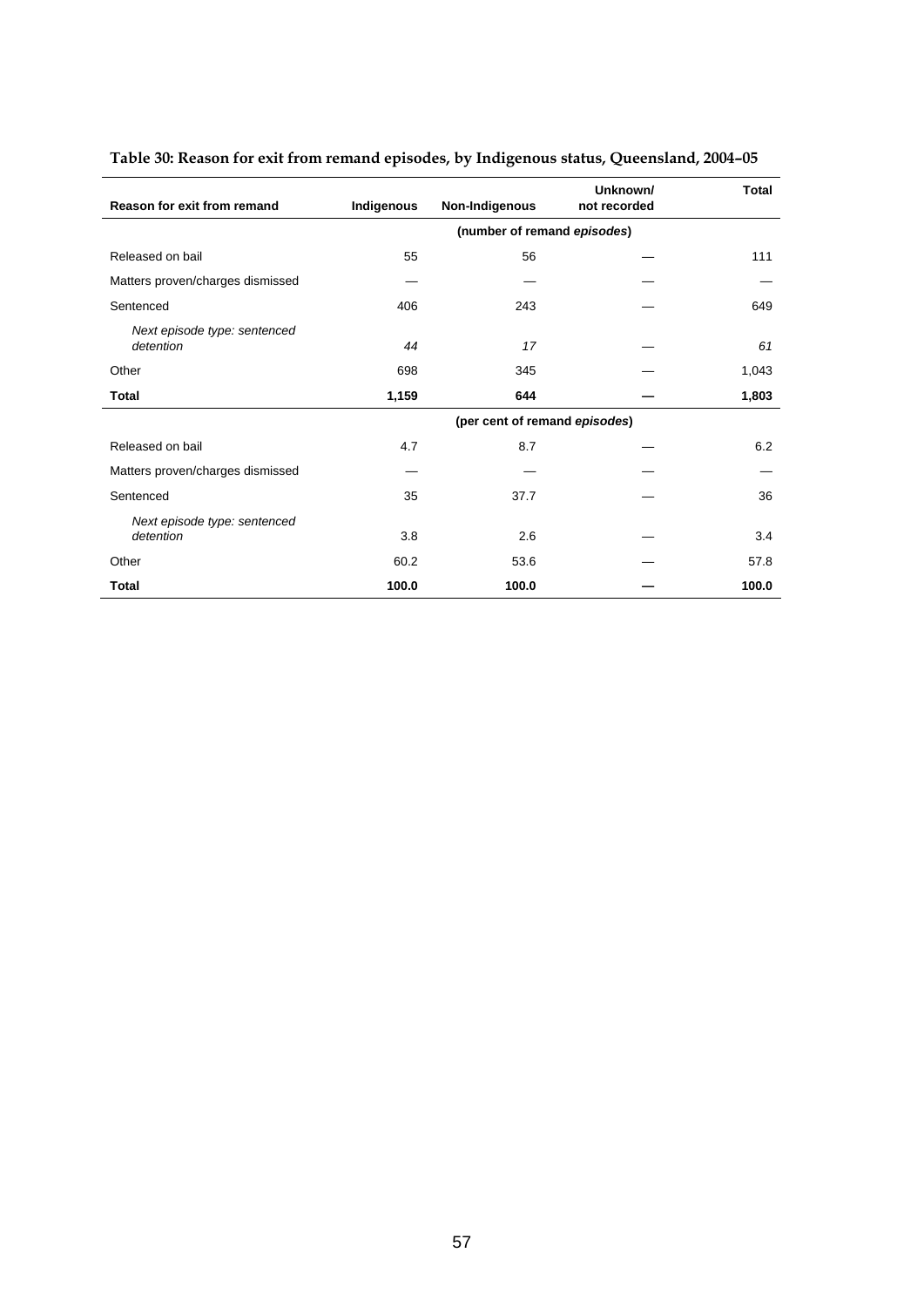|                                           |            |                               | Unknown/     | <b>Total</b> |
|-------------------------------------------|------------|-------------------------------|--------------|--------------|
| Reason for exit from remand               | Indigenous | Non-Indigenous                | not recorded |              |
|                                           |            | (number of remand episodes)   |              |              |
| Released on bail                          | 55         | 56                            |              | 111          |
| Matters proven/charges dismissed          |            |                               |              |              |
| Sentenced                                 | 406        | 243                           |              | 649          |
| Next episode type: sentenced<br>detention | 44         | 17                            |              | 61           |
| Other                                     | 698        | 345                           |              | 1,043        |
| <b>Total</b>                              | 1,159      | 644                           |              | 1,803        |
|                                           |            | (per cent of remand episodes) |              |              |
| Released on bail                          | 4.7        | 8.7                           |              | 6.2          |
| Matters proven/charges dismissed          |            |                               |              |              |
| Sentenced                                 | 35         | 37.7                          |              | 36           |
| Next episode type: sentenced<br>detention | 3.8        | 2.6                           |              | 3.4          |
| Other                                     | 60.2       | 53.6                          |              | 57.8         |
| Total                                     | 100.0      | 100.0                         |              | 100.0        |

# **Table 30: Reason for exit from remand episodes, by Indigenous status, Queensland, 2004–05**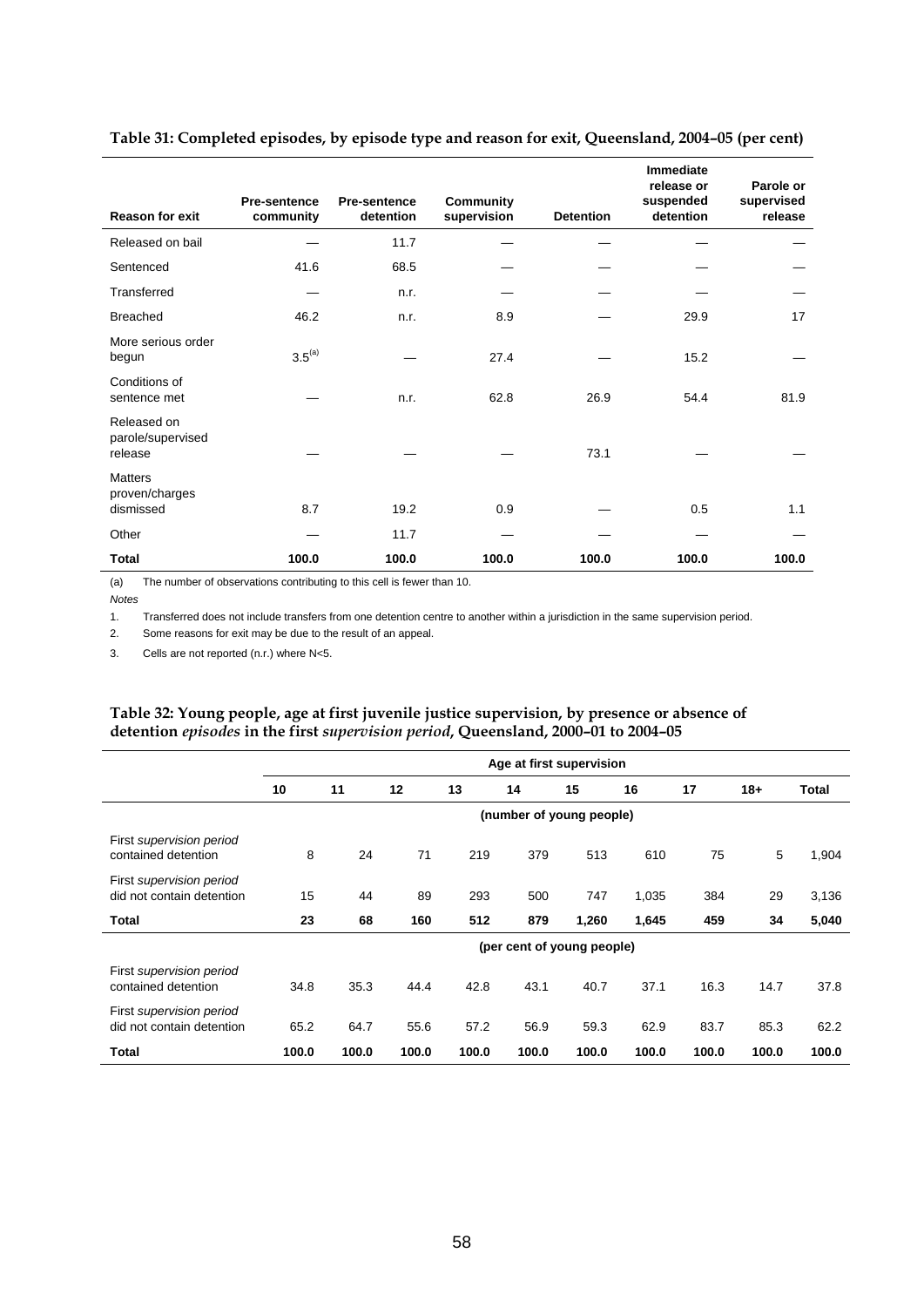| <b>Reason for exit</b>                        | <b>Pre-sentence</b><br>community | <b>Pre-sentence</b><br>detention | <b>Community</b><br>supervision | <b>Detention</b> | Immediate<br>release or<br>suspended<br>detention | Parole or<br>supervised<br>release |
|-----------------------------------------------|----------------------------------|----------------------------------|---------------------------------|------------------|---------------------------------------------------|------------------------------------|
| Released on bail                              |                                  | 11.7                             |                                 |                  |                                                   |                                    |
| Sentenced                                     | 41.6                             | 68.5                             |                                 |                  |                                                   |                                    |
| Transferred                                   |                                  | n.r.                             |                                 |                  |                                                   |                                    |
| <b>Breached</b>                               | 46.2                             | n.r.                             | 8.9                             |                  | 29.9                                              | 17                                 |
| More serious order<br>begun                   | $3.5^{(a)}$                      |                                  | 27.4                            |                  | 15.2                                              |                                    |
| Conditions of<br>sentence met                 |                                  | n.r.                             | 62.8                            | 26.9             | 54.4                                              | 81.9                               |
| Released on<br>parole/supervised<br>release   |                                  |                                  |                                 | 73.1             |                                                   |                                    |
| <b>Matters</b><br>proven/charges<br>dismissed | 8.7                              | 19.2                             | 0.9                             |                  | 0.5                                               | 1.1                                |
| Other                                         |                                  | 11.7                             |                                 |                  |                                                   |                                    |
| Total                                         | 100.0                            | 100.0                            | 100.0                           | 100.0            | 100.0                                             | 100.0                              |

## **Table 31: Completed episodes, by episode type and reason for exit, Queensland, 2004–05 (per cent)**

(a) The number of observations contributing to this cell is fewer than 10.

*Notes* 

 $\overline{\phantom{a}}$ 

1. Transferred does not include transfers from one detention centre to another within a jurisdiction in the same supervision period.

2. Some reasons for exit may be due to the result of an appeal.

3. Cells are not reported (n.r.) where N<5.

## **Table 32: Young people, age at first juvenile justice supervision, by presence or absence of detention** *episodes* **in the first** *supervision period***, Queensland, 2000–01 to 2004–05**

|                                                       |       |       |       |       |       | Age at first supervision   |       |       |       |       |
|-------------------------------------------------------|-------|-------|-------|-------|-------|----------------------------|-------|-------|-------|-------|
|                                                       | 10    | 11    | 12    | 13    | 14    | 15                         | 16    | 17    | $18+$ | Total |
|                                                       |       |       |       |       |       | (number of young people)   |       |       |       |       |
| First supervision period<br>contained detention       | 8     | 24    | 71    | 219   | 379   | 513                        | 610   | 75    | 5     | 1,904 |
| First supervision period<br>did not contain detention | 15    | 44    | 89    | 293   | 500   | 747                        | 1,035 | 384   | 29    | 3,136 |
| <b>Total</b>                                          | 23    | 68    | 160   | 512   | 879   | 1,260                      | 1,645 | 459   | 34    | 5,040 |
|                                                       |       |       |       |       |       | (per cent of young people) |       |       |       |       |
| First supervision period<br>contained detention       | 34.8  | 35.3  | 44.4  | 42.8  | 43.1  | 40.7                       | 37.1  | 16.3  | 14.7  | 37.8  |
| First supervision period<br>did not contain detention | 65.2  | 64.7  | 55.6  | 57.2  | 56.9  | 59.3                       | 62.9  | 83.7  | 85.3  | 62.2  |
| Total                                                 | 100.0 | 100.0 | 100.0 | 100.0 | 100.0 | 100.0                      | 100.0 | 100.0 | 100.0 | 100.0 |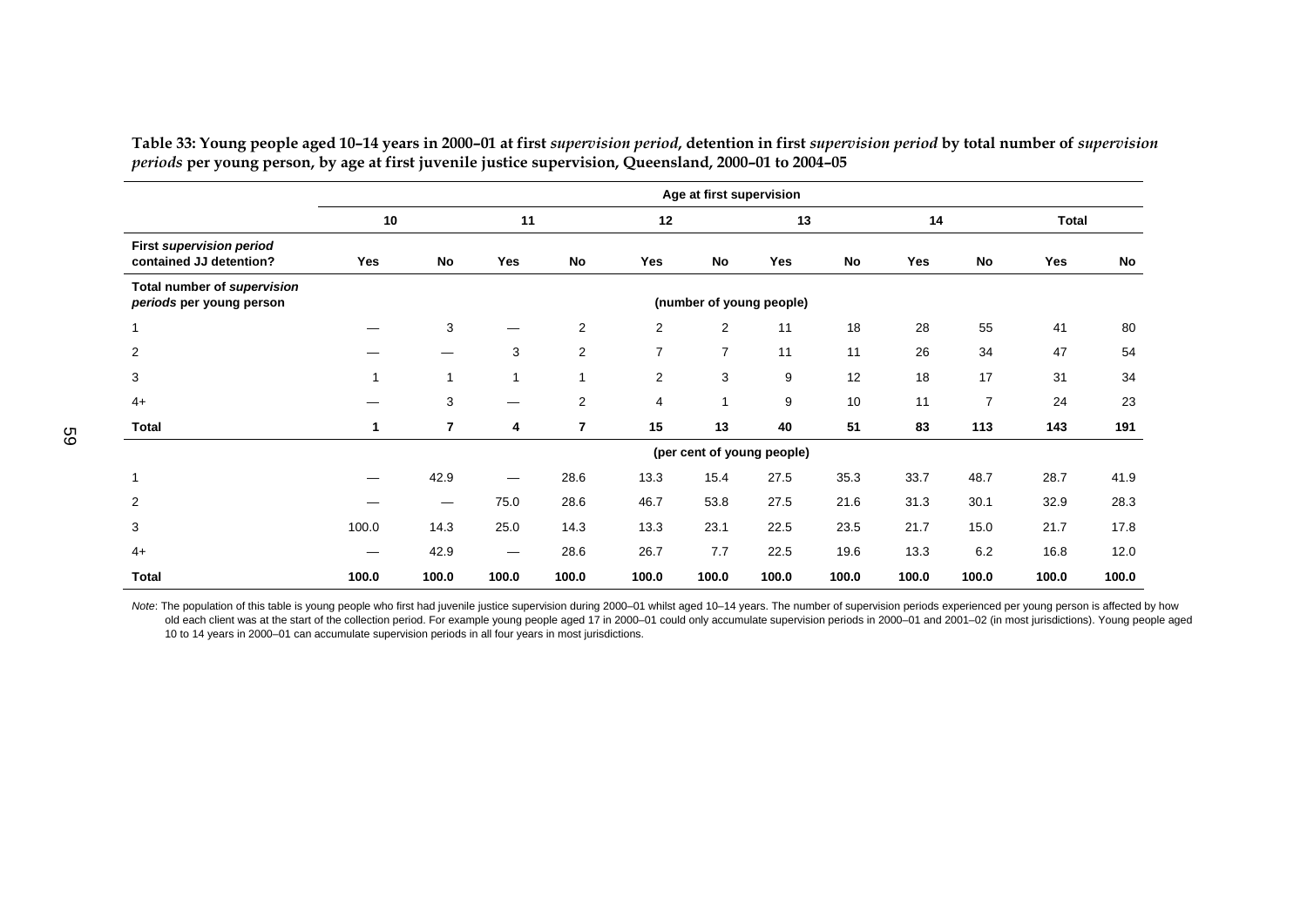|                                                            |       |                   |                          |                |                | Age at first supervision |                            |       |       |                |       |       |
|------------------------------------------------------------|-------|-------------------|--------------------------|----------------|----------------|--------------------------|----------------------------|-------|-------|----------------|-------|-------|
|                                                            | 10    |                   | 11                       |                | 12             |                          | 13                         |       | 14    |                | Total |       |
| <b>First supervision period</b><br>contained JJ detention? | Yes   | No                | Yes                      | <b>No</b>      | Yes            | <b>No</b>                | Yes                        | No    | Yes   | No             | Yes   | No    |
| Total number of supervision<br>periods per young person    |       |                   |                          |                |                |                          | (number of young people)   |       |       |                |       |       |
| $\mathbf 1$                                                |       | 3                 |                          | $\overline{2}$ | $\overline{2}$ | $\overline{2}$           | 11                         | 18    | 28    | 55             | 41    | 80    |
| $\overline{c}$                                             |       |                   | 3                        | $\overline{2}$ | $\overline{7}$ | $\overline{7}$           | 11                         | 11    | 26    | 34             | 47    | 54    |
| 3                                                          | 1     |                   | 1                        | 1              | $\overline{2}$ | 3                        | 9                          | 12    | 18    | 17             | 31    | 34    |
| $4+$                                                       |       | 3                 |                          | $\overline{2}$ | 4              | 1                        | 9                          | 10    | 11    | $\overline{7}$ | 24    | 23    |
| Total                                                      | 1     | $\overline{7}$    | 4                        | $\overline{7}$ | 15             | 13                       | 40                         | 51    | 83    | 113            | 143   | 191   |
|                                                            |       |                   |                          |                |                |                          | (per cent of young people) |       |       |                |       |       |
| $\mathbf 1$                                                |       | 42.9              | —                        | 28.6           | 13.3           | 15.4                     | 27.5                       | 35.3  | 33.7  | 48.7           | 28.7  | 41.9  |
| 2                                                          |       | $\hspace{0.05cm}$ | 75.0                     | 28.6           | 46.7           | 53.8                     | 27.5                       | 21.6  | 31.3  | 30.1           | 32.9  | 28.3  |
| 3                                                          | 100.0 | 14.3              | 25.0                     | 14.3           | 13.3           | 23.1                     | 22.5                       | 23.5  | 21.7  | 15.0           | 21.7  | 17.8  |
| $4+$                                                       |       | 42.9              | $\overline{\phantom{m}}$ | 28.6           | 26.7           | 7.7                      | 22.5                       | 19.6  | 13.3  | 6.2            | 16.8  | 12.0  |
| <b>Total</b>                                               | 100.0 | 100.0             | 100.0                    | 100.0          | 100.0          | 100.0                    | 100.0                      | 100.0 | 100.0 | 100.0          | 100.0 | 100.0 |

Table 33: Young people aged 10-14 years in 2000-01 at first supervision period, detention in first supervision period by total number of supervision *periods* **per young person, by age at first juvenile justice supervision, Queensland, 2000–01 to 2004–05** 

Note: The population of this table is young people who first had juvenile justice supervision during 2000–01 whilst aged 10–14 years. The number of supervision periods experienced per young person is affected by how old each client was at the start of the collection period. For example young people aged 17 in 2000–01 could only accumulate supervision periods in 2000–01 and 2001–02 (in most jurisdictions). Young people aged 10 to 14 years in 2000–01 can accumulate supervision periods in all four years in most jurisdictions.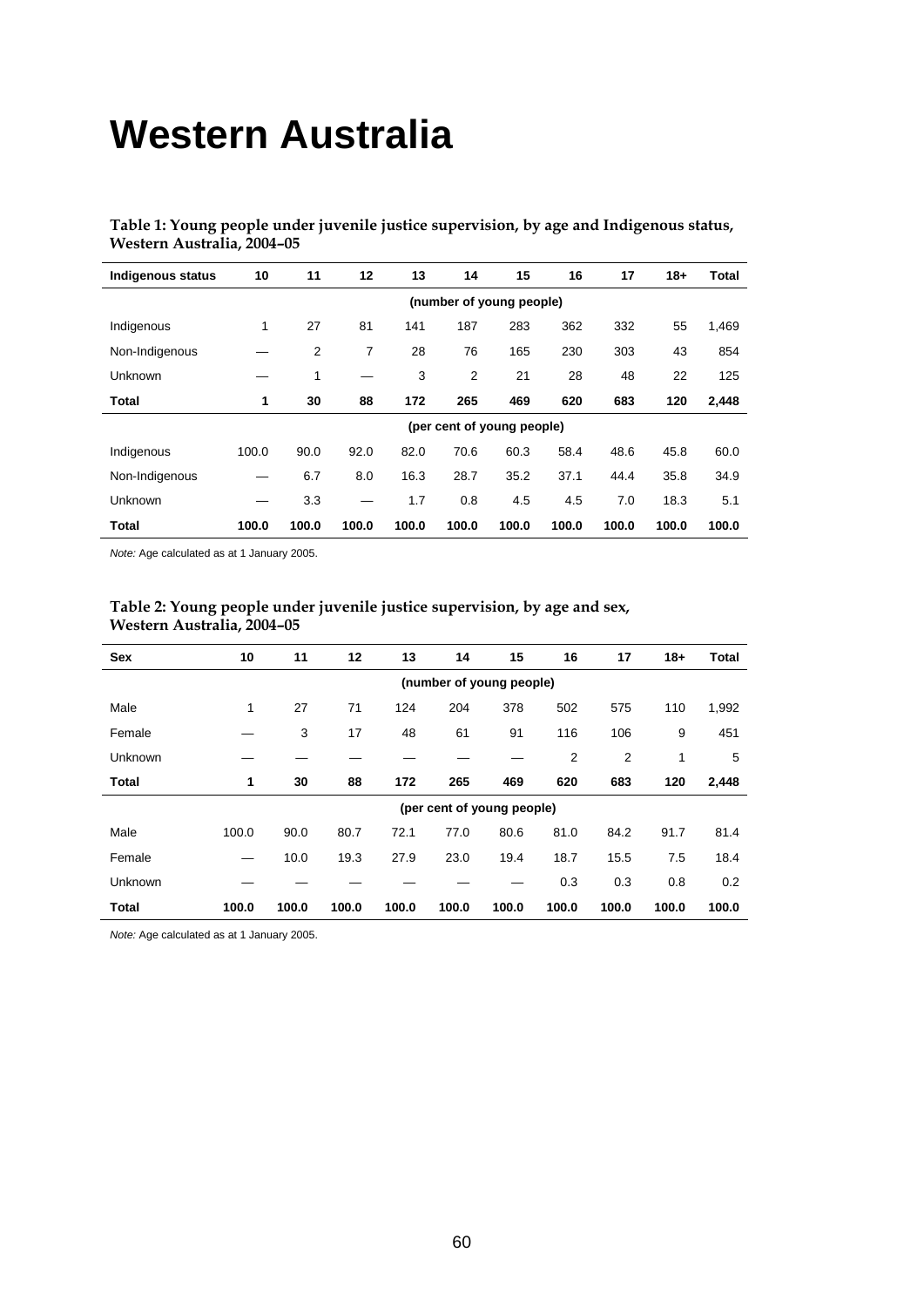# **Western Australia**

**Table 1: Young people under juvenile justice supervision, by age and Indigenous status, Western Australia, 2004–05** 

| <b>Indigenous status</b> | 10    | 11    | 12    | 13    | 14             | 15                         | 16    | 17    | $18+$ | Total |
|--------------------------|-------|-------|-------|-------|----------------|----------------------------|-------|-------|-------|-------|
|                          |       |       |       |       |                | (number of young people)   |       |       |       |       |
| Indigenous               | 1     | 27    | 81    | 141   | 187            | 283                        | 362   | 332   | 55    | 1,469 |
| Non-Indigenous           |       | 2     | 7     | 28    | 76             | 165                        | 230   | 303   | 43    | 854   |
| Unknown                  |       | 1     |       | 3     | $\overline{2}$ | 21                         | 28    | 48    | 22    | 125   |
| Total                    | 1     | 30    | 88    | 172   | 265            | 469                        | 620   | 683   | 120   | 2,448 |
|                          |       |       |       |       |                | (per cent of young people) |       |       |       |       |
| Indigenous               | 100.0 | 90.0  | 92.0  | 82.0  | 70.6           | 60.3                       | 58.4  | 48.6  | 45.8  | 60.0  |
| Non-Indigenous           |       | 6.7   | 8.0   | 16.3  | 28.7           | 35.2                       | 37.1  | 44.4  | 35.8  | 34.9  |
| Unknown                  |       | 3.3   |       | 1.7   | 0.8            | 4.5                        | 4.5   | 7.0   | 18.3  | 5.1   |
| Total                    | 100.0 | 100.0 | 100.0 | 100.0 | 100.0          | 100.0                      | 100.0 | 100.0 | 100.0 | 100.0 |

*Note:* Age calculated as at 1 January 2005.

| Sex     | 10    | 11    | 12    | 13    | 14                         | 15    | 16    | 17    | $18 +$ | Total |
|---------|-------|-------|-------|-------|----------------------------|-------|-------|-------|--------|-------|
|         |       |       |       |       | (number of young people)   |       |       |       |        |       |
| Male    | 1     | 27    | 71    | 124   | 204                        | 378   | 502   | 575   | 110    | 1,992 |
| Female  |       | 3     | 17    | 48    | 61                         | 91    | 116   | 106   | 9      | 451   |
| Unknown |       |       |       |       |                            |       | 2     | 2     | 1      | 5     |
| Total   | 1     | 30    | 88    | 172   | 265                        | 469   | 620   | 683   | 120    | 2,448 |
|         |       |       |       |       | (per cent of young people) |       |       |       |        |       |
| Male    | 100.0 | 90.0  | 80.7  | 72.1  | 77.0                       | 80.6  | 81.0  | 84.2  | 91.7   | 81.4  |
| Female  |       | 10.0  | 19.3  | 27.9  | 23.0                       | 19.4  | 18.7  | 15.5  | 7.5    | 18.4  |
| Unknown |       |       |       |       |                            |       | 0.3   | 0.3   | 0.8    | 0.2   |
| Total   | 100.0 | 100.0 | 100.0 | 100.0 | 100.0                      | 100.0 | 100.0 | 100.0 | 100.0  | 100.0 |

## **Table 2: Young people under juvenile justice supervision, by age and sex, Western Australia, 2004–05**

*Note:* Age calculated as at 1 January 2005.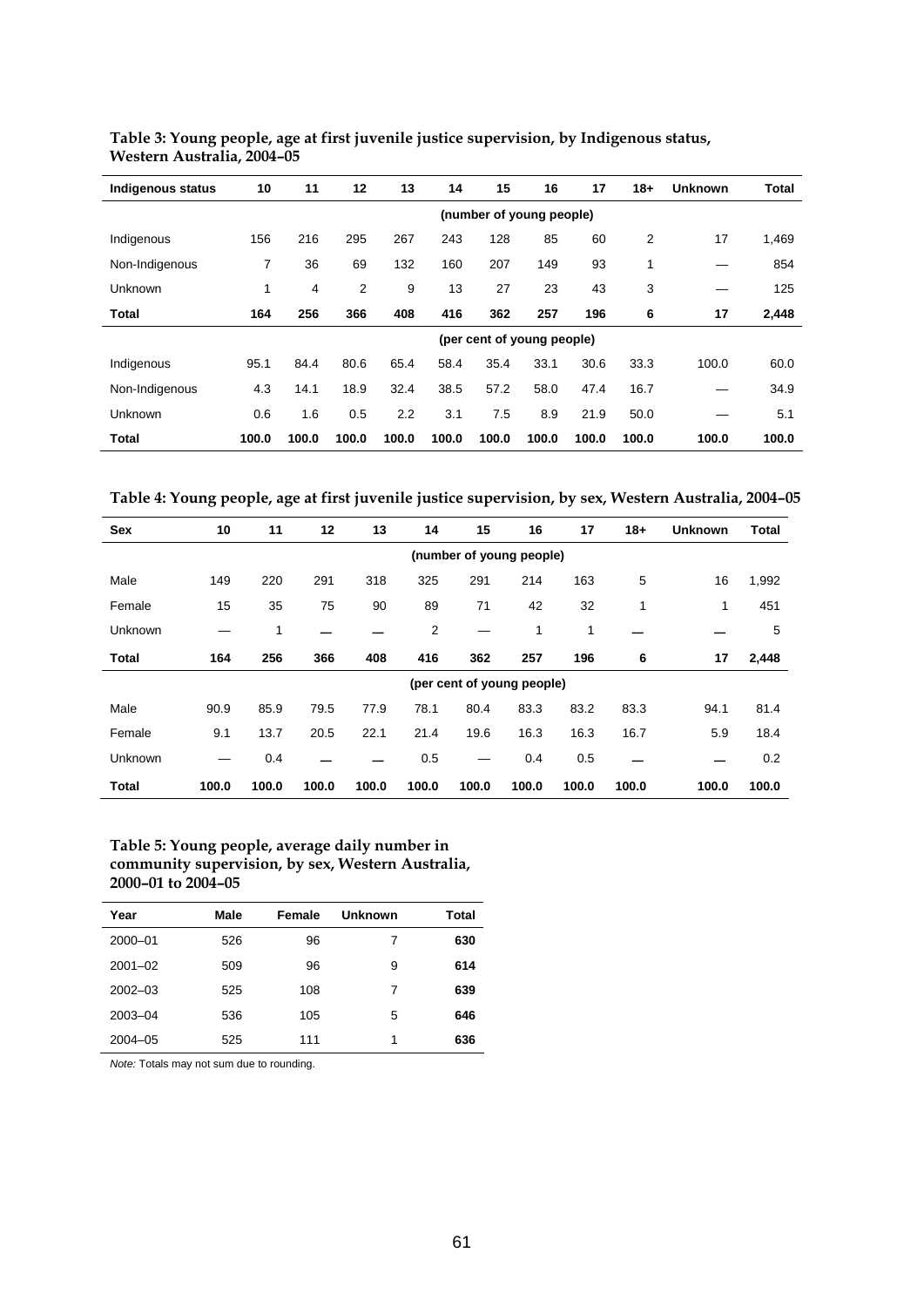| <b>Indigenous status</b> | 10    | 11    | 12                       | 13    | 15<br>14 |       | 16                         | 17    | $18+$ | <b>Unknown</b> | <b>Total</b> |  |
|--------------------------|-------|-------|--------------------------|-------|----------|-------|----------------------------|-------|-------|----------------|--------------|--|
|                          |       |       | (number of young people) |       |          |       |                            |       |       |                |              |  |
| Indigenous               | 156   | 216   | 295                      | 267   | 243      | 128   | 85                         | 60    | 2     | 17             | 1,469        |  |
| Non-Indigenous           | 7     | 36    | 69                       | 132   | 160      | 207   | 149                        | 93    | 1     |                | 854          |  |
| Unknown                  | 1     | 4     | $\overline{2}$           | 9     | 13       | 27    | 23                         | 43    | 3     |                | 125          |  |
| Total                    | 164   | 256   | 366                      | 408   | 416      | 362   | 257                        | 196   | 6     | 17             | 2,448        |  |
|                          |       |       |                          |       |          |       | (per cent of young people) |       |       |                |              |  |
| Indigenous               | 95.1  | 84.4  | 80.6                     | 65.4  | 58.4     | 35.4  | 33.1                       | 30.6  | 33.3  | 100.0          | 60.0         |  |
| Non-Indigenous           | 4.3   | 14.1  | 18.9                     | 32.4  | 38.5     | 57.2  | 58.0                       | 47.4  | 16.7  |                | 34.9         |  |
| Unknown                  | 0.6   | 1.6   | 0.5                      | 2.2   | 3.1      | 7.5   | 8.9                        | 21.9  | 50.0  |                | 5.1          |  |
| Total                    | 100.0 | 100.0 | 100.0                    | 100.0 | 100.0    | 100.0 | 100.0                      | 100.0 | 100.0 | 100.0          | 100.0        |  |

**Table 3: Young people, age at first juvenile justice supervision, by Indigenous status, Western Australia, 2004–05** 

**Table 4: Young people, age at first juvenile justice supervision, by sex, Western Australia, 2004–05** 

| <b>Sex</b>   | 10    | 11    | 12                       | 13    | 14    | 15    | 16                         | 17    | $18+$ | <b>Unknown</b> | Total |  |  |
|--------------|-------|-------|--------------------------|-------|-------|-------|----------------------------|-------|-------|----------------|-------|--|--|
|              |       |       | (number of young people) |       |       |       |                            |       |       |                |       |  |  |
| Male         | 149   | 220   | 291                      | 318   | 325   | 291   | 214                        | 163   | 5     | 16             | 1,992 |  |  |
| Female       | 15    | 35    | 75                       | 90    | 89    | 71    | 42                         | 32    | 1     | 1              | 451   |  |  |
| Unknown      |       | 1     |                          |       | 2     |       | 1                          | 1     |       |                | 5     |  |  |
| <b>Total</b> | 164   | 256   | 366                      | 408   | 416   | 362   | 257                        | 196   | 6     | 17             | 2,448 |  |  |
|              |       |       |                          |       |       |       | (per cent of young people) |       |       |                |       |  |  |
| Male         | 90.9  | 85.9  | 79.5                     | 77.9  | 78.1  | 80.4  | 83.3                       | 83.2  | 83.3  | 94.1           | 81.4  |  |  |
| Female       | 9.1   | 13.7  | 20.5                     | 22.1  | 21.4  | 19.6  | 16.3                       | 16.3  | 16.7  | 5.9            | 18.4  |  |  |
| Unknown      |       | 0.4   |                          |       | 0.5   |       | 0.4                        | 0.5   |       |                | 0.2   |  |  |
| <b>Total</b> | 100.0 | 100.0 | 100.0                    | 100.0 | 100.0 | 100.0 | 100.0                      | 100.0 | 100.0 | 100.0          | 100.0 |  |  |

## **Table 5: Young people, average daily number in community supervision, by sex, Western Australia, 2000–01 to 2004–05**

| Year        | Male | Female | Unknown | Total |
|-------------|------|--------|---------|-------|
| $2000 - 01$ | 526  | 96     | 7       | 630   |
| $2001 - 02$ | 509  | 96     | 9       | 614   |
| $2002 - 03$ | 525  | 108    | 7       | 639   |
| $2003 - 04$ | 536  | 105    | 5       | 646   |
| $2004 - 05$ | 525  | 111    | 1       | 636   |

*Note:* Totals may not sum due to rounding.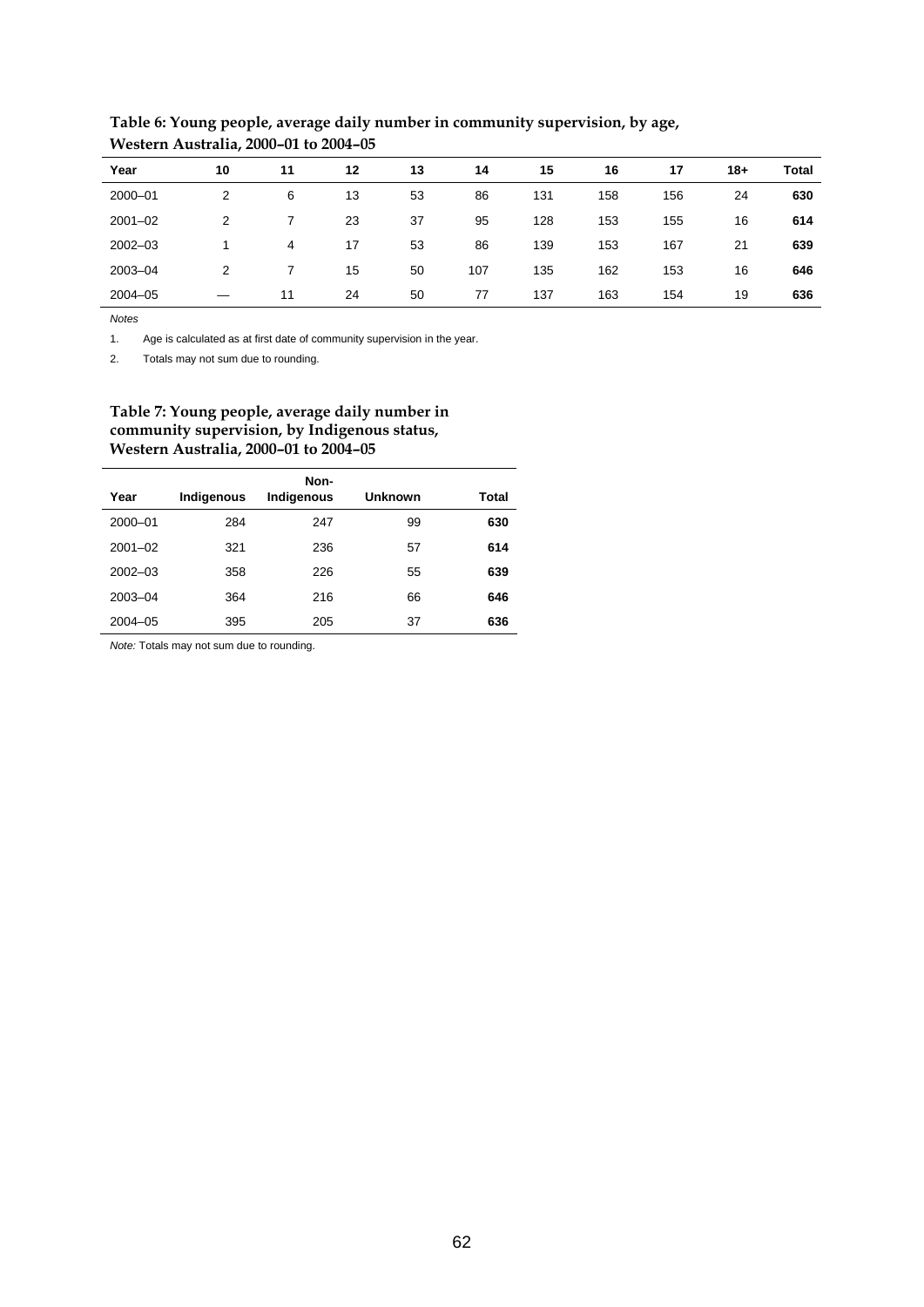| Year        | 10 | 11 | 12 | 13 | 14  | 15  | 16  | 17  | $18+$ | Total |
|-------------|----|----|----|----|-----|-----|-----|-----|-------|-------|
| 2000-01     | 2  | 6  | 13 | 53 | 86  | 131 | 158 | 156 | 24    | 630   |
| $2001 - 02$ | 2  |    | 23 | 37 | 95  | 128 | 153 | 155 | 16    | 614   |
| $2002 - 03$ | 1  | 4  | 17 | 53 | 86  | 139 | 153 | 167 | 21    | 639   |
| 2003-04     | 2  |    | 15 | 50 | 107 | 135 | 162 | 153 | 16    | 646   |
| $2004 - 05$ | –  | 11 | 24 | 50 | 77  | 137 | 163 | 154 | 19    | 636   |

**Table 6: Young people, average daily number in community supervision, by age, Western Australia, 2000–01 to 2004–05** 

*Notes*

1. Age is calculated as at first date of community supervision in the year.

2. Totals may not sum due to rounding.

## **Table 7: Young people, average daily number in community supervision, by Indigenous status, Western Australia, 2000–01 to 2004–05**

| Year        | Indigenous | Non-<br>Indigenous | <b>Unknown</b> | Total |
|-------------|------------|--------------------|----------------|-------|
| 2000-01     | 284        | 247                | 99             | 630   |
| $2001 - 02$ | 321        | 236                | 57             | 614   |
| $2002 - 03$ | 358        | 226                | 55             | 639   |
| 2003-04     | 364        | 216                | 66             | 646   |
| $2004 - 05$ | 395        | 205                | 37             | 636   |

*Note:* Totals may not sum due to rounding.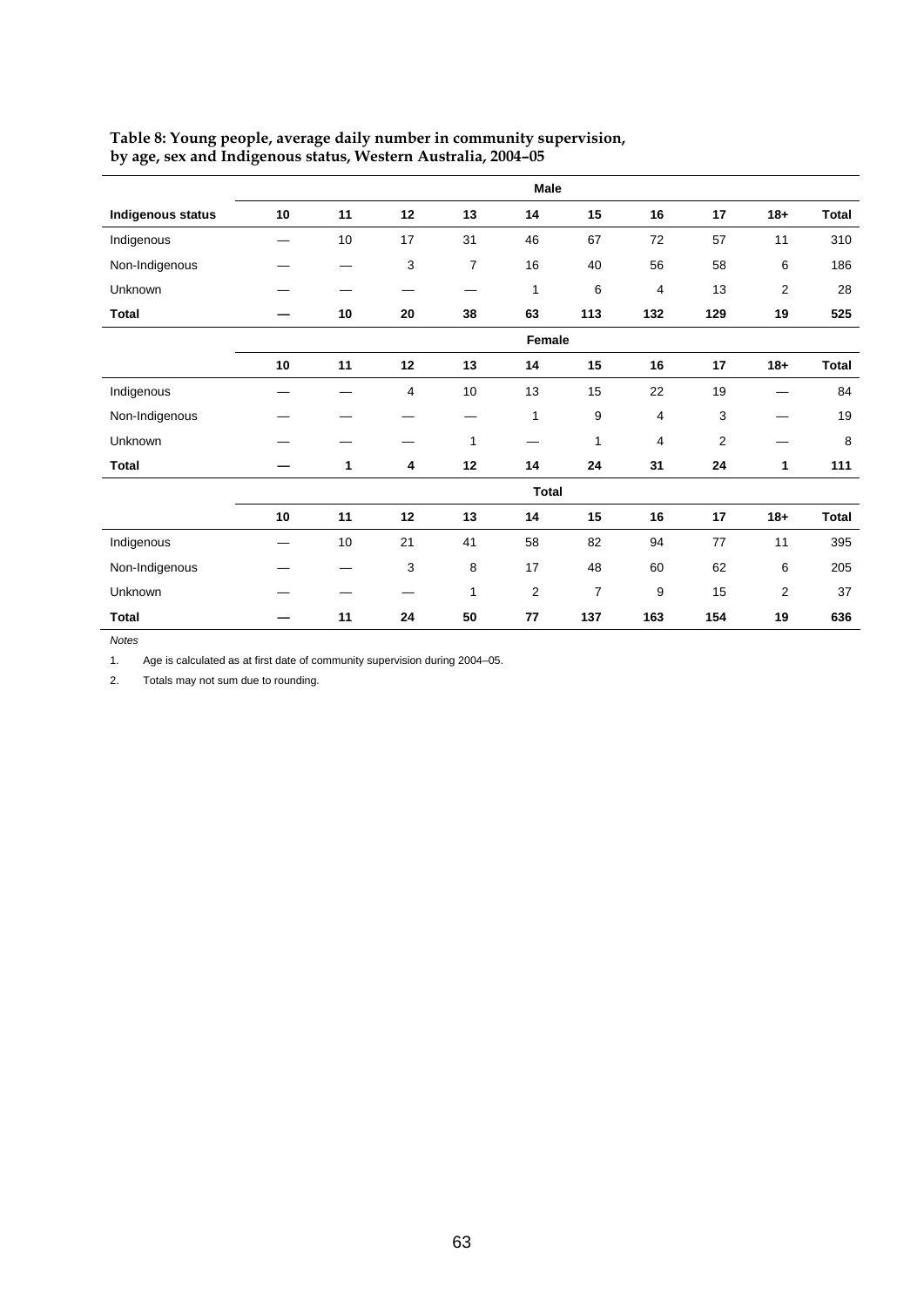|                          | Male   |        |    |                |                |                |     |                |                |              |
|--------------------------|--------|--------|----|----------------|----------------|----------------|-----|----------------|----------------|--------------|
| <b>Indigenous status</b> | 10     | 11     | 12 | 13             | 14             | 15             | 16  | 17             | $18+$          | <b>Total</b> |
| Indigenous               |        | 10     | 17 | 31             | 46             | 67             | 72  | 57             | 11             | 310          |
| Non-Indigenous           |        |        | 3  | $\overline{7}$ | 16             | 40             | 56  | 58             | 6              | 186          |
| Unknown                  |        |        |    |                | 1              | 6              | 4   | 13             | $\overline{2}$ | 28           |
| <b>Total</b>             |        | $10\,$ | 20 | 38             | 63             | 113            | 132 | 129            | 19             | 525          |
|                          | Female |        |    |                |                |                |     |                |                |              |
|                          | 10     | 11     | 12 | 13             | 14             | 15             | 16  | 17             | $18 +$         | <b>Total</b> |
| Indigenous               |        |        | 4  | 10             | 13             | 15             | 22  | 19             |                | 84           |
| Non-Indigenous           |        |        |    |                | $\mathbf{1}$   | 9              | 4   | 3              |                | 19           |
| Unknown                  |        |        |    | 1              |                | $\mathbf{1}$   | 4   | $\overline{2}$ |                | 8            |
| Total                    |        | 1      | 4  | 12             | 14             | 24             | 31  | 24             | 1              | 111          |
|                          |        |        |    |                |                | <b>Total</b>   |     |                |                |              |
|                          | 10     | 11     | 12 | 13             | 14             | 15             | 16  | 17             | $18 +$         | <b>Total</b> |
| Indigenous               |        | 10     | 21 | 41             | 58             | 82             | 94  | 77             | 11             | 395          |
| Non-Indigenous           |        |        | 3  | 8              | 17             | 48             | 60  | 62             | 6              | 205          |
| Unknown                  |        |        |    | 1              | $\overline{2}$ | $\overline{7}$ | 9   | 15             | $\overline{2}$ | 37           |
| <b>Total</b>             |        | 11     | 24 | 50             | 77             | 137            | 163 | 154            | 19             | 636          |

## **Table 8: Young people, average daily number in community supervision, by age, sex and Indigenous status, Western Australia, 2004–05**

*Notes*

1. Age is calculated as at first date of community supervision during 2004–05.

2. Totals may not sum due to rounding.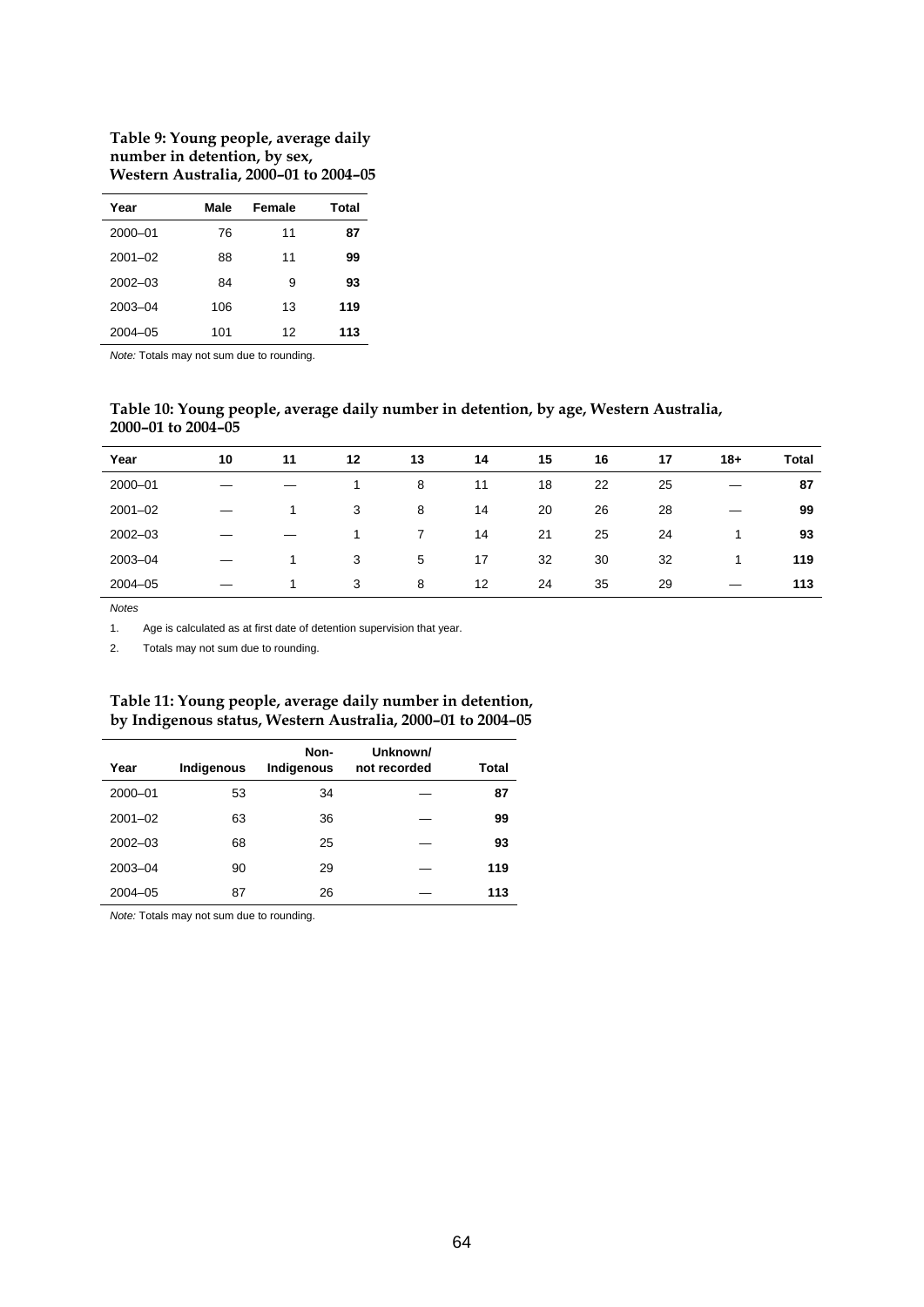## **Table 9: Young people, average daily number in detention, by sex, Western Australia, 2000–01 to 2004–05**

| Year        | Male | Female | Total |
|-------------|------|--------|-------|
| 2000-01     | 76   | 11     | 87    |
| $2001 - 02$ | 88   | 11     | 99    |
| $2002 - 03$ | 84   | 9      | 93    |
| 2003-04     | 106  | 13     | 119   |
| $2004 - 05$ | 101  | 12     | 113   |

*Note:* Totals may not sum due to rounding.

## **Table 10: Young people, average daily number in detention, by age, Western Australia, 2000–01 to 2004–05**

| Year        | 10 | 11 | 12 | 13 | 14 | 15 | 16 | 17 | $18+$ | <b>Total</b> |
|-------------|----|----|----|----|----|----|----|----|-------|--------------|
| 2000-01     |    |    |    | 8  | 11 | 18 | 22 | 25 |       | 87           |
| $2001 - 02$ |    |    | 3  | 8  | 14 | 20 | 26 | 28 |       | 99           |
| $2002 - 03$ |    |    | 1  | 7  | 14 | 21 | 25 | 24 | 4     | 93           |
| 2003-04     |    |    | 3  | 5  | 17 | 32 | 30 | 32 | 1     | 119          |
| $2004 - 05$ |    |    | 3  | 8  | 12 | 24 | 35 | 29 | —     | 113          |

*Notes*

1. Age is calculated as at first date of detention supervision that year.

2. Totals may not sum due to rounding.

## **Table 11: Young people, average daily number in detention, by Indigenous status, Western Australia, 2000–01 to 2004–05**

| Year        | Indigenous | Non-<br>Indigenous | Unknown/<br>not recorded | Total |
|-------------|------------|--------------------|--------------------------|-------|
|             |            |                    |                          |       |
| 2000-01     | 53         | 34                 |                          | 87    |
| $2001 - 02$ | 63         | 36                 |                          | 99    |
| $2002 - 03$ | 68         | 25                 |                          | 93    |
| $2003 - 04$ | 90         | 29                 |                          | 119   |
| $2004 - 05$ | 87         | 26                 |                          | 113   |

*Note:* Totals may not sum due to rounding.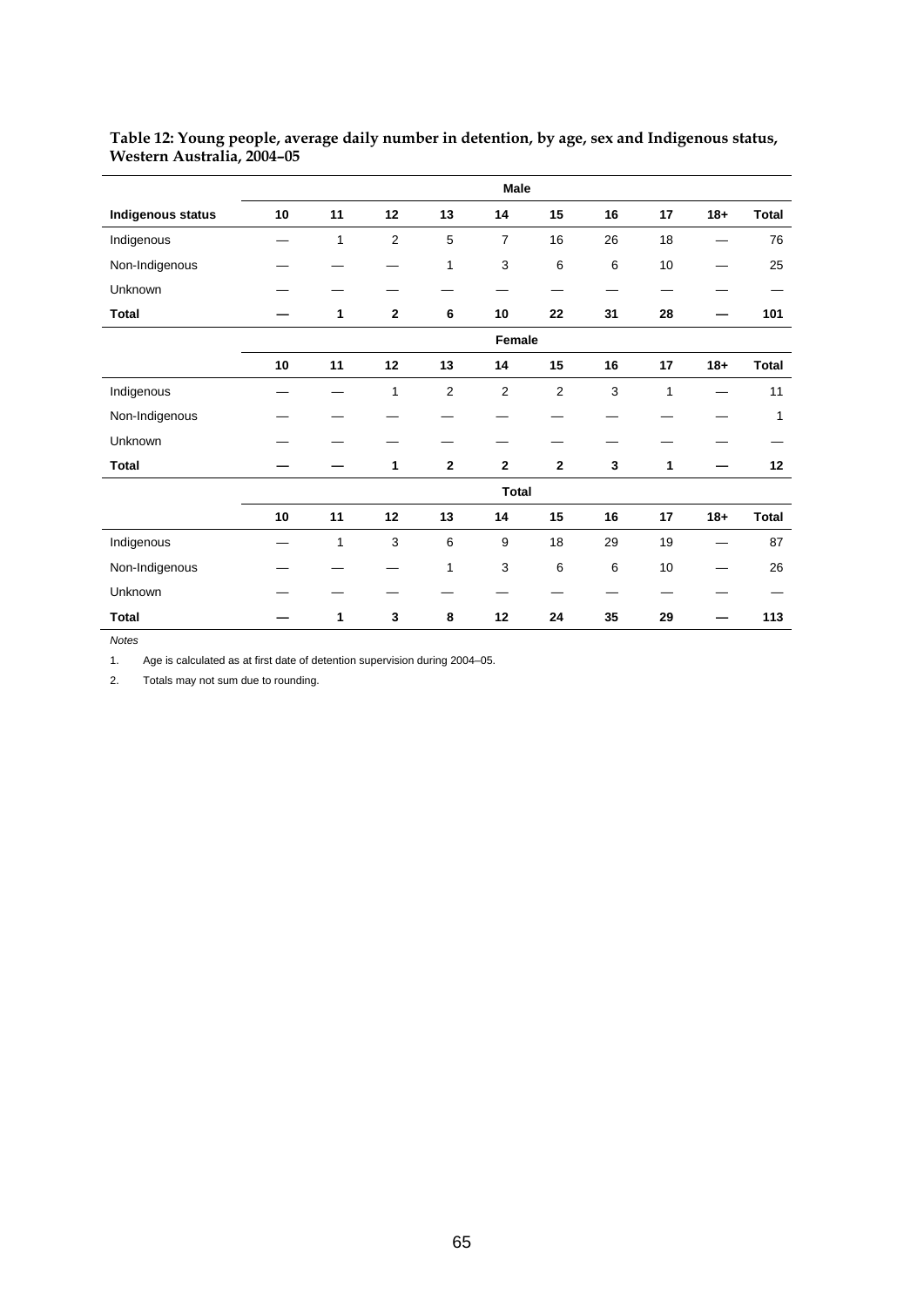|                   | Male |              |                |              |                |              |              |              |        |              |
|-------------------|------|--------------|----------------|--------------|----------------|--------------|--------------|--------------|--------|--------------|
| Indigenous status | 10   | 11           | 12             | 13           | 14             | 15           | 16           | 17           | $18+$  | <b>Total</b> |
| Indigenous        |      | $\mathbf{1}$ | $\overline{2}$ | 5            | $\overline{7}$ | 16           | 26           | 18           |        | 76           |
| Non-Indigenous    |      |              |                | $\mathbf{1}$ | $\mathsf 3$    | $\,6\,$      | 6            | 10           |        | 25           |
| Unknown           |      |              |                |              |                |              |              |              |        |              |
| <b>Total</b>      |      | 1            | $\mathbf{2}$   | 6            | 10             | 22           | 31           | 28           |        | 101          |
|                   |      |              |                |              | Female         |              |              |              |        |              |
|                   | 10   | 11           | 12             | 13           | 14             | 15           | 16           | 17           | $18 +$ | <b>Total</b> |
| Indigenous        |      |              | $\mathbf{1}$   | 2            | 2              | 2            | 3            | $\mathbf{1}$ |        | 11           |
| Non-Indigenous    |      |              |                |              |                |              |              |              |        | 1            |
| Unknown           |      |              |                |              |                |              |              |              |        |              |
| <b>Total</b>      |      |              | 1              | $\mathbf{2}$ | $\mathbf{2}$   | $\mathbf{2}$ | $\mathbf{3}$ | 1            |        | 12           |
|                   |      |              |                |              | <b>Total</b>   |              |              |              |        |              |
|                   | 10   | 11           | 12             | 13           | 14             | 15           | 16           | 17           | $18+$  | <b>Total</b> |
| Indigenous        |      | $\mathbf{1}$ | 3              | 6            | 9              | 18           | 29           | 19           |        | 87           |
| Non-Indigenous    |      |              |                | $\mathbf{1}$ | 3              | 6            | 6            | 10           |        | 26           |
| Unknown           |      |              |                |              |                |              |              |              |        |              |
| <b>Total</b>      |      | 1            | 3              | 8            | 12             | 24           | 35           | 29           |        | 113          |

### **Table 12: Young people, average daily number in detention, by age, sex and Indigenous status, Western Australia, 2004–05**

*Notes*

1. Age is calculated as at first date of detention supervision during 2004–05.

2. Totals may not sum due to rounding.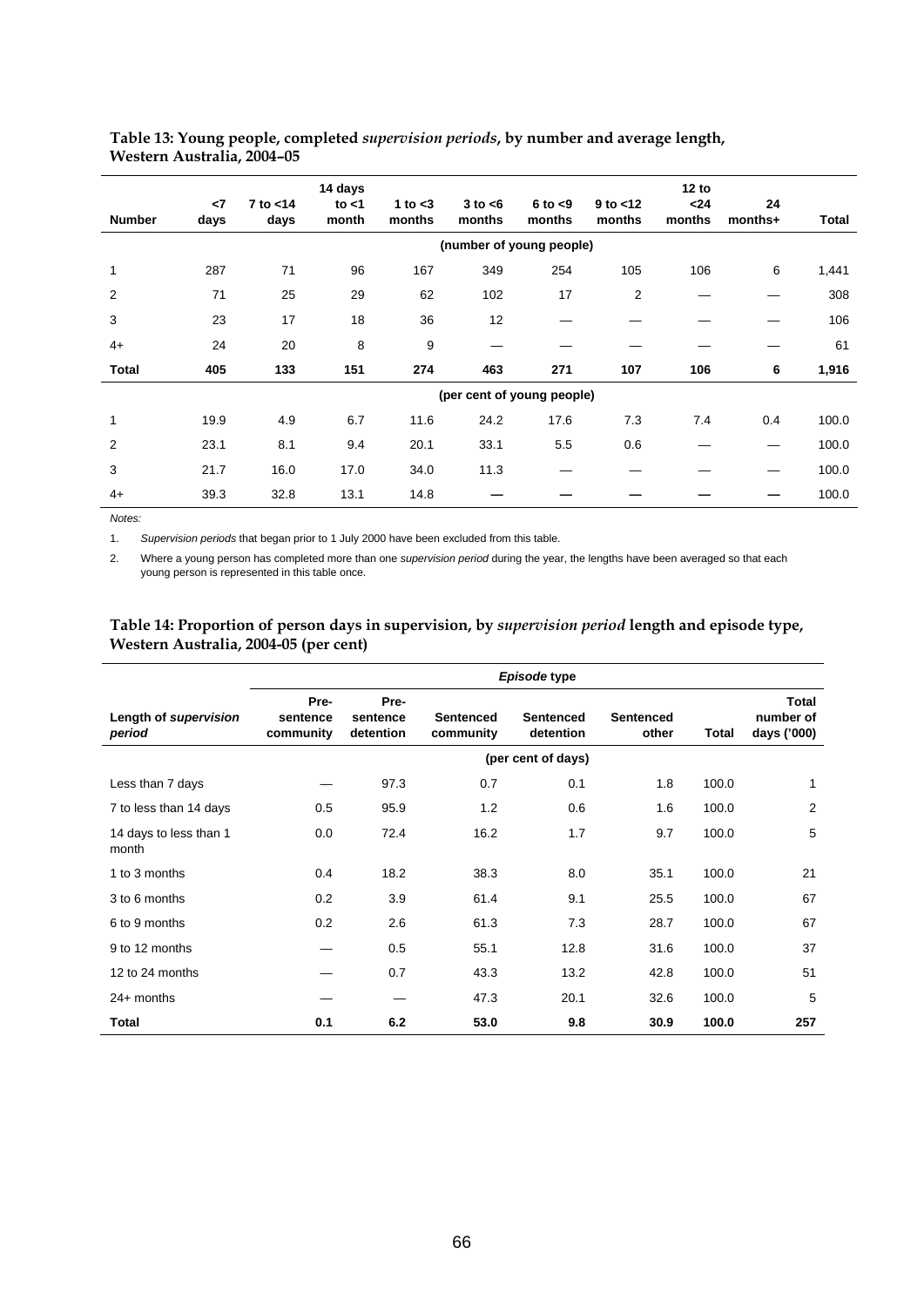| <b>Number</b>  | $\leq$<br>days | $7$ to $<$ 14<br>days | 14 days<br>to $<$ 1<br>month | 1 to $<$ 3<br>months | $3$ to $<$ 6<br>months | $6$ to $< 9$<br>months     | $9$ to $<$ 12<br>months | 12 to<br>$24$<br>months | 24<br>months+ | Total |
|----------------|----------------|-----------------------|------------------------------|----------------------|------------------------|----------------------------|-------------------------|-------------------------|---------------|-------|
|                |                |                       |                              |                      |                        | (number of young people)   |                         |                         |               |       |
| 1              | 287            | 71                    | 96                           | 167                  | 349                    | 254                        | 105                     | 106                     | 6             | 1,441 |
| $\overline{2}$ | 71             | 25                    | 29                           | 62                   | 102                    | 17                         | 2                       |                         |               | 308   |
| 3              | 23             | 17                    | 18                           | 36                   | 12                     |                            |                         |                         |               | 106   |
| $4+$           | 24             | 20                    | 8                            | 9                    |                        |                            |                         |                         |               | 61    |
| Total          | 405            | 133                   | 151                          | 274                  | 463                    | 271                        | 107                     | 106                     | 6             | 1,916 |
|                |                |                       |                              |                      |                        | (per cent of young people) |                         |                         |               |       |
| $\mathbf{1}$   | 19.9           | 4.9                   | 6.7                          | 11.6                 | 24.2                   | 17.6                       | 7.3                     | 7.4                     | 0.4           | 100.0 |
| 2              | 23.1           | 8.1                   | 9.4                          | 20.1                 | 33.1                   | 5.5                        | 0.6                     |                         |               | 100.0 |
| 3              | 21.7           | 16.0                  | 17.0                         | 34.0                 | 11.3                   |                            |                         |                         |               | 100.0 |
| $4+$           | 39.3           | 32.8                  | 13.1                         | 14.8                 |                        |                            |                         |                         |               | 100.0 |

## **Table 13: Young people, completed** *supervision periods***, by number and average length, Western Australia, 2004–05**

*Notes:* 

 $\overline{a}$ 

1. *Supervision periods* that began prior to 1 July 2000 have been excluded from this table.

2. Where a young person has completed more than one *supervision period* during the year, the lengths have been averaged so that each young person is represented in this table once.

## **Table 14: Proportion of person days in supervision, by** *supervision period* **length and episode type, Western Australia, 2004-05 (per cent)**

|                                 | Episode type                  |                               |                               |                               |                           |       |                                   |  |  |
|---------------------------------|-------------------------------|-------------------------------|-------------------------------|-------------------------------|---------------------------|-------|-----------------------------------|--|--|
| Length of supervision<br>period | Pre-<br>sentence<br>community | Pre-<br>sentence<br>detention | <b>Sentenced</b><br>community | <b>Sentenced</b><br>detention | <b>Sentenced</b><br>other | Total | Total<br>number of<br>days ('000) |  |  |
|                                 |                               |                               |                               | (per cent of days)            |                           |       |                                   |  |  |
| Less than 7 days                |                               | 97.3                          | 0.7                           | 0.1                           | 1.8                       | 100.0 | 1                                 |  |  |
| 7 to less than 14 days          | 0.5                           | 95.9                          | 1.2                           | 0.6                           | 1.6                       | 100.0 | $\overline{2}$                    |  |  |
| 14 days to less than 1<br>month | 0.0                           | 72.4                          | 16.2                          | 1.7                           | 9.7                       | 100.0 | 5                                 |  |  |
| 1 to 3 months                   | 0.4                           | 18.2                          | 38.3                          | 8.0                           | 35.1                      | 100.0 | 21                                |  |  |
| 3 to 6 months                   | 0.2                           | 3.9                           | 61.4                          | 9.1                           | 25.5                      | 100.0 | 67                                |  |  |
| 6 to 9 months                   | 0.2                           | 2.6                           | 61.3                          | 7.3                           | 28.7                      | 100.0 | 67                                |  |  |
| 9 to 12 months                  |                               | 0.5                           | 55.1                          | 12.8                          | 31.6                      | 100.0 | 37                                |  |  |
| 12 to 24 months                 |                               | 0.7                           | 43.3                          | 13.2                          | 42.8                      | 100.0 | 51                                |  |  |
| $24+$ months                    |                               | —                             | 47.3                          | 20.1                          | 32.6                      | 100.0 | 5                                 |  |  |
| Total                           | 0.1                           | 6.2                           | 53.0                          | 9.8                           | 30.9                      | 100.0 | 257                               |  |  |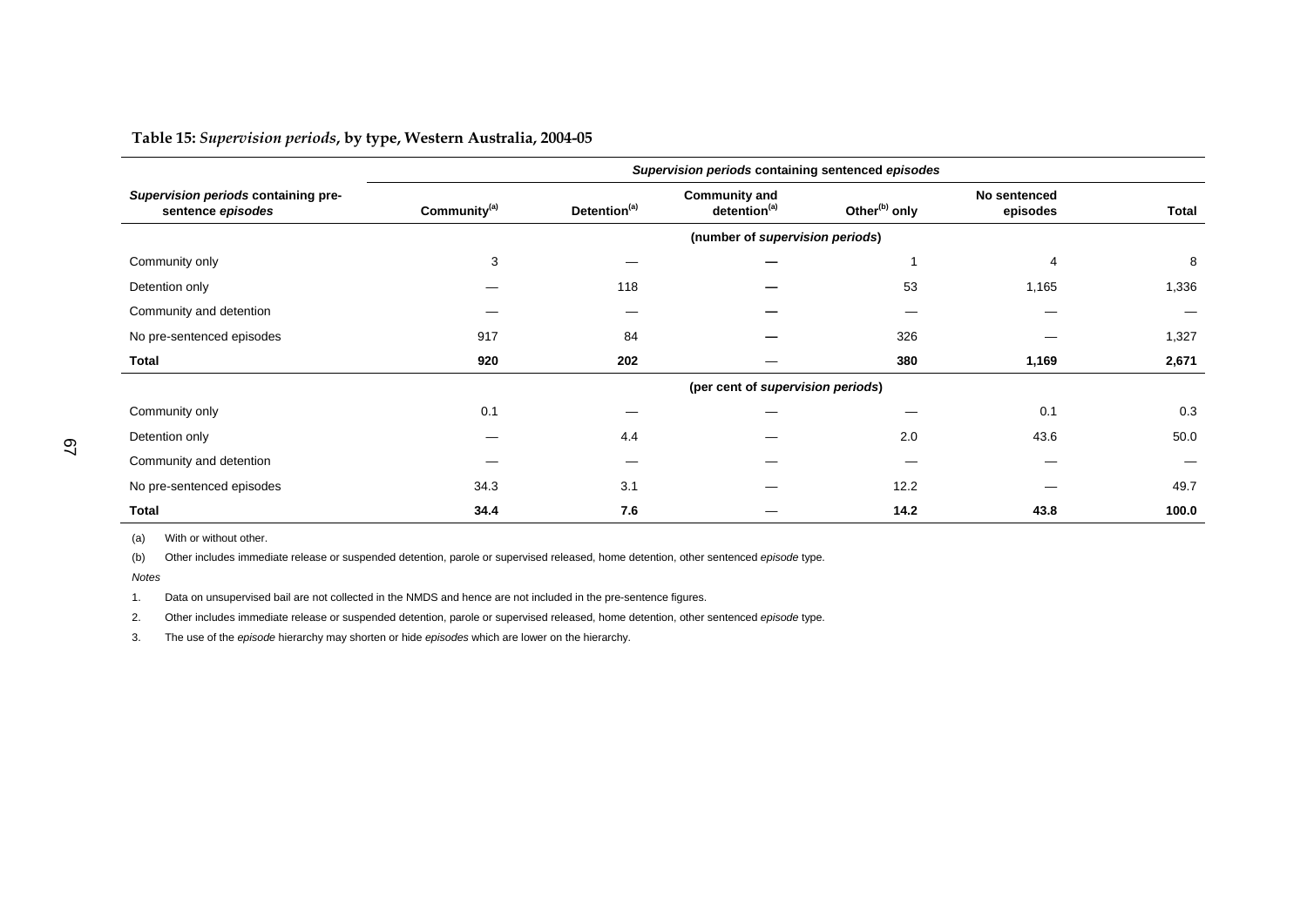**Table 15:** *Supervision periods***, by type, Western Australia, 2004-05** 

|                                                          | Supervision periods containing sentenced episodes |                          |                                                  |                           |                          |       |  |  |  |
|----------------------------------------------------------|---------------------------------------------------|--------------------------|--------------------------------------------------|---------------------------|--------------------------|-------|--|--|--|
| Supervision periods containing pre-<br>sentence episodes | Community <sup>(a)</sup>                          | Detention <sup>(a)</sup> | <b>Community and</b><br>detention <sup>(a)</sup> | Other <sup>(b)</sup> only | No sentenced<br>episodes | Total |  |  |  |
|                                                          | (number of supervision periods)                   |                          |                                                  |                           |                          |       |  |  |  |
| Community only                                           | 3                                                 |                          |                                                  |                           | $\overline{4}$           | 8     |  |  |  |
| Detention only                                           |                                                   | 118                      |                                                  | 53                        | 1,165                    | 1,336 |  |  |  |
| Community and detention                                  |                                                   |                          |                                                  |                           |                          |       |  |  |  |
| No pre-sentenced episodes                                | 917                                               | 84                       |                                                  | 326                       |                          | 1,327 |  |  |  |
| Total                                                    | 920                                               | 202                      |                                                  | 380                       | 1,169                    | 2,671 |  |  |  |
|                                                          | (per cent of supervision periods)                 |                          |                                                  |                           |                          |       |  |  |  |
| Community only                                           | 0.1                                               |                          |                                                  |                           | 0.1                      | 0.3   |  |  |  |
| Detention only                                           |                                                   | 4.4                      |                                                  | 2.0                       | 43.6                     | 50.0  |  |  |  |
| Community and detention                                  |                                                   |                          |                                                  |                           |                          |       |  |  |  |
| No pre-sentenced episodes                                | 34.3                                              | 3.1                      |                                                  | 12.2                      |                          | 49.7  |  |  |  |
| <b>Total</b>                                             | 34.4                                              | 7.6                      |                                                  | 14.2                      | 43.8                     | 100.0 |  |  |  |

(a) With or without other.

(b) Other includes immediate release or suspended detention, parole or supervised released, home detention, other sentenced *episode* type.

*Notes*

1. Data on unsupervised bail are not collected in the NMDS and hence are not included in the pre-sentence figures.

2. Other includes immediate release or suspended detention, parole or supervised released, home detention, other sentenced *episode* type.

3. The use of the *episode* hierarchy may shorten or hide *episodes* which are lower on the hierarchy.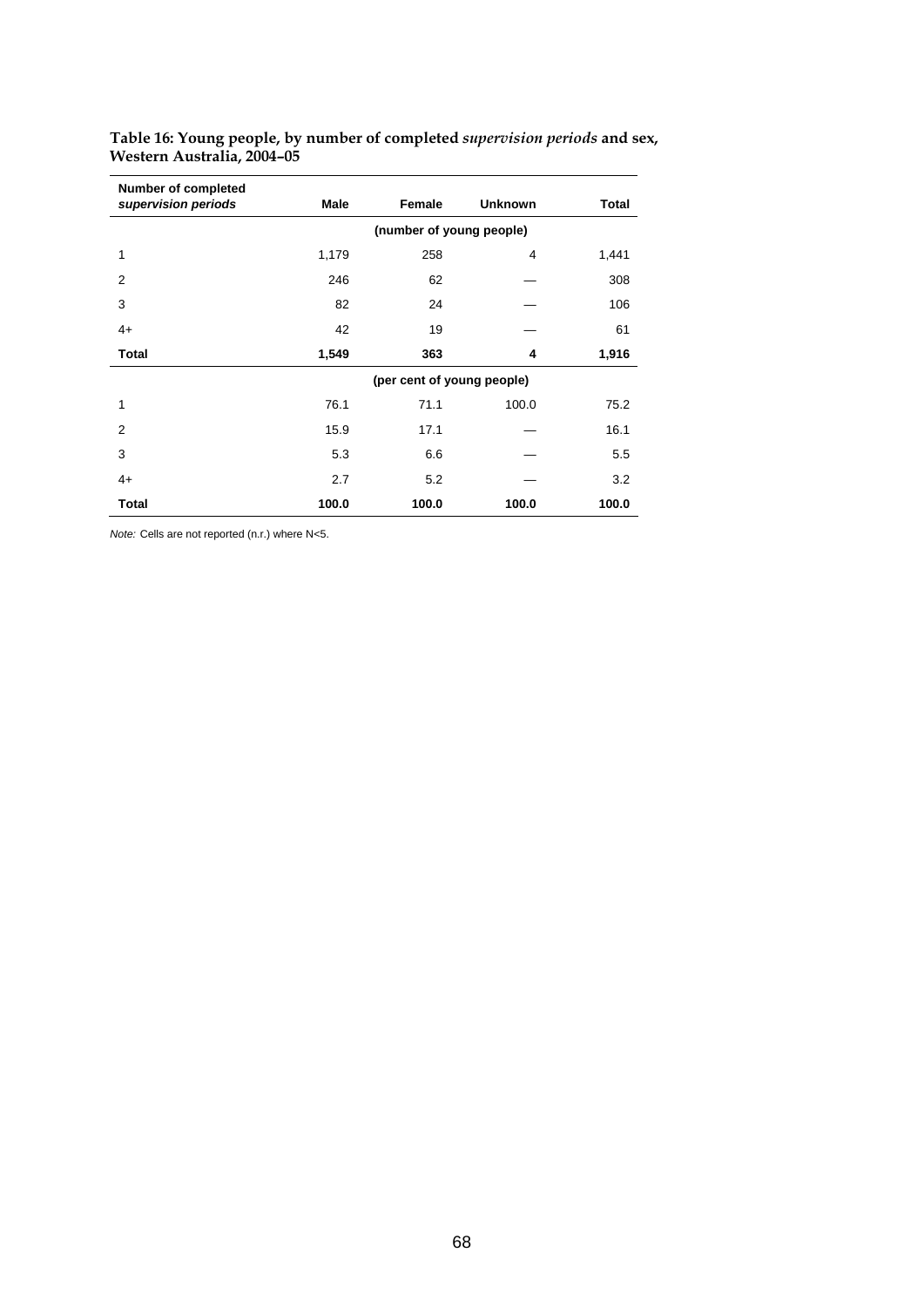| <b>Number of completed</b><br>supervision periods | <b>Male</b>                | Female | <b>Unknown</b> | <b>Total</b> |  |  |  |
|---------------------------------------------------|----------------------------|--------|----------------|--------------|--|--|--|
|                                                   | (number of young people)   |        |                |              |  |  |  |
| 1                                                 | 1,179                      | 258    | 4              | 1,441        |  |  |  |
| $\overline{2}$                                    | 246                        | 62     |                | 308          |  |  |  |
| 3                                                 | 82                         | 24     |                | 106          |  |  |  |
| $4+$                                              | 42                         | 19     |                | 61           |  |  |  |
| <b>Total</b>                                      | 1,549                      | 363    | 4              | 1,916        |  |  |  |
|                                                   | (per cent of young people) |        |                |              |  |  |  |
| 1                                                 | 76.1                       | 71.1   | 100.0          | 75.2         |  |  |  |
| $\overline{2}$                                    | 15.9                       | 17.1   |                | 16.1         |  |  |  |
| 3                                                 | 5.3                        | 6.6    |                | 5.5          |  |  |  |
| $4+$                                              | 2.7                        | 5.2    |                | 3.2          |  |  |  |
| <b>Total</b>                                      | 100.0                      | 100.0  | 100.0          | 100.0        |  |  |  |

**Table 16: Young people, by number of completed** *supervision periods* **and sex, Western Australia, 2004–05** 

*Note:* Cells are not reported (n.r.) where N<5.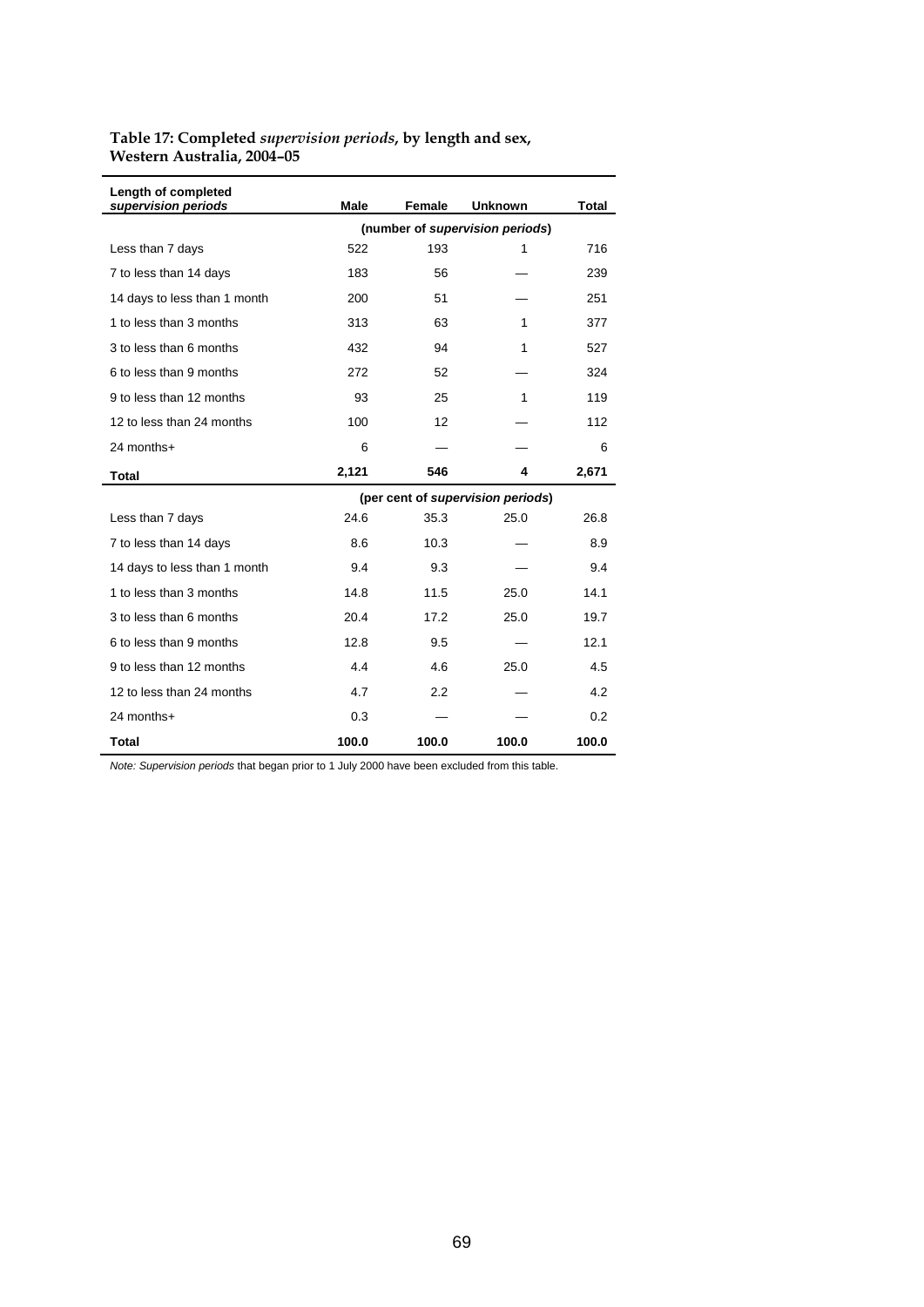## **Table 17: Completed** *supervision periods***, by length and sex, Western Australia, 2004–05**

| Length of completed<br>supervision periods | <b>Male</b>                       | <b>Female</b> | <b>Unknown</b> | Total |  |  |  |
|--------------------------------------------|-----------------------------------|---------------|----------------|-------|--|--|--|
|                                            | (number of supervision periods)   |               |                |       |  |  |  |
| Less than 7 days                           | 522                               | 193           | 1              | 716   |  |  |  |
| 7 to less than 14 days                     | 183                               | 56            |                | 239   |  |  |  |
| 14 days to less than 1 month               | 200                               | 51            |                | 251   |  |  |  |
| 1 to less than 3 months                    | 313                               | 63            | 1              | 377   |  |  |  |
| 3 to less than 6 months                    | 432                               | 94            | 1              | 527   |  |  |  |
| 6 to less than 9 months                    | 272                               | 52            |                | 324   |  |  |  |
| 9 to less than 12 months                   | 93                                | 25            | 1              | 119   |  |  |  |
| 12 to less than 24 months                  | 100                               | 12            |                | 112   |  |  |  |
| 24 months+                                 | 6                                 |               |                | 6     |  |  |  |
| <b>Total</b>                               | 2,121                             | 546           | 4              | 2,671 |  |  |  |
|                                            | (per cent of supervision periods) |               |                |       |  |  |  |
| Less than 7 days                           | 24.6                              | 35.3          | 25.0           | 26.8  |  |  |  |
| 7 to less than 14 days                     | 8.6                               | 10.3          |                | 8.9   |  |  |  |
| 14 days to less than 1 month               | 9.4                               | 9.3           |                | 9.4   |  |  |  |
| 1 to less than 3 months                    | 14.8                              | 11.5          | 25.0           | 14.1  |  |  |  |
| 3 to less than 6 months                    | 20.4                              | 17.2          | 25.0           | 19.7  |  |  |  |
| 6 to less than 9 months                    | 12.8                              | 9.5           |                | 12.1  |  |  |  |
| 9 to less than 12 months                   | 4.4                               | 4.6           | 25.0           | 4.5   |  |  |  |
| 12 to less than 24 months                  | 4.7                               | 2.2           |                | 4.2   |  |  |  |
| 24 months+                                 | 0.3                               |               |                | 0.2   |  |  |  |
| Total                                      | 100.0                             | 100.0         | 100.0          | 100.0 |  |  |  |

*Note: Supervision periods* that began prior to 1 July 2000 have been excluded from this table.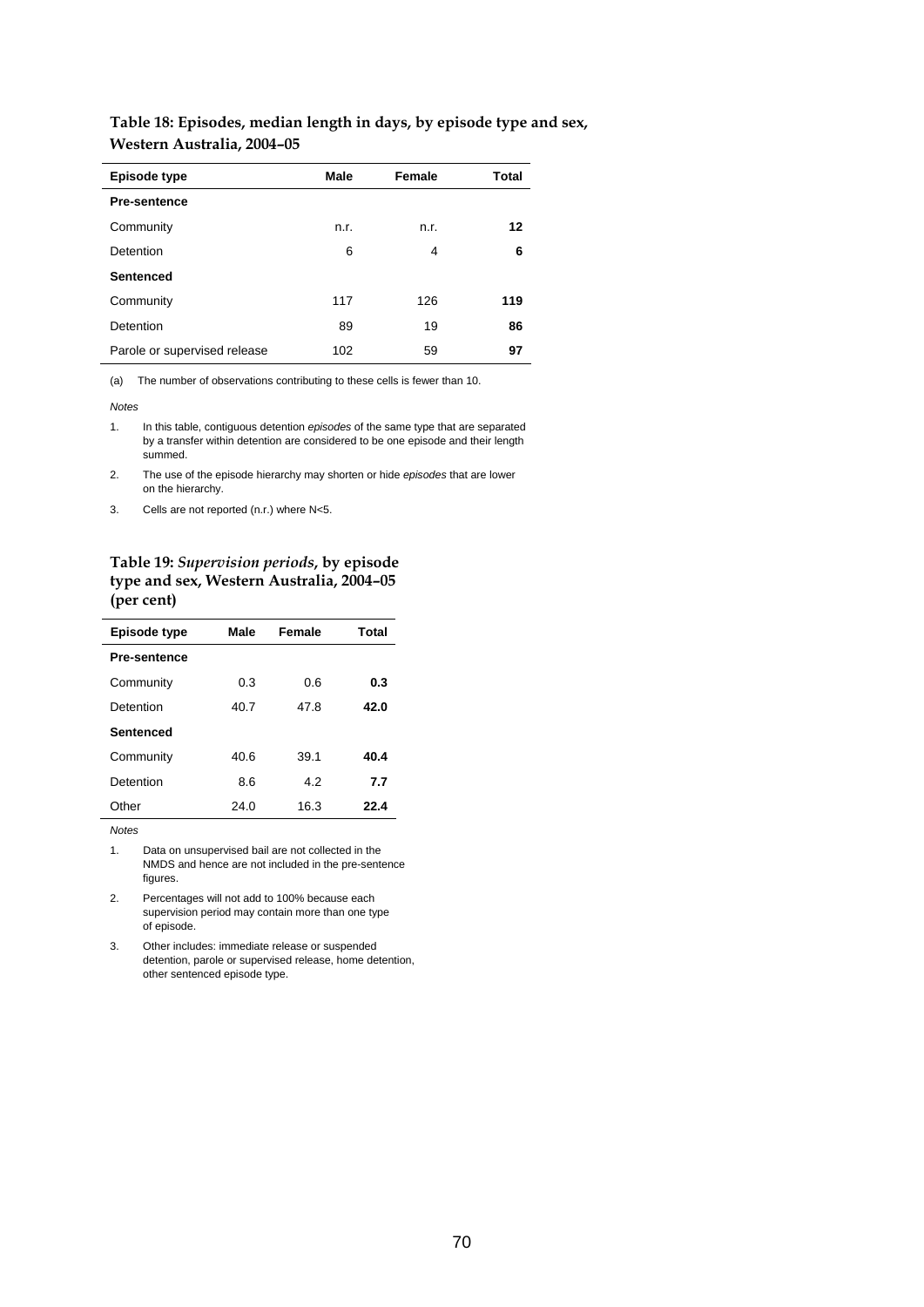#### **Table 18: Episodes, median length in days, by episode type and sex, Western Australia, 2004–05**

| Episode type                 | Male | Female | <b>Total</b> |
|------------------------------|------|--------|--------------|
| <b>Pre-sentence</b>          |      |        |              |
| Community                    | n.r. | n.r.   | 12           |
| Detention                    | 6    | 4      | 6            |
| <b>Sentenced</b>             |      |        |              |
| Community                    | 117  | 126    | 119          |
| Detention                    | 89   | 19     | 86           |
| Parole or supervised release | 102  | 59     | 97           |

(a) The number of observations contributing to these cells is fewer than 10.

*Notes* 

- 1. In this table, contiguous detention *episodes* of the same type that are separated by a transfer within detention are considered to be one episode and their length summed.
- 2. The use of the episode hierarchy may shorten or hide *episodes* that are lower on the hierarchy.
- 3. Cells are not reported (n.r.) where N<5.

**Table 19:** *Supervision periods***, by episode type and sex, Western Australia, 2004–05 (per cent)** 

| Episode type        | Male | Female | <b>Total</b> |
|---------------------|------|--------|--------------|
| <b>Pre-sentence</b> |      |        |              |
| Community           | 0.3  | 0.6    | 0.3          |
| Detention           | 40.7 | 47.8   | 42.0         |
| <b>Sentenced</b>    |      |        |              |
| Community           | 40.6 | 39.1   | 40.4         |
| Detention           | 8.6  | 4.2    | 7.7          |
| Other               | 24.0 | 16.3   | 22.4         |

*Notes* 

1. Data on unsupervised bail are not collected in the NMDS and hence are not included in the pre-sentence figures.

2. Percentages will not add to 100% because each supervision period may contain more than one type of episode.

3. Other includes: immediate release or suspended detention, parole or supervised release, home detention, other sentenced episode type.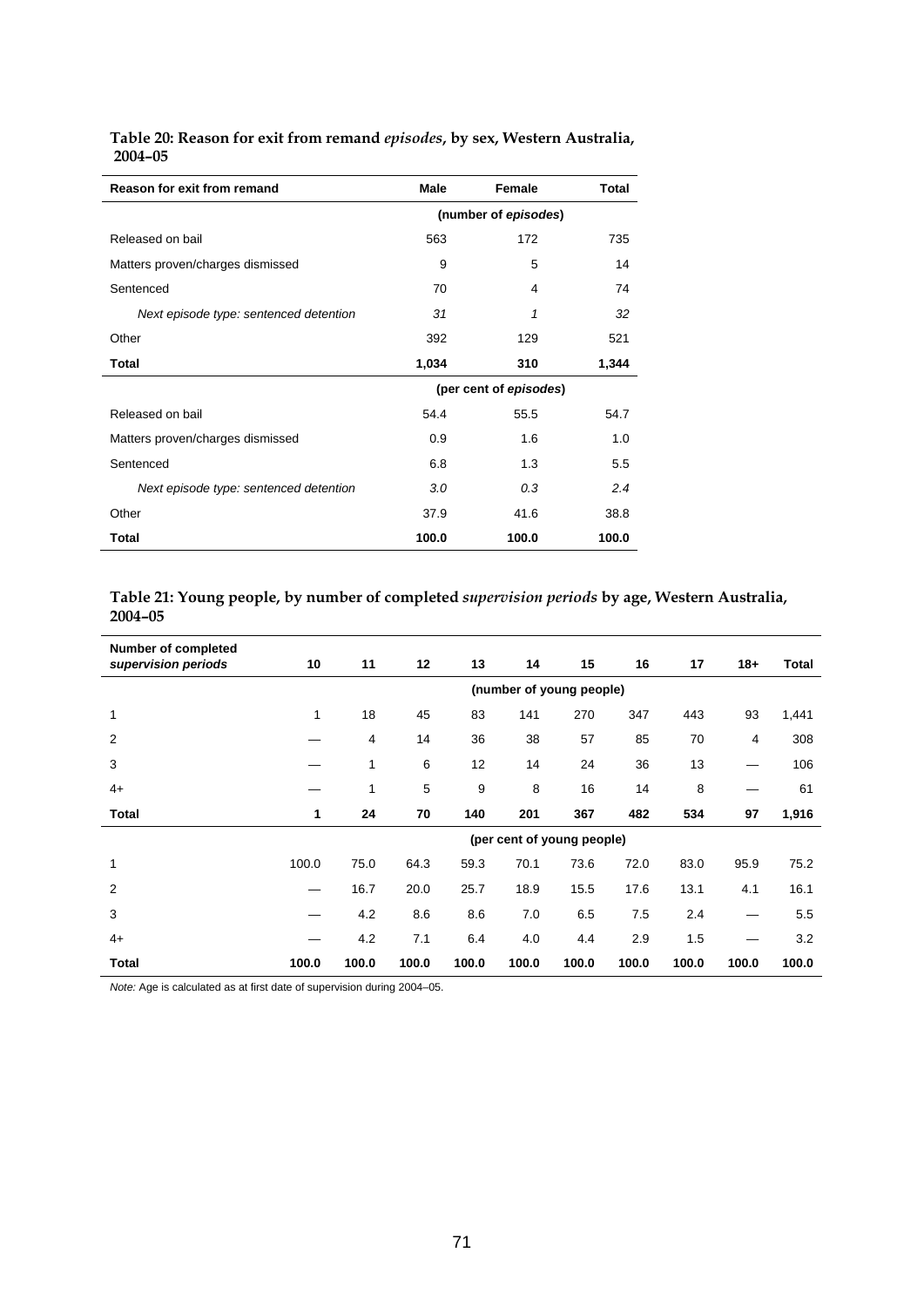| Reason for exit from remand            | Male                 | Female                 | Total |  |  |
|----------------------------------------|----------------------|------------------------|-------|--|--|
|                                        | (number of episodes) |                        |       |  |  |
| Released on bail                       | 563                  | 172                    | 735   |  |  |
| Matters proven/charges dismissed       | 9                    | 5                      | 14    |  |  |
| Sentenced                              | 70                   | 4                      | 74    |  |  |
| Next episode type: sentenced detention | 31                   | 1                      | 32    |  |  |
| Other                                  | 392                  | 129                    | 521   |  |  |
| Total                                  | 1,034                | 310                    | 1,344 |  |  |
|                                        |                      | (per cent of episodes) |       |  |  |
| Released on bail                       | 54.4                 | 55.5                   | 54.7  |  |  |
| Matters proven/charges dismissed       | 0.9                  | 1.6                    | 1.0   |  |  |
| Sentenced                              | 6.8                  | 1.3                    | 5.5   |  |  |
| Next episode type: sentenced detention | 3.0                  | 0.3                    | 2.4   |  |  |
| Other                                  | 37.9                 | 41.6                   | 38.8  |  |  |
| Total                                  | 100.0                | 100.0                  | 100.0 |  |  |

**Table 20: Reason for exit from remand** *episodes***, by sex, Western Australia, 2004–05** 

## **Table 21: Young people, by number of completed** *supervision periods* **by age, Western Australia, 2004–05**

| <b>Number of completed</b><br>supervision periods | 10                       | 11    | 12    | 13    | 14                         | 15    | 16    | 17    | $18 +$ | <b>Total</b> |
|---------------------------------------------------|--------------------------|-------|-------|-------|----------------------------|-------|-------|-------|--------|--------------|
|                                                   | (number of young people) |       |       |       |                            |       |       |       |        |              |
| 1                                                 | 1                        | 18    | 45    | 83    | 141                        | 270   | 347   | 443   | 93     | 1,441        |
| 2                                                 |                          | 4     | 14    | 36    | 38                         | 57    | 85    | 70    | 4      | 308          |
| 3                                                 |                          | 1     | 6     | 12    | 14                         | 24    | 36    | 13    | —      | 106          |
| $4+$                                              |                          | 1     | 5     | 9     | 8                          | 16    | 14    | 8     |        | 61           |
| Total                                             | 1                        | 24    | 70    | 140   | 201                        | 367   | 482   | 534   | 97     | 1,916        |
|                                                   |                          |       |       |       | (per cent of young people) |       |       |       |        |              |
| 1                                                 | 100.0                    | 75.0  | 64.3  | 59.3  | 70.1                       | 73.6  | 72.0  | 83.0  | 95.9   | 75.2         |
| 2                                                 |                          | 16.7  | 20.0  | 25.7  | 18.9                       | 15.5  | 17.6  | 13.1  | 4.1    | 16.1         |
| 3                                                 |                          | 4.2   | 8.6   | 8.6   | 7.0                        | 6.5   | 7.5   | 2.4   | —      | 5.5          |
| $4+$                                              |                          | 4.2   | 7.1   | 6.4   | 4.0                        | 4.4   | 2.9   | 1.5   |        | 3.2          |
| Total                                             | 100.0                    | 100.0 | 100.0 | 100.0 | 100.0                      | 100.0 | 100.0 | 100.0 | 100.0  | 100.0        |

*Note:* Age is calculated as at first date of supervision during 2004–05.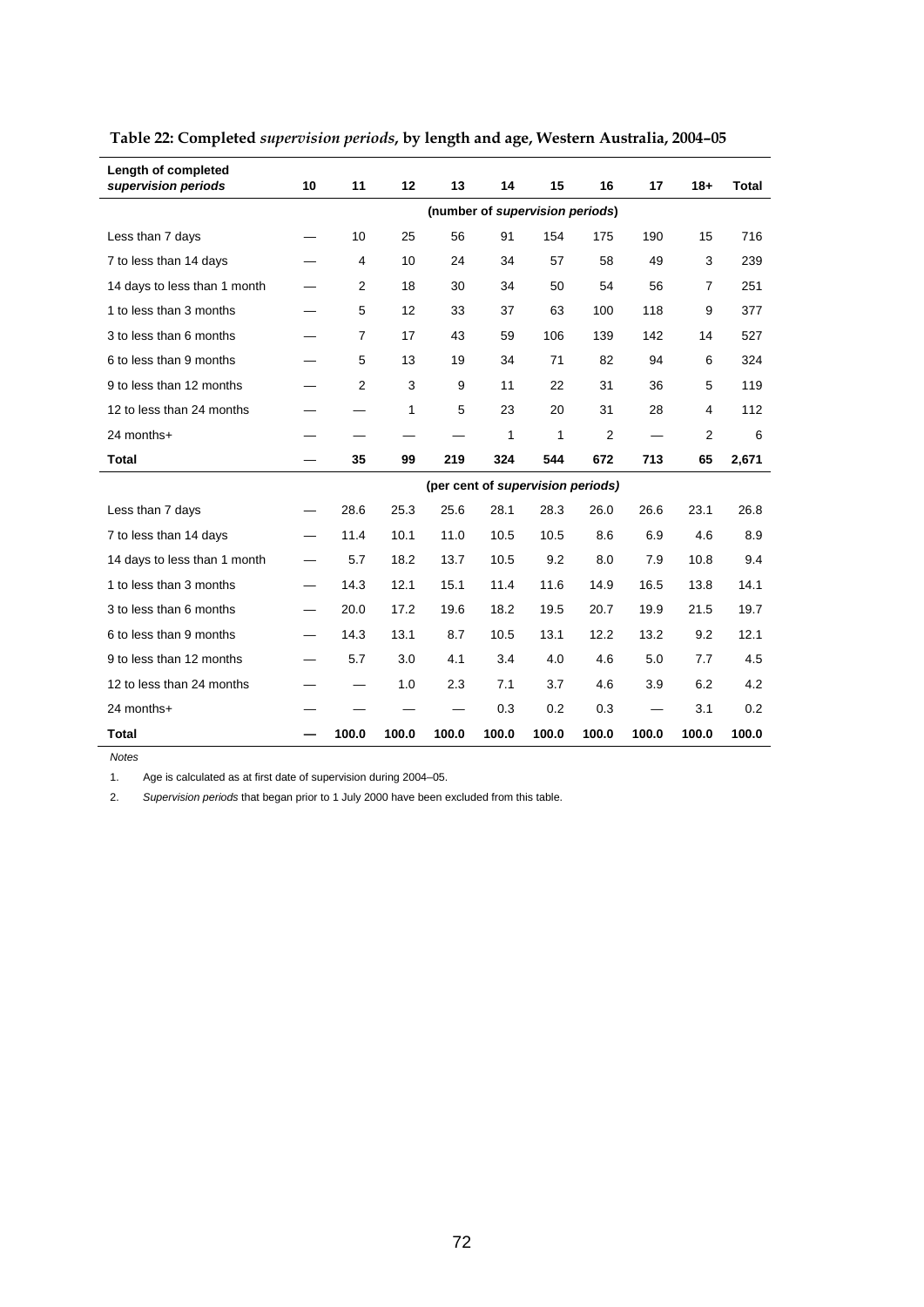| Length of completed<br>supervision periods | 10                | 11             | 12    | 13    | 14                              | 15           | 16                                | 17    | $18 +$         | <b>Total</b> |
|--------------------------------------------|-------------------|----------------|-------|-------|---------------------------------|--------------|-----------------------------------|-------|----------------|--------------|
|                                            |                   |                |       |       | (number of supervision periods) |              |                                   |       |                |              |
| Less than 7 days                           |                   | 10             | 25    | 56    | 91                              | 154          | 175                               | 190   | 15             | 716          |
| 7 to less than 14 days                     |                   | $\overline{4}$ | 10    | 24    | 34                              | 57           | 58                                | 49    | 3              | 239          |
| 14 days to less than 1 month               |                   | $\overline{2}$ | 18    | 30    | 34                              | 50           | 54                                | 56    | $\overline{7}$ | 251          |
| 1 to less than 3 months                    |                   | 5              | 12    | 33    | 37                              | 63           | 100                               | 118   | 9              | 377          |
| 3 to less than 6 months                    |                   | $\overline{7}$ | 17    | 43    | 59                              | 106          | 139                               | 142   | 14             | 527          |
| 6 to less than 9 months                    |                   | 5              | 13    | 19    | 34                              | 71           | 82                                | 94    | 6              | 324          |
| 9 to less than 12 months                   |                   | $\overline{2}$ | 3     | 9     | 11                              | 22           | 31                                | 36    | 5              | 119          |
| 12 to less than 24 months                  |                   |                | 1     | 5     | 23                              | 20           | 31                                | 28    | 4              | 112          |
| 24 months+                                 |                   |                |       |       | $\mathbf{1}$                    | $\mathbf{1}$ | 2                                 |       | 2              | 6            |
| <b>Total</b>                               |                   | 35             | 99    | 219   | 324                             | 544          | 672                               | 713   | 65             | 2,671        |
|                                            |                   |                |       |       |                                 |              | (per cent of supervision periods) |       |                |              |
| Less than 7 days                           | $\hspace{0.05cm}$ | 28.6           | 25.3  | 25.6  | 28.1                            | 28.3         | 26.0                              | 26.6  | 23.1           | 26.8         |
| 7 to less than 14 days                     | $\hspace{0.05cm}$ | 11.4           | 10.1  | 11.0  | 10.5                            | 10.5         | 8.6                               | 6.9   | 4.6            | 8.9          |
| 14 days to less than 1 month               | $\equiv$          | 5.7            | 18.2  | 13.7  | 10.5                            | 9.2          | 8.0                               | 7.9   | 10.8           | 9.4          |
| 1 to less than 3 months                    |                   | 14.3           | 12.1  | 15.1  | 11.4                            | 11.6         | 14.9                              | 16.5  | 13.8           | 14.1         |
| 3 to less than 6 months                    | $\hspace{0.05cm}$ | 20.0           | 17.2  | 19.6  | 18.2                            | 19.5         | 20.7                              | 19.9  | 21.5           | 19.7         |
| 6 to less than 9 months                    |                   | 14.3           | 13.1  | 8.7   | 10.5                            | 13.1         | 12.2                              | 13.2  | 9.2            | 12.1         |
| 9 to less than 12 months                   |                   | 5.7            | 3.0   | 4.1   | 3.4                             | 4.0          | 4.6                               | 5.0   | 7.7            | 4.5          |
| 12 to less than 24 months                  |                   |                | 1.0   | 2.3   | 7.1                             | 3.7          | 4.6                               | 3.9   | 6.2            | 4.2          |
| 24 months+                                 |                   |                |       |       | 0.3                             | 0.2          | 0.3                               |       | 3.1            | 0.2          |
| Total                                      |                   | 100.0          | 100.0 | 100.0 | 100.0                           | 100.0        | 100.0                             | 100.0 | 100.0          | 100.0        |

# **Table 22: Completed** *supervision periods***, by length and age, Western Australia, 2004–05**

*Notes* 

1. Age is calculated as at first date of supervision during 2004–05.

2. *Supervision periods* that began prior to 1 July 2000 have been excluded from this table.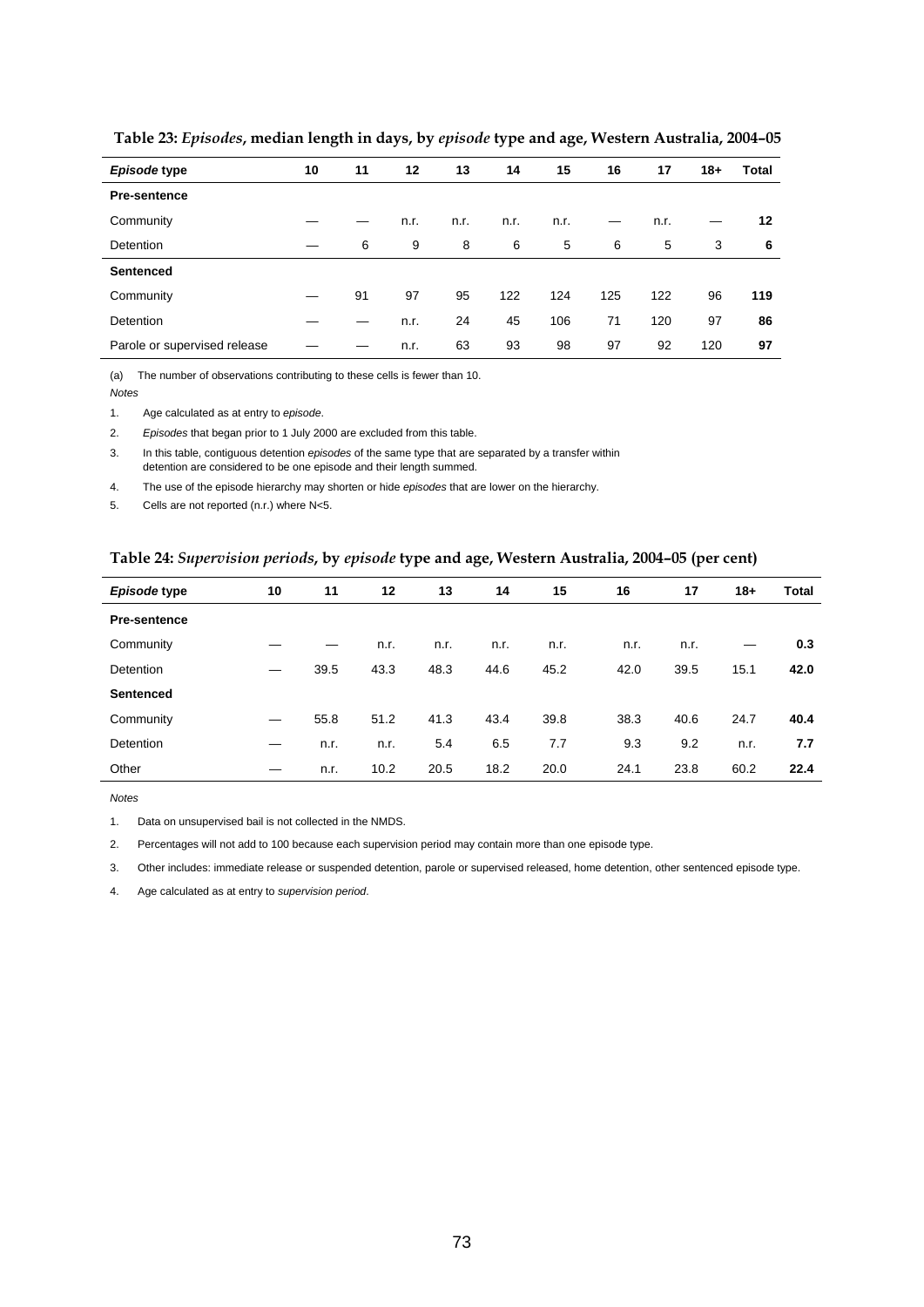| Episode type                 | 10 | 11 | 12   | 13   | 14   | 15   | 16  | 17   | $18+$ | Total |
|------------------------------|----|----|------|------|------|------|-----|------|-------|-------|
| <b>Pre-sentence</b>          |    |    |      |      |      |      |     |      |       |       |
| Community                    |    |    | n.r. | n.r. | n.r. | n.r. |     | n.r. |       | 12    |
| <b>Detention</b>             |    | 6  | 9    | 8    | 6    | 5    | 6   | 5    | 3     | 6     |
| <b>Sentenced</b>             |    |    |      |      |      |      |     |      |       |       |
| Community                    |    | 91 | 97   | 95   | 122  | 124  | 125 | 122  | 96    | 119   |
| <b>Detention</b>             |    |    | n.r. | 24   | 45   | 106  | 71  | 120  | 97    | 86    |
| Parole or supervised release |    |    | n.r. | 63   | 93   | 98   | 97  | 92   | 120   | 97    |

 **Table 23:** *Episodes***, median length in days, by** *episode* **type and age, Western Australia, 2004–05** 

(a) The number of observations contributing to these cells is fewer than 10.

*Notes* 

1. Age calculated as at entry to *episode*.

2. *Episodes* that began prior to 1 July 2000 are excluded from this table.

3. In this table, contiguous detention *episodes* of the same type that are separated by a transfer within detention are considered to be one episode and their length summed.

4. The use of the episode hierarchy may shorten or hide *episodes* that are lower on the hierarchy.

5. Cells are not reported (n.r.) where N<5.

## **Table 24:** *Supervision periods***, by** *episode* **type and age, Western Australia, 2004–05 (per cent)**

| Episode type        | 10 | 11   | 12   | 13   | 14   | 15   | 16   | 17   | $18 +$ | Total |
|---------------------|----|------|------|------|------|------|------|------|--------|-------|
| <b>Pre-sentence</b> |    |      |      |      |      |      |      |      |        |       |
| Community           |    |      | n.r. | n.r. | n.r. | n.r. | n.r. | n.r. |        | 0.3   |
| Detention           |    | 39.5 | 43.3 | 48.3 | 44.6 | 45.2 | 42.0 | 39.5 | 15.1   | 42.0  |
| <b>Sentenced</b>    |    |      |      |      |      |      |      |      |        |       |
| Community           |    | 55.8 | 51.2 | 41.3 | 43.4 | 39.8 | 38.3 | 40.6 | 24.7   | 40.4  |
| Detention           | –  | n.r. | n.r. | 5.4  | 6.5  | 7.7  | 9.3  | 9.2  | n.r.   | 7.7   |
| Other               |    | n.r. | 10.2 | 20.5 | 18.2 | 20.0 | 24.1 | 23.8 | 60.2   | 22.4  |

*Notes* 

1. Data on unsupervised bail is not collected in the NMDS.

2. Percentages will not add to 100 because each supervision period may contain more than one episode type.

3. Other includes: immediate release or suspended detention, parole or supervised released, home detention, other sentenced episode type.

4. Age calculated as at entry to *supervision period*.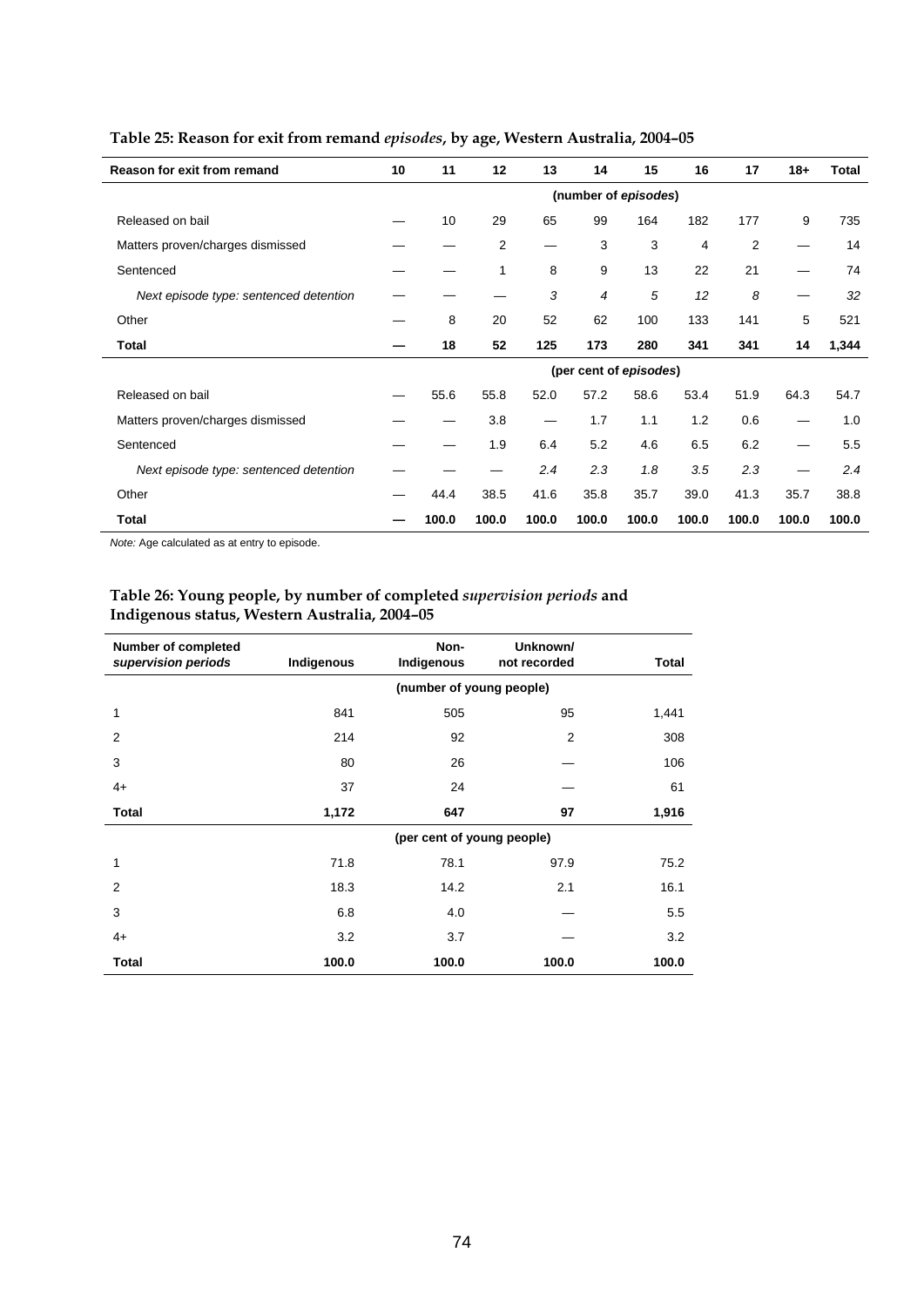| Reason for exit from remand            | 10 | 11    | 12           | 13    | 14                     | 15    | 16    | 17    | $18+$ | <b>Total</b> |
|----------------------------------------|----|-------|--------------|-------|------------------------|-------|-------|-------|-------|--------------|
|                                        |    |       |              |       | (number of episodes)   |       |       |       |       |              |
| Released on bail                       |    | 10    | 29           | 65    | 99                     | 164   | 182   | 177   | 9     | 735          |
| Matters proven/charges dismissed       |    |       | 2            |       | 3                      | 3     | 4     | 2     |       | 14           |
| Sentenced                              |    |       | $\mathbf{1}$ | 8     | 9                      | 13    | 22    | 21    |       | 74           |
| Next episode type: sentenced detention |    |       |              | 3     | 4                      | 5     | 12    | 8     | —     | 32           |
| Other                                  |    | 8     | 20           | 52    | 62                     | 100   | 133   | 141   | 5     | 521          |
| Total                                  |    | 18    | 52           | 125   | 173                    | 280   | 341   | 341   | 14    | 1,344        |
|                                        |    |       |              |       | (per cent of episodes) |       |       |       |       |              |
| Released on bail                       |    | 55.6  | 55.8         | 52.0  | 57.2                   | 58.6  | 53.4  | 51.9  | 64.3  | 54.7         |
| Matters proven/charges dismissed       |    |       | 3.8          | —     | 1.7                    | 1.1   | 1.2   | 0.6   | —     | 1.0          |
| Sentenced                              |    |       | 1.9          | 6.4   | 5.2                    | 4.6   | 6.5   | 6.2   |       | 5.5          |
| Next episode type: sentenced detention |    |       |              | 2.4   | 2.3                    | 1.8   | 3.5   | 2.3   |       | 2.4          |
| Other                                  |    | 44.4  | 38.5         | 41.6  | 35.8                   | 35.7  | 39.0  | 41.3  | 35.7  | 38.8         |
| Total                                  |    | 100.0 | 100.0        | 100.0 | 100.0                  | 100.0 | 100.0 | 100.0 | 100.0 | 100.0        |

# **Table 25: Reason for exit from remand** *episodes***, by age, Western Australia, 2004–05**

*Note:* Age calculated as at entry to episode.

#### **Table 26: Young people, by number of completed** *supervision periods* **and Indigenous status, Western Australia, 2004–05**

| <b>Number of completed</b><br>supervision periods | Indigenous               | Non-<br>Indigenous         | Unknown/<br>not recorded | Total |  |  |  |  |
|---------------------------------------------------|--------------------------|----------------------------|--------------------------|-------|--|--|--|--|
|                                                   | (number of young people) |                            |                          |       |  |  |  |  |
| 1                                                 | 841                      | 505                        | 95                       | 1,441 |  |  |  |  |
| $\overline{2}$                                    | 214                      | 92                         | $\overline{2}$           | 308   |  |  |  |  |
| 3                                                 | 80                       | 26                         |                          | 106   |  |  |  |  |
| $4+$                                              | 37                       | 24                         |                          | 61    |  |  |  |  |
| <b>Total</b>                                      | 1,172                    | 647                        | 97                       | 1,916 |  |  |  |  |
|                                                   |                          | (per cent of young people) |                          |       |  |  |  |  |
| 1                                                 | 71.8                     | 78.1                       | 97.9                     | 75.2  |  |  |  |  |
| $\overline{2}$                                    | 18.3                     | 14.2                       | 2.1                      | 16.1  |  |  |  |  |
| 3                                                 | 6.8                      | 4.0                        |                          | 5.5   |  |  |  |  |
| $4+$                                              | 3.2                      | 3.7                        |                          | 3.2   |  |  |  |  |
| <b>Total</b>                                      | 100.0                    | 100.0                      | 100.0                    | 100.0 |  |  |  |  |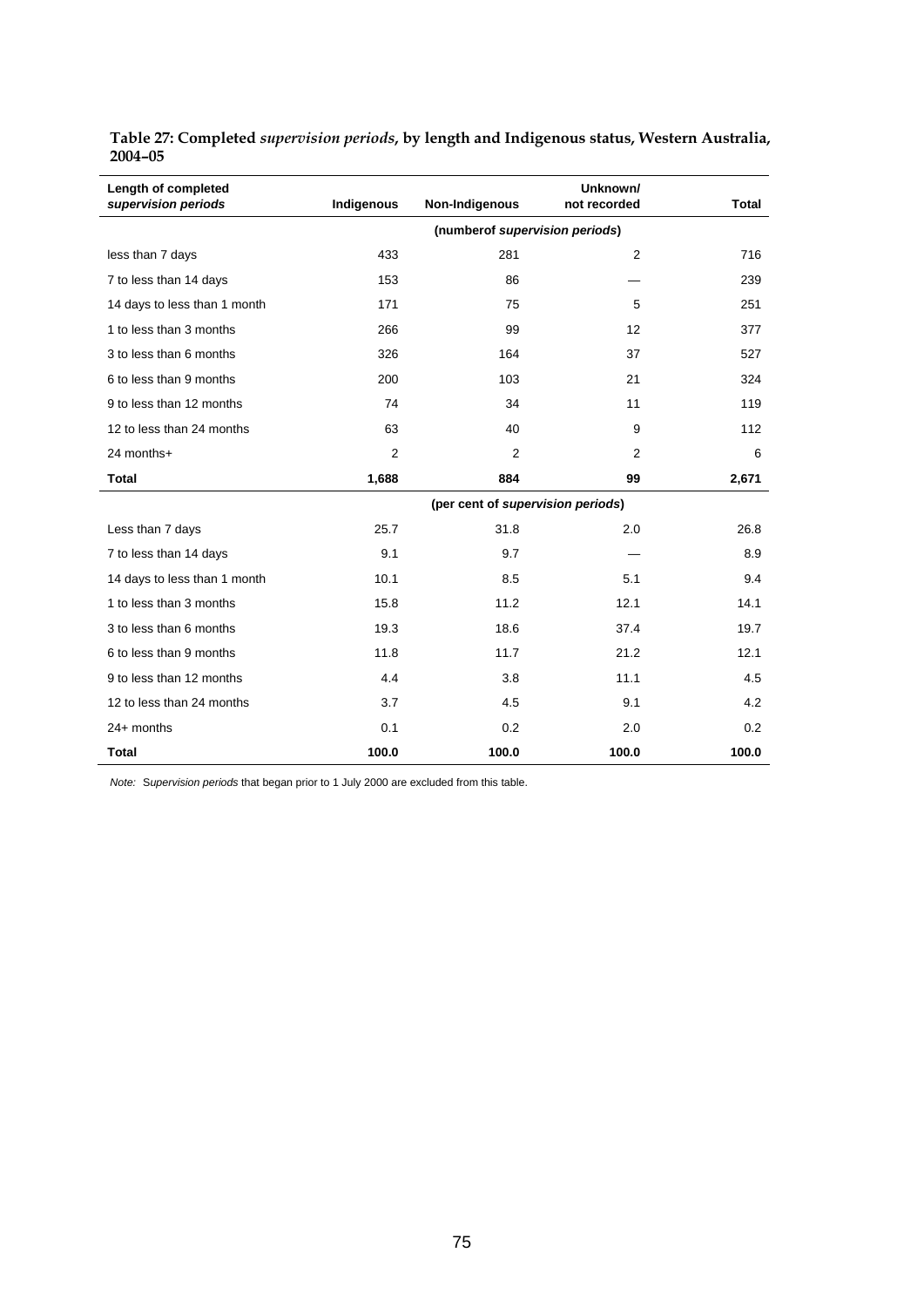| Length of completed<br>supervision periods | Indigenous     | Non-Indigenous                    | Unknown/<br>not recorded | <b>Total</b> |
|--------------------------------------------|----------------|-----------------------------------|--------------------------|--------------|
|                                            |                | (numberof supervision periods)    |                          |              |
| less than 7 days                           | 433            | 281                               | 2                        | 716          |
| 7 to less than 14 days                     | 153            | 86                                |                          | 239          |
| 14 days to less than 1 month               | 171            | 75                                | 5                        | 251          |
| 1 to less than 3 months                    | 266            | 99                                | 12                       | 377          |
| 3 to less than 6 months                    | 326            | 164                               | 37                       | 527          |
| 6 to less than 9 months                    | 200            | 103                               | 21                       | 324          |
| 9 to less than 12 months                   | 74             | 34                                | 11                       | 119          |
| 12 to less than 24 months                  | 63             | 40                                | 9                        | 112          |
| 24 months+                                 | $\overline{2}$ | $\overline{2}$                    | 2                        | 6            |
| <b>Total</b>                               | 1,688          | 884                               | 99                       | 2,671        |
|                                            |                | (per cent of supervision periods) |                          |              |
| Less than 7 days                           | 25.7           | 31.8                              | 2.0                      | 26.8         |
| 7 to less than 14 days                     | 9.1            | 9.7                               |                          | 8.9          |
| 14 days to less than 1 month               | 10.1           | 8.5                               | 5.1                      | 9.4          |
| 1 to less than 3 months                    | 15.8           | 11.2                              | 12.1                     | 14.1         |
| 3 to less than 6 months                    | 19.3           | 18.6                              | 37.4                     | 19.7         |
| 6 to less than 9 months                    | 11.8           | 11.7                              | 21.2                     | 12.1         |
| 9 to less than 12 months                   | 4.4            | 3.8                               | 11.1                     | 4.5          |
| 12 to less than 24 months                  | 3.7            | 4.5                               | 9.1                      | 4.2          |
| $24+$ months                               | 0.1            | 0.2                               | 2.0                      | 0.2          |
| <b>Total</b>                               | 100.0          | 100.0                             | 100.0                    | 100.0        |

**Table 27: Completed** *supervision periods***, by length and Indigenous status, Western Australia, 2004–05** 

*Note:* S*upervision periods* that began prior to 1 July 2000 are excluded from this table.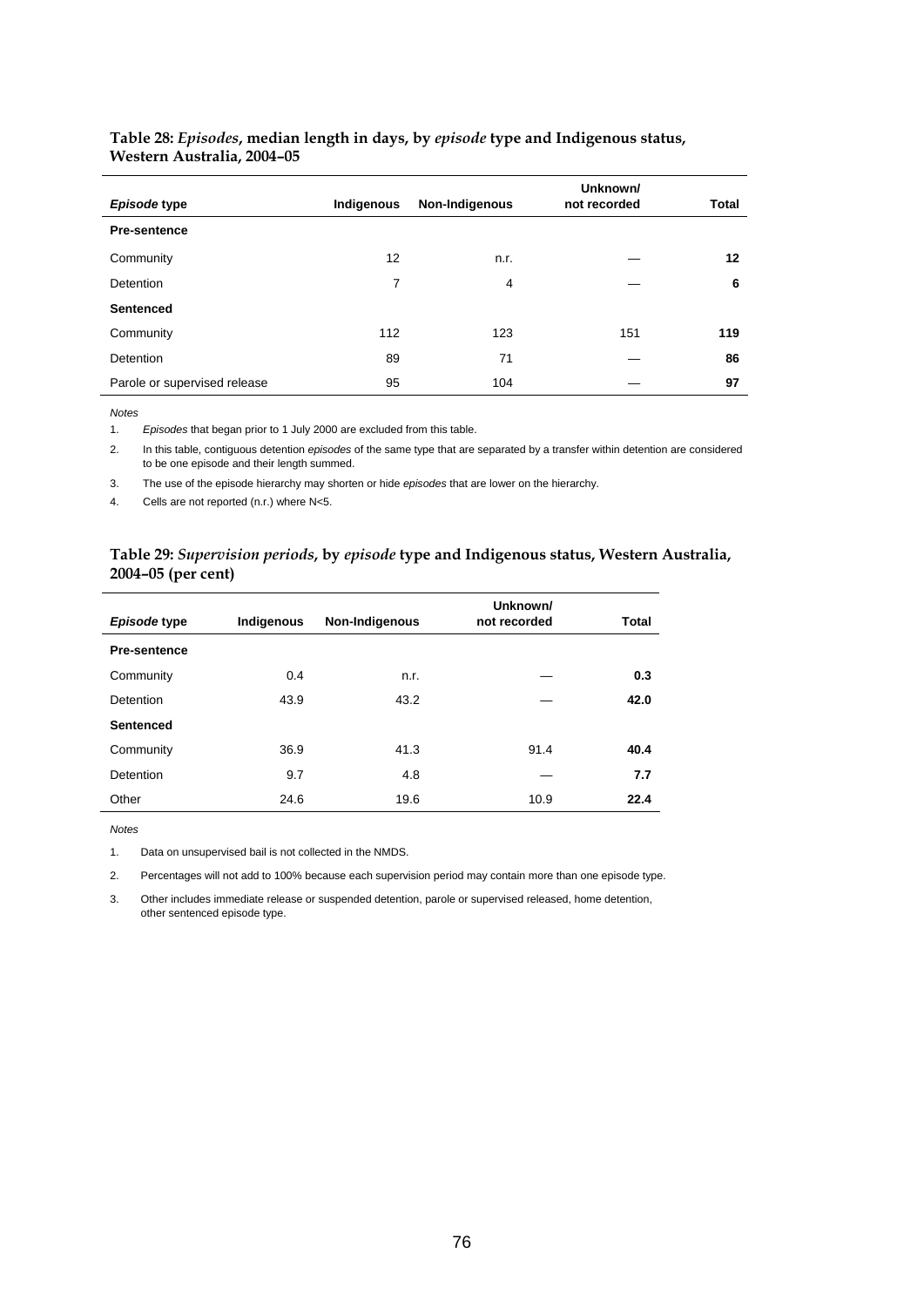| Episode type                 | Indigenous | Non-Indigenous | Unknown/<br>not recorded | Total |
|------------------------------|------------|----------------|--------------------------|-------|
| <b>Pre-sentence</b>          |            |                |                          |       |
| Community                    | 12         | n.r.           |                          | 12    |
| Detention                    | 7          | 4              |                          | 6     |
| <b>Sentenced</b>             |            |                |                          |       |
| Community                    | 112        | 123            | 151                      | 119   |
| Detention                    | 89         | 71             |                          | 86    |
| Parole or supervised release | 95         | 104            |                          | 97    |

#### **Table 28:** *Episodes***, median length in days, by** *episode* **type and Indigenous status, Western Australia, 2004–05**

*Notes* 

1. *Episodes* that began prior to 1 July 2000 are excluded from this table.

2. In this table, contiguous detention *episodes* of the same type that are separated by a transfer within detention are considered to be one episode and their length summed.

3. The use of the episode hierarchy may shorten or hide *episodes* that are lower on the hierarchy.

4. Cells are not reported (n.r.) where N<5.

#### **Table 29:** *Supervision periods***, by** *episode* **type and Indigenous status, Western Australia, 2004–05 (per cent)**

| Episode type        | Indigenous | Non-Indigenous | Unknown/<br>not recorded | Total |
|---------------------|------------|----------------|--------------------------|-------|
| <b>Pre-sentence</b> |            |                |                          |       |
| Community           | 0.4        | n.r.           |                          | 0.3   |
| <b>Detention</b>    | 43.9       | 43.2           |                          | 42.0  |
| <b>Sentenced</b>    |            |                |                          |       |
| Community           | 36.9       | 41.3           | 91.4                     | 40.4  |
| <b>Detention</b>    | 9.7        | 4.8            |                          | 7.7   |
| Other               | 24.6       | 19.6           | 10.9                     | 22.4  |

*Notes* 

1. Data on unsupervised bail is not collected in the NMDS.

2. Percentages will not add to 100% because each supervision period may contain more than one episode type.

3. Other includes immediate release or suspended detention, parole or supervised released, home detention, other sentenced episode type.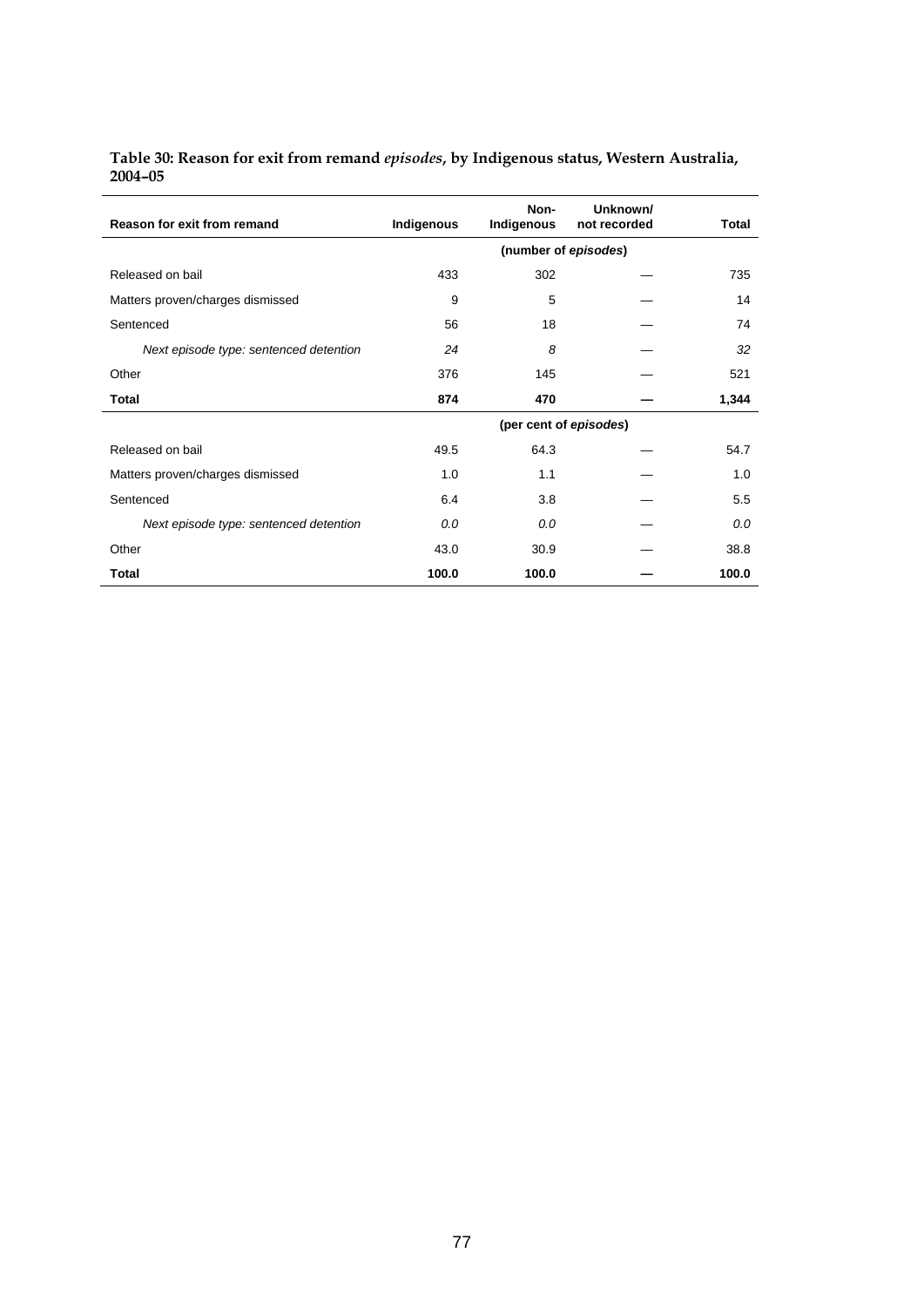| Table 30: Reason for exit from remand episodes, by Indigenous status, Western Australia, |  |
|------------------------------------------------------------------------------------------|--|
| $2004 - 05$                                                                              |  |

| Reason for exit from remand            | Indigenous           | Non-<br>Indigenous     | Unknown/<br>not recorded | Total |  |  |  |
|----------------------------------------|----------------------|------------------------|--------------------------|-------|--|--|--|
|                                        | (number of episodes) |                        |                          |       |  |  |  |
| Released on bail                       | 433                  | 302                    |                          | 735   |  |  |  |
| Matters proven/charges dismissed       | 9                    | 5                      |                          | 14    |  |  |  |
| Sentenced                              | 56                   | 18                     |                          | 74    |  |  |  |
| Next episode type: sentenced detention | 24                   | 8                      |                          | 32    |  |  |  |
| Other                                  | 376                  | 145                    |                          | 521   |  |  |  |
| <b>Total</b>                           | 874                  | 470                    |                          | 1,344 |  |  |  |
|                                        |                      | (per cent of episodes) |                          |       |  |  |  |
| Released on bail                       | 49.5                 | 64.3                   |                          | 54.7  |  |  |  |
| Matters proven/charges dismissed       | 1.0                  | 1.1                    |                          | 1.0   |  |  |  |
| Sentenced                              | 6.4                  | 3.8                    |                          | 5.5   |  |  |  |
| Next episode type: sentenced detention | 0.0                  | 0.0                    |                          | 0.0   |  |  |  |
| Other                                  | 43.0                 | 30.9                   |                          | 38.8  |  |  |  |
| <b>Total</b>                           | 100.0                | 100.0                  |                          | 100.0 |  |  |  |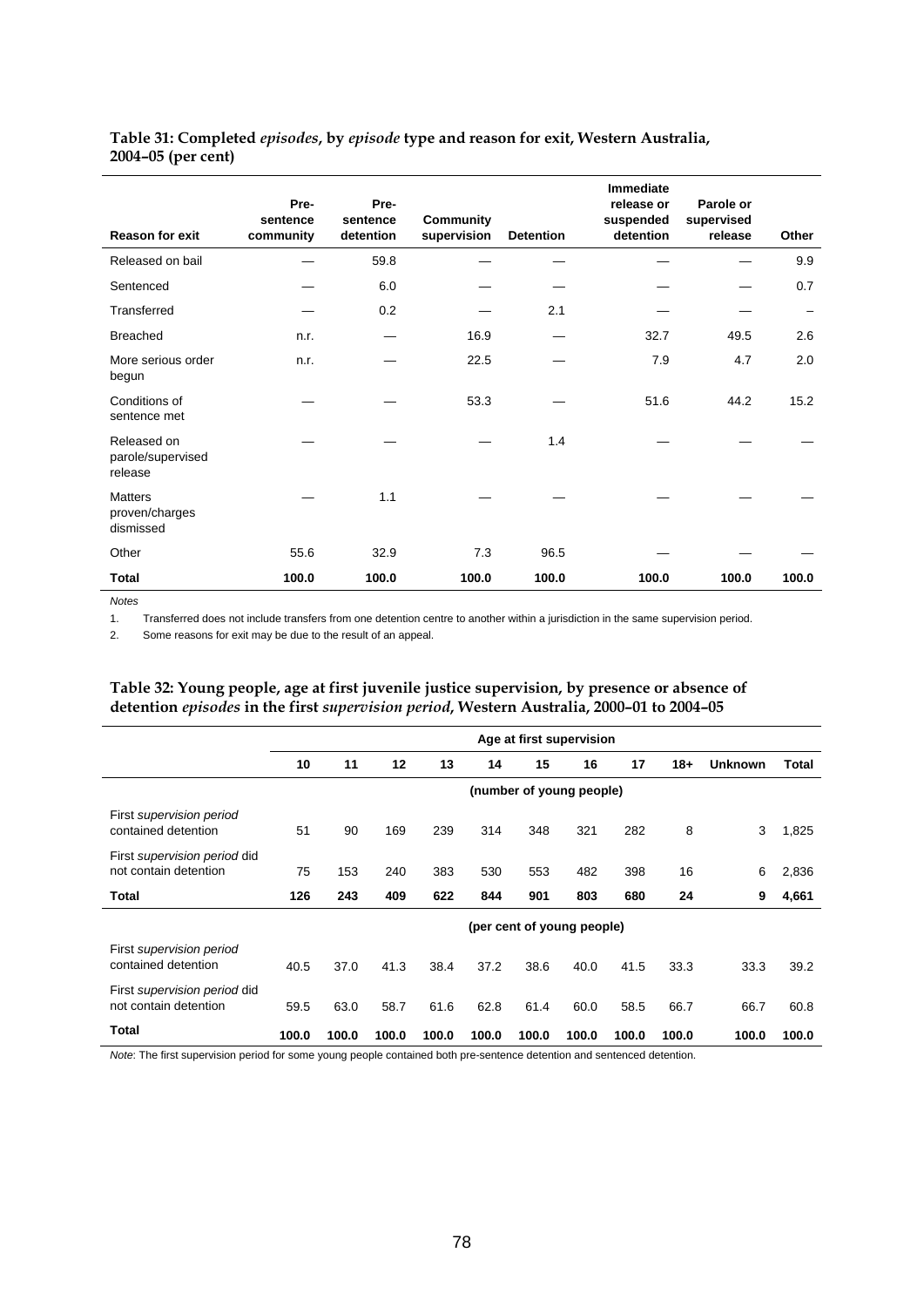#### **Table 31: Completed** *episodes***, by** *episode* **type and reason for exit, Western Australia, 2004–05 (per cent)**

| <b>Reason for exit</b>                        | Pre-<br>sentence<br>community | Pre-<br>sentence<br>detention | Community<br>supervision | <b>Detention</b> | <b>Immediate</b><br>release or<br>suspended<br>detention | Parole or<br>supervised<br>release | Other |
|-----------------------------------------------|-------------------------------|-------------------------------|--------------------------|------------------|----------------------------------------------------------|------------------------------------|-------|
| Released on bail                              |                               | 59.8                          |                          |                  |                                                          |                                    | 9.9   |
| Sentenced                                     |                               | 6.0                           |                          |                  |                                                          |                                    | 0.7   |
| Transferred                                   |                               | 0.2                           |                          | 2.1              |                                                          |                                    |       |
| <b>Breached</b>                               | n.r.                          |                               | 16.9                     |                  | 32.7                                                     | 49.5                               | 2.6   |
| More serious order<br>begun                   | n.r.                          |                               | 22.5                     |                  | 7.9                                                      | 4.7                                | 2.0   |
| Conditions of<br>sentence met                 |                               |                               | 53.3                     |                  | 51.6                                                     | 44.2                               | 15.2  |
| Released on<br>parole/supervised<br>release   |                               |                               |                          | 1.4              |                                                          |                                    |       |
| <b>Matters</b><br>proven/charges<br>dismissed |                               | 1.1                           |                          |                  |                                                          |                                    |       |
| Other                                         | 55.6                          | 32.9                          | 7.3                      | 96.5             |                                                          |                                    |       |
| Total                                         | 100.0                         | 100.0                         | 100.0                    | 100.0            | 100.0                                                    | 100.0                              | 100.0 |

*Notes* 

1. Transferred does not include transfers from one detention centre to another within a jurisdiction in the same supervision period.

2. Some reasons for exit may be due to the result of an appeal.

#### **Table 32: Young people, age at first juvenile justice supervision, by presence or absence of detention** *episodes* **in the first** *supervision period***, Western Australia, 2000–01 to 2004–05**

|                                                       |       | Age at first supervision |       |       |       |                            |       |       |       |                |       |
|-------------------------------------------------------|-------|--------------------------|-------|-------|-------|----------------------------|-------|-------|-------|----------------|-------|
|                                                       | 10    | 11                       | 12    | 13    | 14    | 15                         | 16    | 17    | $18+$ | <b>Unknown</b> | Total |
|                                                       |       |                          |       |       |       | (number of young people)   |       |       |       |                |       |
| First supervision period<br>contained detention       | 51    | 90                       | 169   | 239   | 314   | 348                        | 321   | 282   | 8     | 3              | 1,825 |
| First supervision period did<br>not contain detention | 75    | 153                      | 240   | 383   | 530   | 553                        | 482   | 398   | 16    | 6              | 2,836 |
| Total                                                 | 126   | 243                      | 409   | 622   | 844   | 901                        | 803   | 680   | 24    | 9              | 4,661 |
|                                                       |       |                          |       |       |       | (per cent of young people) |       |       |       |                |       |
| First supervision period<br>contained detention       | 40.5  | 37.0                     | 41.3  | 38.4  | 37.2  | 38.6                       | 40.0  | 41.5  | 33.3  | 33.3           | 39.2  |
| First supervision period did<br>not contain detention | 59.5  | 63.0                     | 58.7  | 61.6  | 62.8  | 61.4                       | 60.0  | 58.5  | 66.7  | 66.7           | 60.8  |
| Total                                                 | 100.0 | 100.0                    | 100.0 | 100.0 | 100.0 | 100.0                      | 100.0 | 100.0 | 100.0 | 100.0          | 100.0 |

*Note*: The first supervision period for some young people contained both pre-sentence detention and sentenced detention.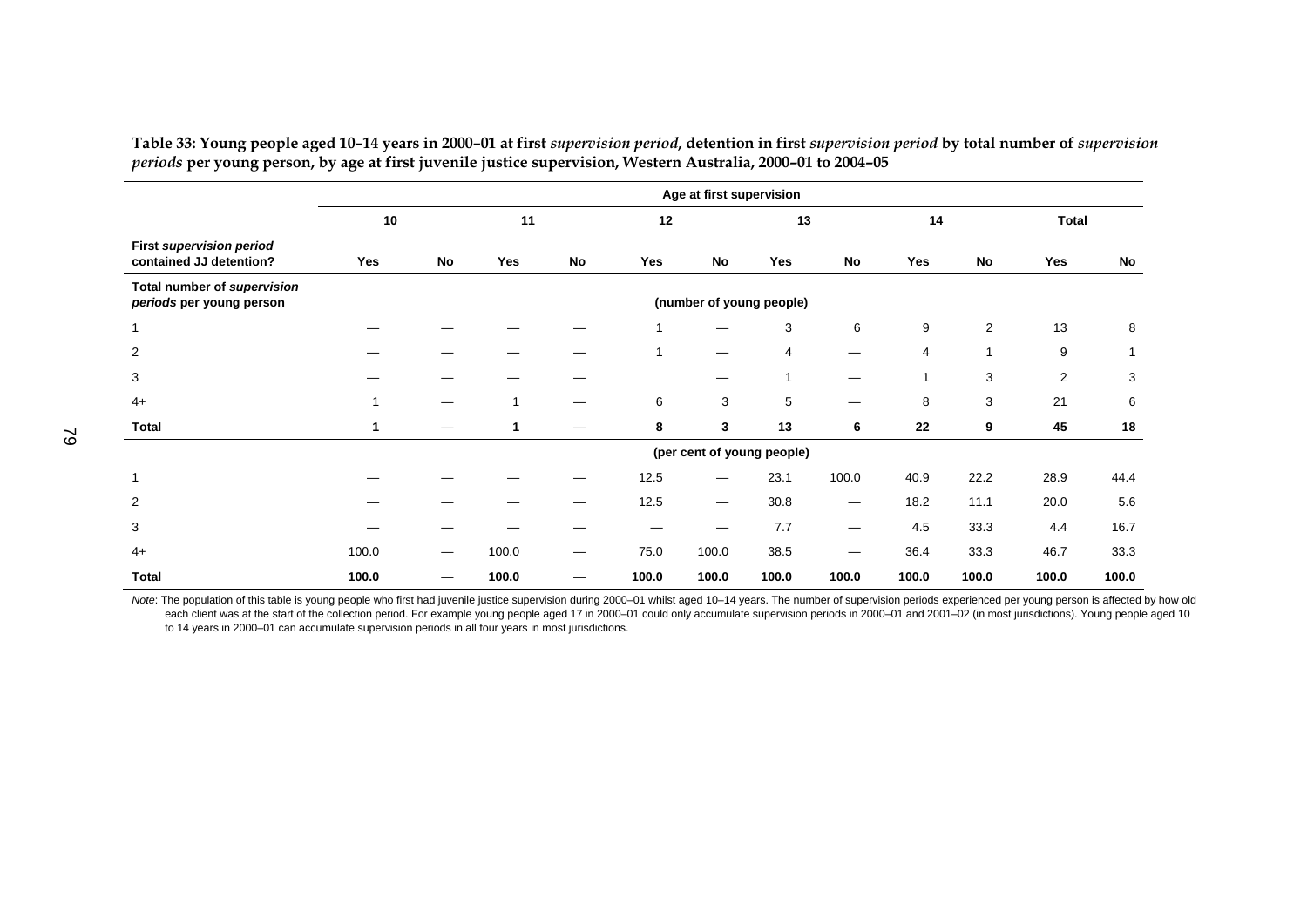|                                                            | Age at first supervision |    |       |           |       |                          |                            |       |       |                |                |       |
|------------------------------------------------------------|--------------------------|----|-------|-----------|-------|--------------------------|----------------------------|-------|-------|----------------|----------------|-------|
|                                                            | 10                       |    | 11    |           | 12    |                          | 13                         |       | 14    |                | Total          |       |
| <b>First supervision period</b><br>contained JJ detention? | Yes                      | No | Yes   | <b>No</b> | Yes   | No                       | Yes                        | No    | Yes   | <b>No</b>      | Yes            | No    |
| Total number of supervision<br>periods per young person    |                          |    |       |           |       |                          | (number of young people)   |       |       |                |                |       |
| 1                                                          |                          |    |       |           |       |                          | 3                          | 6     | 9     | $\overline{2}$ | 13             | 8     |
| $\overline{\mathbf{c}}$                                    |                          |    |       |           |       |                          | 4                          |       | 4     |                | 9              |       |
| 3                                                          |                          |    |       |           |       |                          | 1                          |       | 1     | 3              | $\overline{c}$ | 3     |
| $4+$                                                       |                          | —  | 1     | —         | 6     | 3                        | 5                          |       | 8     | 3              | 21             | 6     |
| <b>Total</b>                                               | 1                        |    | 1     |           | 8     | 3                        | 13                         | 6     | 22    | 9              | 45             | 18    |
|                                                            |                          |    |       |           |       |                          | (per cent of young people) |       |       |                |                |       |
| $\mathbf{1}$                                               |                          |    |       |           | 12.5  |                          | 23.1                       | 100.0 | 40.9  | 22.2           | 28.9           | 44.4  |
| $\overline{c}$                                             |                          |    |       |           | 12.5  | $\overline{\phantom{0}}$ | 30.8                       |       | 18.2  | 11.1           | 20.0           | 5.6   |
| 3                                                          |                          |    |       |           |       | —                        | 7.7                        |       | 4.5   | 33.3           | 4.4            | 16.7  |
| $4+$                                                       | 100.0                    |    | 100.0 |           | 75.0  | 100.0                    | 38.5                       |       | 36.4  | 33.3           | 46.7           | 33.3  |
| Total                                                      | 100.0                    |    | 100.0 |           | 100.0 | 100.0                    | 100.0                      | 100.0 | 100.0 | 100.0          | 100.0          | 100.0 |

Table 33: Young people aged 10-14 years in 2000-01 at first supervision period, detention in first supervision period by total number of supervision *periods* **per young person, by age at first juvenile justice supervision, Western Australia, 2000–01 to 2004–05** 

Note: The population of this table is young people who first had juvenile justice supervision during 2000-01 whilst aged 10-14 years. The number of supervision periods experienced per young person is affected by how old each client was at the start of the collection period. For example young people aged 17 in 2000-01 could only accumulate supervision periods in 2000-01 and 2001-02 (in most jurisdictions). Young people aged 10 to 14 years in 2000–01 can accumulate supervision periods in all four years in most jurisdictions.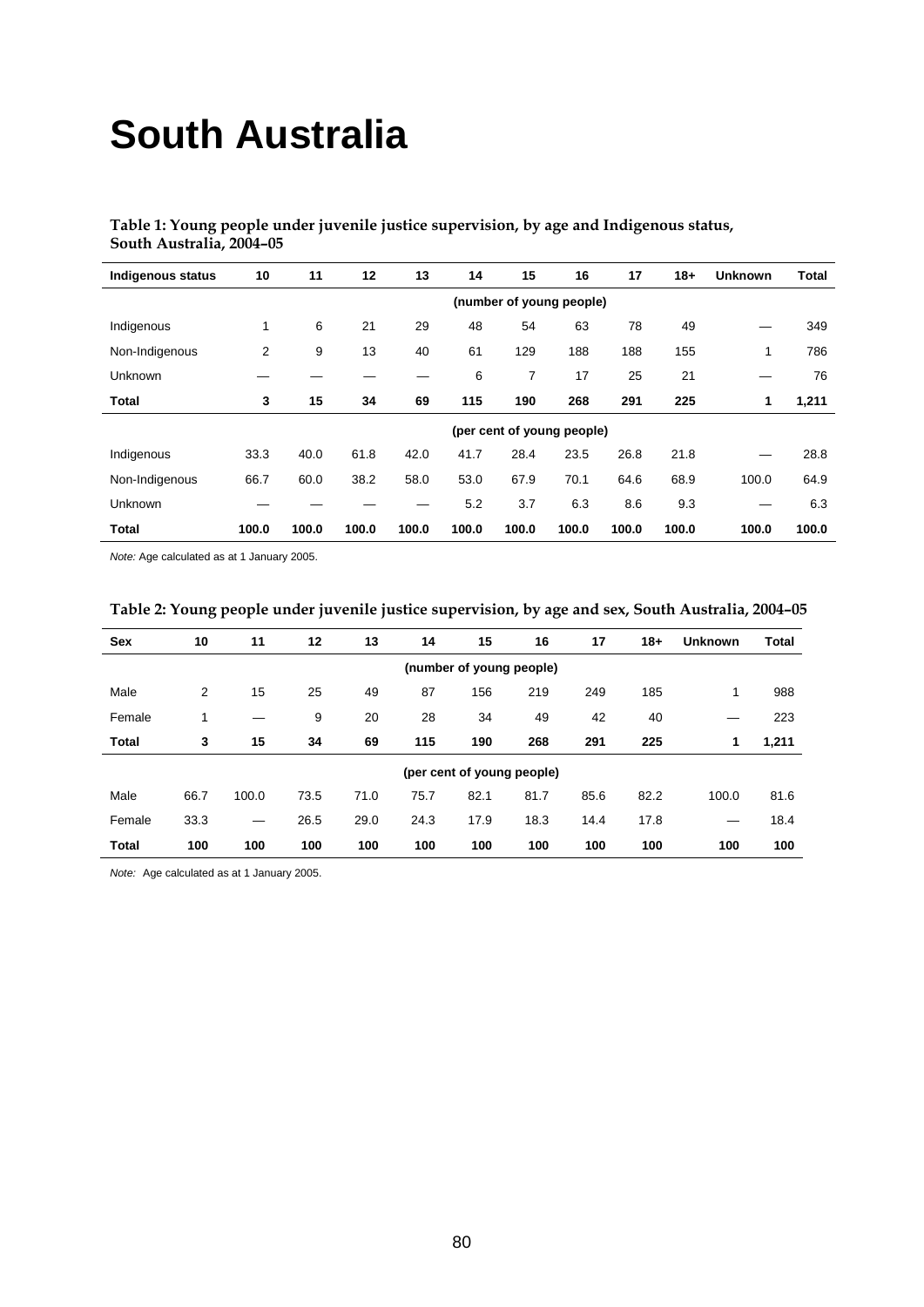# **South Australia**

## **Table 1: Young people under juvenile justice supervision, by age and Indigenous status, South Australia, 2004–05**

| <b>Indigenous status</b> | 10    | 11                         | 12    | 13    | 14    | 15                       | 16    | 17    | $18+$ | <b>Unknown</b> | <b>Total</b> |
|--------------------------|-------|----------------------------|-------|-------|-------|--------------------------|-------|-------|-------|----------------|--------------|
|                          |       |                            |       |       |       | (number of young people) |       |       |       |                |              |
| Indigenous               | 1     | 6                          | 21    | 29    | 48    | 54                       | 63    | 78    | 49    | —              | 349          |
| Non-Indigenous           | 2     | 9                          | 13    | 40    | 61    | 129                      | 188   | 188   | 155   | 1              | 786          |
| Unknown                  |       |                            |       |       | 6     | 7                        | 17    | 25    | 21    | –              | 76           |
| Total                    | 3     | 15                         | 34    | 69    | 115   | 190                      | 268   | 291   | 225   | 1              | 1,211        |
|                          |       | (per cent of young people) |       |       |       |                          |       |       |       |                |              |
| Indigenous               | 33.3  | 40.0                       | 61.8  | 42.0  | 41.7  | 28.4                     | 23.5  | 26.8  | 21.8  |                | 28.8         |
| Non-Indigenous           | 66.7  | 60.0                       | 38.2  | 58.0  | 53.0  | 67.9                     | 70.1  | 64.6  | 68.9  | 100.0          | 64.9         |
| Unknown                  |       |                            |       |       | 5.2   | 3.7                      | 6.3   | 8.6   | 9.3   |                | 6.3          |
| Total                    | 100.0 | 100.0                      | 100.0 | 100.0 | 100.0 | 100.0                    | 100.0 | 100.0 | 100.0 | 100.0          | 100.0        |

*Note:* Age calculated as at 1 January 2005.

| <b>Sex</b>               | 10             | 11    | 12   | 13   | 14   | 15                         | 16   | 17   | $18 +$ | <b>Unknown</b> | <b>Total</b> |
|--------------------------|----------------|-------|------|------|------|----------------------------|------|------|--------|----------------|--------------|
| (number of young people) |                |       |      |      |      |                            |      |      |        |                |              |
| Male                     | $\overline{2}$ | 15    | 25   | 49   | 87   | 156                        | 219  | 249  | 185    | 1              | 988          |
| Female                   | 1              |       | 9    | 20   | 28   | 34                         | 49   | 42   | 40     |                | 223          |
| <b>Total</b>             | 3              | 15    | 34   | 69   | 115  | 190                        | 268  | 291  | 225    | 1              | 1,211        |
|                          |                |       |      |      |      | (per cent of young people) |      |      |        |                |              |
| Male                     | 66.7           | 100.0 | 73.5 | 71.0 | 75.7 | 82.1                       | 81.7 | 85.6 | 82.2   | 100.0          | 81.6         |
| Female                   | 33.3           | —     | 26.5 | 29.0 | 24.3 | 17.9                       | 18.3 | 14.4 | 17.8   |                | 18.4         |
| <b>Total</b>             | 100            | 100   | 100  | 100  | 100  | 100                        | 100  | 100  | 100    | 100            | 100          |

# **Table 2: Young people under juvenile justice supervision, by age and sex, South Australia, 2004–05**

*Note:* Age calculated as at 1 January 2005.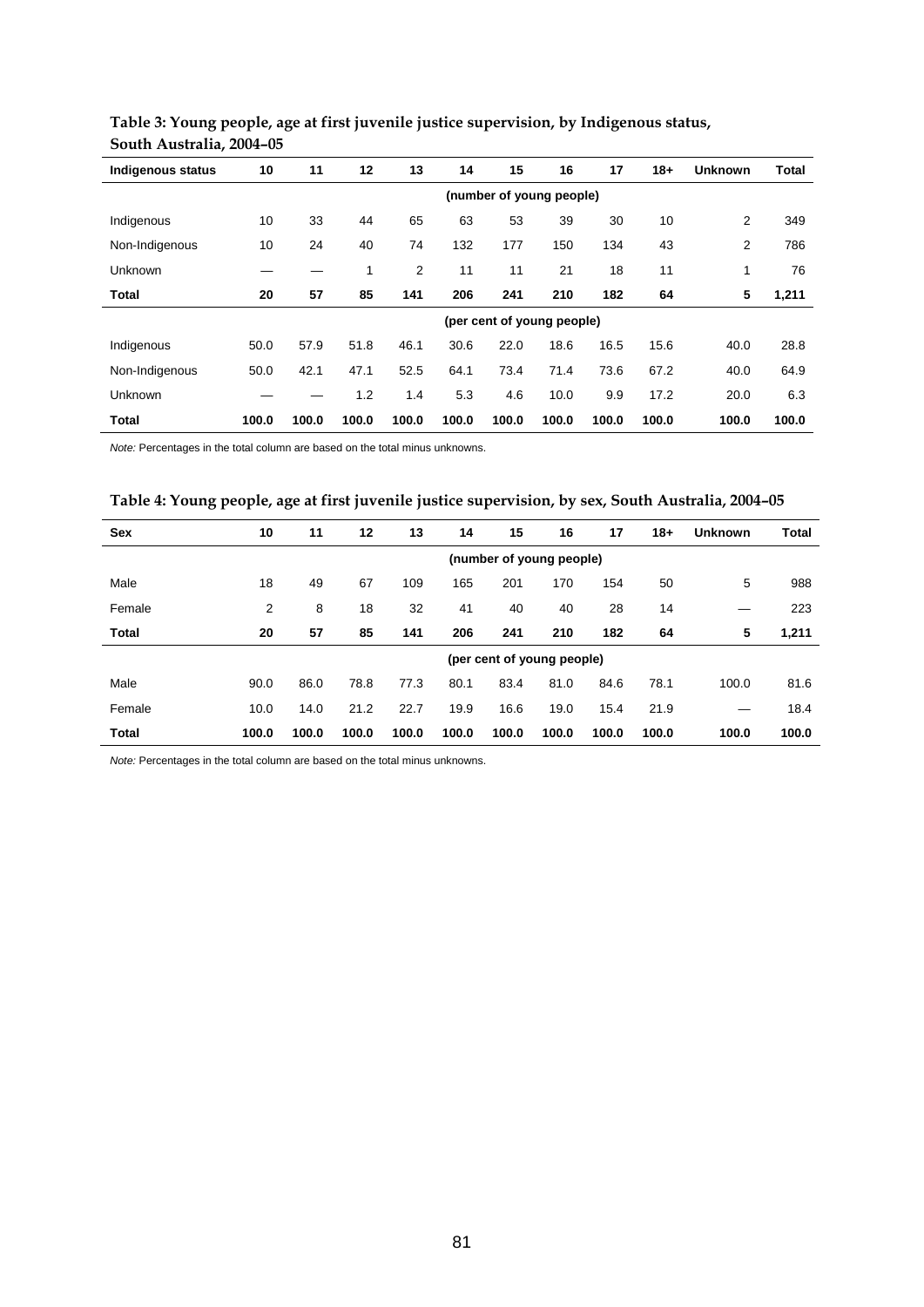| <b>Indigenous status</b> | 10                       | 11    | 12    | 13             | 14    | 15    | 16                         | 17    | $18+$ | <b>Unknown</b> | <b>Total</b> |
|--------------------------|--------------------------|-------|-------|----------------|-------|-------|----------------------------|-------|-------|----------------|--------------|
|                          | (number of young people) |       |       |                |       |       |                            |       |       |                |              |
| Indigenous               | 10                       | 33    | 44    | 65             | 63    | 53    | 39                         | 30    | 10    | 2              | 349          |
| Non-Indigenous           | 10                       | 24    | 40    | 74             | 132   | 177   | 150                        | 134   | 43    | 2              | 786          |
| Unknown                  |                          |       | 1     | $\overline{2}$ | 11    | 11    | 21                         | 18    | 11    | 1              | 76           |
| Total                    | 20                       | 57    | 85    | 141            | 206   | 241   | 210                        | 182   | 64    | 5              | 1,211        |
|                          |                          |       |       |                |       |       | (per cent of young people) |       |       |                |              |
| Indigenous               | 50.0                     | 57.9  | 51.8  | 46.1           | 30.6  | 22.0  | 18.6                       | 16.5  | 15.6  | 40.0           | 28.8         |
| Non-Indigenous           | 50.0                     | 42.1  | 47.1  | 52.5           | 64.1  | 73.4  | 71.4                       | 73.6  | 67.2  | 40.0           | 64.9         |
| Unknown                  |                          |       | 1.2   | 1.4            | 5.3   | 4.6   | 10.0                       | 9.9   | 17.2  | 20.0           | 6.3          |
| Total                    | 100.0                    | 100.0 | 100.0 | 100.0          | 100.0 | 100.0 | 100.0                      | 100.0 | 100.0 | 100.0          | 100.0        |

## **Table 3: Young people, age at first juvenile justice supervision, by Indigenous status, South Australia, 2004–05**

*Note:* Percentages in the total column are based on the total minus unknowns.

## **Table 4: Young people, age at first juvenile justice supervision, by sex, South Australia, 2004–05**

| <b>Sex</b>   | 10    | 11                         | 12    | 13    | 14    | 15    | 16    | 17    | $18+$ | <b>Unknown</b> | <b>Total</b> |
|--------------|-------|----------------------------|-------|-------|-------|-------|-------|-------|-------|----------------|--------------|
|              |       | (number of young people)   |       |       |       |       |       |       |       |                |              |
| Male         | 18    | 49                         | 67    | 109   | 165   | 201   | 170   | 154   | 50    | 5              | 988          |
| Female       | 2     | 8                          | 18    | 32    | 41    | 40    | 40    | 28    | 14    |                | 223          |
| <b>Total</b> | 20    | 57                         | 85    | 141   | 206   | 241   | 210   | 182   | 64    | 5              | 1,211        |
|              |       | (per cent of young people) |       |       |       |       |       |       |       |                |              |
| Male         | 90.0  | 86.0                       | 78.8  | 77.3  | 80.1  | 83.4  | 81.0  | 84.6  | 78.1  | 100.0          | 81.6         |
| Female       | 10.0  | 14.0                       | 21.2  | 22.7  | 19.9  | 16.6  | 19.0  | 15.4  | 21.9  |                | 18.4         |
| <b>Total</b> | 100.0 | 100.0                      | 100.0 | 100.0 | 100.0 | 100.0 | 100.0 | 100.0 | 100.0 | 100.0          | 100.0        |

*Note:* Percentages in the total column are based on the total minus unknowns.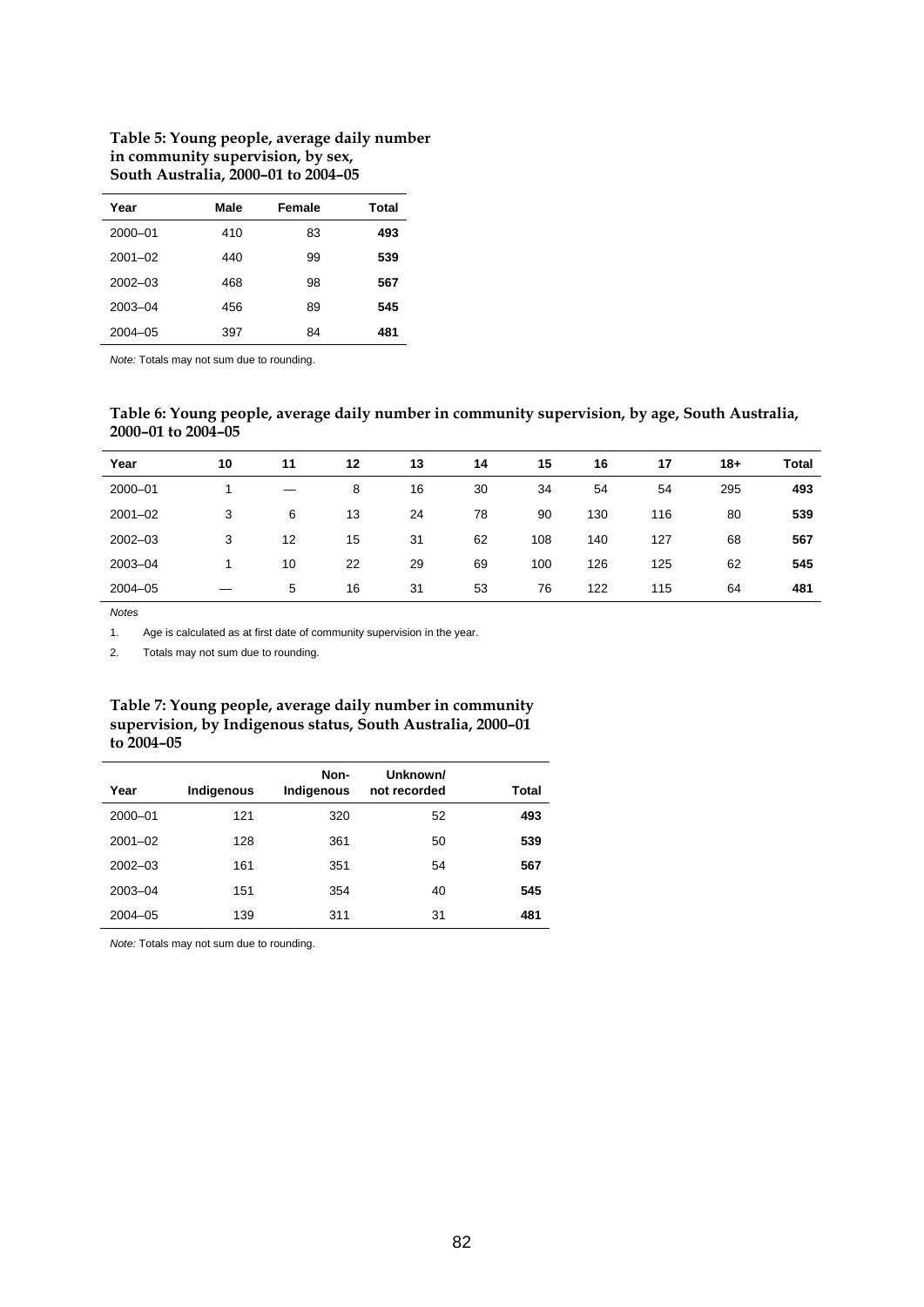#### **Table 5: Young people, average daily number in community supervision, by sex, South Australia, 2000–01 to 2004–05**

| Year        | Male | Female | Total |
|-------------|------|--------|-------|
| 2000-01     | 410  | 83     | 493   |
| $2001 - 02$ | 440  | 99     | 539   |
| $2002 - 03$ | 468  | 98     | 567   |
| 2003-04     | 456  | 89     | 545   |
| $2004 - 05$ | 397  | 84     | 481   |

*Note:* Totals may not sum due to rounding.

## **Table 6: Young people, average daily number in community supervision, by age, South Australia, 2000–01 to 2004–05**

| Year        | 10 | 11 | 12 | 13 | 14 | 15  | 16  | 17  | $18+$ | <b>Total</b> |
|-------------|----|----|----|----|----|-----|-----|-----|-------|--------------|
| 2000-01     |    |    | 8  | 16 | 30 | 34  | 54  | 54  | 295   | 493          |
| $2001 - 02$ | 3  | 6  | 13 | 24 | 78 | 90  | 130 | 116 | 80    | 539          |
| $2002 - 03$ | 3  | 12 | 15 | 31 | 62 | 108 | 140 | 127 | 68    | 567          |
| 2003-04     |    | 10 | 22 | 29 | 69 | 100 | 126 | 125 | 62    | 545          |
| $2004 - 05$ |    | 5  | 16 | 31 | 53 | 76  | 122 | 115 | 64    | 481          |

*Notes*

1. Age is calculated as at first date of community supervision in the year.

2. Totals may not sum due to rounding.

#### **Table 7: Young people, average daily number in community supervision, by Indigenous status, South Australia, 2000–01 to 2004–05**

| Year        | Indigenous | Non-<br>Indigenous | Unknown/<br>not recorded | Total |
|-------------|------------|--------------------|--------------------------|-------|
| 2000-01     | 121        | 320                | 52                       | 493   |
| $2001 - 02$ | 128        | 361                | 50                       | 539   |
| $2002 - 03$ | 161        | 351                | 54                       | 567   |
| $2003 - 04$ | 151        | 354                | 40                       | 545   |
| $2004 - 05$ | 139        | 311                | 31                       | 481   |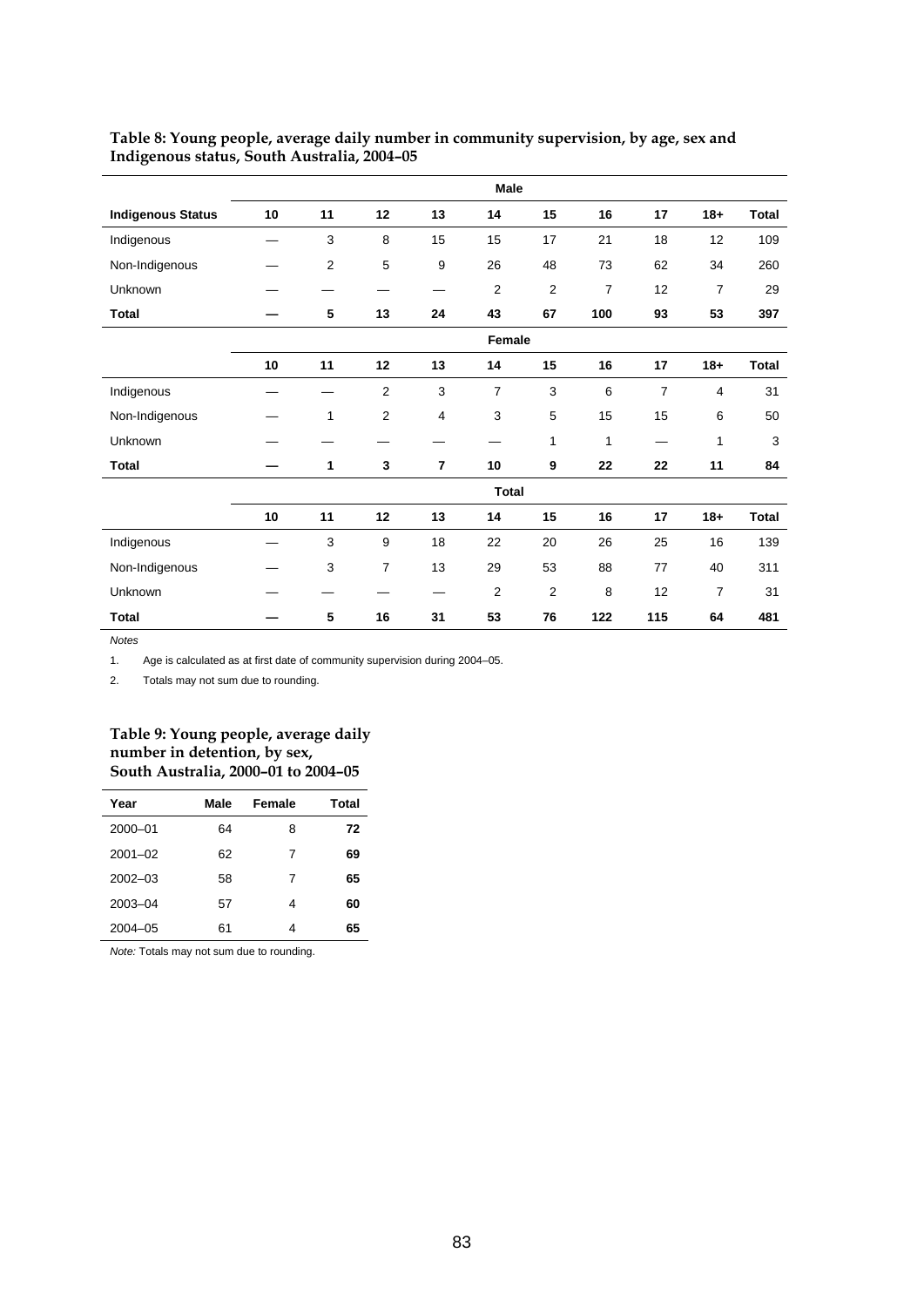|                          | Male   |    |                |                |                |                  |              |                |                |              |
|--------------------------|--------|----|----------------|----------------|----------------|------------------|--------------|----------------|----------------|--------------|
| <b>Indigenous Status</b> | 10     | 11 | 12             | 13             | 14             | 15               | 16           | 17             | $18 +$         | <b>Total</b> |
| Indigenous               |        | 3  | 8              | 15             | 15             | 17               | 21           | 18             | 12             | 109          |
| Non-Indigenous           |        | 2  | 5              | 9              | 26             | 48               | 73           | 62             | 34             | 260          |
| Unknown                  |        |    |                |                | 2              | $\overline{2}$   | 7            | 12             | $\overline{7}$ | 29           |
| Total                    |        | 5  | 13             | 24             | 43             | 67               | 100          | 93             | 53             | 397          |
|                          | Female |    |                |                |                |                  |              |                |                |              |
|                          | 10     | 11 | 12             | 13             | 14             | 15               | 16           | 17             | $18 +$         | Total        |
| Indigenous               |        |    | $\overline{2}$ | 3              | $\overline{7}$ | $\sqrt{3}$       | 6            | $\overline{7}$ | $\overline{4}$ | 31           |
| Non-Indigenous           |        | 1  | 2              | 4              | 3              | 5                | 15           | 15             | 6              | 50           |
| Unknown                  |        |    |                |                |                | $\mathbf{1}$     | $\mathbf{1}$ |                | 1              | 3            |
| <b>Total</b>             |        | 1  | 3              | $\overline{7}$ | 10             | $\boldsymbol{9}$ | 22           | 22             | 11             | 84           |
|                          |        |    |                |                |                | <b>Total</b>     |              |                |                |              |
|                          | 10     | 11 | 12             | 13             | 14             | 15               | 16           | 17             | $18 +$         | <b>Total</b> |
| Indigenous               |        | 3  | 9              | 18             | 22             | 20               | 26           | 25             | 16             | 139          |
| Non-Indigenous           |        | 3  | 7              | 13             | 29             | 53               | 88           | 77             | 40             | 311          |
| Unknown                  |        |    |                |                | $\overline{2}$ | $\overline{2}$   | 8            | 12             | $\overline{7}$ | 31           |
| <b>Total</b>             |        | 5  | 16             | 31             | 53             | 76               | 122          | 115            | 64             | 481          |

#### **Table 8: Young people, average daily number in community supervision, by age, sex and Indigenous status, South Australia, 2004–05**

*Notes*

1. Age is calculated as at first date of community supervision during 2004–05.

2. Totals may not sum due to rounding.

#### **Table 9: Young people, average daily number in detention, by sex, South Australia, 2000–01 to 2004–05**

| Year        | Male | Female | Total |
|-------------|------|--------|-------|
| 2000-01     | 64   | 8      | 72    |
| $2001 - 02$ | 62   | 7      | 69    |
| $2002 - 03$ | 58   | 7      | 65    |
| 2003-04     | 57   | 4      | 60    |
| $2004 - 05$ | 61   | 4      | 65    |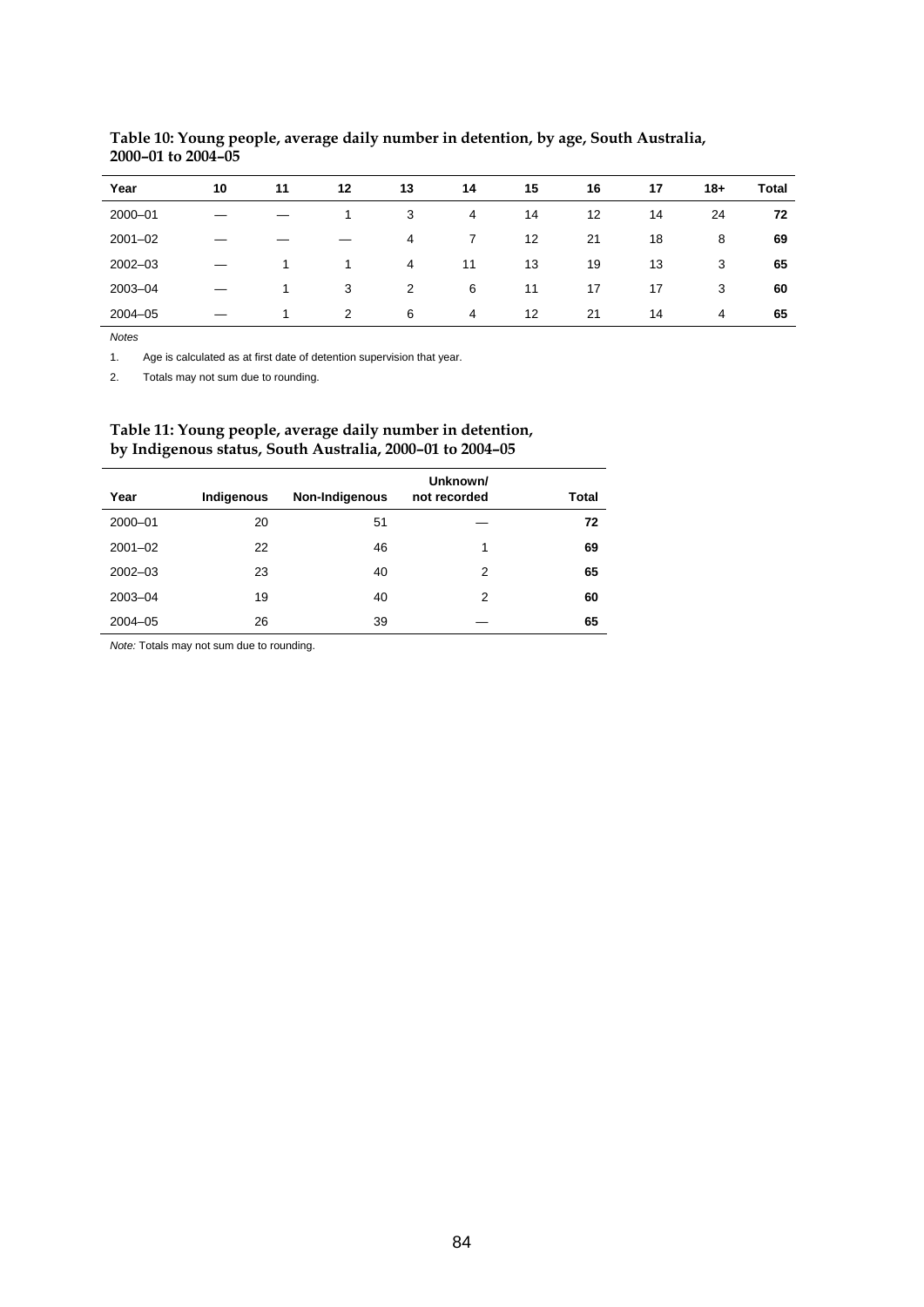| Year        | 10 | 11 | 12 | 13             | 14 | 15 | 16 | 17 | $18+$ | <b>Total</b> |
|-------------|----|----|----|----------------|----|----|----|----|-------|--------------|
| 2000-01     |    |    |    | 3              | 4  | 14 | 12 | 14 | 24    | 72           |
| $2001 - 02$ |    |    |    | 4              | 7  | 12 | 21 | 18 | 8     | 69           |
| $2002 - 03$ |    |    |    | $\overline{4}$ | 11 | 13 | 19 | 13 | 3     | 65           |
| 2003-04     |    |    | 3  | $\overline{2}$ | 6  | 11 | 17 | 17 | 3     | 60           |
| $2004 - 05$ |    | 1. | 2  | 6              | 4  | 12 | 21 | 14 | 4     | 65           |

### **Table 10: Young people, average daily number in detention, by age, South Australia, 2000–01 to 2004–05**

*Notes*

l,

1. Age is calculated as at first date of detention supervision that year.

2. Totals may not sum due to rounding.

#### **Table 11: Young people, average daily number in detention, by Indigenous status, South Australia, 2000–01 to 2004–05**

|       | Unknown/     |                |            |             |
|-------|--------------|----------------|------------|-------------|
| Total | not recorded | Non-Indigenous | Indigenous | Year        |
| 72    |              | 51             | 20         | 2000-01     |
| 69    | 1            | 46             | 22         | $2001 - 02$ |
| 65    | 2            | 40             | 23         | $2002 - 03$ |
| 60    | 2            | 40             | 19         | 2003-04     |
| 65    |              | 39             | 26         | $2004 - 05$ |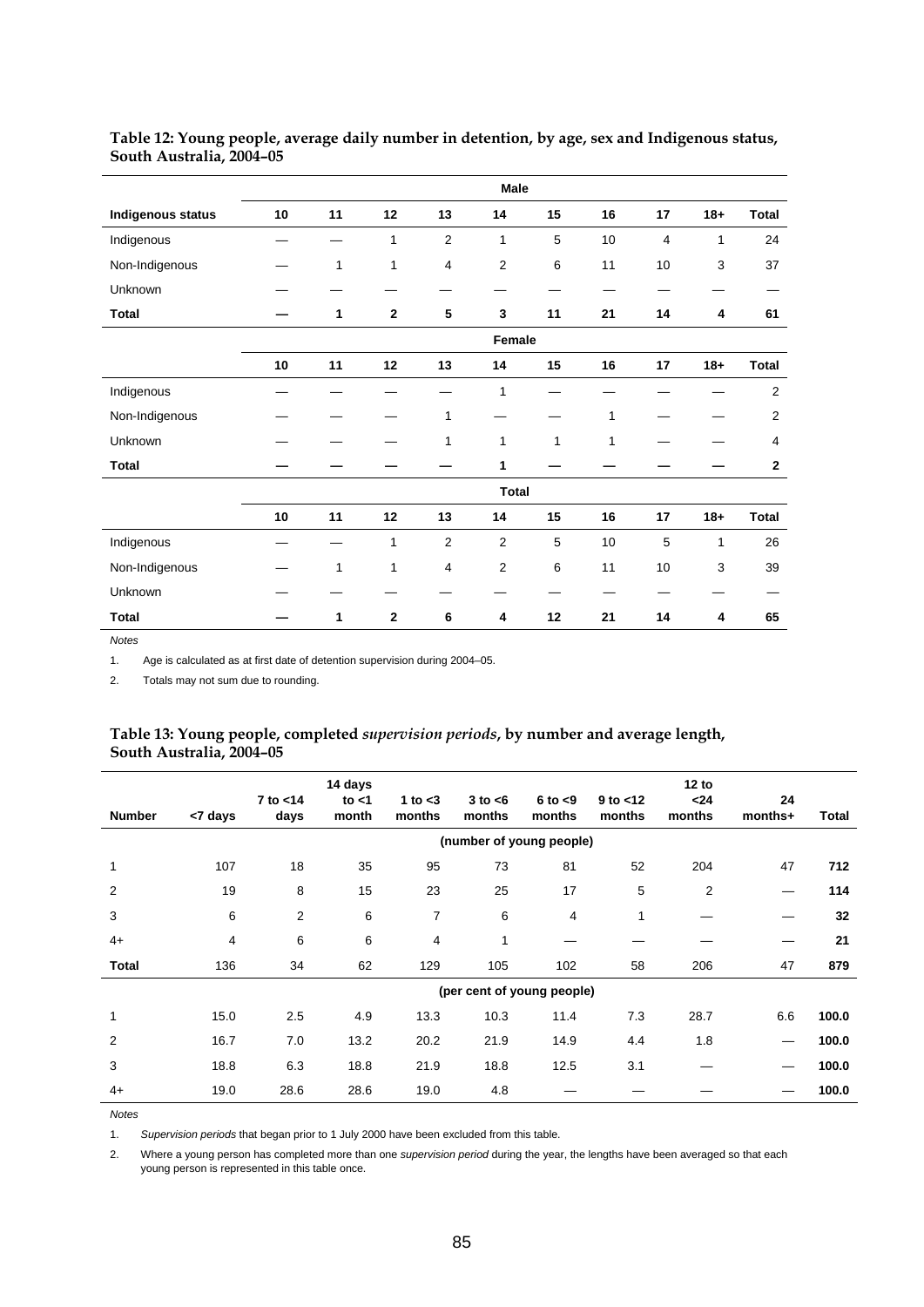|                   | Male   |              |             |                |                |              |              |                |              |                |
|-------------------|--------|--------------|-------------|----------------|----------------|--------------|--------------|----------------|--------------|----------------|
| Indigenous status | 10     | 11           | 12          | 13             | 14             | 15           | 16           | 17             | $18 +$       | Total          |
| Indigenous        |        |              | 1           | $\overline{2}$ | $\mathbf{1}$   | 5            | 10           | $\overline{4}$ | $\mathbf{1}$ | 24             |
| Non-Indigenous    |        | $\mathbf{1}$ | 1           | $\overline{4}$ | 2              | 6            | 11           | 10             | 3            | 37             |
| Unknown           |        |              |             |                |                |              |              |                |              |                |
| <b>Total</b>      |        | 1            | $\mathbf 2$ | 5              | 3              | 11           | 21           | 14             | 4            | 61             |
|                   | Female |              |             |                |                |              |              |                |              |                |
|                   | 10     | 11           | 12          | 13             | 14             | 15           | 16           | 17             | $18 +$       | <b>Total</b>   |
| Indigenous        |        |              |             |                | $\mathbf{1}$   |              |              |                |              | $\overline{2}$ |
| Non-Indigenous    |        |              |             | $\mathbf{1}$   |                |              | $\mathbf{1}$ |                |              | $\overline{2}$ |
| Unknown           |        |              |             | 1              | $\mathbf{1}$   | $\mathbf{1}$ | 1            |                |              | $\overline{4}$ |
| <b>Total</b>      |        |              |             |                | 1              |              |              |                |              | $\mathbf{2}$   |
|                   |        |              |             |                | <b>Total</b>   |              |              |                |              |                |
|                   | 10     | 11           | 12          | 13             | 14             | 15           | 16           | 17             | $18 +$       | Total          |
| Indigenous        |        |              | 1           | 2              | $\overline{2}$ | 5            | 10           | 5              | $\mathbf{1}$ | 26             |
| Non-Indigenous    |        | 1            | 1           | $\overline{4}$ | 2              | 6            | 11           | 10             | 3            | 39             |
| Unknown           |        |              |             |                |                |              |              |                |              |                |
| <b>Total</b>      |        | 1            | 2           | 6              | 4              | 12           | 21           | 14             | 4            | 65             |

#### **Table 12: Young people, average daily number in detention, by age, sex and Indigenous status, South Australia, 2004–05**

*Notes*

1. Age is calculated as at first date of detention supervision during 2004–05.

2. Totals may not sum due to rounding.

#### **Table 13: Young people, completed** *supervision periods***, by number and average length, South Australia, 2004–05**

| <b>Number</b> | <7 days | $7$ to $<$ 14<br>days | 14 days<br>to $<$ 1<br>month | 1 to $<$ 3<br>months | $3$ to $<$ 6<br>months | $6$ to $< 9$<br>months     | $9$ to $<$ 12<br>months | 12 to<br>$24$<br>months | 24<br>months+ | Total |
|---------------|---------|-----------------------|------------------------------|----------------------|------------------------|----------------------------|-------------------------|-------------------------|---------------|-------|
|               |         |                       |                              |                      |                        | (number of young people)   |                         |                         |               |       |
| 1             | 107     | 18                    | 35                           | 95                   | 73                     | 81                         | 52                      | 204                     | 47            | 712   |
| 2             | 19      | 8                     | 15                           | 23                   | 25                     | 17                         | 5                       | $\overline{2}$          |               | 114   |
| 3             | 6       | 2                     | 6                            | 7                    | 6                      | 4                          | 1                       |                         |               | 32    |
| $4+$          | 4       | 6                     | 6                            | $\overline{4}$       | 1                      |                            |                         |                         |               | 21    |
| <b>Total</b>  | 136     | 34                    | 62                           | 129                  | 105                    | 102                        | 58                      | 206                     | 47            | 879   |
|               |         |                       |                              |                      |                        | (per cent of young people) |                         |                         |               |       |
| 1             | 15.0    | 2.5                   | 4.9                          | 13.3                 | 10.3                   | 11.4                       | 7.3                     | 28.7                    | 6.6           | 100.0 |
| 2             | 16.7    | 7.0                   | 13.2                         | 20.2                 | 21.9                   | 14.9                       | 4.4                     | 1.8                     |               | 100.0 |
| 3             | 18.8    | 6.3                   | 18.8                         | 21.9                 | 18.8                   | 12.5                       | 3.1                     |                         |               | 100.0 |
| $4+$          | 19.0    | 28.6                  | 28.6                         | 19.0                 | 4.8                    |                            |                         |                         |               | 100.0 |

*Notes* 

1. *Supervision periods* that began prior to 1 July 2000 have been excluded from this table.

2. Where a young person has completed more than one *supervision period* during the year, the lengths have been averaged so that each young person is represented in this table once.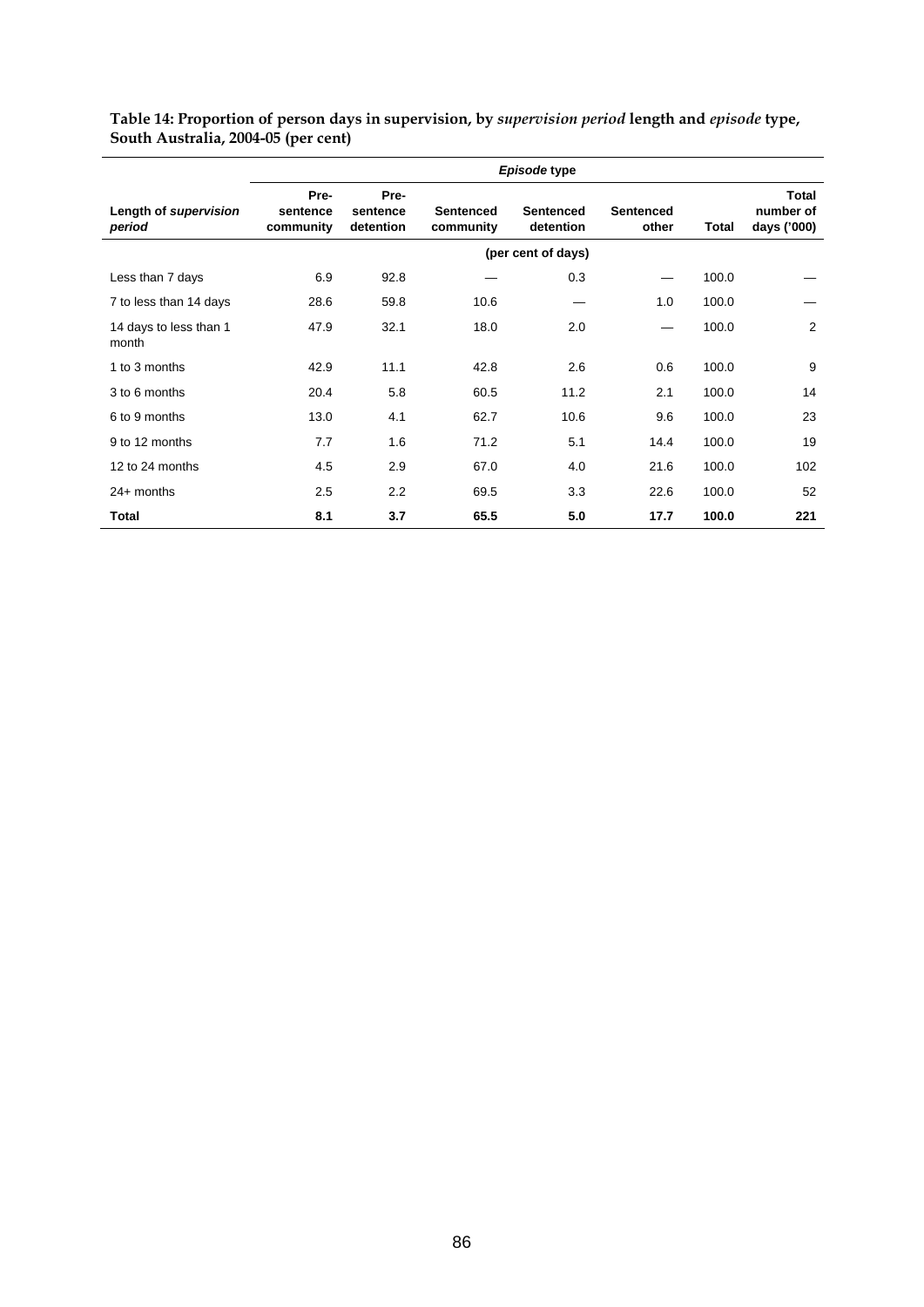|                                 | Episode type                  |                               |                               |                               |                           |       |                                          |  |  |
|---------------------------------|-------------------------------|-------------------------------|-------------------------------|-------------------------------|---------------------------|-------|------------------------------------------|--|--|
| Length of supervision<br>period | Pre-<br>sentence<br>community | Pre-<br>sentence<br>detention | <b>Sentenced</b><br>community | <b>Sentenced</b><br>detention | <b>Sentenced</b><br>other | Total | <b>Total</b><br>number of<br>days ('000) |  |  |
|                                 |                               |                               |                               | (per cent of days)            |                           |       |                                          |  |  |
| Less than 7 days                | 6.9                           | 92.8                          |                               | 0.3                           |                           | 100.0 |                                          |  |  |
| 7 to less than 14 days          | 28.6                          | 59.8                          | 10.6                          |                               | 1.0                       | 100.0 |                                          |  |  |
| 14 days to less than 1<br>month | 47.9                          | 32.1                          | 18.0                          | 2.0                           |                           | 100.0 | 2                                        |  |  |
| 1 to 3 months                   | 42.9                          | 11.1                          | 42.8                          | 2.6                           | 0.6                       | 100.0 | 9                                        |  |  |
| 3 to 6 months                   | 20.4                          | 5.8                           | 60.5                          | 11.2                          | 2.1                       | 100.0 | 14                                       |  |  |
| 6 to 9 months                   | 13.0                          | 4.1                           | 62.7                          | 10.6                          | 9.6                       | 100.0 | 23                                       |  |  |
| 9 to 12 months                  | 7.7                           | 1.6                           | 71.2                          | 5.1                           | 14.4                      | 100.0 | 19                                       |  |  |
| 12 to 24 months                 | 4.5                           | 2.9                           | 67.0                          | 4.0                           | 21.6                      | 100.0 | 102                                      |  |  |
| $24+$ months                    | 2.5                           | 2.2                           | 69.5                          | 3.3                           | 22.6                      | 100.0 | 52                                       |  |  |
| Total                           | 8.1                           | 3.7                           | 65.5                          | 5.0                           | 17.7                      | 100.0 | 221                                      |  |  |

**Table 14: Proportion of person days in supervision, by** *supervision period* **length and** *episode* **type, South Australia, 2004-05 (per cent)**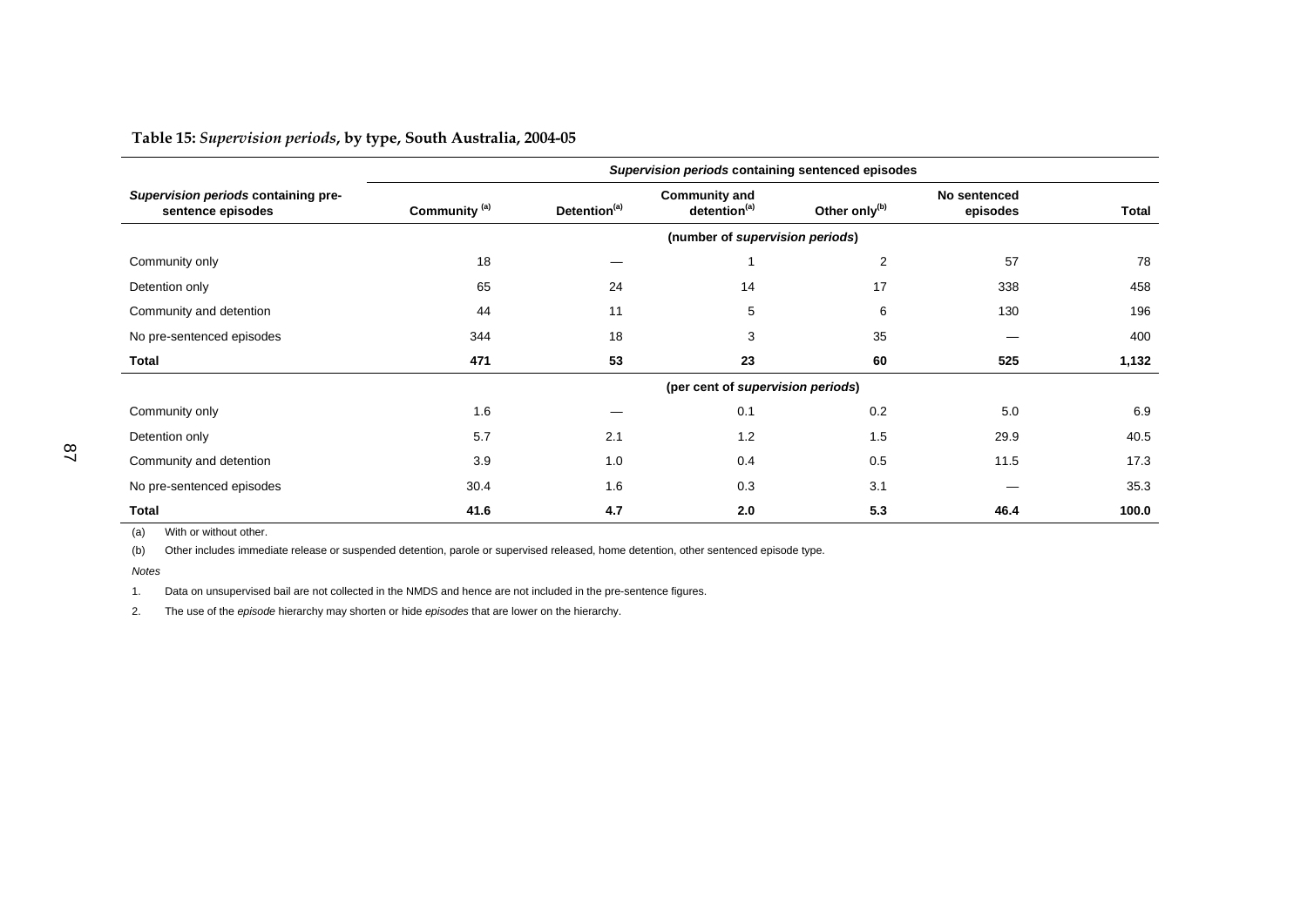**Table 15:** *Supervision periods***, by type, South Australia, 2004-05** 

|                                                          | Supervision periods containing sentenced episodes |                                 |                                                  |                           |                          |              |  |
|----------------------------------------------------------|---------------------------------------------------|---------------------------------|--------------------------------------------------|---------------------------|--------------------------|--------------|--|
| Supervision periods containing pre-<br>sentence episodes | Community <sup>(a)</sup>                          | Detention <sup>(a)</sup>        | <b>Community and</b><br>detention <sup>(a)</sup> | Other only <sup>(b)</sup> | No sentenced<br>episodes | <b>Total</b> |  |
|                                                          |                                                   | (number of supervision periods) |                                                  |                           |                          |              |  |
| Community only                                           | 18                                                |                                 |                                                  | 2                         | 57                       | 78           |  |
| Detention only                                           | 65                                                | 24                              | 14                                               | 17                        | 338                      | 458          |  |
| Community and detention                                  | 44                                                | 11                              | 5                                                | 6                         | 130                      | 196          |  |
| No pre-sentenced episodes                                | 344                                               | 18                              | 3                                                | 35                        |                          | 400          |  |
| Total                                                    | 471                                               | 53                              | 23                                               | 60                        | 525                      | 1,132        |  |
|                                                          |                                                   |                                 | (per cent of supervision periods)                |                           |                          |              |  |
| Community only                                           | 1.6                                               |                                 | 0.1                                              | 0.2                       | 5.0                      | 6.9          |  |
| Detention only                                           | 5.7                                               | 2.1                             | 1.2                                              | 1.5                       | 29.9                     | 40.5         |  |
| Community and detention                                  | 3.9                                               | 1.0                             | 0.4                                              | 0.5                       | 11.5                     | 17.3         |  |
| No pre-sentenced episodes                                | 30.4                                              | 1.6                             | 0.3                                              | 3.1                       |                          | 35.3         |  |
| <b>Total</b>                                             | 41.6                                              | 4.7                             | 2.0                                              | 5.3                       | 46.4                     | 100.0        |  |

(a) With or without other.

(b) Other includes immediate release or suspended detention, parole or supervised released, home detention, other sentenced episode type.

*Notes*

1. Data on unsupervised bail are not collected in the NMDS and hence are not included in the pre-sentence figures.

2. The use of the *episode* hierarchy may shorten or hide *episodes* that are lower on the hierarchy.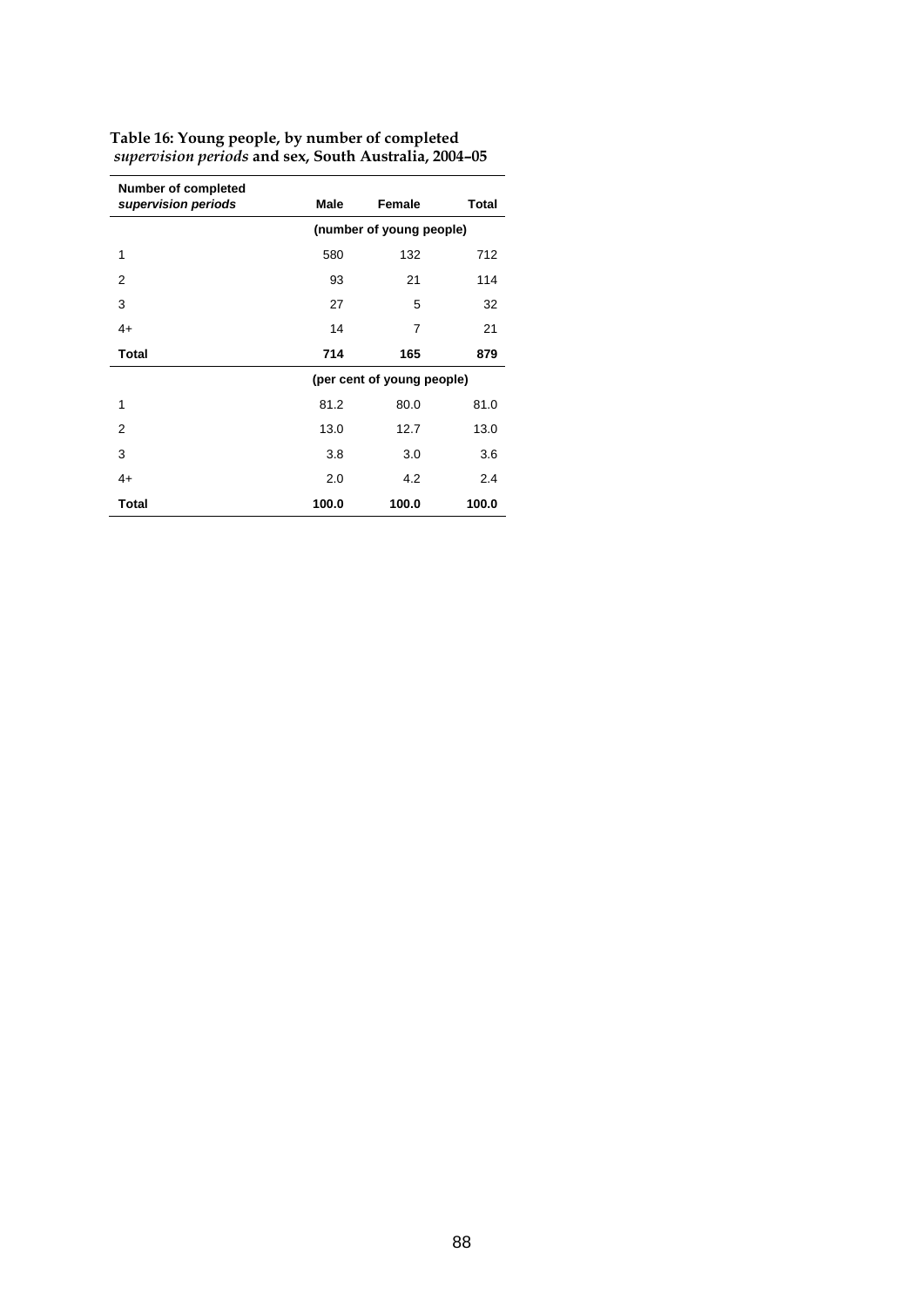| <b>Number of completed</b><br>supervision periods | Male                     | Female                     | Total |  |  |  |
|---------------------------------------------------|--------------------------|----------------------------|-------|--|--|--|
|                                                   | (number of young people) |                            |       |  |  |  |
| 1                                                 | 580                      | 132                        | 712   |  |  |  |
| 2                                                 | 93                       | 21                         | 114   |  |  |  |
| 3                                                 | 27                       | 5                          | 32    |  |  |  |
| $4+$                                              | 14                       | $\overline{7}$             | 21    |  |  |  |
| <b>Total</b>                                      | 714                      | 165                        | 879   |  |  |  |
|                                                   |                          | (per cent of young people) |       |  |  |  |
| 1                                                 | 81.2                     | 80.0                       | 81.0  |  |  |  |
| $\mathfrak{p}$                                    | 13.0                     | 12.7                       | 13.0  |  |  |  |
| 3                                                 | 3.8                      | 3.0                        | 3.6   |  |  |  |
| $4+$                                              | 2.0                      | 4.2                        | 2.4   |  |  |  |
| <b>Total</b>                                      | 100.0                    | 100.0                      | 100.0 |  |  |  |

**Table 16: Young people, by number of completed**   *supervision periods* **and sex, South Australia, 2004–05**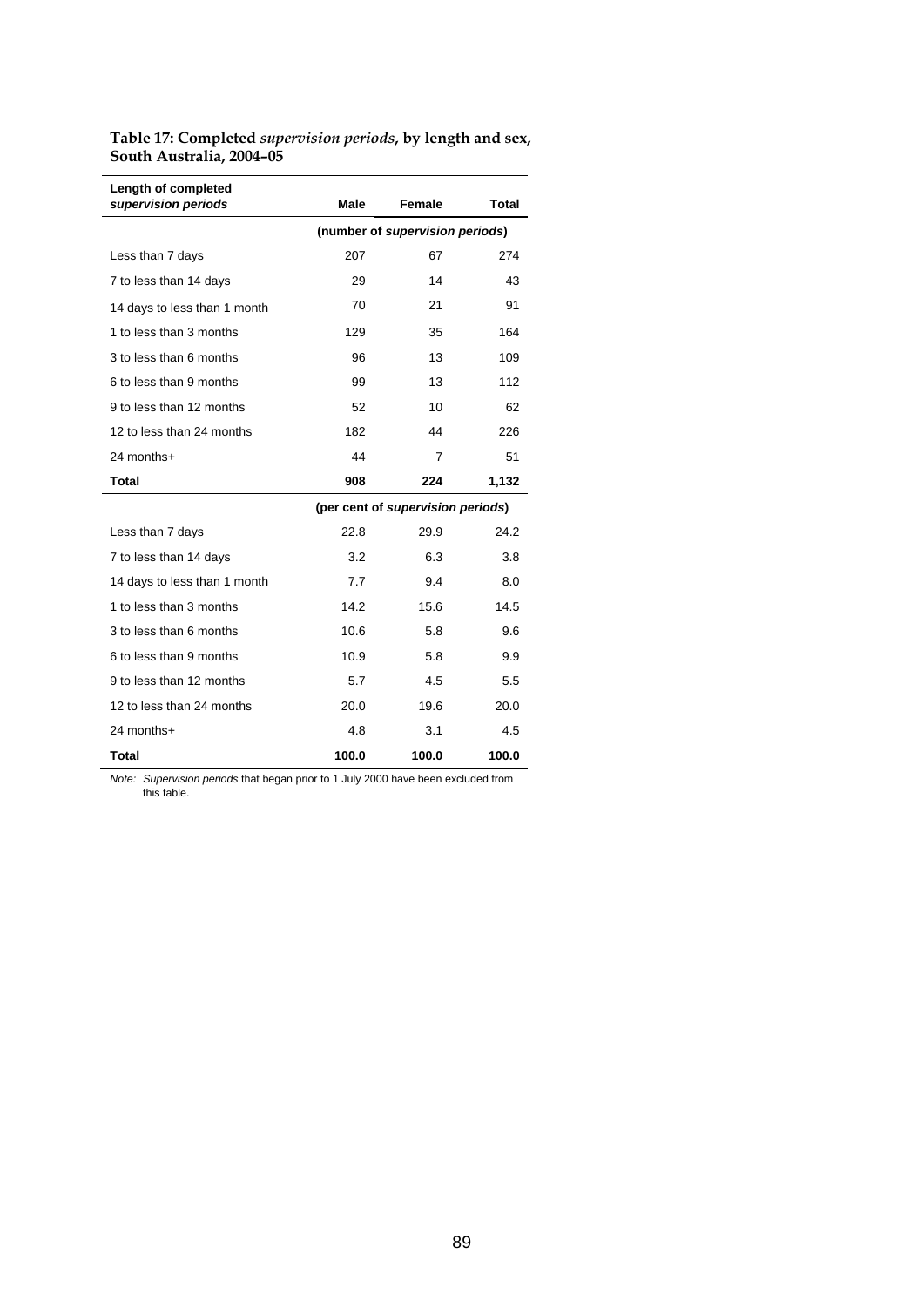**Table 17: Completed** *supervision periods***, by length and sex, South Australia, 2004–05** 

| Length of completed<br>supervision periods | Male                            | Female                            | Total |  |  |
|--------------------------------------------|---------------------------------|-----------------------------------|-------|--|--|
|                                            | (number of supervision periods) |                                   |       |  |  |
| Less than 7 days                           | 207                             | 67                                | 274   |  |  |
| 7 to less than 14 days                     | 29                              | 14                                | 43    |  |  |
| 14 days to less than 1 month               | 70                              | 21                                | 91    |  |  |
| 1 to less than 3 months                    | 129                             | 35                                | 164   |  |  |
| 3 to less than 6 months                    | 96                              | 13                                | 109   |  |  |
| 6 to less than 9 months                    | 99                              | 13                                | 112   |  |  |
| 9 to less than 12 months                   | 52                              | 10                                | 62    |  |  |
| 12 to less than 24 months                  | 182                             | 44                                | 226   |  |  |
| 24 months+                                 | 44                              | 7                                 | 51    |  |  |
| <b>Total</b>                               | 908                             | 224                               | 1,132 |  |  |
|                                            |                                 | (per cent of supervision periods) |       |  |  |
| Less than 7 days                           | 22.8                            | 29.9                              | 24.2  |  |  |
| 7 to less than 14 days                     | 3.2                             | 6.3                               | 3.8   |  |  |
| 14 days to less than 1 month               | 7.7                             | 9.4                               | 8.0   |  |  |
| 1 to less than 3 months                    | 14.2                            | 15.6                              | 14.5  |  |  |
| 3 to less than 6 months                    | 10.6                            | 5.8                               | 9.6   |  |  |
| 6 to less than 9 months                    | 10.9                            | 5.8                               | 9.9   |  |  |
| 9 to less than 12 months                   | 5.7                             | 4.5                               | 5.5   |  |  |
| 12 to less than 24 months                  | 20.0                            | 19.6                              | 20.0  |  |  |
| 24 months+                                 | 4.8                             | 3.1                               | 4.5   |  |  |
| <b>Total</b>                               | 100.0                           | 100.0                             | 100.0 |  |  |

*Note: Supervision periods* that began prior to 1 July 2000 have been excluded from this table.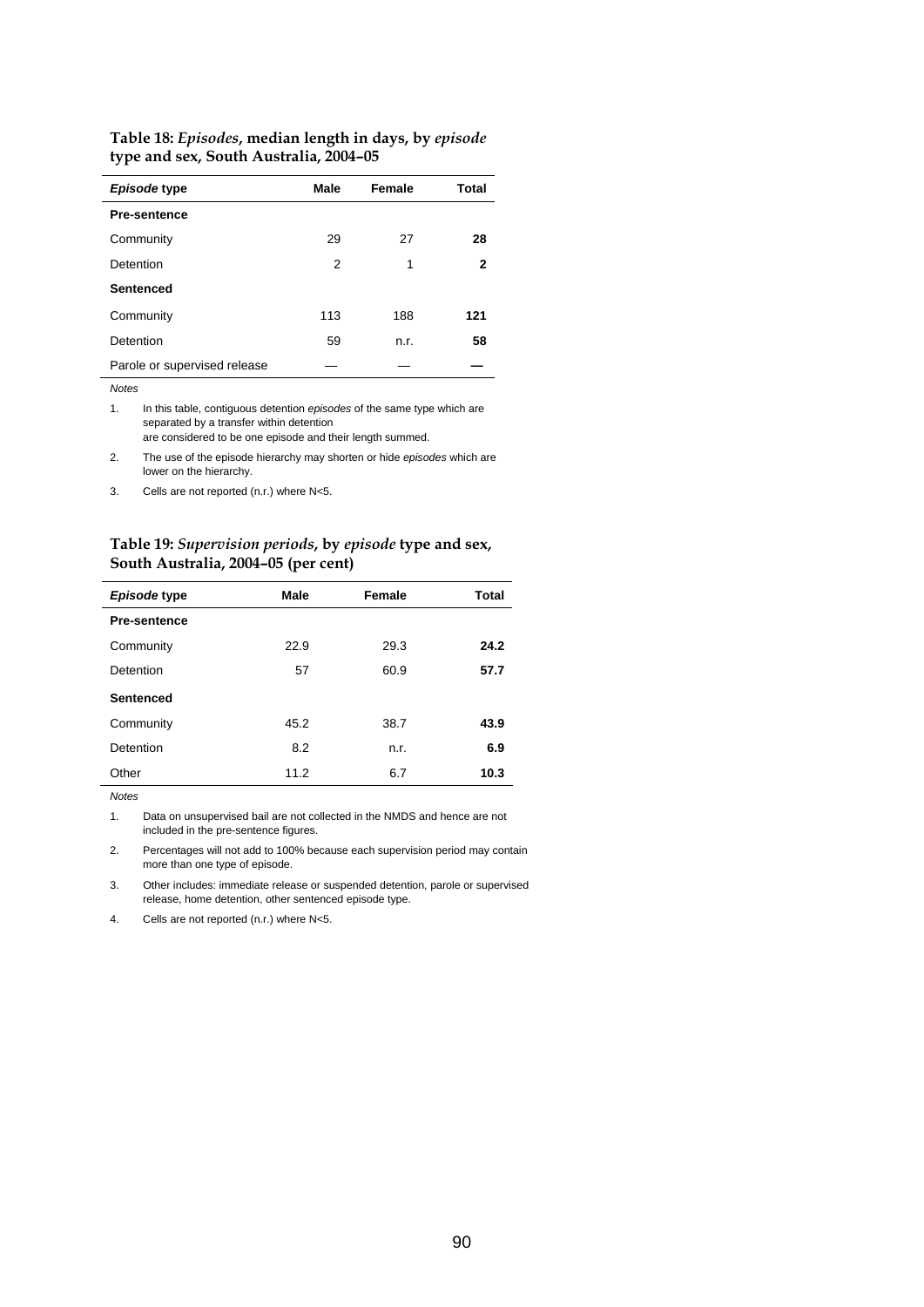| Episode type                 | <b>Male</b> | Female | Total |
|------------------------------|-------------|--------|-------|
| <b>Pre-sentence</b>          |             |        |       |
| Community                    | 29          | 27     | 28    |
| Detention                    | 2           | 1      | 2     |
| <b>Sentenced</b>             |             |        |       |
| Community                    | 113         | 188    | 121   |
| Detention                    | 59          | n.r.   | 58    |
| Parole or supervised release |             |        |       |

#### **Table 18:** *Episodes***, median length in days, by** *episode* **type and sex, South Australia, 2004–05**

*Notes* 

1. In this table, contiguous detention *episodes* of the same type which are separated by a transfer within detention are considered to be one episode and their length summed.

2. The use of the episode hierarchy may shorten or hide *episodes* which are

lower on the hierarchy.

3. Cells are not reported (n.r.) where N<5.

#### **Table 19:** *Supervision periods***, by** *episode* **type and sex, South Australia, 2004–05 (per cent)**

| Episode type        | Male | Female | <b>Total</b> |
|---------------------|------|--------|--------------|
| <b>Pre-sentence</b> |      |        |              |
| Community           | 22.9 | 29.3   | 24.2         |
| Detention           | 57   | 60.9   | 57.7         |
| Sentenced           |      |        |              |
| Community           | 45.2 | 38.7   | 43.9         |
| Detention           | 8.2  | n.r.   | 6.9          |
| Other               | 11.2 | 6.7    | 10.3         |

*Notes* 

1. Data on unsupervised bail are not collected in the NMDS and hence are not included in the pre-sentence figures.

2. Percentages will not add to 100% because each supervision period may contain more than one type of episode.

3. Other includes: immediate release or suspended detention, parole or supervised release, home detention, other sentenced episode type.

4. Cells are not reported (n.r.) where N<5.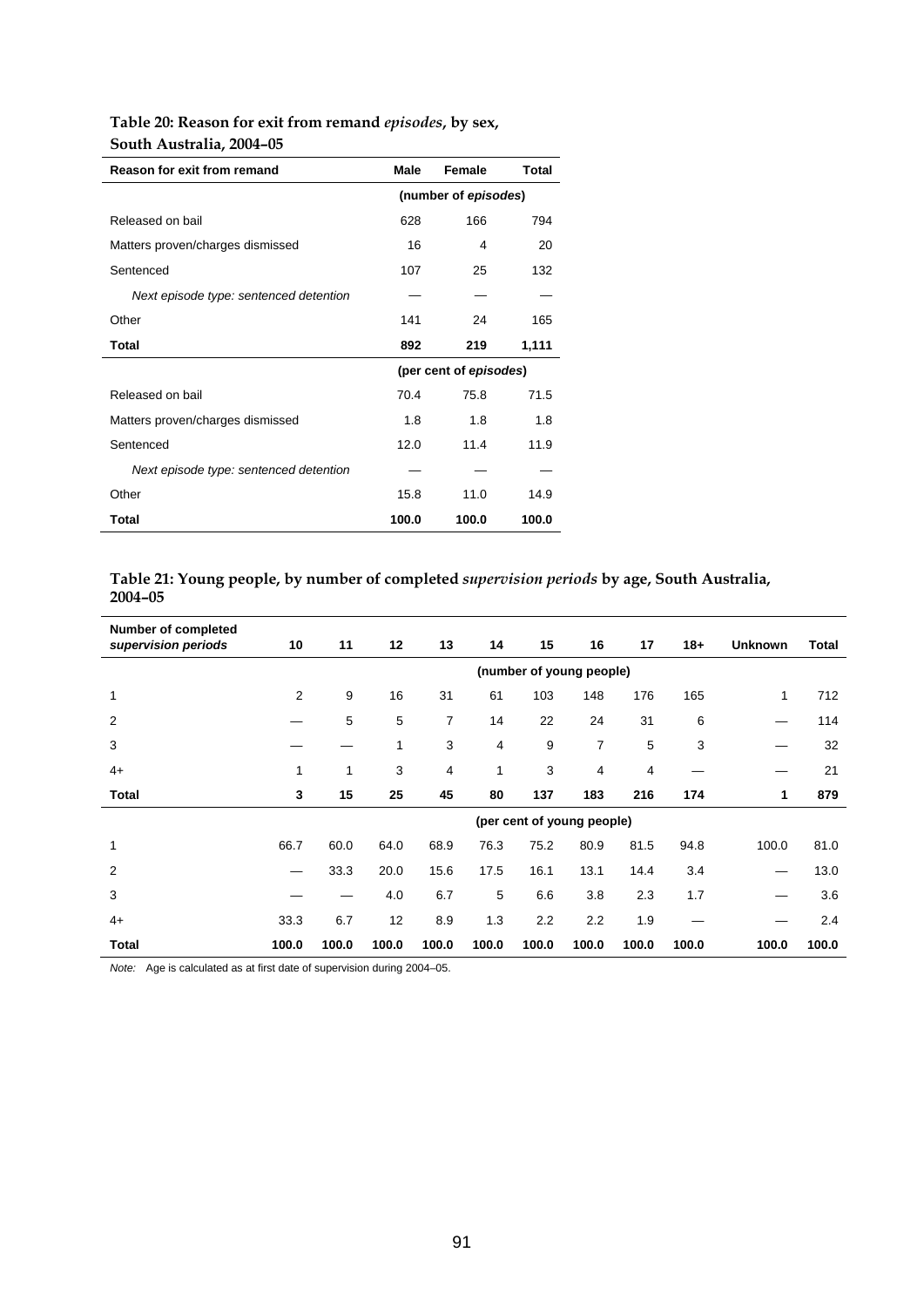## **Table 20: Reason for exit from remand** *episodes***, by sex, South Australia, 2004–05**

| Reason for exit from remand            | Male  | Female                 | Total |
|----------------------------------------|-------|------------------------|-------|
|                                        |       | (number of episodes)   |       |
|                                        |       |                        |       |
| Released on bail                       | 628   | 166                    | 794   |
| Matters proven/charges dismissed       | 16    | 4                      | 20    |
| Sentenced                              | 107   | 25                     | 132   |
| Next episode type: sentenced detention |       |                        |       |
| Other                                  | 141   | 24                     | 165   |
| Total                                  | 892   | 219                    | 1,111 |
|                                        |       | (per cent of episodes) |       |
| Released on bail                       | 70.4  | 75.8                   | 71.5  |
| Matters proven/charges dismissed       | 1.8   | 1.8                    | 1.8   |
| Sentenced                              | 12.0  | 11.4                   | 11.9  |
| Next episode type: sentenced detention |       |                        |       |
| Other                                  | 15.8  | 11.0                   | 14.9  |
| Total                                  | 100.0 | 100.0                  | 100.0 |

## **Table 21: Young people, by number of completed** *supervision periods* **by age, South Australia, 2004–05**

| <b>Number of completed</b><br>supervision periods | 10    | 11    | 12    | 13    | 14    | 15    | 16                         | 17    | $18+$ | <b>Unknown</b> | Total |
|---------------------------------------------------|-------|-------|-------|-------|-------|-------|----------------------------|-------|-------|----------------|-------|
|                                                   |       |       |       |       |       |       | (number of young people)   |       |       |                |       |
| 1                                                 | 2     | 9     | 16    | 31    | 61    | 103   | 148                        | 176   | 165   | 1              | 712   |
| 2                                                 |       | 5     | 5     | 7     | 14    | 22    | 24                         | 31    | 6     |                | 114   |
| 3                                                 |       |       | 1     | 3     | 4     | 9     | 7                          | 5     | 3     |                | 32    |
| $4+$                                              | 1     | 1     | 3     | 4     | 1     | 3     | 4                          | 4     |       |                | 21    |
| <b>Total</b>                                      | 3     | 15    | 25    | 45    | 80    | 137   | 183                        | 216   | 174   | 1              | 879   |
|                                                   |       |       |       |       |       |       | (per cent of young people) |       |       |                |       |
|                                                   | 66.7  | 60.0  | 64.0  | 68.9  | 76.3  | 75.2  | 80.9                       | 81.5  | 94.8  | 100.0          | 81.0  |
| $\overline{2}$                                    |       | 33.3  | 20.0  | 15.6  | 17.5  | 16.1  | 13.1                       | 14.4  | 3.4   | —              | 13.0  |
| 3                                                 |       |       | 4.0   | 6.7   | 5     | 6.6   | 3.8                        | 2.3   | 1.7   |                | 3.6   |
| $4+$                                              | 33.3  | 6.7   | 12    | 8.9   | 1.3   | 2.2   | 2.2                        | 1.9   |       |                | 2.4   |
| Total                                             | 100.0 | 100.0 | 100.0 | 100.0 | 100.0 | 100.0 | 100.0                      | 100.0 | 100.0 | 100.0          | 100.0 |

*Note:* Age is calculated as at first date of supervision during 2004–05.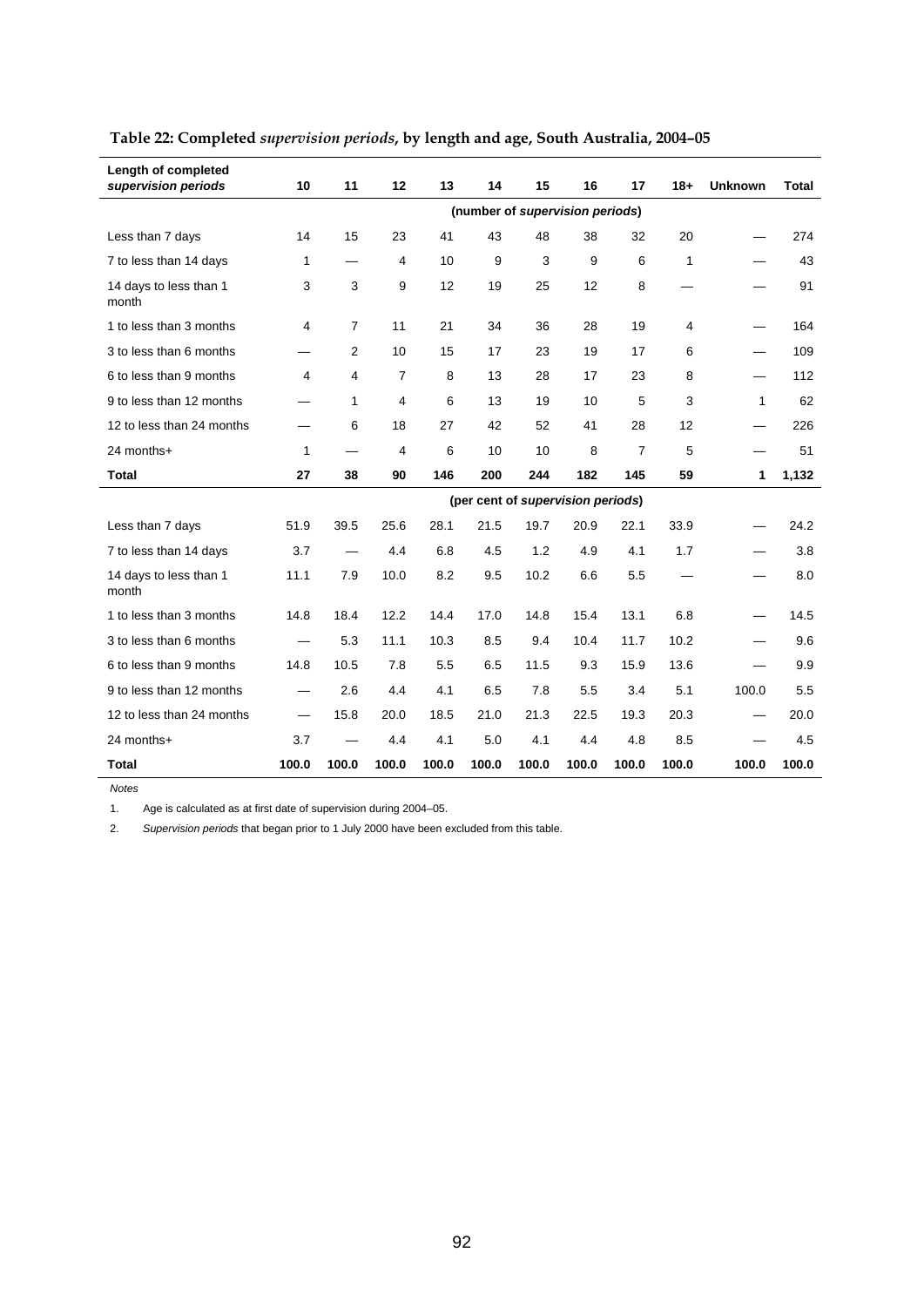| Length of completed<br>supervision periods | 10                       | 11                       | 12                      | 13    | 14    | 15    | 16                                | 17             | $18 +$ | <b>Unknown</b>           | <b>Total</b> |
|--------------------------------------------|--------------------------|--------------------------|-------------------------|-------|-------|-------|-----------------------------------|----------------|--------|--------------------------|--------------|
|                                            |                          |                          |                         |       |       |       | (number of supervision periods)   |                |        |                          |              |
| Less than 7 days                           | 14                       | 15                       | 23                      | 41    | 43    | 48    | 38                                | 32             | 20     |                          | 274          |
| 7 to less than 14 days                     | 1                        | $\overline{\phantom{0}}$ | 4                       | 10    | 9     | 3     | 9                                 | 6              | 1      |                          | 43           |
| 14 days to less than 1<br>month            | 3                        | 3                        | 9                       | 12    | 19    | 25    | 12                                | 8              |        |                          | 91           |
| 1 to less than 3 months                    | 4                        | $\overline{7}$           | 11                      | 21    | 34    | 36    | 28                                | 19             | 4      |                          | 164          |
| 3 to less than 6 months                    |                          | 2                        | 10                      | 15    | 17    | 23    | 19                                | 17             | 6      |                          | 109          |
| 6 to less than 9 months                    | 4                        | 4                        | $\overline{7}$          | 8     | 13    | 28    | 17                                | 23             | 8      | —                        | 112          |
| 9 to less than 12 months                   |                          | 1                        | 4                       | 6     | 13    | 19    | 10                                | 5              | 3      | 1                        | 62           |
| 12 to less than 24 months                  |                          | 6                        | 18                      | 27    | 42    | 52    | 41                                | 28             | 12     |                          | 226          |
| 24 months+                                 | 1                        |                          | $\overline{\mathbf{4}}$ | 6     | 10    | 10    | 8                                 | $\overline{7}$ | 5      |                          | 51           |
| <b>Total</b>                               | 27                       | 38                       | 90                      | 146   | 200   | 244   | 182                               | 145            | 59     | 1                        | 1,132        |
|                                            |                          |                          |                         |       |       |       | (per cent of supervision periods) |                |        |                          |              |
| Less than 7 days                           | 51.9                     | 39.5                     | 25.6                    | 28.1  | 21.5  | 19.7  | 20.9                              | 22.1           | 33.9   |                          | 24.2         |
| 7 to less than 14 days                     | 3.7                      | $\overline{\phantom{0}}$ | 4.4                     | 6.8   | 4.5   | 1.2   | 4.9                               | 4.1            | 1.7    |                          | 3.8          |
| 14 days to less than 1<br>month            | 11.1                     | 7.9                      | 10.0                    | 8.2   | 9.5   | 10.2  | 6.6                               | 5.5            |        |                          | 8.0          |
| 1 to less than 3 months                    | 14.8                     | 18.4                     | 12.2                    | 14.4  | 17.0  | 14.8  | 15.4                              | 13.1           | 6.8    |                          | 14.5         |
| 3 to less than 6 months                    |                          | 5.3                      | 11.1                    | 10.3  | 8.5   | 9.4   | 10.4                              | 11.7           | 10.2   |                          | 9.6          |
| 6 to less than 9 months                    | 14.8                     | 10.5                     | 7.8                     | 5.5   | 6.5   | 11.5  | 9.3                               | 15.9           | 13.6   |                          | 9.9          |
| 9 to less than 12 months                   | $\overline{\phantom{0}}$ | 2.6                      | 4.4                     | 4.1   | 6.5   | 7.8   | 5.5                               | 3.4            | 5.1    | 100.0                    | 5.5          |
| 12 to less than 24 months                  | $\overline{\phantom{0}}$ | 15.8                     | 20.0                    | 18.5  | 21.0  | 21.3  | 22.5                              | 19.3           | 20.3   | $\overline{\phantom{0}}$ | 20.0         |
| 24 months+                                 | 3.7                      | —                        | 4.4                     | 4.1   | 5.0   | 4.1   | 4.4                               | 4.8            | 8.5    |                          | 4.5          |
| Total                                      | 100.0                    | 100.0                    | 100.0                   | 100.0 | 100.0 | 100.0 | 100.0                             | 100.0          | 100.0  | 100.0                    | 100.0        |

# **Table 22: Completed** *supervision periods***, by length and age, South Australia, 2004–05**

*Notes* 

1. Age is calculated as at first date of supervision during 2004–05.

2. *Supervision periods* that began prior to 1 July 2000 have been excluded from this table.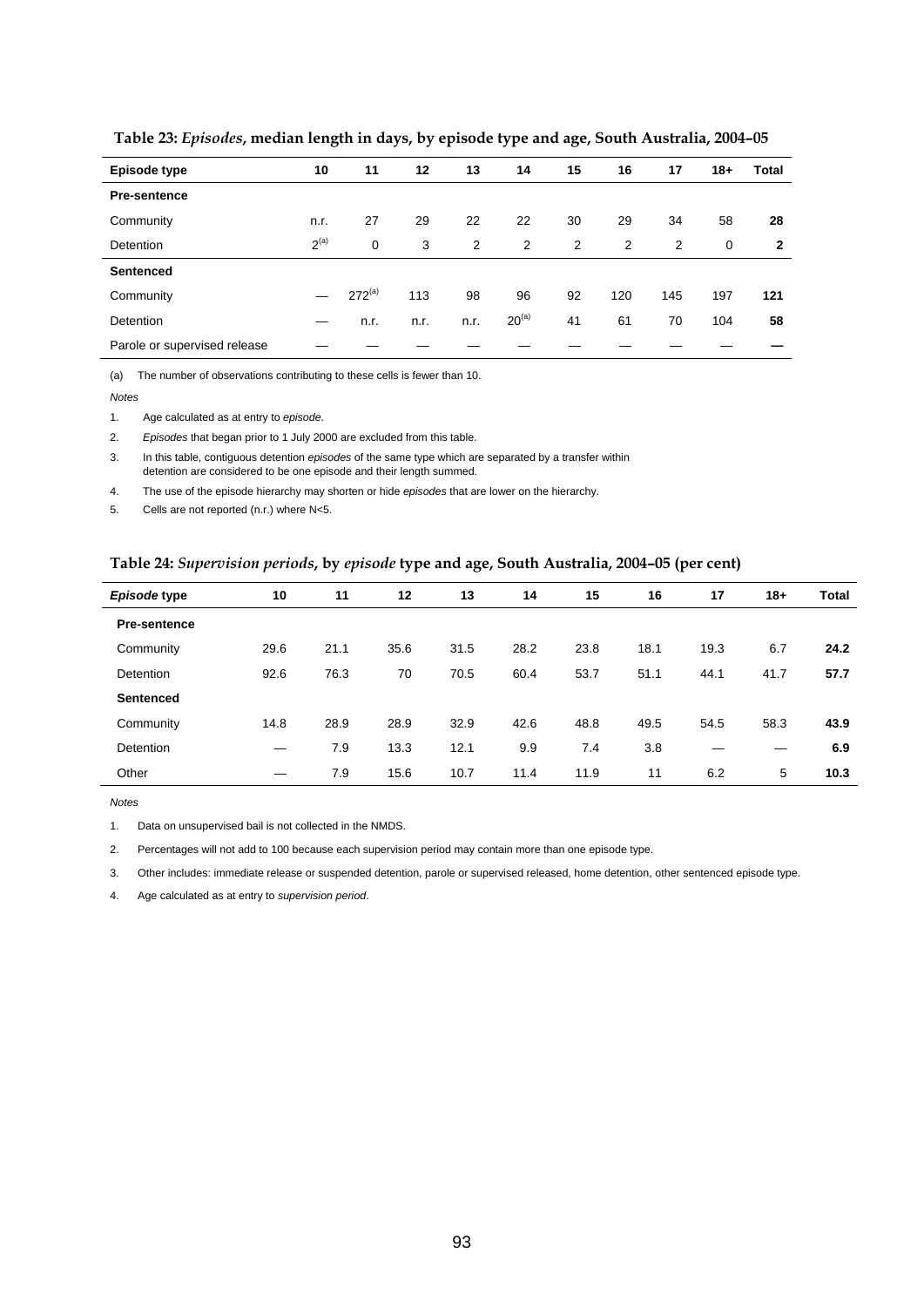| Episode type                 | 10        | 11          | 12   | 13             | 14         | 15 | 16  | 17             | $18+$       | <b>Total</b> |
|------------------------------|-----------|-------------|------|----------------|------------|----|-----|----------------|-------------|--------------|
| <b>Pre-sentence</b>          |           |             |      |                |            |    |     |                |             |              |
| Community                    | n.r.      | 27          | 29   | 22             | 22         | 30 | 29  | 34             | 58          | 28           |
| <b>Detention</b>             | $2^{(a)}$ | 0           | 3    | $\overline{2}$ | 2          | 2  | 2   | $\overline{2}$ | $\mathbf 0$ | 2            |
| <b>Sentenced</b>             |           |             |      |                |            |    |     |                |             |              |
| Community                    |           | $272^{(a)}$ | 113  | 98             | 96         | 92 | 120 | 145            | 197         | 121          |
| Detention                    |           | n.r.        | n.r. | n.r.           | $20^{(a)}$ | 41 | 61  | 70             | 104         | 58           |
| Parole or supervised release |           |             |      |                |            |    |     |                |             |              |

 **Table 23:** *Episodes***, median length in days, by episode type and age, South Australia, 2004–05** 

(a) The number of observations contributing to these cells is fewer than 10.

*Notes* 

1. Age calculated as at entry to *episode*.

2. *Episodes* that began prior to 1 July 2000 are excluded from this table.

3. In this table, contiguous detention *episodes* of the same type which are separated by a transfer within detention are considered to be one episode and their length summed.

4. The use of the episode hierarchy may shorten or hide *episodes* that are lower on the hierarchy.

5. Cells are not reported (n.r.) where N<5.

#### **Table 24:** *Supervision periods***, by** *episode* **type and age, South Australia, 2004–05 (per cent)**

| Episode type        | 10   | 11   | 12   | 13   | 14   | 15   | 16   | 17   | $18+$ | Total |
|---------------------|------|------|------|------|------|------|------|------|-------|-------|
| <b>Pre-sentence</b> |      |      |      |      |      |      |      |      |       |       |
| Community           | 29.6 | 21.1 | 35.6 | 31.5 | 28.2 | 23.8 | 18.1 | 19.3 | 6.7   | 24.2  |
| Detention           | 92.6 | 76.3 | 70   | 70.5 | 60.4 | 53.7 | 51.1 | 44.1 | 41.7  | 57.7  |
| <b>Sentenced</b>    |      |      |      |      |      |      |      |      |       |       |
| Community           | 14.8 | 28.9 | 28.9 | 32.9 | 42.6 | 48.8 | 49.5 | 54.5 | 58.3  | 43.9  |
| <b>Detention</b>    | –    | 7.9  | 13.3 | 12.1 | 9.9  | 7.4  | 3.8  |      |       | 6.9   |
| Other               |      | 7.9  | 15.6 | 10.7 | 11.4 | 11.9 | 11   | 6.2  | 5     | 10.3  |

*Notes* 

1. Data on unsupervised bail is not collected in the NMDS.

2. Percentages will not add to 100 because each supervision period may contain more than one episode type.

3. Other includes: immediate release or suspended detention, parole or supervised released, home detention, other sentenced episode type.

4. Age calculated as at entry to *supervision period*.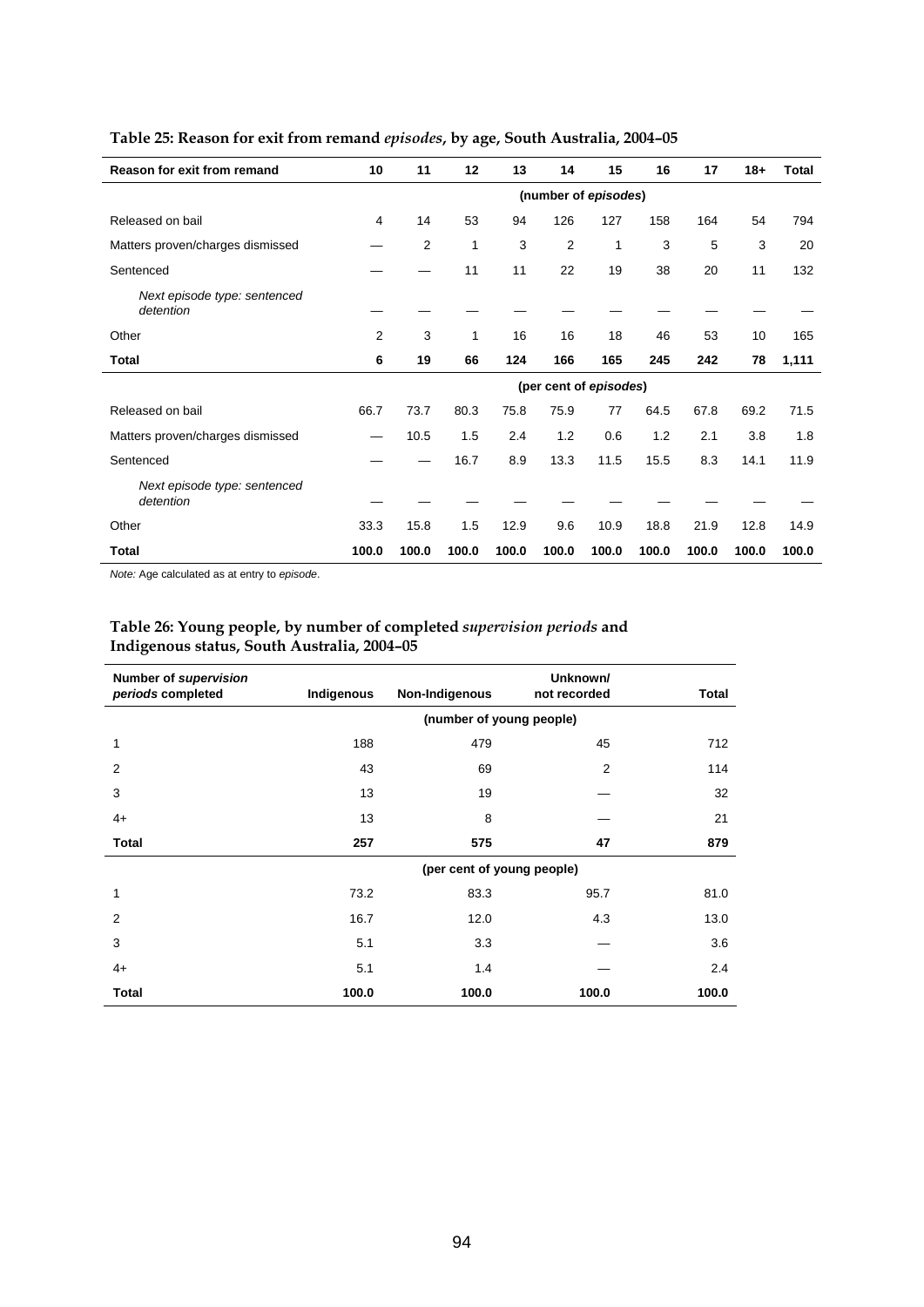| Reason for exit from remand               | 10             | 11             | 12    | 13    | 14                     | 15    | 16    | 17    | $18+$ | <b>Total</b> |
|-------------------------------------------|----------------|----------------|-------|-------|------------------------|-------|-------|-------|-------|--------------|
|                                           |                |                |       |       | (number of episodes)   |       |       |       |       |              |
| Released on bail                          | 4              | 14             | 53    | 94    | 126                    | 127   | 158   | 164   | 54    | 794          |
| Matters proven/charges dismissed          |                | $\overline{2}$ | 1     | 3     | $\overline{2}$         | 1     | 3     | 5     | 3     | 20           |
| Sentenced                                 |                |                | 11    | 11    | 22                     | 19    | 38    | 20    | 11    | 132          |
| Next episode type: sentenced<br>detention |                |                |       |       |                        |       |       |       |       |              |
| Other                                     | $\overline{2}$ | 3              | 1     | 16    | 16                     | 18    | 46    | 53    | 10    | 165          |
| Total                                     | 6              | 19             | 66    | 124   | 166                    | 165   | 245   | 242   | 78    | 1,111        |
|                                           |                |                |       |       | (per cent of episodes) |       |       |       |       |              |
| Released on bail                          | 66.7           | 73.7           | 80.3  | 75.8  | 75.9                   | 77    | 64.5  | 67.8  | 69.2  | 71.5         |
| Matters proven/charges dismissed          |                | 10.5           | 1.5   | 2.4   | 1.2                    | 0.6   | 1.2   | 2.1   | 3.8   | 1.8          |
| Sentenced                                 |                |                | 16.7  | 8.9   | 13.3                   | 11.5  | 15.5  | 8.3   | 14.1  | 11.9         |
| Next episode type: sentenced<br>detention |                |                |       |       |                        |       |       |       |       |              |
| Other                                     | 33.3           | 15.8           | 1.5   | 12.9  | 9.6                    | 10.9  | 18.8  | 21.9  | 12.8  | 14.9         |
| Total                                     | 100.0          | 100.0          | 100.0 | 100.0 | 100.0                  | 100.0 | 100.0 | 100.0 | 100.0 | 100.0        |

## **Table 25: Reason for exit from remand** *episodes***, by age, South Australia, 2004–05**

*Note:* Age calculated as at entry to *episode*.

#### **Table 26: Young people, by number of completed** *supervision periods* **and Indigenous status, South Australia, 2004–05**

| Number of supervision<br>periods completed | Indigenous | Non-Indigenous             | Unknown/<br>not recorded | <b>Total</b> |
|--------------------------------------------|------------|----------------------------|--------------------------|--------------|
|                                            |            | (number of young people)   |                          |              |
| 1                                          | 188        | 479                        | 45                       | 712          |
| 2                                          | 43         | 69                         | 2                        | 114          |
| 3                                          | 13         | 19                         |                          | 32           |
| $4+$                                       | 13         | 8                          |                          | 21           |
| <b>Total</b>                               | 257        | 575                        | 47                       | 879          |
|                                            |            | (per cent of young people) |                          |              |
| 1                                          | 73.2       | 83.3                       | 95.7                     | 81.0         |
| $\overline{2}$                             | 16.7       | 12.0                       | 4.3                      | 13.0         |
| 3                                          | 5.1        | 3.3                        |                          | 3.6          |
| $4+$                                       | 5.1        | 1.4                        |                          | 2.4          |
| <b>Total</b>                               | 100.0      | 100.0                      | 100.0                    | 100.0        |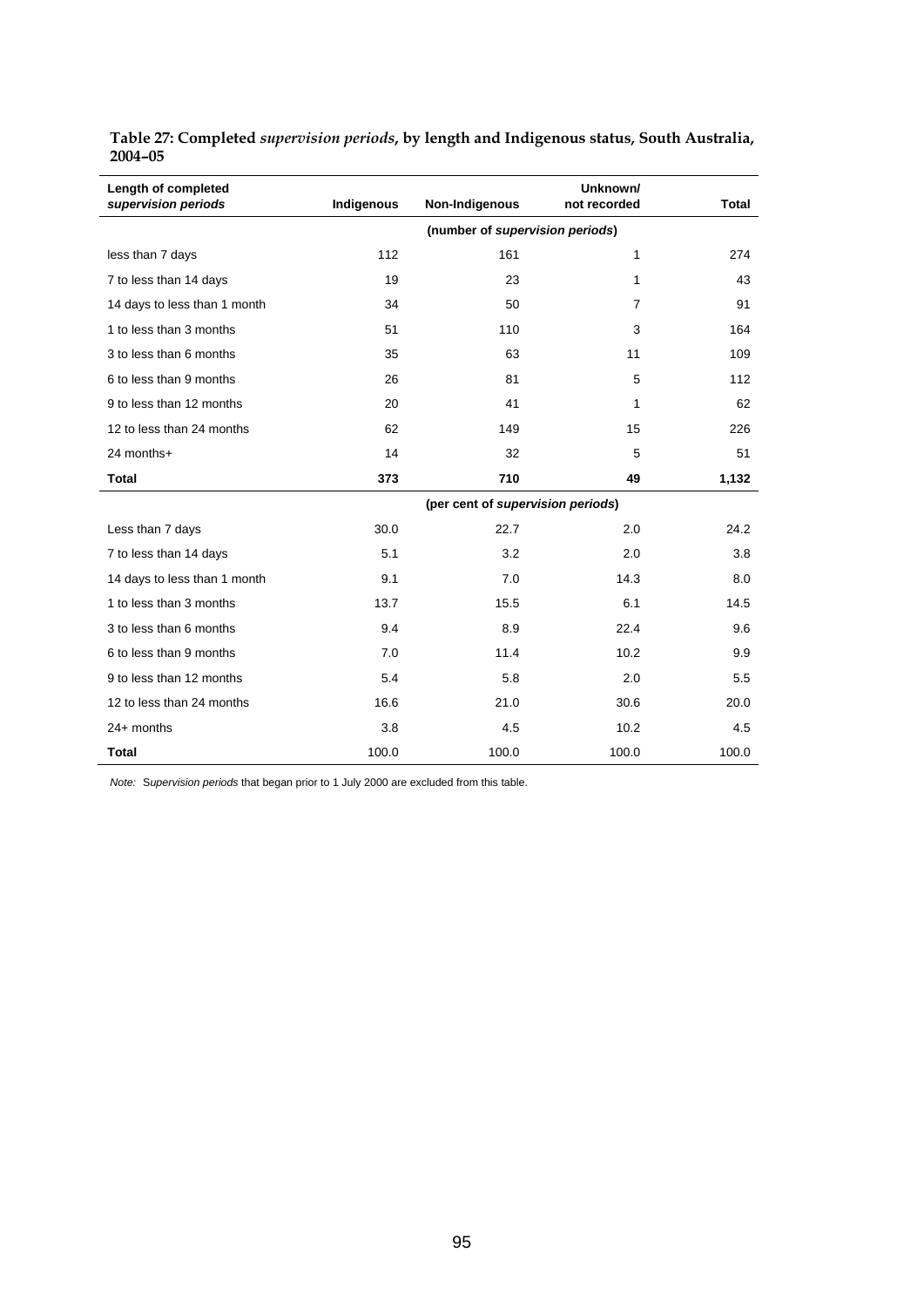| Length of completed<br>supervision periods | Indigenous | Non-Indigenous                    | Unknown/<br>not recorded | <b>Total</b> |
|--------------------------------------------|------------|-----------------------------------|--------------------------|--------------|
|                                            |            | (number of supervision periods)   |                          |              |
| less than 7 days                           | 112        | 161                               | 1                        | 274          |
| 7 to less than 14 days                     | 19         | 23                                | 1                        | 43           |
| 14 days to less than 1 month               | 34         | 50                                | $\overline{7}$           | 91           |
| 1 to less than 3 months                    | 51         | 110                               | 3                        | 164          |
| 3 to less than 6 months                    | 35         | 63                                | 11                       | 109          |
| 6 to less than 9 months                    | 26         | 81                                | 5                        | 112          |
| 9 to less than 12 months                   | 20         | 41                                | 1                        | 62           |
| 12 to less than 24 months                  | 62         | 149                               | 15                       | 226          |
| 24 months+                                 | 14         | 32                                | 5                        | 51           |
| <b>Total</b>                               | 373        | 710                               | 49                       | 1,132        |
|                                            |            | (per cent of supervision periods) |                          |              |
| Less than 7 days                           | 30.0       | 22.7                              | 2.0                      | 24.2         |
| 7 to less than 14 days                     | 5.1        | 3.2                               | 2.0                      | 3.8          |
| 14 days to less than 1 month               | 9.1        | 7.0                               | 14.3                     | 8.0          |
| 1 to less than 3 months                    | 13.7       | 15.5                              | 6.1                      | 14.5         |
| 3 to less than 6 months                    | 9.4        | 8.9                               | 22.4                     | 9.6          |
| 6 to less than 9 months                    | 7.0        | 11.4                              | 10.2                     | 9.9          |
| 9 to less than 12 months                   | 5.4        | 5.8                               | 2.0                      | 5.5          |
| 12 to less than 24 months                  | 16.6       | 21.0                              | 30.6                     | 20.0         |
| 24+ months                                 | 3.8        | 4.5                               | 10.2                     | 4.5          |
| <b>Total</b>                               | 100.0      | 100.0                             | 100.0                    | 100.0        |

**Table 27: Completed** *supervision periods***, by length and Indigenous status, South Australia, 2004–05** 

*Note:* S*upervision periods* that began prior to 1 July 2000 are excluded from this table.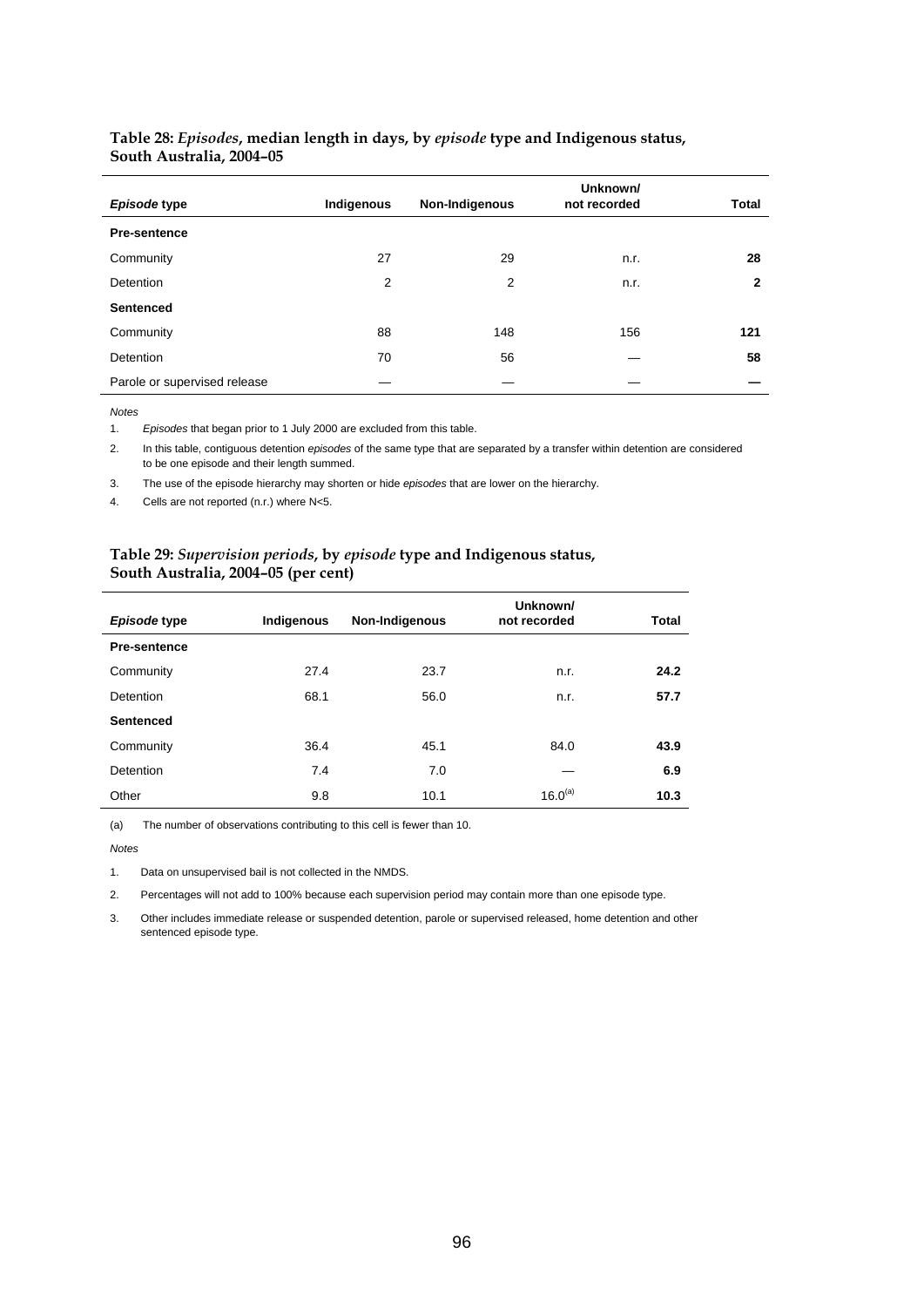#### **Table 28:** *Episodes***, median length in days, by** *episode* **type and Indigenous status, South Australia, 2004–05**

| Episode type                 | Indigenous | Non-Indigenous | Unknown/<br>not recorded | Total |
|------------------------------|------------|----------------|--------------------------|-------|
| <b>Pre-sentence</b>          |            |                |                          |       |
| Community                    | 27         | 29             | n.r.                     | 28    |
| Detention                    | 2          | 2              | n.r.                     | 2     |
| <b>Sentenced</b>             |            |                |                          |       |
| Community                    | 88         | 148            | 156                      | 121   |
| Detention                    | 70         | 56             |                          | 58    |
| Parole or supervised release |            |                |                          |       |

*Notes* 

l.

1. *Episodes* that began prior to 1 July 2000 are excluded from this table.

2. In this table, contiguous detention *episodes* of the same type that are separated by a transfer within detention are considered to be one episode and their length summed.

3. The use of the episode hierarchy may shorten or hide *episodes* that are lower on the hierarchy.

4. Cells are not reported (n.r.) where N<5.

#### **Table 29:** *Supervision periods***, by** *episode* **type and Indigenous status, South Australia, 2004–05 (per cent)**

|                     |            |                | Unknown/     |              |
|---------------------|------------|----------------|--------------|--------------|
| Episode type        | Indigenous | Non-Indigenous | not recorded | <b>Total</b> |
| <b>Pre-sentence</b> |            |                |              |              |
| Community           | 27.4       | 23.7           | n.r.         | 24.2         |
| Detention           | 68.1       | 56.0           | n.r.         | 57.7         |
| Sentenced           |            |                |              |              |
| Community           | 36.4       | 45.1           | 84.0         | 43.9         |
| Detention           | 7.4        | 7.0            |              | 6.9          |
| Other               | 9.8        | 10.1           | $16.0^{(a)}$ | 10.3         |

(a) The number of observations contributing to this cell is fewer than 10.

*Notes* 

1. Data on unsupervised bail is not collected in the NMDS.

2. Percentages will not add to 100% because each supervision period may contain more than one episode type.

3. Other includes immediate release or suspended detention, parole or supervised released, home detention and other sentenced episode type.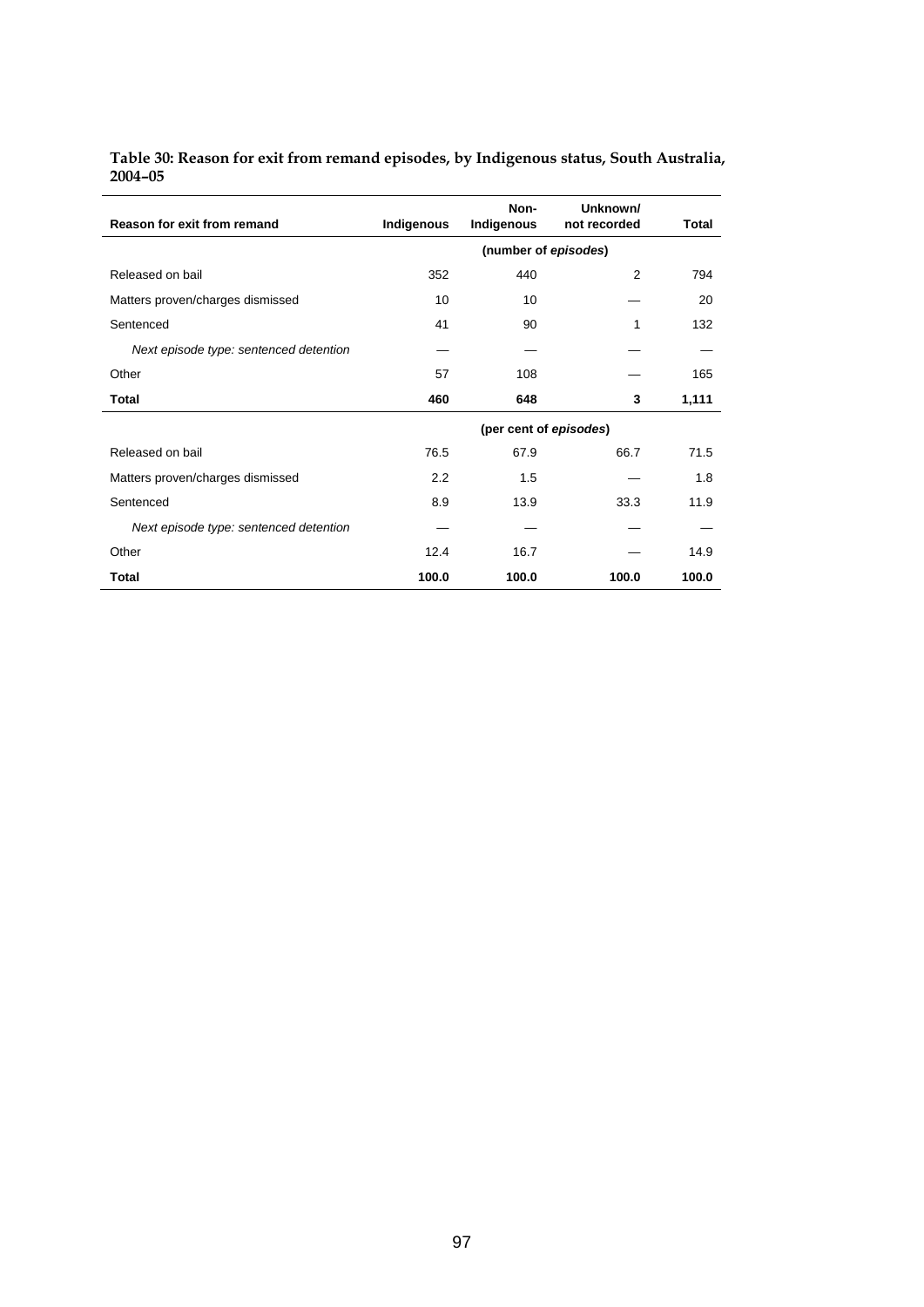| Table 30: Reason for exit from remand episodes, by Indigenous status, South Australia, |  |
|----------------------------------------------------------------------------------------|--|
| 2004-05                                                                                |  |

| Reason for exit from remand            | Indigenous | Non-<br>Indigenous     | Unknown/<br>not recorded | Total |
|----------------------------------------|------------|------------------------|--------------------------|-------|
|                                        |            | (number of episodes)   |                          |       |
| Released on bail                       | 352        | 440                    | 2                        | 794   |
| Matters proven/charges dismissed       | 10         | 10                     |                          | 20    |
| Sentenced                              | 41         | 90                     | 1                        | 132   |
| Next episode type: sentenced detention |            |                        |                          |       |
| Other                                  | 57         | 108                    |                          | 165   |
| Total                                  | 460        | 648                    | 3                        | 1,111 |
|                                        |            | (per cent of episodes) |                          |       |
| Released on bail                       | 76.5       | 67.9                   | 66.7                     | 71.5  |
| Matters proven/charges dismissed       | 2.2        | 1.5                    |                          | 1.8   |
| Sentenced                              | 8.9        | 13.9                   | 33.3                     | 11.9  |
| Next episode type: sentenced detention |            |                        |                          |       |
| Other                                  | 12.4       | 16.7                   |                          | 14.9  |
| Total                                  | 100.0      | 100.0                  | 100.0                    | 100.0 |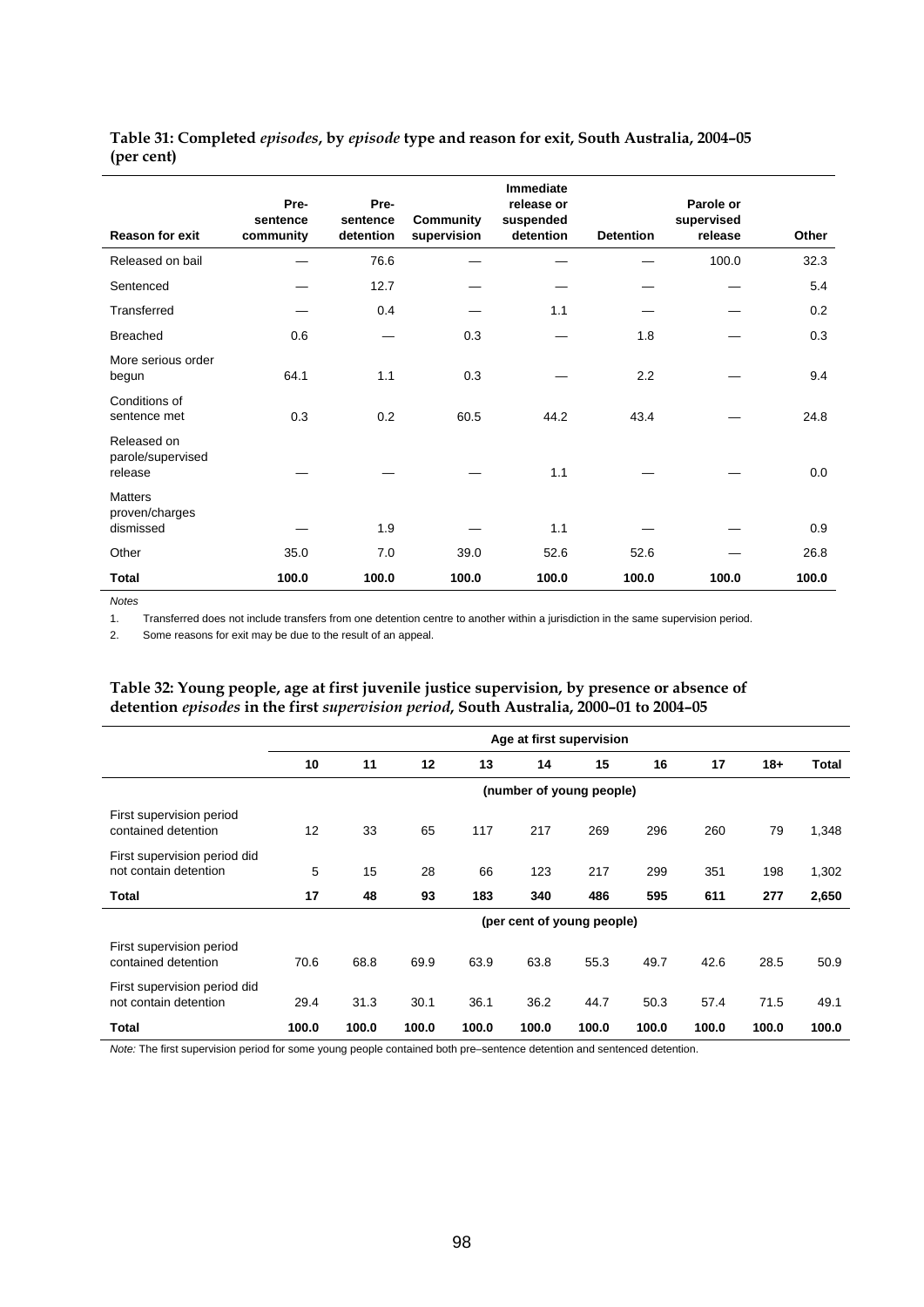| <b>Reason for exit</b>                        | Pre-<br>sentence<br>community | Pre-<br>sentence<br>detention | <b>Community</b><br>supervision | <b>Immediate</b><br>release or<br>suspended<br>detention | <b>Detention</b> | Parole or<br>supervised<br>release | Other |
|-----------------------------------------------|-------------------------------|-------------------------------|---------------------------------|----------------------------------------------------------|------------------|------------------------------------|-------|
| Released on bail                              |                               | 76.6                          |                                 |                                                          |                  | 100.0                              | 32.3  |
| Sentenced                                     |                               | 12.7                          |                                 |                                                          |                  |                                    | 5.4   |
| Transferred                                   |                               | 0.4                           |                                 | 1.1                                                      |                  |                                    | 0.2   |
| <b>Breached</b>                               | 0.6                           |                               | 0.3                             |                                                          | 1.8              |                                    | 0.3   |
| More serious order<br>begun                   | 64.1                          | 1.1                           | 0.3                             |                                                          | 2.2              |                                    | 9.4   |
| Conditions of<br>sentence met                 | 0.3                           | 0.2                           | 60.5                            | 44.2                                                     | 43.4             |                                    | 24.8  |
| Released on<br>parole/supervised<br>release   |                               |                               |                                 | 1.1                                                      |                  |                                    | 0.0   |
| <b>Matters</b><br>proven/charges<br>dismissed |                               | 1.9                           |                                 | 1.1                                                      |                  |                                    | 0.9   |
| Other                                         | 35.0                          | 7.0                           | 39.0                            | 52.6                                                     | 52.6             |                                    | 26.8  |
| <b>Total</b>                                  | 100.0                         | 100.0                         | 100.0                           | 100.0                                                    | 100.0            | 100.0                              | 100.0 |

**Table 31: Completed** *episodes***, by** *episode* **type and reason for exit, South Australia, 2004–05 (per cent)** 

*Notes* 

1. Transferred does not include transfers from one detention centre to another within a jurisdiction in the same supervision period.

2. Some reasons for exit may be due to the result of an appeal.

#### **Table 32: Young people, age at first juvenile justice supervision, by presence or absence of detention** *episodes* **in the first** *supervision period***, South Australia, 2000–01 to 2004–05**

|                                                       |       | Age at first supervision |       |       |       |                            |       |       |       |       |  |
|-------------------------------------------------------|-------|--------------------------|-------|-------|-------|----------------------------|-------|-------|-------|-------|--|
|                                                       | 10    | 11                       | 12    | 13    | 14    | 15                         | 16    | 17    | $18+$ | Total |  |
|                                                       |       |                          |       |       |       | (number of young people)   |       |       |       |       |  |
| First supervision period<br>contained detention       | 12    | 33                       | 65    | 117   | 217   | 269                        | 296   | 260   | 79    | 1,348 |  |
| First supervision period did<br>not contain detention | 5     | 15                       | 28    | 66    | 123   | 217                        | 299   | 351   | 198   | 1,302 |  |
| Total                                                 | 17    | 48                       | 93    | 183   | 340   | 486                        | 595   | 611   | 277   | 2,650 |  |
|                                                       |       |                          |       |       |       | (per cent of young people) |       |       |       |       |  |
| First supervision period<br>contained detention       | 70.6  | 68.8                     | 69.9  | 63.9  | 63.8  | 55.3                       | 49.7  | 42.6  | 28.5  | 50.9  |  |
| First supervision period did<br>not contain detention | 29.4  | 31.3                     | 30.1  | 36.1  | 36.2  | 44.7                       | 50.3  | 57.4  | 71.5  | 49.1  |  |
| Total                                                 | 100.0 | 100.0                    | 100.0 | 100.0 | 100.0 | 100.0                      | 100.0 | 100.0 | 100.0 | 100.0 |  |

*Note:* The first supervision period for some young people contained both pre–sentence detention and sentenced detention.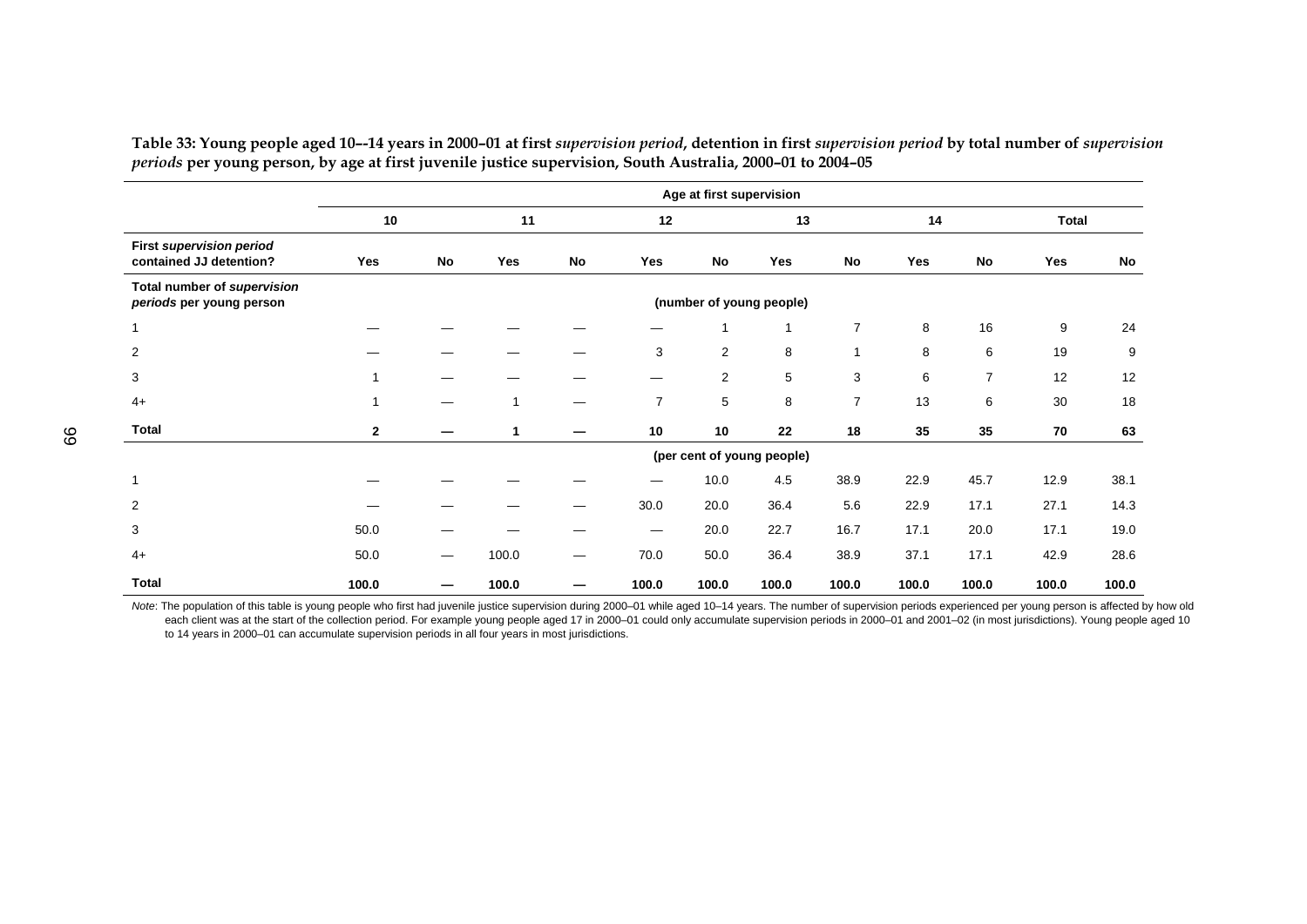|                                                            |                | Age at first supervision |                          |    |                |           |                            |                |       |                |       |       |
|------------------------------------------------------------|----------------|--------------------------|--------------------------|----|----------------|-----------|----------------------------|----------------|-------|----------------|-------|-------|
|                                                            | 10             |                          | 11                       |    | 12             |           | 13                         |                | 14    |                | Total |       |
| <b>First supervision period</b><br>contained JJ detention? | Yes            | No                       | Yes                      | No | Yes            | <b>No</b> | Yes                        | No             | Yes   | <b>No</b>      | Yes   | No    |
| Total number of supervision<br>periods per young person    |                |                          | (number of young people) |    |                |           |                            |                |       |                |       |       |
| $\mathbf{1}$                                               |                |                          |                          |    |                |           |                            | $\overline{7}$ | 8     | 16             | 9     | 24    |
| 2                                                          |                |                          |                          |    | 3              | 2         | 8                          |                | 8     | 6              | 19    | 9     |
| 3                                                          |                |                          |                          |    |                | 2         | 5                          | 3              | 6     | $\overline{7}$ | 12    | 12    |
| $4+$                                                       |                |                          |                          |    | $\overline{7}$ | 5         | 8                          | $\overline{7}$ | 13    | 6              | 30    | 18    |
| <b>Total</b>                                               | $\overline{2}$ |                          |                          |    | 10             | 10        | 22                         | 18             | 35    | 35             | 70    | 63    |
|                                                            |                |                          |                          |    |                |           | (per cent of young people) |                |       |                |       |       |
| $\mathbf{1}$                                               |                |                          |                          |    |                | 10.0      | 4.5                        | 38.9           | 22.9  | 45.7           | 12.9  | 38.1  |
| 2                                                          |                |                          |                          |    | 30.0           | 20.0      | 36.4                       | 5.6            | 22.9  | 17.1           | 27.1  | 14.3  |
| 3                                                          | 50.0           |                          |                          |    | —              | 20.0      | 22.7                       | 16.7           | 17.1  | 20.0           | 17.1  | 19.0  |
| $4+$                                                       | 50.0           | —                        | 100.0                    |    | 70.0           | 50.0      | 36.4                       | 38.9           | 37.1  | 17.1           | 42.9  | 28.6  |
| <b>Total</b>                                               | 100.0          |                          | 100.0                    |    | 100.0          | 100.0     | 100.0                      | 100.0          | 100.0 | 100.0          | 100.0 | 100.0 |

Table 33: Young people aged 10--14 years in 2000-01 at first supervision period, detention in first supervision period by total number of supervision *periods* **per young person, by age at first juvenile justice supervision, South Australia, 2000–01 to 2004–05** 

Note: The population of this table is young people who first had juvenile justice supervision during 2000-01 while aged 10-14 years. The number of supervision periods experienced per young person is affected by how old each client was at the start of the collection period. For example young people aged 17 in 2000-01 could only accumulate supervision periods in 2000-01 and 2001-02 (in most jurisdictions). Young people aged 10 to 14 years in 2000–01 can accumulate supervision periods in all four years in most jurisdictions.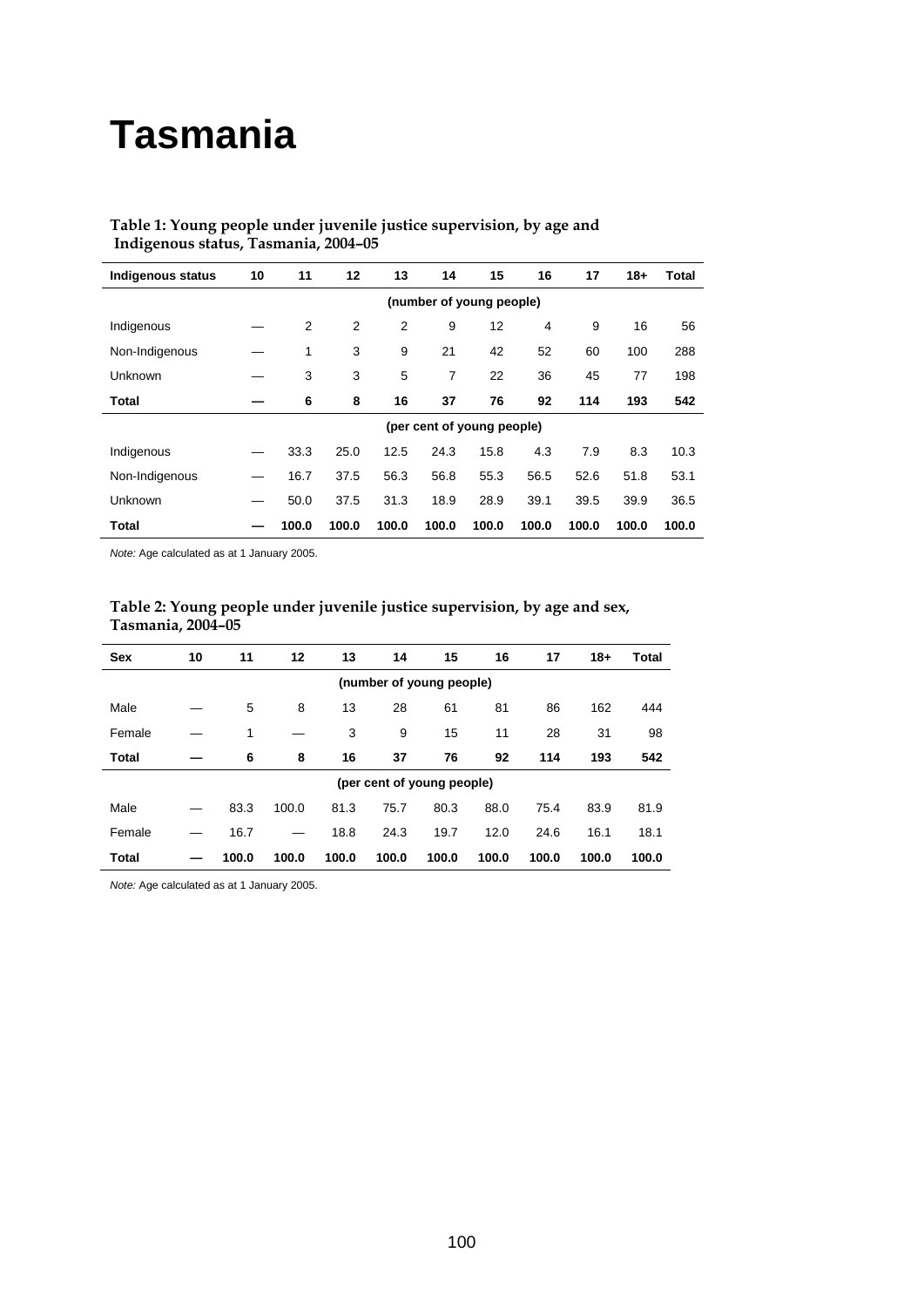# **Tasmania**

| <b>Indigenous status</b> | 10 | 11                       | 12    | 13    | 14                         | 15    | 16    | 17    | $18+$ | Total |
|--------------------------|----|--------------------------|-------|-------|----------------------------|-------|-------|-------|-------|-------|
|                          |    | (number of young people) |       |       |                            |       |       |       |       |       |
| Indigenous               |    | 2                        | 2     | 2     | 9                          | 12    | 4     | 9     | 16    | 56    |
| Non-Indigenous           |    | 1                        | 3     | 9     | 21                         | 42    | 52    | 60    | 100   | 288   |
| Unknown                  |    | 3                        | 3     | 5     | 7                          | 22    | 36    | 45    | 77    | 198   |
| Total                    |    | 6                        | 8     | 16    | 37                         | 76    | 92    | 114   | 193   | 542   |
|                          |    |                          |       |       | (per cent of young people) |       |       |       |       |       |
| Indigenous               |    | 33.3                     | 25.0  | 12.5  | 24.3                       | 15.8  | 4.3   | 7.9   | 8.3   | 10.3  |
| Non-Indigenous           |    | 16.7                     | 37.5  | 56.3  | 56.8                       | 55.3  | 56.5  | 52.6  | 51.8  | 53.1  |
| Unknown                  |    | 50.0                     | 37.5  | 31.3  | 18.9                       | 28.9  | 39.1  | 39.5  | 39.9  | 36.5  |
| Total                    |    | 100.0                    | 100.0 | 100.0 | 100.0                      | 100.0 | 100.0 | 100.0 | 100.0 | 100.0 |

## **Table 1: Young people under juvenile justice supervision, by age and Indigenous status, Tasmania, 2004–05**

*Note:* Age calculated as at 1 January 2005.

J.

| Table 2: Young people under juvenile justice supervision, by age and sex, |
|---------------------------------------------------------------------------|
| Tasmania, 2004–05                                                         |
|                                                                           |

| <b>Sex</b>               | 10 | 11    | 12    | 13    | 14                         | 15    | 16    | 17    | $18+$ | Total |
|--------------------------|----|-------|-------|-------|----------------------------|-------|-------|-------|-------|-------|
| (number of young people) |    |       |       |       |                            |       |       |       |       |       |
| Male                     |    | 5     | 8     | 13    | 28                         | 61    | 81    | 86    | 162   | 444   |
| Female                   |    | 1     |       | 3     | 9                          | 15    | 11    | 28    | 31    | 98    |
| <b>Total</b>             |    | 6     | 8     | 16    | 37                         | 76    | 92    | 114   | 193   | 542   |
|                          |    |       |       |       | (per cent of young people) |       |       |       |       |       |
| Male                     |    | 83.3  | 100.0 | 81.3  | 75.7                       | 80.3  | 88.0  | 75.4  | 83.9  | 81.9  |
| Female                   |    | 16.7  |       | 18.8  | 24.3                       | 19.7  | 12.0  | 24.6  | 16.1  | 18.1  |
| Total                    |    | 100.0 | 100.0 | 100.0 | 100.0                      | 100.0 | 100.0 | 100.0 | 100.0 | 100.0 |

*Note:* Age calculated as at 1 January 2005.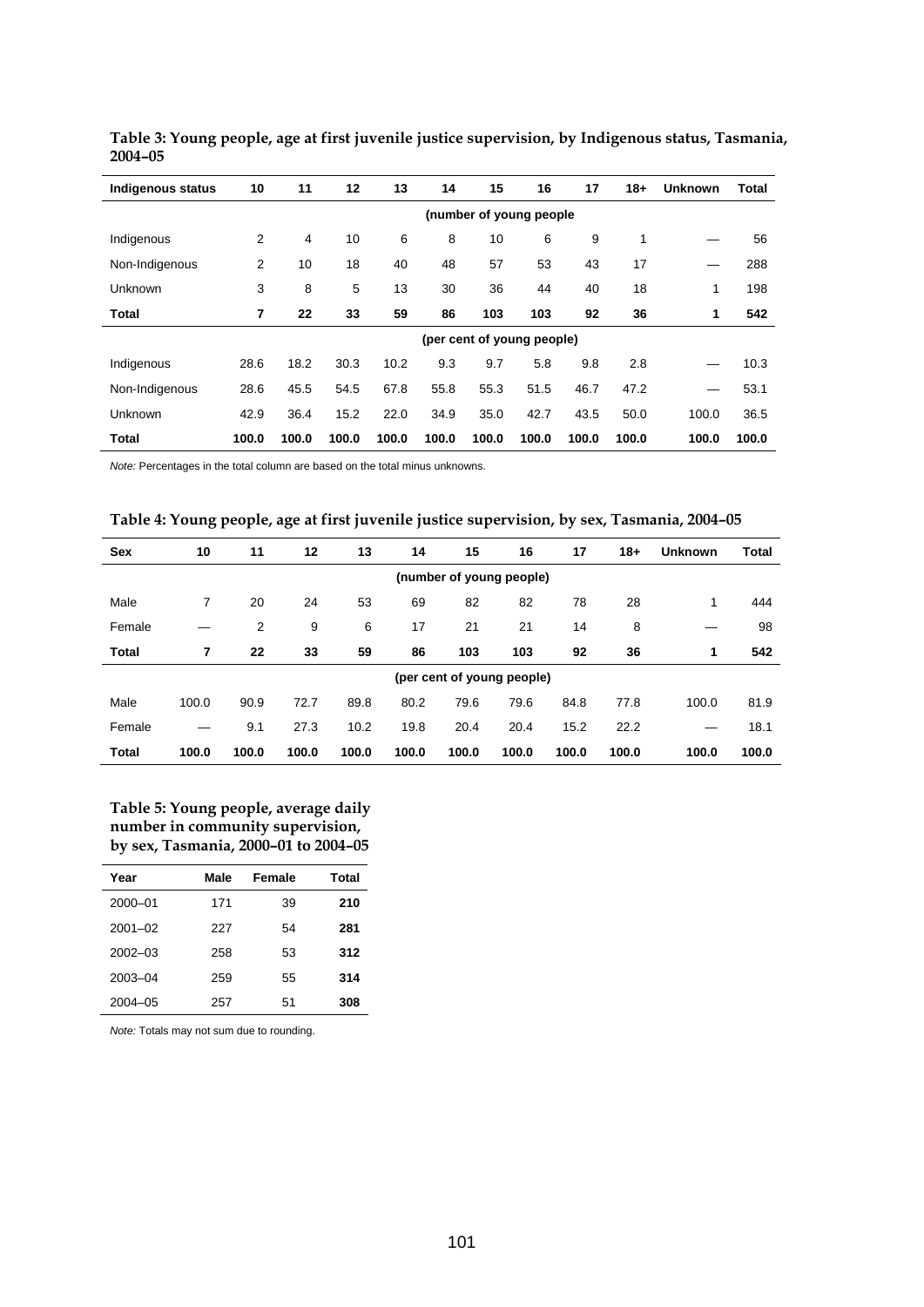| Indigenous status | 10    | 11    | 12    | 13    | 14    | 15    | 16                         | 17    | $18 +$ | <b>Unknown</b> | Total |
|-------------------|-------|-------|-------|-------|-------|-------|----------------------------|-------|--------|----------------|-------|
|                   |       |       |       |       |       |       | (number of young people    |       |        |                |       |
| Indigenous        | 2     | 4     | 10    | 6     | 8     | 10    | 6                          | 9     | 1      |                | 56    |
| Non-Indigenous    | 2     | 10    | 18    | 40    | 48    | 57    | 53                         | 43    | 17     |                | 288   |
| Unknown           | 3     | 8     | 5     | 13    | 30    | 36    | 44                         | 40    | 18     | 1              | 198   |
| Total             | 7     | 22    | 33    | 59    | 86    | 103   | 103                        | 92    | 36     | 1              | 542   |
|                   |       |       |       |       |       |       | (per cent of young people) |       |        |                |       |
| Indigenous        | 28.6  | 18.2  | 30.3  | 10.2  | 9.3   | 9.7   | 5.8                        | 9.8   | 2.8    |                | 10.3  |
| Non-Indigenous    | 28.6  | 45.5  | 54.5  | 67.8  | 55.8  | 55.3  | 51.5                       | 46.7  | 47.2   |                | 53.1  |
| Unknown           | 42.9  | 36.4  | 15.2  | 22.0  | 34.9  | 35.0  | 42.7                       | 43.5  | 50.0   | 100.0          | 36.5  |
| <b>Total</b>      | 100.0 | 100.0 | 100.0 | 100.0 | 100.0 | 100.0 | 100.0                      | 100.0 | 100.0  | 100.0          | 100.0 |

**Table 3: Young people, age at first juvenile justice supervision, by Indigenous status, Tasmania, 2004–05** 

*Note:* Percentages in the total column are based on the total minus unknowns.

| Table 4: Young people, age at first juvenile justice supervision, by sex, Tasmania, 2004-05 |  |  |  |
|---------------------------------------------------------------------------------------------|--|--|--|
|                                                                                             |  |  |  |

| <b>Sex</b>               | 10    | 11    | 12    | 13    | 14    | 15    | 16                         | 17    | $18+$ | <b>Unknown</b> | <b>Total</b> |
|--------------------------|-------|-------|-------|-------|-------|-------|----------------------------|-------|-------|----------------|--------------|
| (number of young people) |       |       |       |       |       |       |                            |       |       |                |              |
| Male                     | 7     | 20    | 24    | 53    | 69    | 82    | 82                         | 78    | 28    | 1              | 444          |
| Female                   |       | 2     | 9     | 6     | 17    | 21    | 21                         | 14    | 8     |                | 98           |
| <b>Total</b>             | 7     | 22    | 33    | 59    | 86    | 103   | 103                        | 92    | 36    | 1              | 542          |
|                          |       |       |       |       |       |       | (per cent of young people) |       |       |                |              |
| Male                     | 100.0 | 90.9  | 72.7  | 89.8  | 80.2  | 79.6  | 79.6                       | 84.8  | 77.8  | 100.0          | 81.9         |
| Female                   |       | 9.1   | 27.3  | 10.2  | 19.8  | 20.4  | 20.4                       | 15.2  | 22.2  |                | 18.1         |
| <b>Total</b>             | 100.0 | 100.0 | 100.0 | 100.0 | 100.0 | 100.0 | 100.0                      | 100.0 | 100.0 | 100.0          | 100.0        |

**Table 5: Young people, average daily number in community supervision, by sex, Tasmania, 2000–01 to 2004–05** 

| Year        | Male | Female | Total |
|-------------|------|--------|-------|
| $2000 - 01$ | 171  | 39     | 210   |
| $2001 - 02$ | 227  | 54     | 281   |
| $2002 - 03$ | 258  | 53     | 312   |
| 2003-04     | 259  | 55     | 314   |
| 2004-05     | 257  | 51     | 308   |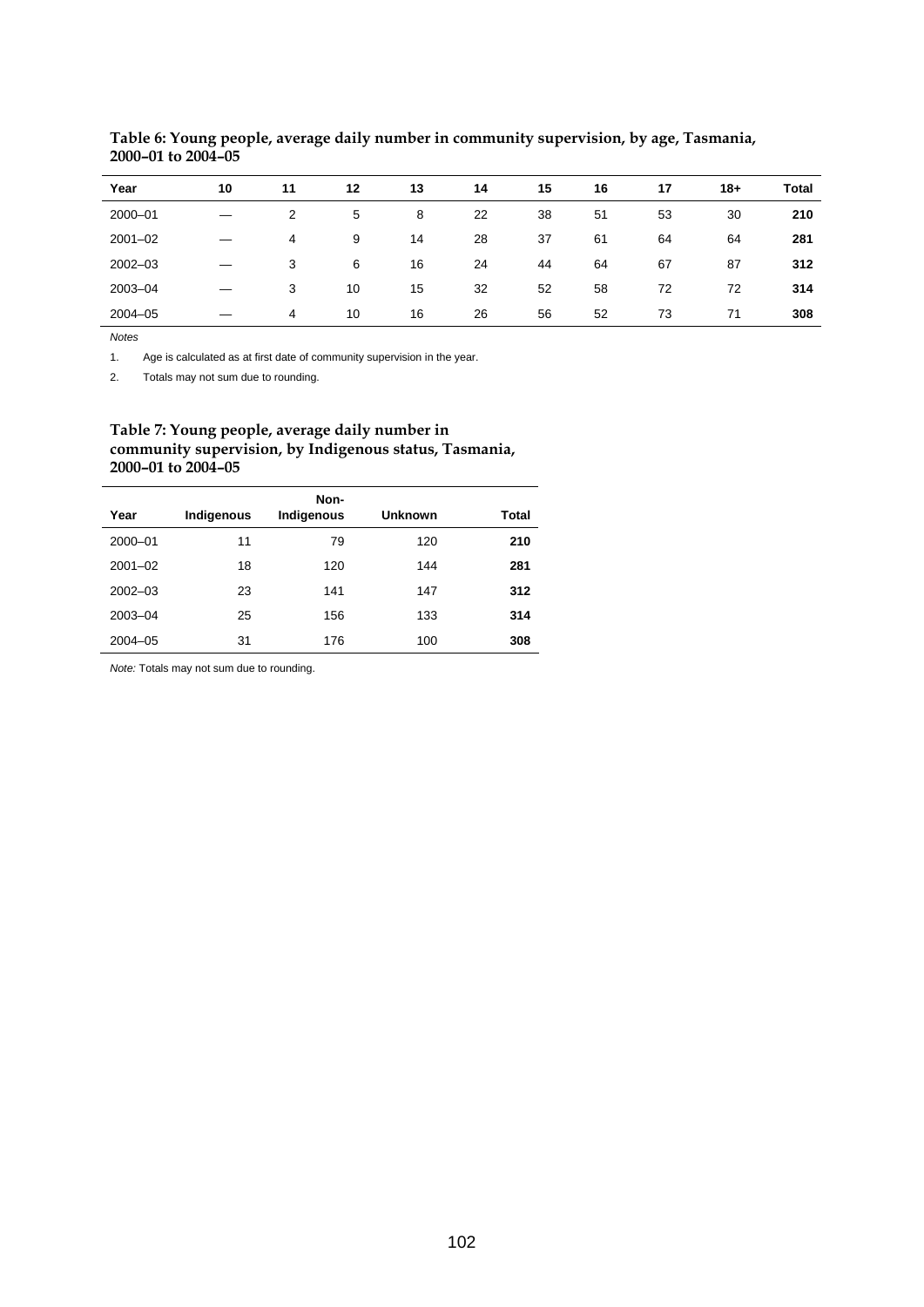| Year        | 10 | 11 | 12 | 13 | 14 | 15 | 16 | 17 | $18 +$ | <b>Total</b> |
|-------------|----|----|----|----|----|----|----|----|--------|--------------|
| 2000-01     |    | 2  | 5  | 8  | 22 | 38 | 51 | 53 | 30     | 210          |
| $2001 - 02$ |    | 4  | 9  | 14 | 28 | 37 | 61 | 64 | 64     | 281          |
| $2002 - 03$ |    | 3  | 6  | 16 | 24 | 44 | 64 | 67 | 87     | 312          |
| 2003-04     |    | 3  | 10 | 15 | 32 | 52 | 58 | 72 | 72     | 314          |
| $2004 - 05$ |    | 4  | 10 | 16 | 26 | 56 | 52 | 73 | 71     | 308          |

**Table 6: Young people, average daily number in community supervision, by age, Tasmania, 2000–01 to 2004–05** 

*Notes*

1. Age is calculated as at first date of community supervision in the year.

2. Totals may not sum due to rounding.

#### **Table 7: Young people, average daily number in community supervision, by Indigenous status, Tasmania, 2000–01 to 2004–05**

| Year        | Indigenous | Non-<br>Indigenous | <b>Unknown</b> | Total |
|-------------|------------|--------------------|----------------|-------|
| 2000-01     | 11         | 79                 | 120            | 210   |
| $2001 - 02$ | 18         | 120                | 144            | 281   |
| $2002 - 03$ | 23         | 141                | 147            | 312   |
| 2003-04     | 25         | 156                | 133            | 314   |
| $2004 - 05$ | 31         | 176                | 100            | 308   |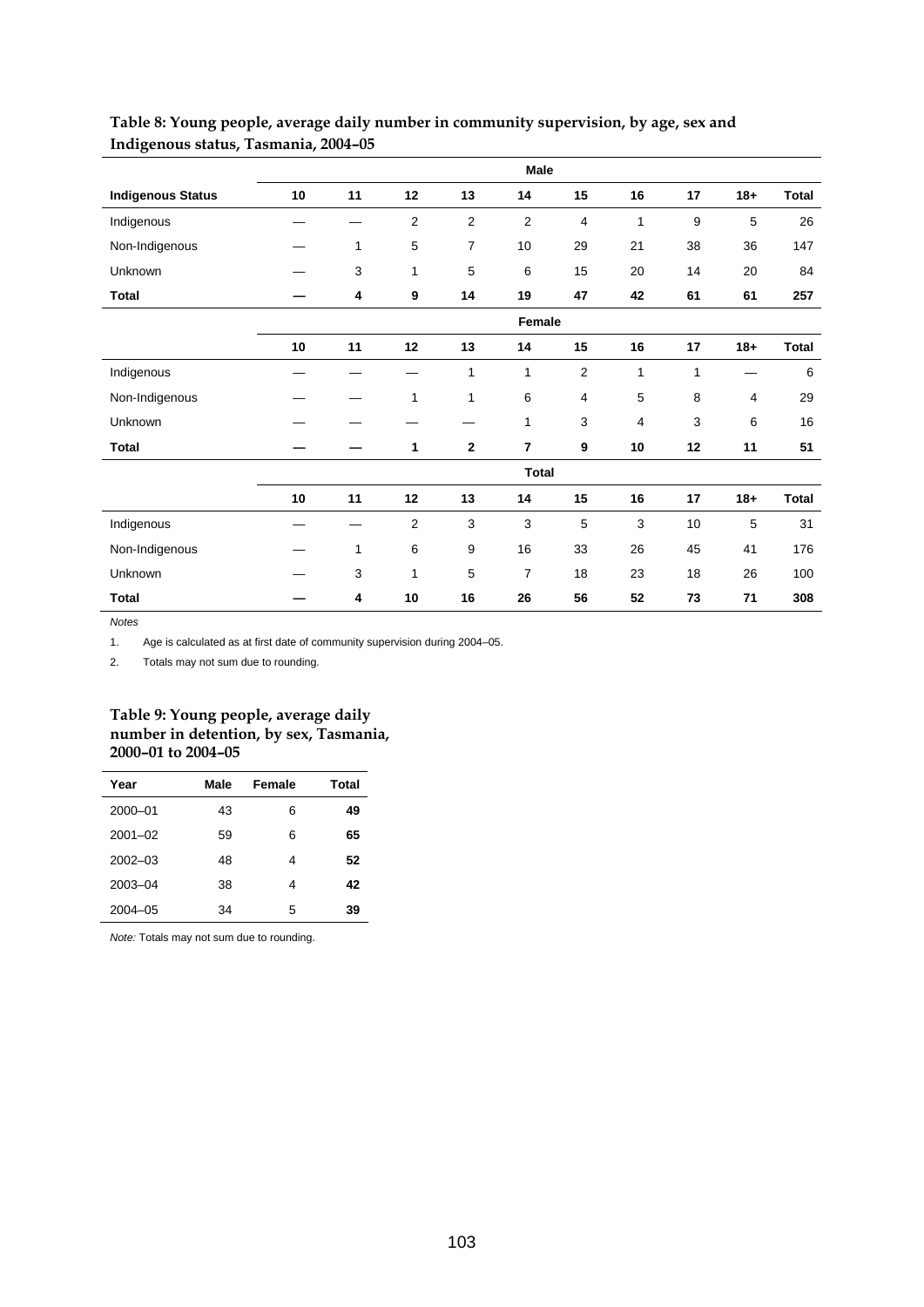|                          | Male |              |                |                  |                         |                |                |    |                |              |
|--------------------------|------|--------------|----------------|------------------|-------------------------|----------------|----------------|----|----------------|--------------|
| <b>Indigenous Status</b> | 10   | 11           | 12             | 13               | 14                      | 15             | 16             | 17 | $18 +$         | <b>Total</b> |
| Indigenous               |      |              | $\overline{2}$ | $\overline{2}$   | $\overline{2}$          | 4              | 1              | 9  | 5              | 26           |
| Non-Indigenous           |      | 1            | 5              | 7                | 10                      | 29             | 21             | 38 | 36             | 147          |
| Unknown                  |      | 3            | $\mathbf{1}$   | 5                | 6                       | 15             | 20             | 14 | 20             | 84           |
| <b>Total</b>             |      | 4            | 9              | 14               | 19                      | 47             | 42             | 61 | 61             | 257          |
|                          |      |              |                |                  | Female                  |                |                |    |                |              |
|                          | 10   | 11           | 12             | 13               | 14                      | 15             | 16             | 17 | $18 +$         | <b>Total</b> |
| Indigenous               |      |              |                | 1                | 1                       | $\overline{c}$ | 1              | 1  |                | 6            |
| Non-Indigenous           |      |              | $\mathbf{1}$   | 1                | 6                       | 4              | 5              | 8  | $\overline{4}$ | 29           |
| Unknown                  |      |              |                |                  | 1                       | 3              | $\overline{4}$ | 3  | 6              | 16           |
| <b>Total</b>             |      |              | 1              | $\bf{2}$         | $\overline{\mathbf{r}}$ | 9              | 10             | 12 | 11             | 51           |
|                          |      |              |                |                  | <b>Total</b>            |                |                |    |                |              |
|                          | 10   | 11           | 12             | 13               | 14                      | 15             | 16             | 17 | $18+$          | <b>Total</b> |
| Indigenous               |      |              | $\overline{c}$ | $\mathsf 3$      | 3                       | 5              | 3              | 10 | $\sqrt{5}$     | 31           |
| Non-Indigenous           |      | $\mathbf{1}$ | 6              | $\boldsymbol{9}$ | 16                      | 33             | 26             | 45 | 41             | 176          |
| Unknown                  |      | 3            | $\mathbf{1}$   | $\sqrt{5}$       | $\overline{7}$          | 18             | 23             | 18 | 26             | 100          |
| <b>Total</b>             |      | 4            | 10             | 16               | 26                      | 56             | 52             | 73 | 71             | 308          |

## **Table 8: Young people, average daily number in community supervision, by age, sex and Indigenous status, Tasmania, 2004–05**

*Notes*

1. Age is calculated as at first date of community supervision during 2004–05.

2. Totals may not sum due to rounding.

#### **Table 9: Young people, average daily number in detention, by sex, Tasmania, 2000–01 to 2004–05**

| Year        | Male | Female | Total |
|-------------|------|--------|-------|
| 2000-01     | 43   | 6      | 49    |
| $2001 - 02$ | 59   | 6      | 65    |
| $2002 - 03$ | 48   | 4      | 52    |
| 2003-04     | 38   | 4      | 42    |
| $2004 - 05$ | 34   | 5      | 39    |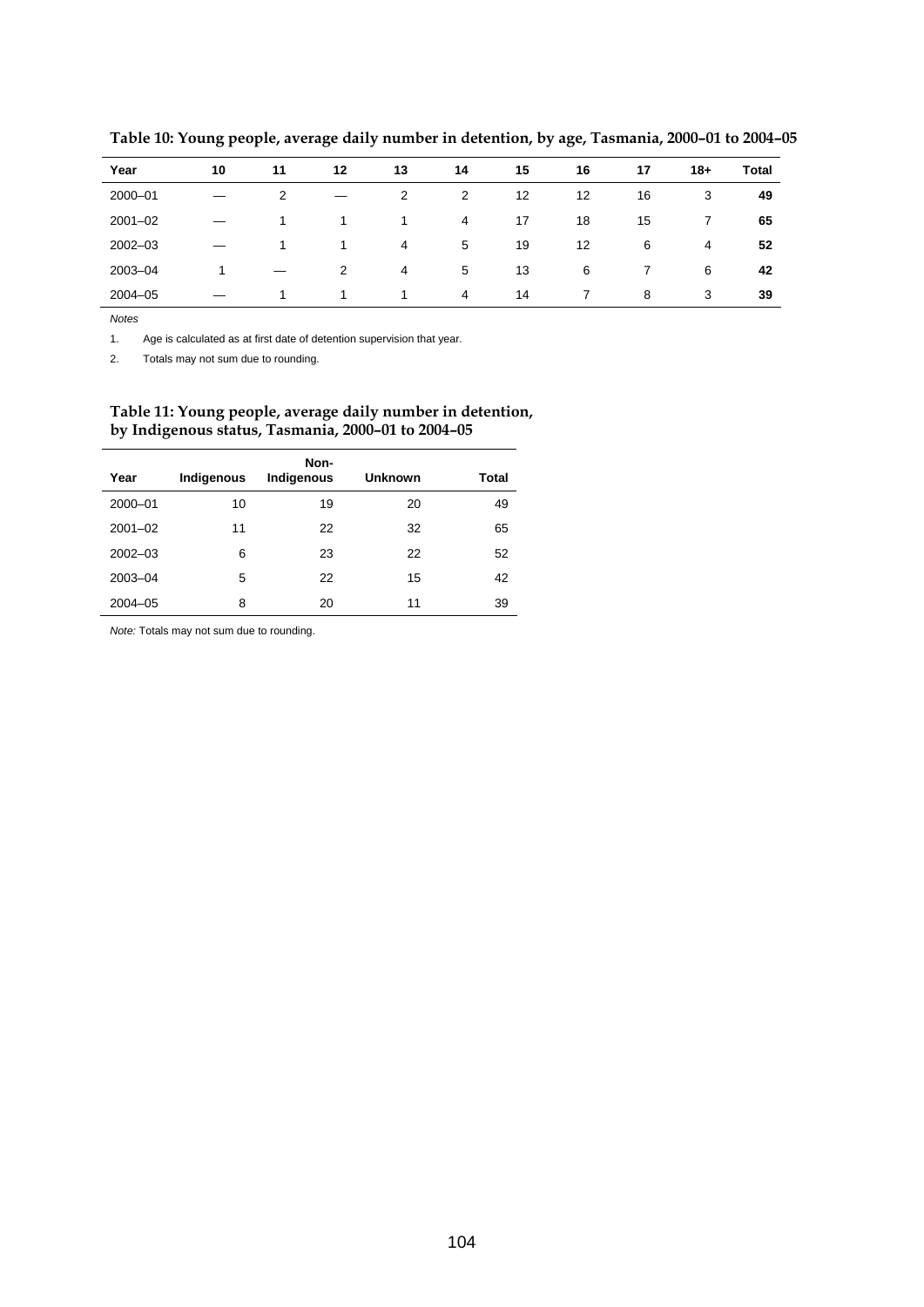| Year        | 10 | 11 | 12 | 13 | 14 | 15 | 16 | 17 | $18+$ | <b>Total</b> |
|-------------|----|----|----|----|----|----|----|----|-------|--------------|
| 2000-01     |    | 2  |    | 2  | 2  | 12 | 12 | 16 | 3     | 49           |
| $2001 - 02$ |    | 1  |    |    | 4  | 17 | 18 | 15 |       | 65           |
| $2002 - 03$ |    |    |    | 4  | 5  | 19 | 12 | 6  | 4     | 52           |
| 2003-04     |    |    | 2  | 4  | 5  | 13 | 6  |    | 6     | 42           |
| $2004 - 05$ |    | 1  |    | 1  | 4  | 14 | 7  | 8  | 3     | 39           |

**Table 10: Young people, average daily number in detention, by age, Tasmania, 2000–01 to 2004–05** 

*Notes*

l.

1. Age is calculated as at first date of detention supervision that year.

2. Totals may not sum due to rounding.

#### **Table 11: Young people, average daily number in detention, by Indigenous status, Tasmania, 2000–01 to 2004–05**

| Year        | Indigenous | Non-<br>Indigenous | <b>Unknown</b> | Total |
|-------------|------------|--------------------|----------------|-------|
| 2000-01     | 10         | 19                 | 20             | 49    |
| $2001 - 02$ | 11         | 22                 | 32             | 65    |
| $2002 - 03$ | 6          | 23                 | 22             | 52    |
| 2003-04     | 5          | 22                 | 15             | 42    |
| $2004 - 05$ | 8          | 20                 | 11             | 39    |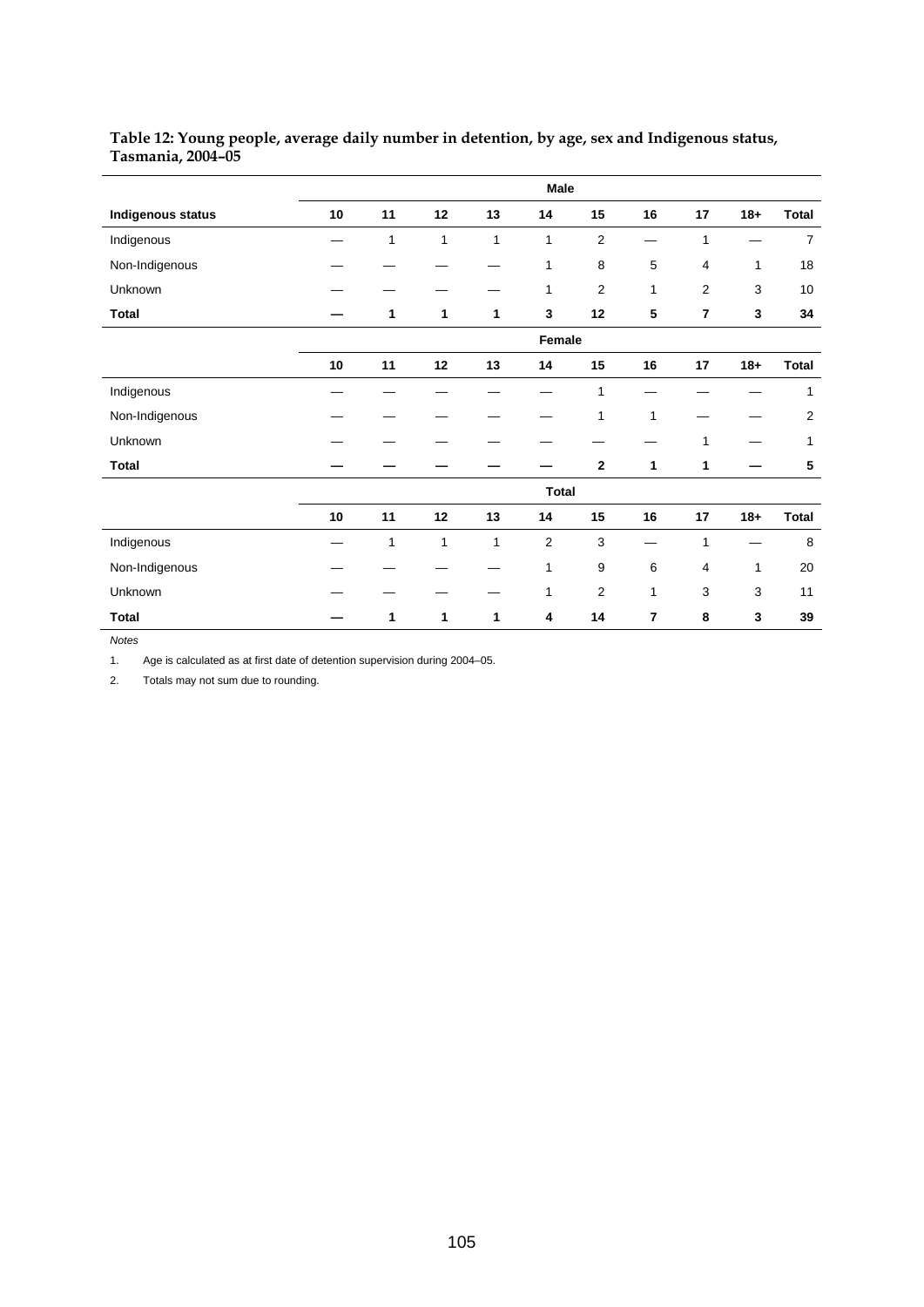|                          |              |    |              |              | Male                    |                         |                |                |        |                |
|--------------------------|--------------|----|--------------|--------------|-------------------------|-------------------------|----------------|----------------|--------|----------------|
| <b>Indigenous status</b> | 10           | 11 | 12           | 13           | 14                      | 15                      | 16             | 17             | $18+$  | <b>Total</b>   |
| Indigenous               |              | 1  | $\mathbf{1}$ | $\mathbf{1}$ | 1                       | $\overline{2}$          |                | 1              |        | $\overline{7}$ |
| Non-Indigenous           |              |    |              |              | 1                       | 8                       | $\,$ 5 $\,$    | $\overline{4}$ | 1      | 18             |
| Unknown                  |              |    |              |              | 1                       | $\overline{2}$          | $\mathbf{1}$   | $\overline{2}$ | 3      | 10             |
| <b>Total</b>             |              | 1  | 1            | 1            | 3                       | 12                      | ${\bf 5}$      | $\overline{7}$ | 3      | 34             |
|                          |              |    |              |              | Female                  |                         |                |                |        |                |
|                          | 10           | 11 | 12           | 13           | 14                      | 15                      | 16             | 17             | $18+$  | <b>Total</b>   |
| Indigenous               |              |    |              |              |                         | 1                       |                |                |        | 1              |
| Non-Indigenous           |              |    |              |              |                         | 1                       | $\mathbf{1}$   |                |        | 2              |
| Unknown                  |              |    |              |              |                         |                         |                | 1              |        | 1              |
| <b>Total</b>             |              |    |              |              |                         | $\mathbf{2}$            | 1              | 1              |        | 5              |
|                          | <b>Total</b> |    |              |              |                         |                         |                |                |        |                |
|                          | ${\bf 10}$   | 11 | 12           | 13           | 14                      | 15                      | 16             | 17             | $18 +$ | <b>Total</b>   |
| Indigenous               |              | 1  | 1            | $\mathbf{1}$ | $\overline{\mathbf{c}}$ | 3                       |                | 1              |        | 8              |
| Non-Indigenous           |              |    |              |              | 1                       | 9                       | 6              | 4              | 1      | 20             |
| Unknown                  |              |    |              |              | 1                       | $\overline{\mathbf{c}}$ | 1              | 3              | 3      | 11             |
| <b>Total</b>             |              | 1  | 1            | 1            | 4                       | 14                      | $\overline{7}$ | 8              | 3      | 39             |

## **Table 12: Young people, average daily number in detention, by age, sex and Indigenous status, Tasmania, 2004–05**

*Notes*

1. Age is calculated as at first date of detention supervision during 2004–05.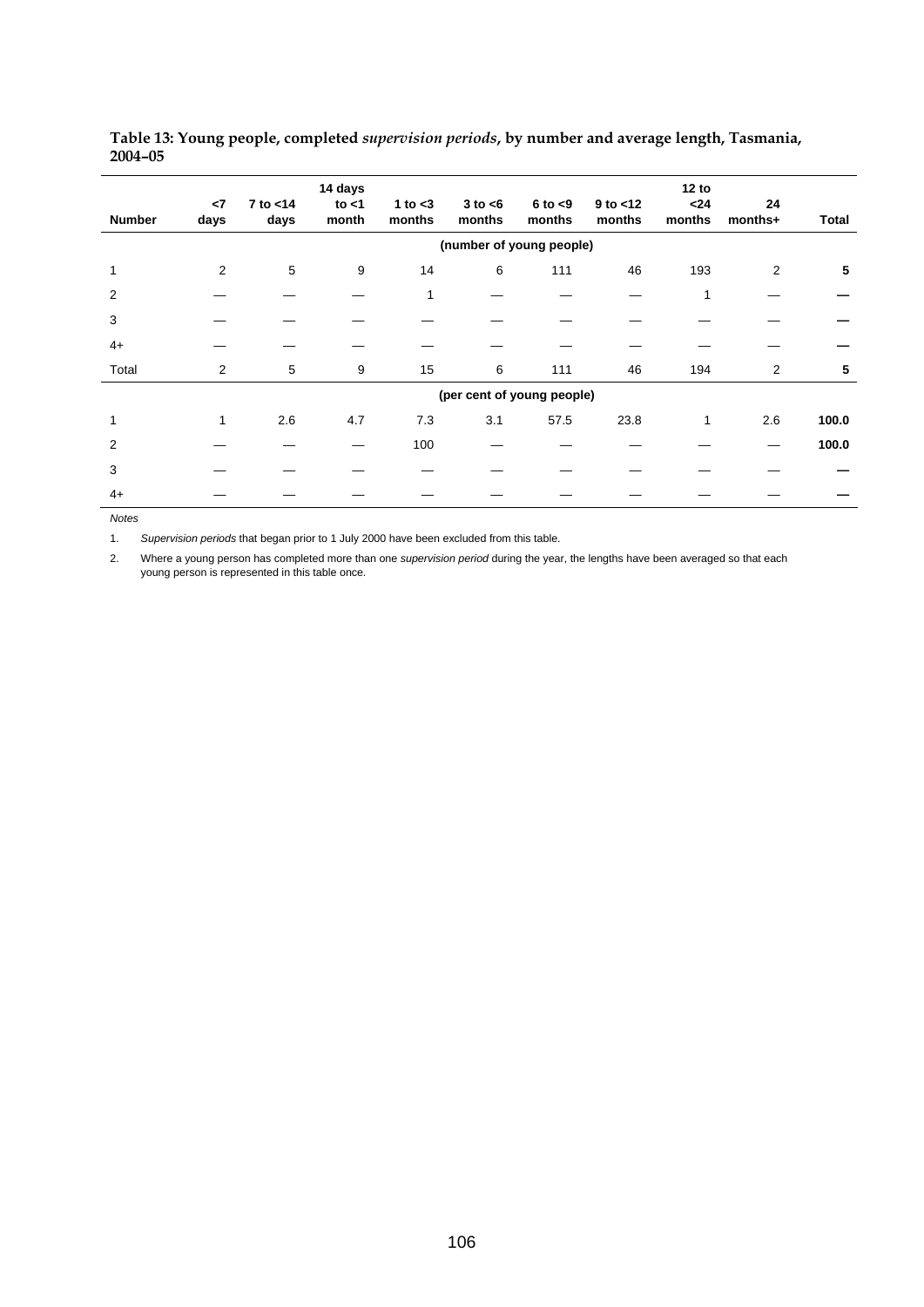| <b>Number</b> | $\leq$<br>days | $7$ to $<$ 14<br>days | 14 days<br>to $<$ 1<br>month | 1 to $<$ 3<br>months | $3$ to $<$ 6<br>months     | $6$ to $< 9$<br>months | $9$ to $<$ 12<br>months | 12 to<br>$24$<br>months | 24<br>months+ | Total |
|---------------|----------------|-----------------------|------------------------------|----------------------|----------------------------|------------------------|-------------------------|-------------------------|---------------|-------|
|               |                |                       |                              |                      | (number of young people)   |                        |                         |                         |               |       |
|               | 2              | 5                     | 9                            | 14                   | 6                          | 111                    | 46                      | 193                     | 2             | 5     |
| 2             |                |                       |                              | 1                    |                            |                        |                         | 1                       |               |       |
| 3             |                |                       |                              |                      |                            |                        |                         |                         |               |       |
| $4+$          |                |                       |                              |                      |                            |                        |                         |                         |               |       |
| Total         | $\overline{2}$ | 5                     | 9                            | 15                   | 6                          | 111                    | 46                      | 194                     | 2             | 5     |
|               |                |                       |                              |                      | (per cent of young people) |                        |                         |                         |               |       |
|               | 1              | 2.6                   | 4.7                          | 7.3                  | 3.1                        | 57.5                   | 23.8                    | 1                       | 2.6           | 100.0 |
| 2             |                |                       |                              | 100                  |                            |                        |                         |                         |               | 100.0 |
| 3             |                |                       |                              |                      |                            |                        |                         |                         |               |       |
| $4+$          |                |                       |                              |                      |                            |                        |                         |                         |               |       |

#### **Table 13: Young people, completed** *supervision periods***, by number and average length, Tasmania, 2004–05**

*Notes* 

1. *Supervision periods* that began prior to 1 July 2000 have been excluded from this table.

2. Where a young person has completed more than one *supervision period* during the year, the lengths have been averaged so that each young person is represented in this table once.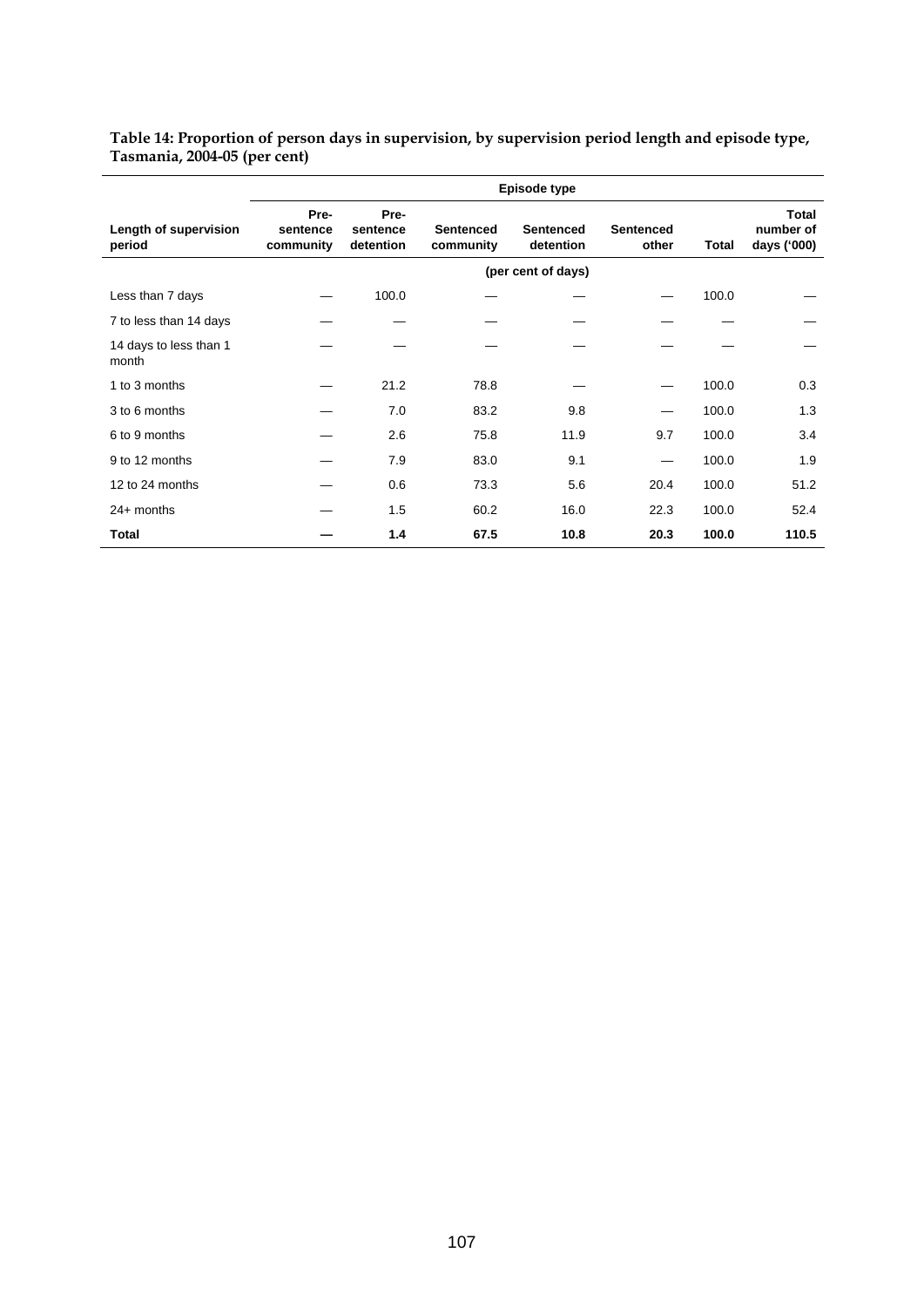#### **Table 14: Proportion of person days in supervision, by supervision period length and episode type, Tasmania, 2004-05 (per cent)**

|                                 | Episode type                  |                               |                               |                               |                           |       |                                          |  |  |  |
|---------------------------------|-------------------------------|-------------------------------|-------------------------------|-------------------------------|---------------------------|-------|------------------------------------------|--|--|--|
| Length of supervision<br>period | Pre-<br>sentence<br>community | Pre-<br>sentence<br>detention | <b>Sentenced</b><br>community | <b>Sentenced</b><br>detention | <b>Sentenced</b><br>other | Total | <b>Total</b><br>number of<br>days ('000) |  |  |  |
|                                 |                               |                               |                               | (per cent of days)            |                           |       |                                          |  |  |  |
| Less than 7 days                |                               | 100.0                         |                               |                               |                           | 100.0 |                                          |  |  |  |
| 7 to less than 14 days          |                               |                               |                               |                               |                           |       |                                          |  |  |  |
| 14 days to less than 1<br>month |                               |                               |                               |                               |                           |       |                                          |  |  |  |
| 1 to 3 months                   |                               | 21.2                          | 78.8                          |                               |                           | 100.0 | 0.3                                      |  |  |  |
| 3 to 6 months                   |                               | 7.0                           | 83.2                          | 9.8                           |                           | 100.0 | 1.3                                      |  |  |  |
| 6 to 9 months                   |                               | 2.6                           | 75.8                          | 11.9                          | 9.7                       | 100.0 | 3.4                                      |  |  |  |
| 9 to 12 months                  |                               | 7.9                           | 83.0                          | 9.1                           |                           | 100.0 | 1.9                                      |  |  |  |
| 12 to 24 months                 |                               | 0.6                           | 73.3                          | 5.6                           | 20.4                      | 100.0 | 51.2                                     |  |  |  |
| $24+$ months                    |                               | 1.5                           | 60.2                          | 16.0                          | 22.3                      | 100.0 | 52.4                                     |  |  |  |
| Total                           |                               | 1.4                           | 67.5                          | 10.8                          | 20.3                      | 100.0 | 110.5                                    |  |  |  |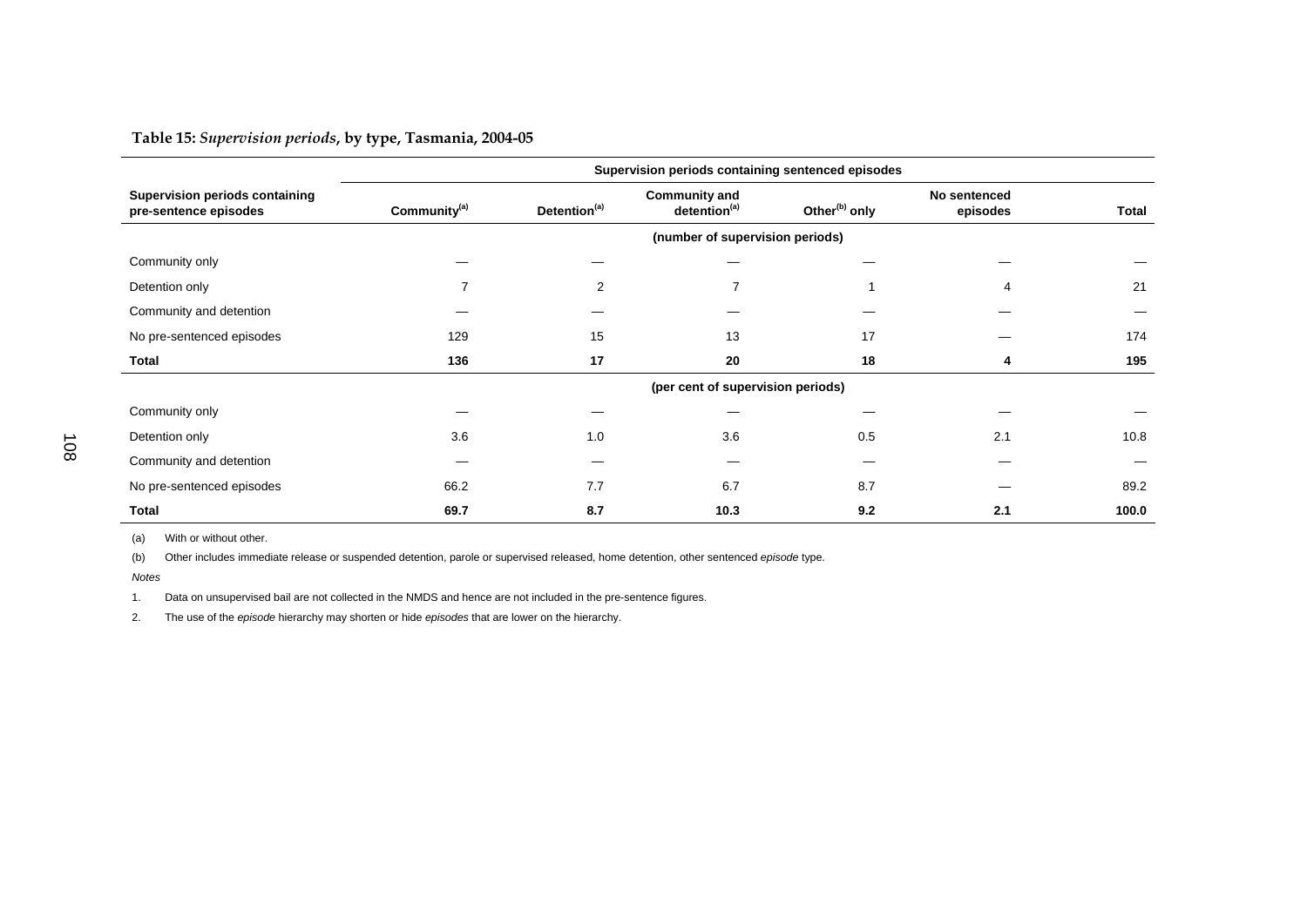## **Table 15:** *Supervision periods***, by type, Tasmania, 2004-05**

|                                                         | Supervision periods containing sentenced episodes |                          |                                                  |                           |                          |       |  |  |  |  |
|---------------------------------------------------------|---------------------------------------------------|--------------------------|--------------------------------------------------|---------------------------|--------------------------|-------|--|--|--|--|
| Supervision periods containing<br>pre-sentence episodes | Community <sup>(a)</sup>                          | Detention <sup>(a)</sup> | <b>Community and</b><br>detention <sup>(a)</sup> | Other <sup>(b)</sup> only | No sentenced<br>episodes | Total |  |  |  |  |
|                                                         |                                                   |                          | (number of supervision periods)                  |                           |                          |       |  |  |  |  |
| Community only                                          |                                                   |                          |                                                  |                           |                          |       |  |  |  |  |
| Detention only                                          |                                                   | $\overline{2}$           |                                                  |                           | 4                        | 21    |  |  |  |  |
| Community and detention                                 |                                                   |                          |                                                  |                           |                          |       |  |  |  |  |
| No pre-sentenced episodes                               | 129                                               | 15                       | 13                                               | 17                        |                          | 174   |  |  |  |  |
| Total                                                   | 136                                               | 17                       | 20                                               | 18                        | 4                        | 195   |  |  |  |  |
|                                                         |                                                   |                          | (per cent of supervision periods)                |                           |                          |       |  |  |  |  |
| Community only                                          |                                                   |                          |                                                  |                           |                          |       |  |  |  |  |
| Detention only                                          | 3.6                                               | 1.0                      | 3.6                                              | 0.5                       | 2.1                      | 10.8  |  |  |  |  |
| Community and detention                                 |                                                   |                          |                                                  |                           |                          |       |  |  |  |  |
| No pre-sentenced episodes                               | 66.2                                              | 7.7                      | 6.7                                              | 8.7                       |                          | 89.2  |  |  |  |  |
| <b>Total</b>                                            | 69.7                                              | 8.7                      | 10.3                                             | 9.2                       | 2.1                      | 100.0 |  |  |  |  |

(a) With or without other.

(b) Other includes immediate release or suspended detention, parole or supervised released, home detention, other sentenced *episode* type.

*Notes*

1. Data on unsupervised bail are not collected in the NMDS and hence are not included in the pre-sentence figures.

2. The use of the *episode* hierarchy may shorten or hide *episodes* that are lower on the hierarchy.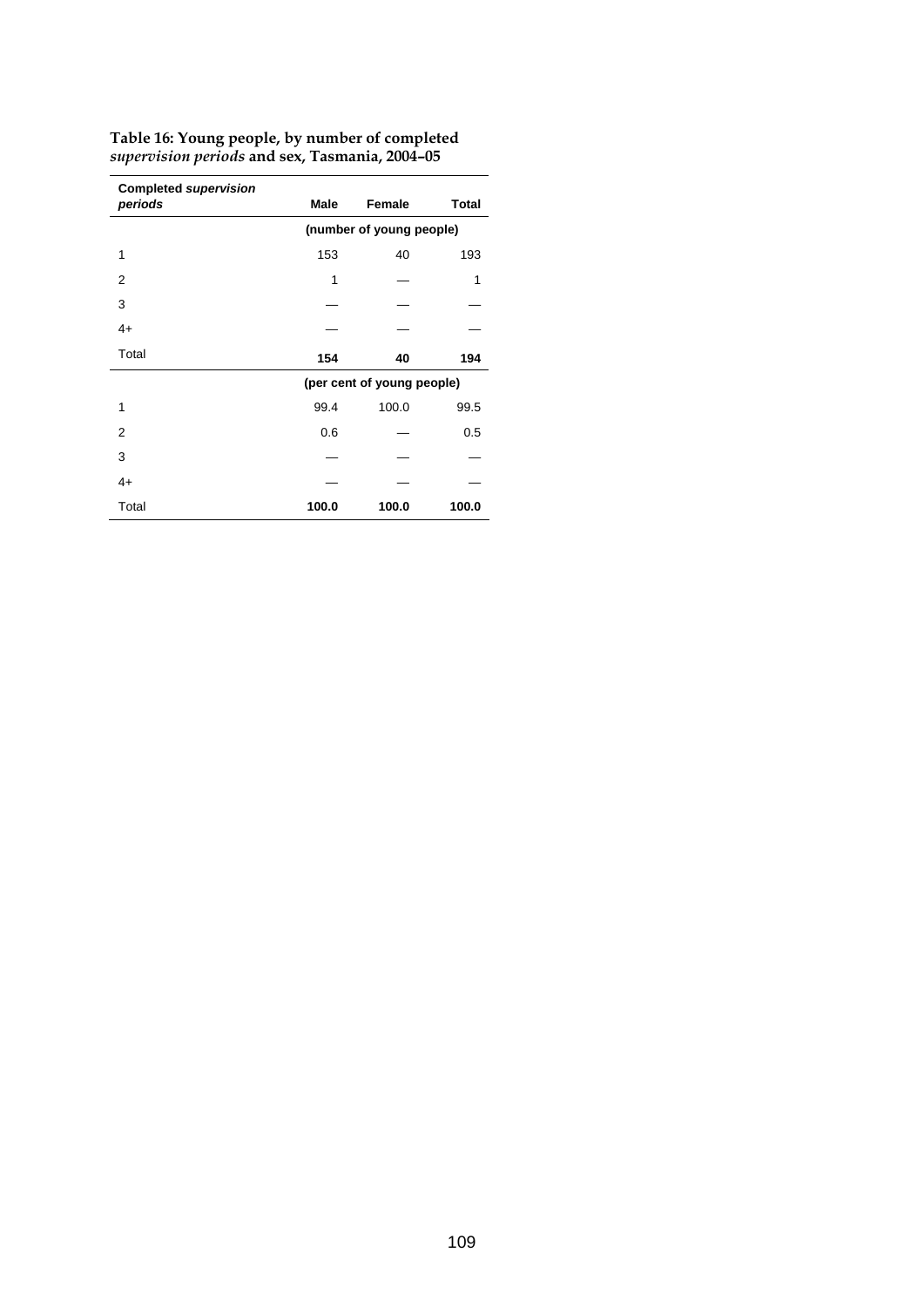| <b>Completed supervision</b><br>periods | Male                     | Female                     | <b>Total</b> |  |  |  |  |
|-----------------------------------------|--------------------------|----------------------------|--------------|--|--|--|--|
|                                         | (number of young people) |                            |              |  |  |  |  |
| 1                                       | 153                      | 40                         | 193          |  |  |  |  |
| 2                                       | 1                        |                            | 1            |  |  |  |  |
| 3                                       |                          |                            |              |  |  |  |  |
| $4+$                                    |                          |                            |              |  |  |  |  |
| Total                                   | 154                      | 40                         | 194          |  |  |  |  |
|                                         |                          | (per cent of young people) |              |  |  |  |  |
| 1                                       | 99.4                     | 100.0                      | 99.5         |  |  |  |  |
| 2                                       | 0.6                      |                            | 0.5          |  |  |  |  |
| 3                                       |                          |                            |              |  |  |  |  |
| $4+$                                    |                          |                            |              |  |  |  |  |
| Total                                   | 100.0                    | 100.0                      | 100.0        |  |  |  |  |

**Table 16: Young people, by number of completed** *supervision periods* **and sex, Tasmania, 2004–05**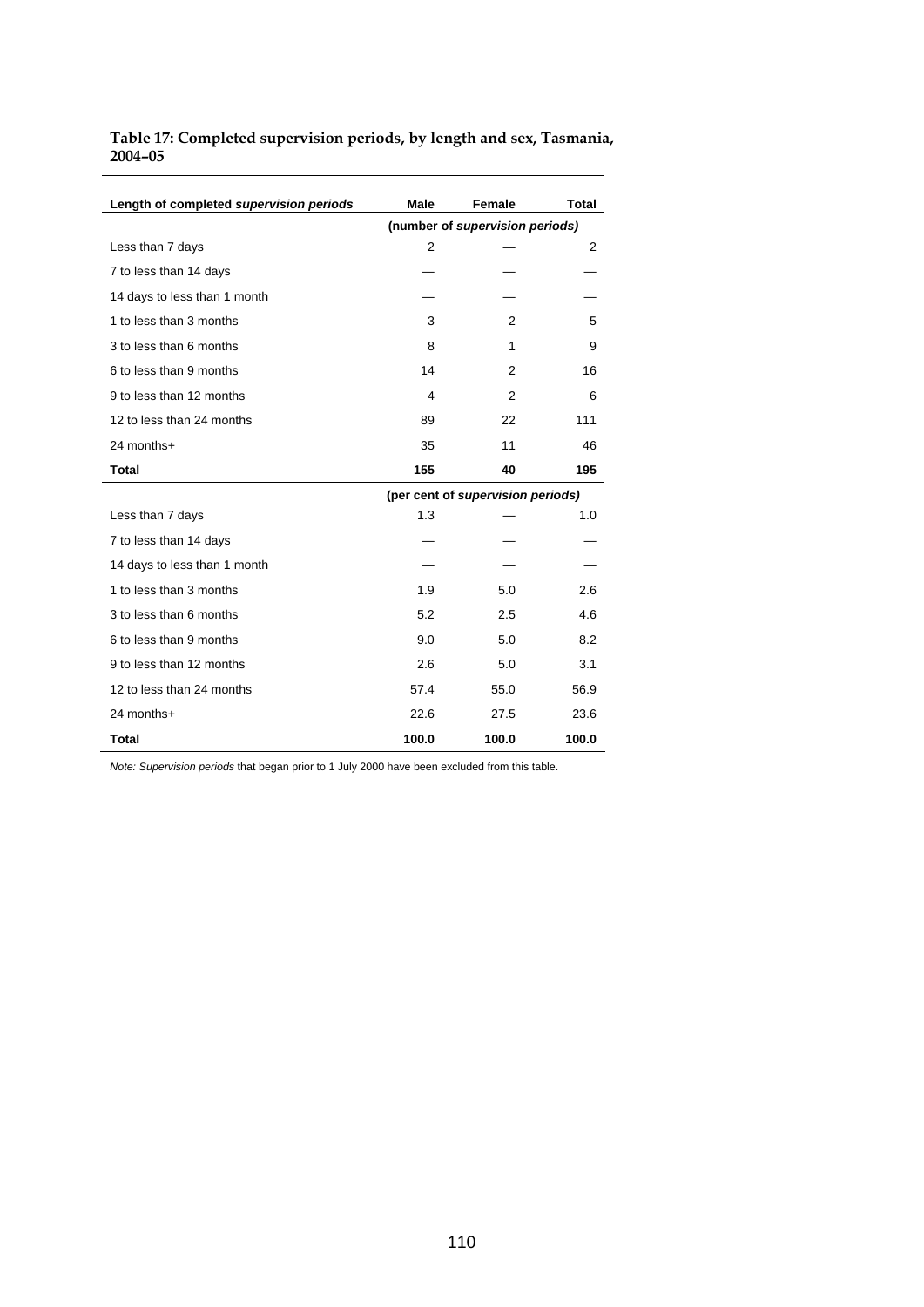| Table 17: Completed supervision periods, by length and sex, Tasmania, |  |
|-----------------------------------------------------------------------|--|
| $2004 - 05$                                                           |  |

| Length of completed supervision periods | Male           | <b>Female</b>                     | Total |
|-----------------------------------------|----------------|-----------------------------------|-------|
|                                         |                | (number of supervision periods)   |       |
| Less than 7 days                        | $\overline{2}$ |                                   | 2     |
| 7 to less than 14 days                  |                |                                   |       |
| 14 days to less than 1 month            |                |                                   |       |
| 1 to less than 3 months                 | 3              | 2                                 | 5     |
| 3 to less than 6 months                 | 8              | 1                                 | 9     |
| 6 to less than 9 months                 | 14             | 2                                 | 16    |
| 9 to less than 12 months                | 4              | 2                                 | 6     |
| 12 to less than 24 months               | 89             | 22                                | 111   |
| 24 months+                              | 35             | 11                                | 46    |
| <b>Total</b>                            | 155            | 40                                | 195   |
|                                         |                | (per cent of supervision periods) |       |
| Less than 7 days                        | 1.3            |                                   | 1.0   |
| 7 to less than 14 days                  |                |                                   |       |
| 14 days to less than 1 month            |                |                                   |       |
| 1 to less than 3 months                 | 1.9            | 5.0                               | 2.6   |
| 3 to less than 6 months                 | 5.2            | 2.5                               | 4.6   |
| 6 to less than 9 months                 | 9.0            | 5.0                               | 8.2   |
| 9 to less than 12 months                | 2.6            | 5.0                               | 3.1   |
| 12 to less than 24 months               | 57.4           | 55.0                              | 56.9  |
| 24 months+                              | 22.6           | 27.5                              | 23.6  |
| <b>Total</b>                            | 100.0          | 100.0                             | 100.0 |

*Note: Supervision periods* that began prior to 1 July 2000 have been excluded from this table.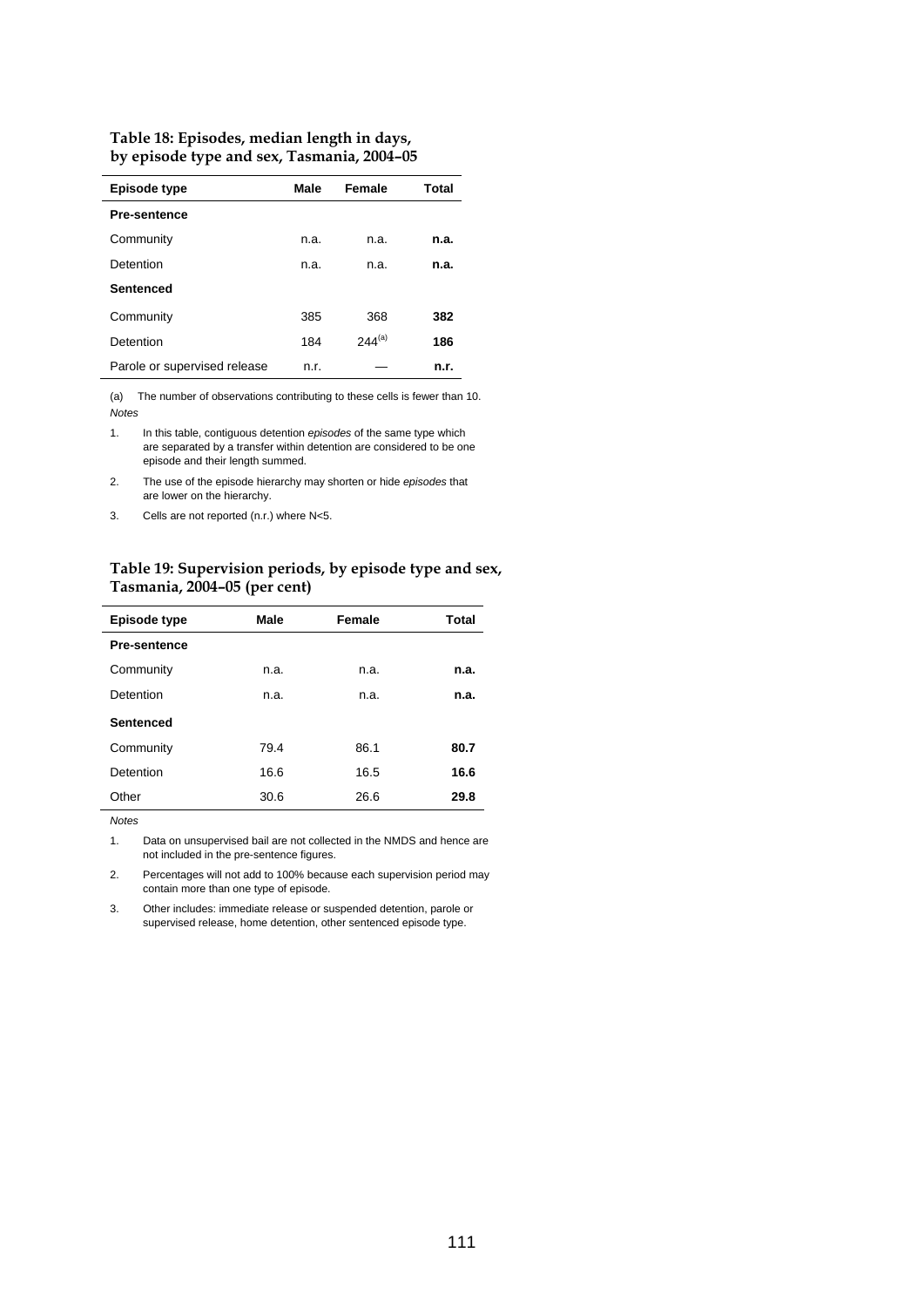| Table 18: Episodes, median length in days, |
|--------------------------------------------|
| by episode type and sex, Tasmania, 2004-05 |

| Episode type                 | Male | Female      | Total |
|------------------------------|------|-------------|-------|
| <b>Pre-sentence</b>          |      |             |       |
| Community                    | n.a. | n.a.        | n.a.  |
| Detention                    | n.a. | n.a.        | n.a.  |
| Sentenced                    |      |             |       |
| Community                    | 385  | 368         | 382   |
| Detention                    | 184  | $244^{(a)}$ | 186   |
| Parole or supervised release | n.r. |             | n.r.  |

(a) The number of observations contributing to these cells is fewer than 10. *Notes* 

1. In this table, contiguous detention *episodes* of the same type which are separated by a transfer within detention are considered to be one episode and their length summed.

2. The use of the episode hierarchy may shorten or hide *episodes* that are lower on the hierarchy.

3. Cells are not reported (n.r.) where N<5.

#### **Table 19: Supervision periods, by episode type and sex, Tasmania, 2004–05 (per cent)**

| Episode type        | Male | Female | Total |
|---------------------|------|--------|-------|
| <b>Pre-sentence</b> |      |        |       |
| Community           | n.a. | n.a.   | n.a.  |
| Detention           | n.a. | n.a.   | n.a.  |
| <b>Sentenced</b>    |      |        |       |
| Community           | 79.4 | 86.1   | 80.7  |
| Detention           | 16.6 | 16.5   | 16.6  |
| Other               | 30.6 | 26.6   | 29.8  |

*Notes* 

1. Data on unsupervised bail are not collected in the NMDS and hence are not included in the pre-sentence figures.

2. Percentages will not add to 100% because each supervision period may contain more than one type of episode.

3. Other includes: immediate release or suspended detention, parole or supervised release, home detention, other sentenced episode type.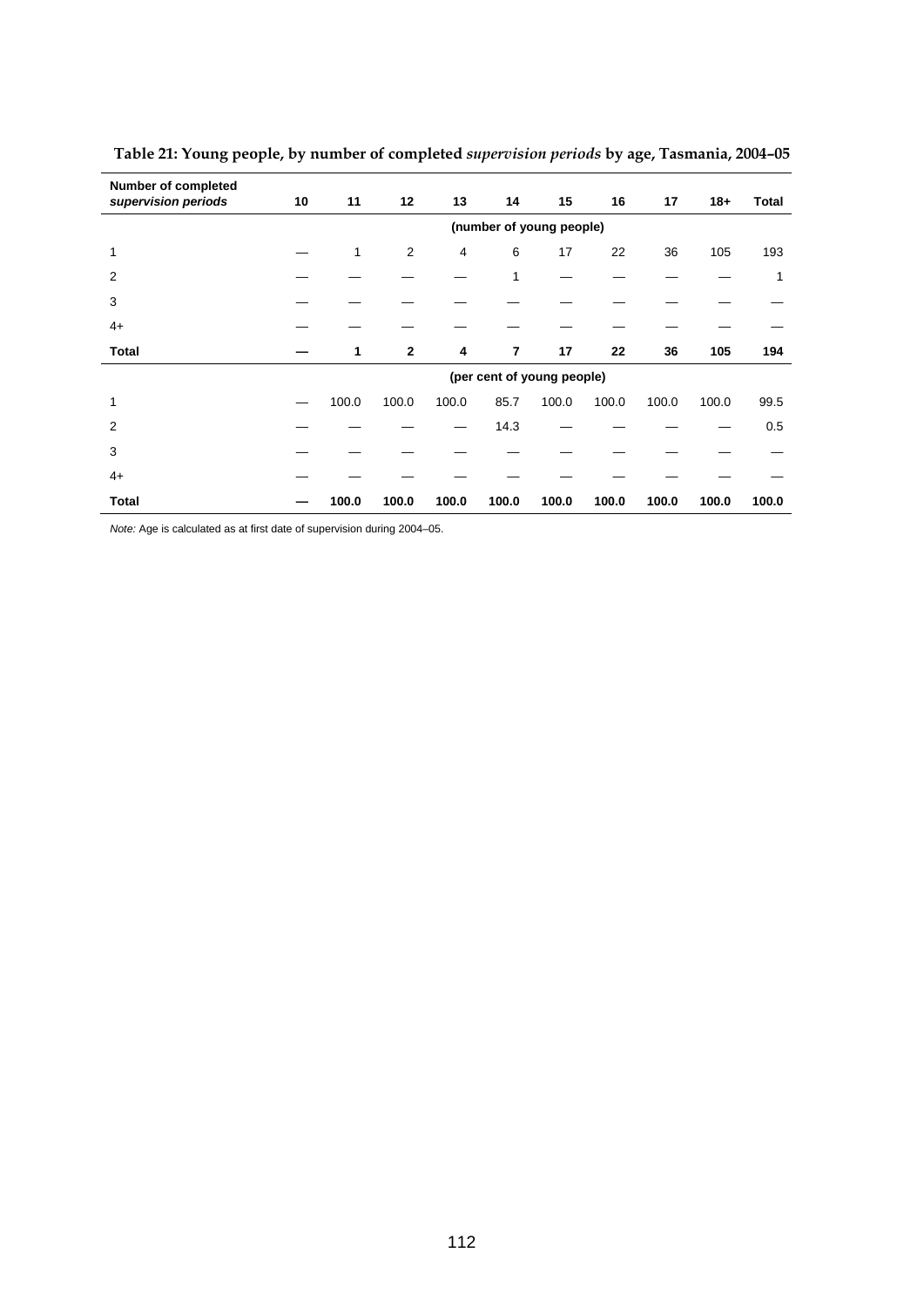| <b>Number of completed</b><br>supervision periods | 10                       | 11    | 12             | 13    | 14             | 15                         | 16    | 17    | $18 +$ | Total |
|---------------------------------------------------|--------------------------|-------|----------------|-------|----------------|----------------------------|-------|-------|--------|-------|
|                                                   | (number of young people) |       |                |       |                |                            |       |       |        |       |
| 1                                                 |                          | 1     | $\overline{2}$ | 4     | 6              | 17                         | 22    | 36    | 105    | 193   |
| 2                                                 |                          |       |                |       | 1              |                            |       |       |        | 1     |
| 3                                                 |                          |       |                |       |                |                            |       |       |        |       |
| $4+$                                              |                          |       |                |       |                |                            |       |       |        |       |
| <b>Total</b>                                      |                          | 1     | $\mathbf{2}$   | 4     | $\overline{7}$ | 17                         | 22    | 36    | 105    | 194   |
|                                                   |                          |       |                |       |                | (per cent of young people) |       |       |        |       |
| 1                                                 |                          | 100.0 | 100.0          | 100.0 | 85.7           | 100.0                      | 100.0 | 100.0 | 100.0  | 99.5  |
| 2                                                 |                          |       |                |       | 14.3           |                            |       |       |        | 0.5   |
| 3                                                 |                          |       |                |       |                |                            |       |       |        |       |
| $4+$                                              |                          |       |                |       |                |                            |       |       |        |       |
| Total                                             |                          | 100.0 | 100.0          | 100.0 | 100.0          | 100.0                      | 100.0 | 100.0 | 100.0  | 100.0 |

 **Table 21: Young people, by number of completed** *supervision periods* **by age, Tasmania, 2004–05** 

*Note:* Age is calculated as at first date of supervision during 2004–05.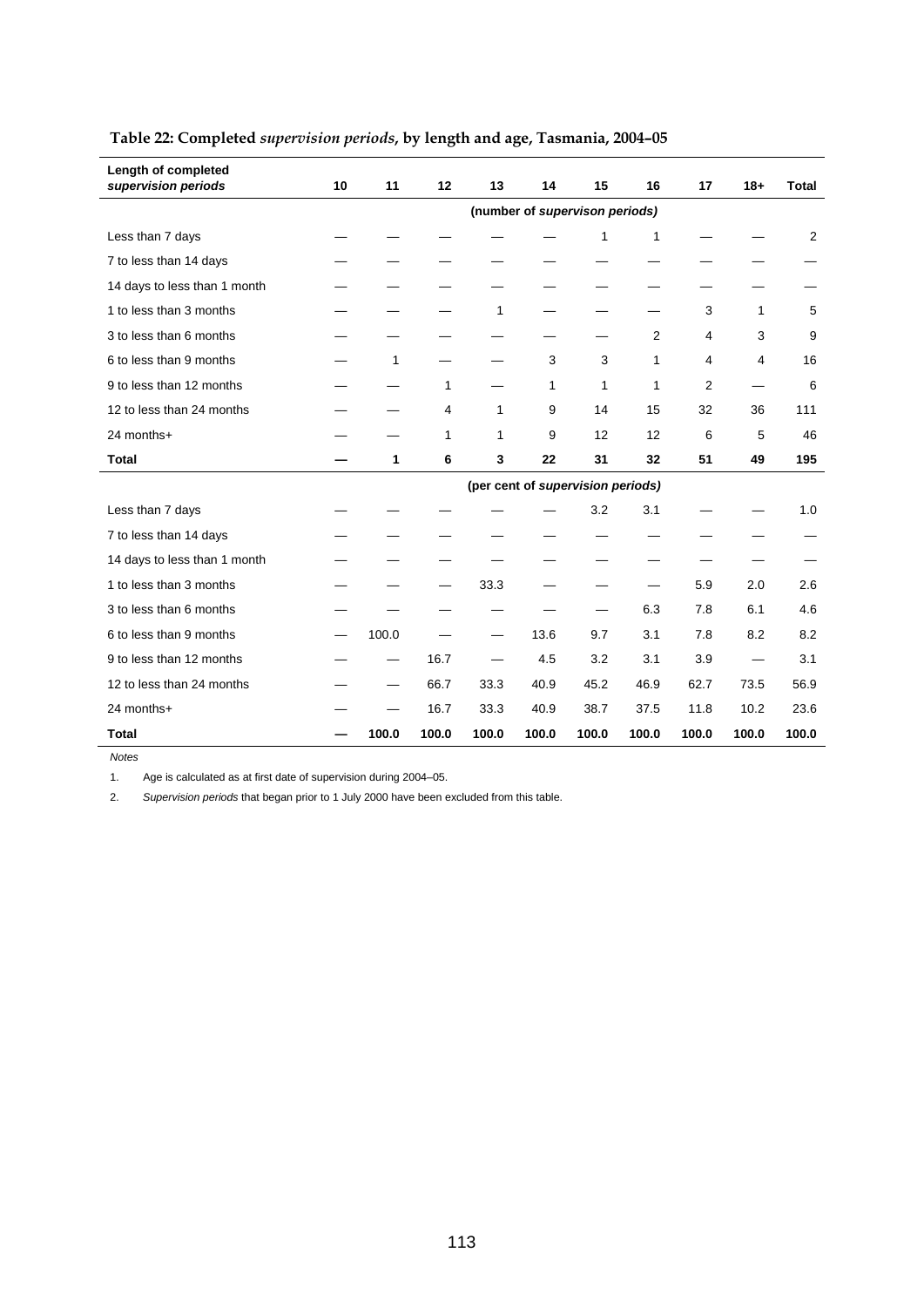| Length of completed<br>supervision periods | 10                             | 11    | 12    | 13           | 14    | 15                                | 16    | 17             | $18 +$ | <b>Total</b> |  |
|--------------------------------------------|--------------------------------|-------|-------|--------------|-------|-----------------------------------|-------|----------------|--------|--------------|--|
|                                            | (number of supervison periods) |       |       |              |       |                                   |       |                |        |              |  |
| Less than 7 days                           |                                |       |       |              |       | 1                                 | 1     |                |        | 2            |  |
| 7 to less than 14 days                     |                                |       |       |              |       |                                   |       |                |        |              |  |
| 14 days to less than 1 month               |                                |       |       |              |       |                                   |       |                |        |              |  |
| 1 to less than 3 months                    |                                |       |       | 1            |       |                                   |       | 3              | 1      | 5            |  |
| 3 to less than 6 months                    |                                |       |       |              |       |                                   | 2     | 4              | 3      | 9            |  |
| 6 to less than 9 months                    |                                | 1     |       |              | 3     | 3                                 | 1     | 4              | 4      | 16           |  |
| 9 to less than 12 months                   |                                |       | 1     |              | 1     | 1                                 | 1     | $\overline{2}$ |        | 6            |  |
| 12 to less than 24 months                  |                                |       | 4     | 1            | 9     | 14                                | 15    | 32             | 36     | 111          |  |
| 24 months+                                 |                                |       | 1     | $\mathbf{1}$ | 9     | 12                                | 12    | 6              | 5      | 46           |  |
| <b>Total</b>                               |                                | 1     | 6     | 3            | 22    | 31                                | 32    | 51             | 49     | 195          |  |
|                                            |                                |       |       |              |       | (per cent of supervision periods) |       |                |        |              |  |
| Less than 7 days                           |                                |       |       |              |       | 3.2                               | 3.1   |                |        | 1.0          |  |
| 7 to less than 14 days                     |                                |       |       |              |       |                                   |       |                |        |              |  |
| 14 days to less than 1 month               |                                |       |       |              |       |                                   |       |                |        |              |  |
| 1 to less than 3 months                    |                                |       |       | 33.3         |       |                                   |       | 5.9            | 2.0    | 2.6          |  |
| 3 to less than 6 months                    |                                |       |       |              |       |                                   | 6.3   | 7.8            | 6.1    | 4.6          |  |
| 6 to less than 9 months                    |                                | 100.0 |       |              | 13.6  | 9.7                               | 3.1   | 7.8            | 8.2    | 8.2          |  |
| 9 to less than 12 months                   |                                |       | 16.7  |              | 4.5   | 3.2                               | 3.1   | 3.9            |        | 3.1          |  |
| 12 to less than 24 months                  |                                |       | 66.7  | 33.3         | 40.9  | 45.2                              | 46.9  | 62.7           | 73.5   | 56.9         |  |
| 24 months+                                 |                                |       | 16.7  | 33.3         | 40.9  | 38.7                              | 37.5  | 11.8           | 10.2   | 23.6         |  |
| <b>Total</b>                               |                                | 100.0 | 100.0 | 100.0        | 100.0 | 100.0                             | 100.0 | 100.0          | 100.0  | 100.0        |  |

## **Table 22: Completed** *supervision periods***, by length and age, Tasmania, 2004–05**

*Notes* 

1. Age is calculated as at first date of supervision during 2004–05.

2. *Supervision periods* that began prior to 1 July 2000 have been excluded from this table.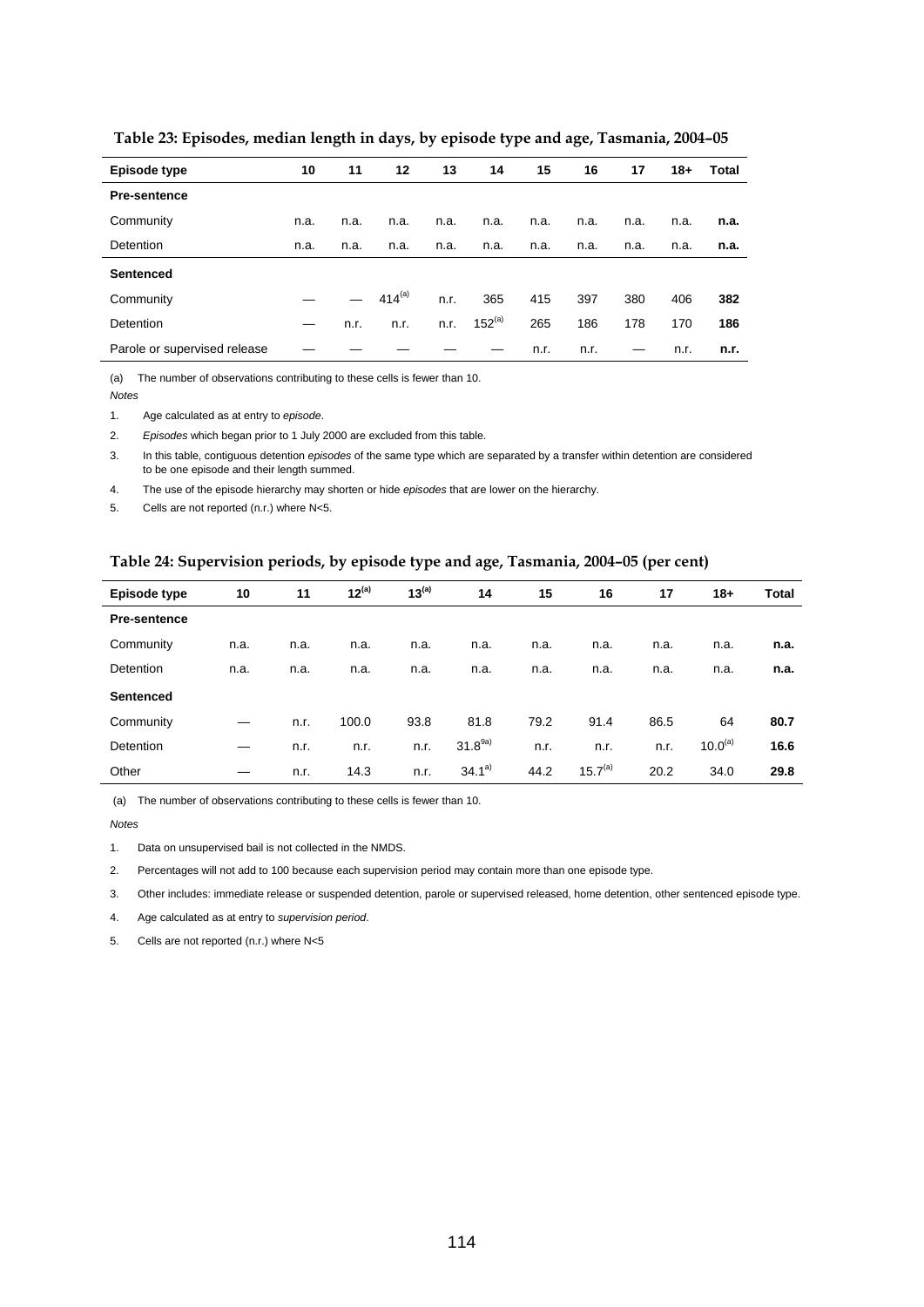| Episode type                 | 10   | 11   | 12          | 13   | 14          | 15   | 16   | 17   | 18+  | Total |
|------------------------------|------|------|-------------|------|-------------|------|------|------|------|-------|
| <b>Pre-sentence</b>          |      |      |             |      |             |      |      |      |      |       |
| Community                    | n.a. | n.a. | n.a.        | n.a. | n.a.        | n.a. | n.a. | n.a. | n.a. | n.a.  |
| Detention                    | n.a. | n.a. | n.a.        | n.a. | n.a.        | n.a. | n.a. | n.a. | n.a. | n.a.  |
| <b>Sentenced</b>             |      |      |             |      |             |      |      |      |      |       |
| Community                    |      |      | $414^{(a)}$ | n.r. | 365         | 415  | 397  | 380  | 406  | 382   |
| Detention                    | —    | n.r. | n.r.        | n.r. | $152^{(a)}$ | 265  | 186  | 178  | 170  | 186   |
| Parole or supervised release |      |      |             |      |             | n.r. | n.r. |      | n.r. | n.r.  |

 **Table 23: Episodes, median length in days, by episode type and age, Tasmania, 2004–05** 

(a) The number of observations contributing to these cells is fewer than 10.

*Notes* 

1. Age calculated as at entry to *episode*.

2. *Episodes* which began prior to 1 July 2000 are excluded from this table.

3. In this table, contiguous detention *episodes* of the same type which are separated by a transfer within detention are considered to be one episode and their length summed.

4. The use of the episode hierarchy may shorten or hide *episodes* that are lower on the hierarchy.

5. Cells are not reported (n.r.) where N<5.

#### **Table 24: Supervision periods, by episode type and age, Tasmania, 2004–05 (per cent)**

| Episode type        | 10   | 11   | $12^{(a)}$ | $13^{(a)}$ | 14          | 15   | 16           | 17   | $18 +$              | Total |
|---------------------|------|------|------------|------------|-------------|------|--------------|------|---------------------|-------|
| <b>Pre-sentence</b> |      |      |            |            |             |      |              |      |                     |       |
| Community           | n.a. | n.a. | n.a.       | n.a.       | n.a.        | n.a. | n.a.         | n.a. | n.a.                | n.a.  |
| Detention           | n.a. | n.a. | n.a.       | n.a.       | n.a.        | n.a. | n.a.         | n.a. | n.a.                | n.a.  |
| <b>Sentenced</b>    |      |      |            |            |             |      |              |      |                     |       |
| Community           |      | n.r. | 100.0      | 93.8       | 81.8        | 79.2 | 91.4         | 86.5 | 64                  | 80.7  |
| Detention           |      | n.r. | n.r.       | n.r.       | $31.8^{9a}$ | n.r. | n.r.         | n.r. | 10.0 <sup>(a)</sup> | 16.6  |
| Other               | –    | n.r. | 14.3       | n.r.       | $34.1^{a}$  | 44.2 | $15.7^{(a)}$ | 20.2 | 34.0                | 29.8  |

(a) The number of observations contributing to these cells is fewer than 10.

*Notes* 

1. Data on unsupervised bail is not collected in the NMDS.

2. Percentages will not add to 100 because each supervision period may contain more than one episode type.

3. Other includes: immediate release or suspended detention, parole or supervised released, home detention, other sentenced episode type.

4. Age calculated as at entry to *supervision period*.

5. Cells are not reported (n.r.) where N<5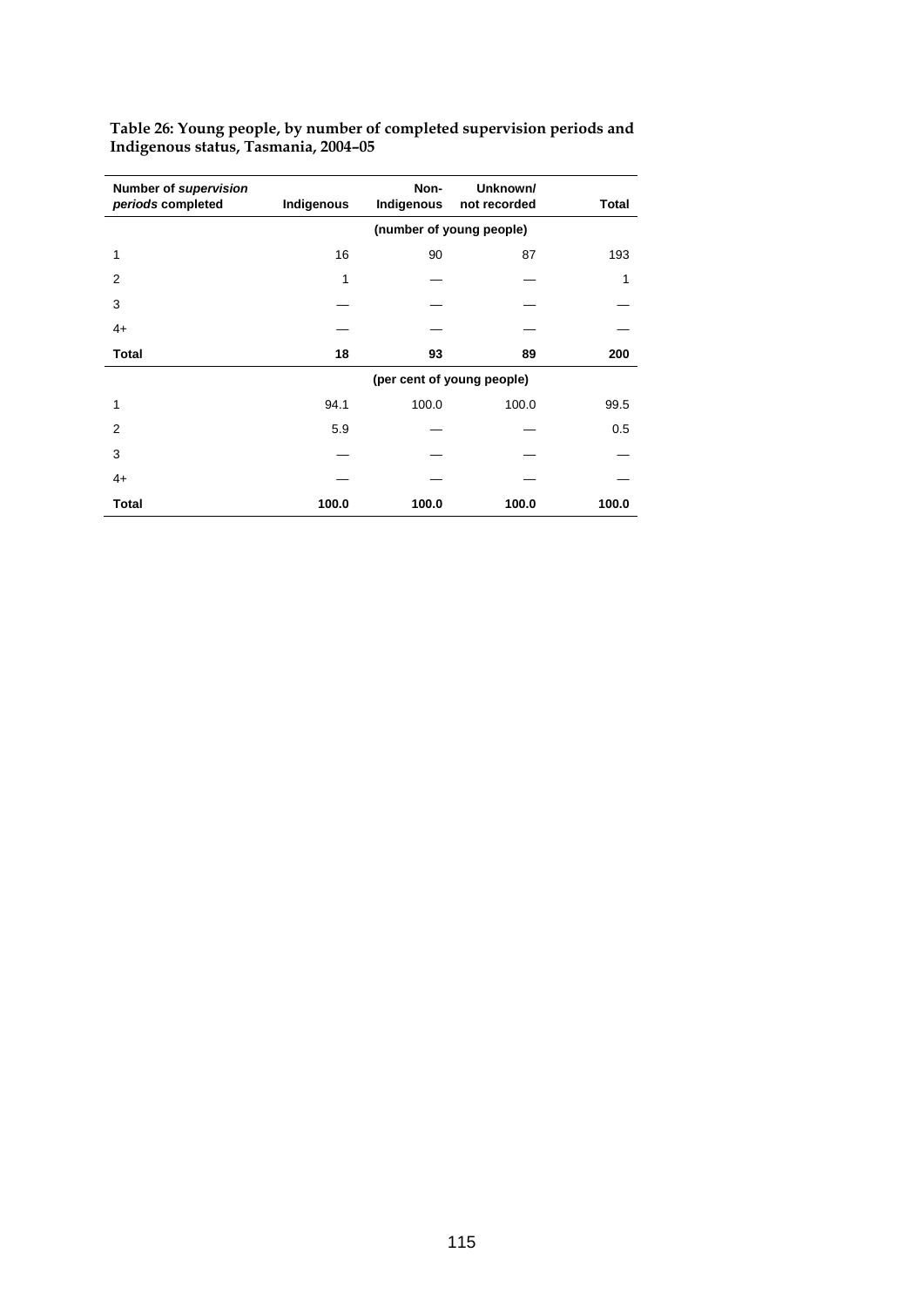| Number of supervision<br>periods completed | Indigenous | Non-<br>Indigenous | Unknown/<br>not recorded   | Total |
|--------------------------------------------|------------|--------------------|----------------------------|-------|
|                                            |            |                    |                            |       |
| 1                                          | 16         | 90                 | 87                         | 193   |
| 2                                          | 1          |                    |                            | 1     |
| 3                                          |            |                    |                            |       |
| $4+$                                       |            |                    |                            |       |
| <b>Total</b>                               | 18         | 93                 | 89                         | 200   |
|                                            |            |                    | (per cent of young people) |       |
| 1                                          | 94.1       | 100.0              | 100.0                      | 99.5  |
| $\overline{2}$                             | 5.9        |                    |                            | 0.5   |
| 3                                          |            |                    |                            |       |
| $4+$                                       |            |                    |                            |       |
| <b>Total</b>                               | 100.0      | 100.0              | 100.0                      | 100.0 |

**Table 26: Young people, by number of completed supervision periods and Indigenous status, Tasmania, 2004–05**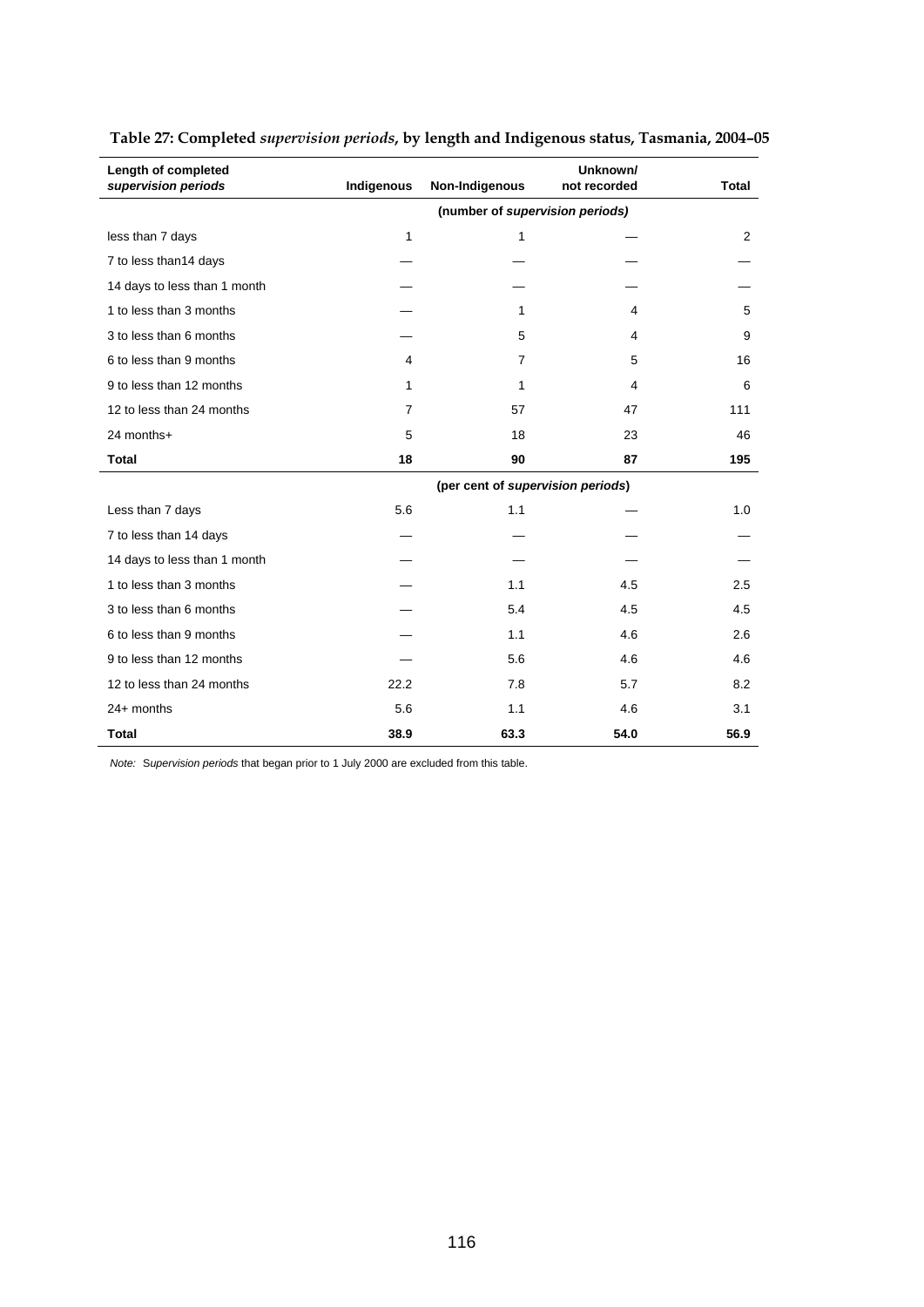| Length of completed<br>supervision periods | Indigenous | Non-Indigenous                    | Unknown/<br>not recorded | <b>Total</b> |
|--------------------------------------------|------------|-----------------------------------|--------------------------|--------------|
|                                            |            | (number of supervision periods)   |                          |              |
| less than 7 days                           | 1          | 1                                 |                          | 2            |
| 7 to less than14 days                      |            |                                   |                          |              |
| 14 days to less than 1 month               |            |                                   |                          |              |
| 1 to less than 3 months                    |            | 1                                 | 4                        | 5            |
| 3 to less than 6 months                    |            | 5                                 | 4                        | 9            |
| 6 to less than 9 months                    | 4          | $\overline{7}$                    | 5                        | 16           |
| 9 to less than 12 months                   | 1          | 1                                 | $\overline{4}$           | 6            |
| 12 to less than 24 months                  | 7          | 57                                | 47                       | 111          |
| 24 months+                                 | 5          | 18                                | 23                       | 46           |
| <b>Total</b>                               | 18         | 90                                | 87                       | 195          |
|                                            |            | (per cent of supervision periods) |                          |              |
| Less than 7 days                           | 5.6        | 1.1                               |                          | 1.0          |
| 7 to less than 14 days                     |            |                                   |                          |              |
| 14 days to less than 1 month               |            |                                   |                          |              |
| 1 to less than 3 months                    |            | 1.1                               | 4.5                      | 2.5          |
| 3 to less than 6 months                    |            | 5.4                               | 4.5                      | 4.5          |
| 6 to less than 9 months                    |            | 1.1                               | 4.6                      | 2.6          |
| 9 to less than 12 months                   |            | 5.6                               | 4.6                      | 4.6          |
| 12 to less than 24 months                  | 22.2       | 7.8                               | 5.7                      | 8.2          |
| 24+ months                                 | 5.6        | 1.1                               | 4.6                      | 3.1          |
| <b>Total</b>                               | 38.9       | 63.3                              | 54.0                     | 56.9         |

## **Table 27: Completed** *supervision periods***, by length and Indigenous status, Tasmania, 2004–05**

*Note:* S*upervision periods* that began prior to 1 July 2000 are excluded from this table.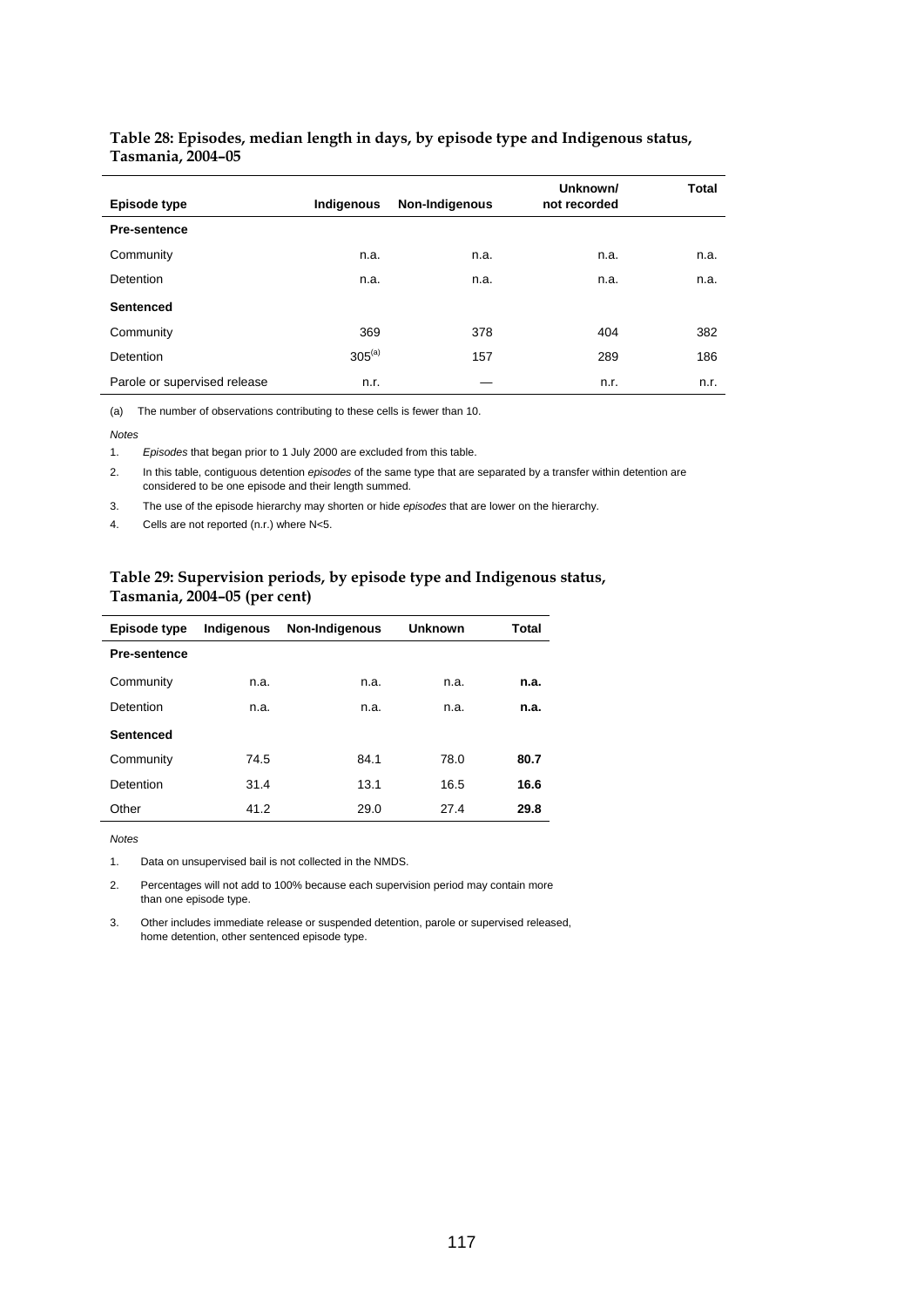#### **Table 28: Episodes, median length in days, by episode type and Indigenous status, Tasmania, 2004–05**

| Episode type                 | Indigenous  | Non-Indigenous | Unknown/<br>not recorded | Total |
|------------------------------|-------------|----------------|--------------------------|-------|
| <b>Pre-sentence</b>          |             |                |                          |       |
| Community                    | n.a.        | n.a.           | n.a.                     | n.a.  |
| <b>Detention</b>             | n.a.        | n.a.           | n.a.                     | n.a.  |
| <b>Sentenced</b>             |             |                |                          |       |
| Community                    | 369         | 378            | 404                      | 382   |
| <b>Detention</b>             | $305^{(a)}$ | 157            | 289                      | 186   |
| Parole or supervised release | n.r.        |                | n.r.                     | n.r.  |

(a) The number of observations contributing to these cells is fewer than 10.

*Notes* 

1. *Episodes* that began prior to 1 July 2000 are excluded from this table.

2. In this table, contiguous detention *episodes* of the same type that are separated by a transfer within detention are considered to be one episode and their length summed.

3. The use of the episode hierarchy may shorten or hide *episodes* that are lower on the hierarchy.

4. Cells are not reported (n.r.) where N<5.

#### **Table 29: Supervision periods, by episode type and Indigenous status, Tasmania, 2004–05 (per cent)**

| Episode type        | Indigenous | Non-Indigenous | <b>Unknown</b> | <b>Total</b> |
|---------------------|------------|----------------|----------------|--------------|
| <b>Pre-sentence</b> |            |                |                |              |
| Community           | n.a.       | n.a.           | n.a.           | n.a.         |
| Detention           | n.a.       | n.a.           | n.a.           | n.a.         |
| <b>Sentenced</b>    |            |                |                |              |
| Community           | 74.5       | 84.1           | 78.0           | 80.7         |
| Detention           | 31.4       | 13.1           | 16.5           | 16.6         |
| Other               | 41.2       | 29.0           | 27.4           | 29.8         |

*Notes* 

1. Data on unsupervised bail is not collected in the NMDS.

2. Percentages will not add to 100% because each supervision period may contain more than one episode type.

3. Other includes immediate release or suspended detention, parole or supervised released, home detention, other sentenced episode type.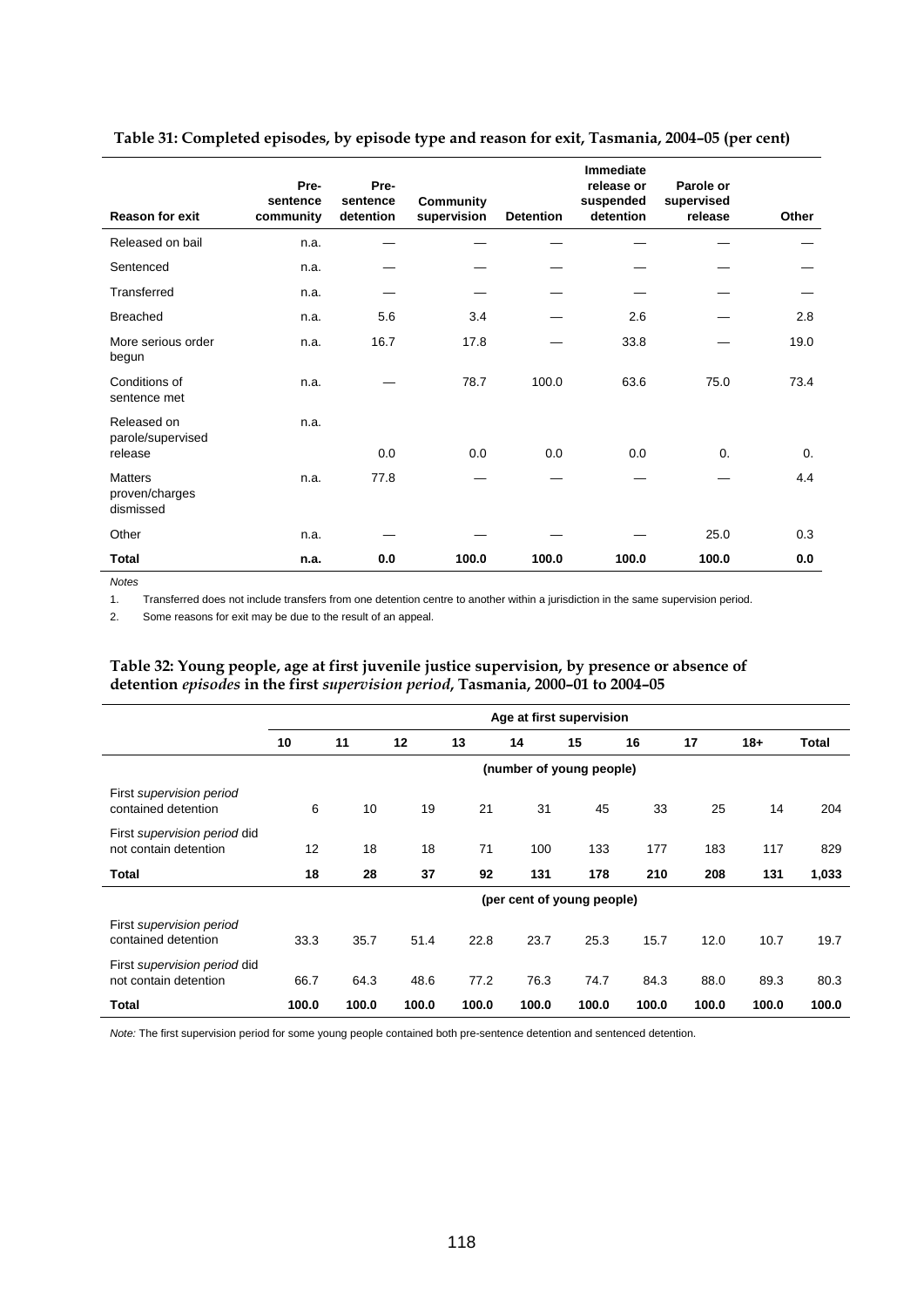| <b>Reason for exit</b>                        | Pre-<br>sentence<br>community | Pre-<br>sentence<br>detention | <b>Community</b><br>supervision | <b>Detention</b> | <b>Immediate</b><br>release or<br>suspended<br>detention | Parole or<br>supervised<br>release | Other |
|-----------------------------------------------|-------------------------------|-------------------------------|---------------------------------|------------------|----------------------------------------------------------|------------------------------------|-------|
| Released on bail                              | n.a.                          |                               |                                 |                  |                                                          |                                    |       |
| Sentenced                                     | n.a.                          |                               |                                 |                  |                                                          |                                    |       |
| Transferred                                   | n.a.                          |                               |                                 |                  |                                                          |                                    |       |
| <b>Breached</b>                               | n.a.                          | 5.6                           | 3.4                             |                  | 2.6                                                      |                                    | 2.8   |
| More serious order<br>begun                   | n.a.                          | 16.7                          | 17.8                            |                  | 33.8                                                     |                                    | 19.0  |
| Conditions of<br>sentence met                 | n.a.                          |                               | 78.7                            | 100.0            | 63.6                                                     | 75.0                               | 73.4  |
| Released on<br>parole/supervised              | n.a.                          |                               |                                 |                  |                                                          |                                    |       |
| release                                       |                               | 0.0                           | 0.0                             | 0.0              | 0.0                                                      | $\Omega$ .                         | 0.    |
| <b>Matters</b><br>proven/charges<br>dismissed | n.a.                          | 77.8                          |                                 |                  |                                                          |                                    | 4.4   |
| Other                                         | n.a.                          |                               |                                 |                  |                                                          | 25.0                               | 0.3   |
| <b>Total</b>                                  | n.a.                          | 0.0                           | 100.0                           | 100.0            | 100.0                                                    | 100.0                              | 0.0   |

 **Table 31: Completed episodes, by episode type and reason for exit, Tasmania, 2004–05 (per cent)** 

*Notes* 

1. Transferred does not include transfers from one detention centre to another within a jurisdiction in the same supervision period.

2. Some reasons for exit may be due to the result of an appeal.

#### **Table 32: Young people, age at first juvenile justice supervision, by presence or absence of detention** *episodes* **in the first** *supervision period***, Tasmania, 2000–01 to 2004–05**

|                                                       |       | Age at first supervision |       |       |       |                            |       |       |       |              |  |
|-------------------------------------------------------|-------|--------------------------|-------|-------|-------|----------------------------|-------|-------|-------|--------------|--|
|                                                       | 10    | 11                       | 12    | 13    | 14    | 15                         | 16    | 17    | $18+$ | <b>Total</b> |  |
|                                                       |       |                          |       |       |       | (number of young people)   |       |       |       |              |  |
| First supervision period<br>contained detention       | 6     | 10                       | 19    | 21    | 31    | 45                         | 33    | 25    | 14    | 204          |  |
| First supervision period did<br>not contain detention | 12    | 18                       | 18    | 71    | 100   | 133                        | 177   | 183   | 117   | 829          |  |
| Total                                                 | 18    | 28                       | 37    | 92    | 131   | 178                        | 210   | 208   | 131   | 1,033        |  |
|                                                       |       |                          |       |       |       | (per cent of young people) |       |       |       |              |  |
| First supervision period<br>contained detention       | 33.3  | 35.7                     | 51.4  | 22.8  | 23.7  | 25.3                       | 15.7  | 12.0  | 10.7  | 19.7         |  |
| First supervision period did<br>not contain detention | 66.7  | 64.3                     | 48.6  | 77.2  | 76.3  | 74.7                       | 84.3  | 88.0  | 89.3  | 80.3         |  |
| <b>Total</b>                                          | 100.0 | 100.0                    | 100.0 | 100.0 | 100.0 | 100.0                      | 100.0 | 100.0 | 100.0 | 100.0        |  |

*Note:* The first supervision period for some young people contained both pre-sentence detention and sentenced detention.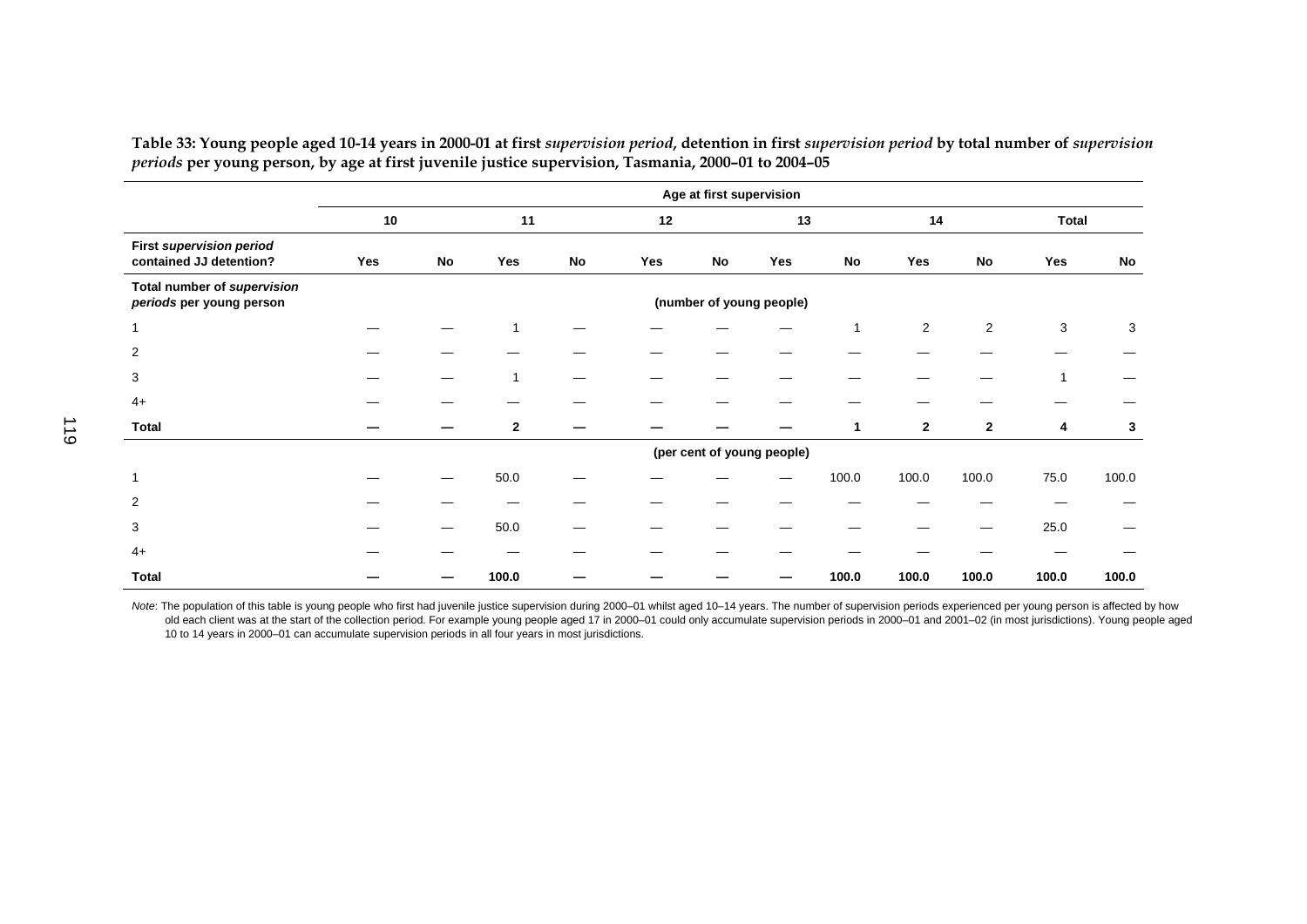| Table 33: Young people aged 10-14 years in 2000-01 at first supervision period, detention in first supervision period by total number of supervision |  |
|------------------------------------------------------------------------------------------------------------------------------------------------------|--|
| periods per young person, by age at first juvenile justice supervision, Tasmania, 2000–01 to 2004–05                                                 |  |
|                                                                                                                                                      |  |

|                                                            |     |    |              |            |     | Age at first supervision |                            |           |                |                |              |       |
|------------------------------------------------------------|-----|----|--------------|------------|-----|--------------------------|----------------------------|-----------|----------------|----------------|--------------|-------|
|                                                            | 10  |    | 11           |            | 12  |                          | 13                         |           | 14             |                | <b>Total</b> |       |
| <b>First supervision period</b><br>contained JJ detention? | Yes | No | Yes          | ${\sf No}$ | Yes | <b>No</b>                | Yes                        | <b>No</b> | Yes            | No             | Yes          | No    |
| Total number of supervision<br>periods per young person    |     |    |              |            |     |                          | (number of young people)   |           |                |                |              |       |
| $\mathbf{1}$                                               |     |    |              |            |     |                          |                            | 1         | $\overline{2}$ | $\overline{2}$ | 3            | 3     |
| 2                                                          |     |    |              |            |     |                          |                            |           |                |                |              |       |
| 3                                                          |     |    |              |            |     |                          |                            |           |                |                | 1            |       |
| $4+$                                                       |     |    |              |            |     |                          |                            |           |                |                |              |       |
| Total                                                      |     |    | $\mathbf{2}$ |            |     |                          |                            | 1         | $\overline{2}$ | $\mathbf{2}$   | 4            | 3     |
|                                                            |     |    |              |            |     |                          | (per cent of young people) |           |                |                |              |       |
| 1                                                          |     |    | 50.0         |            |     |                          |                            | 100.0     | 100.0          | 100.0          | 75.0         | 100.0 |
| 2                                                          |     |    |              |            |     |                          |                            |           |                |                |              |       |
| 3                                                          |     |    | 50.0         |            |     |                          |                            |           |                |                | 25.0         |       |
| $4+$                                                       |     |    |              |            |     |                          |                            |           |                |                |              |       |
| Total                                                      |     |    | 100.0        |            |     |                          |                            | 100.0     | 100.0          | 100.0          | 100.0        | 100.0 |

Note: The population of this table is young people who first had juvenile justice supervision during 2000–01 whilst aged 10–14 years. The number of supervision periods experienced per young person is affected by how old each client was at the start of the collection period. For example young people aged 17 in 2000–01 could only accumulate supervision periods in 2000–01 and 2001–02 (in most jurisdictions). Young people aged 10 to 14 years in 2000–01 can accumulate supervision periods in all four years in most jurisdictions.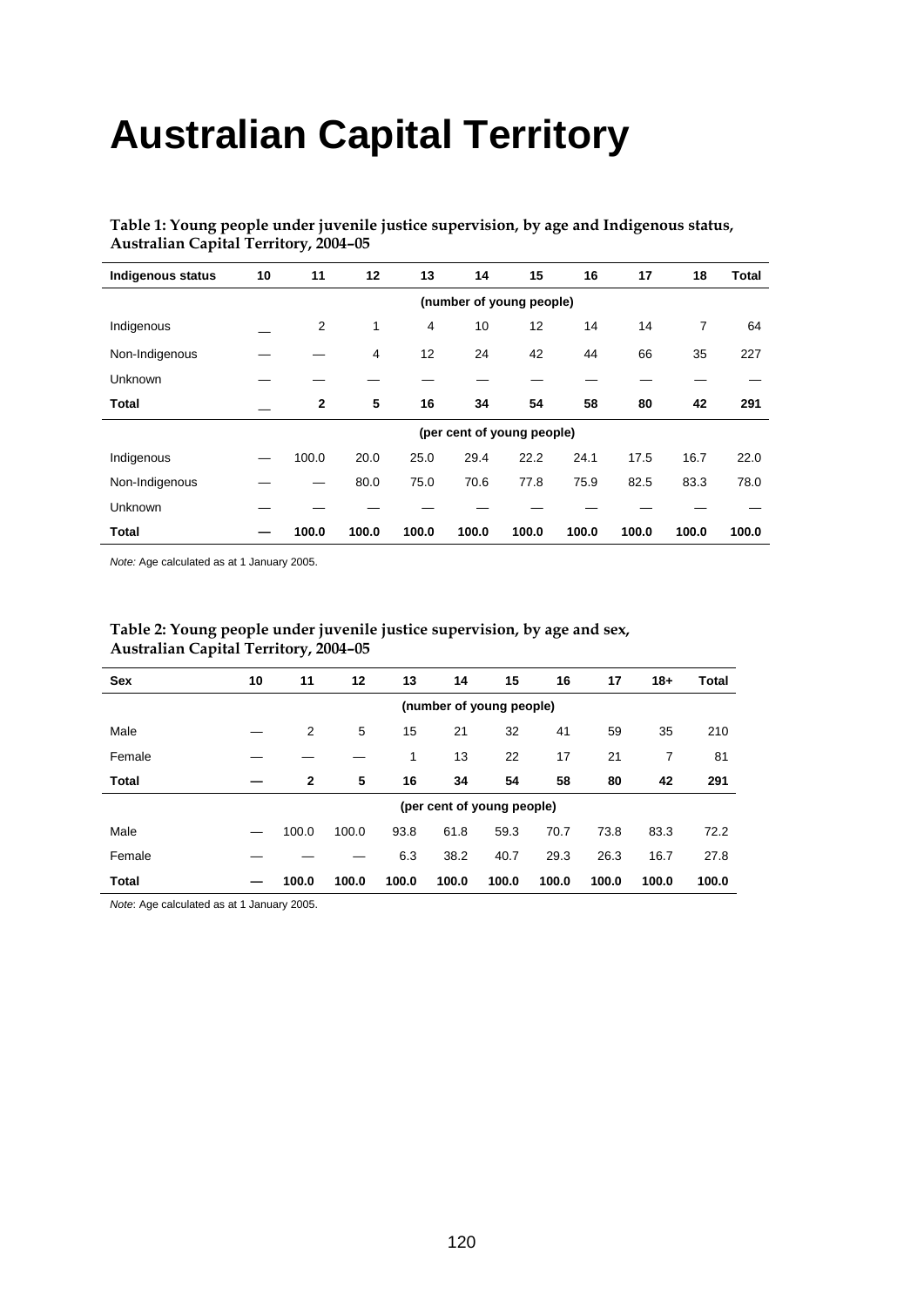# **Australian Capital Territory**

| Table 1: Young people under juvenile justice supervision, by age and Indigenous status, |  |
|-----------------------------------------------------------------------------------------|--|
| <b>Australian Capital Territory, 2004–05</b>                                            |  |

| <b>Indigenous status</b> | 10                       | 11           | 12    | 13    | 14    | 15                         | 16    | 17    | 18    | Total |  |  |  |  |
|--------------------------|--------------------------|--------------|-------|-------|-------|----------------------------|-------|-------|-------|-------|--|--|--|--|
|                          | (number of young people) |              |       |       |       |                            |       |       |       |       |  |  |  |  |
| Indigenous               |                          | 2            | 1     | 4     | 10    | 12                         | 14    | 14    | 7     | 64    |  |  |  |  |
| Non-Indigenous           |                          |              | 4     | 12    | 24    | 42                         | 44    | 66    | 35    | 227   |  |  |  |  |
| <b>Unknown</b>           |                          |              |       |       |       |                            |       |       |       |       |  |  |  |  |
| <b>Total</b>             |                          | $\mathbf{2}$ | 5     | 16    | 34    | 54                         | 58    | 80    | 42    | 291   |  |  |  |  |
|                          |                          |              |       |       |       | (per cent of young people) |       |       |       |       |  |  |  |  |
| Indigenous               |                          | 100.0        | 20.0  | 25.0  | 29.4  | 22.2                       | 24.1  | 17.5  | 16.7  | 22.0  |  |  |  |  |
| Non-Indigenous           |                          |              | 80.0  | 75.0  | 70.6  | 77.8                       | 75.9  | 82.5  | 83.3  | 78.0  |  |  |  |  |
| <b>Unknown</b>           |                          |              |       |       |       |                            |       |       |       |       |  |  |  |  |
| Total                    |                          | 100.0        | 100.0 | 100.0 | 100.0 | 100.0                      | 100.0 | 100.0 | 100.0 | 100.0 |  |  |  |  |

*Note:* Age calculated as at 1 January 2005.

| <b>Sex</b>   | 10                       | 11           | 12    | 13    | 14                         | 15    | 16    | 17    | $18+$ | Total |  |  |  |  |
|--------------|--------------------------|--------------|-------|-------|----------------------------|-------|-------|-------|-------|-------|--|--|--|--|
|              | (number of young people) |              |       |       |                            |       |       |       |       |       |  |  |  |  |
| Male         |                          | 2            | 5     | 15    | 21                         | 32    | 41    | 59    | 35    | 210   |  |  |  |  |
| Female       |                          |              |       | 1     | 13                         | 22    | 17    | 21    | 7     | 81    |  |  |  |  |
| <b>Total</b> |                          | $\mathbf{2}$ | 5     | 16    | 34                         | 54    | 58    | 80    | 42    | 291   |  |  |  |  |
|              |                          |              |       |       | (per cent of young people) |       |       |       |       |       |  |  |  |  |
| Male         |                          | 100.0        | 100.0 | 93.8  | 61.8                       | 59.3  | 70.7  | 73.8  | 83.3  | 72.2  |  |  |  |  |
| Female       |                          |              |       | 6.3   | 38.2                       | 40.7  | 29.3  | 26.3  | 16.7  | 27.8  |  |  |  |  |
| <b>Total</b> |                          | 100.0        | 100.0 | 100.0 | 100.0                      | 100.0 | 100.0 | 100.0 | 100.0 | 100.0 |  |  |  |  |

## **Table 2: Young people under juvenile justice supervision, by age and sex, Australian Capital Territory, 2004–05**

*Note*: Age calculated as at 1 January 2005.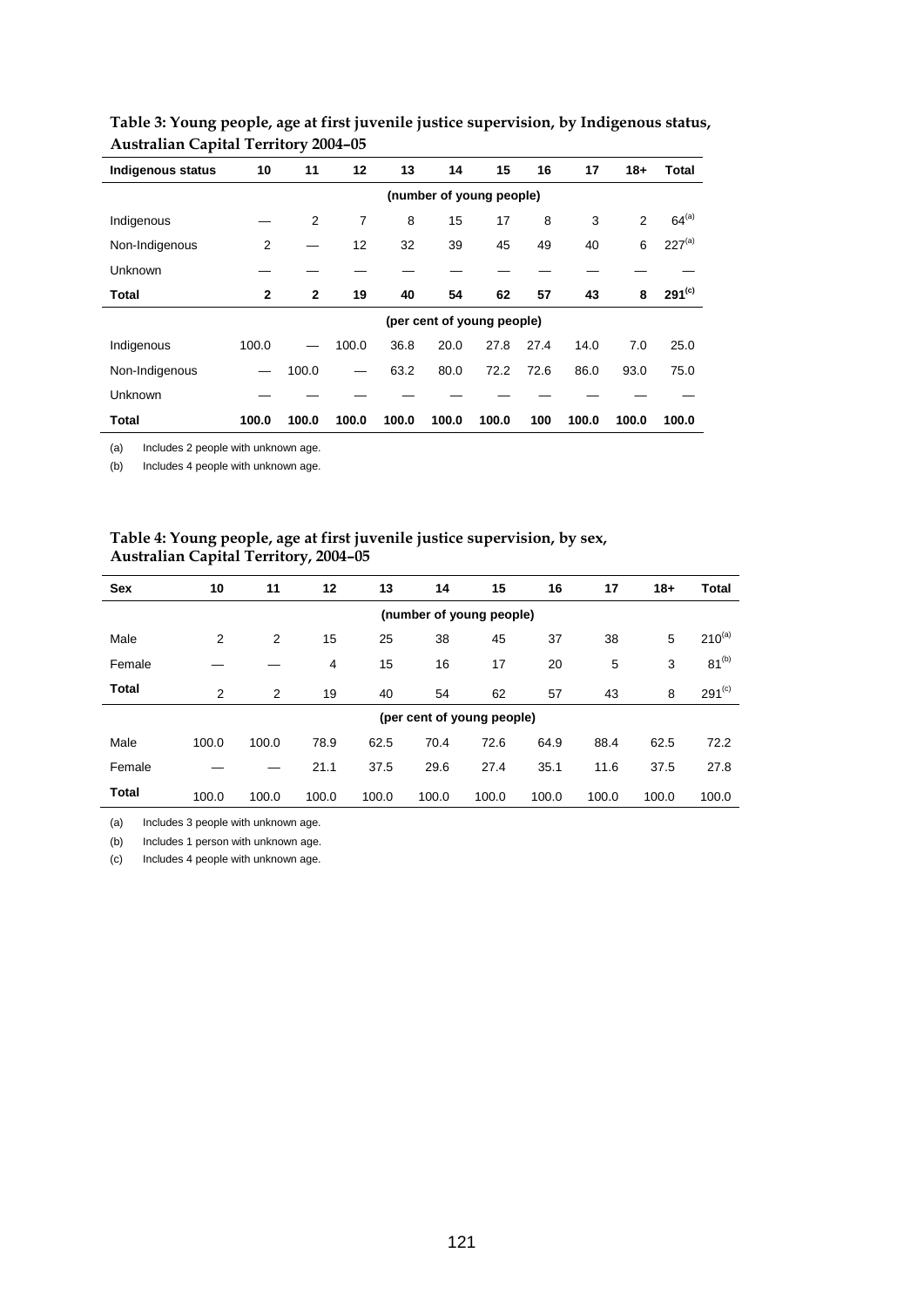| <b>Indigenous status</b> | 10                       | 11           | 12             | 13    | 14                         | 15    | 16   | 17    | $18+$ | Total       |
|--------------------------|--------------------------|--------------|----------------|-------|----------------------------|-------|------|-------|-------|-------------|
|                          | (number of young people) |              |                |       |                            |       |      |       |       |             |
| Indigenous               |                          | 2            | $\overline{7}$ | 8     | 15                         | 17    | 8    | 3     | 2     | $64^{(a)}$  |
| Non-Indigenous           | $\overline{2}$           |              | 12             | 32    | 39                         | 45    | 49   | 40    | 6     | $227^{(a)}$ |
| Unknown                  |                          |              |                |       |                            |       |      |       |       |             |
| Total                    | $\mathbf{2}$             | $\mathbf{2}$ | 19             | 40    | 54                         | 62    | 57   | 43    | 8     | $291^{(c)}$ |
|                          |                          |              |                |       | (per cent of young people) |       |      |       |       |             |
| Indigenous               | 100.0                    |              | 100.0          | 36.8  | 20.0                       | 27.8  | 27.4 | 14.0  | 7.0   | 25.0        |
| Non-Indigenous           |                          | 100.0        |                | 63.2  | 80.0                       | 72.2  | 72.6 | 86.0  | 93.0  | 75.0        |
| Unknown                  |                          |              |                |       |                            |       |      |       |       |             |
| Total                    | 100.0                    | 100.0        | 100.0          | 100.0 | 100.0                      | 100.0 | 100  | 100.0 | 100.0 | 100.0       |

## **Table 3: Young people, age at first juvenile justice supervision, by Indigenous status, Australian Capital Territory 2004–05**

(a) Includes 2 people with unknown age.

(b) Includes 4 people with unknown age.

## **Table 4: Young people, age at first juvenile justice supervision, by sex, Australian Capital Territory, 2004–05**

| Sex          | 10    | 11    | 12    | 13    | 14    | 15                         | 16    | 17    | $18+$ | <b>Total</b> |
|--------------|-------|-------|-------|-------|-------|----------------------------|-------|-------|-------|--------------|
|              |       |       |       |       |       | (number of young people)   |       |       |       |              |
| Male         | 2     | 2     | 15    | 25    | 38    | 45                         | 37    | 38    | 5     | $210^{(a)}$  |
| Female       |       |       | 4     | 15    | 16    | 17                         | 20    | 5     | 3     | $81^{(b)}$   |
| <b>Total</b> | 2     | 2     | 19    | 40    | 54    | 62                         | 57    | 43    | 8     | $291^{(c)}$  |
|              |       |       |       |       |       | (per cent of young people) |       |       |       |              |
| Male         | 100.0 | 100.0 | 78.9  | 62.5  | 70.4  | 72.6                       | 64.9  | 88.4  | 62.5  | 72.2         |
| Female       |       |       | 21.1  | 37.5  | 29.6  | 27.4                       | 35.1  | 11.6  | 37.5  | 27.8         |
| <b>Total</b> | 100.0 | 100.0 | 100.0 | 100.0 | 100.0 | 100.0                      | 100.0 | 100.0 | 100.0 | 100.0        |

(a) Includes 3 people with unknown age.

(b) Includes 1 person with unknown age.

(c) Includes 4 people with unknown age.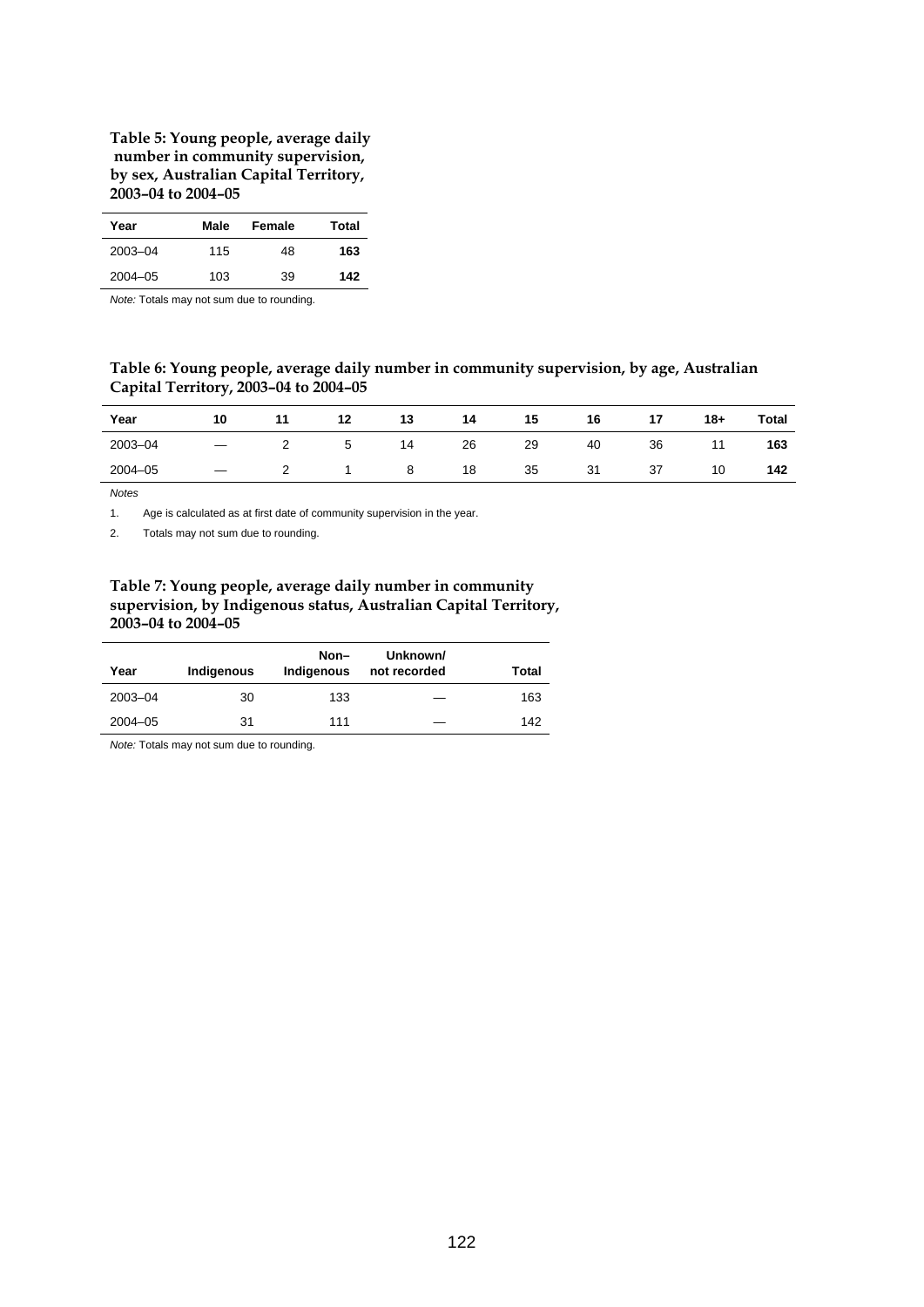#### **Table 5: Young people, average daily number in community supervision, by sex, Australian Capital Territory, 2003–04 to 2004–05**

| Year        | Male | Female | Total |
|-------------|------|--------|-------|
| $2003 - 04$ | 115  | 48     | 163   |
| $2004 - 05$ | 103  | 39     | 142   |

*Note:* Totals may not sum due to rounding.

## **Table 6: Young people, average daily number in community supervision, by age, Australian Capital Territory, 2003–04 to 2004–05**

| Year        | 10 | 11 | 12 | 13 | 14 | 15 | 16 | 17 | $18+$ | Total |
|-------------|----|----|----|----|----|----|----|----|-------|-------|
| 2003-04     |    |    | ≎  | 14 | 26 | 29 | 40 | 36 |       | 163   |
| $2004 - 05$ |    |    |    | 8  | 18 | 35 | 31 | 37 | 10    | 142   |

*Notes*

1. Age is calculated as at first date of community supervision in the year.

2. Totals may not sum due to rounding.

## **Table 7: Young people, average daily number in community supervision, by Indigenous status, Australian Capital Territory, 2003–04 to 2004–05**

| Year        | Indigenous | Non-<br>Indigenous | Unknown/<br>not recorded | Total |
|-------------|------------|--------------------|--------------------------|-------|
| 2003-04     | 30         | 133                |                          | 163   |
| $2004 - 05$ | 31         | 111                |                          | 142   |

*Note:* Totals may not sum due to rounding.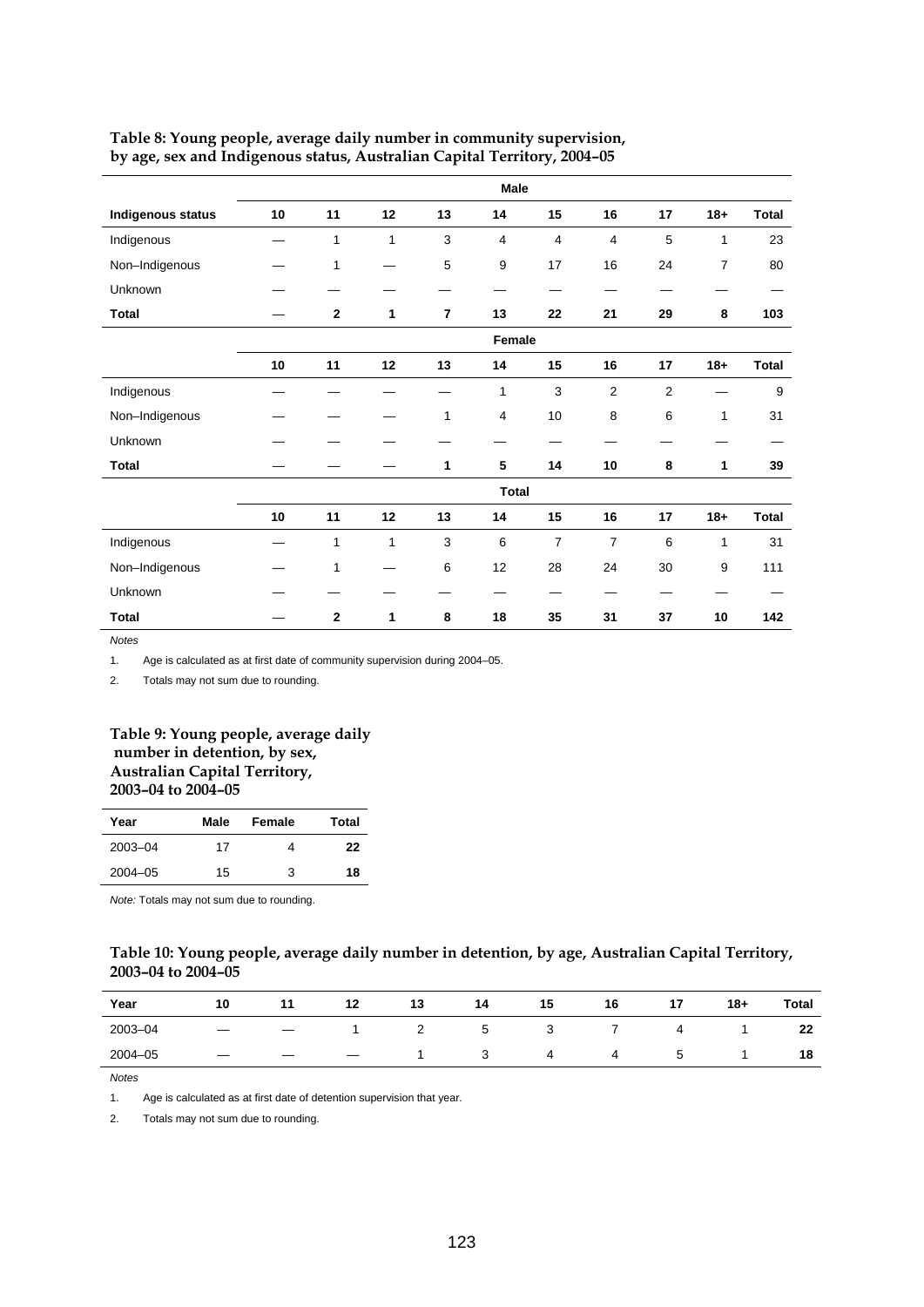|                          |    |                |              |                | Male           |                |                |                |                |              |
|--------------------------|----|----------------|--------------|----------------|----------------|----------------|----------------|----------------|----------------|--------------|
| <b>Indigenous status</b> | 10 | 11             | 12           | 13             | 14             | 15             | 16             | 17             | $18 +$         | <b>Total</b> |
| Indigenous               |    | $\mathbf{1}$   | $\mathbf{1}$ | 3              | 4              | 4              | 4              | 5              | 1              | 23           |
| Non-Indigenous           |    | $\mathbf{1}$   |              | 5              | 9              | 17             | 16             | 24             | $\overline{7}$ | 80           |
| Unknown                  |    |                |              |                |                |                |                |                |                |              |
| <b>Total</b>             |    | $\mathbf{2}$   | 1            | $\overline{7}$ | 13             | 22             | 21             | 29             | 8              | 103          |
|                          |    |                |              |                | Female         |                |                |                |                |              |
|                          | 10 | 11             | 12           | 13             | 14             | 15             | 16             | 17             | $18+$          | Total        |
| Indigenous               |    |                |              |                | 1              | $\mathsf 3$    | $\overline{c}$ | $\overline{2}$ |                | 9            |
| Non-Indigenous           |    |                |              | $\mathbf{1}$   | $\overline{4}$ | 10             | 8              | 6              | 1              | 31           |
| Unknown                  |    |                |              |                |                |                |                |                |                |              |
| <b>Total</b>             |    |                |              | 1              | 5              | 14             | 10             | 8              | 1              | 39           |
|                          |    |                |              |                | <b>Total</b>   |                |                |                |                |              |
|                          | 10 | 11             | 12           | 13             | 14             | 15             | 16             | 17             | $18 +$         | Total        |
| Indigenous               |    | $\mathbf{1}$   | 1            | 3              | 6              | $\overline{7}$ | $\overline{7}$ | 6              | 1              | 31           |
| Non-Indigenous           |    | $\mathbf{1}$   |              | 6              | 12             | 28             | 24             | 30             | 9              | 111          |
| Unknown                  |    |                |              |                |                |                |                |                |                |              |
| <b>Total</b>             |    | $\overline{2}$ | 1            | 8              | 18             | 35             | 31             | 37             | 10             | 142          |

#### **Table 8: Young people, average daily number in community supervision, by age, sex and Indigenous status, Australian Capital Territory, 2004–05**

*Notes*

1. Age is calculated as at first date of community supervision during 2004–05.

2. Totals may not sum due to rounding.

#### **Table 9: Young people, average daily number in detention, by sex, Australian Capital Territory, 2003–04 to 2004–05**

| Year        | Male | Female | Total |
|-------------|------|--------|-------|
| 2003-04     | 17   | 4      | 22    |
| $2004 - 05$ | 15   | 3      | 18    |

*Note:* Totals may not sum due to rounding.

#### **Table 10: Young people, average daily number in detention, by age, Australian Capital Territory, 2003–04 to 2004–05**

| Year        | 10 | 11 | 12 | 13       | 14     | 15 | 16 | 17 | $18+$ | <b>Total</b> |
|-------------|----|----|----|----------|--------|----|----|----|-------|--------------|
| 2003-04     | _  |    |    | <u>_</u> | ∽<br>ັ | ◡  |    | ▵  |       | 22           |
| $2004 - 05$ |    |    |    |          | J      | 4  |    |    |       | 18           |

*Notes*

1. Age is calculated as at first date of detention supervision that year.

2. Totals may not sum due to rounding.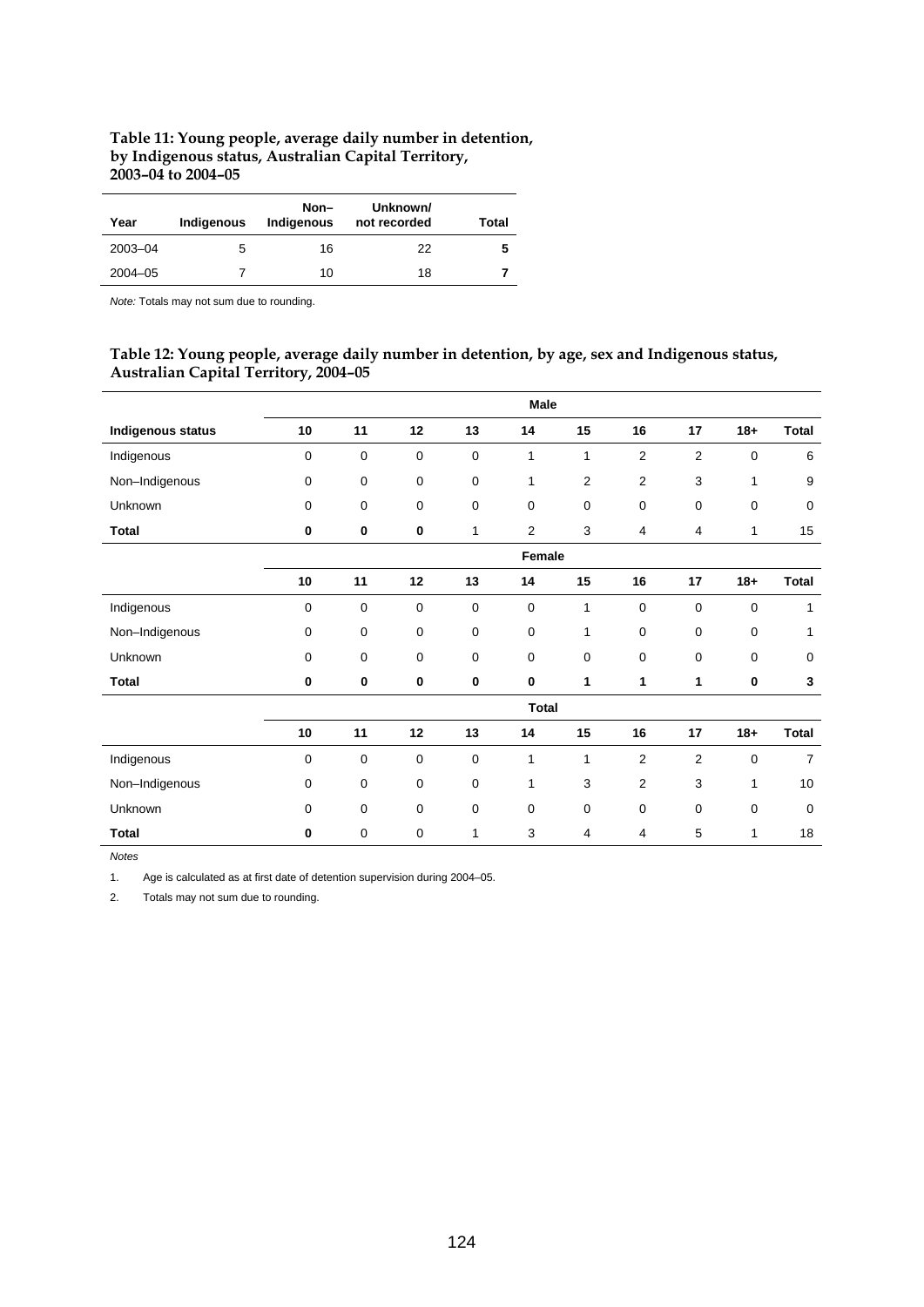## **Table 11: Young people, average daily number in detention, by Indigenous status, Australian Capital Territory, 2003–04 to 2004–05**

| Year        | Indigenous | Non-<br>Indigenous | Unknown/<br>not recorded | Total |
|-------------|------------|--------------------|--------------------------|-------|
| 2003-04     | 5          | 16                 | 22                       | 5     |
| $2004 - 05$ |            | 10                 | 18                       |       |

*Note:* Totals may not sum due to rounding.

## **Table 12: Young people, average daily number in detention, by age, sex and Indigenous status, Australian Capital Territory, 2004–05**

|                          |             |    |             |             | Male           |                |                |                |          |                |
|--------------------------|-------------|----|-------------|-------------|----------------|----------------|----------------|----------------|----------|----------------|
| <b>Indigenous status</b> | 10          | 11 | 12          | 13          | 14             | 15             | 16             | 17             | $18 +$   | <b>Total</b>   |
| Indigenous               | 0           | 0  | $\mathbf 0$ | 0           | $\mathbf{1}$   | 1              | $\overline{2}$ | $\overline{2}$ | 0        | 6              |
| Non-Indigenous           | 0           | 0  | 0           | 0           | 1              | $\overline{2}$ | 2              | 3              | 1        | 9              |
| Unknown                  | $\mathbf 0$ | 0  | 0           | 0           | $\mathbf 0$    | $\mathbf 0$    | 0              | 0              | 0        | $\mathbf 0$    |
| <b>Total</b>             | 0           | 0  | 0           | 1           | $\overline{2}$ | 3              | 4              | 4              | 1        | 15             |
|                          |             |    |             |             | Female         |                |                |                |          |                |
|                          | 10          | 11 | 12          | 13          | 14             | $15\,$         | 16             | 17             | $18 +$   | <b>Total</b>   |
| Indigenous               | 0           | 0  | 0           | 0           | $\mathbf 0$    | 1              | 0              | $\mathbf 0$    | 0        | 1              |
| Non-Indigenous           | 0           | 0  | 0           | 0           | $\mathbf 0$    | 1              | 0              | 0              | 0        | 1              |
| Unknown                  | 0           | 0  | 0           | $\mathbf 0$ | $\mathbf 0$    | $\pmb{0}$      | 0              | 0              | 0        | $\mathbf 0$    |
| <b>Total</b>             | 0           | 0  | 0           | $\bf{0}$    | $\bf{0}$       | 1              | 1              | 1              | $\bf{0}$ | 3              |
|                          |             |    |             |             | <b>Total</b>   |                |                |                |          |                |
|                          | 10          | 11 | 12          | 13          | 14             | 15             | 16             | 17             | $18 +$   | <b>Total</b>   |
| Indigenous               | 0           | 0  | $\mathbf 0$ | 0           | 1              | 1              | 2              | $\overline{2}$ | 0        | $\overline{7}$ |
| Non-Indigenous           | $\mathbf 0$ | 0  | 0           | $\mathbf 0$ | 1              | 3              | $\overline{2}$ | 3              | 1        | 10             |
| Unknown                  | $\mathbf 0$ | 0  | $\mathbf 0$ | $\mathbf 0$ | $\mathbf 0$    | $\mathbf 0$    | $\mathbf 0$    | $\mathbf 0$    | 0        | $\mathbf 0$    |
| <b>Total</b>             | $\mathbf 0$ | 0  | $\mathbf 0$ | 1           | 3              | 4              | 4              | 5              | 1        | 18             |

*Notes*

1. Age is calculated as at first date of detention supervision during 2004–05.

2. Totals may not sum due to rounding.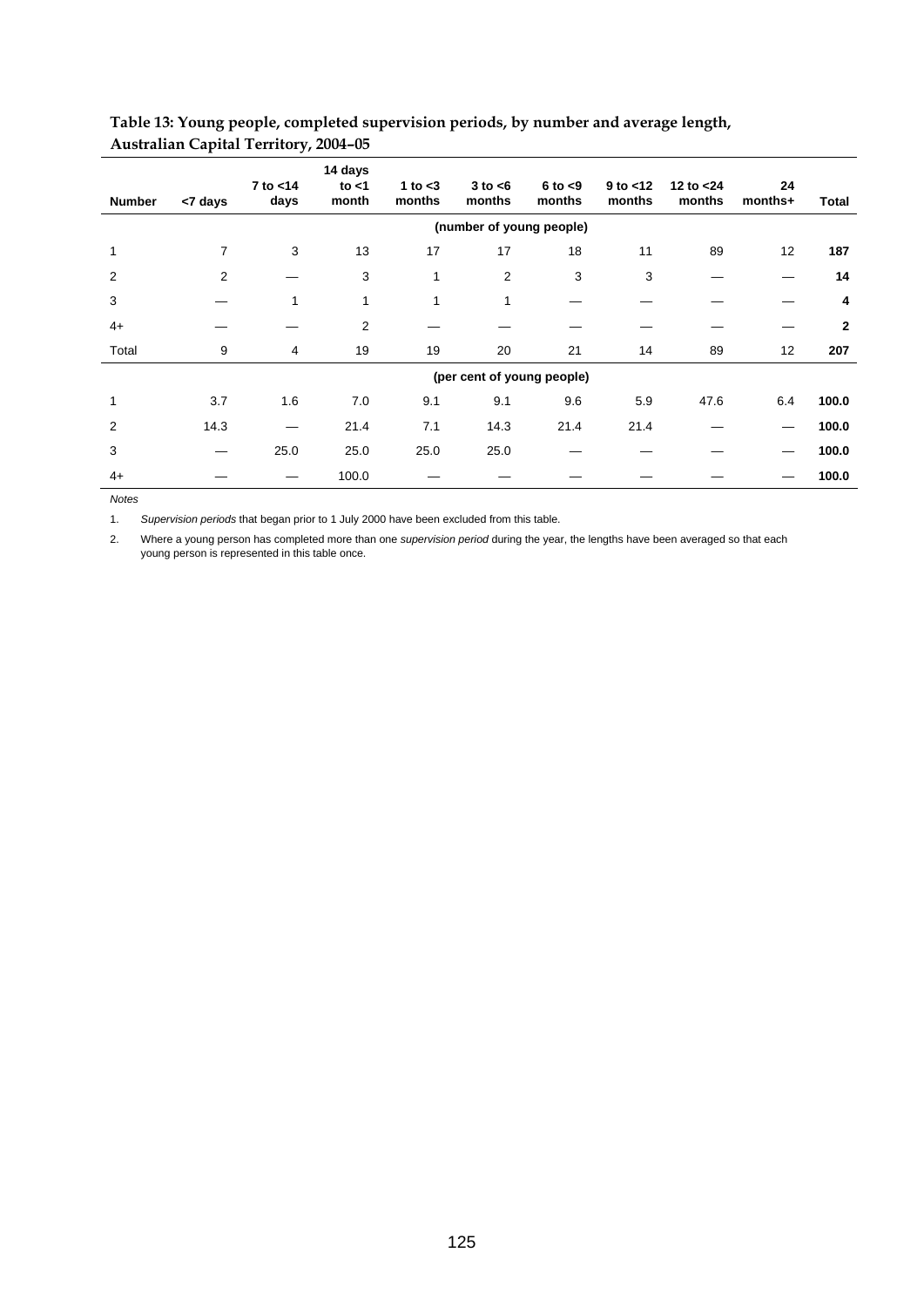| <b>Number</b> | <7 days        | 7 to <14<br>days | 14 days<br>to $<$ 1<br>month | 1 to $<$ 3<br>months | $3$ to $<$ 6<br>months   | $6$ to $< 9$<br>months     | $9$ to $<$ 12<br>months | 12 to $<$ 24<br>months | 24<br>months+ | Total          |
|---------------|----------------|------------------|------------------------------|----------------------|--------------------------|----------------------------|-------------------------|------------------------|---------------|----------------|
|               |                |                  |                              |                      | (number of young people) |                            |                         |                        |               |                |
|               | $\overline{7}$ | 3                | 13                           | 17                   | 17                       | 18                         | 11                      | 89                     | 12            | 187            |
| 2             | 2              |                  | 3                            | 1                    | $\overline{2}$           | 3                          | 3                       |                        |               | 14             |
| 3             |                | 1                | 1                            | 1                    | 1                        |                            |                         |                        |               | 4              |
| $4+$          |                |                  | 2                            |                      |                          |                            |                         |                        |               | $\overline{2}$ |
| Total         | 9              | $\overline{4}$   | 19                           | 19                   | 20                       | 21                         | 14                      | 89                     | 12            | 207            |
|               |                |                  |                              |                      |                          | (per cent of young people) |                         |                        |               |                |
|               | 3.7            | 1.6              | 7.0                          | 9.1                  | 9.1                      | 9.6                        | 5.9                     | 47.6                   | 6.4           | 100.0          |
| 2             | 14.3           |                  | 21.4                         | 7.1                  | 14.3                     | 21.4                       | 21.4                    |                        |               | 100.0          |
| 3             |                | 25.0             | 25.0                         | 25.0                 | 25.0                     |                            |                         |                        |               | 100.0          |
| $4+$          |                |                  | 100.0                        |                      |                          |                            |                         |                        |               | 100.0          |

## **Table 13: Young people, completed supervision periods, by number and average length, Australian Capital Territory, 2004–05**

*Notes* 

1. *Supervision periods* that began prior to 1 July 2000 have been excluded from this table.

2. Where a young person has completed more than one *supervision period* during the year, the lengths have been averaged so that each young person is represented in this table once.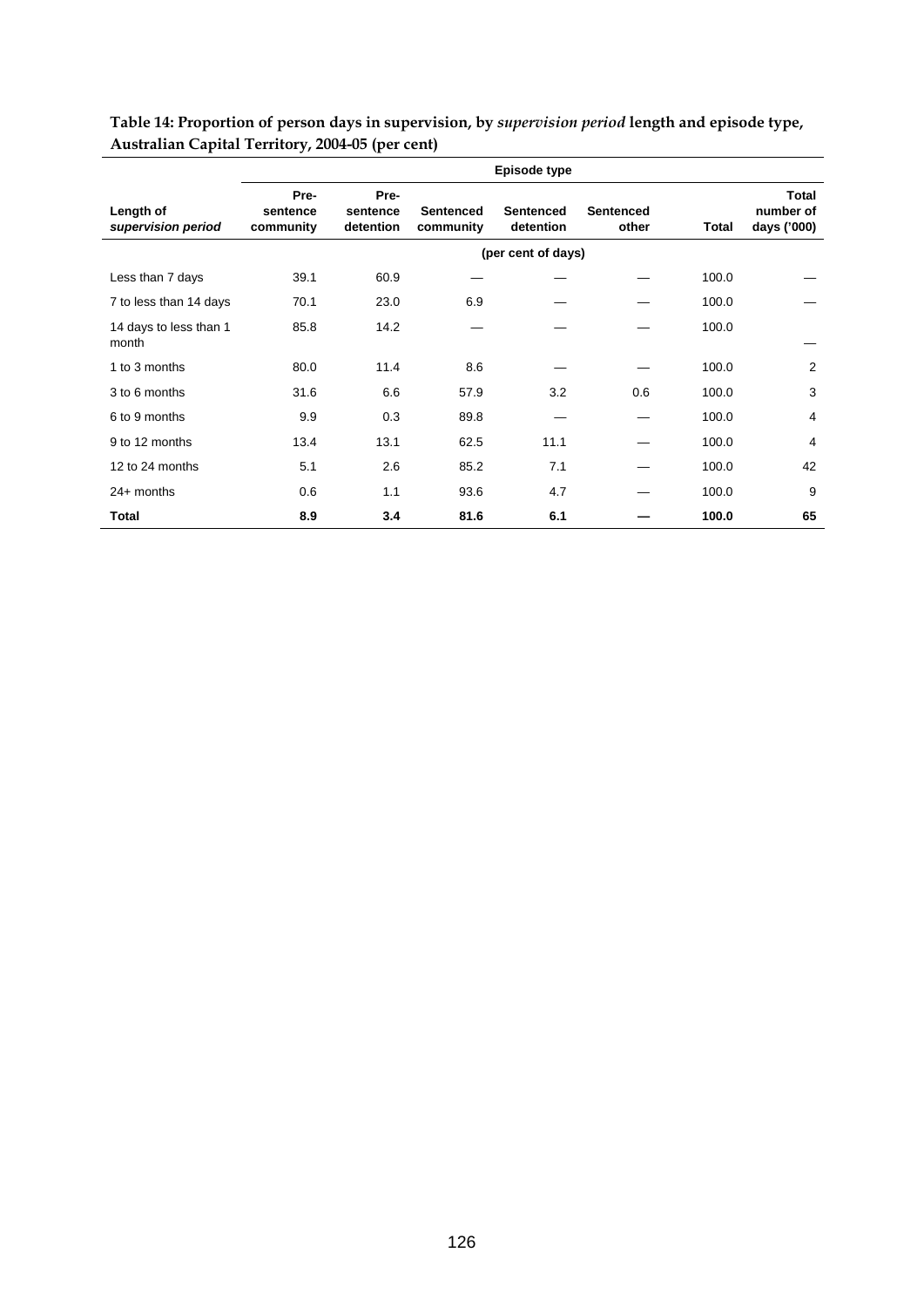|                                 | Episode type                  |                               |                               |                               |                           |       |                                          |  |  |
|---------------------------------|-------------------------------|-------------------------------|-------------------------------|-------------------------------|---------------------------|-------|------------------------------------------|--|--|
| Length of<br>supervision period | Pre-<br>sentence<br>community | Pre-<br>sentence<br>detention | <b>Sentenced</b><br>community | <b>Sentenced</b><br>detention | <b>Sentenced</b><br>other | Total | <b>Total</b><br>number of<br>days ('000) |  |  |
|                                 |                               |                               |                               | (per cent of days)            |                           |       |                                          |  |  |
| Less than 7 days                | 39.1                          | 60.9                          |                               |                               |                           | 100.0 |                                          |  |  |
| 7 to less than 14 days          | 70.1                          | 23.0                          | 6.9                           |                               |                           | 100.0 |                                          |  |  |
| 14 days to less than 1<br>month | 85.8                          | 14.2                          |                               |                               |                           | 100.0 |                                          |  |  |
| 1 to 3 months                   | 80.0                          | 11.4                          | 8.6                           |                               |                           | 100.0 | $\overline{2}$                           |  |  |
| 3 to 6 months                   | 31.6                          | 6.6                           | 57.9                          | 3.2                           | 0.6                       | 100.0 | 3                                        |  |  |
| 6 to 9 months                   | 9.9                           | 0.3                           | 89.8                          |                               |                           | 100.0 | 4                                        |  |  |
| 9 to 12 months                  | 13.4                          | 13.1                          | 62.5                          | 11.1                          |                           | 100.0 | 4                                        |  |  |
| 12 to 24 months                 | 5.1                           | 2.6                           | 85.2                          | 7.1                           |                           | 100.0 | 42                                       |  |  |
| $24+$ months                    | 0.6                           | 1.1                           | 93.6                          | 4.7                           |                           | 100.0 | 9                                        |  |  |
| Total                           | 8.9                           | 3.4                           | 81.6                          | 6.1                           |                           | 100.0 | 65                                       |  |  |

**Table 14: Proportion of person days in supervision, by** *supervision period* **length and episode type, Australian Capital Territory, 2004-05 (per cent)**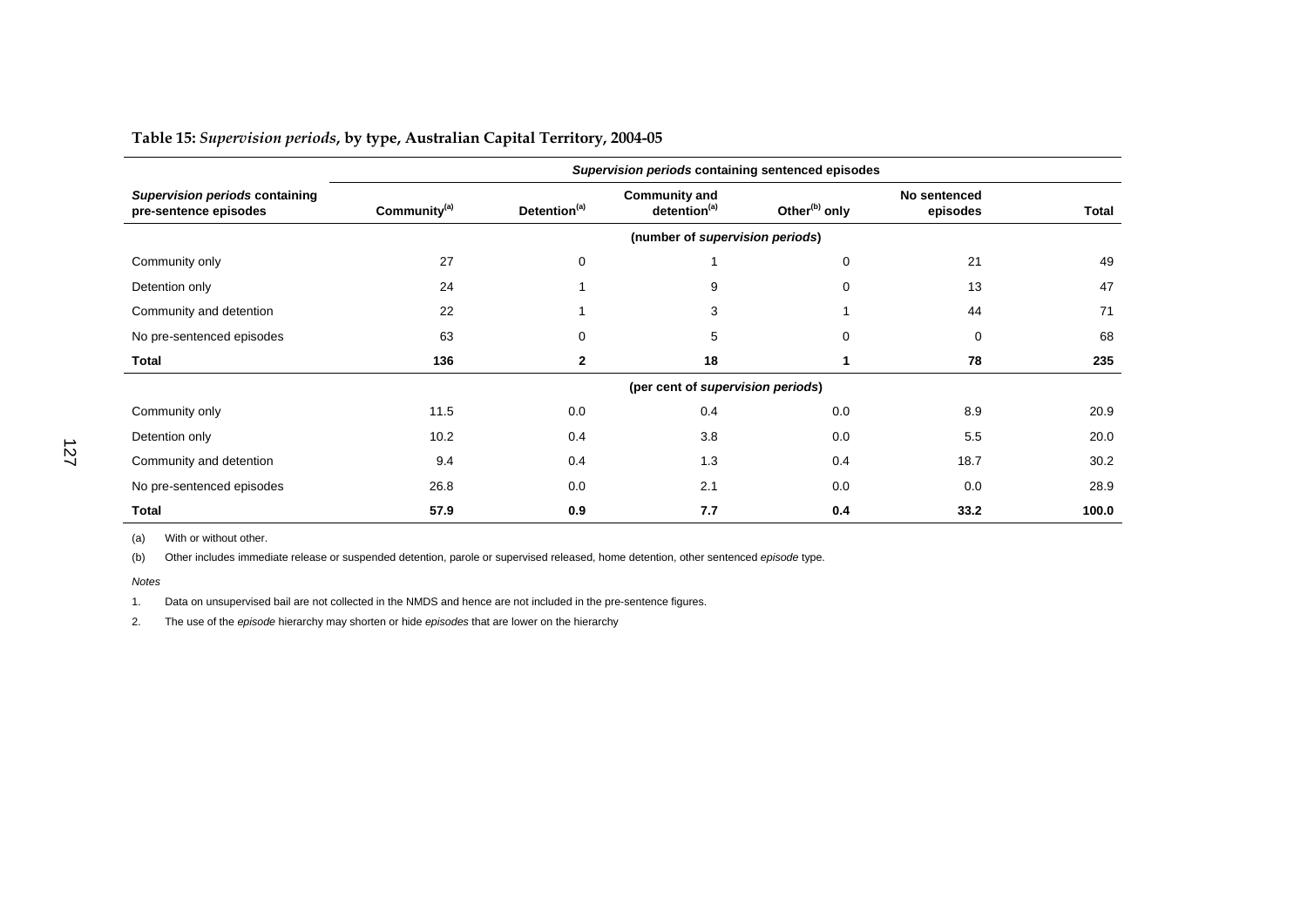**Table 15:** *Supervision periods***, by type, Australian Capital Territory, 2004-05** 

|                                                         | Supervision periods containing sentenced episodes |                                 |                                                  |                           |                          |       |  |  |  |
|---------------------------------------------------------|---------------------------------------------------|---------------------------------|--------------------------------------------------|---------------------------|--------------------------|-------|--|--|--|
| Supervision periods containing<br>pre-sentence episodes | Community <sup>(a)</sup>                          | Detention <sup>(a)</sup>        | <b>Community and</b><br>detention <sup>(a)</sup> | Other <sup>(b)</sup> only | No sentenced<br>episodes | Total |  |  |  |
|                                                         |                                                   | (number of supervision periods) |                                                  |                           |                          |       |  |  |  |
| Community only                                          | 27                                                | 0                               |                                                  | 0                         | 21                       | 49    |  |  |  |
| Detention only                                          | 24                                                |                                 | 9                                                | $\Omega$                  | 13                       | 47    |  |  |  |
| Community and detention                                 | 22                                                |                                 | 3                                                |                           | 44                       | 71    |  |  |  |
| No pre-sentenced episodes                               | 63                                                | 0                               | 5                                                | 0                         | $\Omega$                 | 68    |  |  |  |
| <b>Total</b>                                            | 136                                               | $\mathbf{2}$                    | 18                                               |                           | 78                       | 235   |  |  |  |
|                                                         |                                                   |                                 | (per cent of supervision periods)                |                           |                          |       |  |  |  |
| Community only                                          | 11.5                                              | 0.0                             | 0.4                                              | 0.0                       | 8.9                      | 20.9  |  |  |  |
| Detention only                                          | 10.2                                              | 0.4                             | 3.8                                              | 0.0                       | 5.5                      | 20.0  |  |  |  |
| Community and detention                                 | 9.4                                               | 0.4                             | 1.3                                              | 0.4                       | 18.7                     | 30.2  |  |  |  |
| No pre-sentenced episodes                               | 26.8                                              | 0.0                             | 2.1                                              | 0.0                       | 0.0                      | 28.9  |  |  |  |
| <b>Total</b>                                            | 57.9                                              | 0.9                             | 7.7                                              | 0.4                       | 33.2                     | 100.0 |  |  |  |

(a) With or without other.

(b) Other includes immediate release or suspended detention, parole or supervised released, home detention, other sentenced *episode* type.

*Notes* 

1. Data on unsupervised bail are not collected in the NMDS and hence are not included in the pre-sentence figures.

2. The use of the *episode* hierarchy may shorten or hide *episodes* that are lower on the hierarchy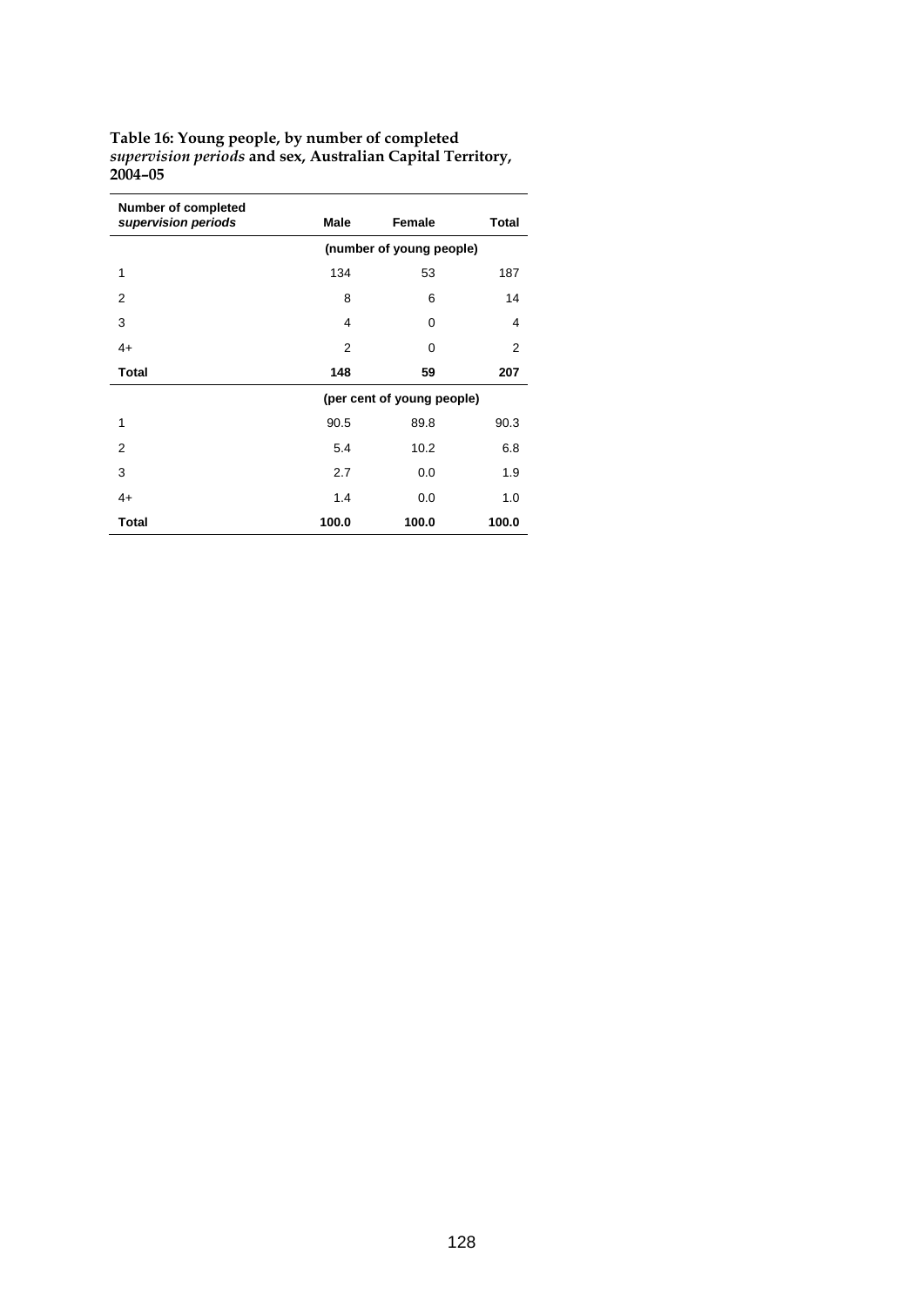| Table 16: Young people, by number of completed             |
|------------------------------------------------------------|
| supervision periods and sex, Australian Capital Territory, |
| 2004-05                                                    |

| <b>Number of completed</b><br>supervision periods | <b>Male</b>    | Female                     | <b>Total</b> |
|---------------------------------------------------|----------------|----------------------------|--------------|
|                                                   |                | (number of young people)   |              |
| 1                                                 | 134            | 53                         | 187          |
| $\overline{2}$                                    | 8              | 6                          | 14           |
| 3                                                 | 4              | 0                          | 4            |
| $4+$                                              | $\overline{2}$ | 0                          | 2            |
| <b>Total</b>                                      | 148            | 59                         | 207          |
|                                                   |                | (per cent of young people) |              |
| 1                                                 | 90.5           | 89.8                       | 90.3         |
| 2                                                 | 5.4            | 10.2                       | 6.8          |
| 3                                                 | 2.7            | 0.0                        | 1.9          |
| $4+$                                              | 1.4            | 0.0                        | 1.0          |
| Total                                             | 100.0          | 100.0                      | 100.0        |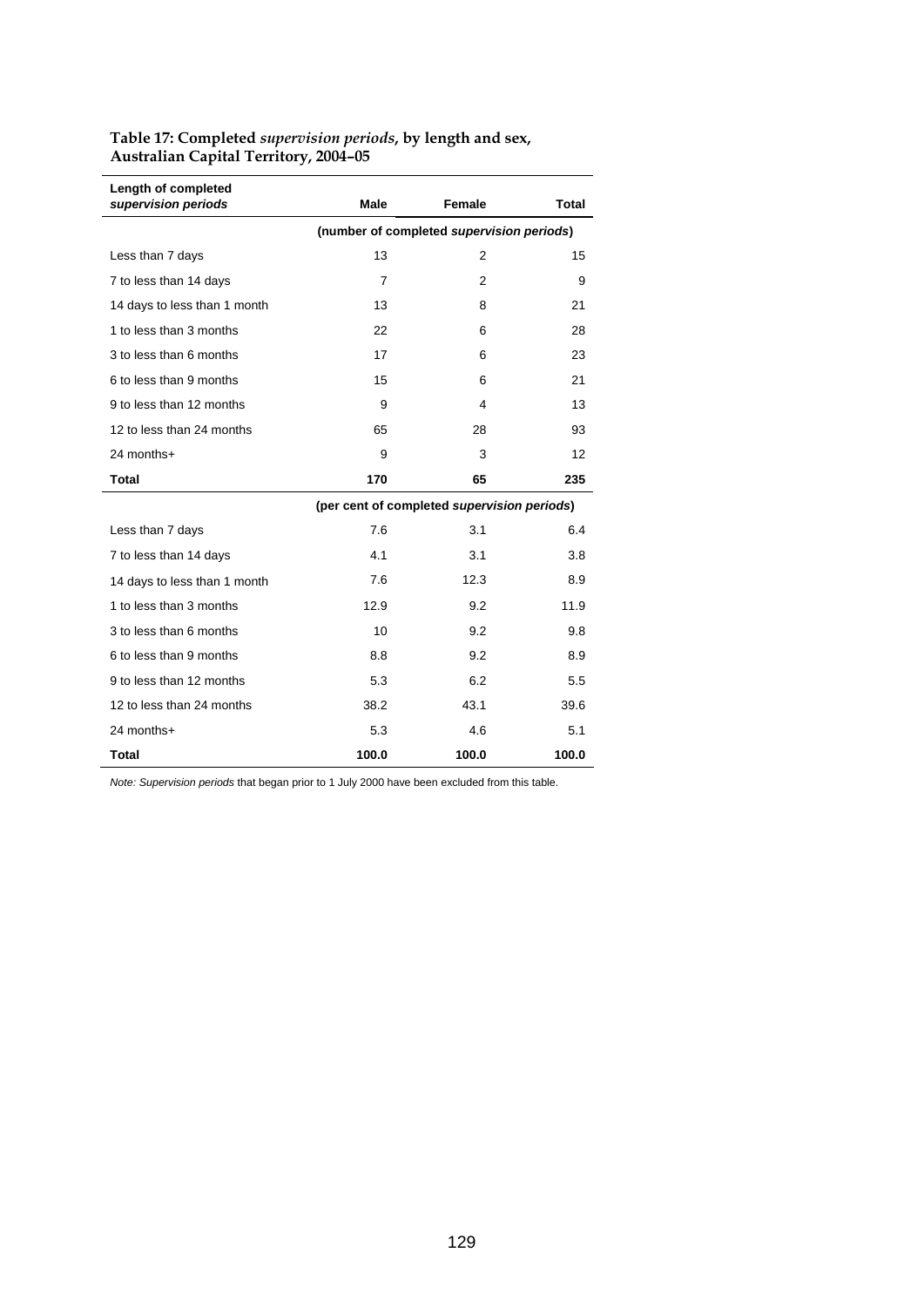| Table 17: Completed <i>supervision periods</i> , by length and sex, |  |
|---------------------------------------------------------------------|--|
| <b>Australian Capital Territory, 2004-05</b>                        |  |

| Length of completed<br>supervision periods | Male                                      | <b>Female</b>                               | <b>Total</b> |  |  |  |  |  |
|--------------------------------------------|-------------------------------------------|---------------------------------------------|--------------|--|--|--|--|--|
|                                            | (number of completed supervision periods) |                                             |              |  |  |  |  |  |
| Less than 7 days                           | 13                                        | $\overline{2}$                              | 15           |  |  |  |  |  |
| 7 to less than 14 days                     | 7                                         | 2                                           | 9            |  |  |  |  |  |
| 14 days to less than 1 month               | 13                                        | 8                                           | 21           |  |  |  |  |  |
| 1 to less than 3 months                    | 22                                        | 6                                           | 28           |  |  |  |  |  |
| 3 to less than 6 months                    | 17                                        | 6                                           | 23           |  |  |  |  |  |
| 6 to less than 9 months                    | 15                                        | 6                                           | 21           |  |  |  |  |  |
| 9 to less than 12 months                   | 9                                         | 4                                           | 13           |  |  |  |  |  |
| 12 to less than 24 months                  | 65                                        | 28                                          | 93           |  |  |  |  |  |
| 24 months+                                 | 9                                         | 3                                           | 12           |  |  |  |  |  |
| <b>Total</b>                               | 170                                       | 65                                          | 235          |  |  |  |  |  |
|                                            |                                           | (per cent of completed supervision periods) |              |  |  |  |  |  |
| Less than 7 days                           | 7.6                                       | 3.1                                         | 6.4          |  |  |  |  |  |
| 7 to less than 14 days                     | 4.1                                       | 3.1                                         | 3.8          |  |  |  |  |  |
| 14 days to less than 1 month               | 7.6                                       | 12.3                                        | 8.9          |  |  |  |  |  |
| 1 to less than 3 months                    | 12.9                                      | 9.2                                         | 11.9         |  |  |  |  |  |
| 3 to less than 6 months                    | 10                                        | 9.2                                         | 9.8          |  |  |  |  |  |
| 6 to less than 9 months                    | 8.8                                       | 9.2                                         | 8.9          |  |  |  |  |  |
| 9 to less than 12 months                   | 5.3                                       | 6.2                                         | 5.5          |  |  |  |  |  |
| 12 to less than 24 months                  | 38.2                                      | 43.1                                        | 39.6         |  |  |  |  |  |
| 24 months+                                 | 5.3                                       | 4.6                                         | 5.1          |  |  |  |  |  |
| <b>Total</b>                               | 100.0                                     | 100.0                                       | 100.0        |  |  |  |  |  |

*Note: Supervision periods* that began prior to 1 July 2000 have been excluded from this table.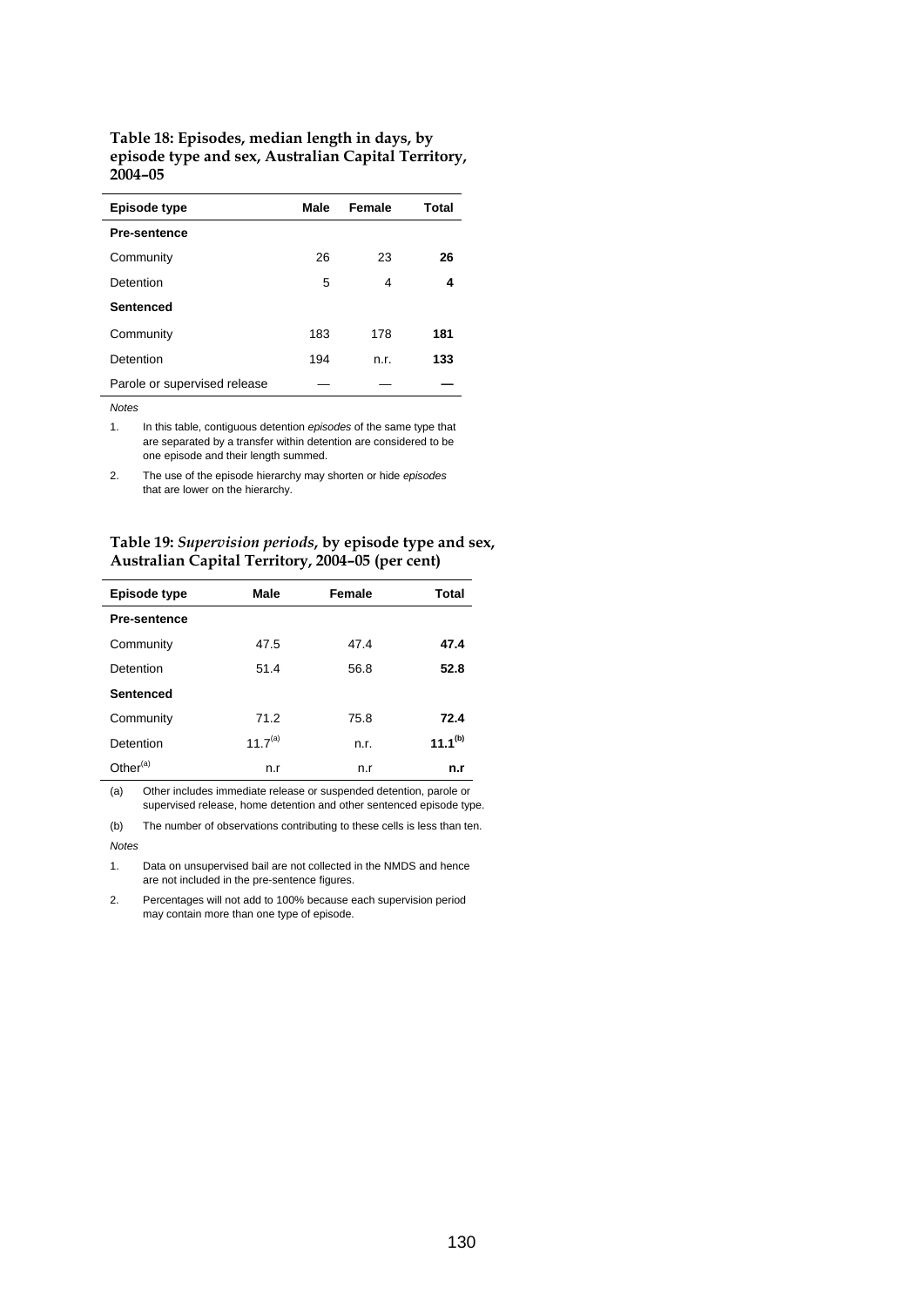#### **Table 18: Episodes, median length in days, by episode type and sex, Australian Capital Territory, 2004–05**

| Episode type                 | Male | Female | Total |
|------------------------------|------|--------|-------|
| <b>Pre-sentence</b>          |      |        |       |
| Community                    | 26   | 23     | 26    |
| Detention                    | 5    | 4      | 4     |
| Sentenced                    |      |        |       |
| Community                    | 183  | 178    | 181   |
| Detention                    | 194  | n.r.   | 133   |
| Parole or supervised release |      |        |       |

*Notes* 

 $\overline{\phantom{a}}$ 

1. In this table, contiguous detention *episodes* of the same type that are separated by a transfer within detention are considered to be one episode and their length summed.

2. The use of the episode hierarchy may shorten or hide *episodes* that are lower on the hierarchy.

## **Table 19:** *Supervision periods***, by episode type and sex, Australian Capital Territory, 2004–05 (per cent)**

| <b>Episode type</b>  | Male                | Female | Total        |
|----------------------|---------------------|--------|--------------|
| <b>Pre-sentence</b>  |                     |        |              |
| Community            | 47.5                | 47.4   | 47.4         |
| Detention            | 51.4                | 56.8   | 52.8         |
| <b>Sentenced</b>     |                     |        |              |
| Community            | 71.2                | 75.8   | 72.4         |
| Detention            | 11.7 <sup>(a)</sup> | n.r.   | $11.1^{(b)}$ |
| Other <sup>(a)</sup> | n.r                 | n.r    | n.r          |

(a) Other includes immediate release or suspended detention, parole or supervised release, home detention and other sentenced episode type.

(b) The number of observations contributing to these cells is less than ten. *Notes* 

1. Data on unsupervised bail are not collected in the NMDS and hence are not included in the pre-sentence figures.

2. Percentages will not add to 100% because each supervision period may contain more than one type of episode.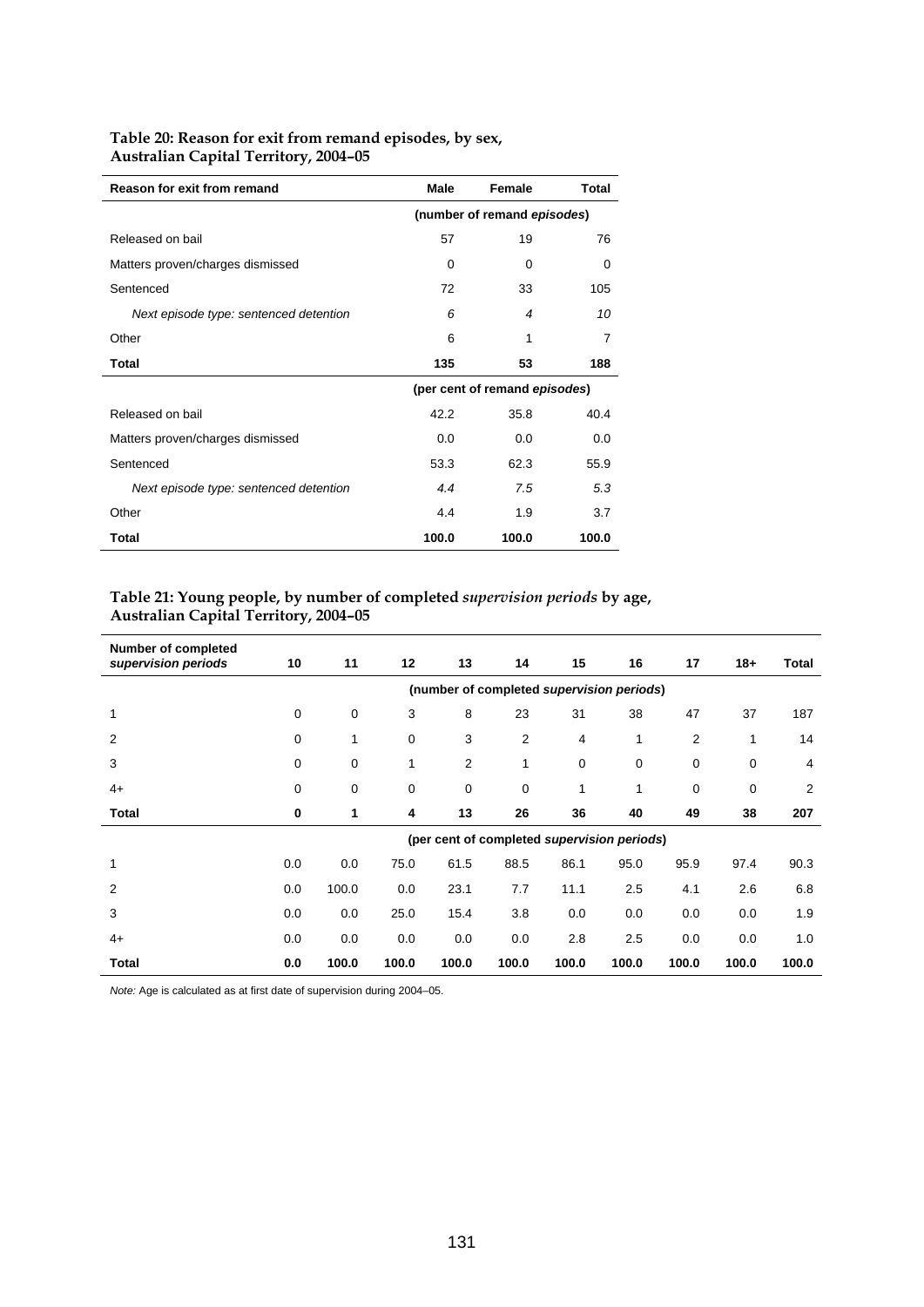| Reason for exit from remand            | Male  | Female                        | Total |  |  |  |
|----------------------------------------|-------|-------------------------------|-------|--|--|--|
|                                        |       | (number of remand episodes)   |       |  |  |  |
| Released on bail                       | 57    | 19                            | 76    |  |  |  |
| Matters proven/charges dismissed       | 0     | 0                             | 0     |  |  |  |
| Sentenced                              | 72    | 33                            | 105   |  |  |  |
| Next episode type: sentenced detention | 6     | 4                             | 10    |  |  |  |
| Other                                  | 6     | 1                             | 7     |  |  |  |
| Total                                  | 135   | 53                            | 188   |  |  |  |
|                                        |       | (per cent of remand episodes) |       |  |  |  |
| Released on bail                       | 42.2  | 35.8                          | 40.4  |  |  |  |
| Matters proven/charges dismissed       | 0.0   | 0.0                           | 0.0   |  |  |  |
| Sentenced                              | 53.3  | 62.3                          | 55.9  |  |  |  |
| Next episode type: sentenced detention | 4.4   | 7.5                           | 5.3   |  |  |  |
| Other                                  | 4.4   | 1.9                           | 3.7   |  |  |  |
| Total                                  | 100.0 | 100.0                         | 100.0 |  |  |  |

## **Table 20: Reason for exit from remand episodes, by sex, Australian Capital Territory, 2004–05**

## **Table 21: Young people, by number of completed** *supervision periods* **by age, Australian Capital Territory, 2004–05**

| <b>Number of completed</b><br>supervision periods | 10                                        | 11    | 12    | 13             | 14          | 15                                          | 16          | 17    | $18 +$      | Total |  |  |
|---------------------------------------------------|-------------------------------------------|-------|-------|----------------|-------------|---------------------------------------------|-------------|-------|-------------|-------|--|--|
|                                                   | (number of completed supervision periods) |       |       |                |             |                                             |             |       |             |       |  |  |
| 1                                                 | 0                                         | 0     | 3     | 8              | 23          | 31                                          | 38          | 47    | 37          | 187   |  |  |
| $\overline{2}$                                    | 0                                         | 1     | 0     | 3              | 2           | 4                                           | 1           | 2     | 1           | 14    |  |  |
| 3                                                 | 0                                         | 0     | 1     | $\overline{2}$ | 1           | $\mathbf 0$                                 | $\mathbf 0$ | 0     | 0           | 4     |  |  |
| $4+$                                              | 0                                         | 0     | 0     | 0              | $\mathbf 0$ | 1                                           | 1           | 0     | $\mathbf 0$ | 2     |  |  |
| Total                                             | $\bf{0}$                                  | 1     | 4     | 13             | 26          | 36                                          | 40          | 49    | 38          | 207   |  |  |
|                                                   |                                           |       |       |                |             | (per cent of completed supervision periods) |             |       |             |       |  |  |
| 1                                                 | 0.0                                       | 0.0   | 75.0  | 61.5           | 88.5        | 86.1                                        | 95.0        | 95.9  | 97.4        | 90.3  |  |  |
| 2                                                 | 0.0                                       | 100.0 | 0.0   | 23.1           | 7.7         | 11.1                                        | 2.5         | 4.1   | 2.6         | 6.8   |  |  |
| 3                                                 | 0.0                                       | 0.0   | 25.0  | 15.4           | 3.8         | 0.0                                         | 0.0         | 0.0   | 0.0         | 1.9   |  |  |
| $4+$                                              | 0.0                                       | 0.0   | 0.0   | 0.0            | 0.0         | 2.8                                         | 2.5         | 0.0   | 0.0         | 1.0   |  |  |
| Total                                             | 0.0                                       | 100.0 | 100.0 | 100.0          | 100.0       | 100.0                                       | 100.0       | 100.0 | 100.0       | 100.0 |  |  |

*Note:* Age is calculated as at first date of supervision during 2004–05.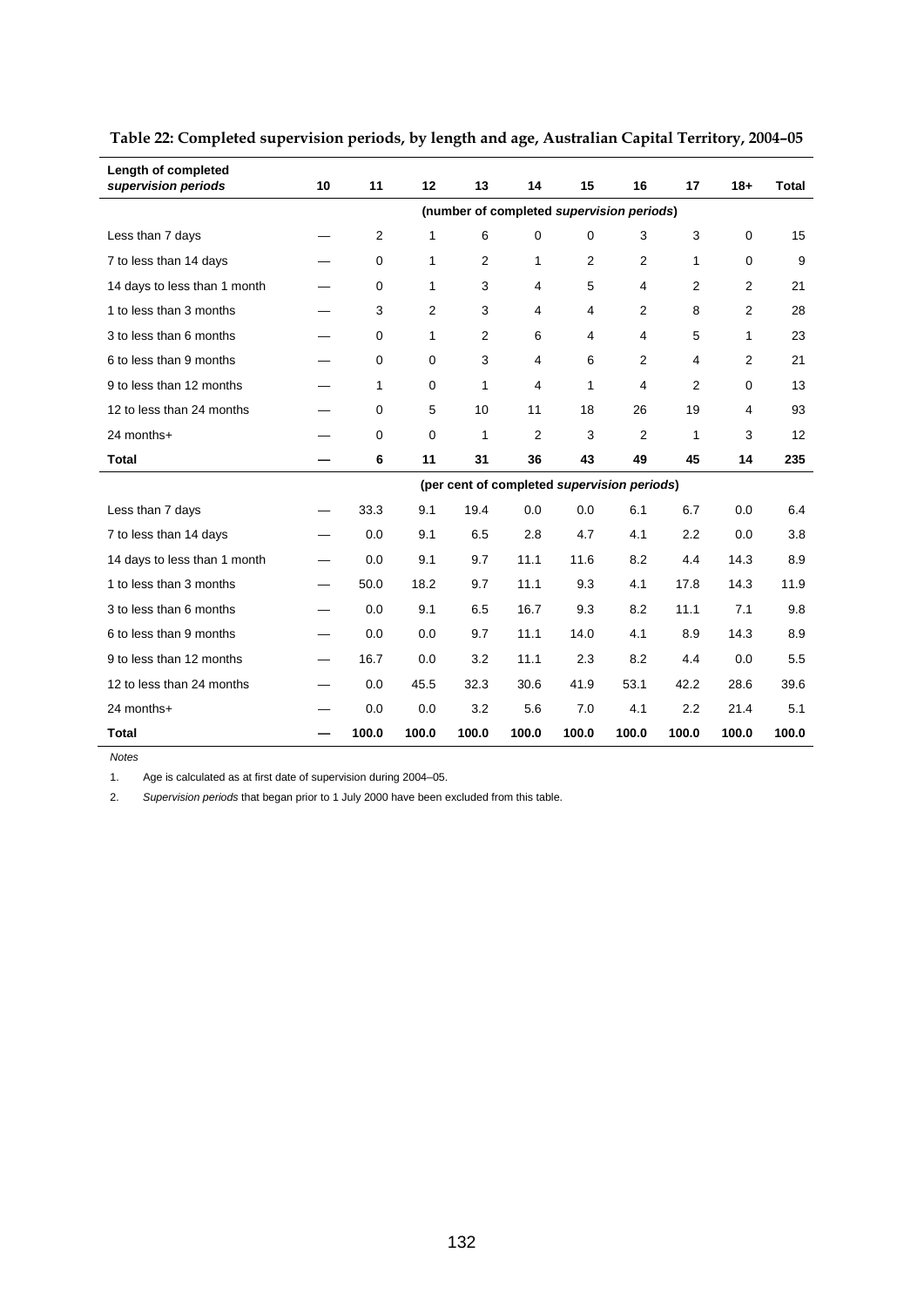| Length of completed<br>supervision periods | 10                                        | 11          | 12       | 13             | 14                                          | 15             | 16             | 17             | $18 +$         | Total |  |  |  |  |
|--------------------------------------------|-------------------------------------------|-------------|----------|----------------|---------------------------------------------|----------------|----------------|----------------|----------------|-------|--|--|--|--|
|                                            | (number of completed supervision periods) |             |          |                |                                             |                |                |                |                |       |  |  |  |  |
| Less than 7 days                           |                                           | 2           | 1        | 6              | 0                                           | 0              | 3              | 3              | 0              | 15    |  |  |  |  |
| 7 to less than 14 days                     |                                           | $\mathbf 0$ | 1        | $\overline{2}$ | 1                                           | $\overline{2}$ | $\overline{2}$ | 1              | 0              | 9     |  |  |  |  |
| 14 days to less than 1 month               |                                           | $\mathbf 0$ | 1        | 3              | 4                                           | 5              | 4              | $\overline{2}$ | $\overline{2}$ | 21    |  |  |  |  |
| 1 to less than 3 months                    |                                           | 3           | 2        | 3              | 4                                           | 4              | 2              | 8              | 2              | 28    |  |  |  |  |
| 3 to less than 6 months                    |                                           | $\Omega$    | 1        | 2              | 6                                           | 4              | 4              | 5              | $\mathbf{1}$   | 23    |  |  |  |  |
| 6 to less than 9 months                    |                                           | $\Omega$    | $\Omega$ | 3              | 4                                           | 6              | 2              | 4              | $\overline{2}$ | 21    |  |  |  |  |
| 9 to less than 12 months                   |                                           | 1           | 0        | 1              | 4                                           | 1              | 4              | 2              | 0              | 13    |  |  |  |  |
| 12 to less than 24 months                  |                                           | $\mathbf 0$ | 5        | 10             | 11                                          | 18             | 26             | 19             | 4              | 93    |  |  |  |  |
| 24 months+                                 |                                           | $\mathbf 0$ | 0        | $\mathbf{1}$   | $\overline{2}$                              | 3              | $\overline{2}$ | 1              | 3              | 12    |  |  |  |  |
| <b>Total</b>                               |                                           | 6           | 11       | 31             | 36                                          | 43             | 49             | 45             | 14             | 235   |  |  |  |  |
|                                            |                                           |             |          |                | (per cent of completed supervision periods) |                |                |                |                |       |  |  |  |  |
| Less than 7 days                           | —                                         | 33.3        | 9.1      | 19.4           | 0.0                                         | 0.0            | 6.1            | 6.7            | 0.0            | 6.4   |  |  |  |  |
| 7 to less than 14 days                     |                                           | 0.0         | 9.1      | 6.5            | 2.8                                         | 4.7            | 4.1            | 2.2            | 0.0            | 3.8   |  |  |  |  |
| 14 days to less than 1 month               | —                                         | 0.0         | 9.1      | 9.7            | 11.1                                        | 11.6           | 8.2            | 4.4            | 14.3           | 8.9   |  |  |  |  |
| 1 to less than 3 months                    |                                           | 50.0        | 18.2     | 9.7            | 11.1                                        | 9.3            | 4.1            | 17.8           | 14.3           | 11.9  |  |  |  |  |
| 3 to less than 6 months                    | —                                         | 0.0         | 9.1      | 6.5            | 16.7                                        | 9.3            | 8.2            | 11.1           | 7.1            | 9.8   |  |  |  |  |
| 6 to less than 9 months                    |                                           | 0.0         | 0.0      | 9.7            | 11.1                                        | 14.0           | 4.1            | 8.9            | 14.3           | 8.9   |  |  |  |  |
| 9 to less than 12 months                   |                                           | 16.7        | 0.0      | 3.2            | 11.1                                        | 2.3            | 8.2            | 4.4            | 0.0            | 5.5   |  |  |  |  |
| 12 to less than 24 months                  | $\overline{\phantom{0}}$                  | 0.0         | 45.5     | 32.3           | 30.6                                        | 41.9           | 53.1           | 42.2           | 28.6           | 39.6  |  |  |  |  |
| 24 months+                                 |                                           | 0.0         | 0.0      | 3.2            | 5.6                                         | 7.0            | 4.1            | 2.2            | 21.4           | 5.1   |  |  |  |  |
| Total                                      |                                           | 100.0       | 100.0    | 100.0          | 100.0                                       | 100.0          | 100.0          | 100.0          | 100.0          | 100.0 |  |  |  |  |

**Table 22: Completed supervision periods, by length and age, Australian Capital Territory, 2004–05** 

*Notes* 

1. Age is calculated as at first date of supervision during 2004–05.

2. *Supervision periods* that began prior to 1 July 2000 have been excluded from this table.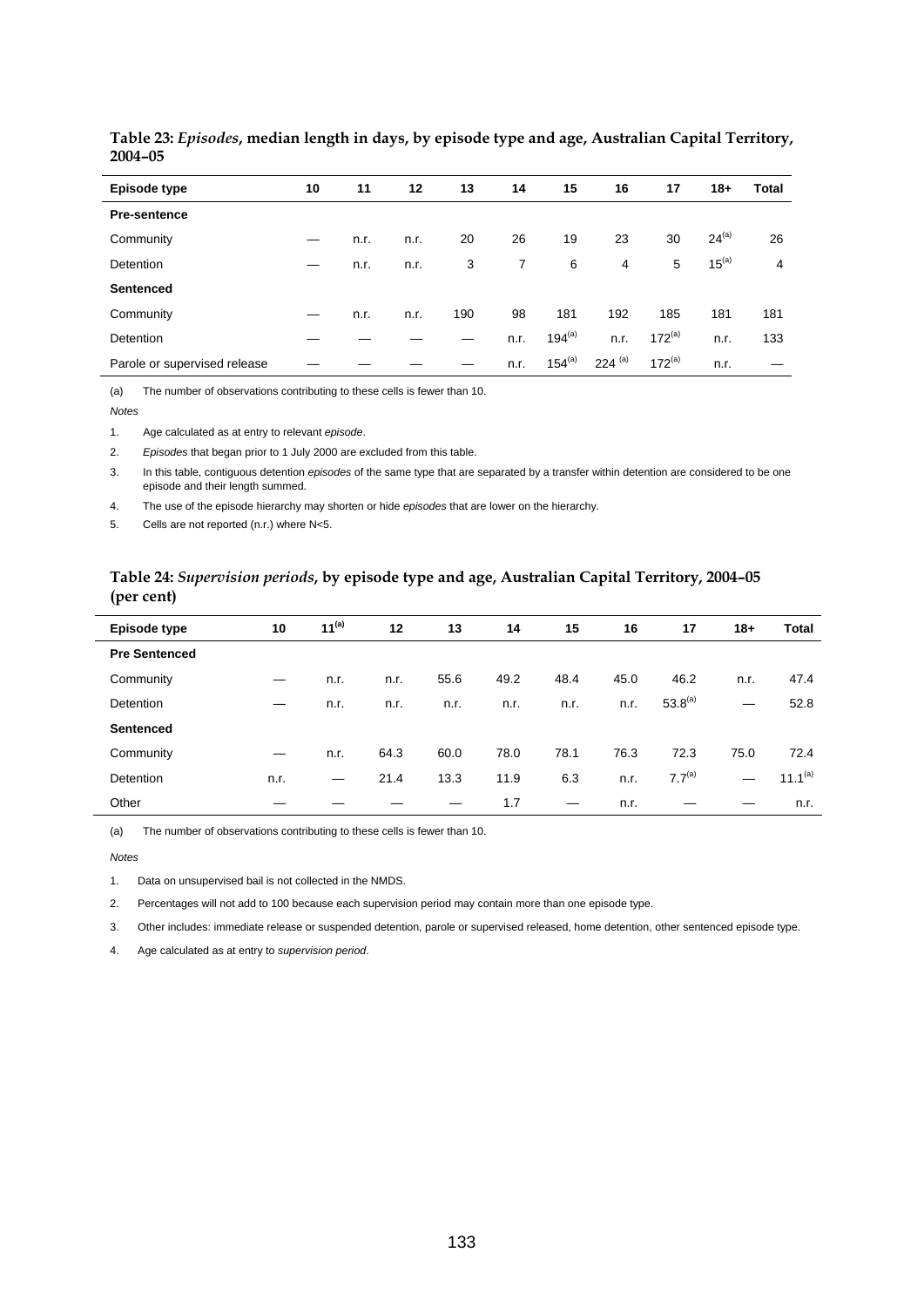| Episode type                 | 10 | 11   | 12   | 13  | 14   | 15          | 16             | 17          | $18+$      | Total |
|------------------------------|----|------|------|-----|------|-------------|----------------|-------------|------------|-------|
| <b>Pre-sentence</b>          |    |      |      |     |      |             |                |             |            |       |
| Community                    |    | n.r. | n.r. | 20  | 26   | 19          | 23             | 30          | $24^{(a)}$ | 26    |
| Detention                    | —  | n.r. | n.r. | 3   | 7    | 6           | $\overline{4}$ | 5           | $15^{(a)}$ | 4     |
| <b>Sentenced</b>             |    |      |      |     |      |             |                |             |            |       |
| Community                    |    | n.r. | n.r. | 190 | 98   | 181         | 192            | 185         | 181        | 181   |
| Detention                    |    |      |      |     | n.r. | $194^{(a)}$ | n.r.           | $172^{(a)}$ | n.r.       | 133   |
| Parole or supervised release |    |      |      |     | n.r. | $154^{(a)}$ | $224^{(a)}$    | $172^{(a)}$ | n.r.       |       |

#### **Table 23:** *Episodes***, median length in days, by episode type and age, Australian Capital Territory, 2004–05**

(a) The number of observations contributing to these cells is fewer than 10.

*Notes* 

1. Age calculated as at entry to relevant *episode*.

2. *Episodes* that began prior to 1 July 2000 are excluded from this table.

3. In this table, contiguous detention *episodes* of the same type that are separated by a transfer within detention are considered to be one episode and their length summed.

4. The use of the episode hierarchy may shorten or hide *episodes* that are lower on the hierarchy.

5. Cells are not reported (n.r.) where N<5.

#### **Table 24:** *Supervision periods***, by episode type and age, Australian Capital Territory, 2004–05 (per cent)**

| Episode type         | 10   | $11^{(a)}$ | 12   | 13   | 14   | 15   | 16   | 17           | $18+$ | Total               |
|----------------------|------|------------|------|------|------|------|------|--------------|-------|---------------------|
| <b>Pre Sentenced</b> |      |            |      |      |      |      |      |              |       |                     |
| Community            |      | n.r.       | n.r. | 55.6 | 49.2 | 48.4 | 45.0 | 46.2         | n.r.  | 47.4                |
| Detention            |      | n.r.       | n.r. | n.r. | n.r. | n.r. | n.r. | $53.8^{(a)}$ |       | 52.8                |
| <b>Sentenced</b>     |      |            |      |      |      |      |      |              |       |                     |
| Community            |      | n.r.       | 64.3 | 60.0 | 78.0 | 78.1 | 76.3 | 72.3         | 75.0  | 72.4                |
| Detention            | n.r. |            | 21.4 | 13.3 | 11.9 | 6.3  | n.r. | $7.7^{(a)}$  |       | 11.1 <sup>(a)</sup> |
| Other                |      |            |      |      | 1.7  |      | n.r. |              |       | n.r.                |

(a) The number of observations contributing to these cells is fewer than 10.

*Notes* 

1. Data on unsupervised bail is not collected in the NMDS.

2. Percentages will not add to 100 because each supervision period may contain more than one episode type.

3. Other includes: immediate release or suspended detention, parole or supervised released, home detention, other sentenced episode type.

4. Age calculated as at entry to *supervision period*.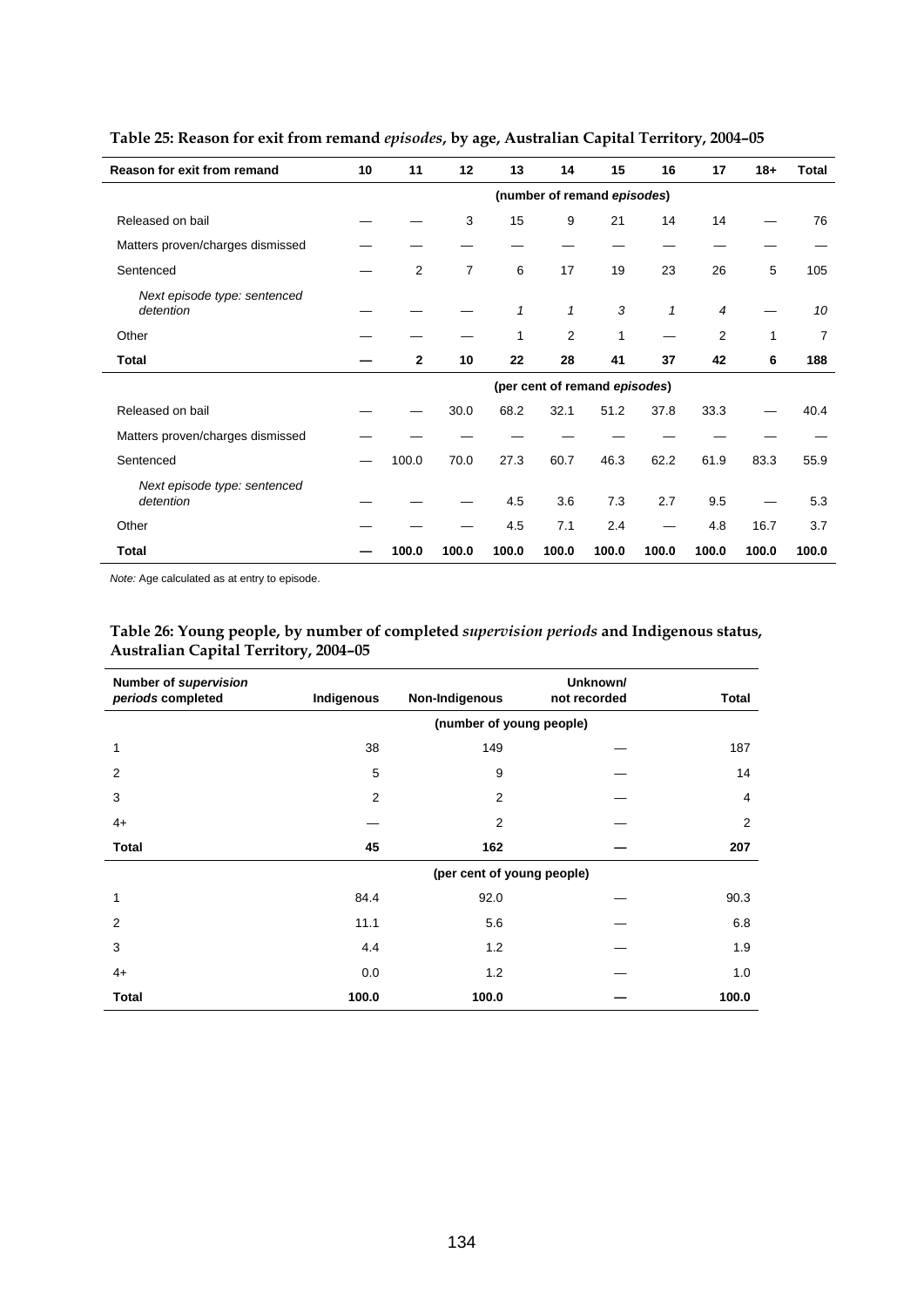| Reason for exit from remand               | 10 | 11             | 12    | 13           | 14                            | 15    | 16           | 17    | $18 +$ | Total |
|-------------------------------------------|----|----------------|-------|--------------|-------------------------------|-------|--------------|-------|--------|-------|
|                                           |    |                |       |              | (number of remand episodes)   |       |              |       |        |       |
| Released on bail                          |    |                | 3     | 15           | 9                             | 21    | 14           | 14    |        | 76    |
| Matters proven/charges dismissed          |    |                |       |              |                               |       |              |       |        |       |
| Sentenced                                 |    | $\overline{2}$ | 7     | 6            | 17                            | 19    | 23           | 26    | 5      | 105   |
| Next episode type: sentenced<br>detention |    |                |       | $\mathbf{1}$ | $\mathbf{1}$                  | 3     | $\mathbf{1}$ | 4     |        | 10    |
| Other                                     |    |                |       | 1            | 2                             | 1     |              | 2     | 1      | 7     |
| <b>Total</b>                              |    | $\mathbf{2}$   | 10    | 22           | 28                            | 41    | 37           | 42    | 6      | 188   |
|                                           |    |                |       |              | (per cent of remand episodes) |       |              |       |        |       |
| Released on bail                          |    |                | 30.0  | 68.2         | 32.1                          | 51.2  | 37.8         | 33.3  |        | 40.4  |
| Matters proven/charges dismissed          |    |                |       |              |                               |       |              |       |        |       |
| Sentenced                                 |    | 100.0          | 70.0  | 27.3         | 60.7                          | 46.3  | 62.2         | 61.9  | 83.3   | 55.9  |
| Next episode type: sentenced<br>detention |    |                |       | 4.5          | 3.6                           | 7.3   | 2.7          | 9.5   |        | 5.3   |
| Other                                     |    |                |       | 4.5          | 7.1                           | 2.4   |              | 4.8   | 16.7   | 3.7   |
| <b>Total</b>                              |    | 100.0          | 100.0 | 100.0        | 100.0                         | 100.0 | 100.0        | 100.0 | 100.0  | 100.0 |

## **Table 25: Reason for exit from remand** *episodes***, by age, Australian Capital Territory, 2004–05**

*Note:* Age calculated as at entry to episode.

## **Table 26: Young people, by number of completed** *supervision periods* **and Indigenous status, Australian Capital Territory, 2004–05**

| Number of supervision<br>periods completed | Indigenous | Non-Indigenous             | Unknown/<br>not recorded | <b>Total</b>   |
|--------------------------------------------|------------|----------------------------|--------------------------|----------------|
|                                            |            | (number of young people)   |                          |                |
| 1                                          | 38         | 149                        |                          | 187            |
| 2                                          | 5          | 9                          |                          | 14             |
| 3                                          | 2          | 2                          |                          | $\overline{4}$ |
| $4+$                                       |            | $\overline{2}$             |                          | $\overline{2}$ |
| <b>Total</b>                               | 45         | 162                        |                          | 207            |
|                                            |            | (per cent of young people) |                          |                |
| 1                                          | 84.4       | 92.0                       |                          | 90.3           |
| 2                                          | 11.1       | 5.6                        |                          | 6.8            |
| 3                                          | 4.4        | 1.2                        |                          | 1.9            |
| $4+$                                       | 0.0        | 1.2                        |                          | 1.0            |
| <b>Total</b>                               | 100.0      | 100.0                      |                          | 100.0          |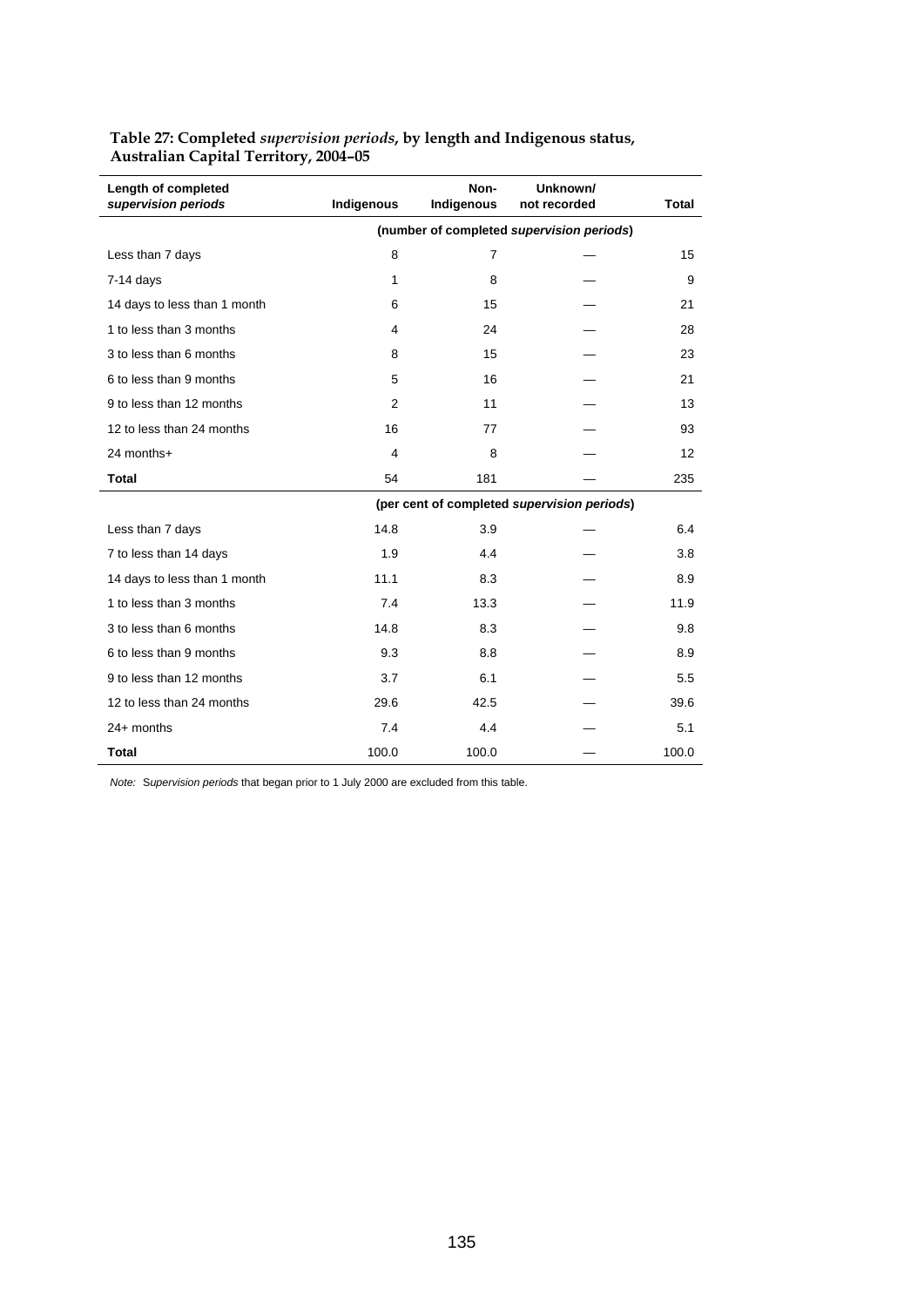| Length of completed<br>supervision periods | Indigenous     | Non-<br>Indigenous | Unknown/<br>not recorded                    | <b>Total</b> |
|--------------------------------------------|----------------|--------------------|---------------------------------------------|--------------|
|                                            |                |                    | (number of completed supervision periods)   |              |
| Less than 7 days                           | 8              | $\overline{7}$     |                                             | 15           |
| $7-14$ days                                | 1              | 8                  |                                             | 9            |
| 14 days to less than 1 month               | 6              | 15                 |                                             | 21           |
| 1 to less than 3 months                    | $\overline{4}$ | 24                 |                                             | 28           |
| 3 to less than 6 months                    | 8              | 15                 |                                             | 23           |
| 6 to less than 9 months                    | 5              | 16                 |                                             | 21           |
| 9 to less than 12 months                   | $\overline{2}$ | 11                 |                                             | 13           |
| 12 to less than 24 months                  | 16             | 77                 |                                             | 93           |
| 24 months+                                 | 4              | 8                  |                                             | 12           |
| <b>Total</b>                               | 54             | 181                |                                             | 235          |
|                                            |                |                    | (per cent of completed supervision periods) |              |
| Less than 7 days                           | 14.8           | 3.9                |                                             | 6.4          |
| 7 to less than 14 days                     | 1.9            | 4.4                |                                             | 3.8          |
| 14 days to less than 1 month               | 11.1           | 8.3                |                                             | 8.9          |
| 1 to less than 3 months                    | 7.4            | 13.3               |                                             | 11.9         |
| 3 to less than 6 months                    | 14.8           | 8.3                |                                             | 9.8          |
| 6 to less than 9 months                    | 9.3            | 8.8                |                                             | 8.9          |
| 9 to less than 12 months                   | 3.7            | 6.1                |                                             | 5.5          |
| 12 to less than 24 months                  | 29.6           | 42.5               |                                             | 39.6         |
| $24+$ months                               | 7.4            | 4.4                |                                             | 5.1          |
| <b>Total</b>                               | 100.0          | 100.0              |                                             | 100.0        |

#### **Table 27: Completed** *supervision periods***, by length and Indigenous status, Australian Capital Territory, 2004–05**

*Note:* S*upervision periods* that began prior to 1 July 2000 are excluded from this table.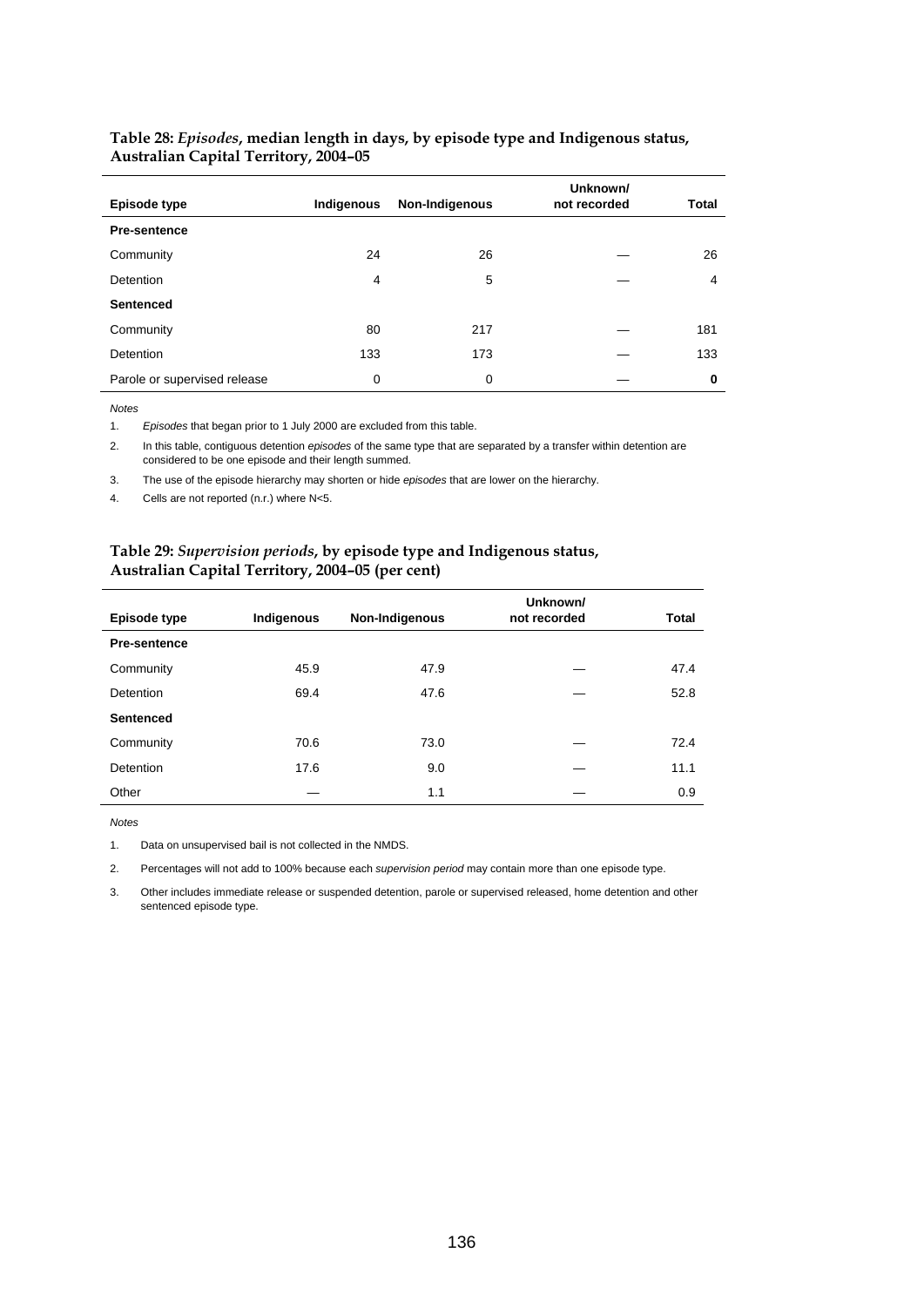| Episode type                 | Indigenous | Non-Indigenous | Unknown/<br>not recorded | <b>Total</b> |
|------------------------------|------------|----------------|--------------------------|--------------|
| <b>Pre-sentence</b>          |            |                |                          |              |
| Community                    | 24         | 26             |                          | 26           |
| Detention                    | 4          | 5              |                          | 4            |
| <b>Sentenced</b>             |            |                |                          |              |
| Community                    | 80         | 217            |                          | 181          |
| Detention                    | 133        | 173            |                          | 133          |
| Parole or supervised release | 0          | 0              |                          | 0            |

#### **Table 28:** *Episodes***, median length in days, by episode type and Indigenous status, Australian Capital Territory, 2004–05**

*Notes* 

1. *Episodes* that began prior to 1 July 2000 are excluded from this table.

2. In this table, contiguous detention *episodes* of the same type that are separated by a transfer within detention are considered to be one episode and their length summed.

3. The use of the episode hierarchy may shorten or hide *episodes* that are lower on the hierarchy.

4. Cells are not reported (n.r.) where N<5.

#### **Table 29:** *Supervision periods***, by episode type and Indigenous status, Australian Capital Territory, 2004–05 (per cent)**

|                     |            |                | Unknown/     |              |
|---------------------|------------|----------------|--------------|--------------|
| Episode type        | Indigenous | Non-Indigenous | not recorded | <b>Total</b> |
| <b>Pre-sentence</b> |            |                |              |              |
| Community           | 45.9       | 47.9           |              | 47.4         |
| Detention           | 69.4       | 47.6           |              | 52.8         |
| <b>Sentenced</b>    |            |                |              |              |
| Community           | 70.6       | 73.0           |              | 72.4         |
| Detention           | 17.6       | 9.0            |              | 11.1         |
| Other               |            | 1.1            |              | 0.9          |

*Notes* 

1. Data on unsupervised bail is not collected in the NMDS.

2. Percentages will not add to 100% because each *supervision period* may contain more than one episode type.

3. Other includes immediate release or suspended detention, parole or supervised released, home detention and other sentenced episode type.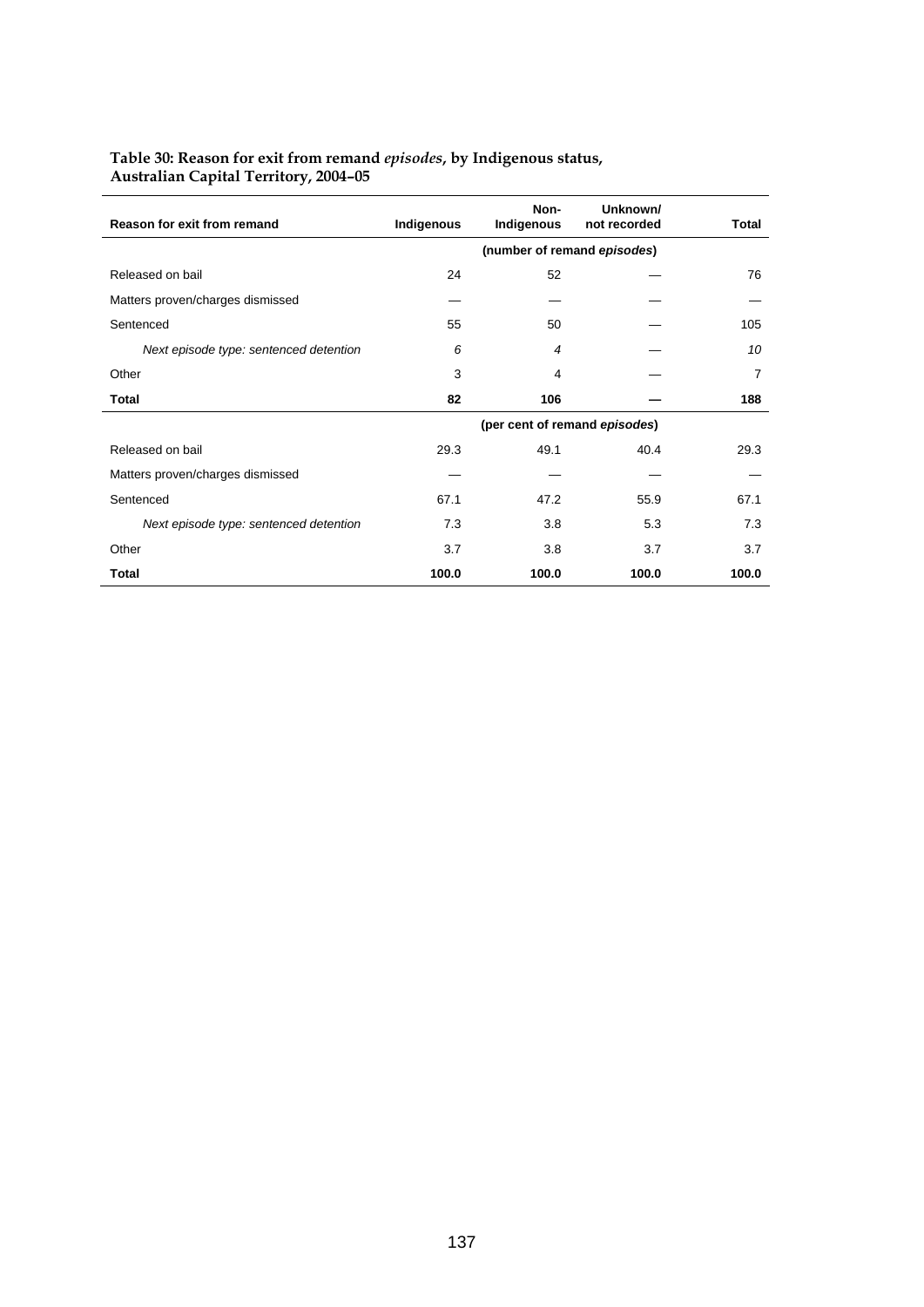## **Table 30: Reason for exit from remand** *episodes***, by Indigenous status, Australian Capital Territory, 2004–05**

| Reason for exit from remand            | Indigenous | Non-<br>Indigenous | Unknown/<br>not recorded      | Total |
|----------------------------------------|------------|--------------------|-------------------------------|-------|
|                                        |            |                    | (number of remand episodes)   |       |
| Released on bail                       | 24         | 52                 |                               | 76    |
| Matters proven/charges dismissed       |            |                    |                               |       |
| Sentenced                              | 55         | 50                 |                               | 105   |
| Next episode type: sentenced detention | 6          | 4                  |                               | 10    |
| Other                                  | 3          | 4                  |                               | 7     |
| Total                                  | 82         | 106                |                               | 188   |
|                                        |            |                    | (per cent of remand episodes) |       |
| Released on bail                       | 29.3       | 49.1               | 40.4                          | 29.3  |
| Matters proven/charges dismissed       |            |                    |                               |       |
| Sentenced                              | 67.1       | 47.2               | 55.9                          | 67.1  |
| Next episode type: sentenced detention | 7.3        | 3.8                | 5.3                           | 7.3   |
| Other                                  | 3.7        | 3.8                | 3.7                           | 3.7   |
| Total                                  | 100.0      | 100.0              | 100.0                         | 100.0 |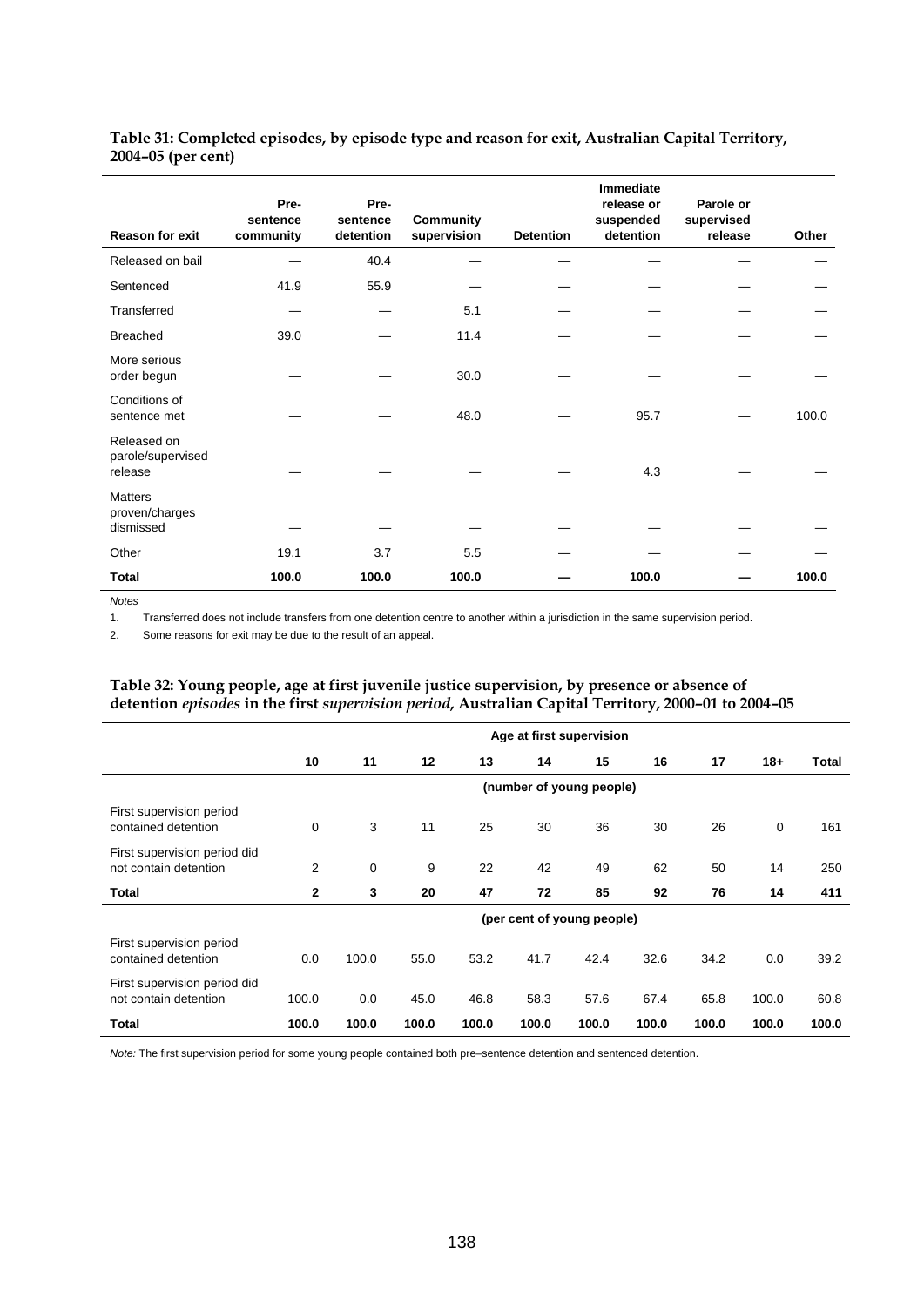| Table 31: Completed episodes, by episode type and reason for exit, Australian Capital Territory, |  |
|--------------------------------------------------------------------------------------------------|--|
| 2004–05 (per cent)                                                                               |  |

| <b>Reason for exit</b>                        | Pre-<br>sentence<br>community | Pre-<br>sentence<br>detention | <b>Community</b><br>supervision | <b>Detention</b> | <b>Immediate</b><br>release or<br>suspended<br>detention | Parole or<br>supervised<br>release | Other |
|-----------------------------------------------|-------------------------------|-------------------------------|---------------------------------|------------------|----------------------------------------------------------|------------------------------------|-------|
| Released on bail                              |                               | 40.4                          |                                 |                  |                                                          |                                    |       |
| Sentenced                                     | 41.9                          | 55.9                          |                                 |                  |                                                          |                                    |       |
| Transferred                                   |                               |                               | 5.1                             |                  |                                                          |                                    |       |
| <b>Breached</b>                               | 39.0                          |                               | 11.4                            |                  |                                                          |                                    |       |
| More serious<br>order begun                   |                               |                               | 30.0                            |                  |                                                          |                                    |       |
| Conditions of<br>sentence met                 |                               |                               | 48.0                            |                  | 95.7                                                     |                                    | 100.0 |
| Released on<br>parole/supervised<br>release   |                               |                               |                                 |                  | 4.3                                                      |                                    |       |
| <b>Matters</b><br>proven/charges<br>dismissed |                               |                               |                                 |                  |                                                          |                                    |       |
| Other                                         | 19.1                          | 3.7                           | 5.5                             |                  |                                                          |                                    |       |
| Total                                         | 100.0                         | 100.0                         | 100.0                           |                  | 100.0                                                    |                                    | 100.0 |

*Notes* 

1. Transferred does not include transfers from one detention centre to another within a jurisdiction in the same supervision period.

2. Some reasons for exit may be due to the result of an appeal.

#### **Table 32: Young people, age at first juvenile justice supervision, by presence or absence of detention** *episodes* **in the first** *supervision period***, Australian Capital Territory, 2000–01 to 2004–05**

|                                                       |                | Age at first supervision |       |       |       |                            |       |       |             |       |  |
|-------------------------------------------------------|----------------|--------------------------|-------|-------|-------|----------------------------|-------|-------|-------------|-------|--|
|                                                       | 10             | 11                       | 12    | 13    | 14    | 15                         | 16    | 17    | $18+$       | Total |  |
|                                                       |                |                          |       |       |       | (number of young people)   |       |       |             |       |  |
| First supervision period<br>contained detention       | 0              | 3                        | 11    | 25    | 30    | 36                         | 30    | 26    | $\mathbf 0$ | 161   |  |
| First supervision period did<br>not contain detention | $\overline{2}$ | 0                        | 9     | 22    | 42    | 49                         | 62    | 50    | 14          | 250   |  |
| Total                                                 | $\mathbf{2}$   | 3                        | 20    | 47    | 72    | 85                         | 92    | 76    | 14          | 411   |  |
|                                                       |                |                          |       |       |       | (per cent of young people) |       |       |             |       |  |
| First supervision period<br>contained detention       | 0.0            | 100.0                    | 55.0  | 53.2  | 41.7  | 42.4                       | 32.6  | 34.2  | 0.0         | 39.2  |  |
| First supervision period did<br>not contain detention | 100.0          | 0.0                      | 45.0  | 46.8  | 58.3  | 57.6                       | 67.4  | 65.8  | 100.0       | 60.8  |  |
| Total                                                 | 100.0          | 100.0                    | 100.0 | 100.0 | 100.0 | 100.0                      | 100.0 | 100.0 | 100.0       | 100.0 |  |

*Note:* The first supervision period for some young people contained both pre–sentence detention and sentenced detention.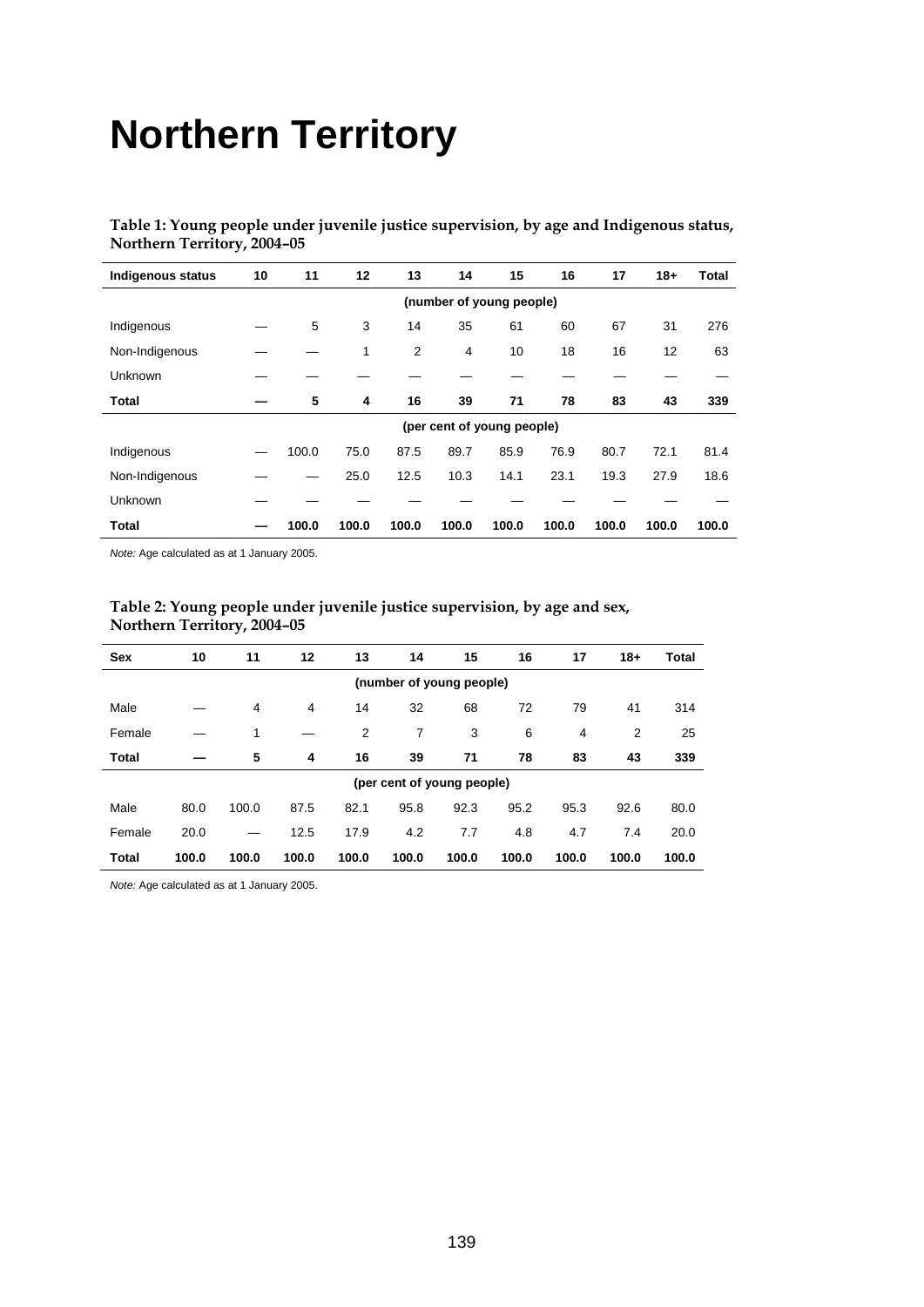# **Northern Territory**

**Table 1: Young people under juvenile justice supervision, by age and Indigenous status, Northern Territory, 2004–05** 

| <b>Indigenous status</b> | 10                       | 11    | 12    | 13    | 14    | 15                         | 16    | 17    | $18+$ | Total |  |  |
|--------------------------|--------------------------|-------|-------|-------|-------|----------------------------|-------|-------|-------|-------|--|--|
|                          | (number of young people) |       |       |       |       |                            |       |       |       |       |  |  |
| Indigenous               |                          | 5     | 3     | 14    | 35    | 61                         | 60    | 67    | 31    | 276   |  |  |
| Non-Indigenous           |                          |       | 1     | 2     | 4     | 10                         | 18    | 16    | 12    | 63    |  |  |
| Unknown                  |                          |       |       |       |       |                            |       |       |       |       |  |  |
| Total                    |                          | 5     | 4     | 16    | 39    | 71                         | 78    | 83    | 43    | 339   |  |  |
|                          |                          |       |       |       |       | (per cent of young people) |       |       |       |       |  |  |
| Indigenous               |                          | 100.0 | 75.0  | 87.5  | 89.7  | 85.9                       | 76.9  | 80.7  | 72.1  | 81.4  |  |  |
| Non-Indigenous           |                          |       | 25.0  | 12.5  | 10.3  | 14.1                       | 23.1  | 19.3  | 27.9  | 18.6  |  |  |
| Unknown                  |                          |       |       |       |       |                            |       |       |       |       |  |  |
| <b>Total</b>             |                          | 100.0 | 100.0 | 100.0 | 100.0 | 100.0                      | 100.0 | 100.0 | 100.0 | 100.0 |  |  |

*Note:* Age calculated as at 1 January 2005.

|                          | <b>Northern Territory, 2004–05</b> |       |       |       |                            |       |       |       |       |              |  |
|--------------------------|------------------------------------|-------|-------|-------|----------------------------|-------|-------|-------|-------|--------------|--|
| <b>Sex</b>               | 10                                 | 11    | 12    | 13    | 14                         | 15    | 16    | 17    | $18+$ | <b>Total</b> |  |
| (number of young people) |                                    |       |       |       |                            |       |       |       |       |              |  |
| Male                     |                                    | 4     | 4     | 14    | 32                         | 68    | 72    | 79    | 41    | 314          |  |
| Female                   |                                    | 1     |       | 2     | 7                          | 3     | 6     | 4     | 2     | 25           |  |
| Total                    |                                    | 5     | 4     | 16    | 39                         | 71    | 78    | 83    | 43    | 339          |  |
|                          |                                    |       |       |       | (per cent of young people) |       |       |       |       |              |  |
| Male                     | 80.0                               | 100.0 | 87.5  | 82.1  | 95.8                       | 92.3  | 95.2  | 95.3  | 92.6  | 80.0         |  |
| Female                   | 20.0                               |       | 12.5  | 17.9  | 4.2                        | 7.7   | 4.8   | 4.7   | 7.4   | 20.0         |  |
| <b>Total</b>             | 100.0                              | 100.0 | 100.0 | 100.0 | 100.0                      | 100.0 | 100.0 | 100.0 | 100.0 | 100.0        |  |

## **Table 2: Young people under juvenile justice supervision, by age and sex, Northern Territory, 2004–05**

*Note:* Age calculated as at 1 January 2005.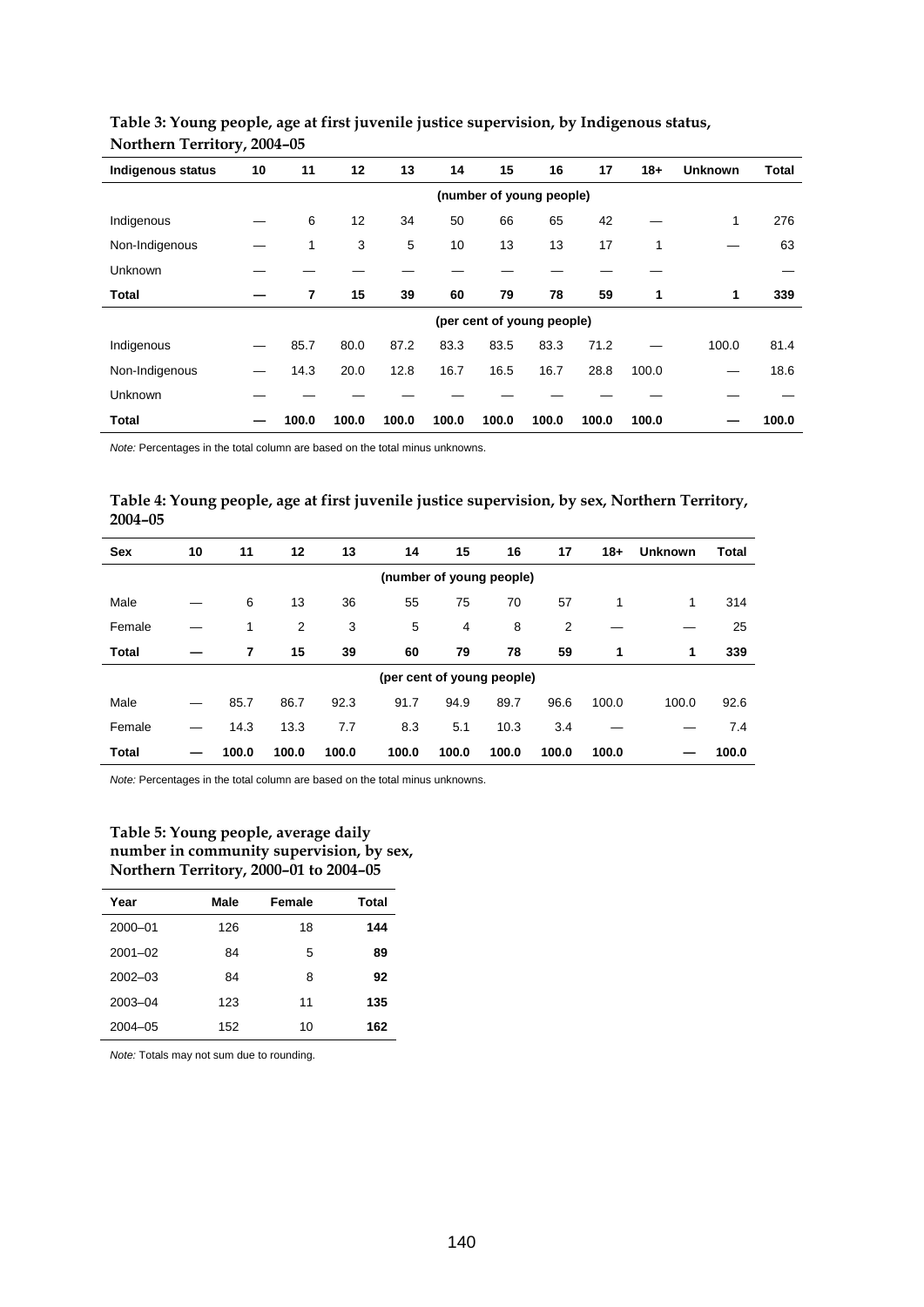| Indigenous status | 10 | 11                       | 12    | 13    | 14    | 15    | 16                         | 17    | $18+$ | <b>Unknown</b> | <b>Total</b> |  |  |
|-------------------|----|--------------------------|-------|-------|-------|-------|----------------------------|-------|-------|----------------|--------------|--|--|
|                   |    | (number of young people) |       |       |       |       |                            |       |       |                |              |  |  |
| Indigenous        |    | 6                        | 12    | 34    | 50    | 66    | 65                         | 42    |       | 1              | 276          |  |  |
| Non-Indigenous    |    | 1                        | 3     | 5     | 10    | 13    | 13                         | 17    | 1     |                | 63           |  |  |
| <b>Unknown</b>    |    |                          |       |       |       |       |                            |       |       |                |              |  |  |
| Total             |    | 7                        | 15    | 39    | 60    | 79    | 78                         | 59    | 1     | 1              | 339          |  |  |
|                   |    |                          |       |       |       |       | (per cent of young people) |       |       |                |              |  |  |
| Indigenous        |    | 85.7                     | 80.0  | 87.2  | 83.3  | 83.5  | 83.3                       | 71.2  |       | 100.0          | 81.4         |  |  |
| Non-Indigenous    |    | 14.3                     | 20.0  | 12.8  | 16.7  | 16.5  | 16.7                       | 28.8  | 100.0 |                | 18.6         |  |  |
| <b>Unknown</b>    |    |                          |       |       |       |       |                            |       |       |                |              |  |  |
| Total             |    | 100.0                    | 100.0 | 100.0 | 100.0 | 100.0 | 100.0                      | 100.0 | 100.0 |                | 100.0        |  |  |

## **Table 3: Young people, age at first juvenile justice supervision, by Indigenous status, Northern Territory, 2004–05**

*Note:* Percentages in the total column are based on the total minus unknowns.

## **Table 4: Young people, age at first juvenile justice supervision, by sex, Northern Territory, 2004–05**

| <b>Sex</b>   | 10 | 11                         | 12    | 13    | 14    | 15    | 16    | 17    | $18+$ | <b>Unknown</b> | Total |
|--------------|----|----------------------------|-------|-------|-------|-------|-------|-------|-------|----------------|-------|
|              |    | (number of young people)   |       |       |       |       |       |       |       |                |       |
| Male         |    | 6                          | 13    | 36    | 55    | 75    | 70    | 57    | 1     | 1              | 314   |
| Female       |    | 1                          | 2     | 3     | 5     | 4     | 8     | 2     |       |                | 25    |
| Total        |    | 7                          | 15    | 39    | 60    | 79    | 78    | 59    | 1     | 1              | 339   |
|              |    | (per cent of young people) |       |       |       |       |       |       |       |                |       |
| Male         |    | 85.7                       | 86.7  | 92.3  | 91.7  | 94.9  | 89.7  | 96.6  | 100.0 | 100.0          | 92.6  |
| Female       |    | 14.3                       | 13.3  | 7.7   | 8.3   | 5.1   | 10.3  | 3.4   |       |                | 7.4   |
| <b>Total</b> |    | 100.0                      | 100.0 | 100.0 | 100.0 | 100.0 | 100.0 | 100.0 | 100.0 |                | 100.0 |

*Note:* Percentages in the total column are based on the total minus unknowns.

#### **Table 5: Young people, average daily number in community supervision, by sex, Northern Territory, 2000–01 to 2004–05**

| Year        | Male | Female | Total |
|-------------|------|--------|-------|
| 2000-01     | 126  | 18     | 144   |
| $2001 - 02$ | 84   | 5      | 89    |
| $2002 - 03$ | 84   | 8      | 92    |
| 2003-04     | 123  | 11     | 135   |
| $2004 - 05$ | 152  | 10     | 162   |

*Note:* Totals may not sum due to rounding.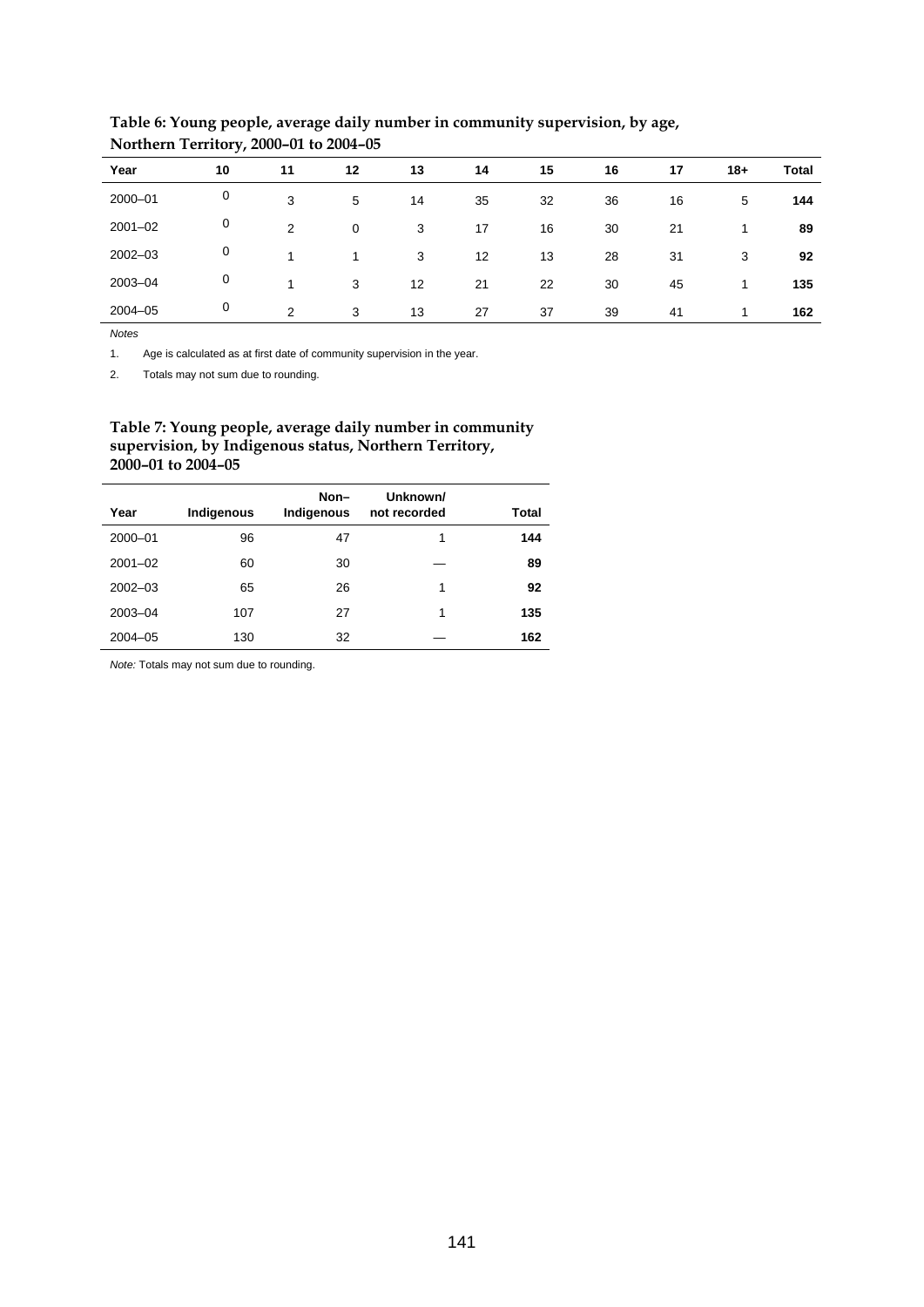|             | <u>.</u> |               |    |    |    |    |    |    |       |       |
|-------------|----------|---------------|----|----|----|----|----|----|-------|-------|
| Year        | 10       | 11            | 12 | 13 | 14 | 15 | 16 | 17 | $18+$ | Total |
| 2000-01     | 0        | 3             | 5  | 14 | 35 | 32 | 36 | 16 | 5     | 144   |
| $2001 - 02$ | 0        | 2             | 0  | 3  | 17 | 16 | 30 | 21 | -1    | 89    |
| $2002 - 03$ | 0        | 4             |    | 3  | 12 | 13 | 28 | 31 | 3     | 92    |
| 2003-04     | 0        | 4             | 3  | 12 | 21 | 22 | 30 | 45 | 1.    | 135   |
| $2004 - 05$ | 0        | $\mathcal{P}$ | 3  | 13 | 27 | 37 | 39 | 41 | 1     | 162   |

## **Table 6: Young people, average daily number in community supervision, by age, Northern Territory, 2000–01 to 2004–05**

*Notes*

1. Age is calculated as at first date of community supervision in the year.

2. Totals may not sum due to rounding.

## **Table 7: Young people, average daily number in community supervision, by Indigenous status, Northern Territory, 2000–01 to 2004–05**

| Year        | Indigenous | Non-<br>Indigenous | Unknown/<br>not recorded | Total |
|-------------|------------|--------------------|--------------------------|-------|
| 2000-01     | 96         | 47                 | 1                        | 144   |
| $2001 - 02$ | 60         | 30                 |                          | 89    |
| $2002 - 03$ | 65         | 26                 | 1                        | 92    |
| 2003-04     | 107        | 27                 | 1                        | 135   |
| $2004 - 05$ | 130        | 32                 |                          | 162   |

*Note:* Totals may not sum due to rounding.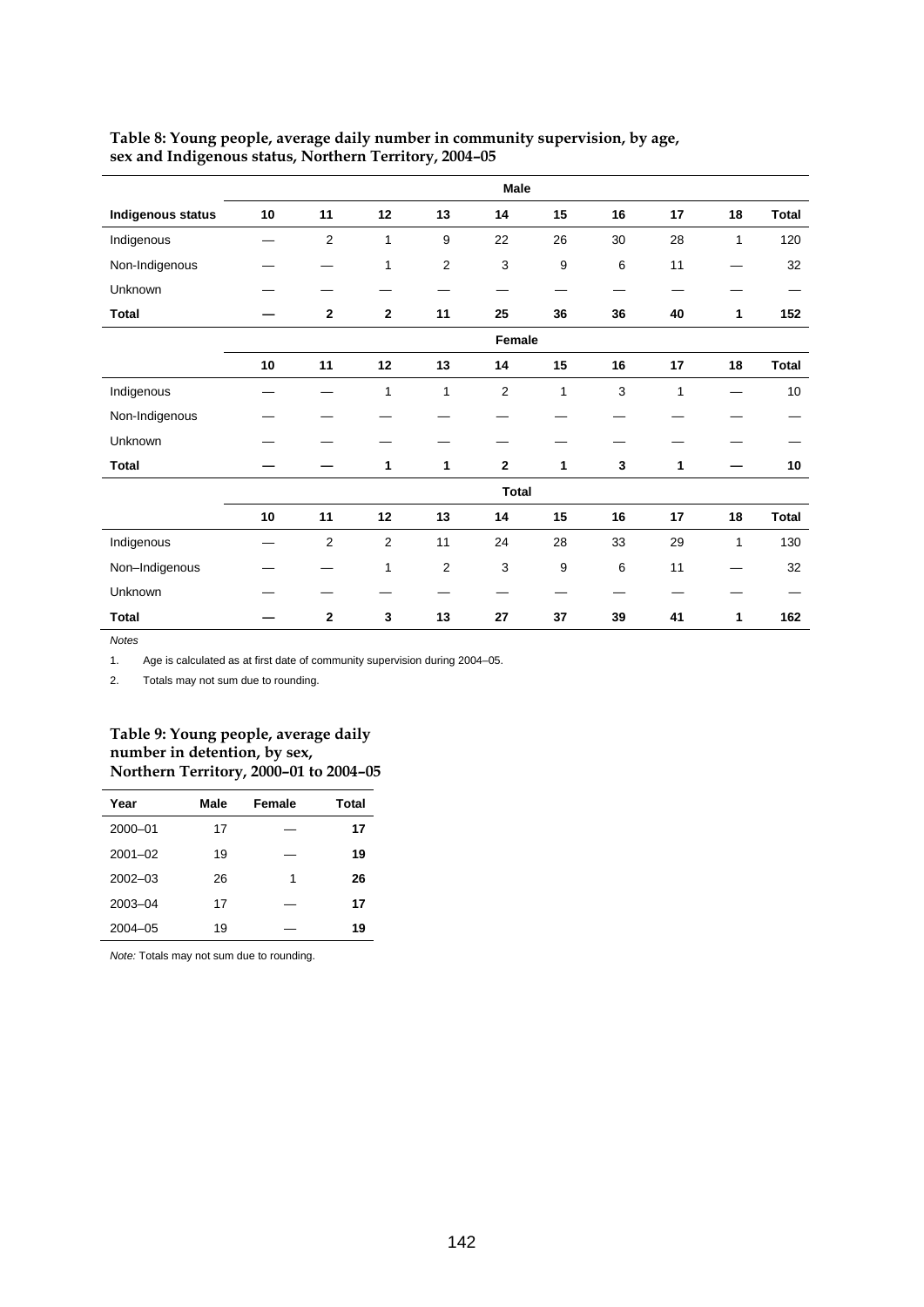|                   | Male   |                |                |                |                |                  |             |              |    |              |
|-------------------|--------|----------------|----------------|----------------|----------------|------------------|-------------|--------------|----|--------------|
| Indigenous status | 10     | 11             | 12             | 13             | 14             | 15               | 16          | 17           | 18 | <b>Total</b> |
| Indigenous        |        | $\overline{c}$ | $\mathbf{1}$   | 9              | 22             | 26               | 30          | 28           | 1  | 120          |
| Non-Indigenous    |        |                | 1              | $\overline{2}$ | 3              | $\boldsymbol{9}$ | 6           | 11           |    | 32           |
| Unknown           |        |                |                |                |                |                  |             |              |    |              |
| <b>Total</b>      |        | $\mathbf{2}$   | $\mathbf{2}$   | 11             | 25             | 36               | 36          | 40           | 1  | 152          |
|                   | Female |                |                |                |                |                  |             |              |    |              |
|                   | 10     | 11             | 12             | 13             | 14             | 15               | 16          | 17           | 18 | <b>Total</b> |
| Indigenous        |        |                | $\mathbf{1}$   | $\mathbf{1}$   | $\overline{2}$ | $\mathbf{1}$     | $\mathsf 3$ | $\mathbf{1}$ |    | 10           |
| Non-Indigenous    |        |                |                |                |                |                  |             |              |    |              |
| Unknown           |        |                |                |                |                |                  |             |              |    |              |
| <b>Total</b>      |        |                | 1              | 1              | $\mathbf{2}$   | 1                | 3           | 1            |    | 10           |
|                   |        |                |                |                | <b>Total</b>   |                  |             |              |    |              |
|                   | 10     | 11             | 12             | 13             | 14             | 15               | 16          | 17           | 18 | <b>Total</b> |
| Indigenous        |        | $\overline{2}$ | $\overline{2}$ | 11             | 24             | 28               | 33          | 29           | 1  | 130          |
| Non-Indigenous    |        |                | 1              | 2              | 3              | 9                | 6           | 11           |    | 32           |
| Unknown           |        |                |                |                |                |                  |             |              |    |              |
| <b>Total</b>      |        | $\bf 2$        | $\mathbf{3}$   | 13             | 27             | 37               | 39          | 41           | 1  | 162          |

## **Table 8: Young people, average daily number in community supervision, by age, sex and Indigenous status, Northern Territory, 2004–05**

*Notes*

1. Age is calculated as at first date of community supervision during 2004–05.

2. Totals may not sum due to rounding.

### **Table 9: Young people, average daily number in detention, by sex, Northern Territory, 2000–01 to 2004–05**

| Year        | Male | Female | Total |
|-------------|------|--------|-------|
| $2000 - 01$ | 17   |        | 17    |
| $2001 - 02$ | 19   |        | 19    |
| $2002 - 03$ | 26   | 1      | 26    |
| $2003 - 04$ | 17   |        | 17    |
| $2004 - 05$ | 19   |        | 19    |

*Note:* Totals may not sum due to rounding.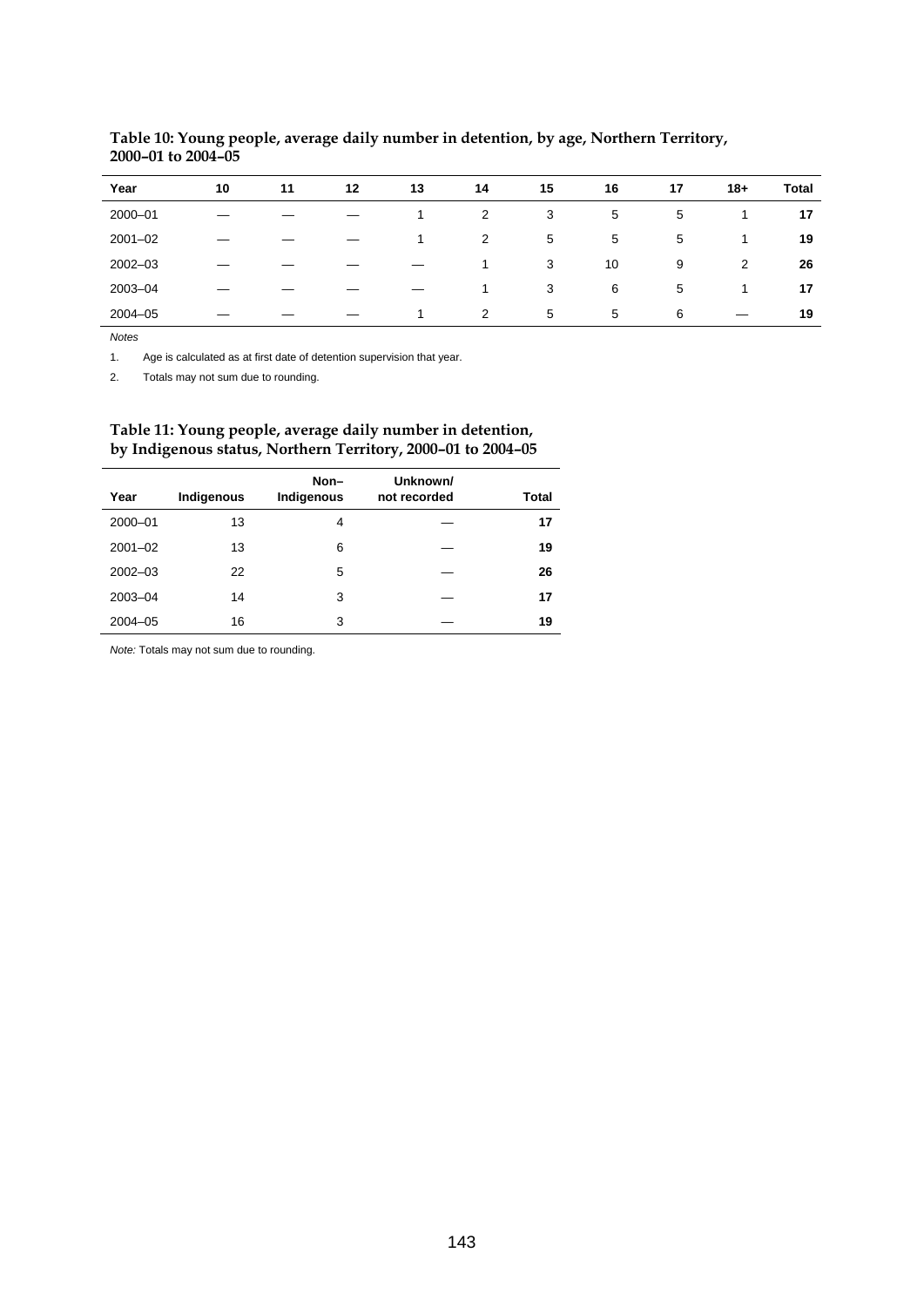| Year        | 10 | 11 | 12 | 13 | 14 | 15 | 16 | 17 | $18 +$ | <b>Total</b> |
|-------------|----|----|----|----|----|----|----|----|--------|--------------|
| 2000-01     |    |    |    |    | 2  | 3  | 5  | 5  |        | 17           |
| $2001 - 02$ |    |    |    |    | 2  | 5  | 5  | 5  |        | 19           |
| $2002 - 03$ |    |    |    |    | 1  | 3  | 10 | 9  | 2      | 26           |
| $2003 - 04$ |    |    |    |    | 1  | 3  | 6  | 5  | л      | 17           |
| $2004 - 05$ |    |    |    |    | 2  | 5  | 5  | 6  |        | 19           |

# **Table 10: Young people, average daily number in detention, by age, Northern Territory, 2000–01 to 2004–05**

*Notes*

l,

1. Age is calculated as at first date of detention supervision that year.

2. Totals may not sum due to rounding.

## **Table 11: Young people, average daily number in detention, by Indigenous status, Northern Territory, 2000–01 to 2004–05**

|             |            | Non-       | Unknown/     |              |
|-------------|------------|------------|--------------|--------------|
| Year        | Indigenous | Indigenous | not recorded | <b>Total</b> |
| 2000-01     | 13         | 4          |              | 17           |
| $2001 - 02$ | 13         | 6          |              | 19           |
| $2002 - 03$ | 22         | 5          |              | 26           |
| 2003-04     | 14         | 3          |              | 17           |
| $2004 - 05$ | 16         | 3          |              | 19           |

*Note:* Totals may not sum due to rounding.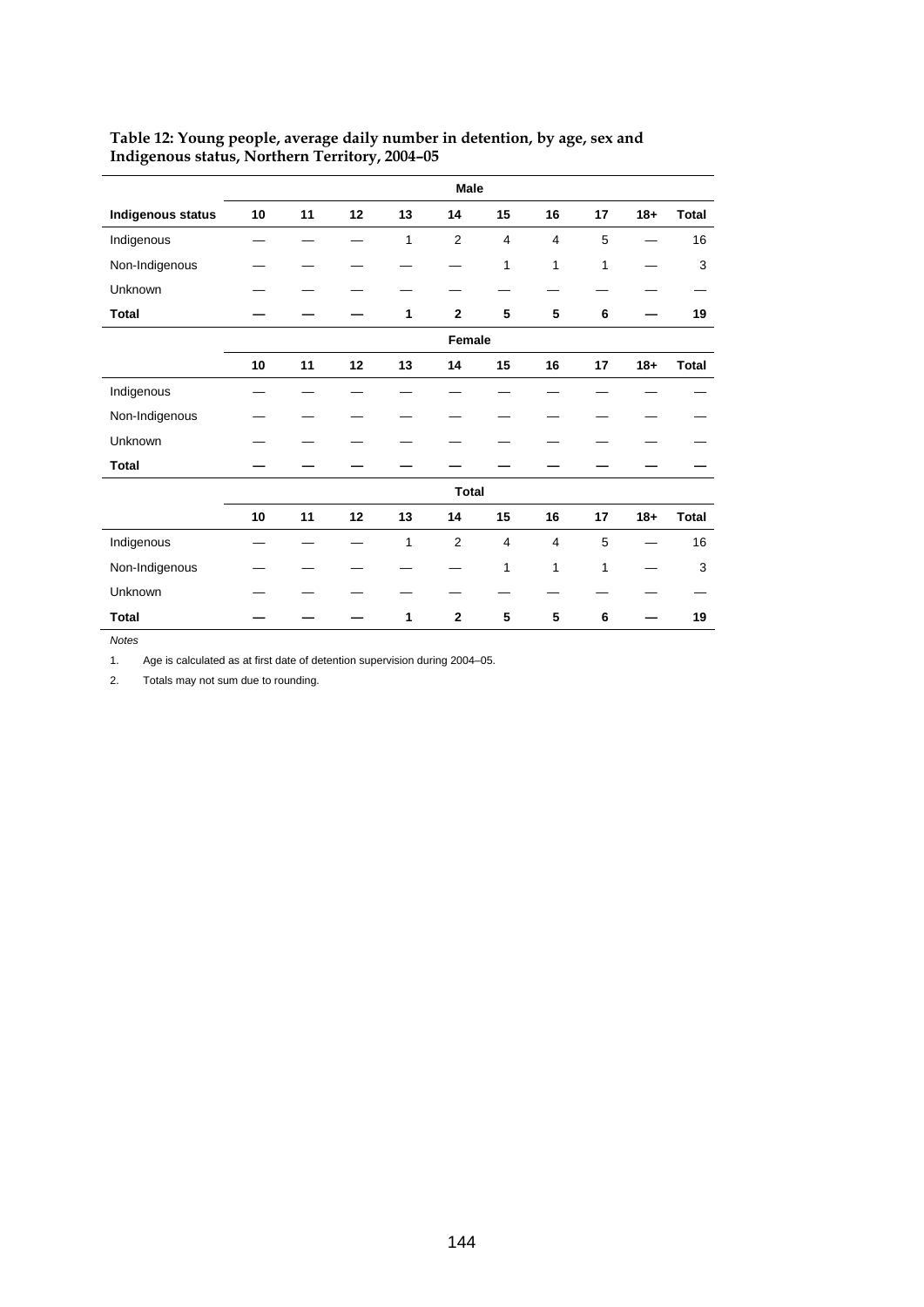|                          | Male   |    |    |              |                |                |                |              |        |              |
|--------------------------|--------|----|----|--------------|----------------|----------------|----------------|--------------|--------|--------------|
| <b>Indigenous status</b> | 10     | 11 | 12 | 13           | 14             | 15             | 16             | 17           | $18 +$ | <b>Total</b> |
| Indigenous               |        |    |    | $\mathbf{1}$ | $\overline{2}$ | $\overline{4}$ | 4              | 5            |        | 16           |
| Non-Indigenous           |        |    |    |              |                | 1              | 1              | $\mathbf{1}$ |        | 3            |
| Unknown                  |        |    |    |              |                |                |                |              |        |              |
| <b>Total</b>             |        |    |    | 1            | $\mathbf{2}$   | 5              | 5              | 6            |        | 19           |
|                          | Female |    |    |              |                |                |                |              |        |              |
|                          | 10     | 11 | 12 | 13           | 14             | 15             | 16             | 17           | $18 +$ | <b>Total</b> |
| Indigenous               |        |    |    |              |                |                |                |              |        |              |
| Non-Indigenous           |        |    |    |              |                |                |                |              |        |              |
| Unknown                  |        |    |    |              |                |                |                |              |        |              |
| <b>Total</b>             |        |    |    |              |                |                |                |              |        |              |
|                          |        |    |    |              | <b>Total</b>   |                |                |              |        |              |
|                          | 10     | 11 | 12 | 13           | 14             | 15             | 16             | 17           | $18 +$ | <b>Total</b> |
| Indigenous               |        |    |    | 1            | $\overline{2}$ | $\overline{4}$ | $\overline{4}$ | 5            |        | 16           |
| Non-Indigenous           |        |    |    |              |                | 1              | 1              | 1            |        | 3            |
| Unknown                  |        |    |    |              |                |                |                |              |        |              |
| <b>Total</b>             |        |    |    | 1            | $\overline{2}$ | 5              | 5              | 6            |        | 19           |

# **Table 12: Young people, average daily number in detention, by age, sex and Indigenous status, Northern Territory, 2004–05**

*Notes*

1. Age is calculated as at first date of detention supervision during 2004–05.

2. Totals may not sum due to rounding.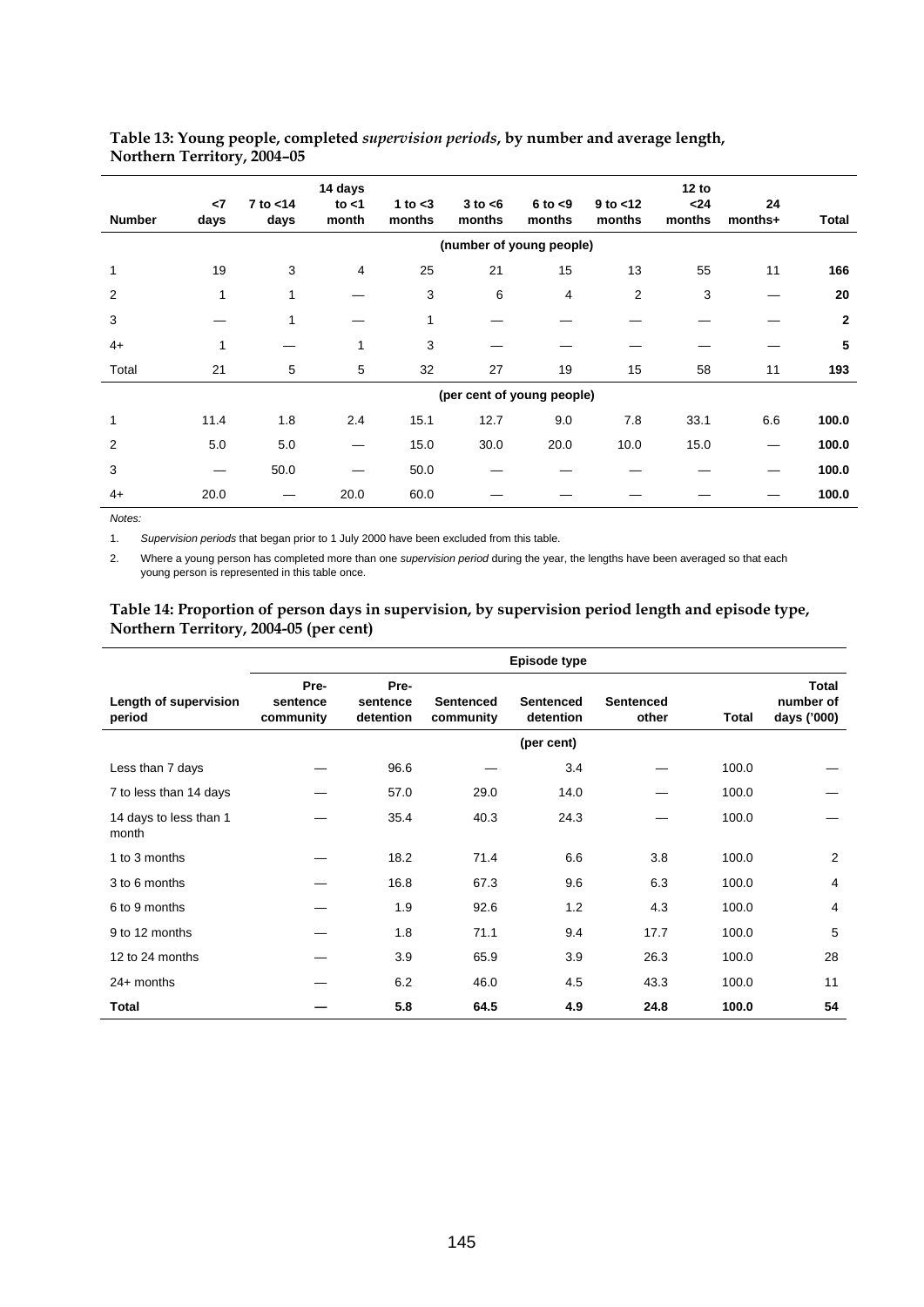| <b>Number</b> | $\leq$<br>days | 7 to <14<br>days | 14 days<br>to $<$ 1<br>month | 1 to $<$ 3<br>months | $3$ to $<$ 6<br>months | $6$ to $< 9$<br>months     | $9$ to $<$ 12<br>months | 12 to<br>$24$<br>months | 24<br>months+ | <b>Total</b>   |
|---------------|----------------|------------------|------------------------------|----------------------|------------------------|----------------------------|-------------------------|-------------------------|---------------|----------------|
|               |                |                  |                              |                      |                        | (number of young people)   |                         |                         |               |                |
| $\mathbf{1}$  | 19             | 3                | 4                            | 25                   | 21                     | 15                         | 13                      | 55                      | 11            | 166            |
| 2             | 1              | 1                |                              | 3                    | 6                      | 4                          | 2                       | 3                       |               | 20             |
| 3             |                | $\mathbf{1}$     |                              | $\mathbf{1}$         |                        |                            |                         |                         |               | $\overline{2}$ |
| $4+$          | 1              |                  | 1                            | 3                    |                        |                            |                         |                         |               | 5              |
| Total         | 21             | 5                | 5                            | 32                   | 27                     | 19                         | 15                      | 58                      | 11            | 193            |
|               |                |                  |                              |                      |                        | (per cent of young people) |                         |                         |               |                |
| $\mathbf{1}$  | 11.4           | 1.8              | 2.4                          | 15.1                 | 12.7                   | 9.0                        | 7.8                     | 33.1                    | 6.6           | 100.0          |
| 2             | 5.0            | 5.0              |                              | 15.0                 | 30.0                   | 20.0                       | 10.0                    | 15.0                    |               | 100.0          |
| 3             |                | 50.0             |                              | 50.0                 |                        |                            |                         |                         |               | 100.0          |
| $4+$          | 20.0           |                  | 20.0                         | 60.0                 |                        |                            |                         |                         |               | 100.0          |
|               |                |                  |                              |                      |                        |                            |                         |                         |               |                |

### **Table 13: Young people, completed** *supervision periods***, by number and average length, Northern Territory, 2004–05**

*Notes:* 

1. *Supervision periods* that began prior to 1 July 2000 have been excluded from this table.

2. Where a young person has completed more than one *supervision period* during the year, the lengths have been averaged so that each young person is represented in this table once.

## **Table 14: Proportion of person days in supervision, by supervision period length and episode type, Northern Territory, 2004-05 (per cent)**

|                                 | Episode type                  |                               |                               |                        |                           |       |                                          |  |
|---------------------------------|-------------------------------|-------------------------------|-------------------------------|------------------------|---------------------------|-------|------------------------------------------|--|
| Length of supervision<br>period | Pre-<br>sentence<br>community | Pre-<br>sentence<br>detention | <b>Sentenced</b><br>community | Sentenced<br>detention | <b>Sentenced</b><br>other | Total | <b>Total</b><br>number of<br>days ('000) |  |
|                                 |                               |                               |                               | (per cent)             |                           |       |                                          |  |
| Less than 7 days                |                               | 96.6                          |                               | 3.4                    |                           | 100.0 |                                          |  |
| 7 to less than 14 days          |                               | 57.0                          | 29.0                          | 14.0                   |                           | 100.0 |                                          |  |
| 14 days to less than 1<br>month |                               | 35.4                          | 40.3                          | 24.3                   |                           | 100.0 |                                          |  |
| 1 to 3 months                   |                               | 18.2                          | 71.4                          | 6.6                    | 3.8                       | 100.0 | 2                                        |  |
| 3 to 6 months                   |                               | 16.8                          | 67.3                          | 9.6                    | 6.3                       | 100.0 | $\overline{4}$                           |  |
| 6 to 9 months                   |                               | 1.9                           | 92.6                          | 1.2                    | 4.3                       | 100.0 | 4                                        |  |
| 9 to 12 months                  |                               | 1.8                           | 71.1                          | 9.4                    | 17.7                      | 100.0 | 5                                        |  |
| 12 to 24 months                 |                               | 3.9                           | 65.9                          | 3.9                    | 26.3                      | 100.0 | 28                                       |  |
| $24+$ months                    |                               | 6.2                           | 46.0                          | 4.5                    | 43.3                      | 100.0 | 11                                       |  |
| Total                           |                               | 5.8                           | 64.5                          | 4.9                    | 24.8                      | 100.0 | 54                                       |  |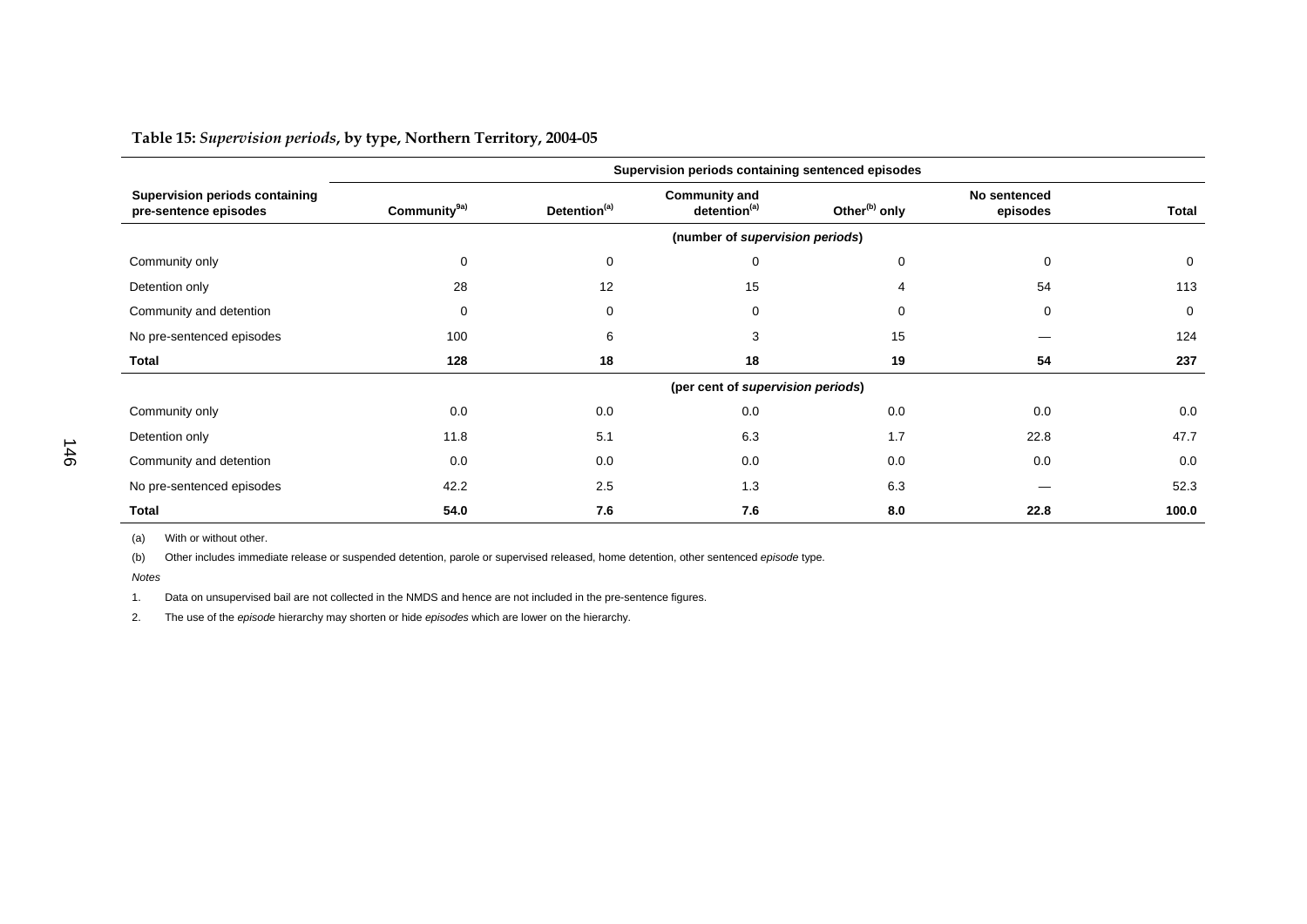**Table 15:** *Supervision periods***, by type, Northern Territory, 2004-05** 

|                                                                | Supervision periods containing sentenced episodes |                          |                                                  |                           |                          |              |  |
|----------------------------------------------------------------|---------------------------------------------------|--------------------------|--------------------------------------------------|---------------------------|--------------------------|--------------|--|
| <b>Supervision periods containing</b><br>pre-sentence episodes | Community <sup>9a)</sup>                          | Detention <sup>(a)</sup> | <b>Community and</b><br>detention <sup>(a)</sup> | Other <sup>(b)</sup> only | No sentenced<br>episodes | <b>Total</b> |  |
|                                                                |                                                   |                          | (number of supervision periods)                  |                           |                          |              |  |
| Community only                                                 | 0                                                 | 0                        | 0                                                | 0                         | 0                        | 0            |  |
| Detention only                                                 | 28                                                | 12                       | 15                                               | 4                         | 54                       | 113          |  |
| Community and detention                                        | $\mathbf 0$                                       | 0                        | $\mathbf 0$                                      | $\mathbf 0$               | $\mathbf 0$              | 0            |  |
| No pre-sentenced episodes                                      | 100                                               | 6                        | 3                                                | 15                        |                          | 124          |  |
| <b>Total</b>                                                   | 128                                               | 18                       | 18                                               | 19                        | 54                       | 237          |  |
|                                                                |                                                   |                          | (per cent of supervision periods)                |                           |                          |              |  |
| Community only                                                 | 0.0                                               | 0.0                      | 0.0                                              | 0.0                       | 0.0                      | 0.0          |  |
| Detention only                                                 | 11.8                                              | 5.1                      | 6.3                                              | 1.7                       | 22.8                     | 47.7         |  |
| Community and detention                                        | 0.0                                               | 0.0                      | 0.0                                              | 0.0                       | 0.0                      | 0.0          |  |
| No pre-sentenced episodes                                      | 42.2                                              | 2.5                      | 1.3                                              | 6.3                       |                          | 52.3         |  |
| <b>Total</b>                                                   | 54.0                                              | 7.6                      | 7.6                                              | 8.0                       | 22.8                     | 100.0        |  |

(a) With or without other.

(b) Other includes immediate release or suspended detention, parole or supervised released, home detention, other sentenced *episode* type.

*Notes*

1. Data on unsupervised bail are not collected in the NMDS and hence are not included in the pre-sentence figures.

2. The use of the *episode* hierarchy may shorten or hide *episodes* which are lower on the hierarchy.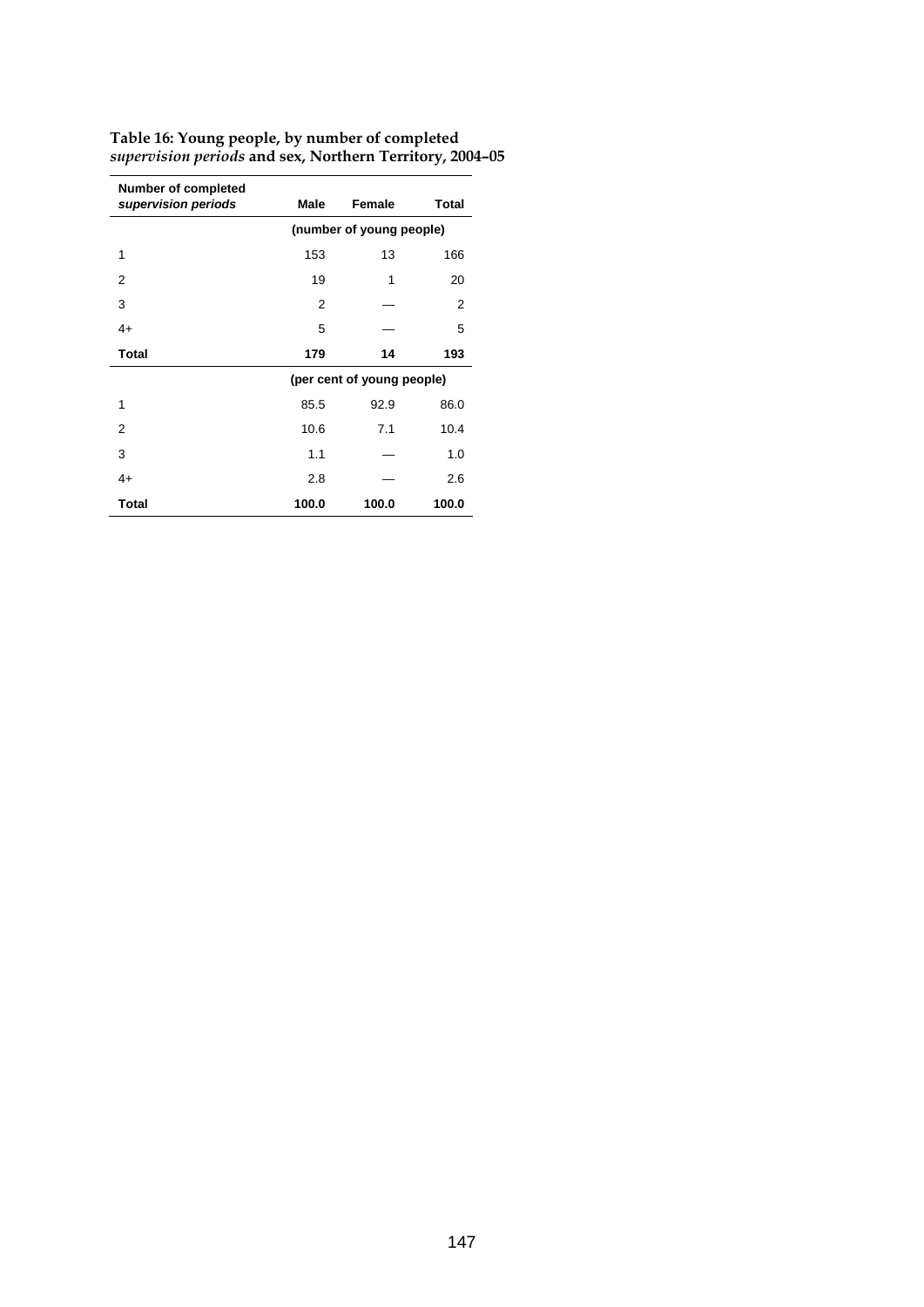| <b>Number of completed</b><br>supervision periods | Male                     | Female                     | <b>Total</b> |  |  |  |
|---------------------------------------------------|--------------------------|----------------------------|--------------|--|--|--|
|                                                   | (number of young people) |                            |              |  |  |  |
| 1                                                 | 153                      | 13                         | 166          |  |  |  |
| 2                                                 | 19                       | 1                          | 20           |  |  |  |
| 3                                                 | 2                        |                            | 2            |  |  |  |
| $4+$                                              | 5                        |                            | 5            |  |  |  |
| <b>Total</b>                                      | 179                      | 14                         | 193          |  |  |  |
|                                                   |                          | (per cent of young people) |              |  |  |  |
| 1                                                 | 85.5                     | 92.9                       | 86.0         |  |  |  |
| 2                                                 | 10.6                     | 7.1                        | 10.4         |  |  |  |
| 3                                                 | 1.1                      |                            | 1.0          |  |  |  |
| $4+$                                              | 2.8                      |                            | 2.6          |  |  |  |
| <b>Total</b>                                      | 100.0                    | 100.0                      | 100.0        |  |  |  |

**Table 16: Young people, by number of completed** *supervision periods* **and sex, Northern Territory, 2004–05**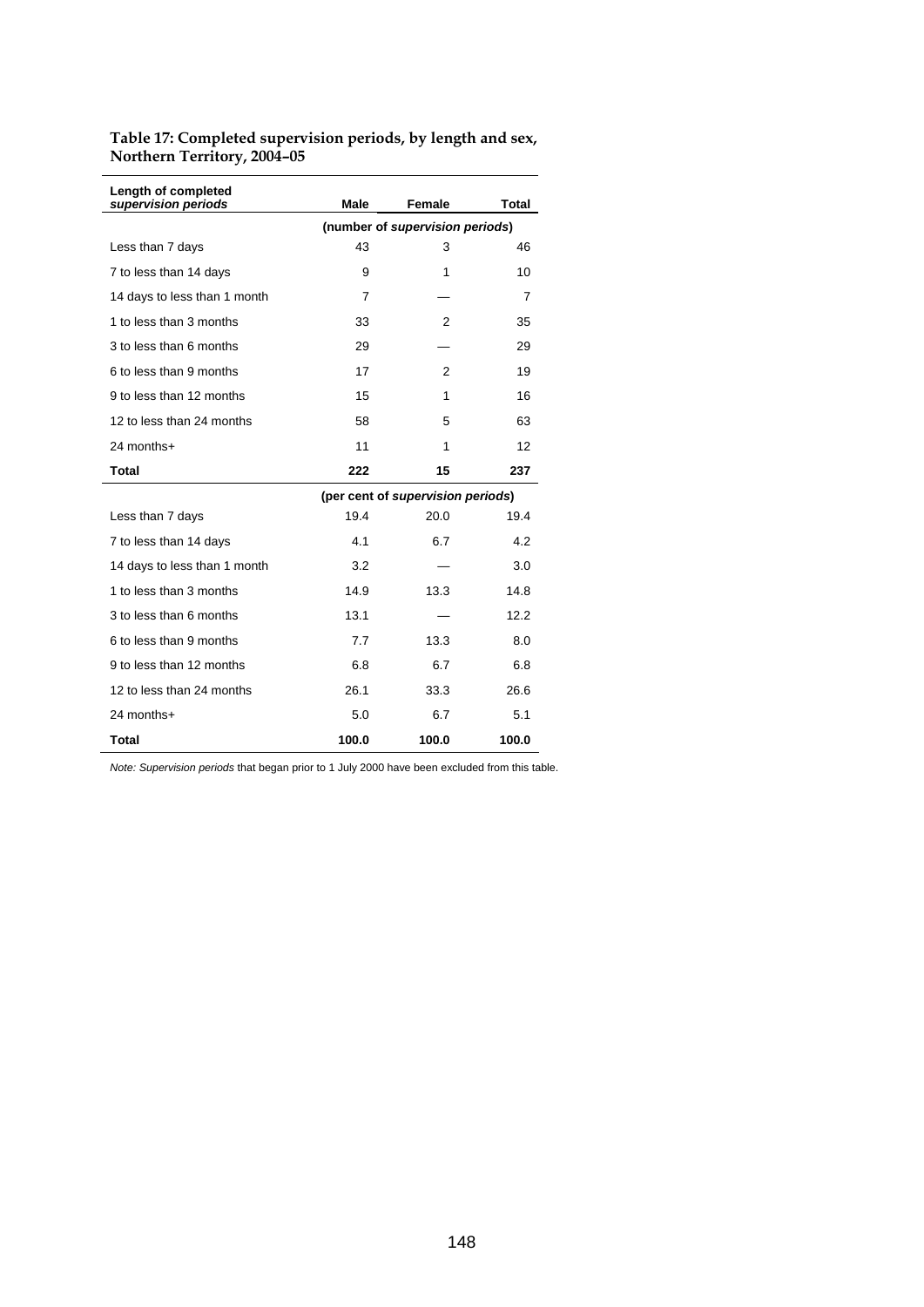**Table 17: Completed supervision periods, by length and sex, Northern Territory, 2004–05** 

| Length of completed<br>supervision periods | Male                            | Female                            | Total |  |  |  |
|--------------------------------------------|---------------------------------|-----------------------------------|-------|--|--|--|
|                                            | (number of supervision periods) |                                   |       |  |  |  |
| Less than 7 days                           | 43                              | 3                                 | 46    |  |  |  |
| 7 to less than 14 days                     | 9                               | 1                                 | 10    |  |  |  |
| 14 days to less than 1 month               | 7                               |                                   | 7     |  |  |  |
| 1 to less than 3 months                    | 33                              | 2                                 | 35    |  |  |  |
| 3 to less than 6 months                    | 29                              |                                   | 29    |  |  |  |
| 6 to less than 9 months                    | 17                              | 2                                 | 19    |  |  |  |
| 9 to less than 12 months                   | 15                              | 1                                 | 16    |  |  |  |
| 12 to less than 24 months                  | 58                              | 5                                 | 63    |  |  |  |
| 24 months+                                 | 11                              | 1                                 | 12    |  |  |  |
| <b>Total</b>                               | 222                             | 15                                | 237   |  |  |  |
|                                            |                                 | (per cent of supervision periods) |       |  |  |  |
| Less than 7 days                           | 19.4                            | 20.0                              | 19.4  |  |  |  |
| 7 to less than 14 days                     | 4.1                             | 6.7                               | 4.2   |  |  |  |
| 14 days to less than 1 month               | 3.2                             |                                   | 3.0   |  |  |  |
| 1 to less than 3 months                    | 14.9                            | 13.3                              | 14.8  |  |  |  |
| 3 to less than 6 months                    | 13.1                            |                                   | 12.2  |  |  |  |
| 6 to less than 9 months                    | 7.7                             | 13.3                              | 8.0   |  |  |  |
| 9 to less than 12 months                   | 6.8                             | 6.7                               | 6.8   |  |  |  |
| 12 to less than 24 months                  | 26.1                            | 33.3                              | 26.6  |  |  |  |
| 24 months+                                 | 5.0                             | 6.7                               | 5.1   |  |  |  |
| <b>Total</b>                               | 100.0                           | 100.0                             | 100.0 |  |  |  |

*Note: Supervision periods* that began prior to 1 July 2000 have been excluded from this table.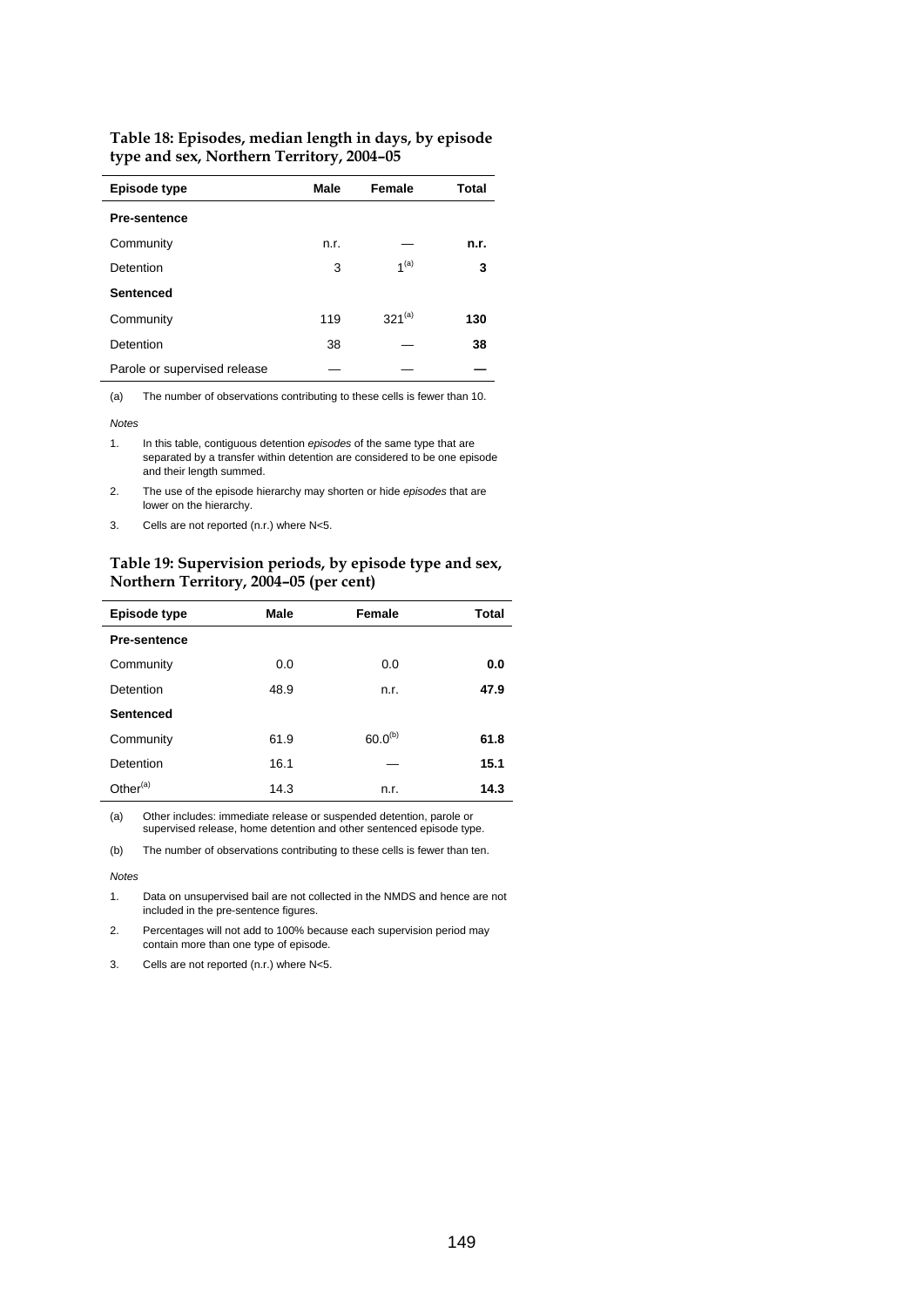| <b>Episode type</b>          | Male | Female           | <b>Total</b> |
|------------------------------|------|------------------|--------------|
| <b>Pre-sentence</b>          |      |                  |              |
| Community                    | n.r. |                  | n.r.         |
| Detention                    | 3    | 1 <sup>(a)</sup> | 3            |
| <b>Sentenced</b>             |      |                  |              |
| Community                    | 119  | $321^{(a)}$      | 130          |
| Detention                    | 38   |                  | 38           |
| Parole or supervised release |      |                  |              |

**Table 18: Episodes, median length in days, by episode type and sex, Northern Territory, 2004–05** 

(a) The number of observations contributing to these cells is fewer than 10.

*Notes* 

1. In this table, contiguous detention *episodes* of the same type that are separated by a transfer within detention are considered to be one episode and their length summed.

2. The use of the episode hierarchy may shorten or hide *episodes* that are lower on the hierarchy.

3. Cells are not reported (n.r.) where N<5.

#### **Table 19: Supervision periods, by episode type and sex, Northern Territory, 2004–05 (per cent)**

| <b>Episode type</b>  | Male | Female       | <b>Total</b> |
|----------------------|------|--------------|--------------|
| <b>Pre-sentence</b>  |      |              |              |
| Community            | 0.0  | 0.0          | 0.0          |
| Detention            | 48.9 | n.r.         | 47.9         |
| <b>Sentenced</b>     |      |              |              |
| Community            | 61.9 | $60.0^{(b)}$ | 61.8         |
| Detention            | 16.1 |              | 15.1         |
| Other <sup>(a)</sup> | 14.3 | n.r.         | 14.3         |

(a) Other includes: immediate release or suspended detention, parole or supervised release, home detention and other sentenced episode type.

(b) The number of observations contributing to these cells is fewer than ten.

*Notes* 

1. Data on unsupervised bail are not collected in the NMDS and hence are not included in the pre-sentence figures.

2. Percentages will not add to 100% because each supervision period may contain more than one type of episode.

3. Cells are not reported (n.r.) where N<5.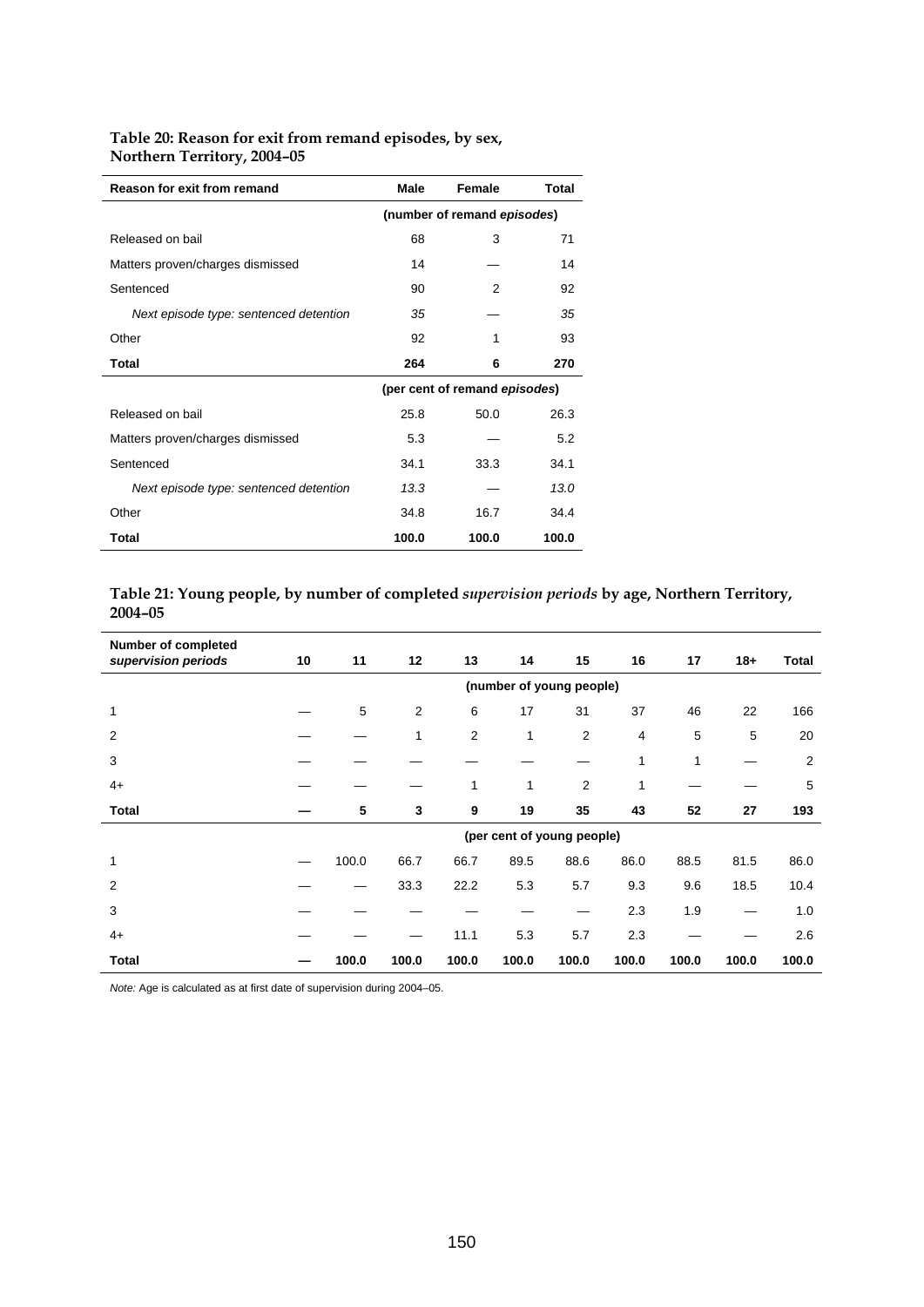# **Table 20: Reason for exit from remand episodes, by sex, Northern Territory, 2004–05**

| <b>Reason for exit from remand</b>     | Male  | Female                        | Total |
|----------------------------------------|-------|-------------------------------|-------|
|                                        |       | (number of remand episodes)   |       |
| Released on bail                       | 68    | 3                             | 71    |
| Matters proven/charges dismissed       | 14    |                               | 14    |
| Sentenced                              | 90    | 2                             | 92    |
| Next episode type: sentenced detention | 35    |                               | 35    |
| Other                                  | 92    | 1                             | 93    |
| Total                                  | 264   | 6                             | 270   |
|                                        |       | (per cent of remand episodes) |       |
| Released on bail                       | 25.8  | 50.0                          | 26.3  |
| Matters proven/charges dismissed       | 5.3   |                               | 5.2   |
| Sentenced                              | 34.1  | 33.3                          | 34.1  |
| Next episode type: sentenced detention | 13.3  |                               | 13.0  |
| Other                                  | 34.8  | 16.7                          | 34.4  |
| Total                                  | 100.0 | 100.0                         | 100.0 |

# **Table 21: Young people, by number of completed** *supervision periods* **by age, Northern Territory, 2004–05**

| Number of completed<br>supervision periods | 10                       | 11    | 12             | 13             | 14    | 15                         | 16    | 17    | $18 +$ | <b>Total</b>   |
|--------------------------------------------|--------------------------|-------|----------------|----------------|-------|----------------------------|-------|-------|--------|----------------|
|                                            | (number of young people) |       |                |                |       |                            |       |       |        |                |
| 1                                          |                          | 5     | $\overline{2}$ | 6              | 17    | 31                         | 37    | 46    | 22     | 166            |
| 2                                          |                          |       | 1              | $\overline{2}$ | 1     | 2                          | 4     | 5     | 5      | 20             |
| 3                                          |                          |       |                |                |       |                            | 1     | 1     |        | $\overline{2}$ |
| $4+$                                       |                          |       |                | 1              | 1     | 2                          | 1     |       |        | 5              |
| <b>Total</b>                               |                          | 5     | 3              | 9              | 19    | 35                         | 43    | 52    | 27     | 193            |
|                                            |                          |       |                |                |       | (per cent of young people) |       |       |        |                |
| 1                                          |                          | 100.0 | 66.7           | 66.7           | 89.5  | 88.6                       | 86.0  | 88.5  | 81.5   | 86.0           |
| 2                                          |                          |       | 33.3           | 22.2           | 5.3   | 5.7                        | 9.3   | 9.6   | 18.5   | 10.4           |
| 3                                          |                          |       |                |                |       |                            | 2.3   | 1.9   |        | 1.0            |
| $4+$                                       |                          |       |                | 11.1           | 5.3   | 5.7                        | 2.3   |       |        | 2.6            |
| Total                                      |                          | 100.0 | 100.0          | 100.0          | 100.0 | 100.0                      | 100.0 | 100.0 | 100.0  | 100.0          |

*Note:* Age is calculated as at first date of supervision during 2004–05.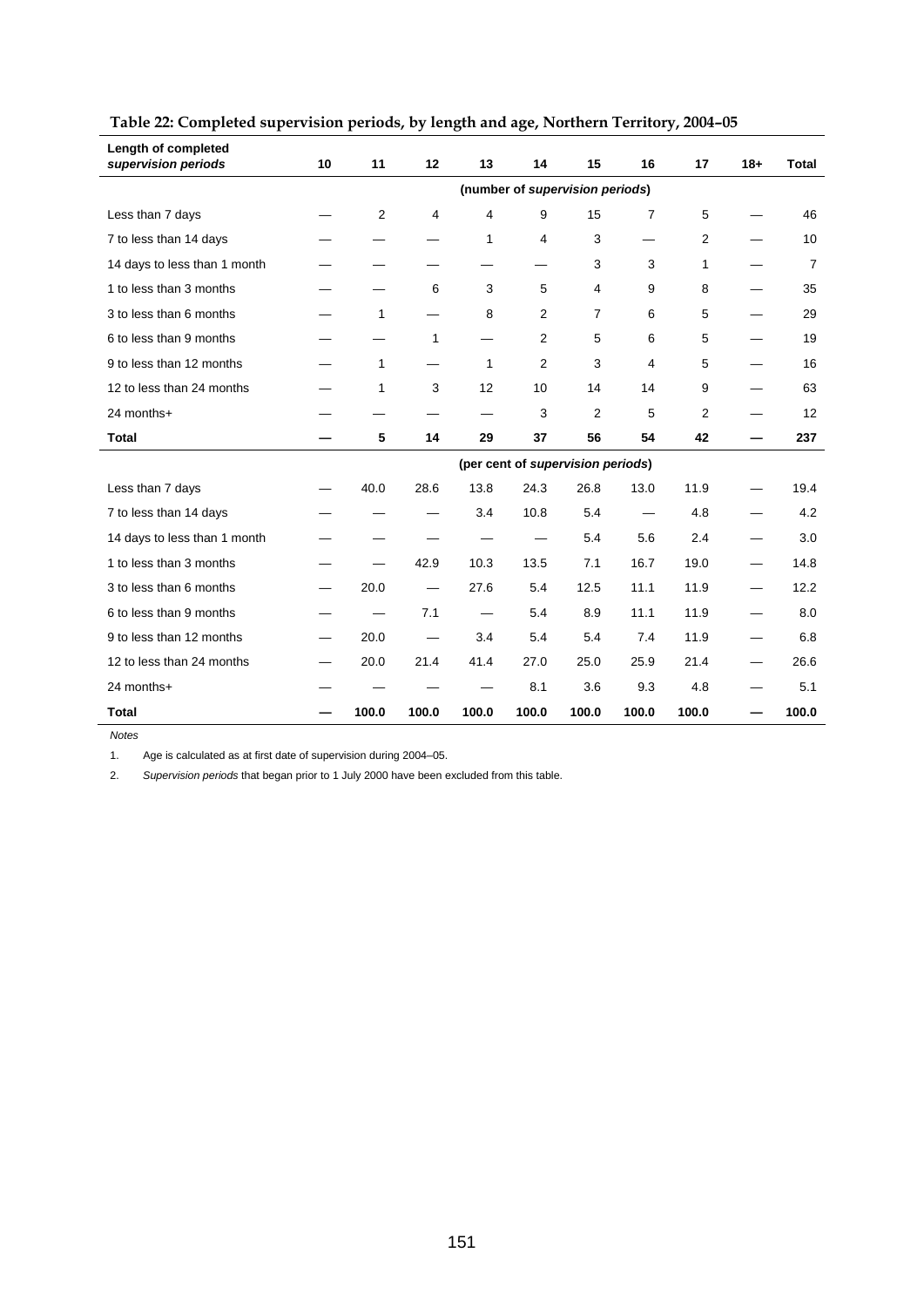| Length of completed<br>supervision periods | 10 | 11             | 12                              | 13    | 14             | 15                                | 16    | 17             | $18+$ | <b>Total</b>   |
|--------------------------------------------|----|----------------|---------------------------------|-------|----------------|-----------------------------------|-------|----------------|-------|----------------|
|                                            |    |                |                                 |       |                | (number of supervision periods)   |       |                |       |                |
| Less than 7 days                           |    | $\overline{2}$ | 4                               | 4     | 9              | 15                                | 7     | 5              |       | 46             |
| 7 to less than 14 days                     |    |                |                                 | 1     | 4              | 3                                 | —     | $\overline{2}$ |       | 10             |
| 14 days to less than 1 month               |    |                |                                 |       |                | 3                                 | 3     | 1              |       | $\overline{7}$ |
| 1 to less than 3 months                    |    |                | 6                               | 3     | 5              | 4                                 | 9     | 8              |       | 35             |
| 3 to less than 6 months                    |    | 1              |                                 | 8     | $\mathbf{2}$   | $\overline{7}$                    | 6     | 5              |       | 29             |
| 6 to less than 9 months                    |    |                | 1                               |       | $\overline{2}$ | 5                                 | 6     | 5              |       | 19             |
| 9 to less than 12 months                   |    | 1              |                                 | 1     | 2              | 3                                 | 4     | 5              |       | 16             |
| 12 to less than 24 months                  |    | 1              | 3                               | 12    | 10             | 14                                | 14    | 9              |       | 63             |
| 24 months+                                 |    |                |                                 |       | 3              | 2                                 | 5     | $\overline{2}$ |       | 12             |
| <b>Total</b>                               |    | 5              | 14                              | 29    | 37             | 56                                | 54    | 42             |       | 237            |
|                                            |    |                |                                 |       |                | (per cent of supervision periods) |       |                |       |                |
| Less than 7 days                           |    | 40.0           | 28.6                            | 13.8  | 24.3           | 26.8                              | 13.0  | 11.9           |       | 19.4           |
| 7 to less than 14 days                     |    |                |                                 | 3.4   | 10.8           | 5.4                               | —     | 4.8            |       | 4.2            |
| 14 days to less than 1 month               |    |                |                                 |       |                | 5.4                               | 5.6   | 2.4            |       | 3.0            |
| 1 to less than 3 months                    |    |                | 42.9                            | 10.3  | 13.5           | 7.1                               | 16.7  | 19.0           |       | 14.8           |
| 3 to less than 6 months                    |    | 20.0           | $\hspace{0.1mm}-\hspace{0.1mm}$ | 27.6  | 5.4            | 12.5                              | 11.1  | 11.9           |       | 12.2           |
| 6 to less than 9 months                    |    |                | 7.1                             | —     | 5.4            | 8.9                               | 11.1  | 11.9           | —     | 8.0            |
| 9 to less than 12 months                   |    | 20.0           |                                 | 3.4   | 5.4            | 5.4                               | 7.4   | 11.9           |       | 6.8            |
| 12 to less than 24 months                  |    | 20.0           | 21.4                            | 41.4  | 27.0           | 25.0                              | 25.9  | 21.4           |       | 26.6           |
| 24 months+                                 |    |                |                                 |       | 8.1            | 3.6                               | 9.3   | 4.8            |       | 5.1            |
| <b>Total</b>                               |    | 100.0          | 100.0                           | 100.0 | 100.0          | 100.0                             | 100.0 | 100.0          |       | 100.0          |

# **Table 22: Completed supervision periods, by length and age, Northern Territory, 2004–05**

*Notes* 

1. Age is calculated as at first date of supervision during 2004–05.

2. *Supervision periods* that began prior to 1 July 2000 have been excluded from this table.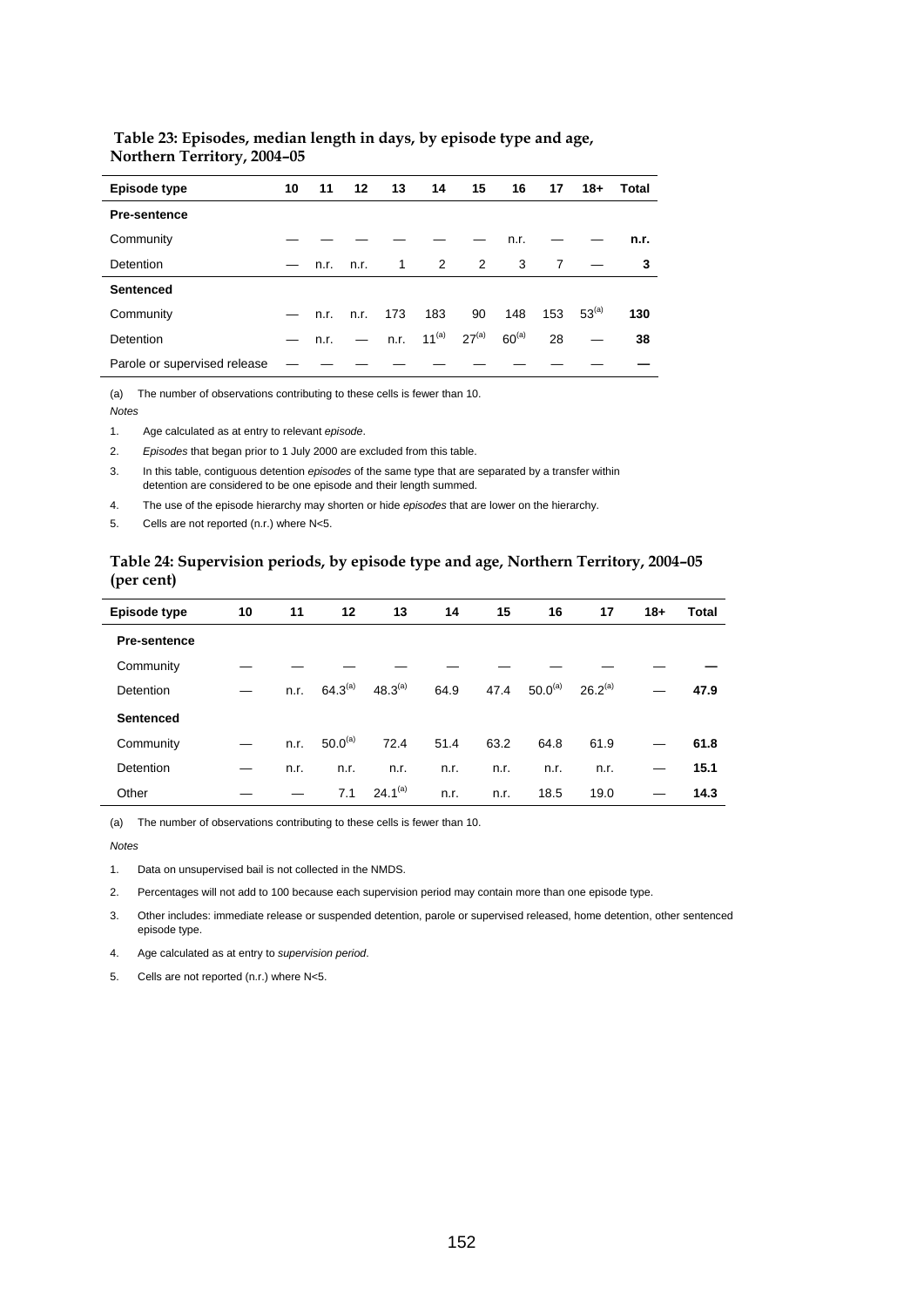| Episode type                 | 10                | 11            | 12   | 13             | 14          | 15         | 16         | 17             | $18 +$     | Total |
|------------------------------|-------------------|---------------|------|----------------|-------------|------------|------------|----------------|------------|-------|
| <b>Pre-sentence</b>          |                   |               |      |                |             |            |            |                |            |       |
| Community                    |                   |               |      |                |             |            | n.r.       |                |            | n.r.  |
| Detention                    |                   | $-$ n.r. n.r. |      | $\overline{1}$ | 2           | 2          | 3          | $\overline{7}$ |            | 3     |
| <b>Sentenced</b>             |                   |               |      |                |             |            |            |                |            |       |
| Community                    | $\hspace{0.05cm}$ | n.r.          | n.r. | 173            | 183         | 90         | 148        | 153            | $53^{(a)}$ | 130   |
| Detention                    |                   | n.r.          |      | n.r.           | 11 $^{(a)}$ | $27^{(a)}$ | $60^{(a)}$ | 28             |            | 38    |
| Parole or supervised release |                   |               |      |                |             |            |            |                |            |       |

#### **Table 23: Episodes, median length in days, by episode type and age, Northern Territory, 2004–05**

(a) The number of observations contributing to these cells is fewer than 10. *Notes* 

1. Age calculated as at entry to relevant *episode*.

2. *Episodes* that began prior to 1 July 2000 are excluded from this table.

3. In this table, contiguous detention *episodes* of the same type that are separated by a transfer within detention are considered to be one episode and their length summed.

4. The use of the episode hierarchy may shorten or hide *episodes* that are lower on the hierarchy.

5. Cells are not reported (n.r.) where N<5.

#### **Table 24: Supervision periods, by episode type and age, Northern Territory, 2004–05 (per cent)**

| Episode type        | 10 | 11   | 12           | 13           | 14   | 15   | 16           | 17                  | $18+$ | Total |
|---------------------|----|------|--------------|--------------|------|------|--------------|---------------------|-------|-------|
| <b>Pre-sentence</b> |    |      |              |              |      |      |              |                     |       |       |
| Community           |    |      |              |              |      |      |              |                     |       |       |
| <b>Detention</b>    |    | n.r. | $64.3^{(a)}$ | $48.3^{(a)}$ | 64.9 | 47.4 | $50.0^{(a)}$ | 26.2 <sup>(a)</sup> |       | 47.9  |
| <b>Sentenced</b>    |    |      |              |              |      |      |              |                     |       |       |
| Community           |    | n.r. | $50.0^{(a)}$ | 72.4         | 51.4 | 63.2 | 64.8         | 61.9                |       | 61.8  |
| Detention           |    | n.r. | n.r.         | n.r.         | n.r. | n.r. | n.r.         | n.r.                |       | 15.1  |
| Other               |    |      | 7.1          | $24.1^{(a)}$ | n.r. | n.r. | 18.5         | 19.0                |       | 14.3  |
|                     |    |      |              |              |      |      |              |                     |       |       |

(a) The number of observations contributing to these cells is fewer than 10.

*Notes* 

1. Data on unsupervised bail is not collected in the NMDS.

2. Percentages will not add to 100 because each supervision period may contain more than one episode type.

3. Other includes: immediate release or suspended detention, parole or supervised released, home detention, other sentenced episode type.

4. Age calculated as at entry to *supervision period*.

5. Cells are not reported (n.r.) where N<5.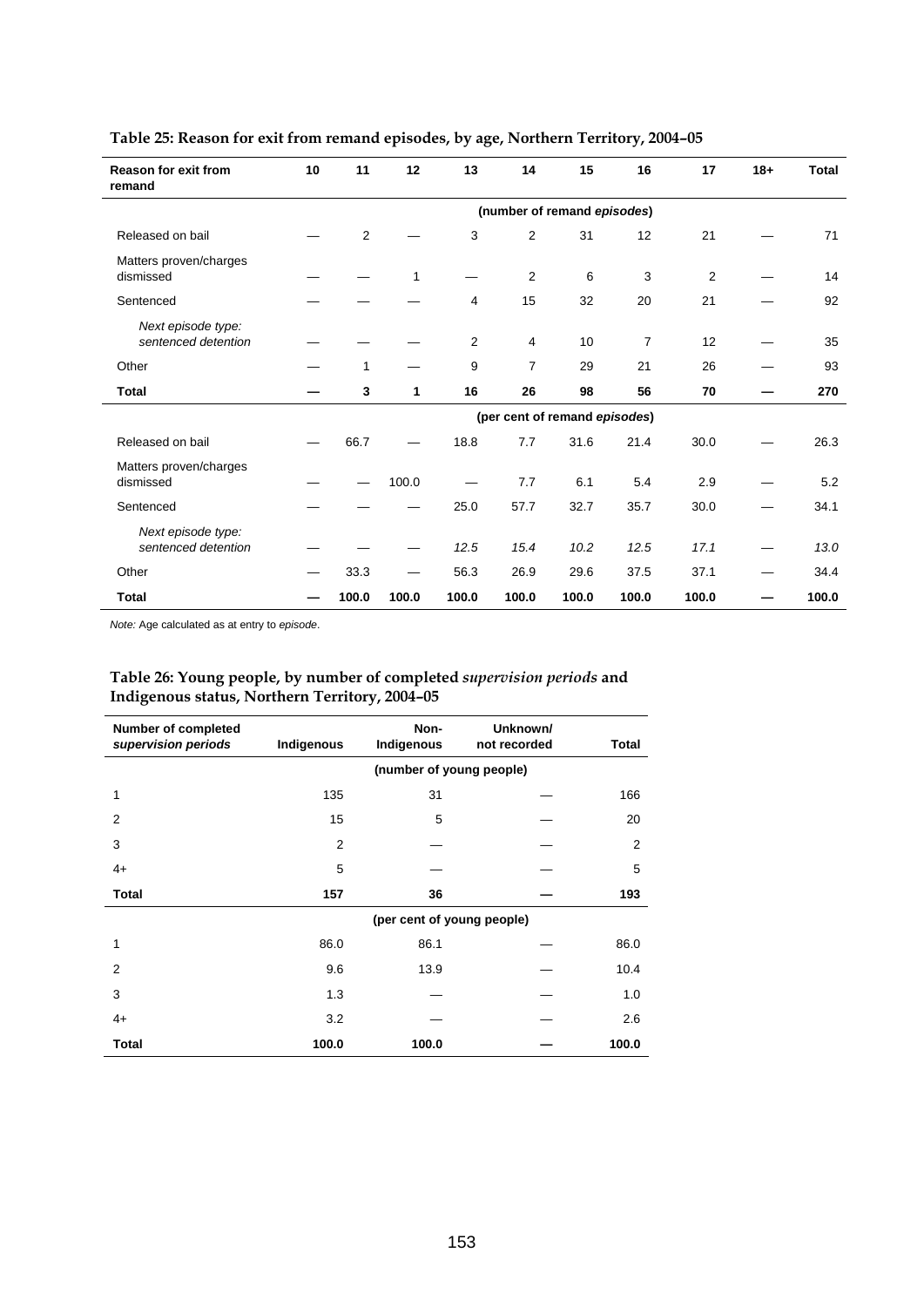| <b>Reason for exit from</b><br>remand     | 10                          | 11           | 12    | 13    | 14             | 15                            | 16             | 17    | $18 +$ | <b>Total</b> |
|-------------------------------------------|-----------------------------|--------------|-------|-------|----------------|-------------------------------|----------------|-------|--------|--------------|
|                                           | (number of remand episodes) |              |       |       |                |                               |                |       |        |              |
| Released on bail                          |                             | $\mathbf{2}$ |       | 3     | $\overline{2}$ | 31                            | 12             | 21    |        | 71           |
| Matters proven/charges<br>dismissed       |                             |              | 1     |       | $\overline{2}$ | 6                             | 3              | 2     |        | 14           |
| Sentenced                                 |                             |              |       | 4     | 15             | 32                            | 20             | 21    |        | 92           |
| Next episode type:<br>sentenced detention |                             |              |       | 2     | 4              | 10                            | $\overline{7}$ | 12    |        | 35           |
| Other                                     |                             | 1            |       | 9     | 7              | 29                            | 21             | 26    |        | 93           |
| <b>Total</b>                              |                             | 3            | 1     | 16    | 26             | 98                            | 56             | 70    |        | 270          |
|                                           |                             |              |       |       |                | (per cent of remand episodes) |                |       |        |              |
| Released on bail                          |                             | 66.7         |       | 18.8  | 7.7            | 31.6                          | 21.4           | 30.0  |        | 26.3         |
| Matters proven/charges<br>dismissed       |                             |              | 100.0 |       | 7.7            | 6.1                           | 5.4            | 2.9   |        | 5.2          |
| Sentenced                                 |                             |              |       | 25.0  | 57.7           | 32.7                          | 35.7           | 30.0  |        | 34.1         |
| Next episode type:<br>sentenced detention |                             |              |       | 12.5  | 15.4           | 10.2                          | 12.5           | 17.1  |        | 13.0         |
| Other                                     |                             | 33.3         |       | 56.3  | 26.9           | 29.6                          | 37.5           | 37.1  |        | 34.4         |
| <b>Total</b>                              |                             | 100.0        | 100.0 | 100.0 | 100.0          | 100.0                         | 100.0          | 100.0 |        | 100.0        |

# **Table 25: Reason for exit from remand episodes, by age, Northern Territory, 2004–05**

*Note:* Age calculated as at entry to *episode*.

# **Table 26: Young people, by number of completed** *supervision periods* **and Indigenous status, Northern Territory, 2004–05**

| <b>Number of completed</b><br>supervision periods | Indigenous     | Non-<br>Indigenous | Unknown/<br>not recorded   | <b>Total</b>   |
|---------------------------------------------------|----------------|--------------------|----------------------------|----------------|
|                                                   |                |                    |                            |                |
| 1                                                 | 135            | 31                 |                            | 166            |
| $\overline{2}$                                    | 15             | 5                  |                            | 20             |
| 3                                                 | $\overline{2}$ |                    |                            | $\overline{2}$ |
| $4+$                                              | 5              |                    |                            | 5              |
| <b>Total</b>                                      | 157            | 36                 |                            | 193            |
|                                                   |                |                    | (per cent of young people) |                |
| 1                                                 | 86.0           | 86.1               |                            | 86.0           |
| 2                                                 | 9.6            | 13.9               |                            | 10.4           |
| 3                                                 | 1.3            |                    |                            | 1.0            |
| $4+$                                              | 3.2            |                    |                            | 2.6            |
| <b>Total</b>                                      | 100.0          | 100.0              |                            | 100.0          |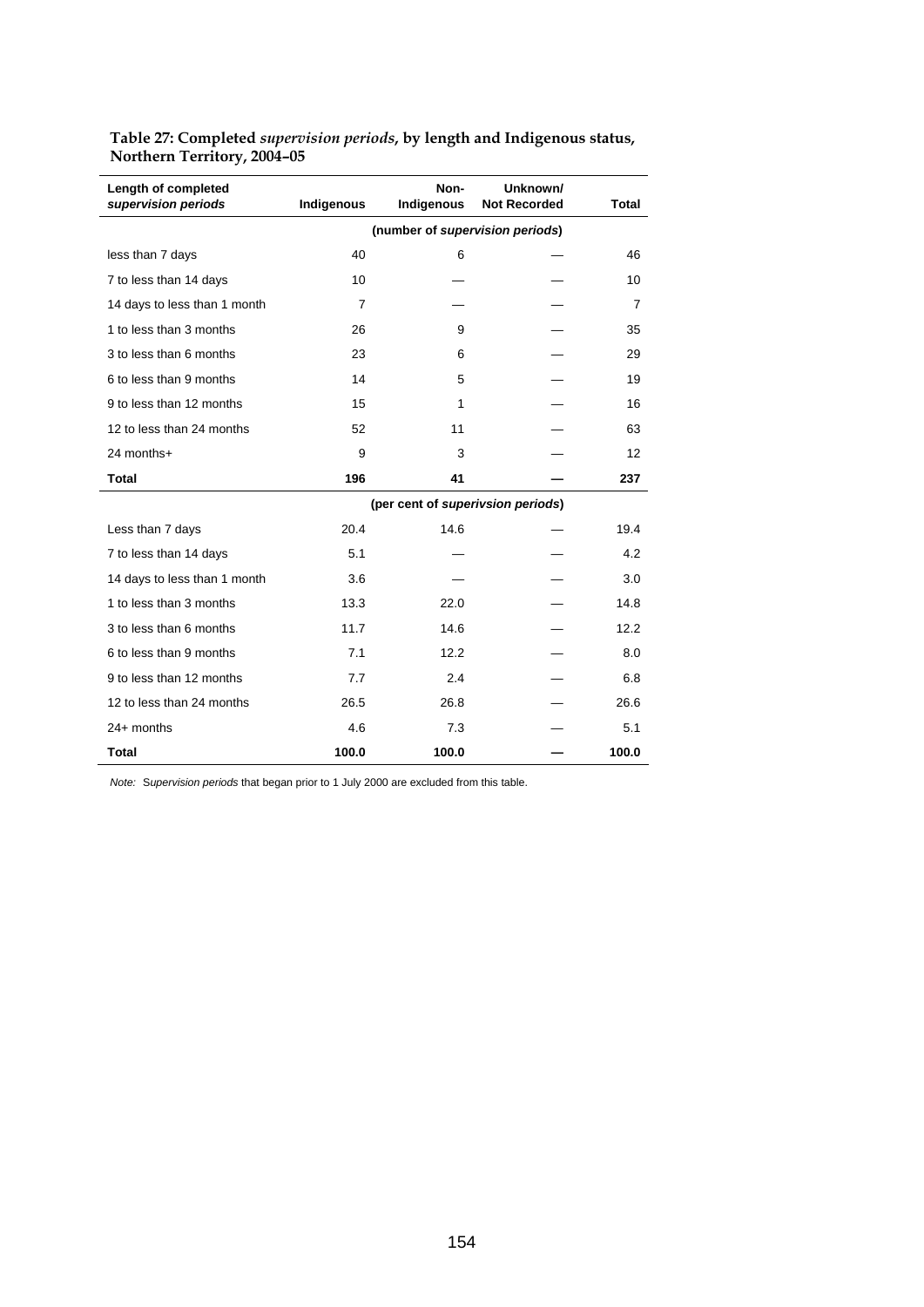|                                            |                | Non-                              | Unknown/            |                |
|--------------------------------------------|----------------|-----------------------------------|---------------------|----------------|
| Length of completed<br>supervision periods | Indigenous     | Indigenous                        | <b>Not Recorded</b> | <b>Total</b>   |
|                                            |                | (number of supervision periods)   |                     |                |
| less than 7 days                           | 40             | 6                                 |                     | 46             |
| 7 to less than 14 days                     | 10             |                                   |                     | 10             |
| 14 days to less than 1 month               | $\overline{7}$ |                                   |                     | $\overline{7}$ |
| 1 to less than 3 months                    | 26             | 9                                 |                     | 35             |
| 3 to less than 6 months                    | 23             | 6                                 |                     | 29             |
| 6 to less than 9 months                    | 14             | 5                                 |                     | 19             |
| 9 to less than 12 months                   | 15             | 1                                 |                     | 16             |
| 12 to less than 24 months                  | 52             | 11                                |                     | 63             |
| 24 months+                                 | 9              | 3                                 |                     | 12             |
| <b>Total</b>                               | 196            | 41                                |                     | 237            |
|                                            |                | (per cent of superivsion periods) |                     |                |
| Less than 7 days                           | 20.4           | 14.6                              |                     | 19.4           |
| 7 to less than 14 days                     | 5.1            |                                   |                     | 4.2            |
| 14 days to less than 1 month               | 3.6            |                                   |                     | 3.0            |
| 1 to less than 3 months                    | 13.3           | 22.0                              |                     | 14.8           |
| 3 to less than 6 months                    | 11.7           | 14.6                              |                     | 12.2           |
| 6 to less than 9 months                    | 7.1            | 12.2                              |                     | 8.0            |
| 9 to less than 12 months                   | 7.7            | 2.4                               |                     | 6.8            |
| 12 to less than 24 months                  | 26.5           | 26.8                              |                     | 26.6           |
| $24+$ months                               | 4.6            | 7.3                               |                     | 5.1            |
| <b>Total</b>                               | 100.0          | 100.0                             |                     | 100.0          |

**Table 27: Completed** *supervision periods***, by length and Indigenous status, Northern Territory, 2004–05** 

*Note:* S*upervision periods* that began prior to 1 July 2000 are excluded from this table.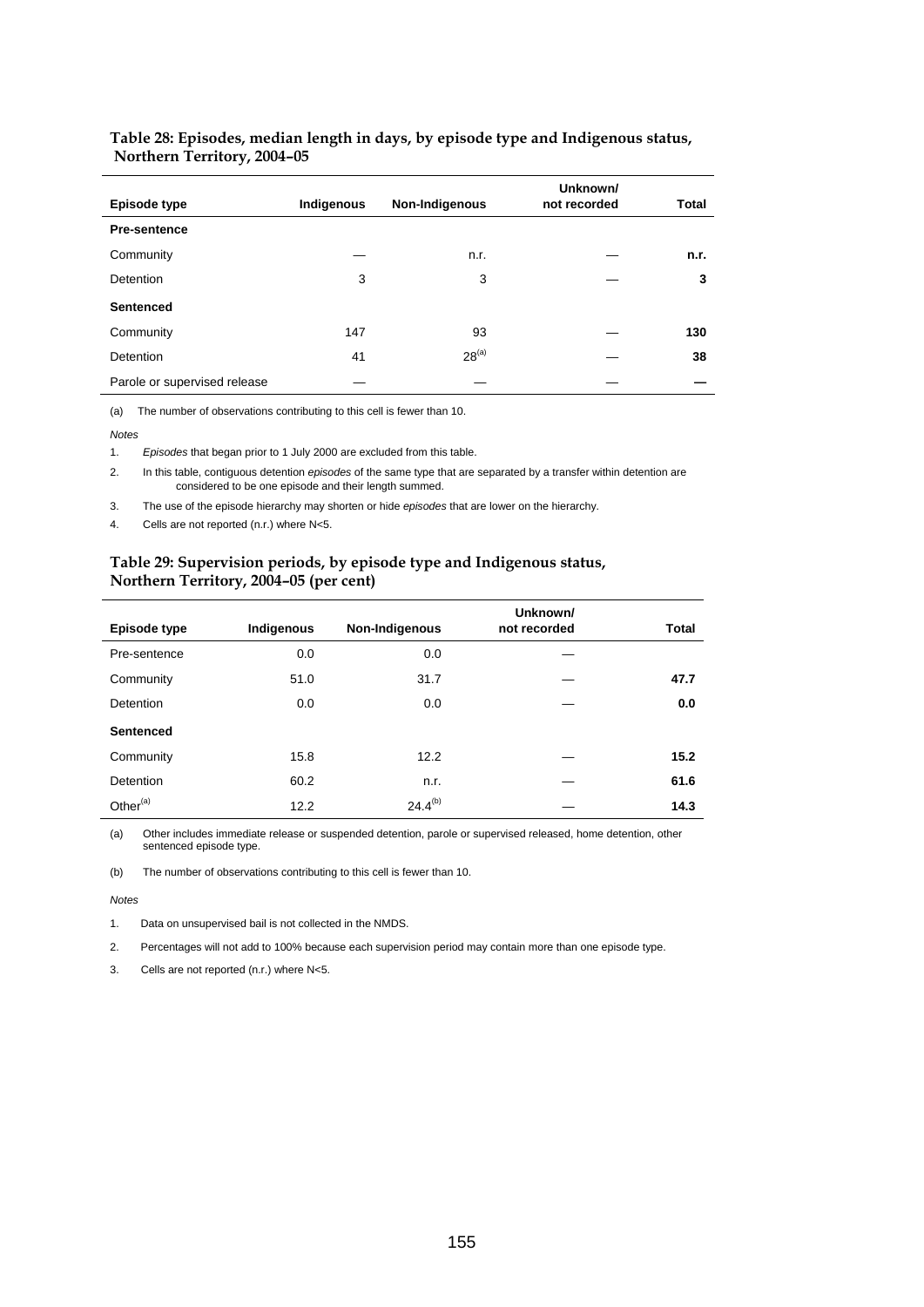| Episode type                 | Indigenous | Non-Indigenous | Unknown/<br>not recorded | <b>Total</b> |
|------------------------------|------------|----------------|--------------------------|--------------|
| <b>Pre-sentence</b>          |            |                |                          |              |
|                              |            |                |                          |              |
| Community                    |            | n.r.           |                          | n.r.         |
| <b>Detention</b>             | 3          | 3              |                          | 3            |
| <b>Sentenced</b>             |            |                |                          |              |
| Community                    | 147        | 93             |                          | 130          |
| Detention                    | 41         | $28^{(a)}$     |                          | 38           |
| Parole or supervised release |            |                |                          |              |

#### **Table 28: Episodes, median length in days, by episode type and Indigenous status, Northern Territory, 2004–05**

(a) The number of observations contributing to this cell is fewer than 10.

*Notes* 

1. *Episodes* that began prior to 1 July 2000 are excluded from this table.

2. In this table, contiguous detention *episodes* of the same type that are separated by a transfer within detention are considered to be one episode and their length summed.

3. The use of the episode hierarchy may shorten or hide *episodes* that are lower on the hierarchy.

4. Cells are not reported (n.r.) where N<5.

## **Table 29: Supervision periods, by episode type and Indigenous status, Northern Territory, 2004–05 (per cent)**

| Episode type         | Indigenous | Non-Indigenous | Unknown/<br>not recorded | Total |
|----------------------|------------|----------------|--------------------------|-------|
| Pre-sentence         | 0.0        | 0.0            |                          |       |
| Community            | 51.0       | 31.7           |                          | 47.7  |
| <b>Detention</b>     | 0.0        | 0.0            |                          | 0.0   |
| <b>Sentenced</b>     |            |                |                          |       |
| Community            | 15.8       | 12.2           |                          | 15.2  |
| Detention            | 60.2       | n.r.           |                          | 61.6  |
| Other <sup>(a)</sup> | 12.2       | $24.4^{(b)}$   |                          | 14.3  |

(a) Other includes immediate release or suspended detention, parole or supervised released, home detention, other sentenced episode type.

(b) The number of observations contributing to this cell is fewer than 10.

*Notes* 

1. Data on unsupervised bail is not collected in the NMDS.

2. Percentages will not add to 100% because each supervision period may contain more than one episode type.

3. Cells are not reported (n.r.) where N<5.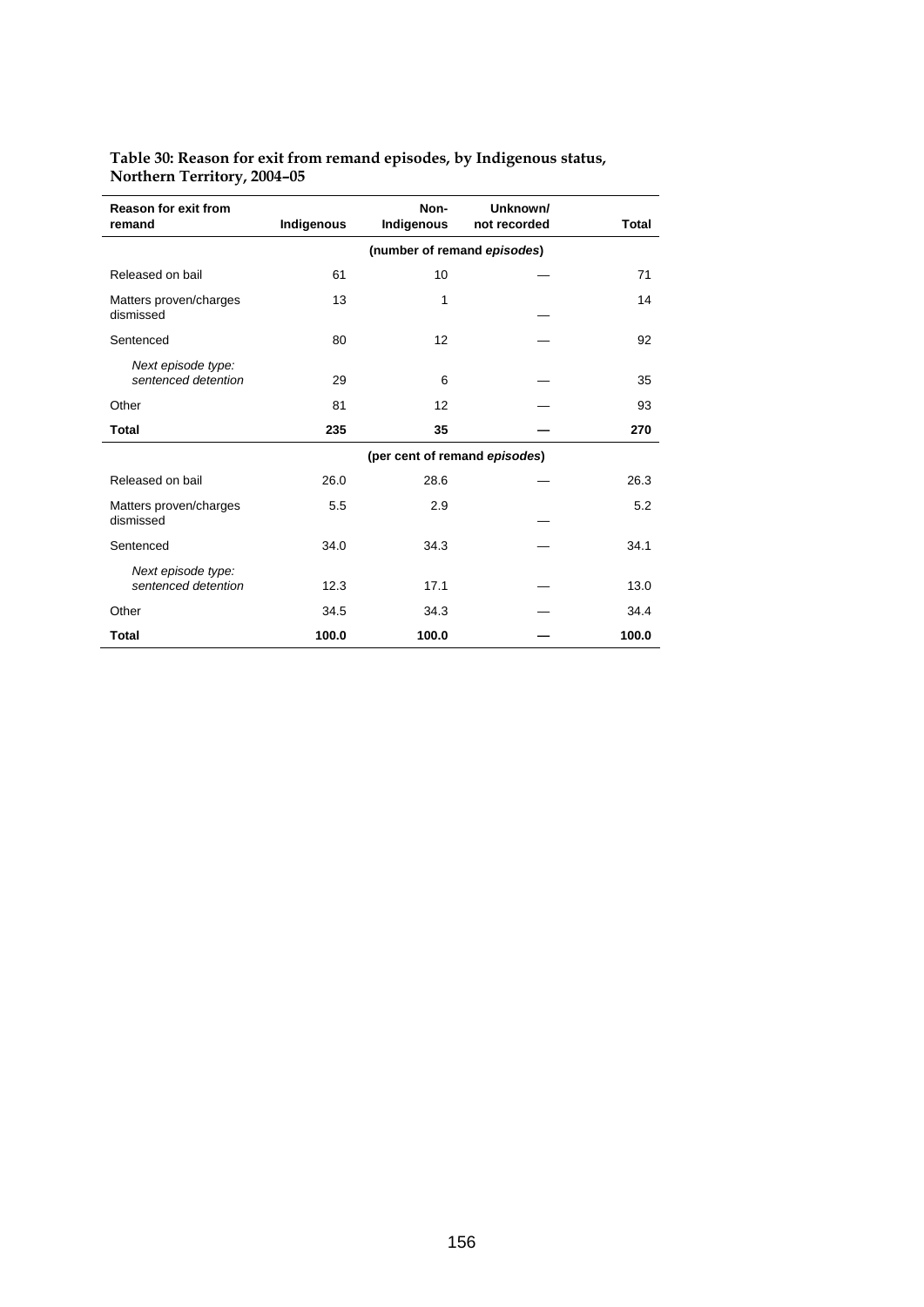| <b>Reason for exit from</b><br>remand     | Indigenous | Non-<br>Indigenous            | Unknown/<br>not recorded | Total |
|-------------------------------------------|------------|-------------------------------|--------------------------|-------|
|                                           |            | (number of remand episodes)   |                          |       |
| Released on bail                          | 61         | 10                            |                          | 71    |
| Matters proven/charges<br>dismissed       | 13         | 1                             |                          | 14    |
| Sentenced                                 | 80         | 12                            |                          | 92    |
| Next episode type:<br>sentenced detention | 29         | 6                             |                          | 35    |
| Other                                     | 81         | 12                            |                          | 93    |
| Total                                     | 235        | 35                            |                          | 270   |
|                                           |            | (per cent of remand episodes) |                          |       |
| Released on bail                          | 26.0       | 28.6                          |                          | 26.3  |
| Matters proven/charges<br>dismissed       | 5.5        | 2.9                           |                          | 5.2   |
| Sentenced                                 | 34.0       | 34.3                          |                          | 34.1  |
| Next episode type:<br>sentenced detention | 12.3       | 17.1                          |                          | 13.0  |
| Other                                     | 34.5       | 34.3                          |                          | 34.4  |
| <b>Total</b>                              | 100.0      | 100.0                         |                          | 100.0 |

## **Table 30: Reason for exit from remand episodes, by Indigenous status, Northern Territory, 2004–05**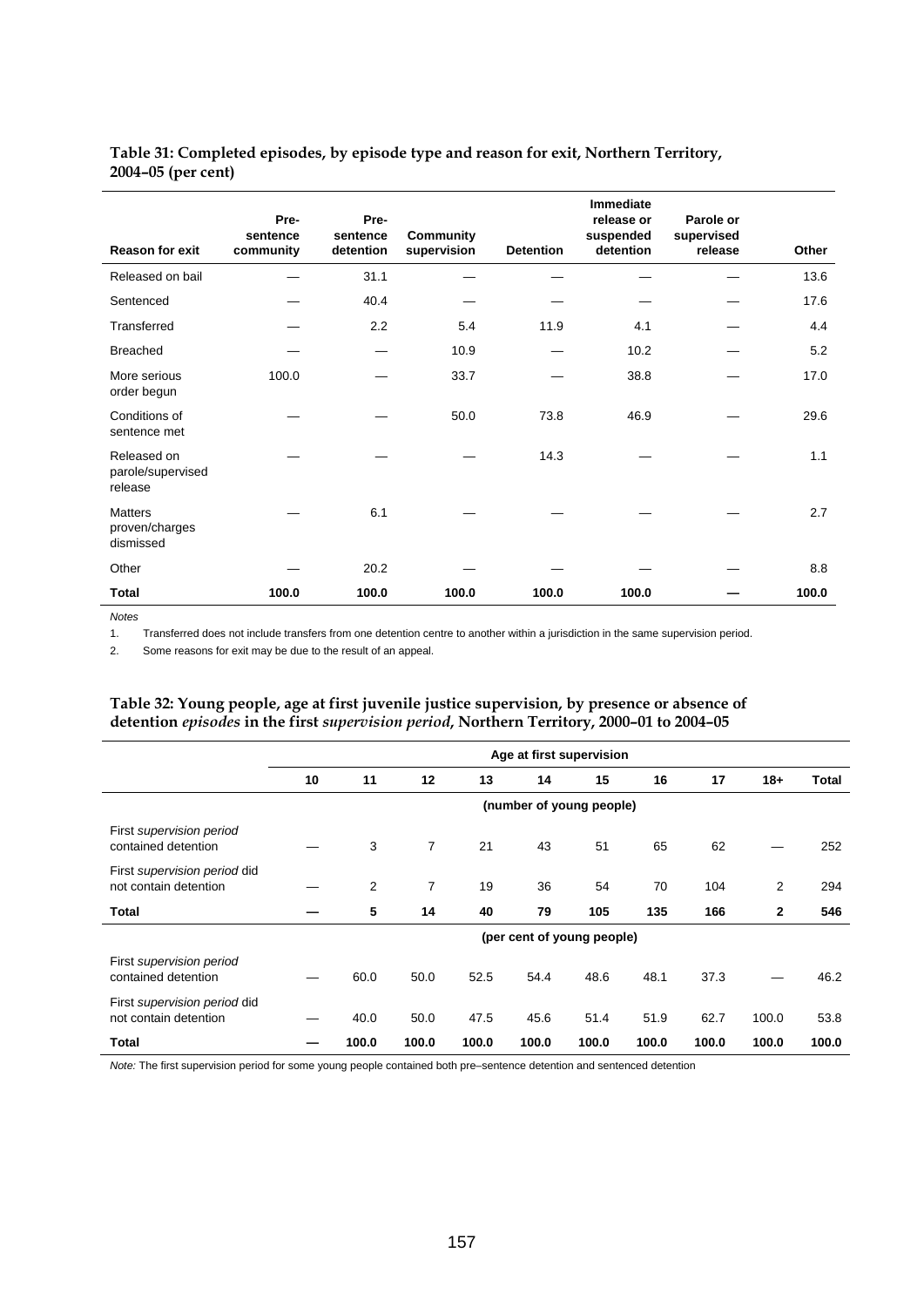## **Table 31: Completed episodes, by episode type and reason for exit, Northern Territory, 2004–05 (per cent)**

| <b>Reason for exit</b>                        | Pre-<br>sentence<br>community | Pre-<br>sentence<br>detention | <b>Community</b><br>supervision | <b>Detention</b> | <b>Immediate</b><br>release or<br>suspended<br>detention | Parole or<br>supervised<br>release | Other |
|-----------------------------------------------|-------------------------------|-------------------------------|---------------------------------|------------------|----------------------------------------------------------|------------------------------------|-------|
| Released on bail                              |                               | 31.1                          |                                 |                  |                                                          |                                    | 13.6  |
| Sentenced                                     |                               | 40.4                          |                                 |                  |                                                          |                                    | 17.6  |
| Transferred                                   |                               | 2.2                           | 5.4                             | 11.9             | 4.1                                                      |                                    | 4.4   |
| <b>Breached</b>                               |                               |                               | 10.9                            |                  | 10.2                                                     |                                    | 5.2   |
| More serious<br>order begun                   | 100.0                         |                               | 33.7                            |                  | 38.8                                                     |                                    | 17.0  |
| Conditions of<br>sentence met                 |                               |                               | 50.0                            | 73.8             | 46.9                                                     |                                    | 29.6  |
| Released on<br>parole/supervised<br>release   |                               |                               |                                 | 14.3             |                                                          |                                    | 1.1   |
| <b>Matters</b><br>proven/charges<br>dismissed |                               | 6.1                           |                                 |                  |                                                          |                                    | 2.7   |
| Other                                         |                               | 20.2                          |                                 |                  |                                                          |                                    | 8.8   |
| Total                                         | 100.0                         | 100.0                         | 100.0                           | 100.0            | 100.0                                                    |                                    | 100.0 |

*Notes* 

1. Transferred does not include transfers from one detention centre to another within a jurisdiction in the same supervision period.

2. Some reasons for exit may be due to the result of an appeal.

## **Table 32: Young people, age at first juvenile justice supervision, by presence or absence of detention** *episodes* **in the first** *supervision period***, Northern Territory, 2000–01 to 2004–05**

|                                                       | Age at first supervision   |       |                |       |       |       |       |       |              |       |  |
|-------------------------------------------------------|----------------------------|-------|----------------|-------|-------|-------|-------|-------|--------------|-------|--|
|                                                       | 10                         | 11    | 12             | 13    | 14    | 15    | 16    | 17    | $18+$        | Total |  |
|                                                       | (number of young people)   |       |                |       |       |       |       |       |              |       |  |
| First supervision period<br>contained detention       |                            | 3     | $\overline{7}$ | 21    | 43    | 51    | 65    | 62    |              | 252   |  |
| First supervision period did<br>not contain detention |                            | 2     | 7              | 19    | 36    | 54    | 70    | 104   | 2            | 294   |  |
| <b>Total</b>                                          |                            | 5     | 14             | 40    | 79    | 105   | 135   | 166   | $\mathbf{2}$ | 546   |  |
|                                                       | (per cent of young people) |       |                |       |       |       |       |       |              |       |  |
| First supervision period<br>contained detention       |                            | 60.0  | 50.0           | 52.5  | 54.4  | 48.6  | 48.1  | 37.3  |              | 46.2  |  |
| First supervision period did<br>not contain detention |                            | 40.0  | 50.0           | 47.5  | 45.6  | 51.4  | 51.9  | 62.7  | 100.0        | 53.8  |  |
| Total                                                 |                            | 100.0 | 100.0          | 100.0 | 100.0 | 100.0 | 100.0 | 100.0 | 100.0        | 100.0 |  |

*Note:* The first supervision period for some young people contained both pre–sentence detention and sentenced detention